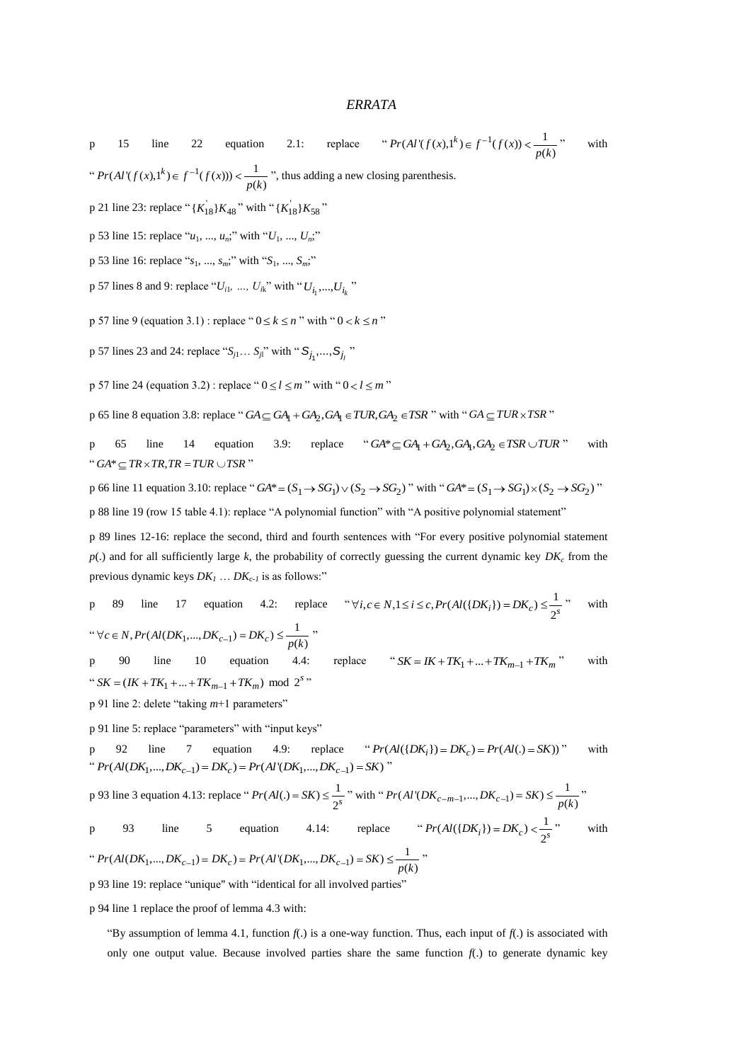#### *ERRATA*

p 15 line 22 equation 2.1: replace "
$$
Pr(Al'(f(x),1^k) \in f^{-1}(f(x)) < \frac{1}{p(k)}
$$
" with  
\n" $Pr(Al'(f(x),1^k) \in f^{-1}(f(x))) < \frac{1}{p(k)}$ ", thus adding a new closing parentheses.  
\np 21 line 23: replace " $\{K_{18}^{\dagger}\}K_{48}$ " with " $\{K_{18}^{\dagger}\}K_{58}$ "  
\np 53 line 15: replace " $u_1, ..., u_n$ " with " $U_1, ..., U_n$ ;"  
\np 53 line 16: replace " $s_1, ..., s_m$ ;" with " $S_1, ..., S_m$ ;"  
\np 57 lines 8 and 9: replace " $U_{i1}, ..., U_{ik}$ " with " $U_{i_1}, ..., U_{i_k}$ "

p 57 line 9 (equation 3.1) : replace " $0 \le k \le n$ " with " $0 < k \le n$ "

- p 57 lines 23 and 24: replace " $S_{j1}$ ...  $S_{j1}$ " with " $S_{j_1}$ ,...,  $S_{j_j}$ "
- p 57 line 24 (equation 3.2): replace " $0 \le l \le m$ " with " $0 < l \le m$ "
- p 65 line 8 equation 3.8: replace "  $GA \subseteq GA_1 + GA_2$ ,  $GA_1 \in TUR$ ,  $GA_2 \in TSR$  " with "  $GA \subseteq TUR \times TSR$  "

p 65 line 14 equation 3.9: replace "
$$
GA^* \subseteq GA_1 + GA_2
$$
,  $GA_1$ ,  $GA_2 \in TSR \cup TUR$ " with  
" $GA^* \subseteq TR \times TR$ ,  $TR = TUR \cup TSR$ "

p 66 line 11 equation 3.10: replace " $GA^* = (S_1 \rightarrow SG_1) \vee (S_2 \rightarrow SG_2)$ " with " $GA^* = (S_1 \rightarrow SG_1) \times (S_2 \rightarrow SG_2)$ " p 88 line 19 (row 15 table 4.1): replace "A polynomial function" with "A positive polynomial statement"

p 89 lines 12-16: replace the second, third and fourth sentences with "For every positive polynomial statement  $p(.)$  and for all sufficiently large *k*, the probability of correctly guessing the current dynamic key  $DK_c$  from the previous dynamic keys *DK<sup>1</sup>* … *DKc-1* is as follows:"

p 89 line 17 equation 4.2: replace "
$$
\forall i, c \in N, 1 \le i \le c, Pr(A(\{DK_i\}) = DK_c) \le \frac{1}{2^s}
$$
" with  
" $\forall c \in N, Pr(A(\{DK_1, ..., DK_{c-1}) = DK_c) \le \frac{1}{p(k)}$ "

p 90 line 10 equation 4.4: replace " $SK = IK + TK_1 + ... + TK_{m-1} + TK_m$ with  $K^2$  1 1  $K^2$  1  $K^2$  1  $K^2$  1  $K^2$  1  $K^2$  1  $K^2$  1  $K^2$  1  $K^2$  1  $K^2$  1  $K^2$  1  $K^2$  1  $K^2$  1  $K^2$  1  $K^2$  1  $K^2$  1  $K^2$  1  $K^2$  1  $K^2$  1  $K^2$  1  $K^2$  1  $K^2$  1  $K^2$  1  $K^2$  1  $K^2$  1  $K^2$  1  $K^2$  1  $K^$ 

p 91 line 2: delete "taking *m*+1 parameters"

p 91 line 5: replace "parameters" with "input keys"

p 92 line 7 equation 4.9: replace "  $Pr(AI({\{DK_i\}}) = DK_c) = Pr(AI(.) = SK))$ "  $Pr(AI(DK_1,...,DK_{c-1}) = DK_c) = Pr(AI'(DK_1,...,DK_{c-1}) = SK)$ " with " $Pr(AI(DK_1,...,DK_{c-1}) = DK_c) = Pr(AI'(DK_1,...,DK_{c-1}) = SK)$ "

p 93 line 3 equation 4.13: replace "
$$
Pr(AI(.) = SK) \le \frac{1}{2^s}
$$
" with " $Pr(AI'(DK_{c-m-1},...,DK_{c-1}) = SK) \le \frac{1}{p(k)}$ "  
\np 93 line 5 equation 4.14: replace " $Pr(AI(\{DK_i\}) = DK_c) < \frac{1}{2^s}$ " with  
\n" $Pr(AI(DK_1,...,DK_{c-1}) = DK_c) = Pr(AI'(DK_1,...,DK_{c-1}) = SK) \le \frac{1}{p(k)}$ "  
\np 93 line 19: replace "unique" with "identical for all involved parties"

p 94 line 1 replace the proof of lemma 4.3 with:

"By assumption of lemma 4.1, function  $f(.)$  is a one-way function. Thus, each input of  $f(.)$  is associated with only one output value. Because involved parties share the same function  $f(.)$  to generate dynamic key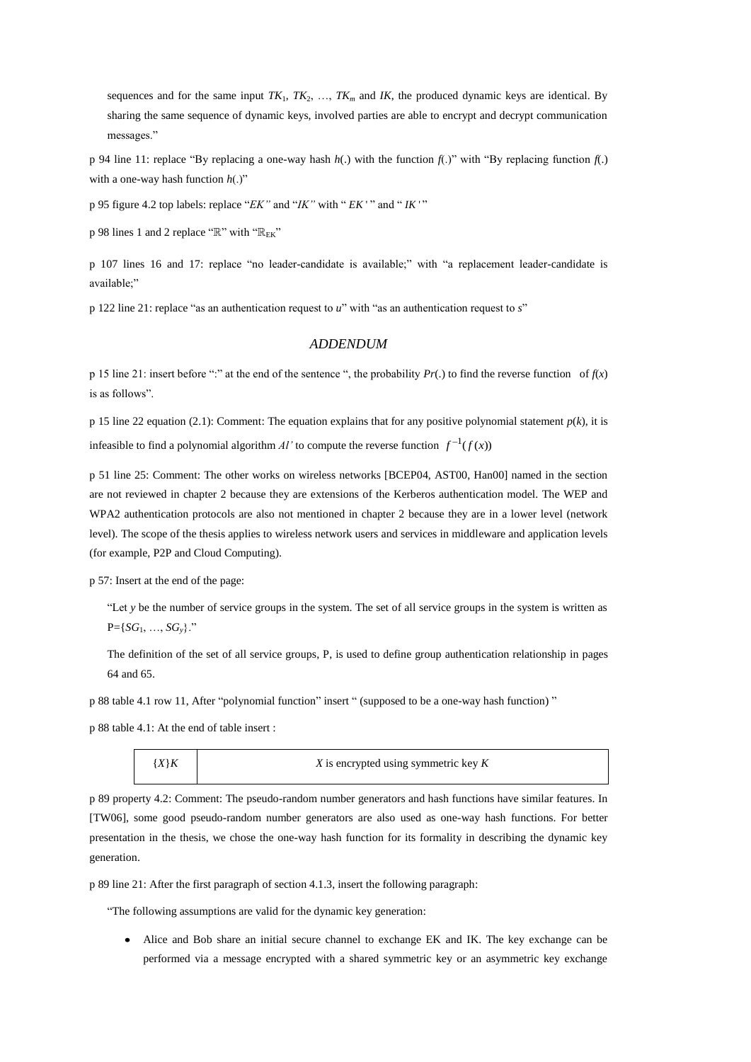sequences and for the same input  $TK_1, TK_2, \ldots, TK_m$  and  $IK$ , the produced dynamic keys are identical. By sharing the same sequence of dynamic keys, involved parties are able to encrypt and decrypt communication messages."

p 94 line 11: replace "By replacing a one-way hash  $h(.)$  with the function  $f(.)$ " with "By replacing function  $f(.)$ with a one-way hash function *h*(.)"

p 95 figure 4.2 top labels: replace "*EK"* and "*IK"* with " *EK* ' " and " *IK* ' "

p 98 lines 1 and 2 replace " $\mathbb{R}$ " with " $\mathbb{R}_{\text{EK}}$ "

p 107 lines 16 and 17: replace "no leader-candidate is available;" with "a replacement leader-candidate is available;"

p 122 line 21: replace "as an authentication request to *u*" with "as an authentication request to *s*"

#### *ADDENDUM*

p 15 line 21: insert before ":" at the end of the sentence ", the probability  $Pr(.)$  to find the reverse function of  $f(x)$ is as follows".

p 15 line 22 equation (2.1): Comment: The equation explains that for any positive polynomial statement *p*(*k*), it is infeasible to find a polynomial algorithm  $Al'$  to compute the reverse function  $f^{-1}(f(x))$ 

p 51 line 25: Comment: The other works on wireless networks [BCEP04, AST00, Han00] named in the section are not reviewed in chapter 2 because they are extensions of the Kerberos authentication model. The WEP and WPA2 authentication protocols are also not mentioned in chapter 2 because they are in a lower level (network level). The scope of the thesis applies to wireless network users and services in middleware and application levels (for example, P2P and Cloud Computing).

p 57: Insert at the end of the page:

"Let *y* be the number of service groups in the system. The set of all service groups in the system is written as P={*SG*<sup>1</sup> , …, *SGy*}."

The definition of the set of all service groups, P, is used to define group authentication relationship in pages 64 and 65.

p 88 table 4.1 row 11, After "polynomial function" insert " (supposed to be a one-way hash function) "

p 88 table 4.1: At the end of table insert :

| ×<br>۰. |
|---------|
|---------|

{*X*}*K X* is encrypted using symmetric key *K*

p 89 property 4.2: Comment: The pseudo-random number generators and hash functions have similar features. In [TW06], some good pseudo-random number generators are also used as one-way hash functions. For better presentation in the thesis, we chose the one-way hash function for its formality in describing the dynamic key generation.

p 89 line 21: After the first paragraph of section 4.1.3, insert the following paragraph:

"The following assumptions are valid for the dynamic key generation:

• Alice and Bob share an initial secure channel to exchange EK and IK. The key exchange can be performed via a message encrypted with a shared symmetric key or an asymmetric key exchange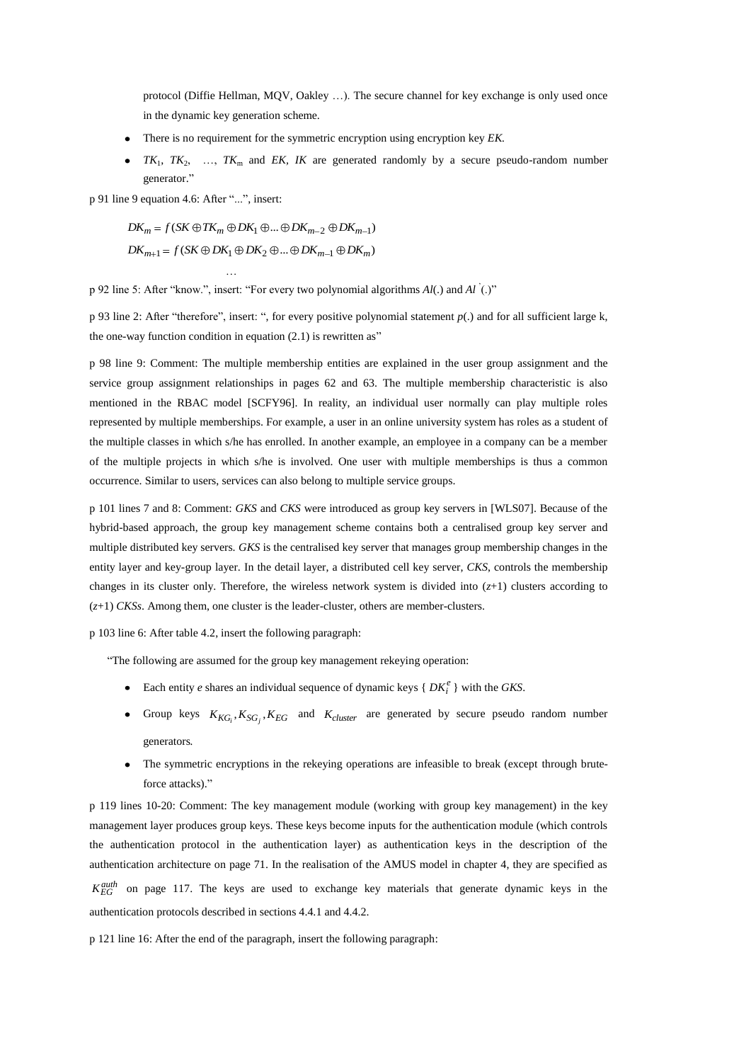protocol (Diffie Hellman, MQV, Oakley …). The secure channel for key exchange is only used once in the dynamic key generation scheme.

- There is no requirement for the symmetric encryption using encryption key *EK.*
- $TK_1$ ,  $TK_2$ , ...,  $TK_m$  and *EK*, *IK* are generated randomly by a secure pseudo-random number generator."

p 91 line 9 equation 4.6: After "...", insert:

$$
DK_m = f(SK \oplus TK_m \oplus DK_1 \oplus ... \oplus DK_{m-2} \oplus DK_{m-1})
$$
  

$$
DK_{m+1} = f(SK \oplus DK_1 \oplus DK_2 \oplus ... \oplus DK_{m-1} \oplus DK_m)
$$

…

p 92 line 5: After "know.", insert: "For every two polynomial algorithms  $Al(.)$  and  $Al(.)$ "

p 93 line 2: After "therefore", insert: ", for every positive polynomial statement *p*(.) and for all sufficient large k, the one-way function condition in equation (2.1) is rewritten as"

p 98 line 9: Comment: The multiple membership entities are explained in the user group assignment and the service group assignment relationships in pages 62 and 63. The multiple membership characteristic is also mentioned in the RBAC model [SCFY96]. In reality, an individual user normally can play multiple roles represented by multiple memberships. For example, a user in an online university system has roles as a student of the multiple classes in which s/he has enrolled. In another example, an employee in a company can be a member of the multiple projects in which s/he is involved. One user with multiple memberships is thus a common occurrence. Similar to users, services can also belong to multiple service groups.

p 101 lines 7 and 8: Comment: *GKS* and *CKS* were introduced as group key servers in [WLS07]. Because of the hybrid-based approach, the group key management scheme contains both a centralised group key server and multiple distributed key servers. *GKS* is the centralised key server that manages group membership changes in the entity layer and key-group layer. In the detail layer, a distributed cell key server, *CKS*, controls the membership changes in its cluster only. Therefore, the wireless network system is divided into (*z*+1) clusters according to (*z*+1) *CKSs*. Among them, one cluster is the leader-cluster, others are member-clusters.

p 103 line 6: After table 4.2, insert the following paragraph:

"The following are assumed for the group key management rekeying operation:

- Each entity *e* shares an individual sequence of dynamic keys  $\{DK_i^e\}$  with the *GKS*.
- Group keys  $K_{KG_i}$ ,  $K_{SG_j}$ ,  $K_{EG}$  and  $K_{cluster}$  are generated by secure pseudo random number generators*.*
- The symmetric encryptions in the rekeying operations are infeasible to break (except through brute- $\bullet$ force attacks)."

p 119 lines 10-20: Comment: The key management module (working with group key management) in the key management layer produces group keys. These keys become inputs for the authentication module (which controls the authentication protocol in the authentication layer) as authentication keys in the description of the authentication architecture on page 71. In the realisation of the AMUS model in chapter 4, they are specified as

K<sup>auth</sup> on page 117. The keys are used to exchange key materials that generate dynamic keys in the authentication protocols described in sections 4.4.1 and 4.4.2.

p 121 line 16: After the end of the paragraph, insert the following paragraph: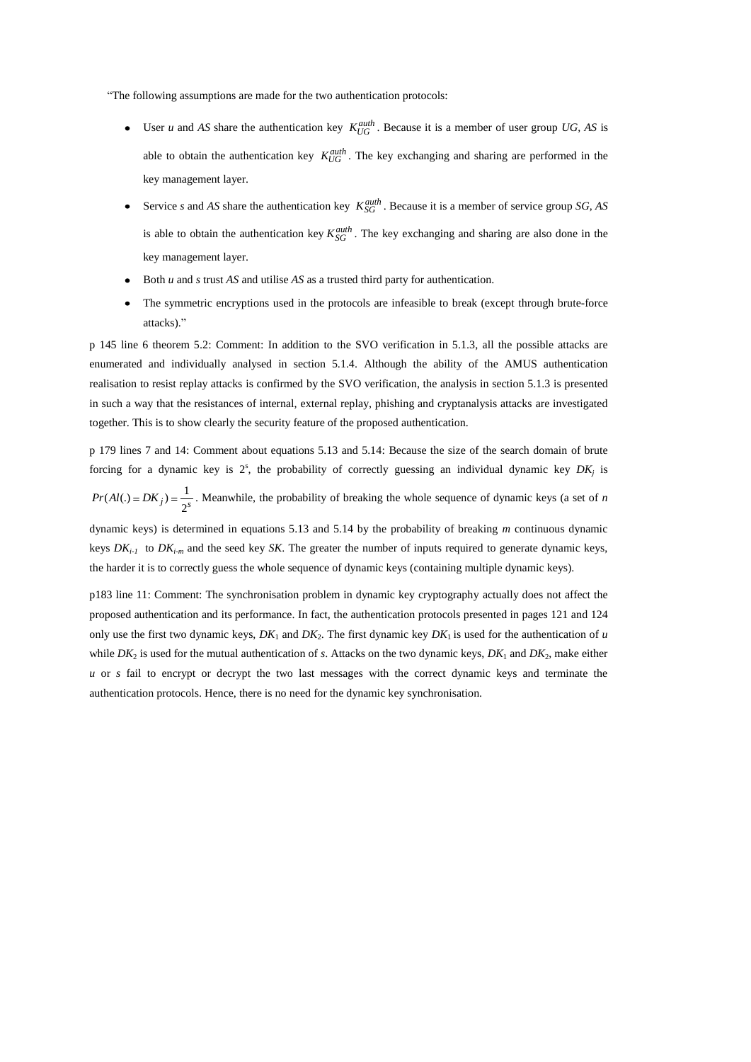"The following assumptions are made for the two authentication protocols:

- User *u* and AS share the authentication key  $K_{UG}^{auth}$ . Because it is a member of user group UG, AS is able to obtain the authentication key  $K_{UG}^{auth}$ . The key exchanging and sharing are performed in the key management layer.
- Service *s* and *AS* share the authentication key  $K_{SG}^{auth}$ . Because it is a member of service group *SG*, *AS* is able to obtain the authentication key  $K_{SG}^{auth}$ . The key exchanging and sharing are also done in the key management layer.
- Both *u* and *s* trust *AS* and utilise *AS* as a trusted third party for authentication.
- The symmetric encryptions used in the protocols are infeasible to break (except through brute-force  $\bullet$ attacks)."

p 145 line 6 theorem 5.2: Comment: In addition to the SVO verification in 5.1.3, all the possible attacks are enumerated and individually analysed in section 5.1.4. Although the ability of the AMUS authentication realisation to resist replay attacks is confirmed by the SVO verification, the analysis in section 5.1.3 is presented in such a way that the resistances of internal, external replay, phishing and cryptanalysis attacks are investigated together. This is to show clearly the security feature of the proposed authentication.

p 179 lines 7 and 14: Comment about equations 5.13 and 5.14: Because the size of the search domain of brute forcing for a dynamic key is  $2^s$ , the probability of correctly guessing an individual dynamic key  $DK_j$  is  $(Al(.) = DK<sub>i</sub>) = \frac{1}{2}$  $Pr(AI(.) = DK_j) = \frac{1}{2^s}$ . Meanwhile, the probability of breaking the whole sequence of dynamic keys (a set of *n* 

dynamic keys) is determined in equations 5.13 and 5.14 by the probability of breaking *m* continuous dynamic keys  $DK_{i-1}$  to  $DK_{i-m}$  and the seed key *SK*. The greater the number of inputs required to generate dynamic keys, the harder it is to correctly guess the whole sequence of dynamic keys (containing multiple dynamic keys).

p183 line 11: Comment: The synchronisation problem in dynamic key cryptography actually does not affect the proposed authentication and its performance. In fact, the authentication protocols presented in pages 121 and 124 only use the first two dynamic keys,  $DK_1$  and  $DK_2$ . The first dynamic key  $DK_1$  is used for the authentication of *u* while  $DK_2$  is used for the mutual authentication of *s*. Attacks on the two dynamic keys,  $DK_1$  and  $DK_2$ , make either *u* or *s* fail to encrypt or decrypt the two last messages with the correct dynamic keys and terminate the authentication protocols. Hence, there is no need for the dynamic key synchronisation.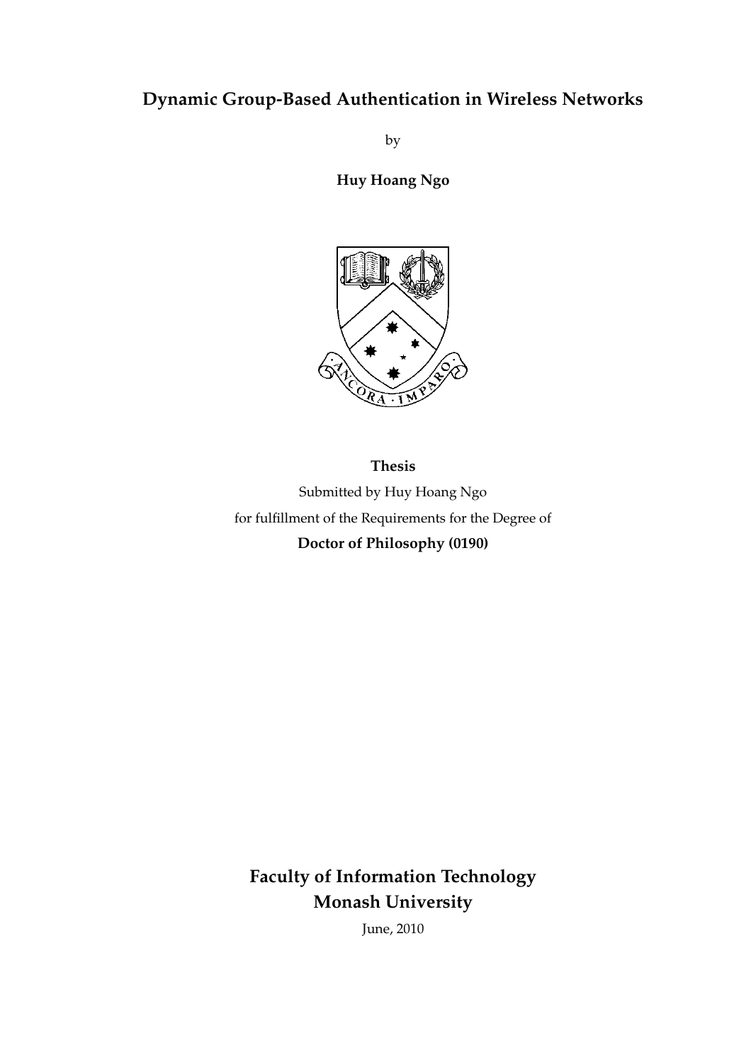## **Dynamic Group-Based Authentication in Wireless Networks**

by

**Huy Hoang Ngo**



**Thesis**

Submitted by Huy Hoang Ngo for fulfillment of the Requirements for the Degree of **Doctor of Philosophy (0190)**

**Faculty of Information Technology Monash University**

June, 2010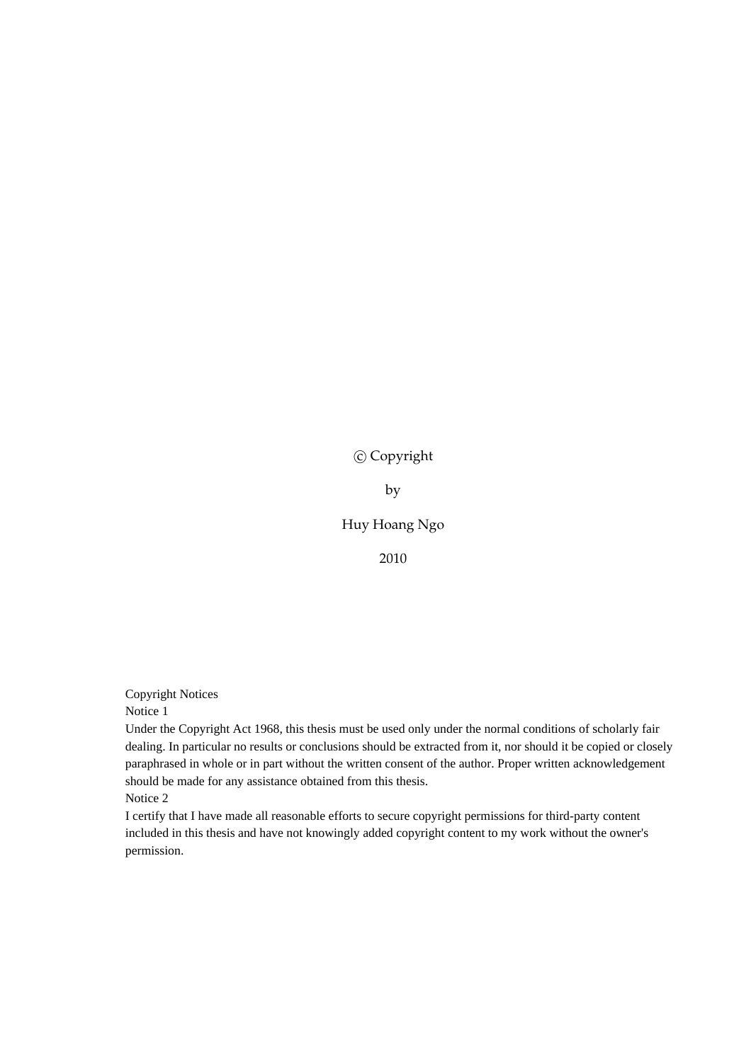c Copyright

by

Huy Hoang Ngo

2010

#### Copyright Notices

Notice 1

Under the Copyright Act 1968, this thesis must be used only under the normal conditions of scholarly fair dealing. In particular no results or conclusions should be extracted from it, nor should it be copied or closely paraphrased in whole or in part without the written consent of the author. Proper written acknowledgement should be made for any assistance obtained from this thesis.

Notice 2

I certify that I have made all reasonable efforts to secure copyright permissions for third-party content included in this thesis and have not knowingly added copyright content to my work without the owner's permission.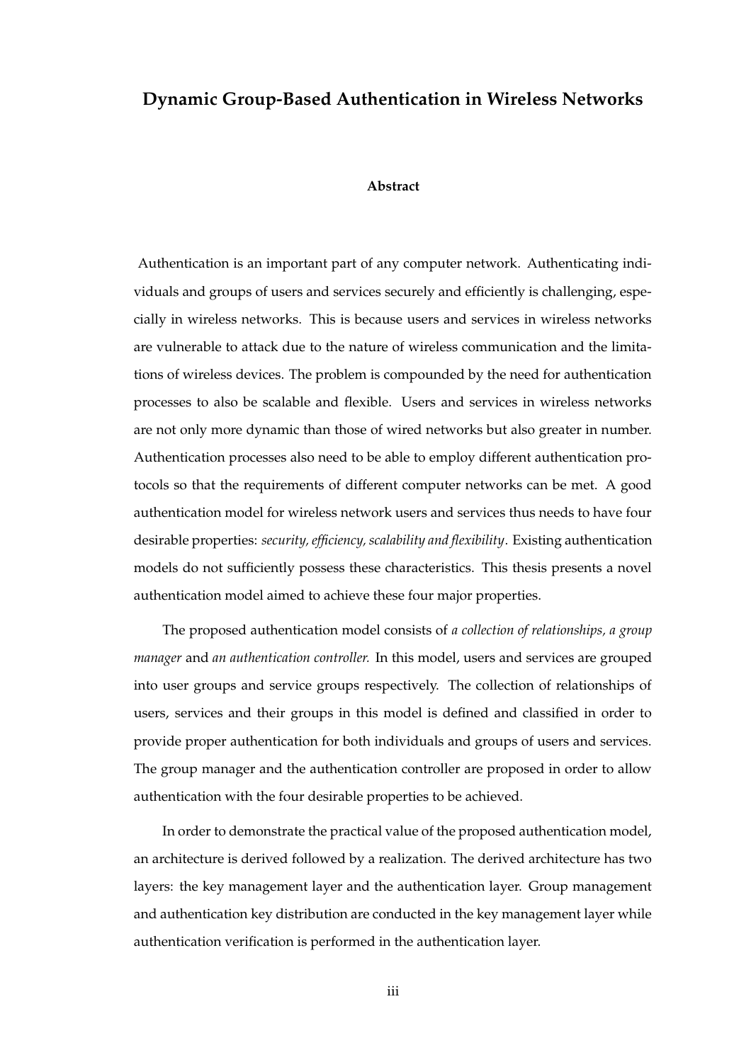#### **Dynamic Group-Based Authentication in Wireless Networks**

#### **Abstract**

Authentication is an important part of any computer network. Authenticating individuals and groups of users and services securely and efficiently is challenging, especially in wireless networks. This is because users and services in wireless networks are vulnerable to attack due to the nature of wireless communication and the limitations of wireless devices. The problem is compounded by the need for authentication processes to also be scalable and flexible. Users and services in wireless networks are not only more dynamic than those of wired networks but also greater in number. Authentication processes also need to be able to employ different authentication protocols so that the requirements of different computer networks can be met. A good authentication model for wireless network users and services thus needs to have four desirable properties: *security, efficiency, scalability and flexibility*. Existing authentication models do not sufficiently possess these characteristics. This thesis presents a novel authentication model aimed to achieve these four major properties.

The proposed authentication model consists of *a collection of relationships, a group manager* and *an authentication controller.* In this model, users and services are grouped into user groups and service groups respectively. The collection of relationships of users, services and their groups in this model is defined and classified in order to provide proper authentication for both individuals and groups of users and services. The group manager and the authentication controller are proposed in order to allow authentication with the four desirable properties to be achieved.

In order to demonstrate the practical value of the proposed authentication model, an architecture is derived followed by a realization. The derived architecture has two layers: the key management layer and the authentication layer. Group management and authentication key distribution are conducted in the key management layer while authentication verification is performed in the authentication layer.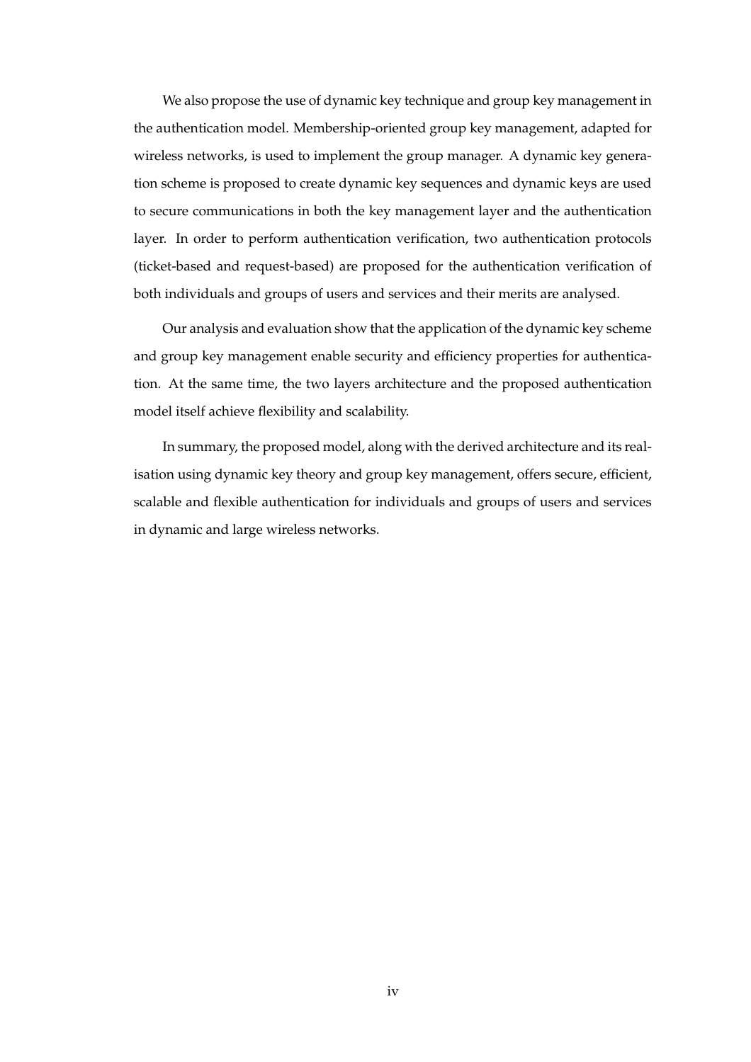We also propose the use of dynamic key technique and group key management in the authentication model. Membership-oriented group key management, adapted for wireless networks, is used to implement the group manager. A dynamic key generation scheme is proposed to create dynamic key sequences and dynamic keys are used to secure communications in both the key management layer and the authentication layer. In order to perform authentication verification, two authentication protocols (ticket-based and request-based) are proposed for the authentication verification of both individuals and groups of users and services and their merits are analysed.

Our analysis and evaluation show that the application of the dynamic key scheme and group key management enable security and efficiency properties for authentication. At the same time, the two layers architecture and the proposed authentication model itself achieve flexibility and scalability.

In summary, the proposed model, along with the derived architecture and its realisation using dynamic key theory and group key management, offers secure, efficient, scalable and flexible authentication for individuals and groups of users and services in dynamic and large wireless networks.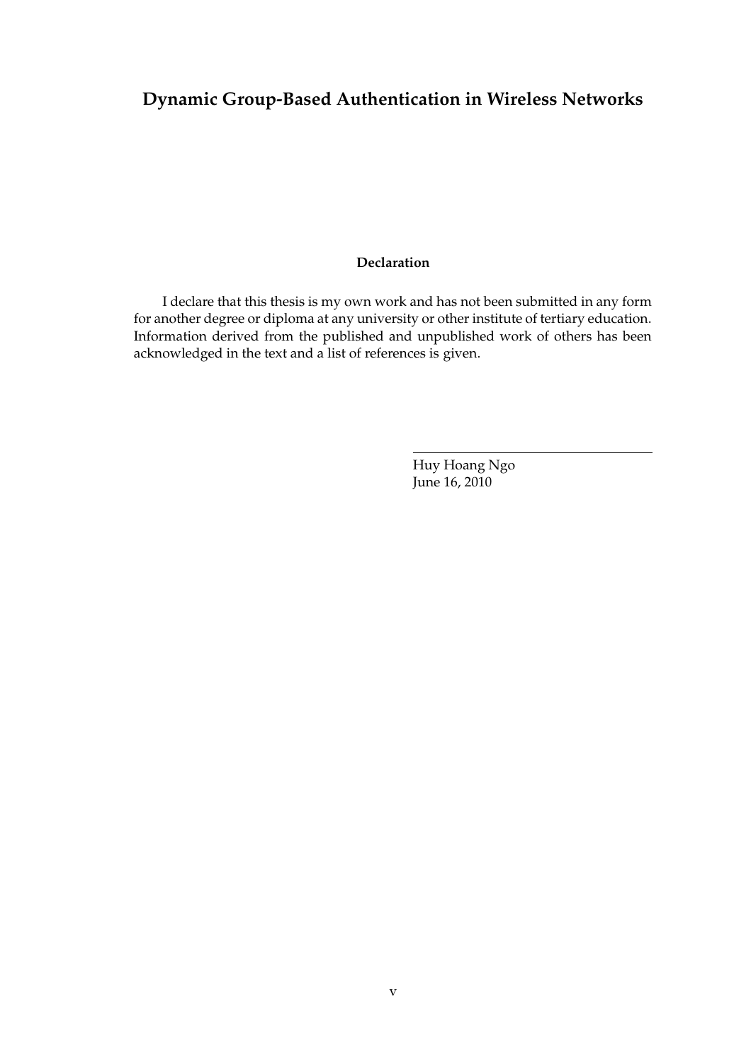### **Dynamic Group-Based Authentication in Wireless Networks**

#### **Declaration**

I declare that this thesis is my own work and has not been submitted in any form for another degree or diploma at any university or other institute of tertiary education. Information derived from the published and unpublished work of others has been acknowledged in the text and a list of references is given.

> Huy Hoang Ngo June 16, 2010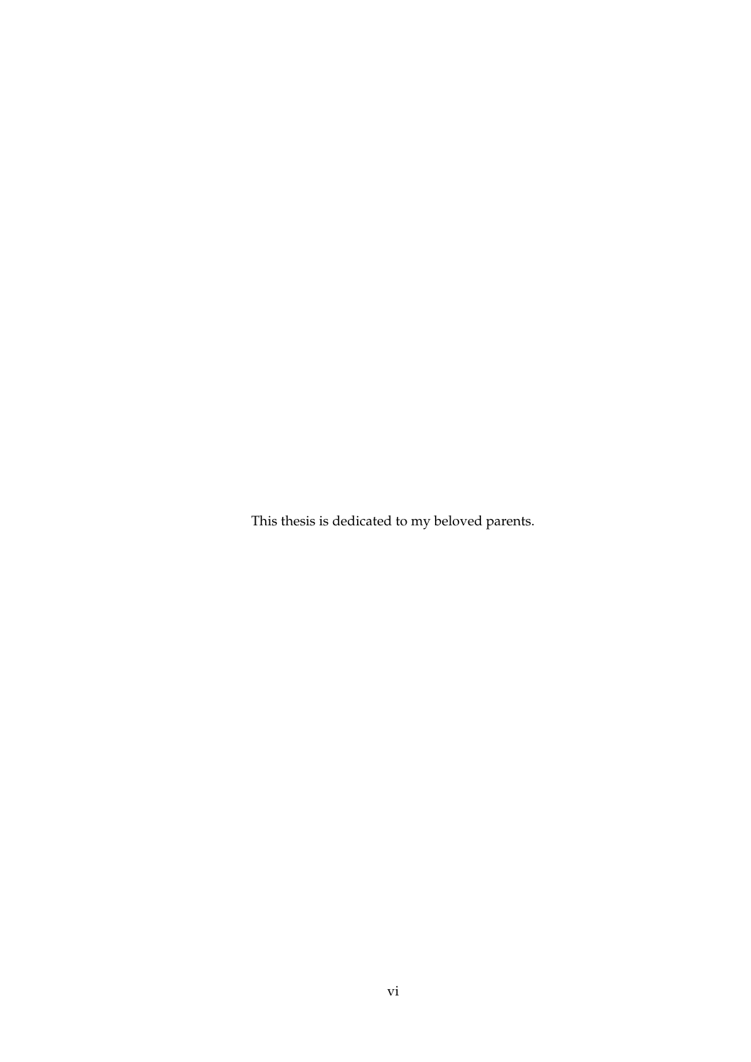This thesis is dedicated to my beloved parents.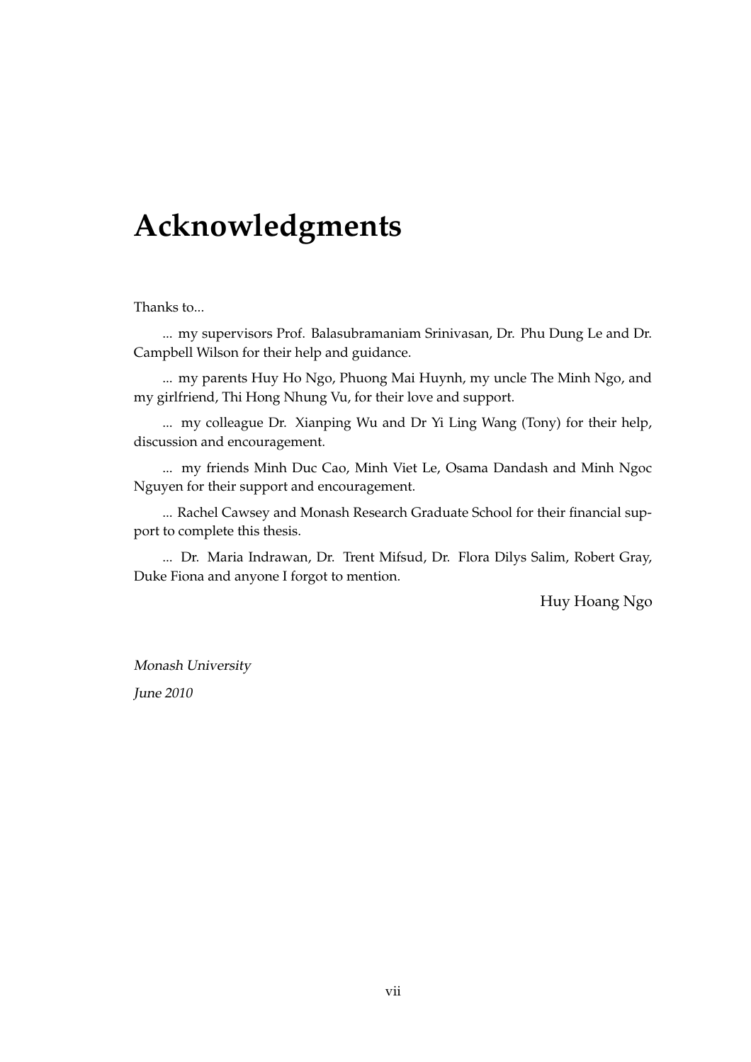# **Acknowledgments**

Thanks to...

... my supervisors Prof. Balasubramaniam Srinivasan, Dr. Phu Dung Le and Dr. Campbell Wilson for their help and guidance.

... my parents Huy Ho Ngo, Phuong Mai Huynh, my uncle The Minh Ngo, and my girlfriend, Thi Hong Nhung Vu, for their love and support.

... my colleague Dr. Xianping Wu and Dr Yi Ling Wang (Tony) for their help, discussion and encouragement.

... my friends Minh Duc Cao, Minh Viet Le, Osama Dandash and Minh Ngoc Nguyen for their support and encouragement.

... Rachel Cawsey and Monash Research Graduate School for their financial support to complete this thesis.

... Dr. Maria Indrawan, Dr. Trent Mifsud, Dr. Flora Dilys Salim, Robert Gray, Duke Fiona and anyone I forgot to mention.

Huy Hoang Ngo

Monash University

June 2010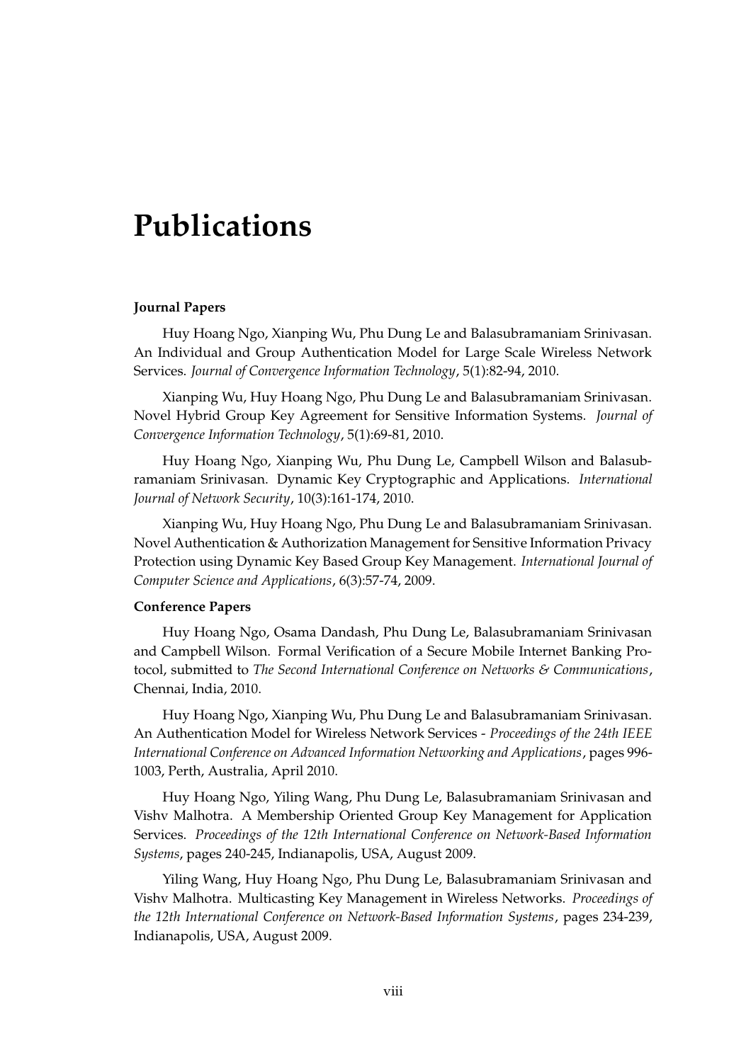# **Publications**

#### **Journal Papers**

Huy Hoang Ngo, Xianping Wu, Phu Dung Le and Balasubramaniam Srinivasan. An Individual and Group Authentication Model for Large Scale Wireless Network Services. *Journal of Convergence Information Technology*, 5(1):82-94, 2010.

Xianping Wu, Huy Hoang Ngo, Phu Dung Le and Balasubramaniam Srinivasan. Novel Hybrid Group Key Agreement for Sensitive Information Systems. *Journal of Convergence Information Technology*, 5(1):69-81, 2010.

Huy Hoang Ngo, Xianping Wu, Phu Dung Le, Campbell Wilson and Balasubramaniam Srinivasan. Dynamic Key Cryptographic and Applications. *International Journal of Network Security*, 10(3):161-174, 2010.

Xianping Wu, Huy Hoang Ngo, Phu Dung Le and Balasubramaniam Srinivasan. Novel Authentication & Authorization Management for Sensitive Information Privacy Protection using Dynamic Key Based Group Key Management. *International Journal of Computer Science and Applications*, 6(3):57-74, 2009.

#### **Conference Papers**

Huy Hoang Ngo, Osama Dandash, Phu Dung Le, Balasubramaniam Srinivasan and Campbell Wilson. Formal Verification of a Secure Mobile Internet Banking Protocol, submitted to *The Second International Conference on Networks & Communications*, Chennai, India, 2010.

Huy Hoang Ngo, Xianping Wu, Phu Dung Le and Balasubramaniam Srinivasan. An Authentication Model for Wireless Network Services - *Proceedings of the 24th IEEE International Conference on Advanced Information Networking and Applications*, pages 996- 1003, Perth, Australia, April 2010.

Huy Hoang Ngo, Yiling Wang, Phu Dung Le, Balasubramaniam Srinivasan and Vishv Malhotra. A Membership Oriented Group Key Management for Application Services. *Proceedings of the 12th International Conference on Network-Based Information Systems*, pages 240-245, Indianapolis, USA, August 2009.

Yiling Wang, Huy Hoang Ngo, Phu Dung Le, Balasubramaniam Srinivasan and Vishv Malhotra. Multicasting Key Management in Wireless Networks. *Proceedings of the 12th International Conference on Network-Based Information Systems*, pages 234-239, Indianapolis, USA, August 2009.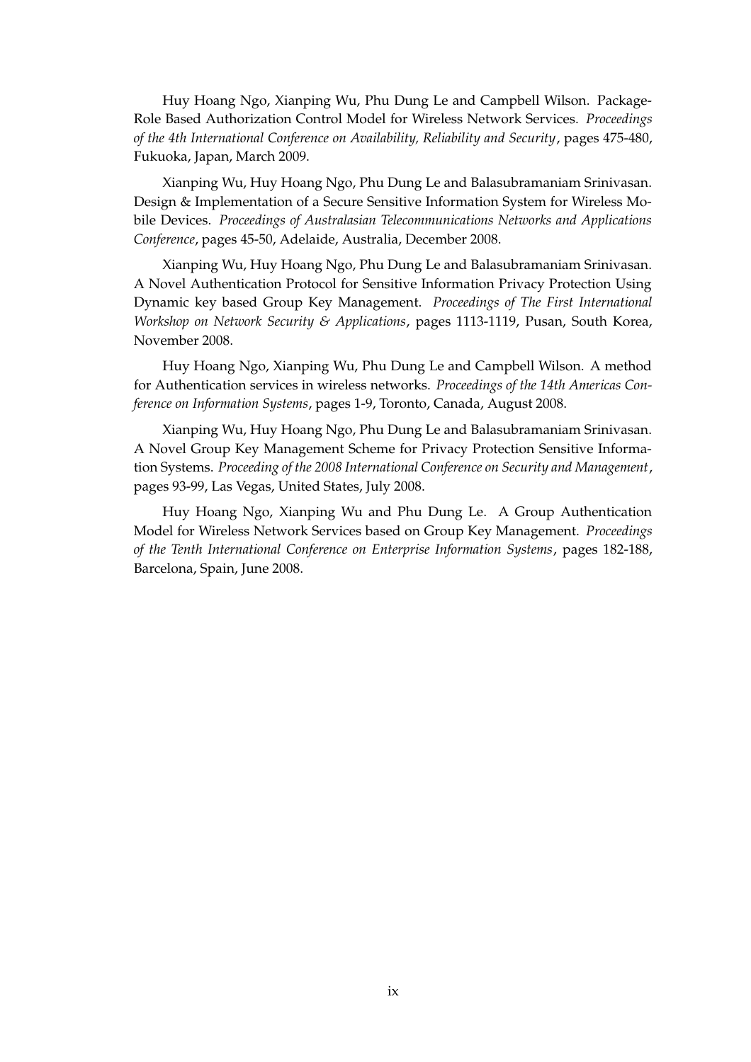Huy Hoang Ngo, Xianping Wu, Phu Dung Le and Campbell Wilson. Package-Role Based Authorization Control Model for Wireless Network Services. *Proceedings of the 4th International Conference on Availability, Reliability and Security*, pages 475-480, Fukuoka, Japan, March 2009.

Xianping Wu, Huy Hoang Ngo, Phu Dung Le and Balasubramaniam Srinivasan. Design & Implementation of a Secure Sensitive Information System for Wireless Mobile Devices. *Proceedings of Australasian Telecommunications Networks and Applications Conference*, pages 45-50, Adelaide, Australia, December 2008.

Xianping Wu, Huy Hoang Ngo, Phu Dung Le and Balasubramaniam Srinivasan. A Novel Authentication Protocol for Sensitive Information Privacy Protection Using Dynamic key based Group Key Management. *Proceedings of The First International Workshop on Network Security & Applications*, pages 1113-1119, Pusan, South Korea, November 2008.

Huy Hoang Ngo, Xianping Wu, Phu Dung Le and Campbell Wilson. A method for Authentication services in wireless networks. *Proceedings of the 14th Americas Conference on Information Systems*, pages 1-9, Toronto, Canada, August 2008.

Xianping Wu, Huy Hoang Ngo, Phu Dung Le and Balasubramaniam Srinivasan. A Novel Group Key Management Scheme for Privacy Protection Sensitive Information Systems. *Proceeding of the 2008 International Conference on Security and Management*, pages 93-99, Las Vegas, United States, July 2008.

Huy Hoang Ngo, Xianping Wu and Phu Dung Le. A Group Authentication Model for Wireless Network Services based on Group Key Management. *Proceedings of the Tenth International Conference on Enterprise Information Systems*, pages 182-188, Barcelona, Spain, June 2008.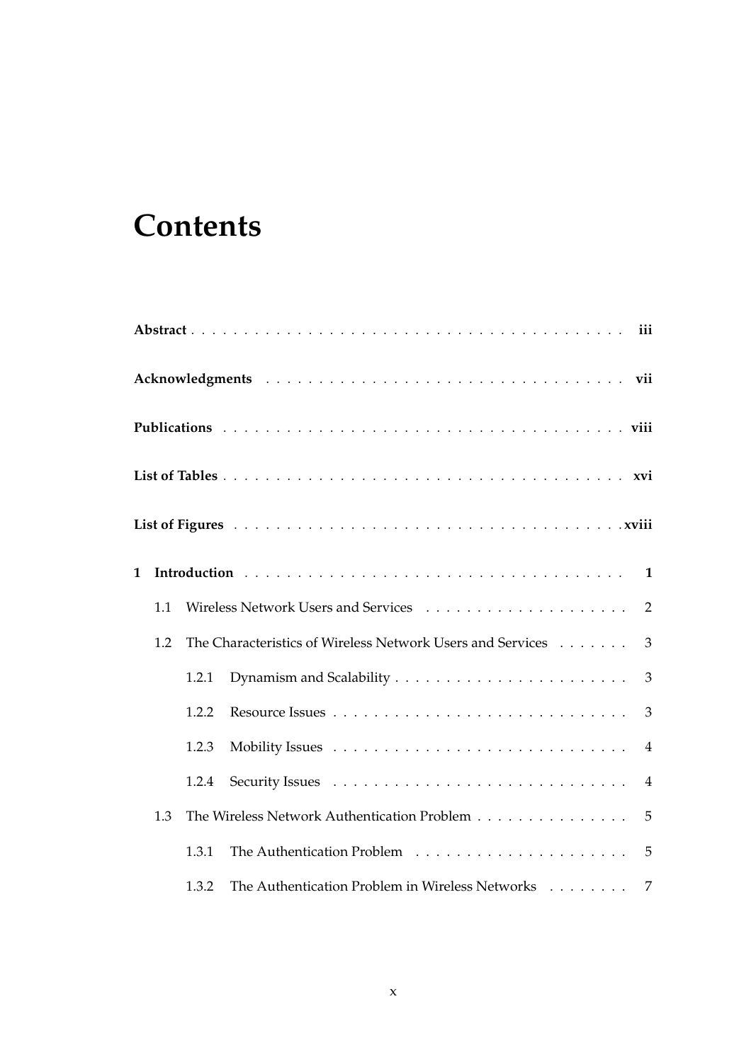# **Contents**

| 1 |     |       |                                                              |
|---|-----|-------|--------------------------------------------------------------|
|   | 1.1 |       |                                                              |
|   | 1.2 |       | The Characteristics of Wireless Network Users and Services 3 |
|   |     | 1.2.1 |                                                              |
|   |     | 1.2.2 |                                                              |
|   |     | 1.2.3 |                                                              |
|   |     | 1.2.4 |                                                              |
|   | 1.3 |       | The Wireless Network Authentication Problem 5                |
|   |     | 1.3.1 |                                                              |
|   |     | 1.3.2 | The Authentication Problem in Wireless Networks 7            |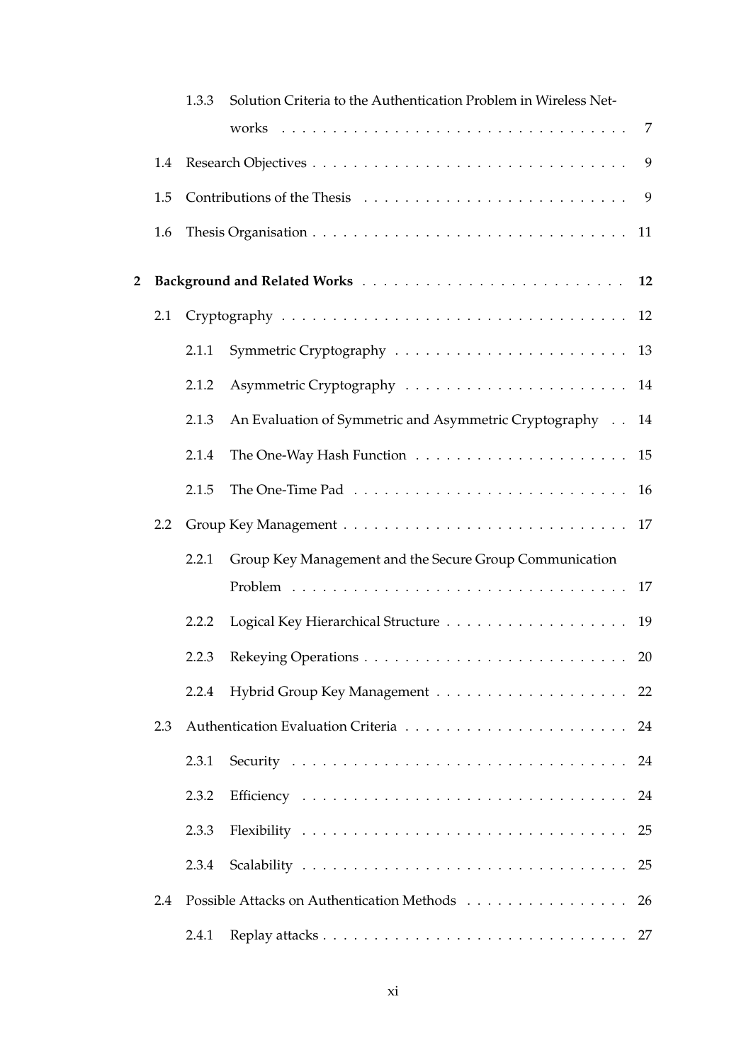|              |     | 1.3.3 | Solution Criteria to the Authentication Problem in Wireless Net-                            |    |
|--------------|-----|-------|---------------------------------------------------------------------------------------------|----|
|              |     |       |                                                                                             |    |
|              | 1.4 |       |                                                                                             |    |
|              | 1.5 |       |                                                                                             | 9  |
|              | 1.6 |       |                                                                                             |    |
| $\mathbf{2}$ |     |       |                                                                                             | 12 |
|              | 2.1 |       |                                                                                             |    |
|              |     | 2.1.1 |                                                                                             |    |
|              |     | 2.1.2 |                                                                                             |    |
|              |     | 2.1.3 | An Evaluation of Symmetric and Asymmetric Cryptography 14                                   |    |
|              |     | 2.1.4 |                                                                                             |    |
|              |     | 2.1.5 | The One-Time Pad $\ldots \ldots \ldots \ldots \ldots \ldots \ldots \ldots \ldots \ldots 16$ |    |
|              | 2.2 |       |                                                                                             |    |
|              |     | 2.2.1 | Group Key Management and the Secure Group Communication                                     |    |
|              |     |       |                                                                                             |    |
|              |     | 2.2.2 |                                                                                             | 19 |
|              |     |       |                                                                                             |    |
|              |     | 2.2.4 |                                                                                             |    |
|              | 2.3 |       |                                                                                             |    |
|              |     | 2.3.1 |                                                                                             |    |
|              |     | 2.3.2 |                                                                                             |    |
|              |     | 2.3.3 |                                                                                             | 25 |
|              |     | 2.3.4 |                                                                                             |    |
|              | 2.4 |       | Possible Attacks on Authentication Methods 26                                               |    |
|              |     | 2.4.1 |                                                                                             |    |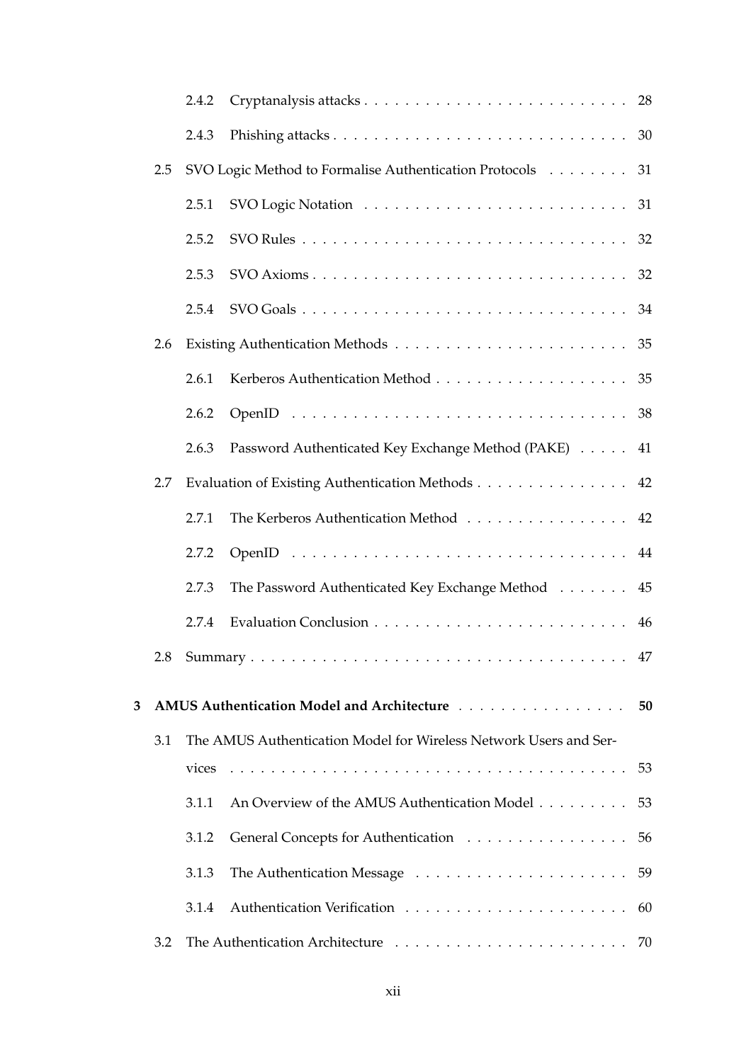|   |     | 2.4.2 |                                                                   |    |
|---|-----|-------|-------------------------------------------------------------------|----|
|   |     | 2.4.3 |                                                                   |    |
|   | 2.5 |       | SVO Logic Method to Formalise Authentication Protocols 31         |    |
|   |     | 2.5.1 |                                                                   |    |
|   |     | 2.5.2 |                                                                   |    |
|   |     | 2.5.3 |                                                                   |    |
|   |     | 2.5.4 |                                                                   |    |
|   | 2.6 |       |                                                                   |    |
|   |     | 2.6.1 |                                                                   |    |
|   |     | 2.6.2 |                                                                   | 38 |
|   |     | 2.6.3 | Password Authenticated Key Exchange Method (PAKE) 41              |    |
|   | 2.7 |       | Evaluation of Existing Authentication Methods 42                  |    |
|   |     | 2.7.1 | The Kerberos Authentication Method                                | 42 |
|   |     | 2.7.2 |                                                                   |    |
|   |     | 2.7.3 | The Password Authenticated Key Exchange Method 45                 |    |
|   |     | 2.7.4 |                                                                   |    |
|   |     |       |                                                                   | 47 |
| 3 |     |       |                                                                   | 50 |
|   | 3.1 |       | The AMUS Authentication Model for Wireless Network Users and Ser- |    |
|   |     | vices |                                                                   | 53 |
|   |     | 3.1.1 | An Overview of the AMUS Authentication Model                      | 53 |
|   |     | 3.1.2 | General Concepts for Authentication                               | 56 |
|   |     | 3.1.3 |                                                                   | 59 |
|   |     | 3.1.4 |                                                                   | 60 |
|   | 3.2 |       |                                                                   | 70 |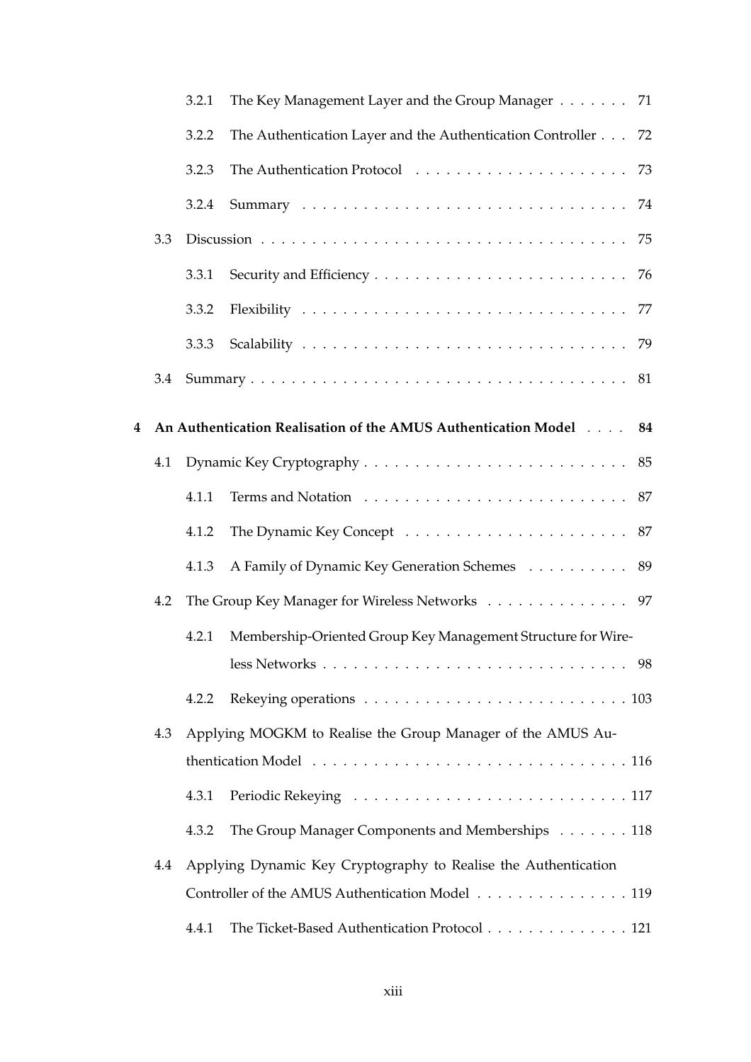|   |     | 3.2.1 | The Key Management Layer and the Group Manager 71                 |
|---|-----|-------|-------------------------------------------------------------------|
|   |     | 3.2.2 | The Authentication Layer and the Authentication Controller 72     |
|   |     | 3.2.3 |                                                                   |
|   |     | 3.2.4 |                                                                   |
|   | 3.3 |       |                                                                   |
|   |     | 3.3.1 |                                                                   |
|   |     | 3.3.2 |                                                                   |
|   |     | 3.3.3 |                                                                   |
|   | 3.4 |       |                                                                   |
| 4 |     |       | An Authentication Realisation of the AMUS Authentication Model 84 |
|   | 4.1 |       |                                                                   |
|   |     |       |                                                                   |
|   |     | 4.1.1 |                                                                   |
|   |     | 4.1.2 |                                                                   |
|   |     | 4.1.3 | A Family of Dynamic Key Generation Schemes 89                     |
|   | 4.2 |       | The Group Key Manager for Wireless Networks 97                    |
|   |     | 4.2.1 | Membership-Oriented Group Key Management Structure for Wire-      |
|   |     |       |                                                                   |
|   |     | 4.2.2 |                                                                   |
|   | 4.3 |       | Applying MOGKM to Realise the Group Manager of the AMUS Au-       |
|   |     |       |                                                                   |
|   |     | 4.3.1 |                                                                   |
|   |     | 4.3.2 | The Group Manager Components and Memberships 118                  |
|   | 4.4 |       | Applying Dynamic Key Cryptography to Realise the Authentication   |
|   |     |       | Controller of the AMUS Authentication Model 119                   |
|   |     | 4.4.1 | The Ticket-Based Authentication Protocol 121                      |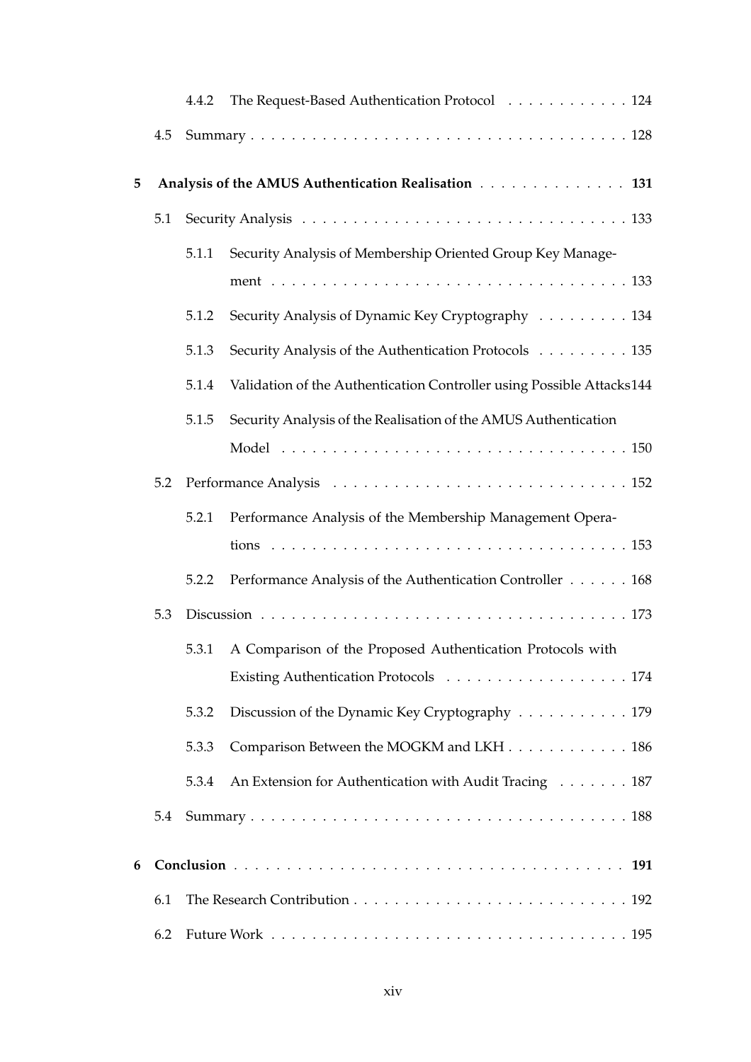|   |     | 4.4.2 | The Request-Based Authentication Protocol 124                         |
|---|-----|-------|-----------------------------------------------------------------------|
|   | 4.5 |       |                                                                       |
| 5 |     |       | Analysis of the AMUS Authentication Realisation 131                   |
|   | 5.1 |       |                                                                       |
|   |     | 5.1.1 | Security Analysis of Membership Oriented Group Key Manage-            |
|   |     |       |                                                                       |
|   |     | 5.1.2 | Security Analysis of Dynamic Key Cryptography 134                     |
|   |     | 5.1.3 | Security Analysis of the Authentication Protocols 135                 |
|   |     | 5.1.4 | Validation of the Authentication Controller using Possible Attacks144 |
|   |     | 5.1.5 | Security Analysis of the Realisation of the AMUS Authentication       |
|   |     |       |                                                                       |
|   | 5.2 |       |                                                                       |
|   |     | 5.2.1 | Performance Analysis of the Membership Management Opera-              |
|   |     |       |                                                                       |
|   |     | 5.2.2 | Performance Analysis of the Authentication Controller 168             |
|   | 5.3 |       |                                                                       |
|   |     | 5.3.1 | A Comparison of the Proposed Authentication Protocols with            |
|   |     |       | Existing Authentication Protocols 174                                 |
|   |     | 5.3.2 | Discussion of the Dynamic Key Cryptography 179                        |
|   |     | 5.3.3 | Comparison Between the MOGKM and LKH 186                              |
|   |     | 5.3.4 | An Extension for Authentication with Audit Tracing 187                |
|   | 5.4 |       |                                                                       |
| 6 |     |       |                                                                       |
|   | 6.1 |       |                                                                       |
|   | 6.2 |       |                                                                       |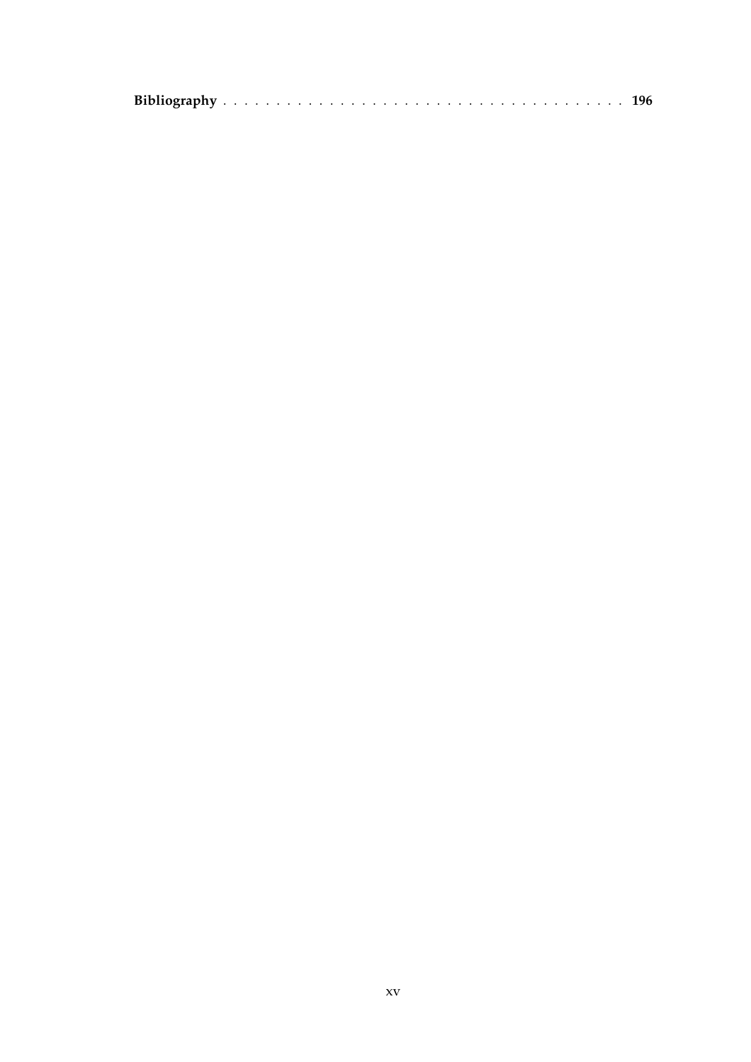|--|--|--|--|--|--|--|--|--|--|--|--|--|--|--|--|--|--|--|--|--|--|--|--|--|--|--|--|--|--|--|--|--|--|--|--|--|--|--|--|--|--|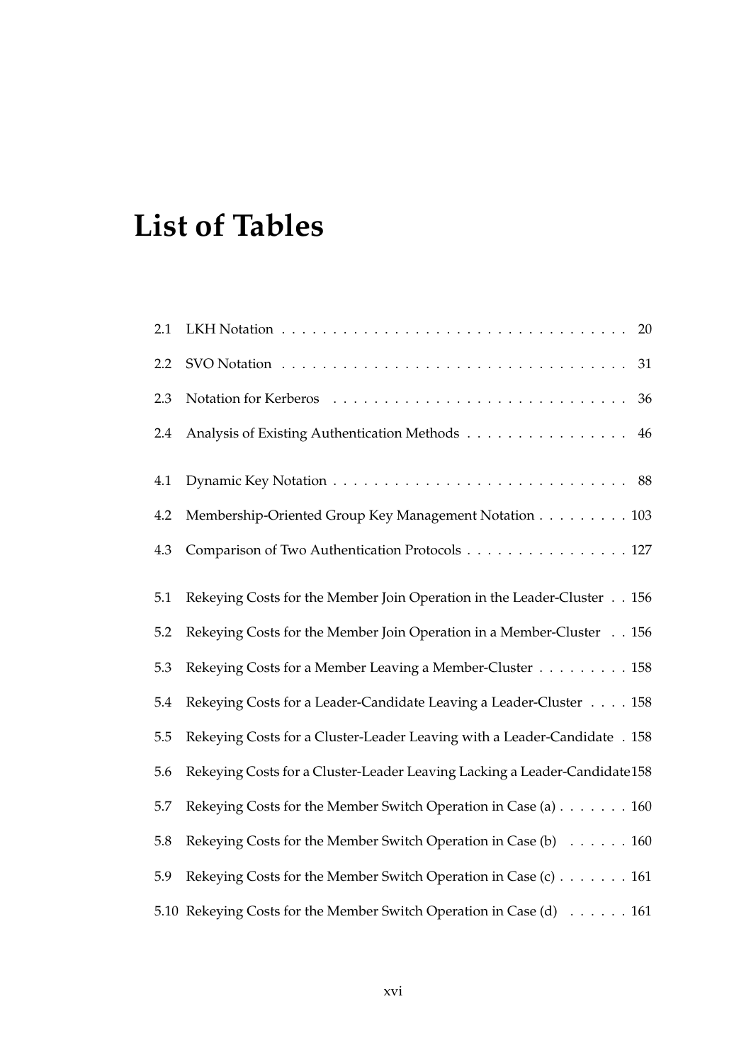# **List of Tables**

| 2.1 | 20                                                                        |
|-----|---------------------------------------------------------------------------|
| 2.2 | 31                                                                        |
| 2.3 | 36                                                                        |
| 2.4 | Analysis of Existing Authentication Methods<br>46                         |
| 4.1 | 88                                                                        |
| 4.2 | Membership-Oriented Group Key Management Notation 103                     |
| 4.3 | Comparison of Two Authentication Protocols 127                            |
| 5.1 | Rekeying Costs for the Member Join Operation in the Leader-Cluster 156    |
| 5.2 | Rekeying Costs for the Member Join Operation in a Member-Cluster 156      |
| 5.3 | Rekeying Costs for a Member Leaving a Member-Cluster 158                  |
| 5.4 | Rekeying Costs for a Leader-Candidate Leaving a Leader-Cluster 158        |
| 5.5 | Rekeying Costs for a Cluster-Leader Leaving with a Leader-Candidate . 158 |
| 5.6 | Rekeying Costs for a Cluster-Leader Leaving Lacking a Leader-Candidate158 |
| 5.7 | Rekeying Costs for the Member Switch Operation in Case (a) 160            |
| 5.8 | Rekeying Costs for the Member Switch Operation in Case (b) 160            |
| 5.9 | Rekeying Costs for the Member Switch Operation in Case (c) 161            |
|     | 5.10 Rekeying Costs for the Member Switch Operation in Case (d) 161       |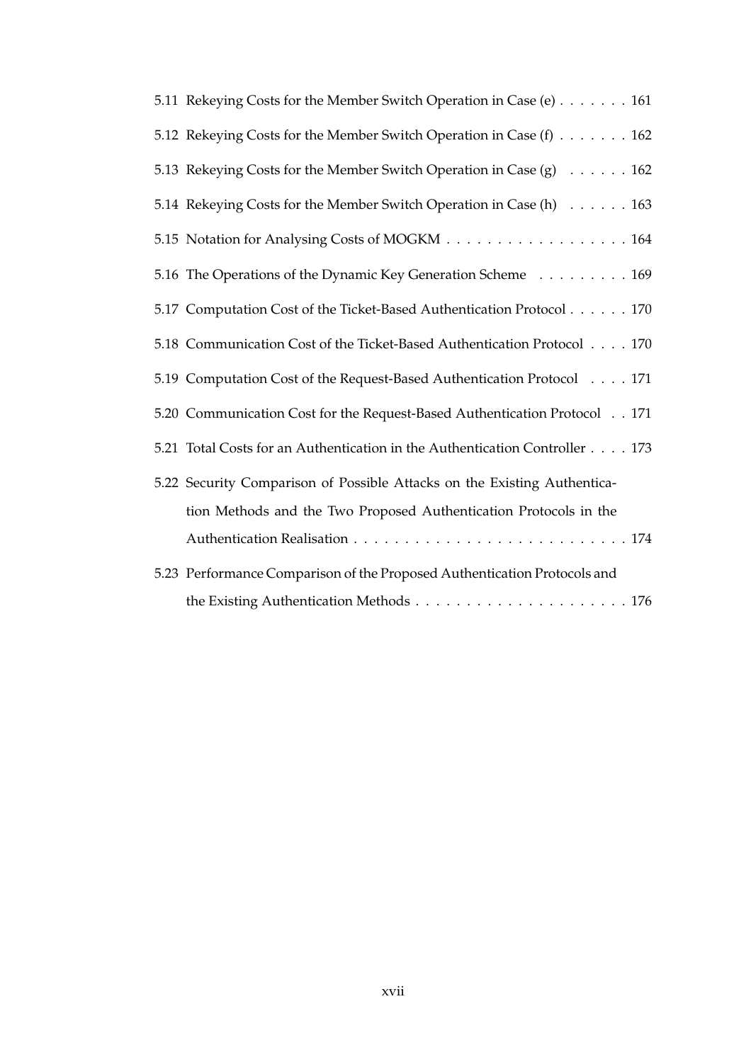| 5.11 Rekeying Costs for the Member Switch Operation in Case (e) 161                               |
|---------------------------------------------------------------------------------------------------|
| 5.12 Rekeying Costs for the Member Switch Operation in Case (f) 162                               |
| 5.13 Rekeying Costs for the Member Switch Operation in Case (g) 162                               |
| 5.14 Rekeying Costs for the Member Switch Operation in Case (h) 163                               |
| 5.15 Notation for Analysing Costs of MOGKM 164                                                    |
| 5.16 The Operations of the Dynamic Key Generation Scheme 169                                      |
| 5.17 Computation Cost of the Ticket-Based Authentication Protocol 170                             |
| 5.18 Communication Cost of the Ticket-Based Authentication Protocol 170                           |
| 5.19 Computation Cost of the Request-Based Authentication Protocol 171                            |
| 5.20 Communication Cost for the Request-Based Authentication Protocol 171                         |
| 5.21 Total Costs for an Authentication in the Authentication Controller 173                       |
| 5.22 Security Comparison of Possible Attacks on the Existing Authentica-                          |
| tion Methods and the Two Proposed Authentication Protocols in the                                 |
|                                                                                                   |
| 5.23 Performance Comparison of the Proposed Authentication Protocols and                          |
| the Existing Authentication Methods $\ldots \ldots \ldots \ldots \ldots \ldots \ldots \ldots 176$ |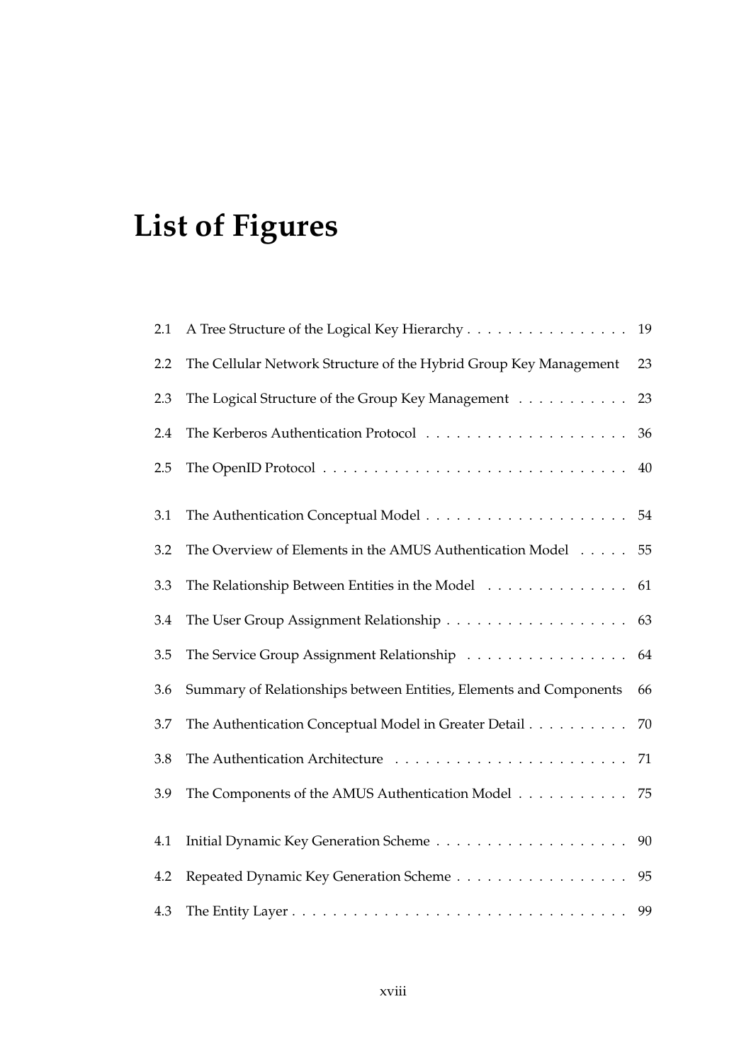# **List of Figures**

| 2.1 | A Tree Structure of the Logical Key Hierarchy                      | 19 |
|-----|--------------------------------------------------------------------|----|
| 2.2 | The Cellular Network Structure of the Hybrid Group Key Management  | 23 |
| 2.3 | The Logical Structure of the Group Key Management                  | 23 |
| 2.4 |                                                                    | 36 |
| 2.5 |                                                                    | 40 |
| 3.1 |                                                                    |    |
| 3.2 | The Overview of Elements in the AMUS Authentication Model 55       |    |
| 3.3 | The Relationship Between Entities in the Model                     | 61 |
| 3.4 |                                                                    | 63 |
| 3.5 | The Service Group Assignment Relationship 64                       |    |
| 3.6 | Summary of Relationships between Entities, Elements and Components | 66 |
| 3.7 | The Authentication Conceptual Model in Greater Detail              | 70 |
| 3.8 |                                                                    | 71 |
| 3.9 | The Components of the AMUS Authentication Model 75                 |    |
| 4.1 |                                                                    | 90 |
| 4.2 | Repeated Dynamic Key Generation Scheme                             | 95 |
| 4.3 |                                                                    | 99 |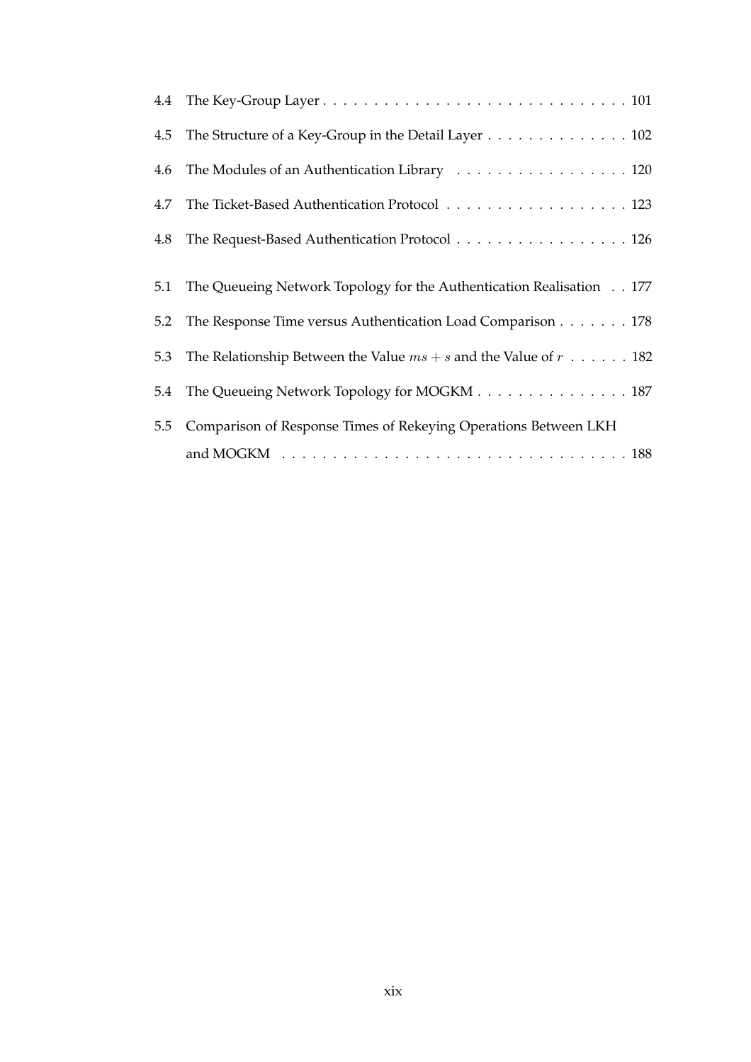| 4.5 | The Structure of a Key-Group in the Detail Layer 102                               |
|-----|------------------------------------------------------------------------------------|
| 4.6 | The Modules of an Authentication Library 120                                       |
|     | 4.7 The Ticket-Based Authentication Protocol 123                                   |
| 4.8 | The Request-Based Authentication Protocol 126                                      |
|     |                                                                                    |
| 5.1 | The Queueing Network Topology for the Authentication Realisation 177               |
| 5.2 | The Response Time versus Authentication Load Comparison 178                        |
| 5.3 | The Relationship Between the Value $ms + s$ and the Value of $r \ldots \ldots 182$ |
|     | 5.4 The Queueing Network Topology for MOGKM 187                                    |
| 5.5 | Comparison of Response Times of Rekeying Operations Between LKH                    |
|     |                                                                                    |
|     |                                                                                    |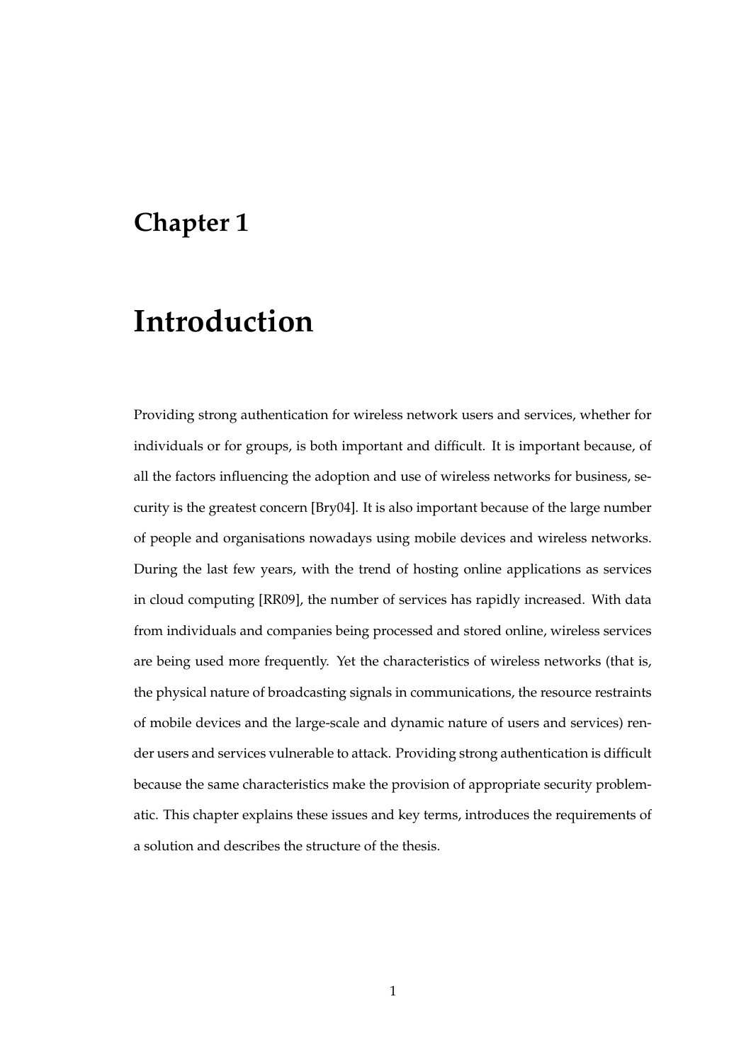## **Chapter 1**

## **Introduction**

Providing strong authentication for wireless network users and services, whether for individuals or for groups, is both important and difficult. It is important because, of all the factors influencing the adoption and use of wireless networks for business, security is the greatest concern [Bry04]. It is also important because of the large number of people and organisations nowadays using mobile devices and wireless networks. During the last few years, with the trend of hosting online applications as services in cloud computing [RR09], the number of services has rapidly increased. With data from individuals and companies being processed and stored online, wireless services are being used more frequently. Yet the characteristics of wireless networks (that is, the physical nature of broadcasting signals in communications, the resource restraints of mobile devices and the large-scale and dynamic nature of users and services) render users and services vulnerable to attack. Providing strong authentication is difficult because the same characteristics make the provision of appropriate security problematic. This chapter explains these issues and key terms, introduces the requirements of a solution and describes the structure of the thesis.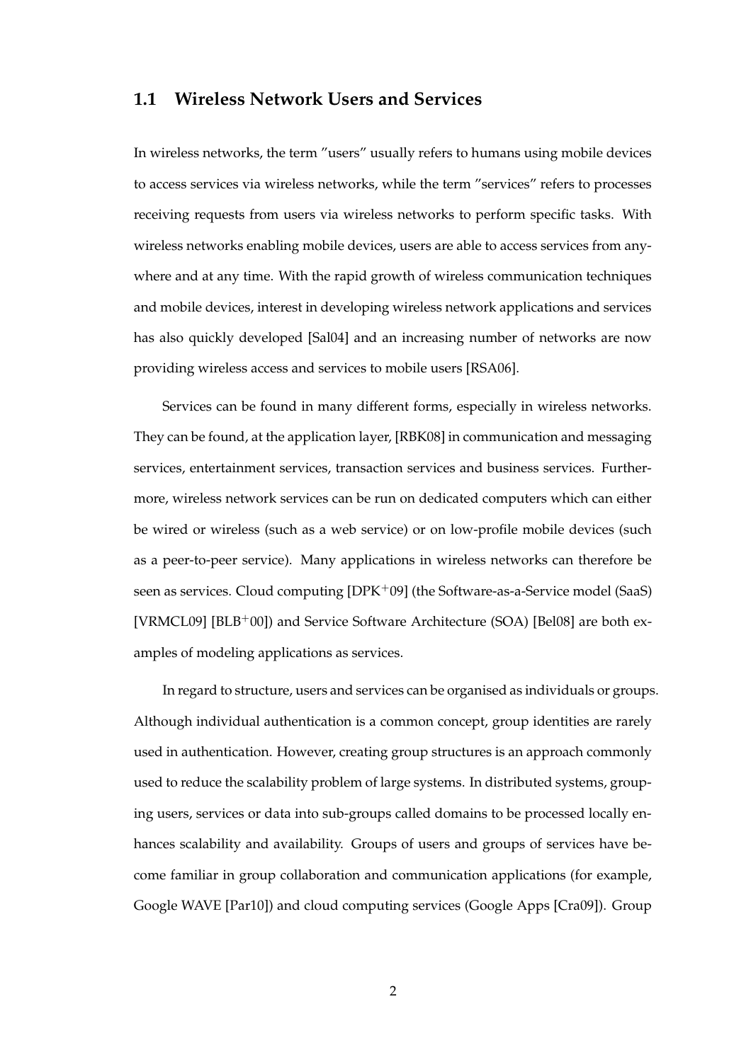#### **1.1 Wireless Network Users and Services**

In wireless networks, the term "users" usually refers to humans using mobile devices to access services via wireless networks, while the term "services" refers to processes receiving requests from users via wireless networks to perform specific tasks. With wireless networks enabling mobile devices, users are able to access services from anywhere and at any time. With the rapid growth of wireless communication techniques and mobile devices, interest in developing wireless network applications and services has also quickly developed [Sal04] and an increasing number of networks are now providing wireless access and services to mobile users [RSA06].

Services can be found in many different forms, especially in wireless networks. They can be found, at the application layer, [RBK08] in communication and messaging services, entertainment services, transaction services and business services. Furthermore, wireless network services can be run on dedicated computers which can either be wired or wireless (such as a web service) or on low-profile mobile devices (such as a peer-to-peer service). Many applications in wireless networks can therefore be seen as services. Cloud computing [DPK+09] (the Software-as-a-Service model (SaaS) [VRMCL09] [BLB+00]) and Service Software Architecture (SOA) [Bel08] are both examples of modeling applications as services.

In regard to structure, users and services can be organised as individuals or groups. Although individual authentication is a common concept, group identities are rarely used in authentication. However, creating group structures is an approach commonly used to reduce the scalability problem of large systems. In distributed systems, grouping users, services or data into sub-groups called domains to be processed locally enhances scalability and availability. Groups of users and groups of services have become familiar in group collaboration and communication applications (for example, Google WAVE [Par10]) and cloud computing services (Google Apps [Cra09]). Group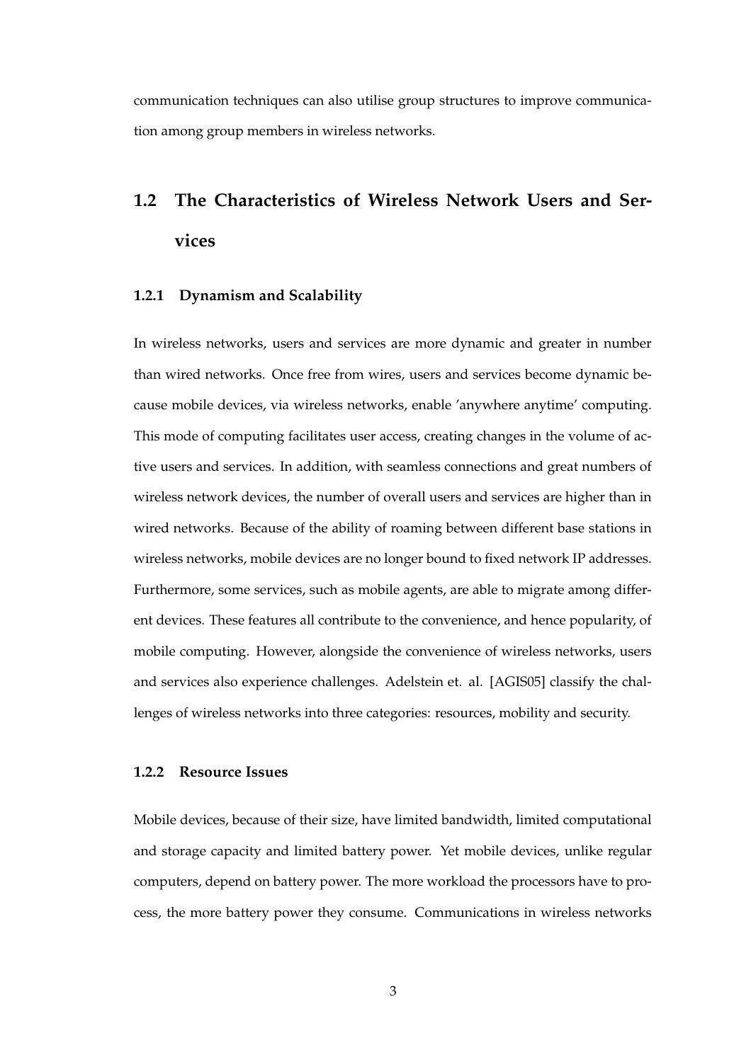communication techniques can also utilise group structures to improve communication among group members in wireless networks.

## **1.2 The Characteristics of Wireless Network Users and Services**

#### **1.2.1 Dynamism and Scalability**

In wireless networks, users and services are more dynamic and greater in number than wired networks. Once free from wires, users and services become dynamic because mobile devices, via wireless networks, enable 'anywhere anytime' computing. This mode of computing facilitates user access, creating changes in the volume of active users and services. In addition, with seamless connections and great numbers of wireless network devices, the number of overall users and services are higher than in wired networks. Because of the ability of roaming between different base stations in wireless networks, mobile devices are no longer bound to fixed network IP addresses. Furthermore, some services, such as mobile agents, are able to migrate among different devices. These features all contribute to the convenience, and hence popularity, of mobile computing. However, alongside the convenience of wireless networks, users and services also experience challenges. Adelstein et. al. [AGIS05] classify the challenges of wireless networks into three categories: resources, mobility and security.

#### **1.2.2 Resource Issues**

Mobile devices, because of their size, have limited bandwidth, limited computational and storage capacity and limited battery power. Yet mobile devices, unlike regular computers, depend on battery power. The more workload the processors have to process, the more battery power they consume. Communications in wireless networks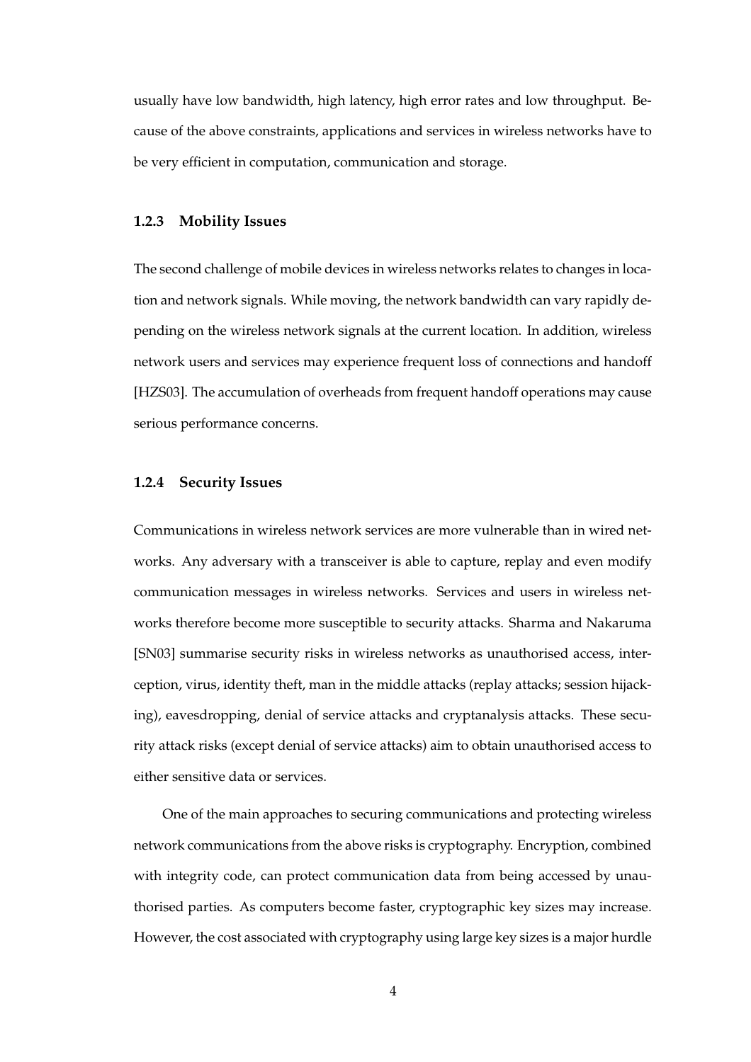usually have low bandwidth, high latency, high error rates and low throughput. Because of the above constraints, applications and services in wireless networks have to be very efficient in computation, communication and storage.

#### **1.2.3 Mobility Issues**

The second challenge of mobile devices in wireless networks relates to changes in location and network signals. While moving, the network bandwidth can vary rapidly depending on the wireless network signals at the current location. In addition, wireless network users and services may experience frequent loss of connections and handoff [HZS03]. The accumulation of overheads from frequent handoff operations may cause serious performance concerns.

#### **1.2.4 Security Issues**

Communications in wireless network services are more vulnerable than in wired networks. Any adversary with a transceiver is able to capture, replay and even modify communication messages in wireless networks. Services and users in wireless networks therefore become more susceptible to security attacks. Sharma and Nakaruma [SN03] summarise security risks in wireless networks as unauthorised access, interception, virus, identity theft, man in the middle attacks (replay attacks; session hijacking), eavesdropping, denial of service attacks and cryptanalysis attacks. These security attack risks (except denial of service attacks) aim to obtain unauthorised access to either sensitive data or services.

One of the main approaches to securing communications and protecting wireless network communications from the above risks is cryptography. Encryption, combined with integrity code, can protect communication data from being accessed by unauthorised parties. As computers become faster, cryptographic key sizes may increase. However, the cost associated with cryptography using large key sizes is a major hurdle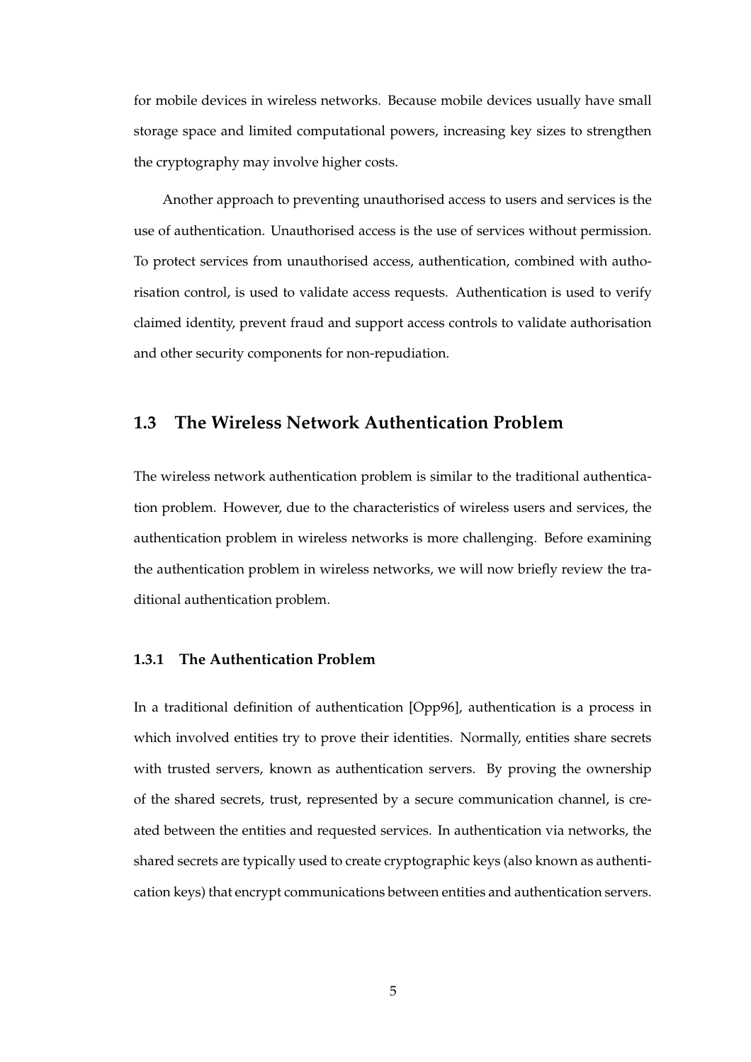for mobile devices in wireless networks. Because mobile devices usually have small storage space and limited computational powers, increasing key sizes to strengthen the cryptography may involve higher costs.

Another approach to preventing unauthorised access to users and services is the use of authentication. Unauthorised access is the use of services without permission. To protect services from unauthorised access, authentication, combined with authorisation control, is used to validate access requests. Authentication is used to verify claimed identity, prevent fraud and support access controls to validate authorisation and other security components for non-repudiation.

#### **1.3 The Wireless Network Authentication Problem**

The wireless network authentication problem is similar to the traditional authentication problem. However, due to the characteristics of wireless users and services, the authentication problem in wireless networks is more challenging. Before examining the authentication problem in wireless networks, we will now briefly review the traditional authentication problem.

#### **1.3.1 The Authentication Problem**

In a traditional definition of authentication [Opp96], authentication is a process in which involved entities try to prove their identities. Normally, entities share secrets with trusted servers, known as authentication servers. By proving the ownership of the shared secrets, trust, represented by a secure communication channel, is created between the entities and requested services. In authentication via networks, the shared secrets are typically used to create cryptographic keys (also known as authentication keys) that encrypt communications between entities and authentication servers.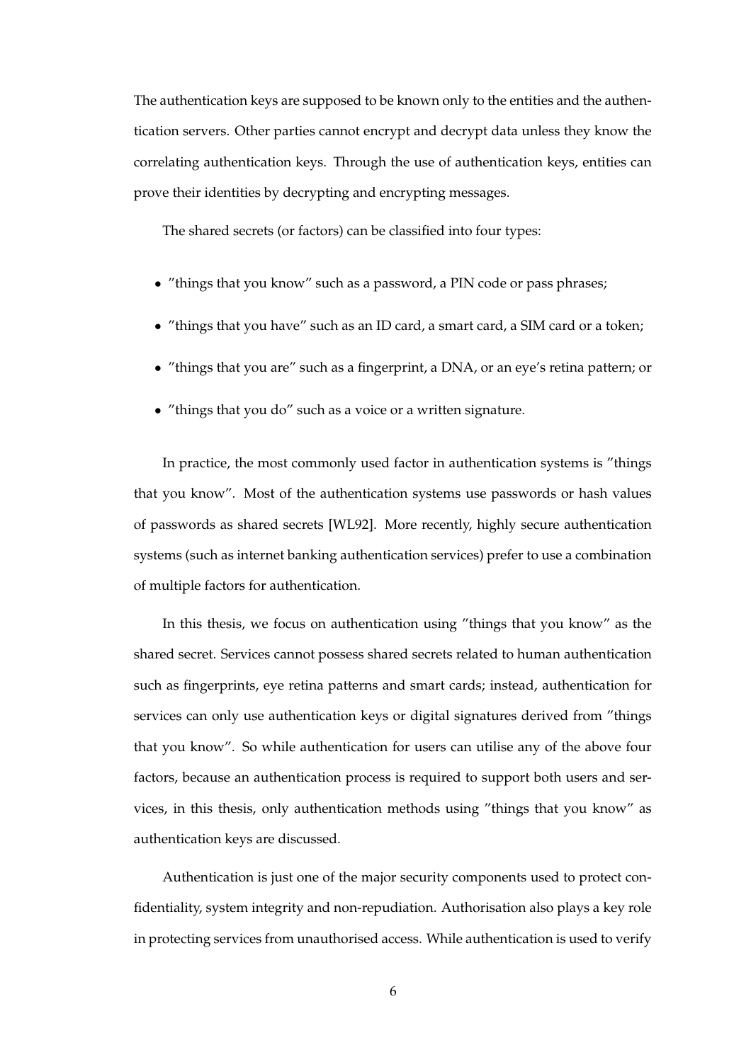The authentication keys are supposed to be known only to the entities and the authentication servers. Other parties cannot encrypt and decrypt data unless they know the correlating authentication keys. Through the use of authentication keys, entities can prove their identities by decrypting and encrypting messages.

The shared secrets (or factors) can be classified into four types:

- "things that you know" such as a password, a PIN code or pass phrases;
- "things that you have" such as an ID card, a smart card, a SIM card or a token;
- "things that you are" such as a fingerprint, a DNA, or an eye's retina pattern; or
- "things that you do" such as a voice or a written signature.

In practice, the most commonly used factor in authentication systems is "things that you know". Most of the authentication systems use passwords or hash values of passwords as shared secrets [WL92]. More recently, highly secure authentication systems (such as internet banking authentication services) prefer to use a combination of multiple factors for authentication.

In this thesis, we focus on authentication using "things that you know" as the shared secret. Services cannot possess shared secrets related to human authentication such as fingerprints, eye retina patterns and smart cards; instead, authentication for services can only use authentication keys or digital signatures derived from "things that you know". So while authentication for users can utilise any of the above four factors, because an authentication process is required to support both users and services, in this thesis, only authentication methods using "things that you know" as authentication keys are discussed.

Authentication is just one of the major security components used to protect confidentiality, system integrity and non-repudiation. Authorisation also plays a key role in protecting services from unauthorised access. While authentication is used to verify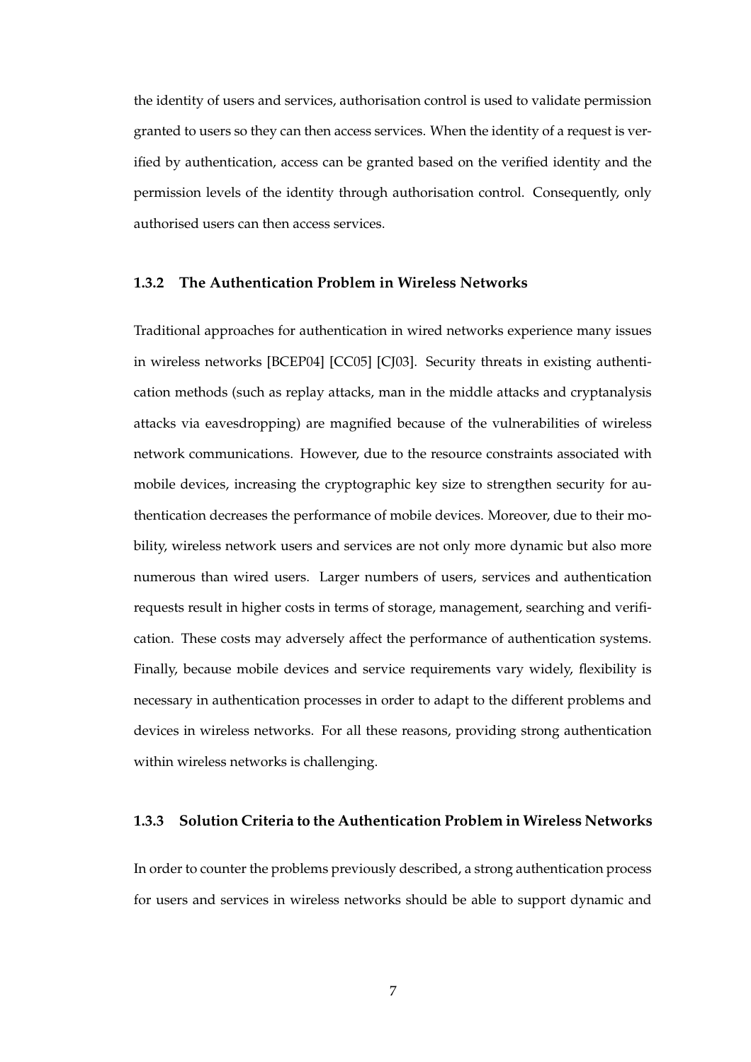the identity of users and services, authorisation control is used to validate permission granted to users so they can then access services. When the identity of a request is verified by authentication, access can be granted based on the verified identity and the permission levels of the identity through authorisation control. Consequently, only authorised users can then access services.

#### **1.3.2 The Authentication Problem in Wireless Networks**

Traditional approaches for authentication in wired networks experience many issues in wireless networks [BCEP04] [CC05] [CJ03]. Security threats in existing authentication methods (such as replay attacks, man in the middle attacks and cryptanalysis attacks via eavesdropping) are magnified because of the vulnerabilities of wireless network communications. However, due to the resource constraints associated with mobile devices, increasing the cryptographic key size to strengthen security for authentication decreases the performance of mobile devices. Moreover, due to their mobility, wireless network users and services are not only more dynamic but also more numerous than wired users. Larger numbers of users, services and authentication requests result in higher costs in terms of storage, management, searching and verification. These costs may adversely affect the performance of authentication systems. Finally, because mobile devices and service requirements vary widely, flexibility is necessary in authentication processes in order to adapt to the different problems and devices in wireless networks. For all these reasons, providing strong authentication within wireless networks is challenging.

#### **1.3.3 Solution Criteria to the Authentication Problem in Wireless Networks**

In order to counter the problems previously described, a strong authentication process for users and services in wireless networks should be able to support dynamic and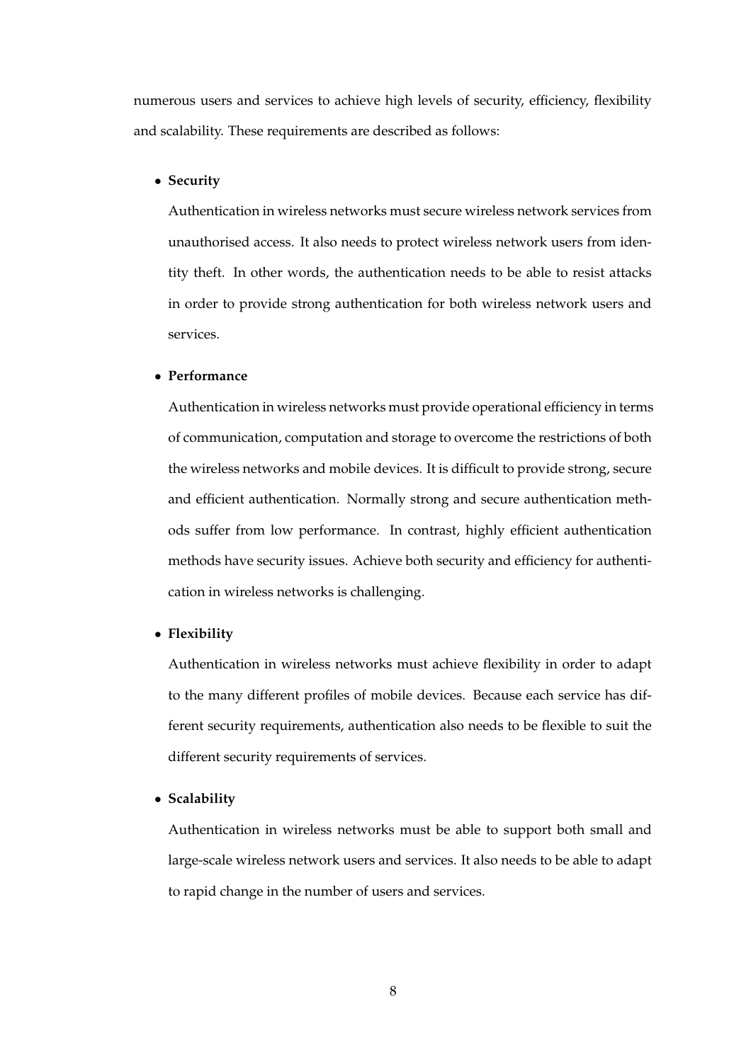numerous users and services to achieve high levels of security, efficiency, flexibility and scalability. These requirements are described as follows:

#### • **Security**

Authentication in wireless networks must secure wireless network services from unauthorised access. It also needs to protect wireless network users from identity theft. In other words, the authentication needs to be able to resist attacks in order to provide strong authentication for both wireless network users and services.

#### • **Performance**

Authentication in wireless networks must provide operational efficiency in terms of communication, computation and storage to overcome the restrictions of both the wireless networks and mobile devices. It is difficult to provide strong, secure and efficient authentication. Normally strong and secure authentication methods suffer from low performance. In contrast, highly efficient authentication methods have security issues. Achieve both security and efficiency for authentication in wireless networks is challenging.

#### • **Flexibility**

Authentication in wireless networks must achieve flexibility in order to adapt to the many different profiles of mobile devices. Because each service has different security requirements, authentication also needs to be flexible to suit the different security requirements of services.

#### • **Scalability**

Authentication in wireless networks must be able to support both small and large-scale wireless network users and services. It also needs to be able to adapt to rapid change in the number of users and services.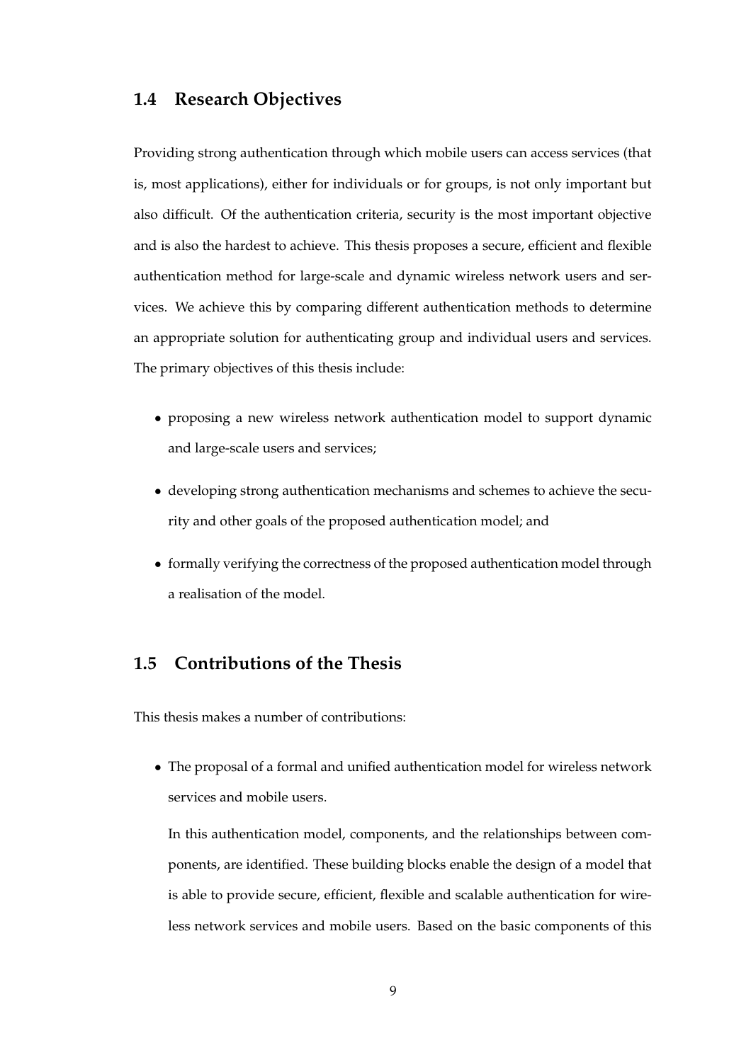#### **1.4 Research Objectives**

Providing strong authentication through which mobile users can access services (that is, most applications), either for individuals or for groups, is not only important but also difficult. Of the authentication criteria, security is the most important objective and is also the hardest to achieve. This thesis proposes a secure, efficient and flexible authentication method for large-scale and dynamic wireless network users and services. We achieve this by comparing different authentication methods to determine an appropriate solution for authenticating group and individual users and services. The primary objectives of this thesis include:

- proposing a new wireless network authentication model to support dynamic and large-scale users and services;
- developing strong authentication mechanisms and schemes to achieve the security and other goals of the proposed authentication model; and
- formally verifying the correctness of the proposed authentication model through a realisation of the model.

#### **1.5 Contributions of the Thesis**

This thesis makes a number of contributions:

• The proposal of a formal and unified authentication model for wireless network services and mobile users.

In this authentication model, components, and the relationships between components, are identified. These building blocks enable the design of a model that is able to provide secure, efficient, flexible and scalable authentication for wireless network services and mobile users. Based on the basic components of this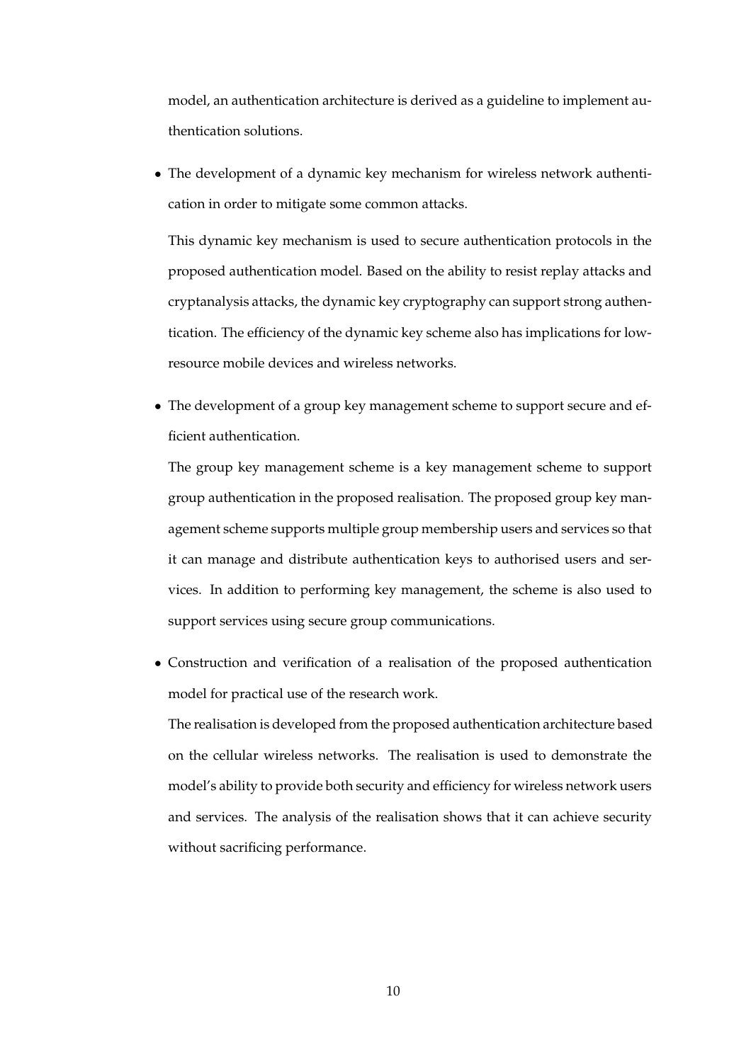model, an authentication architecture is derived as a guideline to implement authentication solutions.

• The development of a dynamic key mechanism for wireless network authentication in order to mitigate some common attacks.

This dynamic key mechanism is used to secure authentication protocols in the proposed authentication model. Based on the ability to resist replay attacks and cryptanalysis attacks, the dynamic key cryptography can support strong authentication. The efficiency of the dynamic key scheme also has implications for lowresource mobile devices and wireless networks.

• The development of a group key management scheme to support secure and efficient authentication.

The group key management scheme is a key management scheme to support group authentication in the proposed realisation. The proposed group key management scheme supports multiple group membership users and services so that it can manage and distribute authentication keys to authorised users and services. In addition to performing key management, the scheme is also used to support services using secure group communications.

• Construction and verification of a realisation of the proposed authentication model for practical use of the research work.

The realisation is developed from the proposed authentication architecture based on the cellular wireless networks. The realisation is used to demonstrate the model's ability to provide both security and efficiency for wireless network users and services. The analysis of the realisation shows that it can achieve security without sacrificing performance.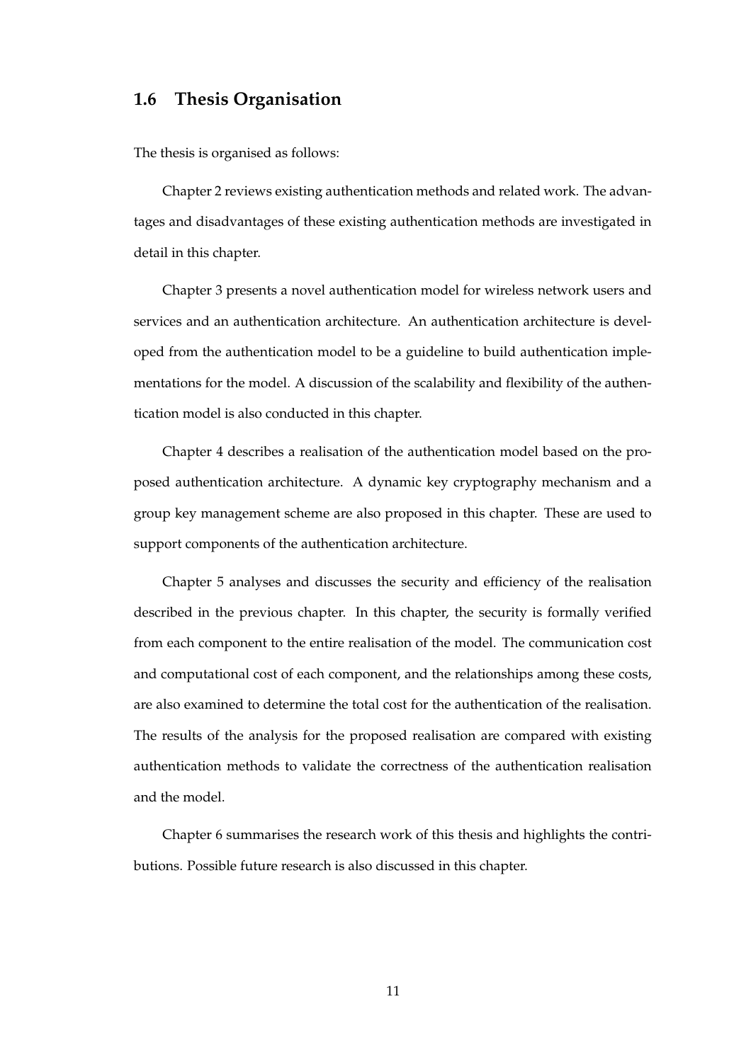#### **1.6 Thesis Organisation**

The thesis is organised as follows:

Chapter 2 reviews existing authentication methods and related work. The advantages and disadvantages of these existing authentication methods are investigated in detail in this chapter.

Chapter 3 presents a novel authentication model for wireless network users and services and an authentication architecture. An authentication architecture is developed from the authentication model to be a guideline to build authentication implementations for the model. A discussion of the scalability and flexibility of the authentication model is also conducted in this chapter.

Chapter 4 describes a realisation of the authentication model based on the proposed authentication architecture. A dynamic key cryptography mechanism and a group key management scheme are also proposed in this chapter. These are used to support components of the authentication architecture.

Chapter 5 analyses and discusses the security and efficiency of the realisation described in the previous chapter. In this chapter, the security is formally verified from each component to the entire realisation of the model. The communication cost and computational cost of each component, and the relationships among these costs, are also examined to determine the total cost for the authentication of the realisation. The results of the analysis for the proposed realisation are compared with existing authentication methods to validate the correctness of the authentication realisation and the model.

Chapter 6 summarises the research work of this thesis and highlights the contributions. Possible future research is also discussed in this chapter.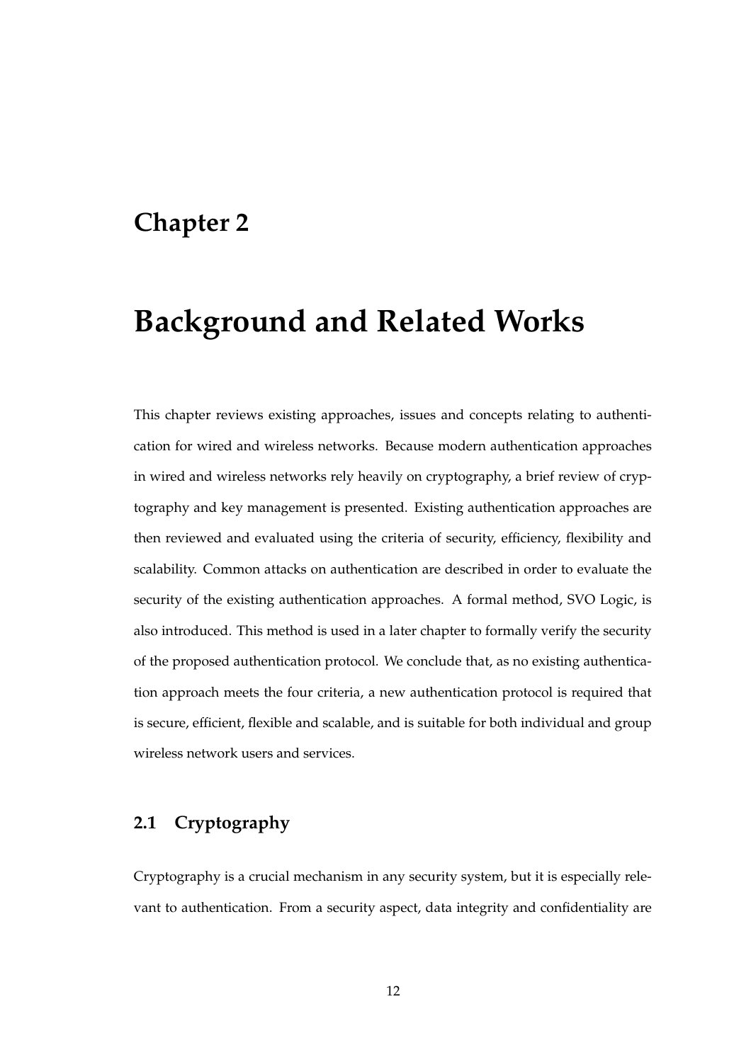## **Chapter 2**

## **Background and Related Works**

This chapter reviews existing approaches, issues and concepts relating to authentication for wired and wireless networks. Because modern authentication approaches in wired and wireless networks rely heavily on cryptography, a brief review of cryptography and key management is presented. Existing authentication approaches are then reviewed and evaluated using the criteria of security, efficiency, flexibility and scalability. Common attacks on authentication are described in order to evaluate the security of the existing authentication approaches. A formal method, SVO Logic, is also introduced. This method is used in a later chapter to formally verify the security of the proposed authentication protocol. We conclude that, as no existing authentication approach meets the four criteria, a new authentication protocol is required that is secure, efficient, flexible and scalable, and is suitable for both individual and group wireless network users and services.

#### **2.1 Cryptography**

Cryptography is a crucial mechanism in any security system, but it is especially relevant to authentication. From a security aspect, data integrity and confidentiality are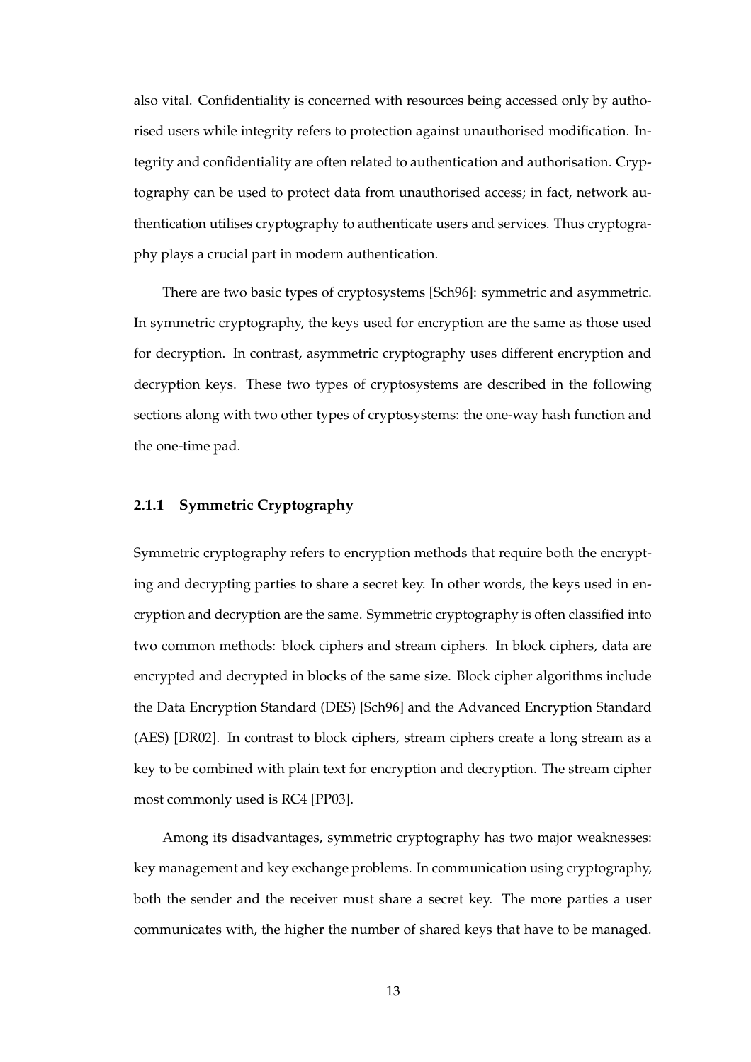also vital. Confidentiality is concerned with resources being accessed only by authorised users while integrity refers to protection against unauthorised modification. Integrity and confidentiality are often related to authentication and authorisation. Cryptography can be used to protect data from unauthorised access; in fact, network authentication utilises cryptography to authenticate users and services. Thus cryptography plays a crucial part in modern authentication.

There are two basic types of cryptosystems [Sch96]: symmetric and asymmetric. In symmetric cryptography, the keys used for encryption are the same as those used for decryption. In contrast, asymmetric cryptography uses different encryption and decryption keys. These two types of cryptosystems are described in the following sections along with two other types of cryptosystems: the one-way hash function and the one-time pad.

#### **2.1.1 Symmetric Cryptography**

Symmetric cryptography refers to encryption methods that require both the encrypting and decrypting parties to share a secret key. In other words, the keys used in encryption and decryption are the same. Symmetric cryptography is often classified into two common methods: block ciphers and stream ciphers. In block ciphers, data are encrypted and decrypted in blocks of the same size. Block cipher algorithms include the Data Encryption Standard (DES) [Sch96] and the Advanced Encryption Standard (AES) [DR02]. In contrast to block ciphers, stream ciphers create a long stream as a key to be combined with plain text for encryption and decryption. The stream cipher most commonly used is RC4 [PP03].

Among its disadvantages, symmetric cryptography has two major weaknesses: key management and key exchange problems. In communication using cryptography, both the sender and the receiver must share a secret key. The more parties a user communicates with, the higher the number of shared keys that have to be managed.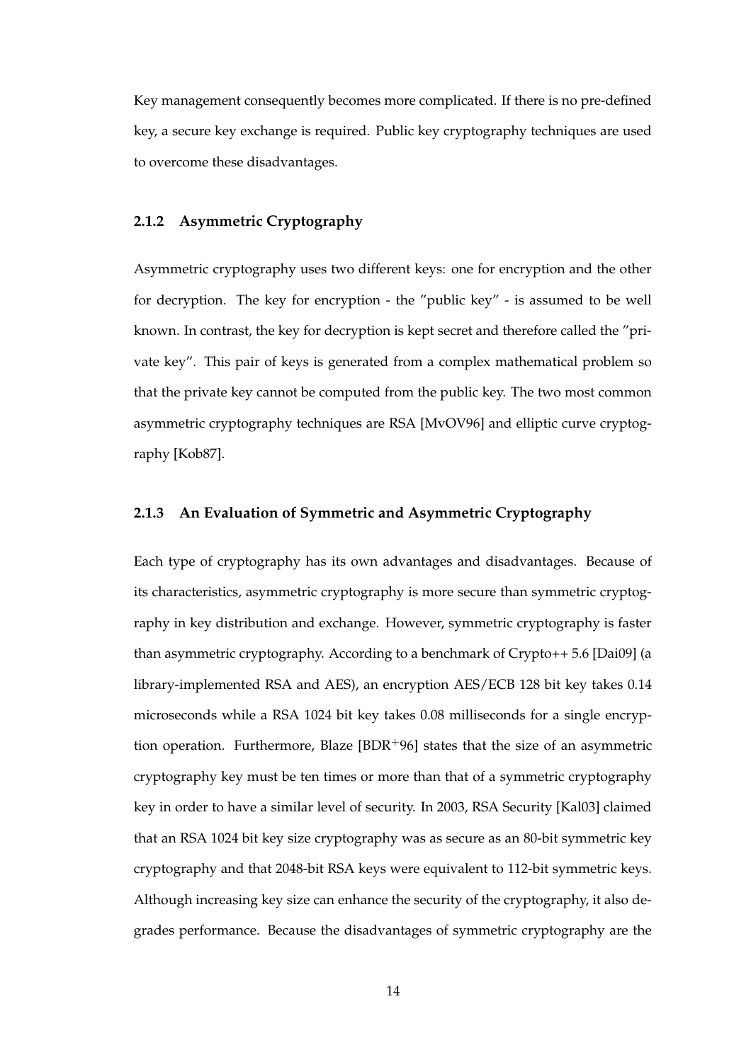Key management consequently becomes more complicated. If there is no pre-defined key, a secure key exchange is required. Public key cryptography techniques are used to overcome these disadvantages.

#### **2.1.2 Asymmetric Cryptography**

Asymmetric cryptography uses two different keys: one for encryption and the other for decryption. The key for encryption - the "public key" - is assumed to be well known. In contrast, the key for decryption is kept secret and therefore called the "private key". This pair of keys is generated from a complex mathematical problem so that the private key cannot be computed from the public key. The two most common asymmetric cryptography techniques are RSA [MvOV96] and elliptic curve cryptography [Kob87].

#### **2.1.3 An Evaluation of Symmetric and Asymmetric Cryptography**

Each type of cryptography has its own advantages and disadvantages. Because of its characteristics, asymmetric cryptography is more secure than symmetric cryptography in key distribution and exchange. However, symmetric cryptography is faster than asymmetric cryptography. According to a benchmark of Crypto++ 5.6 [Dai09] (a library-implemented RSA and AES), an encryption AES/ECB 128 bit key takes 0.14 microseconds while a RSA 1024 bit key takes 0.08 milliseconds for a single encryption operation. Furthermore, Blaze [BDR+96] states that the size of an asymmetric cryptography key must be ten times or more than that of a symmetric cryptography key in order to have a similar level of security. In 2003, RSA Security [Kal03] claimed that an RSA 1024 bit key size cryptography was as secure as an 80-bit symmetric key cryptography and that 2048-bit RSA keys were equivalent to 112-bit symmetric keys. Although increasing key size can enhance the security of the cryptography, it also degrades performance. Because the disadvantages of symmetric cryptography are the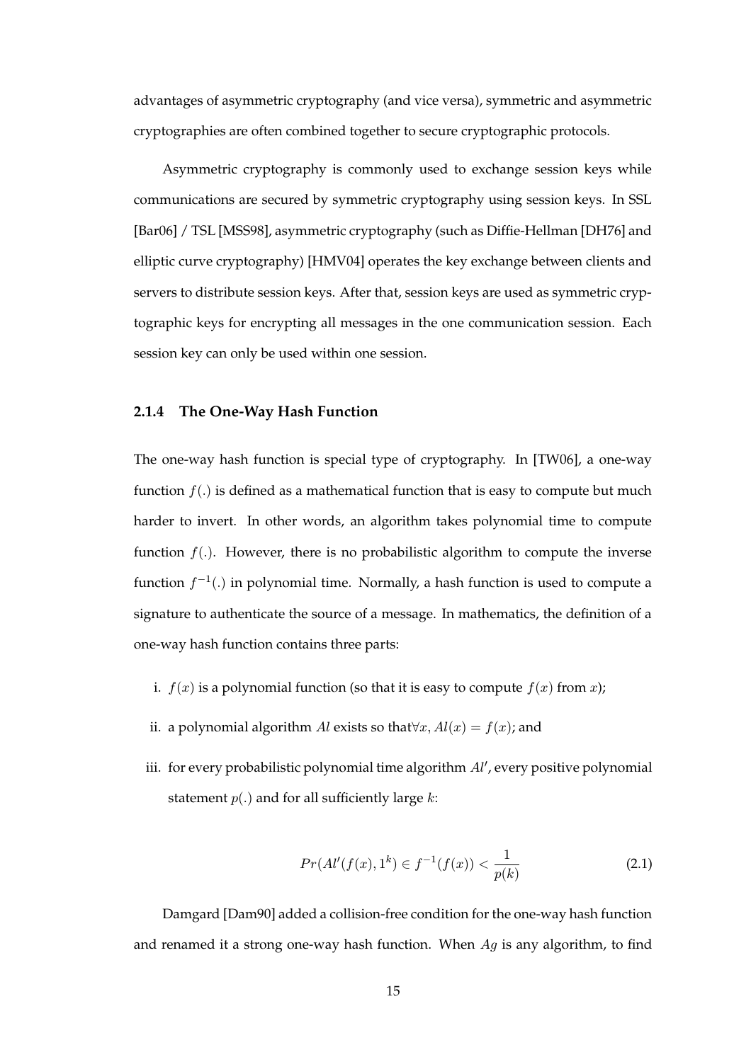advantages of asymmetric cryptography (and vice versa), symmetric and asymmetric cryptographies are often combined together to secure cryptographic protocols.

Asymmetric cryptography is commonly used to exchange session keys while communications are secured by symmetric cryptography using session keys. In SSL [Bar06] / TSL [MSS98], asymmetric cryptography (such as Diffie-Hellman [DH76] and elliptic curve cryptography) [HMV04] operates the key exchange between clients and servers to distribute session keys. After that, session keys are used as symmetric cryptographic keys for encrypting all messages in the one communication session. Each session key can only be used within one session.

# **2.1.4 The One-Way Hash Function**

The one-way hash function is special type of cryptography. In [TW06], a one-way function  $f(.)$  is defined as a mathematical function that is easy to compute but much harder to invert. In other words, an algorithm takes polynomial time to compute function  $f(.)$ . However, there is no probabilistic algorithm to compute the inverse function  $f^{-1}(.)$  in polynomial time. Normally, a hash function is used to compute a signature to authenticate the source of a message. In mathematics, the definition of a one-way hash function contains three parts:

- i.  $f(x)$  is a polynomial function (so that it is easy to compute  $f(x)$  from x);
- ii. a polynomial algorithm Al exists so that $\forall x, A l(x) = f(x)$ ; and
- iii. for every probabilistic polynomial time algorithm  $Al'$ , every positive polynomial statement  $p(.)$  and for all sufficiently large  $k$ :

$$
Pr(Al'(f(x), 1^k) \in f^{-1}(f(x)) < \frac{1}{p(k)}\tag{2.1}
$$

Damgard [Dam90] added a collision-free condition for the one-way hash function and renamed it a strong one-way hash function. When  $Ag$  is any algorithm, to find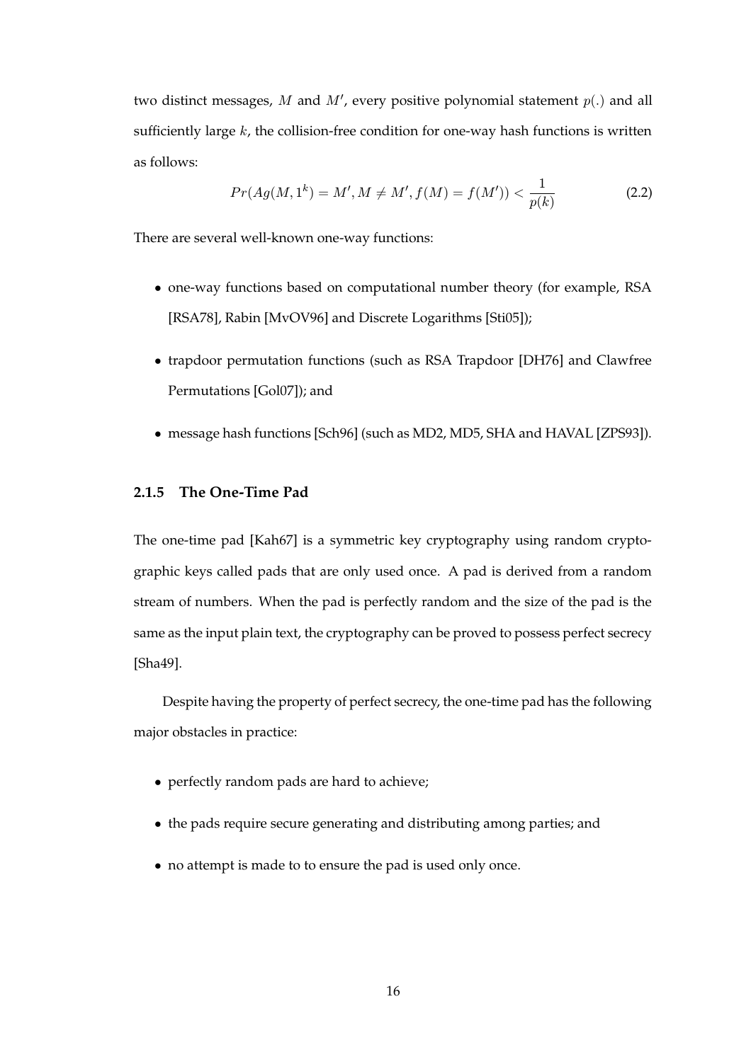two distinct messages, M and M', every positive polynomial statement  $p(.)$  and all sufficiently large  $k$ , the collision-free condition for one-way hash functions is written as follows:

$$
Pr(Ag(M, 1^k) = M', M \neq M', f(M) = f(M')) < \frac{1}{p(k)}\tag{2.2}
$$

There are several well-known one-way functions:

- one-way functions based on computational number theory (for example, RSA [RSA78], Rabin [MvOV96] and Discrete Logarithms [Sti05]);
- trapdoor permutation functions (such as RSA Trapdoor [DH76] and Clawfree Permutations [Gol07]); and
- message hash functions [Sch96] (such as MD2, MD5, SHA and HAVAL [ZPS93]).

# **2.1.5 The One-Time Pad**

The one-time pad [Kah67] is a symmetric key cryptography using random cryptographic keys called pads that are only used once. A pad is derived from a random stream of numbers. When the pad is perfectly random and the size of the pad is the same as the input plain text, the cryptography can be proved to possess perfect secrecy [Sha49].

Despite having the property of perfect secrecy, the one-time pad has the following major obstacles in practice:

- perfectly random pads are hard to achieve;
- the pads require secure generating and distributing among parties; and
- no attempt is made to to ensure the pad is used only once.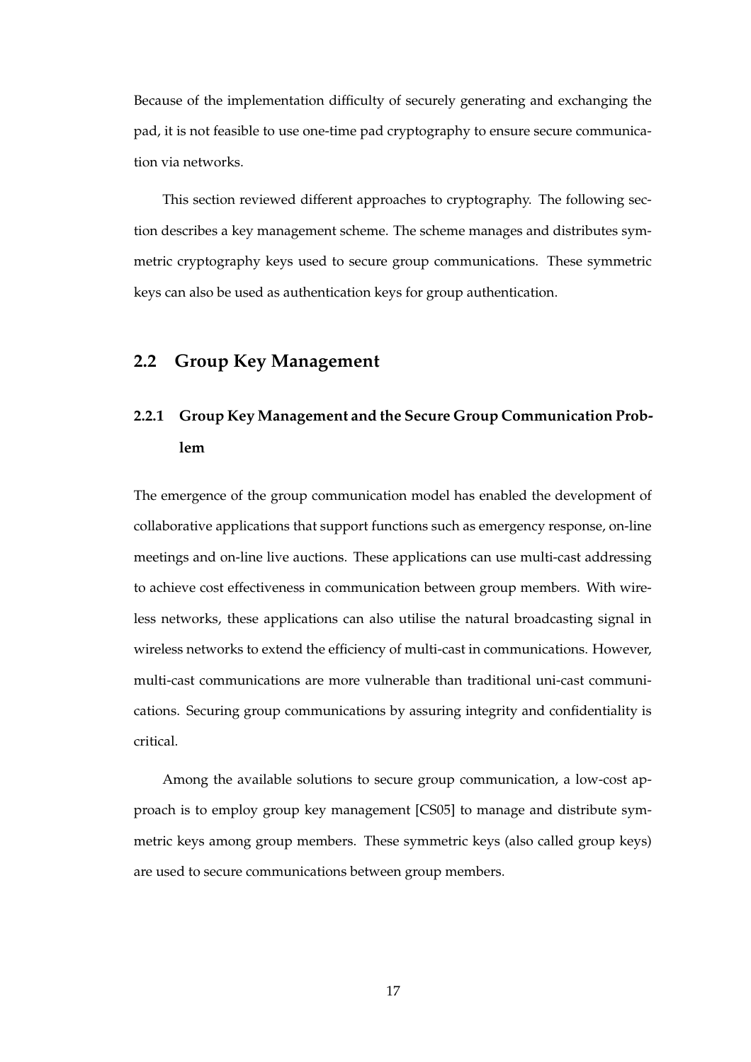Because of the implementation difficulty of securely generating and exchanging the pad, it is not feasible to use one-time pad cryptography to ensure secure communication via networks.

This section reviewed different approaches to cryptography. The following section describes a key management scheme. The scheme manages and distributes symmetric cryptography keys used to secure group communications. These symmetric keys can also be used as authentication keys for group authentication.

# **2.2 Group Key Management**

# **2.2.1 Group Key Management and the Secure Group Communication Problem**

The emergence of the group communication model has enabled the development of collaborative applications that support functions such as emergency response, on-line meetings and on-line live auctions. These applications can use multi-cast addressing to achieve cost effectiveness in communication between group members. With wireless networks, these applications can also utilise the natural broadcasting signal in wireless networks to extend the efficiency of multi-cast in communications. However, multi-cast communications are more vulnerable than traditional uni-cast communications. Securing group communications by assuring integrity and confidentiality is critical.

Among the available solutions to secure group communication, a low-cost approach is to employ group key management [CS05] to manage and distribute symmetric keys among group members. These symmetric keys (also called group keys) are used to secure communications between group members.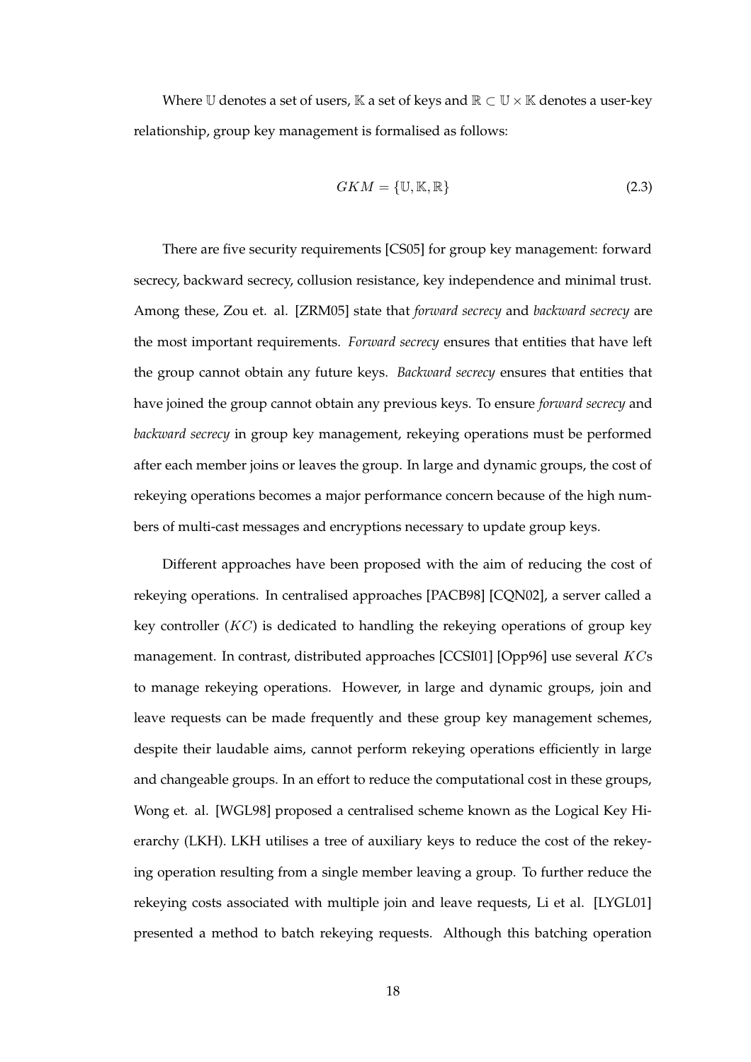Where U denotes a set of users, K a set of keys and  $\mathbb{R} \subset \mathbb{U} \times \mathbb{K}$  denotes a user-key relationship, group key management is formalised as follows:

$$
GKM = \{ \mathbb{U}, \mathbb{K}, \mathbb{R} \} \tag{2.3}
$$

There are five security requirements [CS05] for group key management: forward secrecy, backward secrecy, collusion resistance, key independence and minimal trust. Among these, Zou et. al. [ZRM05] state that *forward secrecy* and *backward secrecy* are the most important requirements. *Forward secrecy* ensures that entities that have left the group cannot obtain any future keys. *Backward secrecy* ensures that entities that have joined the group cannot obtain any previous keys. To ensure *forward secrecy* and *backward secrecy* in group key management, rekeying operations must be performed after each member joins or leaves the group. In large and dynamic groups, the cost of rekeying operations becomes a major performance concern because of the high numbers of multi-cast messages and encryptions necessary to update group keys.

Different approaches have been proposed with the aim of reducing the cost of rekeying operations. In centralised approaches [PACB98] [CQN02], a server called a key controller  $(KC)$  is dedicated to handling the rekeying operations of group key management. In contrast, distributed approaches [CCSI01] [Opp96] use several KCs to manage rekeying operations. However, in large and dynamic groups, join and leave requests can be made frequently and these group key management schemes, despite their laudable aims, cannot perform rekeying operations efficiently in large and changeable groups. In an effort to reduce the computational cost in these groups, Wong et. al. [WGL98] proposed a centralised scheme known as the Logical Key Hierarchy (LKH). LKH utilises a tree of auxiliary keys to reduce the cost of the rekeying operation resulting from a single member leaving a group. To further reduce the rekeying costs associated with multiple join and leave requests, Li et al. [LYGL01] presented a method to batch rekeying requests. Although this batching operation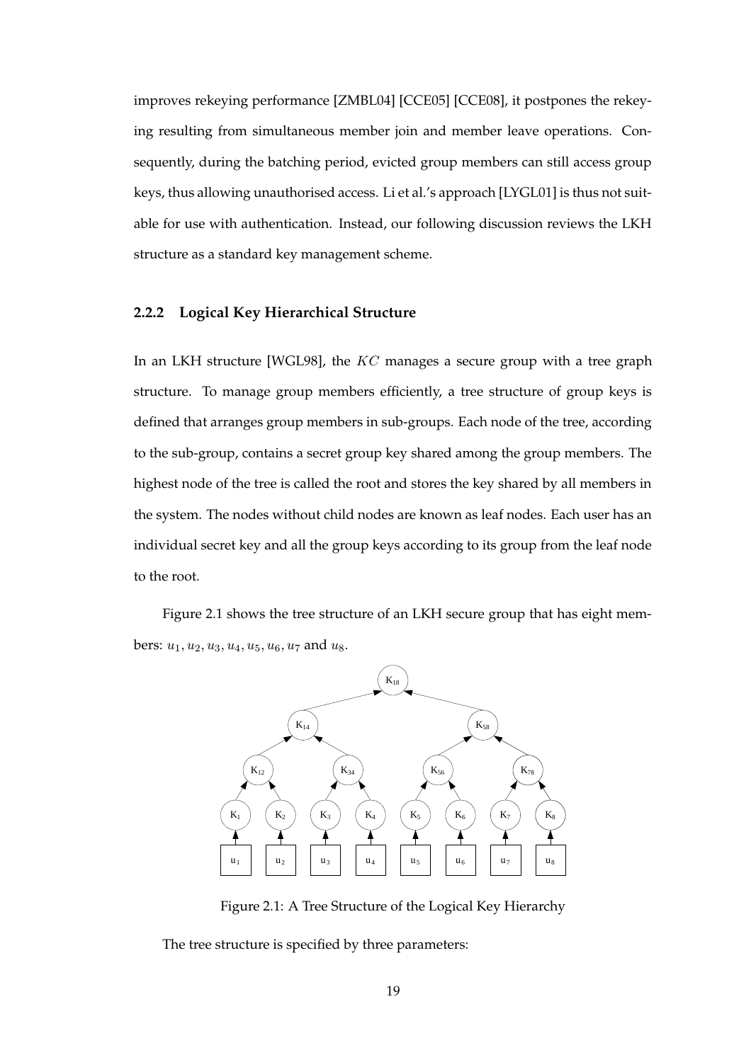improves rekeying performance [ZMBL04] [CCE05] [CCE08], it postpones the rekeying resulting from simultaneous member join and member leave operations. Consequently, during the batching period, evicted group members can still access group keys, thus allowing unauthorised access. Li et al.'s approach [LYGL01] is thus not suitable for use with authentication. Instead, our following discussion reviews the LKH structure as a standard key management scheme.

# **2.2.2 Logical Key Hierarchical Structure**

In an LKH structure [WGL98], the KC manages a secure group with a tree graph structure. To manage group members efficiently, a tree structure of group keys is defined that arranges group members in sub-groups. Each node of the tree, according to the sub-group, contains a secret group key shared among the group members. The highest node of the tree is called the root and stores the key shared by all members in the system. The nodes without child nodes are known as leaf nodes. Each user has an individual secret key and all the group keys according to its group from the leaf node to the root.

Figure 2.1 shows the tree structure of an LKH secure group that has eight members:  $u_1, u_2, u_3, u_4, u_5, u_6, u_7$  and  $u_8$ .



Figure 2.1: A Tree Structure of the Logical Key Hierarchy

The tree structure is specified by three parameters: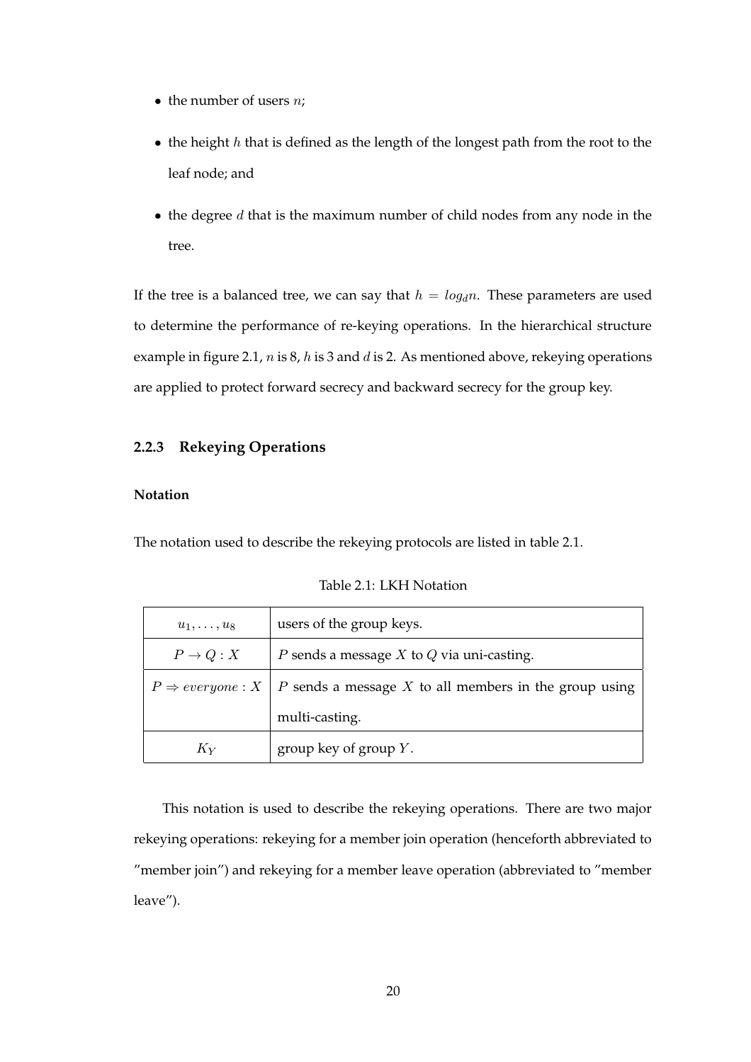- the number of users  $n$ ;
- $\bullet$  the height h that is defined as the length of the longest path from the root to the leaf node; and
- $\bullet$  the degree d that is the maximum number of child nodes from any node in the tree.

If the tree is a balanced tree, we can say that  $h = log_d n$ . These parameters are used to determine the performance of re-keying operations. In the hierarchical structure example in figure 2.1,  $n$  is 8,  $h$  is 3 and  $d$  is 2. As mentioned above, rekeying operations are applied to protect forward secrecy and backward secrecy for the group key.

#### **2.2.3 Rekeying Operations**

### **Notation**

The notation used to describe the rekeying protocols are listed in table 2.1.

| $u_1,\ldots,u_8$ | users of the group keys.                                                                |  |  |  |
|------------------|-----------------------------------------------------------------------------------------|--|--|--|
| $P \to Q: X$     | <i>P</i> sends a message <i>X</i> to <i>Q</i> via uni-casting.                          |  |  |  |
|                  | $P \Rightarrow everyone : X \mid P$ sends a message X to all members in the group using |  |  |  |
|                  | multi-casting.                                                                          |  |  |  |
| $K_{V}$          | group key of group $Y$ .                                                                |  |  |  |

Table 2.1: LKH Notation

This notation is used to describe the rekeying operations. There are two major rekeying operations: rekeying for a member join operation (henceforth abbreviated to "member join") and rekeying for a member leave operation (abbreviated to "member leave").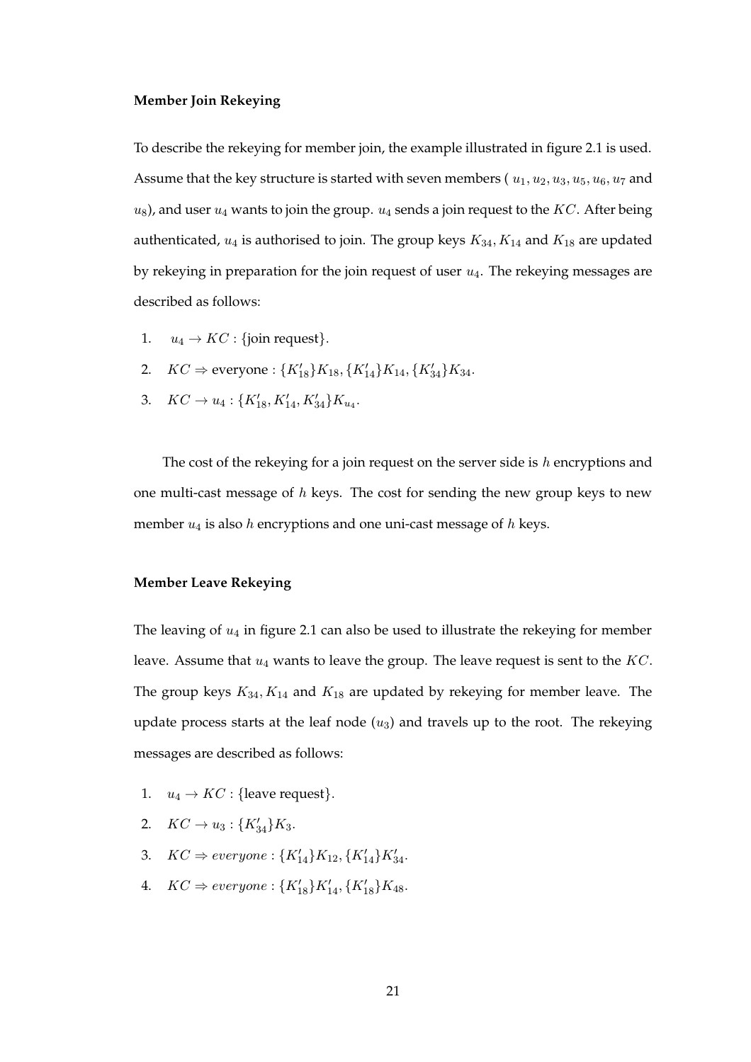#### **Member Join Rekeying**

To describe the rekeying for member join, the example illustrated in figure 2.1 is used. Assume that the key structure is started with seven members ( $u_1, u_2, u_3, u_5, u_6, u_7$  and  $u_8$ ), and user  $u_4$  wants to join the group.  $u_4$  sends a join request to the KC. After being authenticated,  $u_4$  is authorised to join. The group keys  $K_{34}$ ,  $K_{14}$  and  $K_{18}$  are updated by rekeying in preparation for the join request of user  $u_4$ . The rekeying messages are described as follows:

- 1.  $u_4 \rightarrow KC$  : {join request}.
- 2.  $KC \Rightarrow$  everyone :  $\{K'_{18}\}\K_{18}, \{K'_{14}\}\K_{14}, \{K'_{34}\}\K_{34}.$
- 3.  $KC \rightarrow u_4: \{K'_{18}, K'_{14}, K'_{34}\}K_{u_4}.$

The cost of the rekeying for a join request on the server side is  $h$  encryptions and one multi-cast message of h keys. The cost for sending the new group keys to new member  $u_4$  is also h encryptions and one uni-cast message of h keys.

#### **Member Leave Rekeying**

The leaving of  $u_4$  in figure 2.1 can also be used to illustrate the rekeying for member leave. Assume that  $u_4$  wants to leave the group. The leave request is sent to the  $KC$ . The group keys  $K_{34}$ ,  $K_{14}$  and  $K_{18}$  are updated by rekeying for member leave. The update process starts at the leaf node  $(u_3)$  and travels up to the root. The rekeying messages are described as follows:

- 1.  $u_4 \rightarrow KC$  : {leave request}.
- 2.  $KC \rightarrow u_3: \{K_{34}'\}K_3.$
- 3.  $KC \Rightarrow everyone: \{K'_{14}\}K_{12}, \{K'_{14}\}K'_{34}.$
- 4.  $KC \Rightarrow everyone: \{K'_{18}\}K'_{14}, \{K'_{18}\}K_{48}.$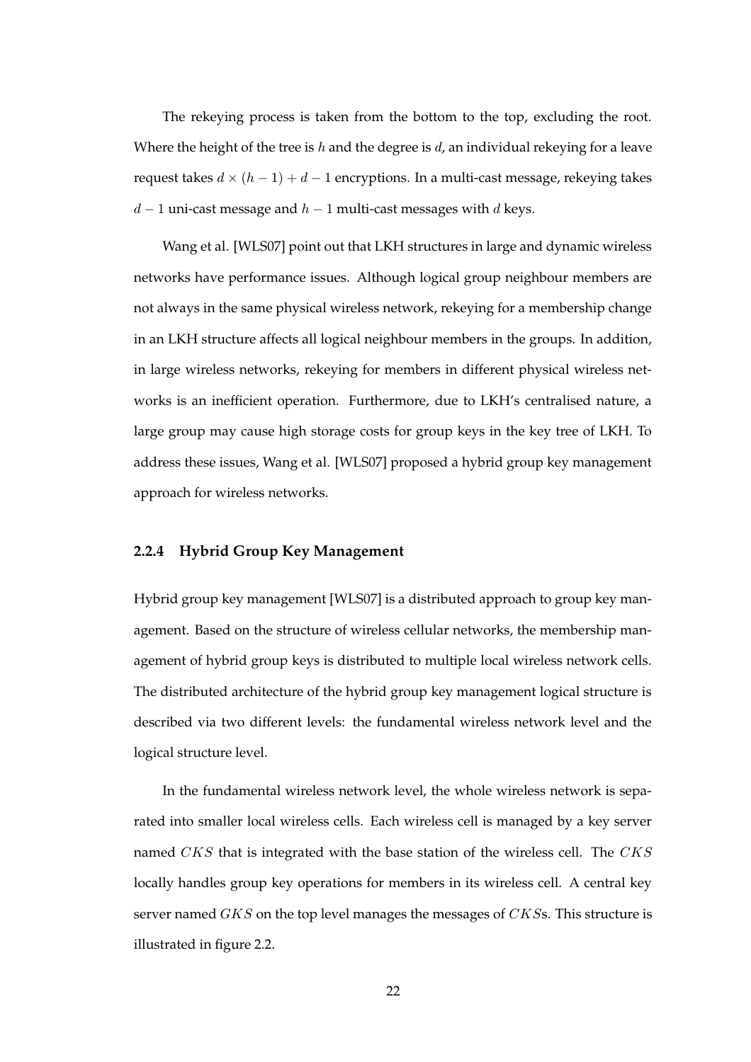The rekeying process is taken from the bottom to the top, excluding the root. Where the height of the tree is h and the degree is  $d$ , an individual rekeying for a leave request takes  $d \times (h - 1) + d - 1$  encryptions. In a multi-cast message, rekeying takes  $d-1$  uni-cast message and  $h-1$  multi-cast messages with d keys.

Wang et al. [WLS07] point out that LKH structures in large and dynamic wireless networks have performance issues. Although logical group neighbour members are not always in the same physical wireless network, rekeying for a membership change in an LKH structure affects all logical neighbour members in the groups. In addition, in large wireless networks, rekeying for members in different physical wireless networks is an inefficient operation. Furthermore, due to LKH's centralised nature, a large group may cause high storage costs for group keys in the key tree of LKH. To address these issues, Wang et al. [WLS07] proposed a hybrid group key management approach for wireless networks.

#### **2.2.4 Hybrid Group Key Management**

Hybrid group key management [WLS07] is a distributed approach to group key management. Based on the structure of wireless cellular networks, the membership management of hybrid group keys is distributed to multiple local wireless network cells. The distributed architecture of the hybrid group key management logical structure is described via two different levels: the fundamental wireless network level and the logical structure level.

In the fundamental wireless network level, the whole wireless network is separated into smaller local wireless cells. Each wireless cell is managed by a key server named CKS that is integrated with the base station of the wireless cell. The CKS locally handles group key operations for members in its wireless cell. A central key server named GKS on the top level manages the messages of CKSs. This structure is illustrated in figure 2.2.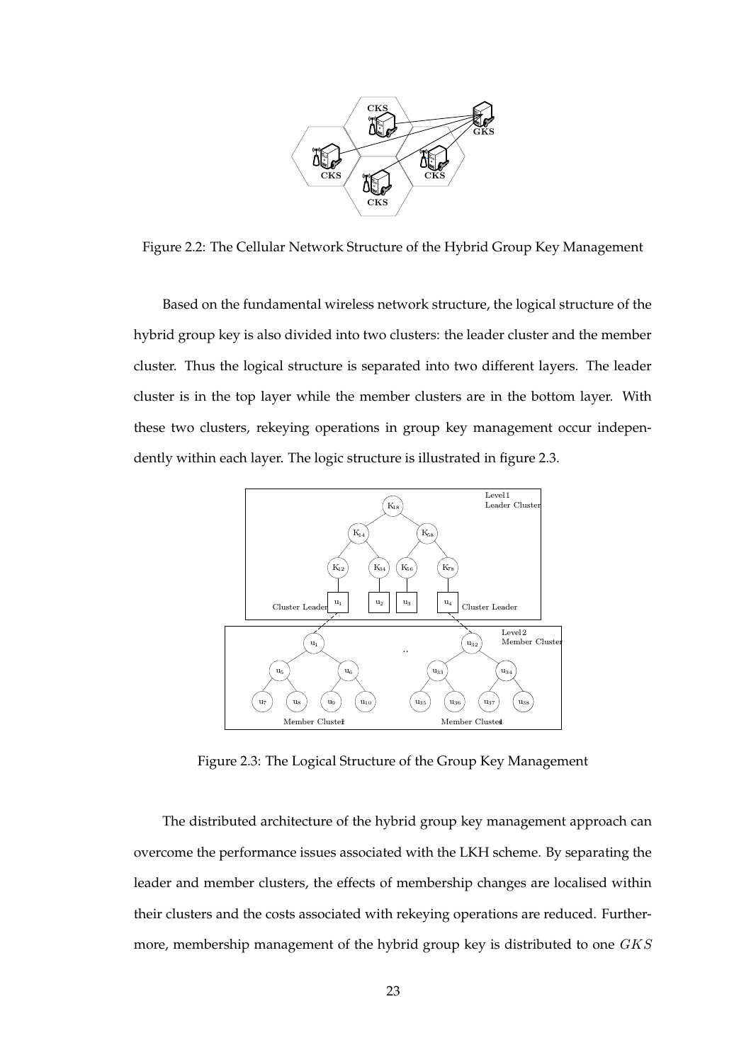

Figure 2.2: The Cellular Network Structure of the Hybrid Group Key Management

Based on the fundamental wireless network structure, the logical structure of the hybrid group key is also divided into two clusters: the leader cluster and the member cluster. Thus the logical structure is separated into two different layers. The leader cluster is in the top layer while the member clusters are in the bottom layer. With these two clusters, rekeying operations in group key management occur independently within each layer. The logic structure is illustrated in figure 2.3.



Figure 2.3: The Logical Structure of the Group Key Management

The distributed architecture of the hybrid group key management approach can overcome the performance issues associated with the LKH scheme. By separating the leader and member clusters, the effects of membership changes are localised within their clusters and the costs associated with rekeying operations are reduced. Furthermore, membership management of the hybrid group key is distributed to one GKS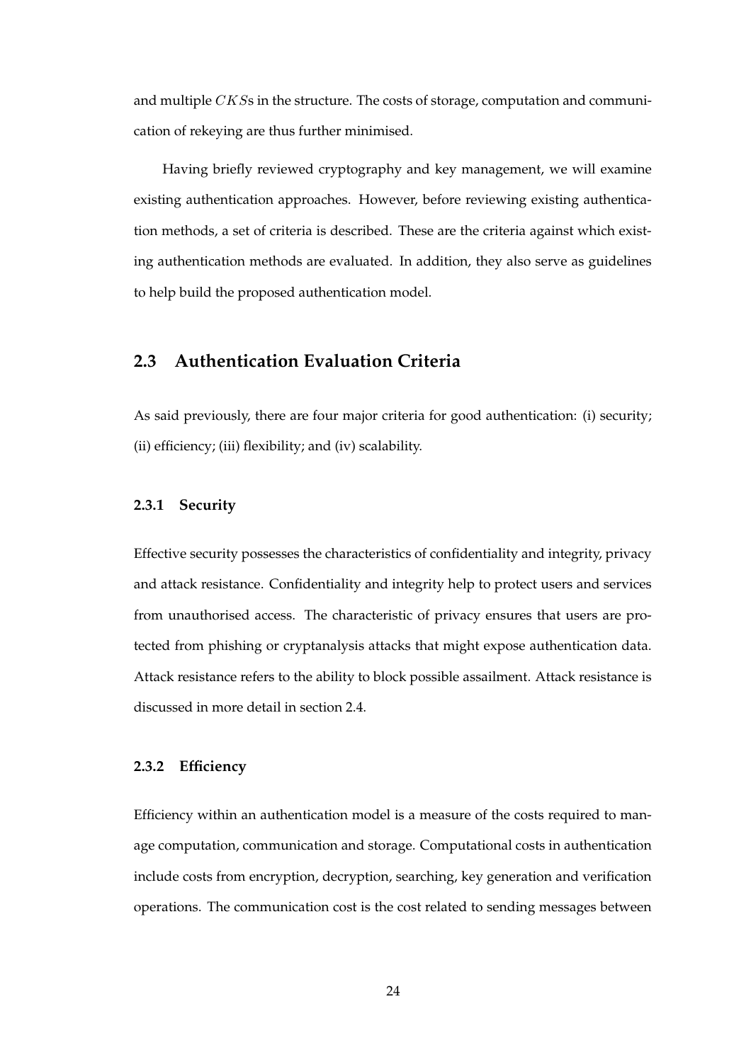and multiple CKSs in the structure. The costs of storage, computation and communication of rekeying are thus further minimised.

Having briefly reviewed cryptography and key management, we will examine existing authentication approaches. However, before reviewing existing authentication methods, a set of criteria is described. These are the criteria against which existing authentication methods are evaluated. In addition, they also serve as guidelines to help build the proposed authentication model.

# **2.3 Authentication Evaluation Criteria**

As said previously, there are four major criteria for good authentication: (i) security; (ii) efficiency; (iii) flexibility; and (iv) scalability.

#### **2.3.1 Security**

Effective security possesses the characteristics of confidentiality and integrity, privacy and attack resistance. Confidentiality and integrity help to protect users and services from unauthorised access. The characteristic of privacy ensures that users are protected from phishing or cryptanalysis attacks that might expose authentication data. Attack resistance refers to the ability to block possible assailment. Attack resistance is discussed in more detail in section 2.4.

#### **2.3.2 Efficiency**

Efficiency within an authentication model is a measure of the costs required to manage computation, communication and storage. Computational costs in authentication include costs from encryption, decryption, searching, key generation and verification operations. The communication cost is the cost related to sending messages between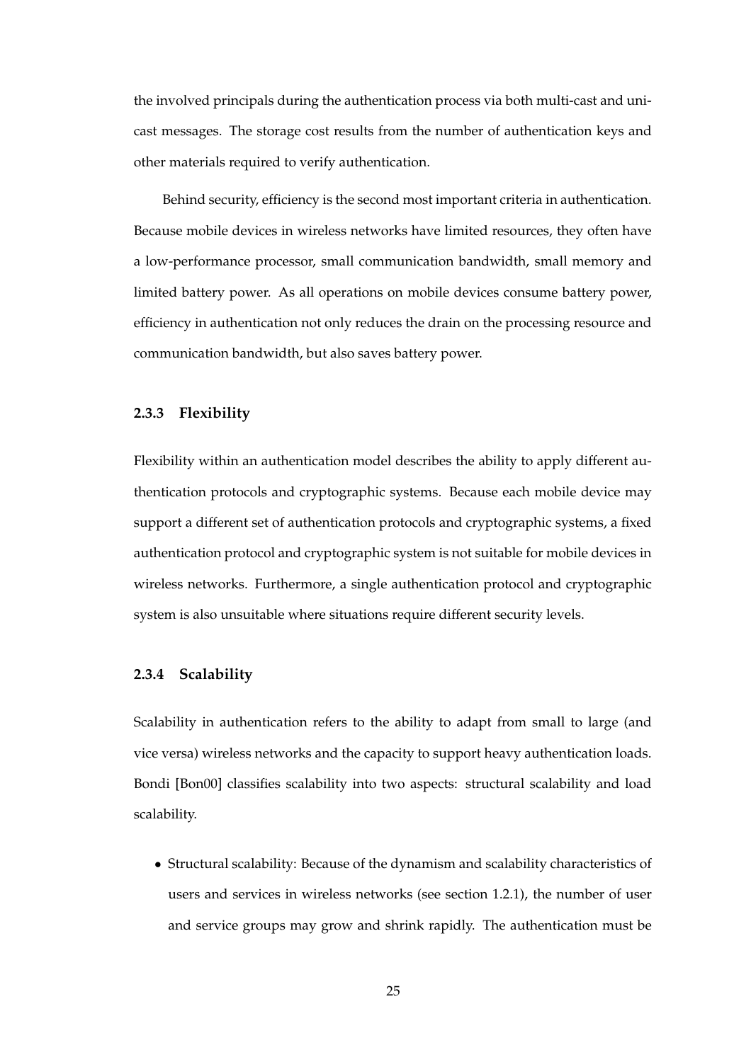the involved principals during the authentication process via both multi-cast and unicast messages. The storage cost results from the number of authentication keys and other materials required to verify authentication.

Behind security, efficiency is the second most important criteria in authentication. Because mobile devices in wireless networks have limited resources, they often have a low-performance processor, small communication bandwidth, small memory and limited battery power. As all operations on mobile devices consume battery power, efficiency in authentication not only reduces the drain on the processing resource and communication bandwidth, but also saves battery power.

#### **2.3.3 Flexibility**

Flexibility within an authentication model describes the ability to apply different authentication protocols and cryptographic systems. Because each mobile device may support a different set of authentication protocols and cryptographic systems, a fixed authentication protocol and cryptographic system is not suitable for mobile devices in wireless networks. Furthermore, a single authentication protocol and cryptographic system is also unsuitable where situations require different security levels.

#### **2.3.4 Scalability**

Scalability in authentication refers to the ability to adapt from small to large (and vice versa) wireless networks and the capacity to support heavy authentication loads. Bondi [Bon00] classifies scalability into two aspects: structural scalability and load scalability.

• Structural scalability: Because of the dynamism and scalability characteristics of users and services in wireless networks (see section 1.2.1), the number of user and service groups may grow and shrink rapidly. The authentication must be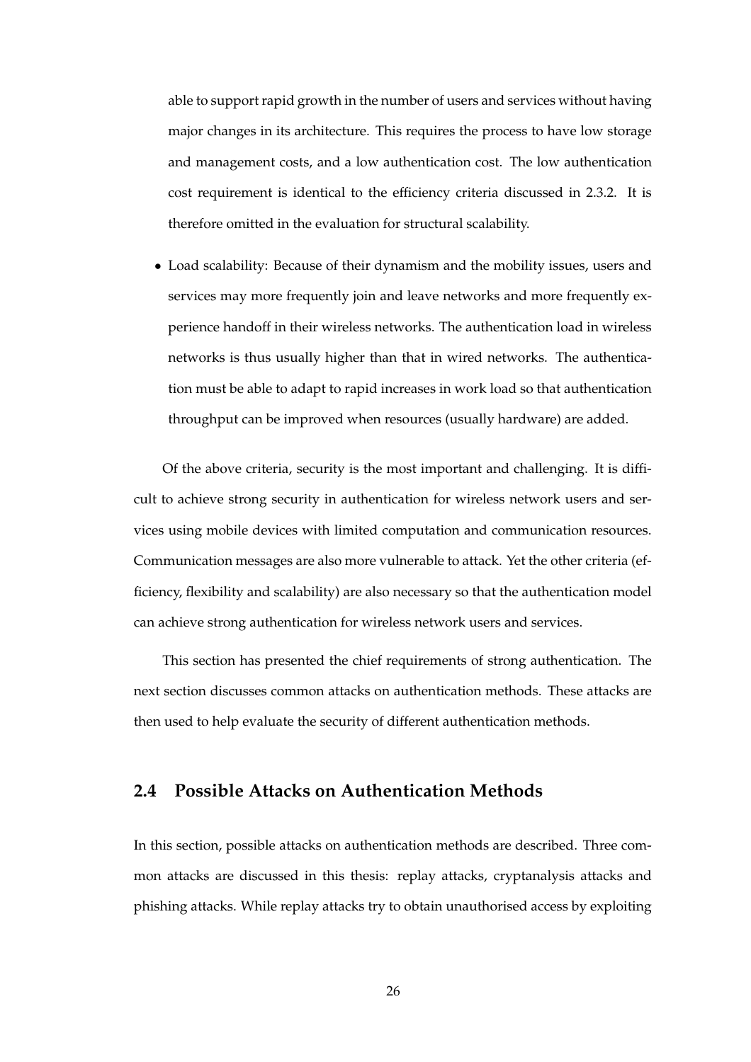able to support rapid growth in the number of users and services without having major changes in its architecture. This requires the process to have low storage and management costs, and a low authentication cost. The low authentication cost requirement is identical to the efficiency criteria discussed in 2.3.2. It is therefore omitted in the evaluation for structural scalability.

• Load scalability: Because of their dynamism and the mobility issues, users and services may more frequently join and leave networks and more frequently experience handoff in their wireless networks. The authentication load in wireless networks is thus usually higher than that in wired networks. The authentication must be able to adapt to rapid increases in work load so that authentication throughput can be improved when resources (usually hardware) are added.

Of the above criteria, security is the most important and challenging. It is difficult to achieve strong security in authentication for wireless network users and services using mobile devices with limited computation and communication resources. Communication messages are also more vulnerable to attack. Yet the other criteria (efficiency, flexibility and scalability) are also necessary so that the authentication model can achieve strong authentication for wireless network users and services.

This section has presented the chief requirements of strong authentication. The next section discusses common attacks on authentication methods. These attacks are then used to help evaluate the security of different authentication methods.

# **2.4 Possible Attacks on Authentication Methods**

In this section, possible attacks on authentication methods are described. Three common attacks are discussed in this thesis: replay attacks, cryptanalysis attacks and phishing attacks. While replay attacks try to obtain unauthorised access by exploiting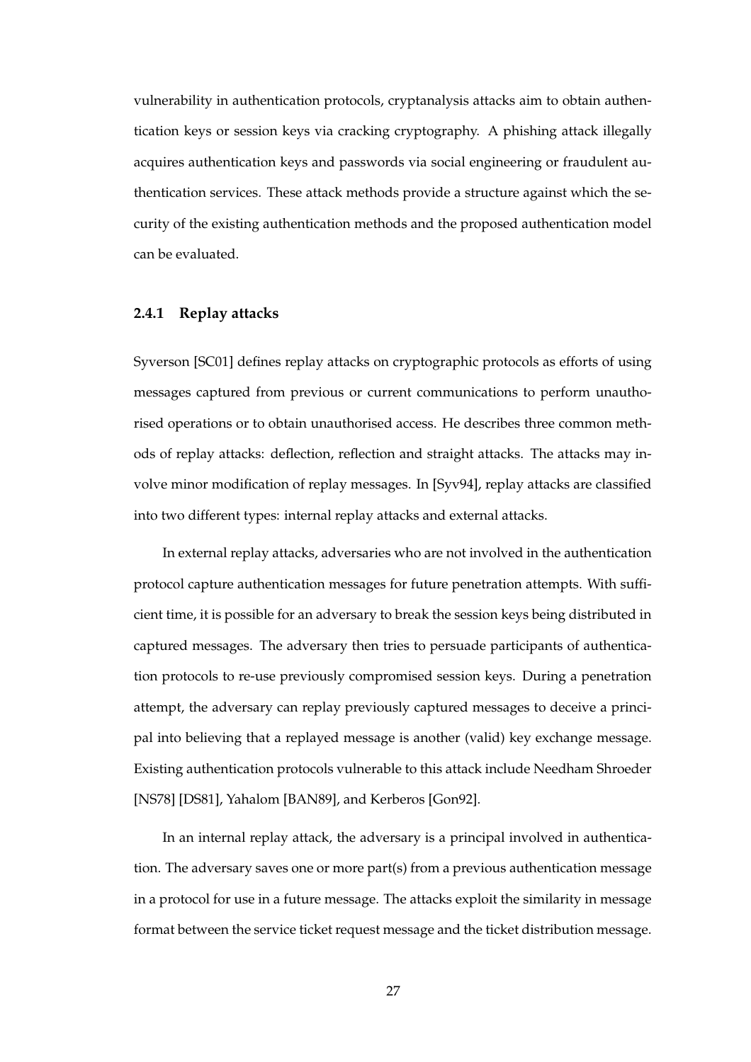vulnerability in authentication protocols, cryptanalysis attacks aim to obtain authentication keys or session keys via cracking cryptography. A phishing attack illegally acquires authentication keys and passwords via social engineering or fraudulent authentication services. These attack methods provide a structure against which the security of the existing authentication methods and the proposed authentication model can be evaluated.

#### **2.4.1 Replay attacks**

Syverson [SC01] defines replay attacks on cryptographic protocols as efforts of using messages captured from previous or current communications to perform unauthorised operations or to obtain unauthorised access. He describes three common methods of replay attacks: deflection, reflection and straight attacks. The attacks may involve minor modification of replay messages. In [Syv94], replay attacks are classified into two different types: internal replay attacks and external attacks.

In external replay attacks, adversaries who are not involved in the authentication protocol capture authentication messages for future penetration attempts. With sufficient time, it is possible for an adversary to break the session keys being distributed in captured messages. The adversary then tries to persuade participants of authentication protocols to re-use previously compromised session keys. During a penetration attempt, the adversary can replay previously captured messages to deceive a principal into believing that a replayed message is another (valid) key exchange message. Existing authentication protocols vulnerable to this attack include Needham Shroeder [NS78] [DS81], Yahalom [BAN89], and Kerberos [Gon92].

In an internal replay attack, the adversary is a principal involved in authentication. The adversary saves one or more part(s) from a previous authentication message in a protocol for use in a future message. The attacks exploit the similarity in message format between the service ticket request message and the ticket distribution message.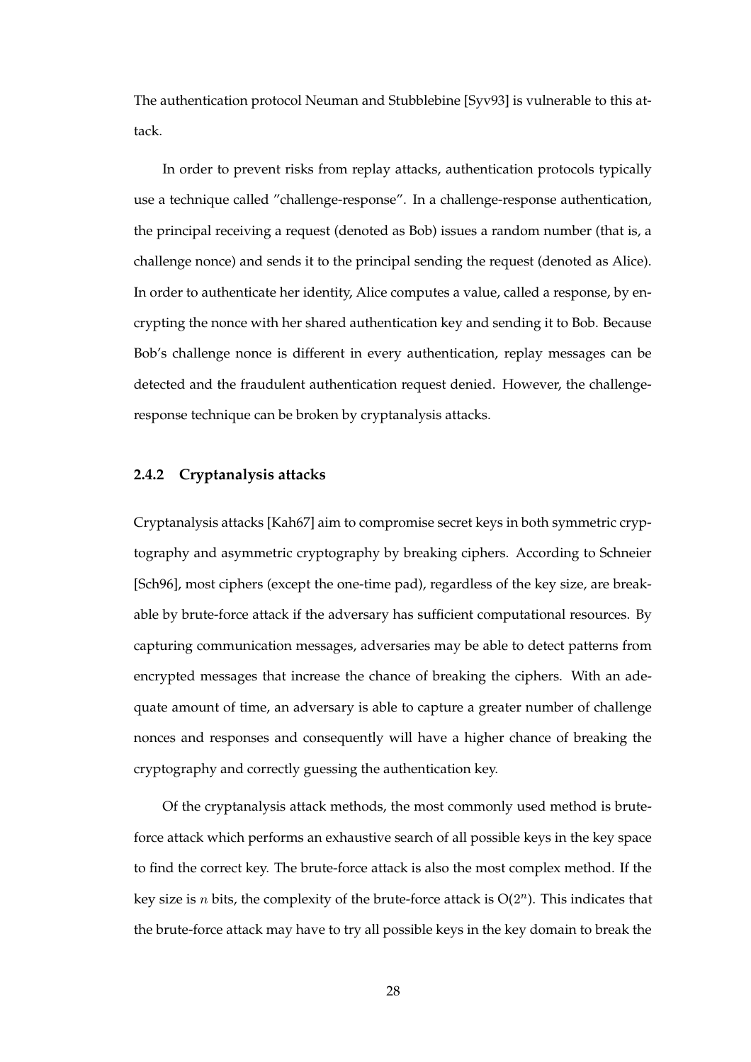The authentication protocol Neuman and Stubblebine [Syv93] is vulnerable to this attack.

In order to prevent risks from replay attacks, authentication protocols typically use a technique called "challenge-response". In a challenge-response authentication, the principal receiving a request (denoted as Bob) issues a random number (that is, a challenge nonce) and sends it to the principal sending the request (denoted as Alice). In order to authenticate her identity, Alice computes a value, called a response, by encrypting the nonce with her shared authentication key and sending it to Bob. Because Bob's challenge nonce is different in every authentication, replay messages can be detected and the fraudulent authentication request denied. However, the challengeresponse technique can be broken by cryptanalysis attacks.

#### **2.4.2 Cryptanalysis attacks**

Cryptanalysis attacks [Kah67] aim to compromise secret keys in both symmetric cryptography and asymmetric cryptography by breaking ciphers. According to Schneier [Sch96], most ciphers (except the one-time pad), regardless of the key size, are breakable by brute-force attack if the adversary has sufficient computational resources. By capturing communication messages, adversaries may be able to detect patterns from encrypted messages that increase the chance of breaking the ciphers. With an adequate amount of time, an adversary is able to capture a greater number of challenge nonces and responses and consequently will have a higher chance of breaking the cryptography and correctly guessing the authentication key.

Of the cryptanalysis attack methods, the most commonly used method is bruteforce attack which performs an exhaustive search of all possible keys in the key space to find the correct key. The brute-force attack is also the most complex method. If the key size is *n* bits, the complexity of the brute-force attack is  $O(2^n)$ . This indicates that the brute-force attack may have to try all possible keys in the key domain to break the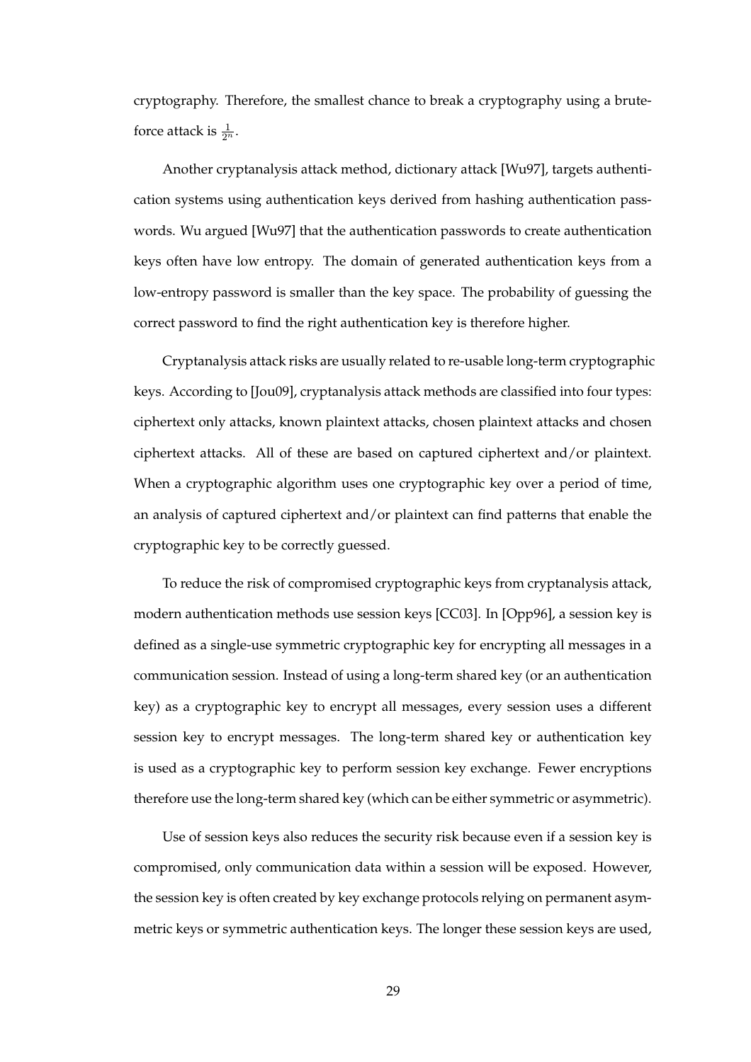cryptography. Therefore, the smallest chance to break a cryptography using a bruteforce attack is  $\frac{1}{2^n}$ .

Another cryptanalysis attack method, dictionary attack [Wu97], targets authentication systems using authentication keys derived from hashing authentication passwords. Wu argued [Wu97] that the authentication passwords to create authentication keys often have low entropy. The domain of generated authentication keys from a low-entropy password is smaller than the key space. The probability of guessing the correct password to find the right authentication key is therefore higher.

Cryptanalysis attack risks are usually related to re-usable long-term cryptographic keys. According to [Jou09], cryptanalysis attack methods are classified into four types: ciphertext only attacks, known plaintext attacks, chosen plaintext attacks and chosen ciphertext attacks. All of these are based on captured ciphertext and/or plaintext. When a cryptographic algorithm uses one cryptographic key over a period of time, an analysis of captured ciphertext and/or plaintext can find patterns that enable the cryptographic key to be correctly guessed.

To reduce the risk of compromised cryptographic keys from cryptanalysis attack, modern authentication methods use session keys [CC03]. In [Opp96], a session key is defined as a single-use symmetric cryptographic key for encrypting all messages in a communication session. Instead of using a long-term shared key (or an authentication key) as a cryptographic key to encrypt all messages, every session uses a different session key to encrypt messages. The long-term shared key or authentication key is used as a cryptographic key to perform session key exchange. Fewer encryptions therefore use the long-term shared key (which can be either symmetric or asymmetric).

Use of session keys also reduces the security risk because even if a session key is compromised, only communication data within a session will be exposed. However, the session key is often created by key exchange protocols relying on permanent asymmetric keys or symmetric authentication keys. The longer these session keys are used,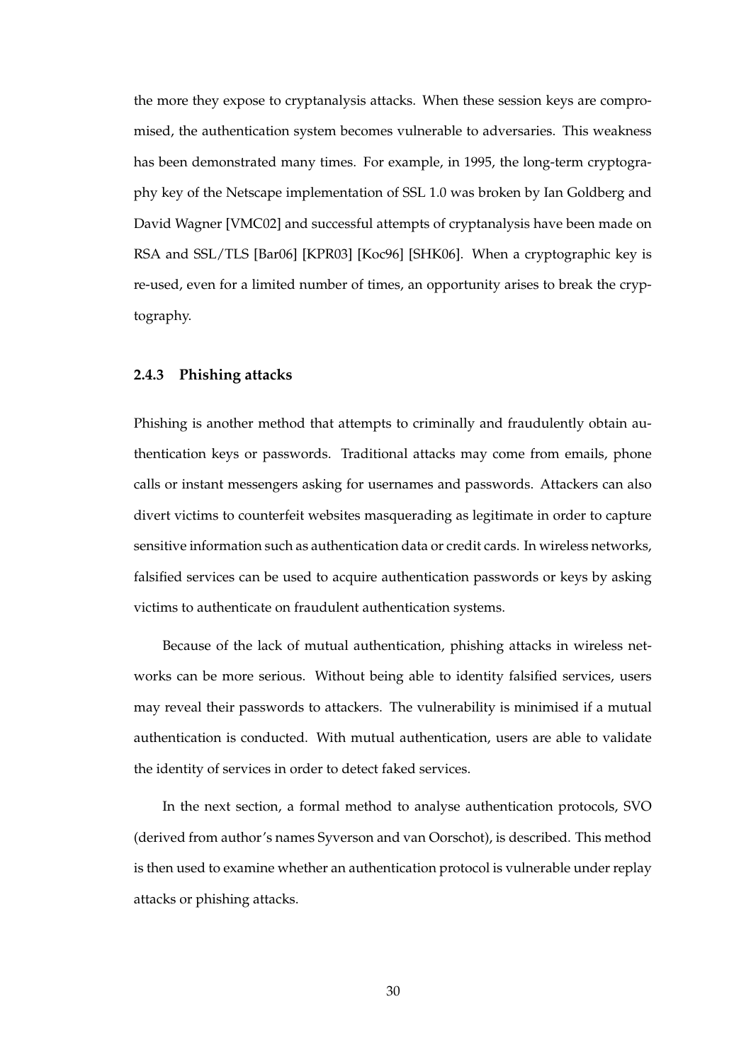the more they expose to cryptanalysis attacks. When these session keys are compromised, the authentication system becomes vulnerable to adversaries. This weakness has been demonstrated many times. For example, in 1995, the long-term cryptography key of the Netscape implementation of SSL 1.0 was broken by Ian Goldberg and David Wagner [VMC02] and successful attempts of cryptanalysis have been made on RSA and SSL/TLS [Bar06] [KPR03] [Koc96] [SHK06]. When a cryptographic key is re-used, even for a limited number of times, an opportunity arises to break the cryptography.

#### **2.4.3 Phishing attacks**

Phishing is another method that attempts to criminally and fraudulently obtain authentication keys or passwords. Traditional attacks may come from emails, phone calls or instant messengers asking for usernames and passwords. Attackers can also divert victims to counterfeit websites masquerading as legitimate in order to capture sensitive information such as authentication data or credit cards. In wireless networks, falsified services can be used to acquire authentication passwords or keys by asking victims to authenticate on fraudulent authentication systems.

Because of the lack of mutual authentication, phishing attacks in wireless networks can be more serious. Without being able to identity falsified services, users may reveal their passwords to attackers. The vulnerability is minimised if a mutual authentication is conducted. With mutual authentication, users are able to validate the identity of services in order to detect faked services.

In the next section, a formal method to analyse authentication protocols, SVO (derived from author's names Syverson and van Oorschot), is described. This method is then used to examine whether an authentication protocol is vulnerable under replay attacks or phishing attacks.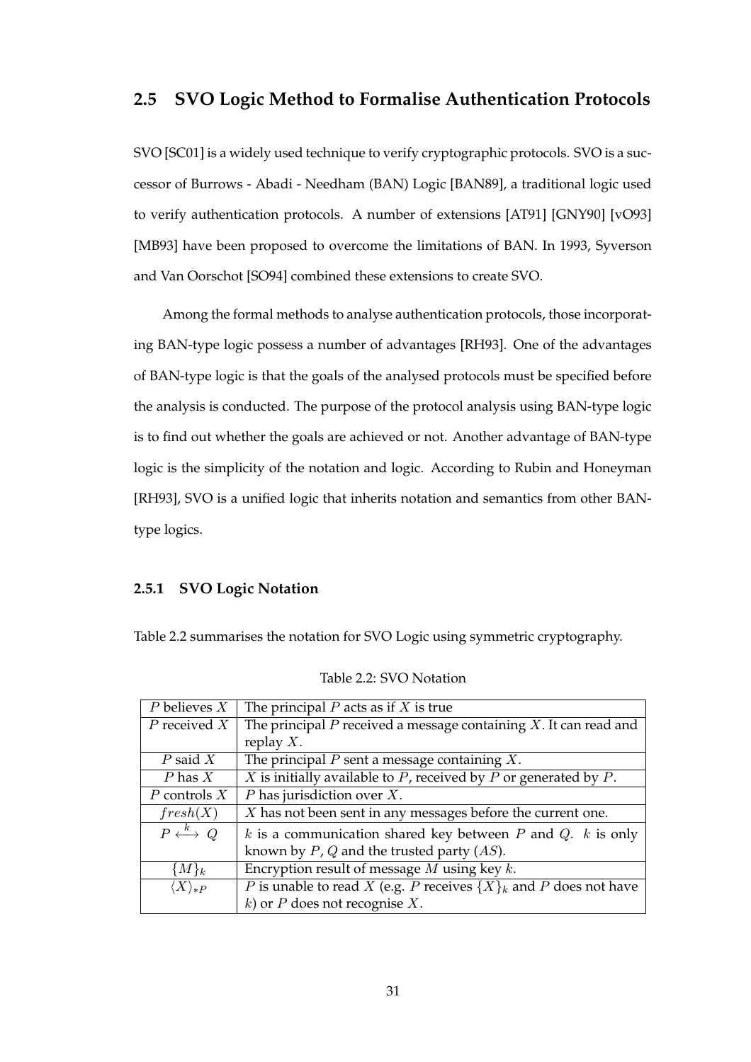# **2.5 SVO Logic Method to Formalise Authentication Protocols**

SVO [SC01] is a widely used technique to verify cryptographic protocols. SVO is a successor of Burrows - Abadi - Needham (BAN) Logic [BAN89], a traditional logic used to verify authentication protocols. A number of extensions [AT91] [GNY90] [vO93] [MB93] have been proposed to overcome the limitations of BAN. In 1993, Syverson and Van Oorschot [SO94] combined these extensions to create SVO.

Among the formal methods to analyse authentication protocols, those incorporating BAN-type logic possess a number of advantages [RH93]. One of the advantages of BAN-type logic is that the goals of the analysed protocols must be specified before the analysis is conducted. The purpose of the protocol analysis using BAN-type logic is to find out whether the goals are achieved or not. Another advantage of BAN-type logic is the simplicity of the notation and logic. According to Rubin and Honeyman [RH93], SVO is a unified logic that inherits notation and semantics from other BANtype logics.

# **2.5.1 SVO Logic Notation**

Table 2.2 summarises the notation for SVO Logic using symmetric cryptography.

| $P$ believes $X$                        | The principal $P$ acts as if $X$ is true                                                         |
|-----------------------------------------|--------------------------------------------------------------------------------------------------|
| $P$ received $X$                        | The principal $P$ received a message containing $X$ . It can read and                            |
|                                         | replay $X$ .                                                                                     |
| $P$ said $X$                            | The principal $P$ sent a message containing $X$ .                                                |
| $P$ has $X$                             | $X$ is initially available to $P$ , received by $P$ or generated by $P$ .                        |
| $P$ controls $X$                        | $P$ has jurisdiction over $X$ .                                                                  |
| fresh(X)                                | $X$ has not been sent in any messages before the current one.                                    |
| $P \stackrel{k}{\longleftrightarrow} Q$ | k is a communication shared key between $P$ and $Q$ . $k$ is only                                |
|                                         | known by $P$ , $Q$ and the trusted party $(AS)$ .                                                |
| ${M}_k$                                 | Encryption result of message $M$ using key $k$ .                                                 |
| $\langle X\rangle_{*P}$                 | <i>P</i> is unable to read <i>X</i> (e.g. <i>P</i> receives $\{X\}_k$ and <i>P</i> does not have |
|                                         | k) or $P$ does not recognise $X$ .                                                               |

Table 2.2: SVO Notation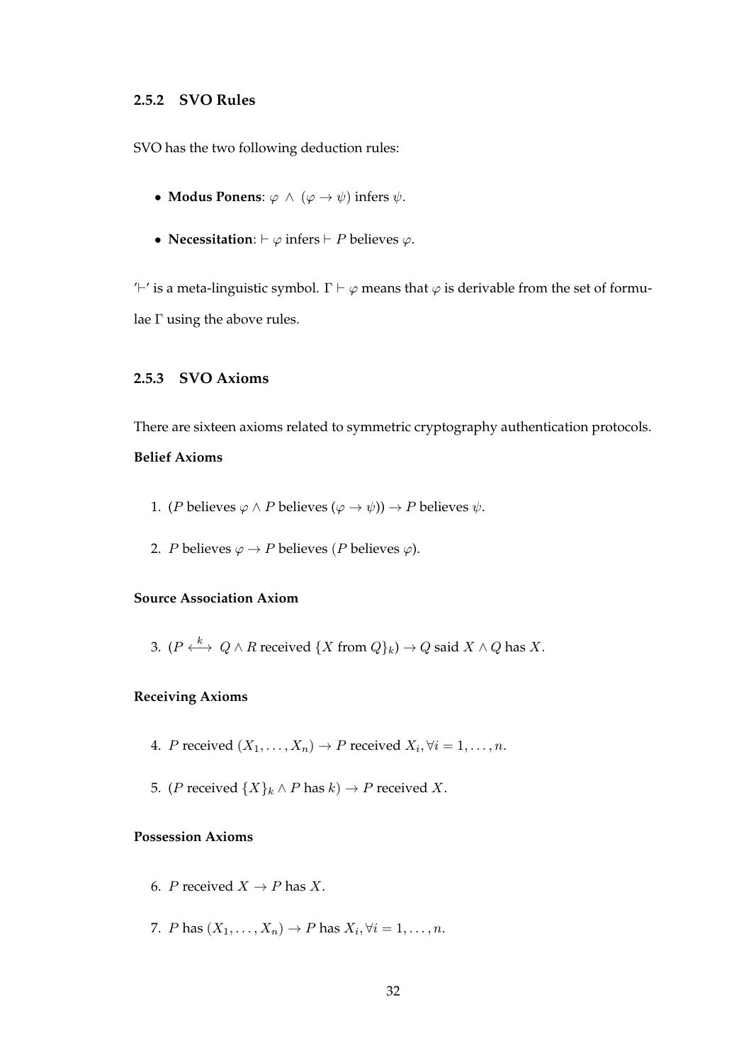#### **2.5.2 SVO Rules**

SVO has the two following deduction rules:

- **Modus Ponens**:  $\varphi \land (\varphi \rightarrow \psi)$  infers  $\psi$ .
- **Necessitation**:  $\vdash \varphi$  infers  $\vdash P$  believes  $\varphi$ .

'<sup> $\vdash'$ </sup> is a meta-linguistic symbol.  $\Gamma \vdash \varphi$  means that  $\varphi$  is derivable from the set of formulae  $\Gamma$  using the above rules.

# **2.5.3 SVO Axioms**

There are sixteen axioms related to symmetric cryptography authentication protocols.

#### **Belief Axioms**

- 1. (*P* believes  $\varphi \wedge P$  believes  $(\varphi \rightarrow \psi) \rightarrow P$  believes  $\psi$ .
- 2. *P* believes  $\varphi \rightarrow P$  believes (*P* believes  $\varphi$ ).

#### **Source Association Axiom**

3.  $(P \stackrel{k}{\longleftrightarrow} Q \wedge R$  received  $\{X \text{ from } Q\}_k) \to Q$  said  $X \wedge Q$  has  $X$ .

#### **Receiving Axioms**

- 4. *P* received  $(X_1, \ldots, X_n) \rightarrow P$  received  $X_i, \forall i = 1, \ldots, n$ .
- 5. (*P* received  $\{X\}_k \wedge P$  has  $k) \rightarrow P$  received X.

#### **Possession Axioms**

- 6. *P* received  $X \rightarrow P$  has *X*.
- 7. *P* has  $(X_1, \ldots, X_n) \to P$  has  $X_i, \forall i = 1, \ldots, n$ .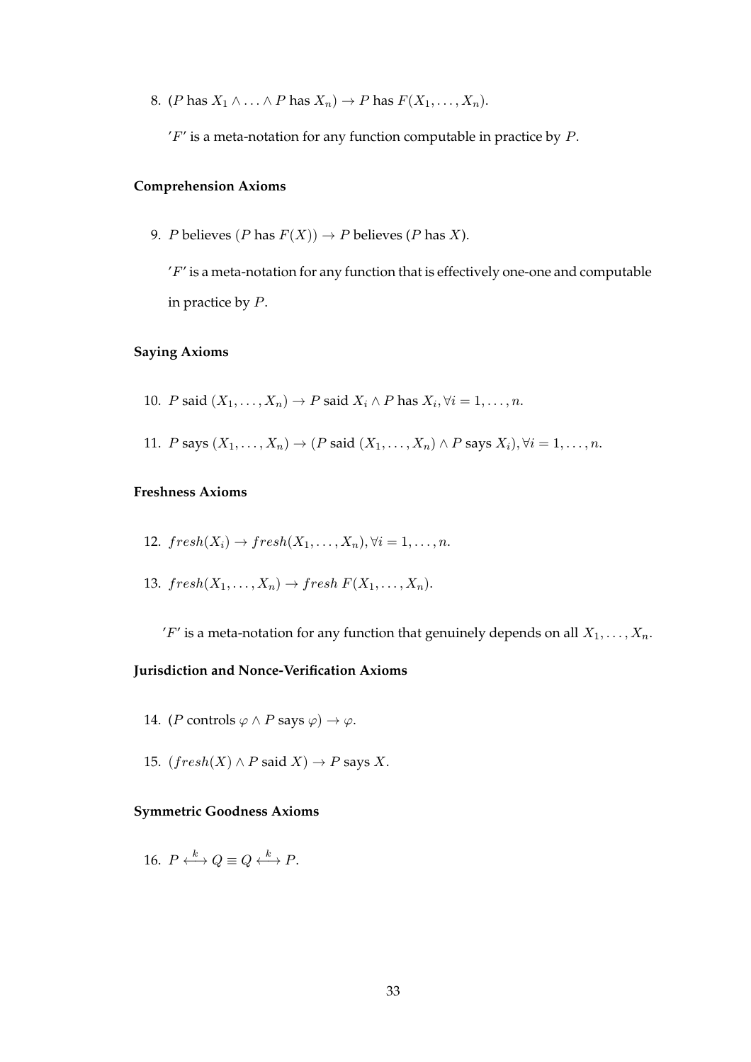8. (*P* has  $X_1 \wedge \ldots \wedge P$  has  $X_n$ )  $\rightarrow$  *P* has  $F(X_1, \ldots, X_n)$ .

 $'F'$  is a meta-notation for any function computable in practice by  $P$ .

### **Comprehension Axioms**

9. *P* believes  $(P \text{ has } F(X)) \rightarrow P$  believes  $(P \text{ has } X)$ .

 $'F'$  is a meta-notation for any function that is effectively one-one and computable in practice by  $P$ .

### **Saying Axioms**

- 10. *P* said  $(X_1, \ldots, X_n) \to P$  said  $X_i \wedge P$  has  $X_i, \forall i = 1, \ldots, n$ .
- 11. P says  $(X_1, \ldots, X_n) \rightarrow (P \text{ said } (X_1, \ldots, X_n) \land P \text{ says } X_i), \forall i = 1, \ldots, n.$

#### **Freshness Axioms**

12. 
$$
fresh(X_i) \rightarrow fresh(X_1, \ldots, X_n), \forall i = 1, \ldots, n.
$$

13.  $fresh(X_1, \ldots, X_n) \rightarrow fresh\ F(X_1, \ldots, X_n).$ 

'F' is a meta-notation for any function that genuinely depends on all  $X_1, \ldots, X_n$ .

# **Jurisdiction and Nonce-Verification Axioms**

- 14. (P controls  $\varphi \wedge P$  says  $\varphi$ )  $\rightarrow \varphi$ .
- 15.  $(fresh(X) \wedge P$  said  $X) \rightarrow P$  says X.

#### **Symmetric Goodness Axioms**

16.  $P \stackrel{k}{\longleftrightarrow} Q \equiv Q \stackrel{k}{\longleftrightarrow} P$ .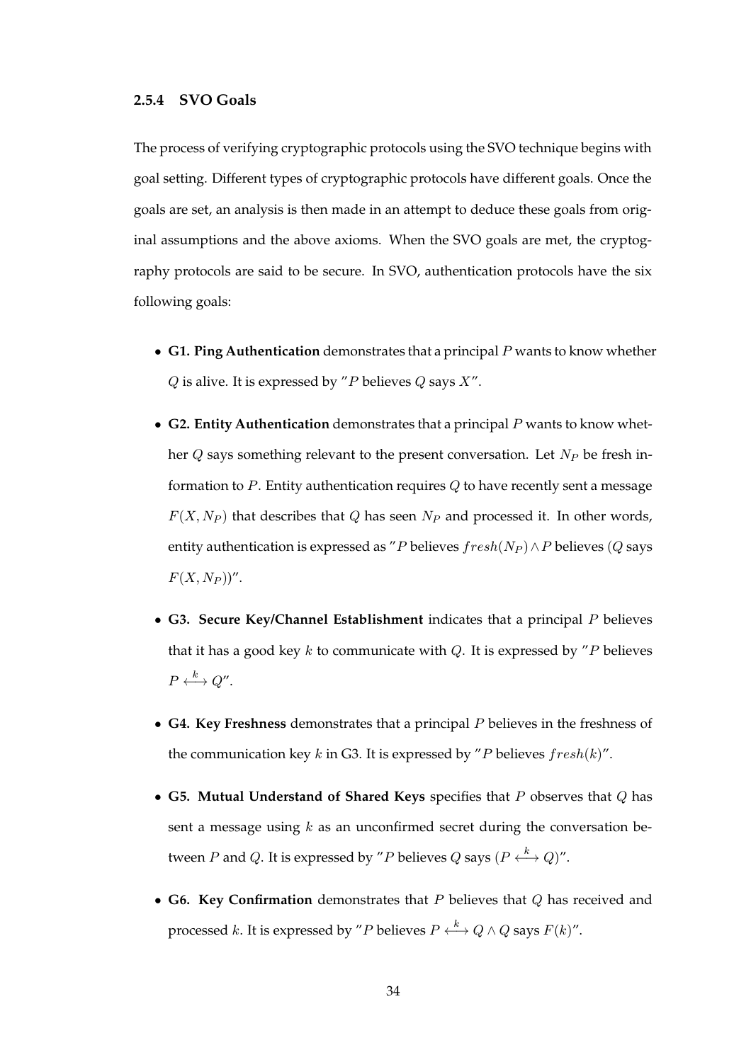#### **2.5.4 SVO Goals**

The process of verifying cryptographic protocols using the SVO technique begins with goal setting. Different types of cryptographic protocols have different goals. Once the goals are set, an analysis is then made in an attempt to deduce these goals from original assumptions and the above axioms. When the SVO goals are met, the cryptography protocols are said to be secure. In SVO, authentication protocols have the six following goals:

- **G1. Ping Authentication** demonstrates that a principal P wants to know whether  $Q$  is alive. It is expressed by "P believes  $Q$  says  $X$ ".
- **G2. Entity Authentication** demonstrates that a principal P wants to know whether  $Q$  says something relevant to the present conversation. Let  $N_P$  be fresh information to  $P$ . Entity authentication requires  $Q$  to have recently sent a message  $F(X, N_P)$  that describes that Q has seen  $N_P$  and processed it. In other words, entity authentication is expressed as "P believes  ${\text{}freeh(N_P) \wedge P}$  believes (Q says  $F(X, N_P)$ ".
- **G3. Secure Key/Channel Establishment** indicates that a principal P believes that it has a good key k to communicate with  $Q$ . It is expressed by "P believes"  $P \stackrel{k}{\longleftrightarrow} Q''.$
- **G4. Key Freshness** demonstrates that a principal P believes in the freshness of the communication key k in G3. It is expressed by "P believes  ${\text{free}} h(k)$ ".
- **G5. Mutual Understand of Shared Keys** specifies that P observes that Q has sent a message using  $k$  as an unconfirmed secret during the conversation between  $P$  and  $Q$ . It is expressed by " $P$  believes  $Q$  says  $(P \stackrel{k}{\longleftrightarrow} Q)$ ".
- **G6. Key Confirmation** demonstrates that P believes that Q has received and processed k. It is expressed by "P believes  $P \stackrel{k}{\longleftrightarrow} Q \land Q$  says  $F(k)$ ".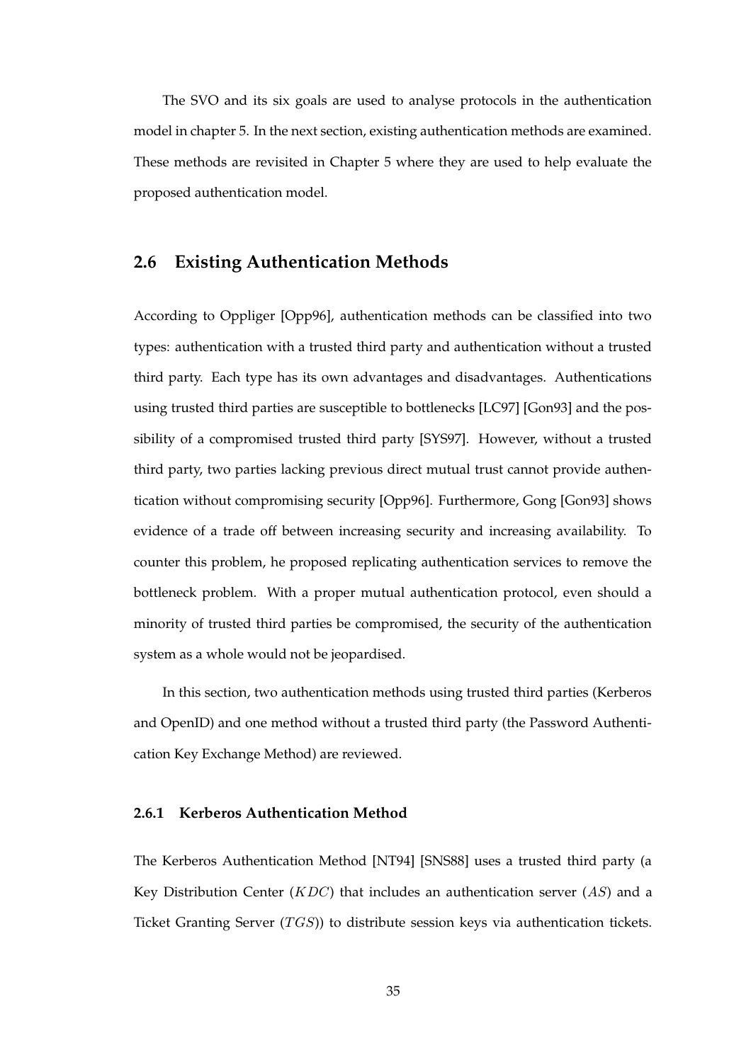The SVO and its six goals are used to analyse protocols in the authentication model in chapter 5. In the next section, existing authentication methods are examined. These methods are revisited in Chapter 5 where they are used to help evaluate the proposed authentication model.

# **2.6 Existing Authentication Methods**

According to Oppliger [Opp96], authentication methods can be classified into two types: authentication with a trusted third party and authentication without a trusted third party. Each type has its own advantages and disadvantages. Authentications using trusted third parties are susceptible to bottlenecks [LC97] [Gon93] and the possibility of a compromised trusted third party [SYS97]. However, without a trusted third party, two parties lacking previous direct mutual trust cannot provide authentication without compromising security [Opp96]. Furthermore, Gong [Gon93] shows evidence of a trade off between increasing security and increasing availability. To counter this problem, he proposed replicating authentication services to remove the bottleneck problem. With a proper mutual authentication protocol, even should a minority of trusted third parties be compromised, the security of the authentication system as a whole would not be jeopardised.

In this section, two authentication methods using trusted third parties (Kerberos and OpenID) and one method without a trusted third party (the Password Authentication Key Exchange Method) are reviewed.

#### **2.6.1 Kerberos Authentication Method**

The Kerberos Authentication Method [NT94] [SNS88] uses a trusted third party (a Key Distribution Center (*KDC*) that includes an authentication server (*AS*) and a Ticket Granting Server  $(TGS)$ ) to distribute session keys via authentication tickets.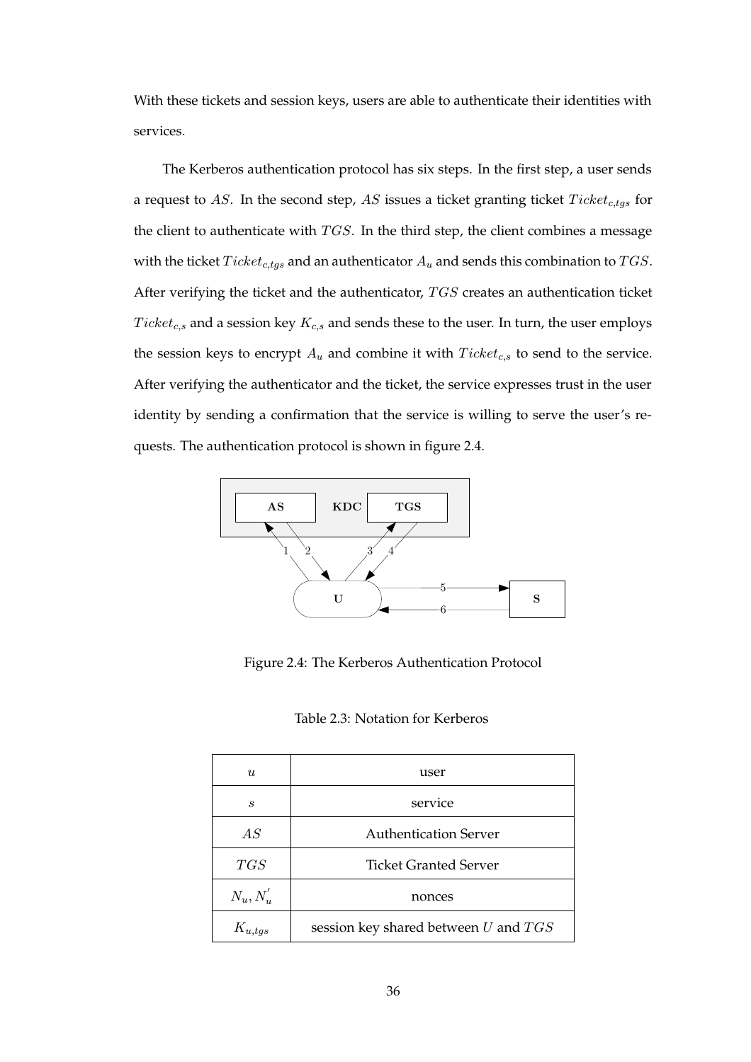With these tickets and session keys, users are able to authenticate their identities with services.

The Kerberos authentication protocol has six steps. In the first step, a user sends a request to AS. In the second step, AS issues a ticket granting ticket  $Ticket_{c,tag}$  for the client to authenticate with  $TGS$ . In the third step, the client combines a message with the ticket  $Ticket_{c,tgs}$  and an authenticator  $A_u$  and sends this combination to  $TGS$ . After verifying the ticket and the authenticator,  $TGS$  creates an authentication ticket  $Ticket_{c,s}$  and a session key  $K_{c,s}$  and sends these to the user. In turn, the user employs the session keys to encrypt  $A_u$  and combine it with  $Ticket_{c,s}$  to send to the service. After verifying the authenticator and the ticket, the service expresses trust in the user identity by sending a confirmation that the service is willing to serve the user's requests. The authentication protocol is shown in figure 2.4.



Figure 2.4: The Kerberos Authentication Protocol

| $\boldsymbol{u}$  | user                                     |  |  |  |  |
|-------------------|------------------------------------------|--|--|--|--|
| $\mathcal{S}_{0}$ | service                                  |  |  |  |  |
| AS                | <b>Authentication Server</b>             |  |  |  |  |
| TGS               | <b>Ticket Granted Server</b>             |  |  |  |  |
| $N_u, N'_u$       | nonces                                   |  |  |  |  |
| $K_{u,tgs}$       | session key shared between $U$ and $TGS$ |  |  |  |  |

#### Table 2.3: Notation for Kerberos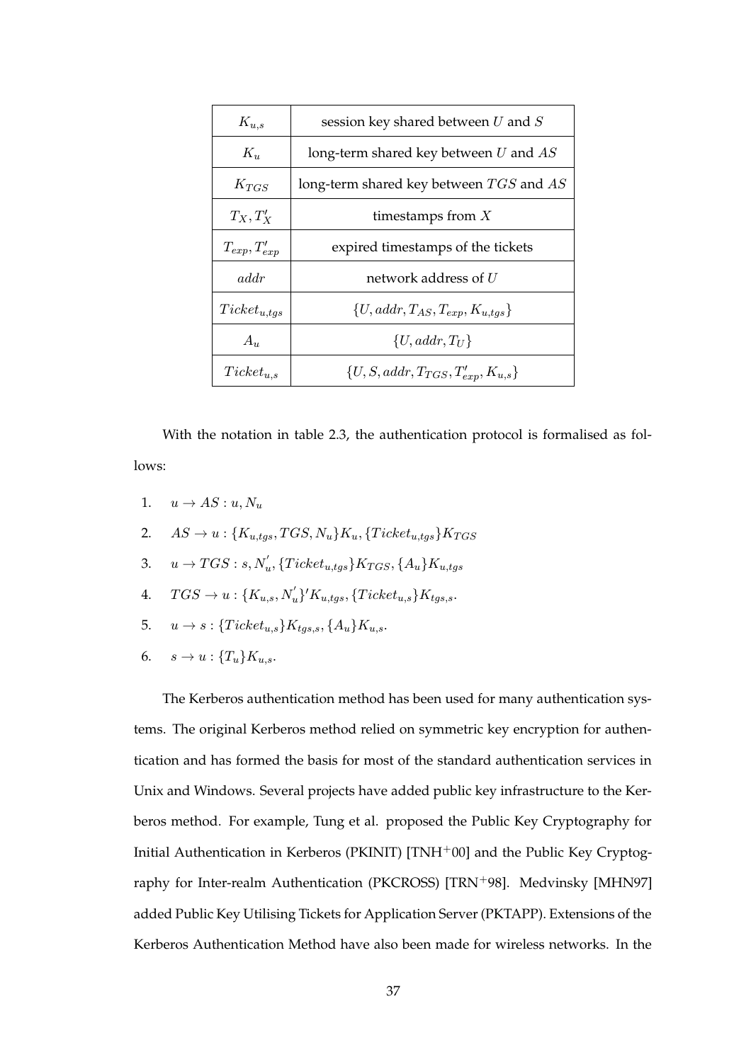| $K_{u,s}$           | session key shared between $U$ and $S$        |  |  |  |  |  |
|---------------------|-----------------------------------------------|--|--|--|--|--|
| $K_u$               | long-term shared key between $U$ and $AS$     |  |  |  |  |  |
| $K_{TGS}$           | long-term shared key between $TGS$ and $AS$   |  |  |  |  |  |
| $T_X, T'_X$         | timestamps from $X$                           |  |  |  |  |  |
| $T_{exp}, T'_{exp}$ | expired timestamps of the tickets             |  |  |  |  |  |
| addr                | network address of $U$                        |  |  |  |  |  |
| $Ticket_{u,tgs}$    | $\{U, addr, T_{AS}, T_{exp}, K_{u, tags}\}\$  |  |  |  |  |  |
| $A_u$               | $\{U, addr, T_U\}$                            |  |  |  |  |  |
| $Ticket_{u,s}$      | $\{U, S, addr, T_{TGS}, T'_{exp}, K_{u,s}\}\$ |  |  |  |  |  |

With the notation in table 2.3, the authentication protocol is formalised as follows:

- 1.  $u \rightarrow AS : u, N_u$
- 2.  $AS \rightarrow u$  :  $\{K_{u, tas}, TGS, N_u\}K_u, \{Ticket_{u,tas}\}K_{TGS}$
- 3.  $u \rightarrow TGS$ : s,  $N'_u$ , {Ticket<sub>u,tgs</sub>}K<sub>TGS</sub>, {A<sub>u</sub>}K<sub>u,tgs</sub>
- 4.  $TGS \rightarrow u: \{K_{u,s}, N'_u\}''K_{u,tgs}, \{Ticket_{u,s}\}K_{tgs,s}.$
- 5.  $u \to s : \{Ticket_{u.s}\}_{K_{tas,s}}, \{A_u\}_{K_{u.s}}.$
- 6.  $s \to u : \{T_u\} K_{u,s}.$

The Kerberos authentication method has been used for many authentication systems. The original Kerberos method relied on symmetric key encryption for authentication and has formed the basis for most of the standard authentication services in Unix and Windows. Several projects have added public key infrastructure to the Kerberos method. For example, Tung et al. proposed the Public Key Cryptography for Initial Authentication in Kerberos (PKINIT) [TNH+00] and the Public Key Cryptography for Inter-realm Authentication (PKCROSS) [TRN+98]. Medvinsky [MHN97] added Public Key Utilising Tickets for Application Server (PKTAPP). Extensions of the Kerberos Authentication Method have also been made for wireless networks. In the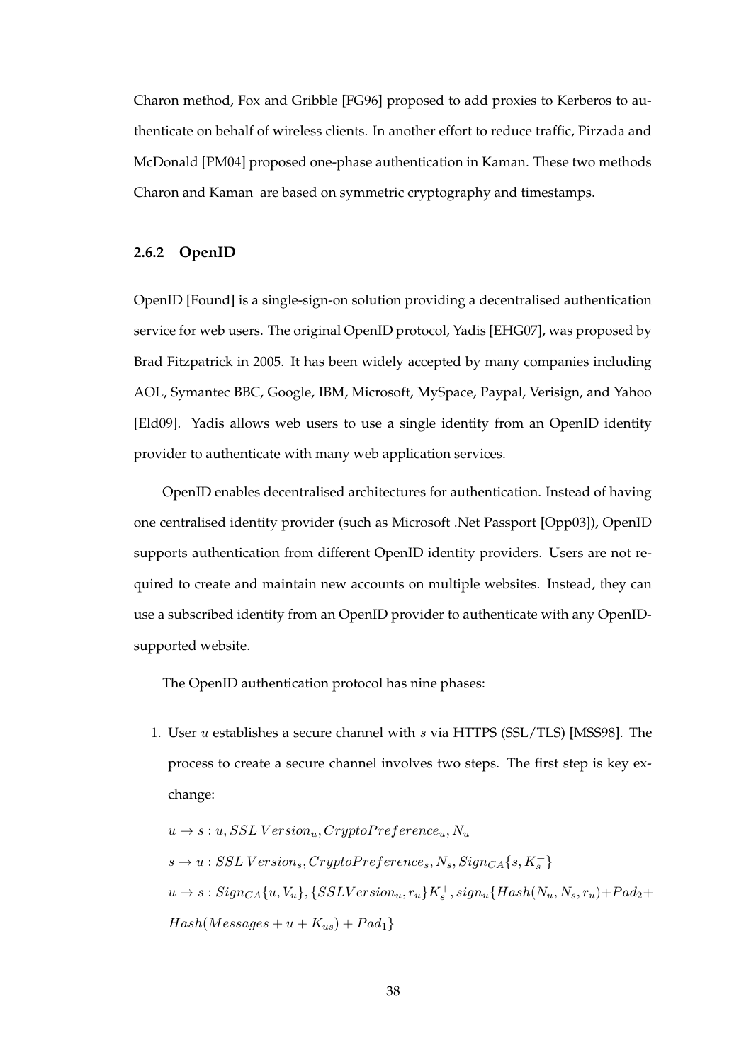Charon method, Fox and Gribble [FG96] proposed to add proxies to Kerberos to authenticate on behalf of wireless clients. In another effort to reduce traffic, Pirzada and McDonald [PM04] proposed one-phase authentication in Kaman. These two methods Charon and Kaman are based on symmetric cryptography and timestamps.

#### **2.6.2 OpenID**

OpenID [Found] is a single-sign-on solution providing a decentralised authentication service for web users. The original OpenID protocol, Yadis [EHG07], was proposed by Brad Fitzpatrick in 2005. It has been widely accepted by many companies including AOL, Symantec BBC, Google, IBM, Microsoft, MySpace, Paypal, Verisign, and Yahoo [Eld09]. Yadis allows web users to use a single identity from an OpenID identity provider to authenticate with many web application services.

OpenID enables decentralised architectures for authentication. Instead of having one centralised identity provider (such as Microsoft .Net Passport [Opp03]), OpenID supports authentication from different OpenID identity providers. Users are not required to create and maintain new accounts on multiple websites. Instead, they can use a subscribed identity from an OpenID provider to authenticate with any OpenIDsupported website.

The OpenID authentication protocol has nine phases:

1. User u establishes a secure channel with  $s$  via HTTPS (SSL/TLS) [MSS98]. The process to create a secure channel involves two steps. The first step is key exchange:

$$
u \rightarrow s: u, SSL\ Version_u, Crypto Preference_u, N_u
$$
  
\n
$$
s \rightarrow u: SSL\ Version_s, Crypto Preference_s, N_s, Sign_{CA}\{s, K_s^+\}
$$
  
\n
$$
u \rightarrow s: Sign_{CA}\{u, V_u\}, \{SSLVersion_u, r_u\}K_s^+, sign_u\{Hash(N_u, N_s, r_u) + Pad_2 +
$$
  
\n
$$
Hash(Mesages + u + K_{us}) + Pad_1\}
$$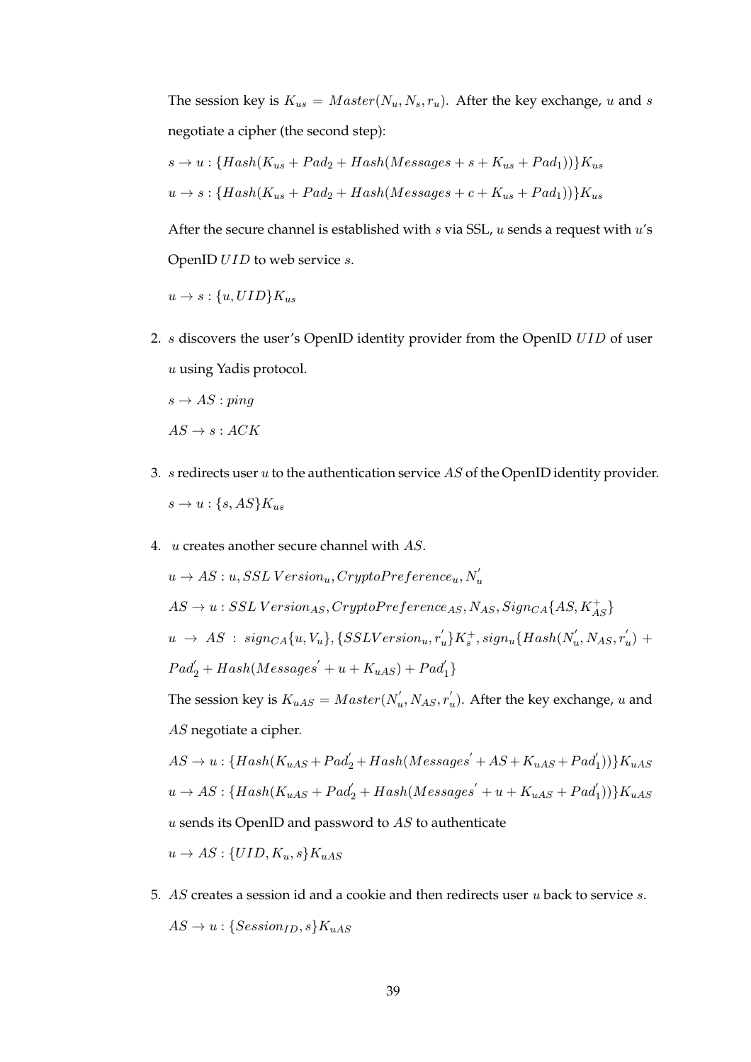The session key is  $K_{us} = Master(N_u, N_s, r_u)$ . After the key exchange, u and s negotiate a cipher (the second step):

$$
s \rightarrow u : \{Hash(K_{us} + Pad_2 + Hash(Messages + s + K_{us} + Pad_1))\}K_{us}
$$

$$
u \rightarrow s : \{Hash(K_{us} + Pad_2 + Hash(Messages + c + K_{us} + Pad_1))\}K_{us}
$$

After the secure channel is established with  $s$  via SSL,  $u$  sends a request with  $u$ 's OpenID UID to web service s.

$$
u \to s : \{u, UID\} K_{us}
$$

- 2. s discovers the user's OpenID identity provider from the OpenID UID of user u using Yadis protocol.
	- $s \rightarrow AS:ping$  $AS \rightarrow s : ACK$
- 3.  $s$  redirects user  $u$  to the authentication service  $AS$  of the OpenID identity provider.  $s \rightarrow u : \{s, AS\}K_{us}$
- 4. u creates another secure channel with AS.

$$
u \rightarrow AS: u, SSL Version_u, Crypto Preference_u, N'_u
$$
  
\n
$$
AS \rightarrow u: SSL Version_{AS}, Crypto Preference_{AS}, N_{AS}, Sign_{CA}{AS, K^+_{AS}}
$$
  
\n
$$
u \rightarrow AS: sign_{CA}{u, V_u}, \{SSLVersion_u, r'_u\}K^+_s, sign_u\{Hash(N'_u, N_{AS}, r'_u) +
$$
  
\n
$$
Pad'_2 + Hash(Messages' + u + K_{uAS}) + Pad'_1\}
$$
  
\nThe session key is  $K_{uAS} = Master(N'_u, N_{AS}, r'_u)$ . After the key exchange, u and  
\n
$$
AS \text{ negotiate a cipher.}
$$
  
\n
$$
AS \rightarrow u: \{Hash(K_{uAS} + Pad'_2 + Hash(Messages' + AS + K_{uAS} + Pad'_1))\}K_{uAS}
$$

$$
AS \rightarrow u: \{Hash(K_{uAS} + Pad_2' + Hash(Messages' + AS + K_{uAS} + Pad_1'))\}K_{uAS}
$$

$$
u \rightarrow AS: \{Hash(K_{uAS} + Pad_2' + Hash(Messages' + u + K_{uAS} + Pad_1'))\}K_{uAS}
$$

$$
u \text{ sends its OpenID and password to } AS \text{ to authenticate}
$$

$$
u \to AS: \{UID, K_u, s\}K_{uAS}
$$

5.  $AS$  creates a session id and a cookie and then redirects user  $u$  back to service  $s$ .  $AS \rightarrow u : \{Session_{ID}, s\}K_{uAS}$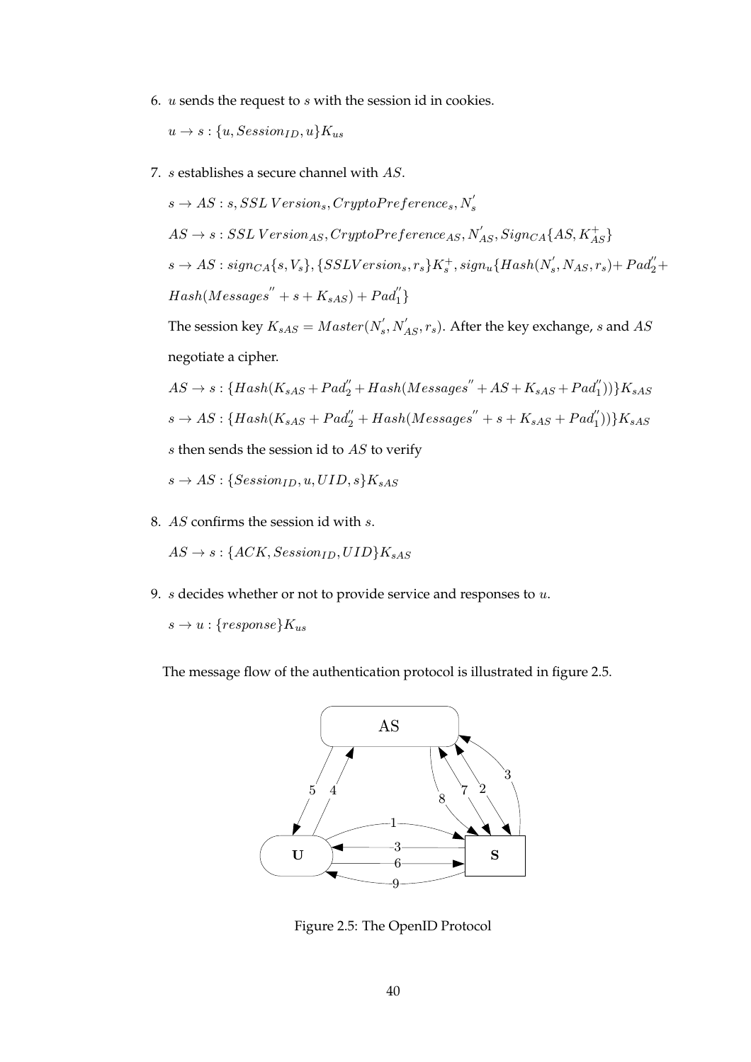6.  $u$  sends the request to  $s$  with the session id in cookies.

 $u \rightarrow s : \{u, Session_{ID}, u\}$ K<sub>us</sub>

7. s establishes a secure channel with AS.

 $s \rightarrow AS : s, SSL \: Version_s, Crypto Preference_s, N_s'$  $AS \rightarrow s : SSL \ Version_{AS}, Crypto Preference_{AS}, N'_{AS}, Sign_{CA}\{AS, K^+_{AS}\}$  $s \rightarrow AS: sign_{CA}\{s,V_s\}, \{SSLVersion_s, r_s\}K_s^+, sign_u\{Hash(N^{'}_{s}, N_{AS}, r_{s}) + Pad^{''}_{2} +$  $Hash(Messages'' + s + K_{sAS}) + Pad_{1}'\}$ The session key  $K_{sAS} = Master(N^{'}_{s}, N^{'}_{AS}, r_s)$ . After the key exchange, s and  $AS$ negotiate a cipher.  $AS \rightarrow s: \{Hash(K_{sAS}+Pad_{2}'' + Hash(Messages'' + AS + K_{sAS} + Pad_{1}''))\}K_{sAS}$  $s \rightarrow AS: \{Hash(K_{sAS}+Pad_2'' + Hash(Messages'' + s + K_{sAS} + Pad_1''))\}K_{sAS}$  $s$  then sends the session id to  $AS$  to verify

- 
- $s \to AS : \{Session_{ID}, u, UID, s\}K_{sAS}$
- 8. AS confirms the session id with s.

 $AS \rightarrow s : \{ACK, Session_{ID}, UID\}$ K<sub>sAS</sub>

9. s decides whether or not to provide service and responses to  $u$ .

 $s \rightarrow u : \{response\}K_{us}$ 

The message flow of the authentication protocol is illustrated in figure 2.5.



Figure 2.5: The OpenID Protocol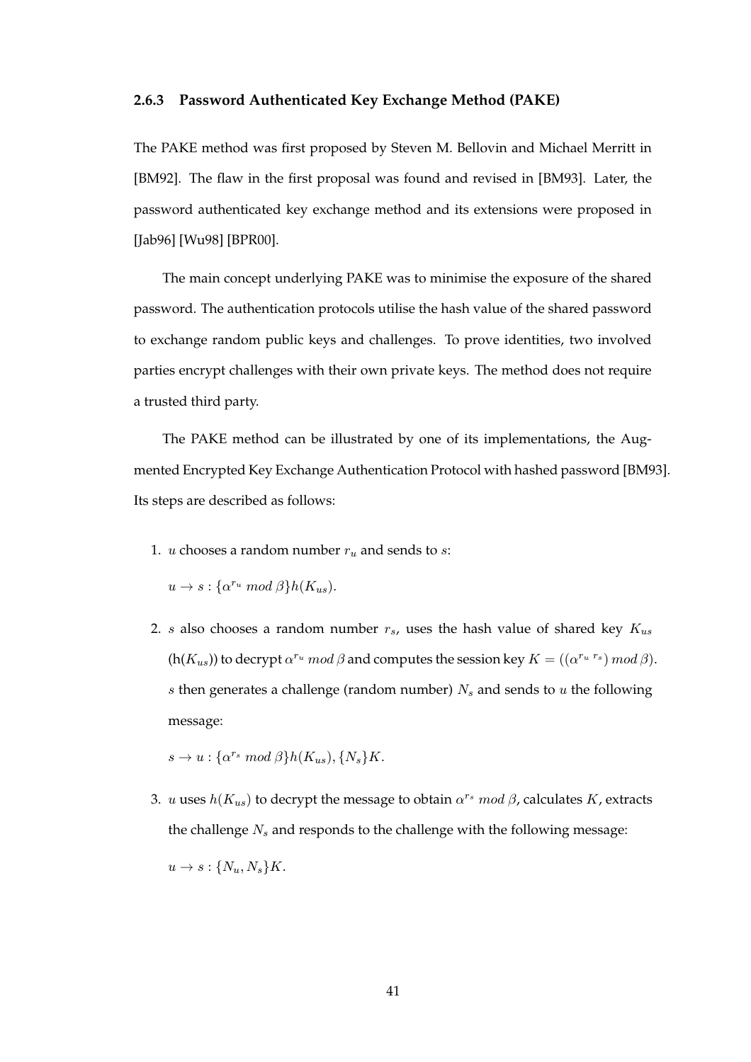#### **2.6.3 Password Authenticated Key Exchange Method (PAKE)**

The PAKE method was first proposed by Steven M. Bellovin and Michael Merritt in [BM92]. The flaw in the first proposal was found and revised in [BM93]. Later, the password authenticated key exchange method and its extensions were proposed in [Jab96] [Wu98] [BPR00].

The main concept underlying PAKE was to minimise the exposure of the shared password. The authentication protocols utilise the hash value of the shared password to exchange random public keys and challenges. To prove identities, two involved parties encrypt challenges with their own private keys. The method does not require a trusted third party.

The PAKE method can be illustrated by one of its implementations, the Augmented Encrypted Key Exchange Authentication Protocol with hashed password [BM93]. Its steps are described as follows:

1. *u* chooses a random number  $r_u$  and sends to *s*:

 $u \to s : \{ \alpha^{r_u} \mod \beta \} h(K_{us}).$ 

2. s also chooses a random number  $r_s$ , uses the hash value of shared key  $K_{us}$  $(h(K_{us}))$  to decrypt  $\alpha^{r_u} \mod \beta$  and computes the session key  $K = ((\alpha^{r_u r_s}) \mod \beta)$ .  $s$  then generates a challenge (random number)  $N_s$  and sends to  $u$  the following message:

$$
s \to u : \{\alpha^{r_s} \mod \beta\} h(K_{us}), \{N_s\} K.
$$

3. u uses  $h(K_{us})$  to decrypt the message to obtain  $\alpha^{r_s}$  mod  $\beta$ , calculates K, extracts the challenge  $N_s$  and responds to the challenge with the following message:  $u \rightarrow s : \{N_u, N_s\}$ K.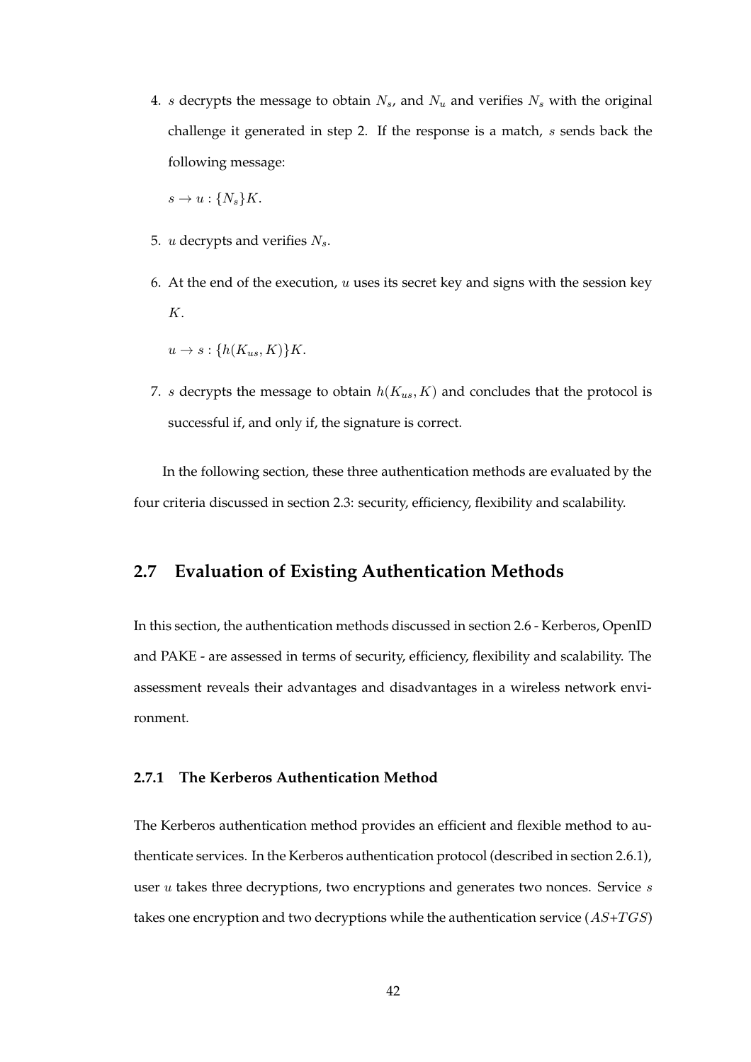4. s decrypts the message to obtain  $N_s$ , and  $N_u$  and verifies  $N_s$  with the original challenge it generated in step 2. If the response is a match, s sends back the following message:

 $s \to u : \{N_s\}$ K.

- 5. *u* decrypts and verifies  $N_s$ .
- 6. At the end of the execution,  $u$  uses its secret key and signs with the session key K.

 $u \to s : \{h(K_{us}, K)\}$ K.

7. s decrypts the message to obtain  $h(K_{us}, K)$  and concludes that the protocol is successful if, and only if, the signature is correct.

In the following section, these three authentication methods are evaluated by the four criteria discussed in section 2.3: security, efficiency, flexibility and scalability.

# **2.7 Evaluation of Existing Authentication Methods**

In this section, the authentication methods discussed in section 2.6 - Kerberos, OpenID and PAKE - are assessed in terms of security, efficiency, flexibility and scalability. The assessment reveals their advantages and disadvantages in a wireless network environment.

#### **2.7.1 The Kerberos Authentication Method**

The Kerberos authentication method provides an efficient and flexible method to authenticate services. In the Kerberos authentication protocol (described in section 2.6.1), user  $u$  takes three decryptions, two encryptions and generates two nonces. Service  $s$ takes one encryption and two decryptions while the authentication service  $(AS+TGS)$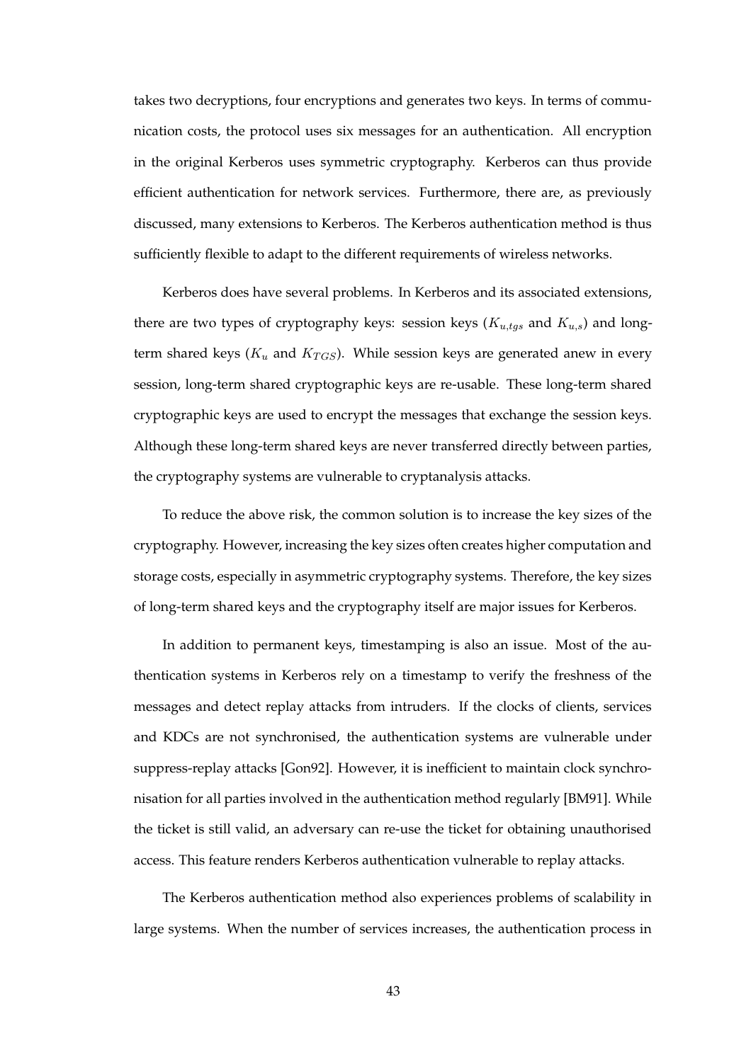takes two decryptions, four encryptions and generates two keys. In terms of communication costs, the protocol uses six messages for an authentication. All encryption in the original Kerberos uses symmetric cryptography. Kerberos can thus provide efficient authentication for network services. Furthermore, there are, as previously discussed, many extensions to Kerberos. The Kerberos authentication method is thus sufficiently flexible to adapt to the different requirements of wireless networks.

Kerberos does have several problems. In Kerberos and its associated extensions, there are two types of cryptography keys: session keys ( $K_{u,tgs}$  and  $K_{u,s}$ ) and longterm shared keys ( $K_u$  and  $K_{TGS}$ ). While session keys are generated anew in every session, long-term shared cryptographic keys are re-usable. These long-term shared cryptographic keys are used to encrypt the messages that exchange the session keys. Although these long-term shared keys are never transferred directly between parties, the cryptography systems are vulnerable to cryptanalysis attacks.

To reduce the above risk, the common solution is to increase the key sizes of the cryptography. However, increasing the key sizes often creates higher computation and storage costs, especially in asymmetric cryptography systems. Therefore, the key sizes of long-term shared keys and the cryptography itself are major issues for Kerberos.

In addition to permanent keys, timestamping is also an issue. Most of the authentication systems in Kerberos rely on a timestamp to verify the freshness of the messages and detect replay attacks from intruders. If the clocks of clients, services and KDCs are not synchronised, the authentication systems are vulnerable under suppress-replay attacks [Gon92]. However, it is inefficient to maintain clock synchronisation for all parties involved in the authentication method regularly [BM91]. While the ticket is still valid, an adversary can re-use the ticket for obtaining unauthorised access. This feature renders Kerberos authentication vulnerable to replay attacks.

The Kerberos authentication method also experiences problems of scalability in large systems. When the number of services increases, the authentication process in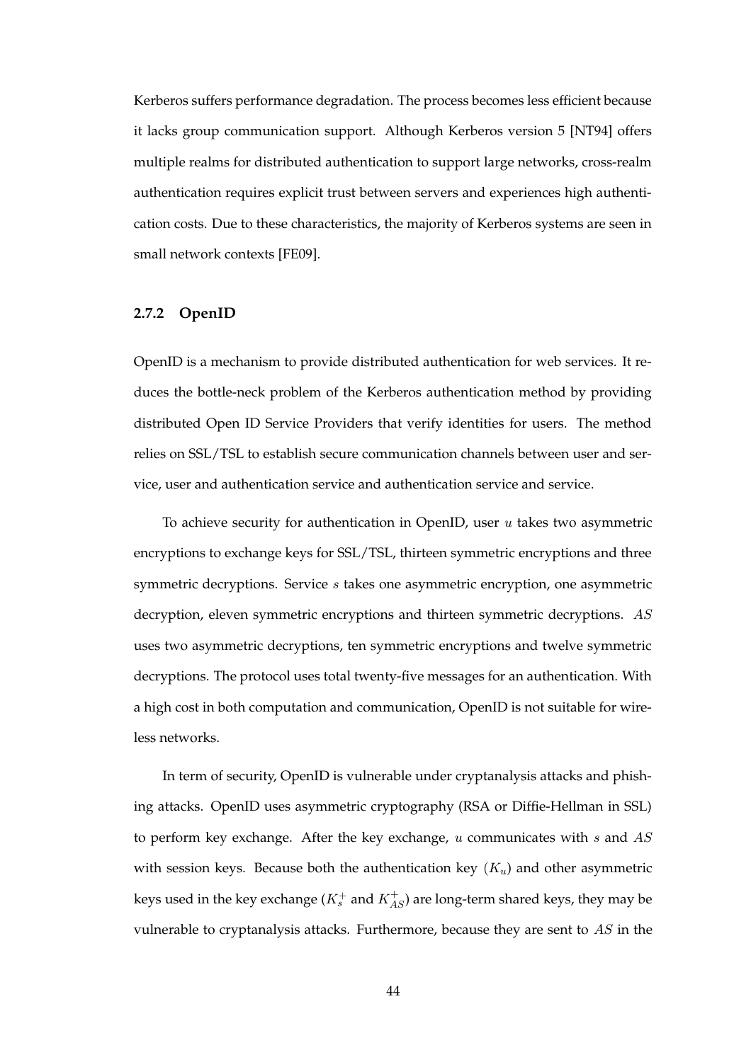Kerberos suffers performance degradation. The process becomes less efficient because it lacks group communication support. Although Kerberos version 5 [NT94] offers multiple realms for distributed authentication to support large networks, cross-realm authentication requires explicit trust between servers and experiences high authentication costs. Due to these characteristics, the majority of Kerberos systems are seen in small network contexts [FE09].

#### **2.7.2 OpenID**

OpenID is a mechanism to provide distributed authentication for web services. It reduces the bottle-neck problem of the Kerberos authentication method by providing distributed Open ID Service Providers that verify identities for users. The method relies on SSL/TSL to establish secure communication channels between user and service, user and authentication service and authentication service and service.

To achieve security for authentication in OpenID, user  $u$  takes two asymmetric encryptions to exchange keys for SSL/TSL, thirteen symmetric encryptions and three symmetric decryptions. Service s takes one asymmetric encryption, one asymmetric decryption, eleven symmetric encryptions and thirteen symmetric decryptions. AS uses two asymmetric decryptions, ten symmetric encryptions and twelve symmetric decryptions. The protocol uses total twenty-five messages for an authentication. With a high cost in both computation and communication, OpenID is not suitable for wireless networks.

In term of security, OpenID is vulnerable under cryptanalysis attacks and phishing attacks. OpenID uses asymmetric cryptography (RSA or Diffie-Hellman in SSL) to perform key exchange. After the key exchange,  $u$  communicates with  $s$  and  $AS$ with session keys. Because both the authentication key  $(K_u)$  and other asymmetric keys used in the key exchange ( $K_s^+$  and  $K_{AS}^+$ ) are long-term shared keys, they may be vulnerable to cryptanalysis attacks. Furthermore, because they are sent to  $AS$  in the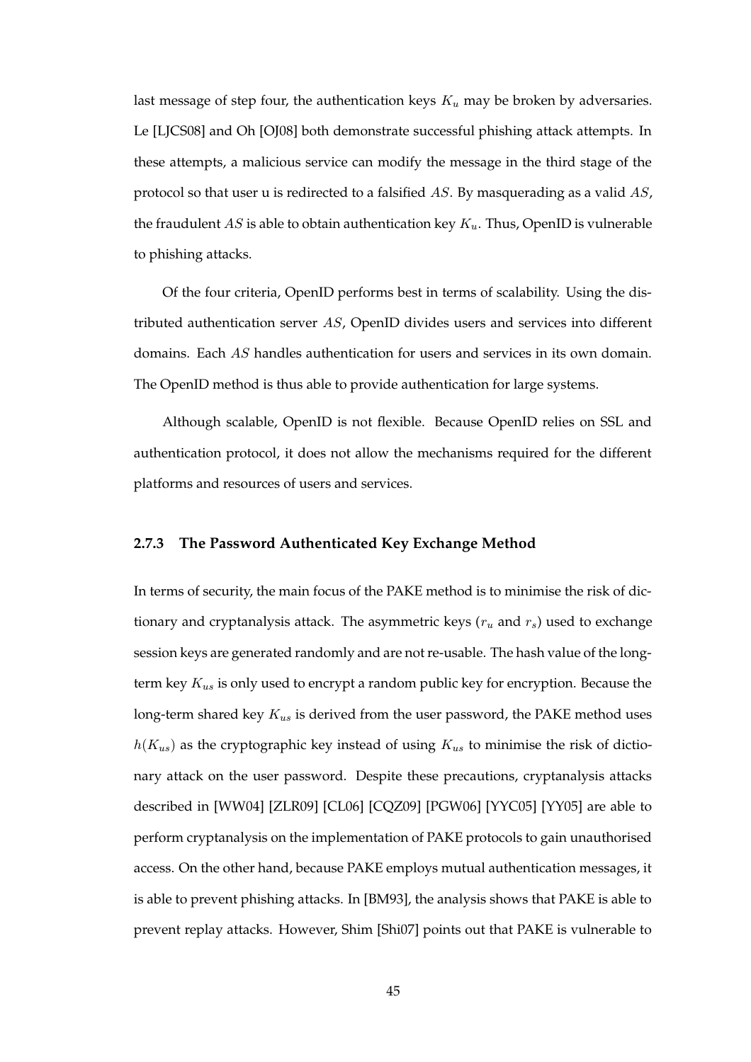last message of step four, the authentication keys  $K_u$  may be broken by adversaries. Le [LJCS08] and Oh [OJ08] both demonstrate successful phishing attack attempts. In these attempts, a malicious service can modify the message in the third stage of the protocol so that user u is redirected to a falsified AS. By masquerading as a valid AS, the fraudulent AS is able to obtain authentication key  $K_u$ . Thus, OpenID is vulnerable to phishing attacks.

Of the four criteria, OpenID performs best in terms of scalability. Using the distributed authentication server AS, OpenID divides users and services into different domains. Each AS handles authentication for users and services in its own domain. The OpenID method is thus able to provide authentication for large systems.

Although scalable, OpenID is not flexible. Because OpenID relies on SSL and authentication protocol, it does not allow the mechanisms required for the different platforms and resources of users and services.

#### **2.7.3 The Password Authenticated Key Exchange Method**

In terms of security, the main focus of the PAKE method is to minimise the risk of dictionary and cryptanalysis attack. The asymmetric keys ( $r_u$  and  $r_s$ ) used to exchange session keys are generated randomly and are not re-usable. The hash value of the longterm key  $K_{us}$  is only used to encrypt a random public key for encryption. Because the long-term shared key  $K_{us}$  is derived from the user password, the PAKE method uses  $h(K_{us})$  as the cryptographic key instead of using  $K_{us}$  to minimise the risk of dictionary attack on the user password. Despite these precautions, cryptanalysis attacks described in [WW04] [ZLR09] [CL06] [CQZ09] [PGW06] [YYC05] [YY05] are able to perform cryptanalysis on the implementation of PAKE protocols to gain unauthorised access. On the other hand, because PAKE employs mutual authentication messages, it is able to prevent phishing attacks. In [BM93], the analysis shows that PAKE is able to prevent replay attacks. However, Shim [Shi07] points out that PAKE is vulnerable to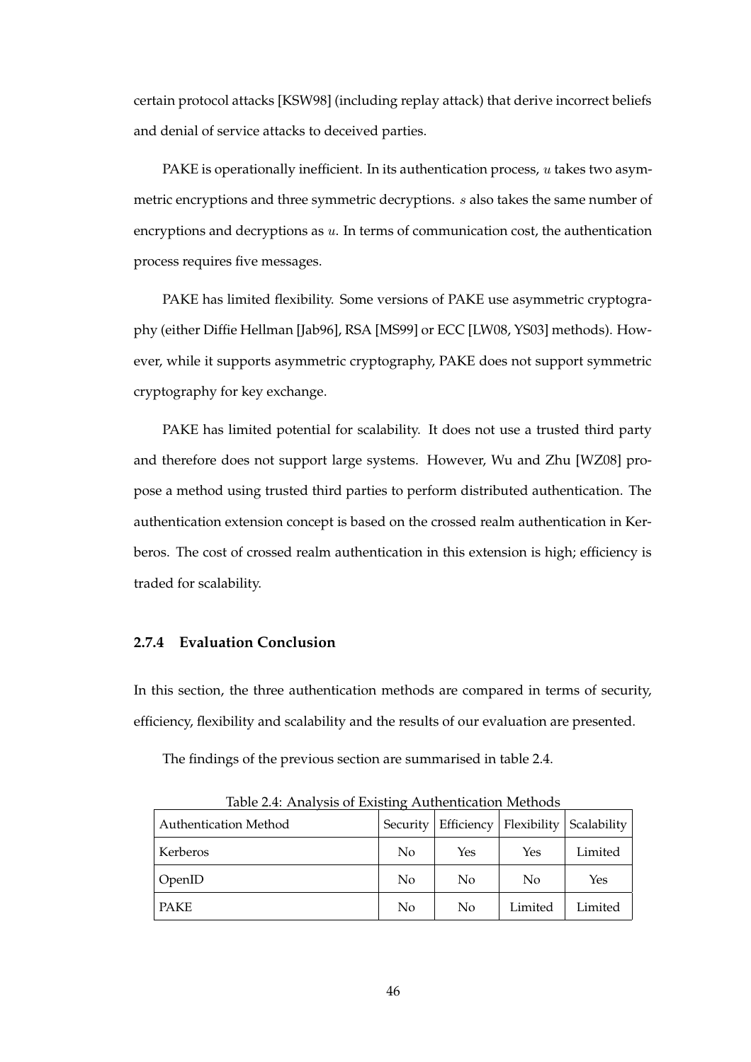certain protocol attacks [KSW98] (including replay attack) that derive incorrect beliefs and denial of service attacks to deceived parties.

PAKE is operationally inefficient. In its authentication process, u takes two asymmetric encryptions and three symmetric decryptions. s also takes the same number of encryptions and decryptions as  $u$ . In terms of communication cost, the authentication process requires five messages.

PAKE has limited flexibility. Some versions of PAKE use asymmetric cryptography (either Diffie Hellman [Jab96], RSA [MS99] or ECC [LW08, YS03] methods). However, while it supports asymmetric cryptography, PAKE does not support symmetric cryptography for key exchange.

PAKE has limited potential for scalability. It does not use a trusted third party and therefore does not support large systems. However, Wu and Zhu [WZ08] propose a method using trusted third parties to perform distributed authentication. The authentication extension concept is based on the crossed realm authentication in Kerberos. The cost of crossed realm authentication in this extension is high; efficiency is traded for scalability.

# **2.7.4 Evaluation Conclusion**

In this section, the three authentication methods are compared in terms of security, efficiency, flexibility and scalability and the results of our evaluation are presented.

The findings of the previous section are summarised in table 2.4.

| <u>table = 1. Thanyold of Exhanger Franchmenton</u> methodd<br><b>Authentication Method</b> | Security       |     | Efficiency   Flexibility | Scalability |
|---------------------------------------------------------------------------------------------|----------------|-----|--------------------------|-------------|
| Kerberos                                                                                    | N <sub>0</sub> | Yes | Yes                      | Limited     |
| <b>OpenID</b>                                                                               | N <sub>o</sub> | No  | No                       | Yes         |
| PAKE                                                                                        | No             | No  | Limited                  | Limited     |

Table 2.4: Analysis of Existing Authentication Methods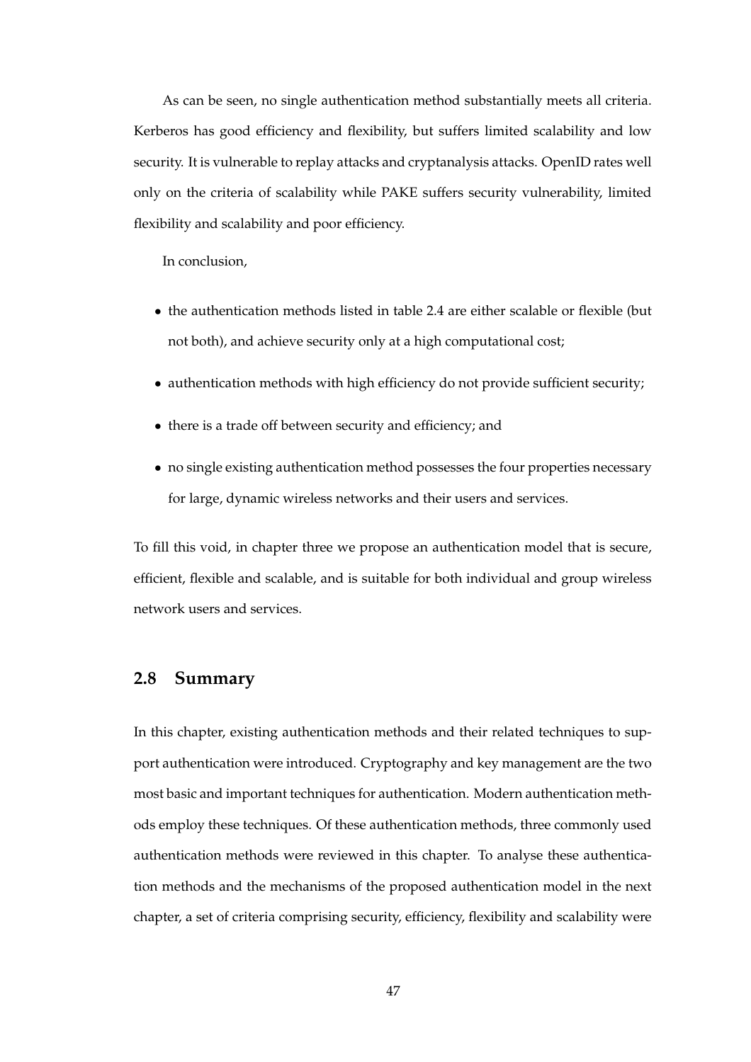As can be seen, no single authentication method substantially meets all criteria. Kerberos has good efficiency and flexibility, but suffers limited scalability and low security. It is vulnerable to replay attacks and cryptanalysis attacks. OpenID rates well only on the criteria of scalability while PAKE suffers security vulnerability, limited flexibility and scalability and poor efficiency.

In conclusion,

- the authentication methods listed in table 2.4 are either scalable or flexible (but not both), and achieve security only at a high computational cost;
- authentication methods with high efficiency do not provide sufficient security;
- there is a trade off between security and efficiency; and
- no single existing authentication method possesses the four properties necessary for large, dynamic wireless networks and their users and services.

To fill this void, in chapter three we propose an authentication model that is secure, efficient, flexible and scalable, and is suitable for both individual and group wireless network users and services.

# **2.8 Summary**

In this chapter, existing authentication methods and their related techniques to support authentication were introduced. Cryptography and key management are the two most basic and important techniques for authentication. Modern authentication methods employ these techniques. Of these authentication methods, three commonly used authentication methods were reviewed in this chapter. To analyse these authentication methods and the mechanisms of the proposed authentication model in the next chapter, a set of criteria comprising security, efficiency, flexibility and scalability were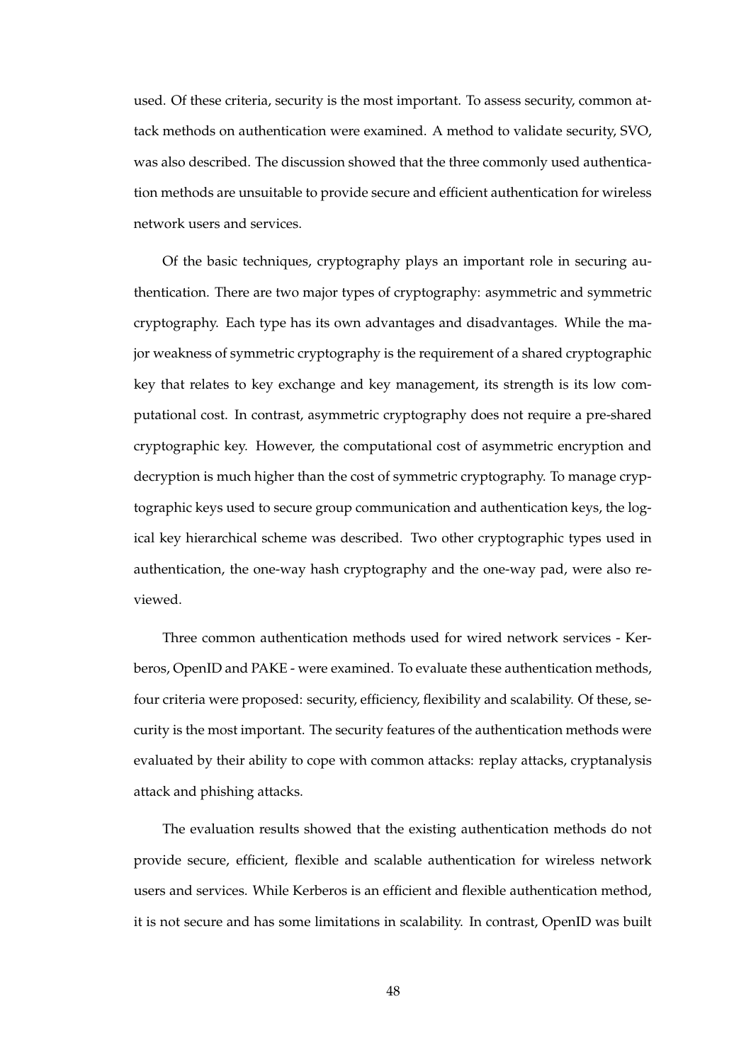used. Of these criteria, security is the most important. To assess security, common attack methods on authentication were examined. A method to validate security, SVO, was also described. The discussion showed that the three commonly used authentication methods are unsuitable to provide secure and efficient authentication for wireless network users and services.

Of the basic techniques, cryptography plays an important role in securing authentication. There are two major types of cryptography: asymmetric and symmetric cryptography. Each type has its own advantages and disadvantages. While the major weakness of symmetric cryptography is the requirement of a shared cryptographic key that relates to key exchange and key management, its strength is its low computational cost. In contrast, asymmetric cryptography does not require a pre-shared cryptographic key. However, the computational cost of asymmetric encryption and decryption is much higher than the cost of symmetric cryptography. To manage cryptographic keys used to secure group communication and authentication keys, the logical key hierarchical scheme was described. Two other cryptographic types used in authentication, the one-way hash cryptography and the one-way pad, were also reviewed.

Three common authentication methods used for wired network services - Kerberos, OpenID and PAKE - were examined. To evaluate these authentication methods, four criteria were proposed: security, efficiency, flexibility and scalability. Of these, security is the most important. The security features of the authentication methods were evaluated by their ability to cope with common attacks: replay attacks, cryptanalysis attack and phishing attacks.

The evaluation results showed that the existing authentication methods do not provide secure, efficient, flexible and scalable authentication for wireless network users and services. While Kerberos is an efficient and flexible authentication method, it is not secure and has some limitations in scalability. In contrast, OpenID was built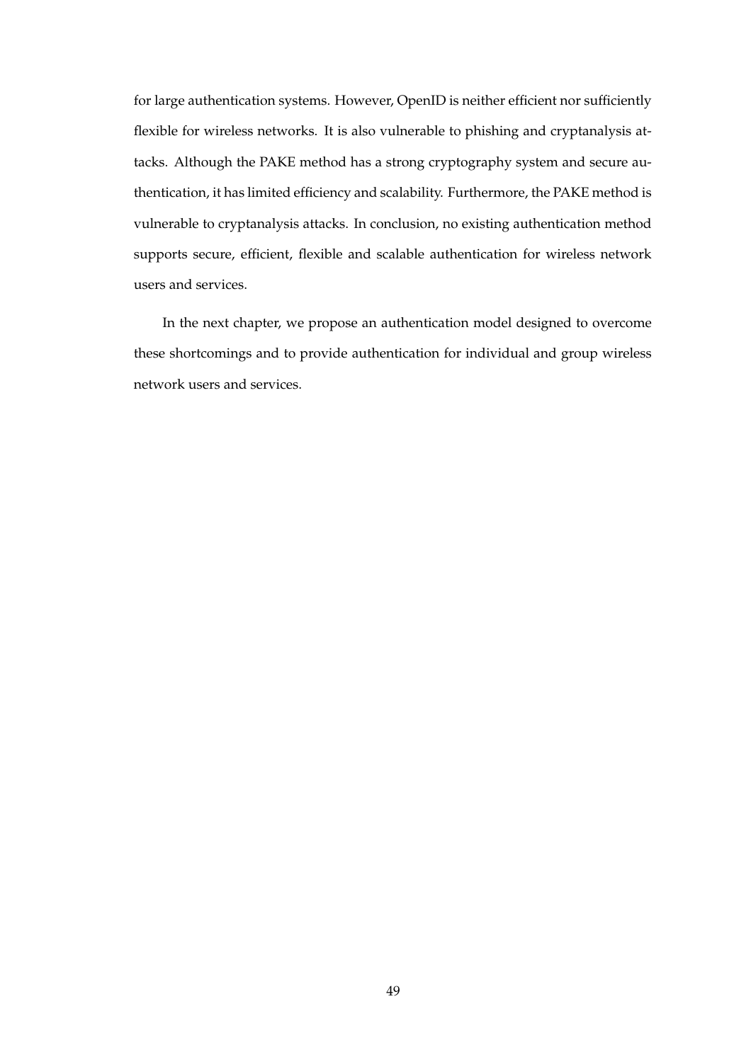for large authentication systems. However, OpenID is neither efficient nor sufficiently flexible for wireless networks. It is also vulnerable to phishing and cryptanalysis attacks. Although the PAKE method has a strong cryptography system and secure authentication, it has limited efficiency and scalability. Furthermore, the PAKE method is vulnerable to cryptanalysis attacks. In conclusion, no existing authentication method supports secure, efficient, flexible and scalable authentication for wireless network users and services.

In the next chapter, we propose an authentication model designed to overcome these shortcomings and to provide authentication for individual and group wireless network users and services.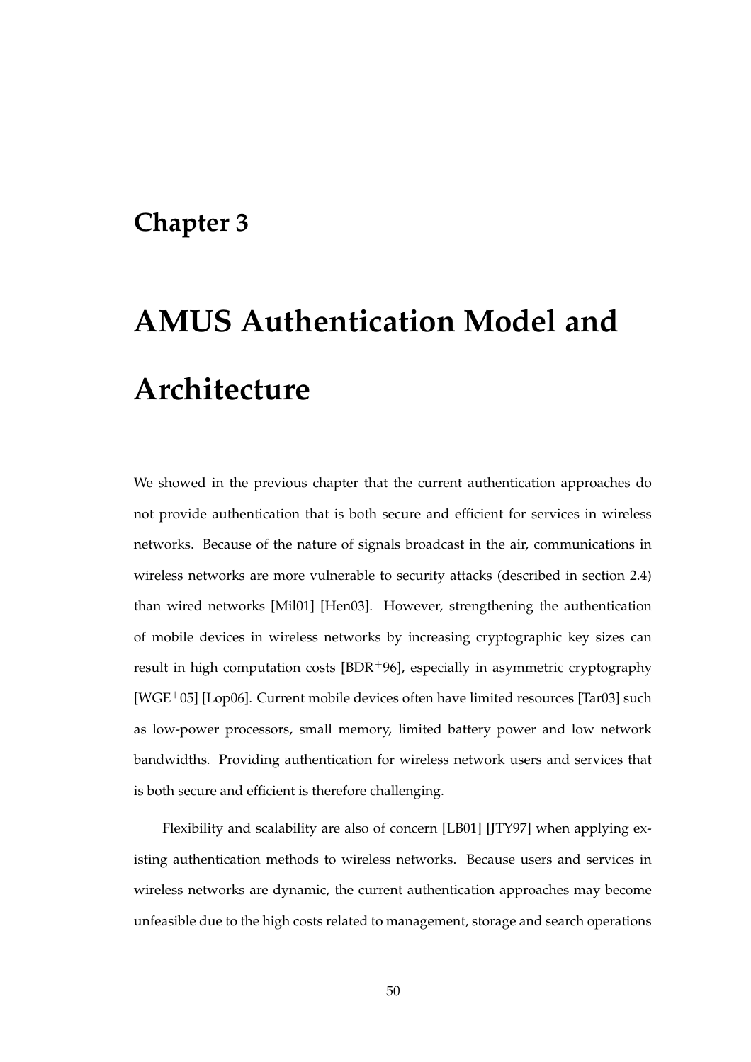## **Chapter 3**

# **AMUS Authentication Model and Architecture**

We showed in the previous chapter that the current authentication approaches do not provide authentication that is both secure and efficient for services in wireless networks. Because of the nature of signals broadcast in the air, communications in wireless networks are more vulnerable to security attacks (described in section 2.4) than wired networks [Mil01] [Hen03]. However, strengthening the authentication of mobile devices in wireless networks by increasing cryptographic key sizes can result in high computation costs  $[BDR+96]$ , especially in asymmetric cryptography [WGE+05] [Lop06]. Current mobile devices often have limited resources [Tar03] such as low-power processors, small memory, limited battery power and low network bandwidths. Providing authentication for wireless network users and services that is both secure and efficient is therefore challenging.

Flexibility and scalability are also of concern [LB01] [JTY97] when applying existing authentication methods to wireless networks. Because users and services in wireless networks are dynamic, the current authentication approaches may become unfeasible due to the high costs related to management, storage and search operations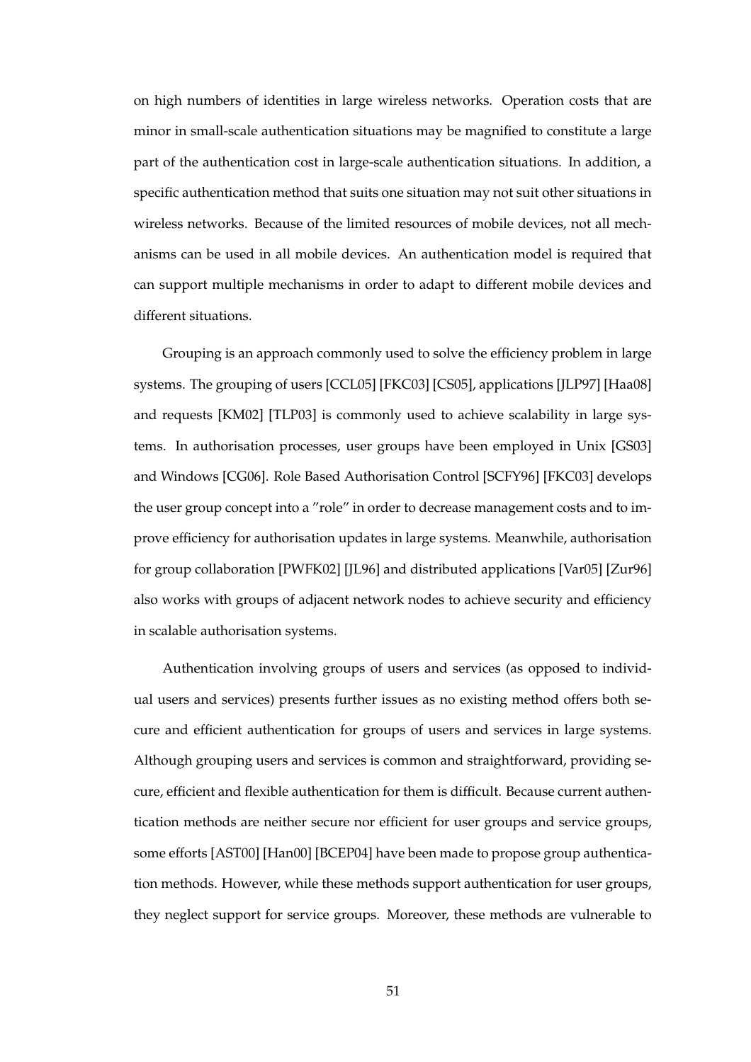on high numbers of identities in large wireless networks. Operation costs that are minor in small-scale authentication situations may be magnified to constitute a large part of the authentication cost in large-scale authentication situations. In addition, a specific authentication method that suits one situation may not suit other situations in wireless networks. Because of the limited resources of mobile devices, not all mechanisms can be used in all mobile devices. An authentication model is required that can support multiple mechanisms in order to adapt to different mobile devices and different situations.

Grouping is an approach commonly used to solve the efficiency problem in large systems. The grouping of users [CCL05] [FKC03] [CS05], applications [JLP97] [Haa08] and requests [KM02] [TLP03] is commonly used to achieve scalability in large systems. In authorisation processes, user groups have been employed in Unix [GS03] and Windows [CG06]. Role Based Authorisation Control [SCFY96] [FKC03] develops the user group concept into a "role" in order to decrease management costs and to improve efficiency for authorisation updates in large systems. Meanwhile, authorisation for group collaboration [PWFK02] [JL96] and distributed applications [Var05] [Zur96] also works with groups of adjacent network nodes to achieve security and efficiency in scalable authorisation systems.

Authentication involving groups of users and services (as opposed to individual users and services) presents further issues as no existing method offers both secure and efficient authentication for groups of users and services in large systems. Although grouping users and services is common and straightforward, providing secure, efficient and flexible authentication for them is difficult. Because current authentication methods are neither secure nor efficient for user groups and service groups, some efforts [AST00] [Han00] [BCEP04] have been made to propose group authentication methods. However, while these methods support authentication for user groups, they neglect support for service groups. Moreover, these methods are vulnerable to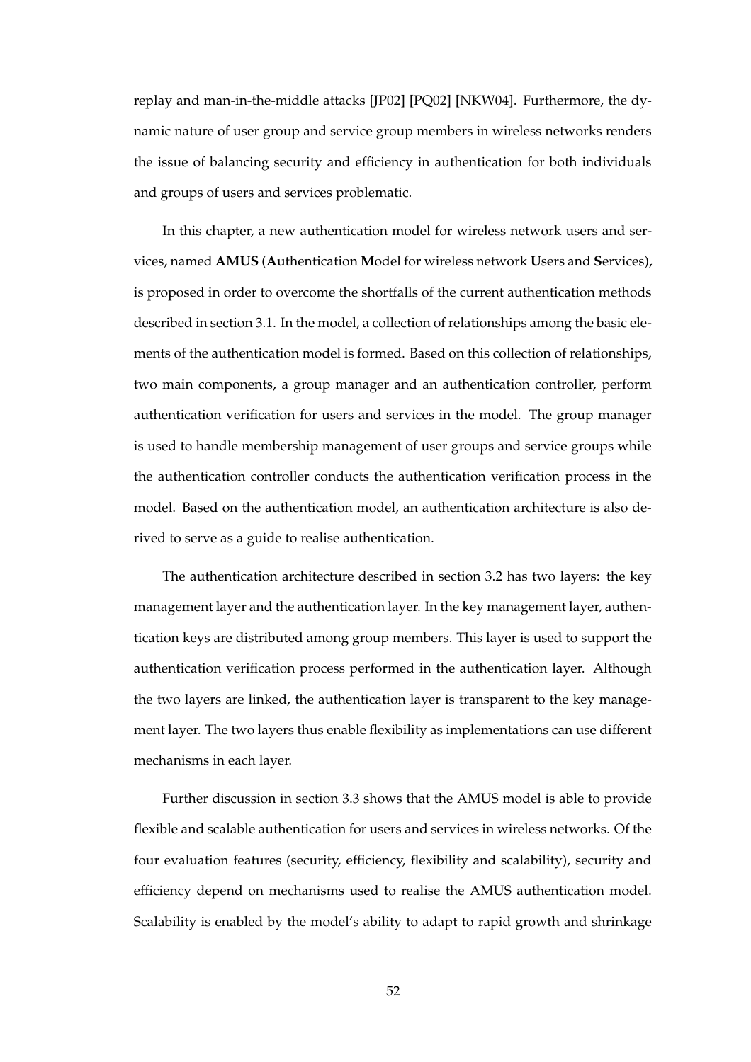replay and man-in-the-middle attacks [JP02] [PQ02] [NKW04]. Furthermore, the dynamic nature of user group and service group members in wireless networks renders the issue of balancing security and efficiency in authentication for both individuals and groups of users and services problematic.

In this chapter, a new authentication model for wireless network users and services, named **AMUS** (**A**uthentication **M**odel for wireless network **U**sers and **S**ervices), is proposed in order to overcome the shortfalls of the current authentication methods described in section 3.1. In the model, a collection of relationships among the basic elements of the authentication model is formed. Based on this collection of relationships, two main components, a group manager and an authentication controller, perform authentication verification for users and services in the model. The group manager is used to handle membership management of user groups and service groups while the authentication controller conducts the authentication verification process in the model. Based on the authentication model, an authentication architecture is also derived to serve as a guide to realise authentication.

The authentication architecture described in section 3.2 has two layers: the key management layer and the authentication layer. In the key management layer, authentication keys are distributed among group members. This layer is used to support the authentication verification process performed in the authentication layer. Although the two layers are linked, the authentication layer is transparent to the key management layer. The two layers thus enable flexibility as implementations can use different mechanisms in each layer.

Further discussion in section 3.3 shows that the AMUS model is able to provide flexible and scalable authentication for users and services in wireless networks. Of the four evaluation features (security, efficiency, flexibility and scalability), security and efficiency depend on mechanisms used to realise the AMUS authentication model. Scalability is enabled by the model's ability to adapt to rapid growth and shrinkage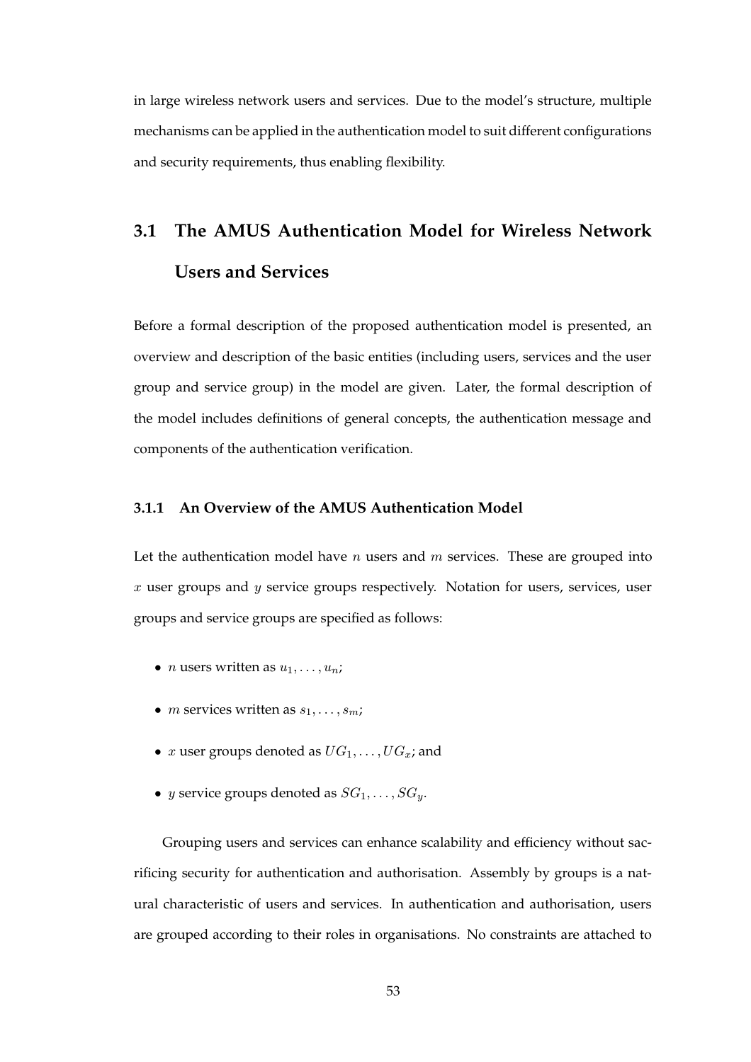in large wireless network users and services. Due to the model's structure, multiple mechanisms can be applied in the authentication model to suit different configurations and security requirements, thus enabling flexibility.

## **3.1 The AMUS Authentication Model for Wireless Network Users and Services**

Before a formal description of the proposed authentication model is presented, an overview and description of the basic entities (including users, services and the user group and service group) in the model are given. Later, the formal description of the model includes definitions of general concepts, the authentication message and components of the authentication verification.

#### **3.1.1 An Overview of the AMUS Authentication Model**

Let the authentication model have *n* users and  $m$  services. These are grouped into  $x$  user groups and  $y$  service groups respectively. Notation for users, services, user groups and service groups are specified as follows:

- *n* users written as  $u_1, \ldots, u_n$ ;
- *m* services written as  $s_1, \ldots, s_m$ ;
- x user groups denoted as  $UG_1, \ldots, UG_x$ ; and
- y service groups denoted as  $SG_1, \ldots, SG_u$ .

Grouping users and services can enhance scalability and efficiency without sacrificing security for authentication and authorisation. Assembly by groups is a natural characteristic of users and services. In authentication and authorisation, users are grouped according to their roles in organisations. No constraints are attached to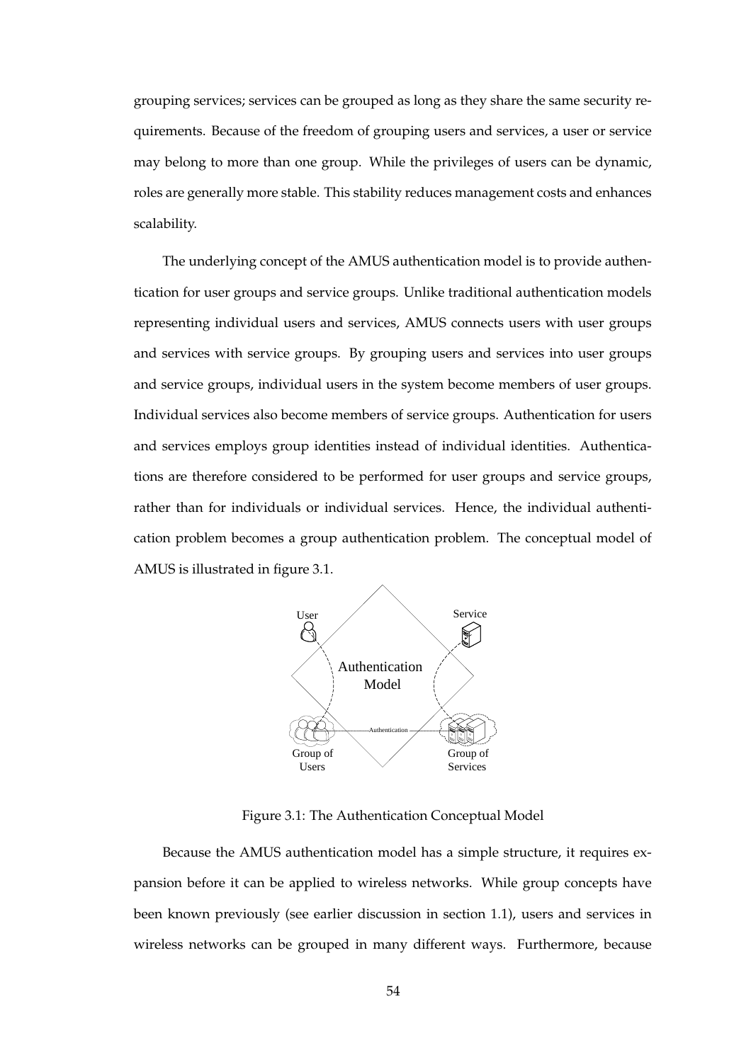grouping services; services can be grouped as long as they share the same security requirements. Because of the freedom of grouping users and services, a user or service may belong to more than one group. While the privileges of users can be dynamic, roles are generally more stable. This stability reduces management costs and enhances scalability.

The underlying concept of the AMUS authentication model is to provide authentication for user groups and service groups. Unlike traditional authentication models representing individual users and services, AMUS connects users with user groups and services with service groups. By grouping users and services into user groups and service groups, individual users in the system become members of user groups. Individual services also become members of service groups. Authentication for users and services employs group identities instead of individual identities. Authentications are therefore considered to be performed for user groups and service groups, rather than for individuals or individual services. Hence, the individual authentication problem becomes a group authentication problem. The conceptual model of AMUS is illustrated in figure 3.1.



Figure 3.1: The Authentication Conceptual Model

Because the AMUS authentication model has a simple structure, it requires expansion before it can be applied to wireless networks. While group concepts have been known previously (see earlier discussion in section 1.1), users and services in wireless networks can be grouped in many different ways. Furthermore, because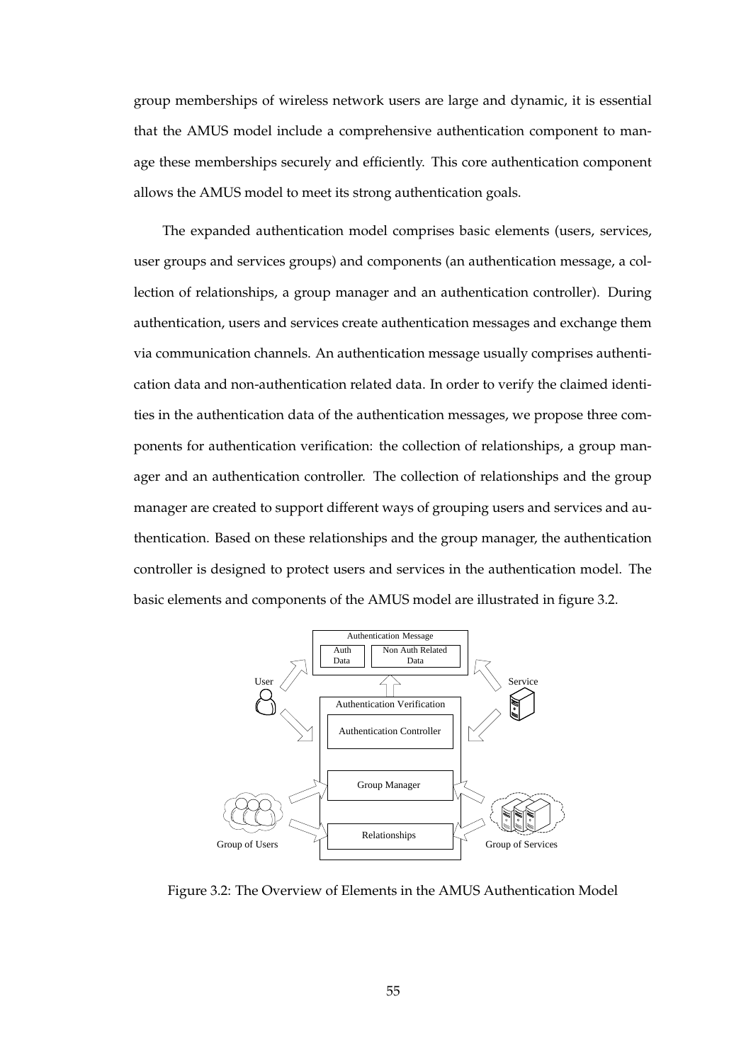group memberships of wireless network users are large and dynamic, it is essential that the AMUS model include a comprehensive authentication component to manage these memberships securely and efficiently. This core authentication component allows the AMUS model to meet its strong authentication goals.

The expanded authentication model comprises basic elements (users, services, user groups and services groups) and components (an authentication message, a collection of relationships, a group manager and an authentication controller). During authentication, users and services create authentication messages and exchange them via communication channels. An authentication message usually comprises authentication data and non-authentication related data. In order to verify the claimed identities in the authentication data of the authentication messages, we propose three components for authentication verification: the collection of relationships, a group manager and an authentication controller. The collection of relationships and the group manager are created to support different ways of grouping users and services and authentication. Based on these relationships and the group manager, the authentication controller is designed to protect users and services in the authentication model. The basic elements and components of the AMUS model are illustrated in figure 3.2.



Figure 3.2: The Overview of Elements in the AMUS Authentication Model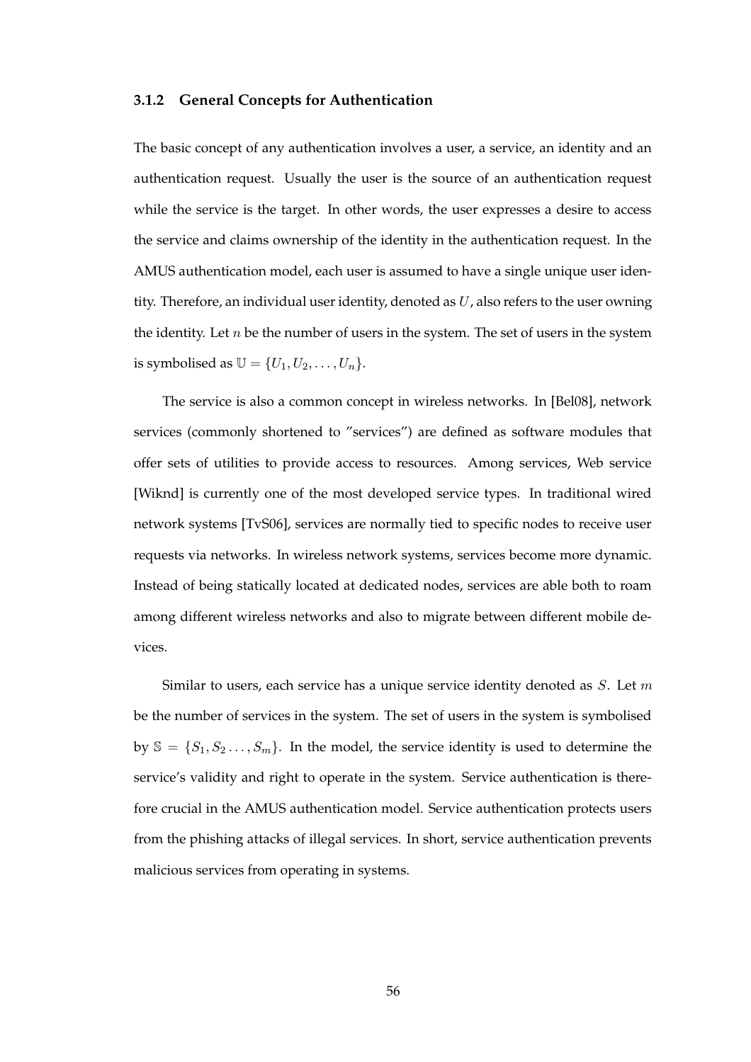#### **3.1.2 General Concepts for Authentication**

The basic concept of any authentication involves a user, a service, an identity and an authentication request. Usually the user is the source of an authentication request while the service is the target. In other words, the user expresses a desire to access the service and claims ownership of the identity in the authentication request. In the AMUS authentication model, each user is assumed to have a single unique user identity. Therefore, an individual user identity, denoted as  $U$ , also refers to the user owning the identity. Let  $n$  be the number of users in the system. The set of users in the system is symbolised as  $\mathbb{U} = \{U_1, U_2, \ldots, U_n\}.$ 

The service is also a common concept in wireless networks. In [Bel08], network services (commonly shortened to "services") are defined as software modules that offer sets of utilities to provide access to resources. Among services, Web service [Wiknd] is currently one of the most developed service types. In traditional wired network systems [TvS06], services are normally tied to specific nodes to receive user requests via networks. In wireless network systems, services become more dynamic. Instead of being statically located at dedicated nodes, services are able both to roam among different wireless networks and also to migrate between different mobile devices.

Similar to users, each service has a unique service identity denoted as  $S$ . Let m be the number of services in the system. The set of users in the system is symbolised by  $\mathbb{S} = \{S_1, S_2, \ldots, S_m\}$ . In the model, the service identity is used to determine the service's validity and right to operate in the system. Service authentication is therefore crucial in the AMUS authentication model. Service authentication protects users from the phishing attacks of illegal services. In short, service authentication prevents malicious services from operating in systems.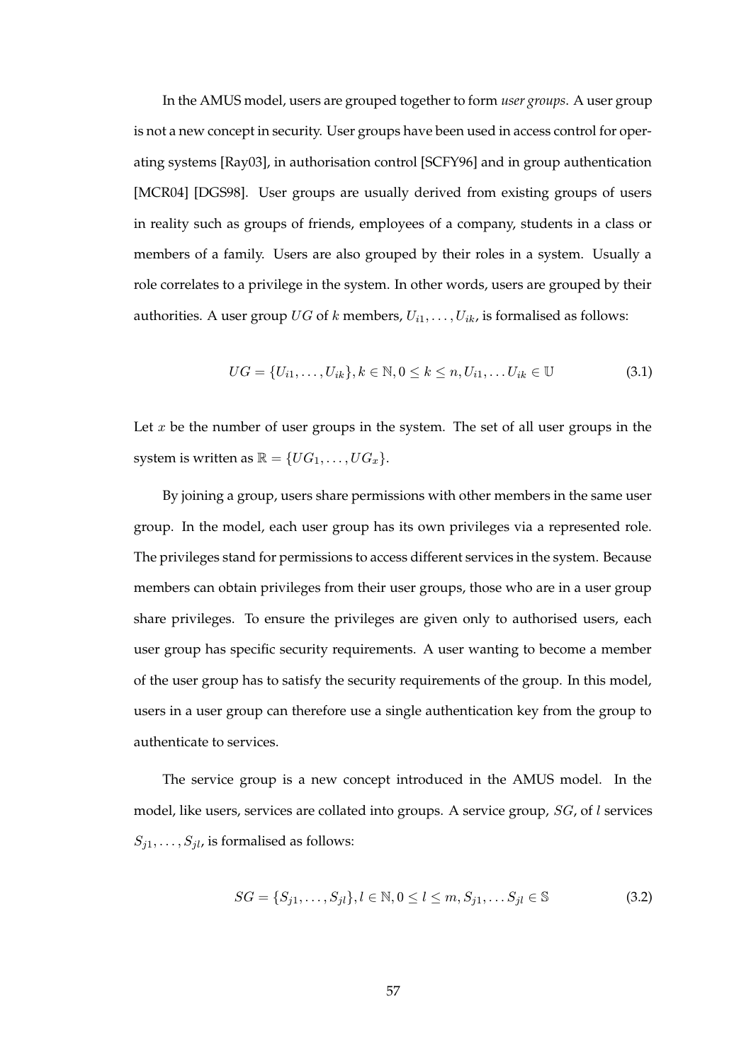In the AMUS model, users are grouped together to form *user groups*. A user group is not a new concept in security. User groups have been used in access control for operating systems [Ray03], in authorisation control [SCFY96] and in group authentication [MCR04] [DGS98]. User groups are usually derived from existing groups of users in reality such as groups of friends, employees of a company, students in a class or members of a family. Users are also grouped by their roles in a system. Usually a role correlates to a privilege in the system. In other words, users are grouped by their authorities. A user group UG of k members,  $U_{i1}, \ldots, U_{ik}$ , is formalised as follows:

$$
UG = \{U_{i1}, \dots, U_{ik}\}, k \in \mathbb{N}, 0 \le k \le n, U_{i1}, \dots U_{ik} \in \mathbb{U}
$$
\n(3.1)

Let  $x$  be the number of user groups in the system. The set of all user groups in the system is written as  $\mathbb{R} = \{UG_1, \ldots, UG_x\}.$ 

By joining a group, users share permissions with other members in the same user group. In the model, each user group has its own privileges via a represented role. The privileges stand for permissions to access different services in the system. Because members can obtain privileges from their user groups, those who are in a user group share privileges. To ensure the privileges are given only to authorised users, each user group has specific security requirements. A user wanting to become a member of the user group has to satisfy the security requirements of the group. In this model, users in a user group can therefore use a single authentication key from the group to authenticate to services.

The service group is a new concept introduced in the AMUS model. In the model, like users, services are collated into groups. A service group, SG, of l services  $S_{j1}, \ldots, S_{jl}$ , is formalised as follows:

$$
SG = \{S_{j1}, \dots, S_{jl}\}, l \in \mathbb{N}, 0 \le l \le m, S_{j1}, \dots S_{jl} \in \mathbb{S}
$$
\n(3.2)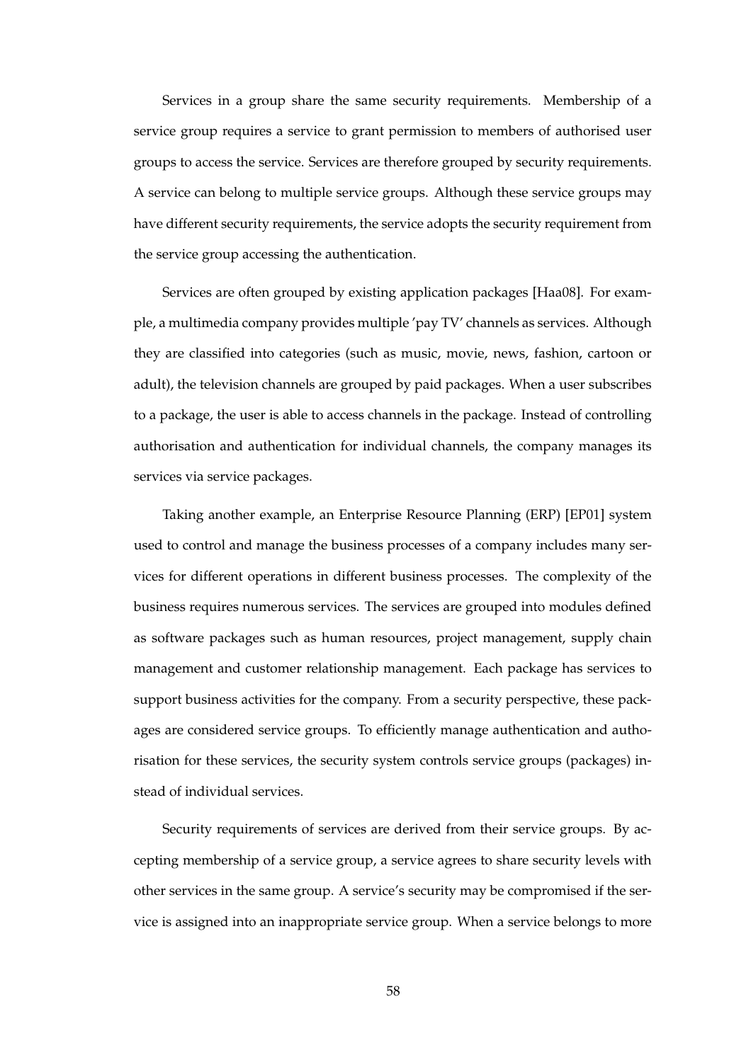Services in a group share the same security requirements. Membership of a service group requires a service to grant permission to members of authorised user groups to access the service. Services are therefore grouped by security requirements. A service can belong to multiple service groups. Although these service groups may have different security requirements, the service adopts the security requirement from the service group accessing the authentication.

Services are often grouped by existing application packages [Haa08]. For example, a multimedia company provides multiple 'pay TV' channels as services. Although they are classified into categories (such as music, movie, news, fashion, cartoon or adult), the television channels are grouped by paid packages. When a user subscribes to a package, the user is able to access channels in the package. Instead of controlling authorisation and authentication for individual channels, the company manages its services via service packages.

Taking another example, an Enterprise Resource Planning (ERP) [EP01] system used to control and manage the business processes of a company includes many services for different operations in different business processes. The complexity of the business requires numerous services. The services are grouped into modules defined as software packages such as human resources, project management, supply chain management and customer relationship management. Each package has services to support business activities for the company. From a security perspective, these packages are considered service groups. To efficiently manage authentication and authorisation for these services, the security system controls service groups (packages) instead of individual services.

Security requirements of services are derived from their service groups. By accepting membership of a service group, a service agrees to share security levels with other services in the same group. A service's security may be compromised if the service is assigned into an inappropriate service group. When a service belongs to more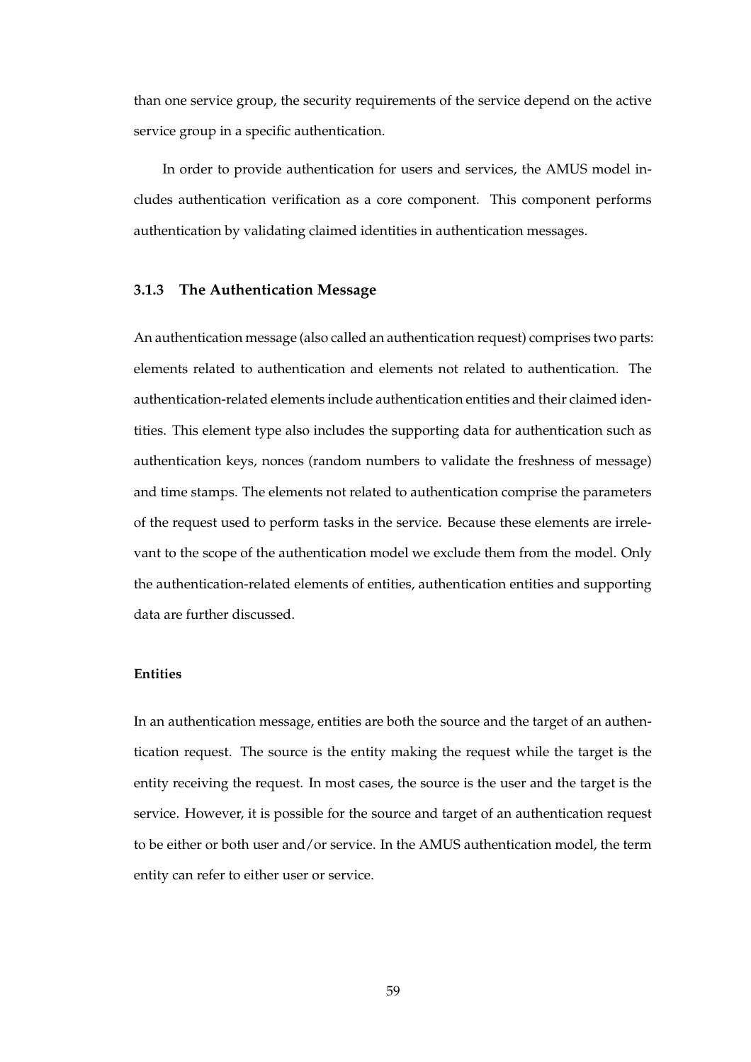than one service group, the security requirements of the service depend on the active service group in a specific authentication.

In order to provide authentication for users and services, the AMUS model includes authentication verification as a core component. This component performs authentication by validating claimed identities in authentication messages.

#### **3.1.3 The Authentication Message**

An authentication message (also called an authentication request) comprises two parts: elements related to authentication and elements not related to authentication. The authentication-related elements include authentication entities and their claimed identities. This element type also includes the supporting data for authentication such as authentication keys, nonces (random numbers to validate the freshness of message) and time stamps. The elements not related to authentication comprise the parameters of the request used to perform tasks in the service. Because these elements are irrelevant to the scope of the authentication model we exclude them from the model. Only the authentication-related elements of entities, authentication entities and supporting data are further discussed.

#### **Entities**

In an authentication message, entities are both the source and the target of an authentication request. The source is the entity making the request while the target is the entity receiving the request. In most cases, the source is the user and the target is the service. However, it is possible for the source and target of an authentication request to be either or both user and/or service. In the AMUS authentication model, the term entity can refer to either user or service.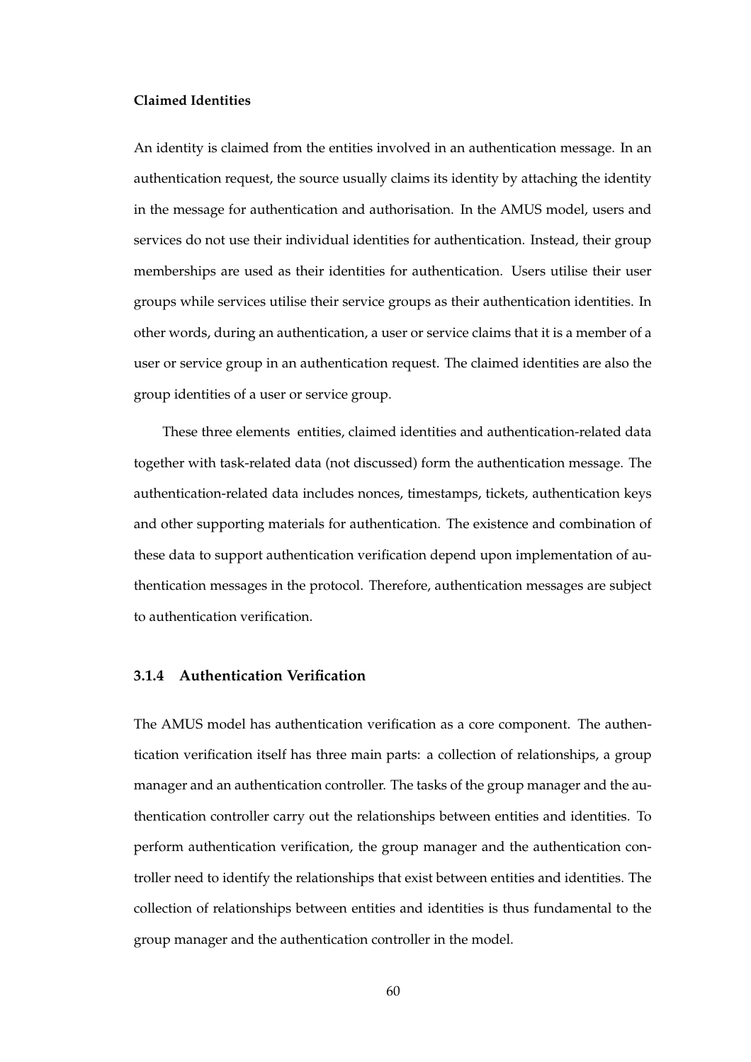#### **Claimed Identities**

An identity is claimed from the entities involved in an authentication message. In an authentication request, the source usually claims its identity by attaching the identity in the message for authentication and authorisation. In the AMUS model, users and services do not use their individual identities for authentication. Instead, their group memberships are used as their identities for authentication. Users utilise their user groups while services utilise their service groups as their authentication identities. In other words, during an authentication, a user or service claims that it is a member of a user or service group in an authentication request. The claimed identities are also the group identities of a user or service group.

These three elements entities, claimed identities and authentication-related data together with task-related data (not discussed) form the authentication message. The authentication-related data includes nonces, timestamps, tickets, authentication keys and other supporting materials for authentication. The existence and combination of these data to support authentication verification depend upon implementation of authentication messages in the protocol. Therefore, authentication messages are subject to authentication verification.

#### **3.1.4 Authentication Verification**

The AMUS model has authentication verification as a core component. The authentication verification itself has three main parts: a collection of relationships, a group manager and an authentication controller. The tasks of the group manager and the authentication controller carry out the relationships between entities and identities. To perform authentication verification, the group manager and the authentication controller need to identify the relationships that exist between entities and identities. The collection of relationships between entities and identities is thus fundamental to the group manager and the authentication controller in the model.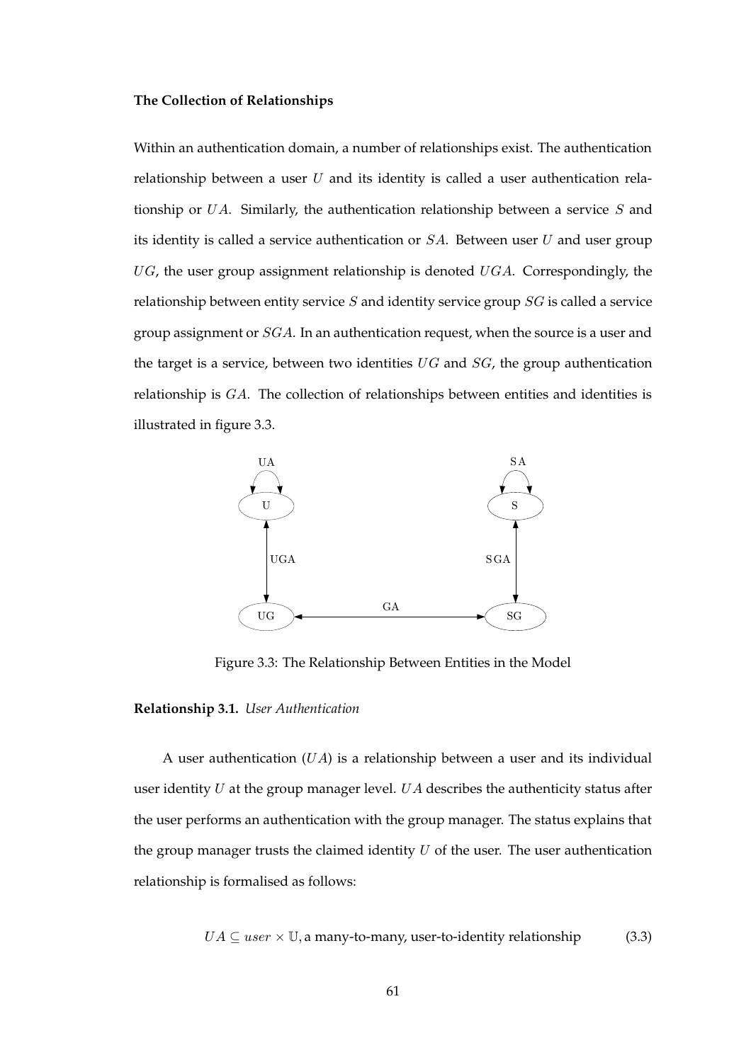#### **The Collection of Relationships**

Within an authentication domain, a number of relationships exist. The authentication relationship between a user  $U$  and its identity is called a user authentication relationship or  $UA$ . Similarly, the authentication relationship between a service  $S$  and its identity is called a service authentication or  $SA$ . Between user  $U$  and user group  $UG$ , the user group assignment relationship is denoted  $UGA$ . Correspondingly, the relationship between entity service  $S$  and identity service group  $SG$  is called a service group assignment or SGA. In an authentication request, when the source is a user and the target is a service, between two identities  $UG$  and  $SG$ , the group authentication relationship is GA. The collection of relationships between entities and identities is illustrated in figure 3.3.



Figure 3.3: The Relationship Between Entities in the Model

#### **Relationship 3.1.** *User Authentication*

A user authentication  $(UA)$  is a relationship between a user and its individual user identity  $U$  at the group manager level.  $UA$  describes the authenticity status after the user performs an authentication with the group manager. The status explains that the group manager trusts the claimed identity  $U$  of the user. The user authentication relationship is formalised as follows:

$$
UA \subseteq user \times \mathbb{U}, \text{a many-to-many, user-to-identity relationship} \tag{3.3}
$$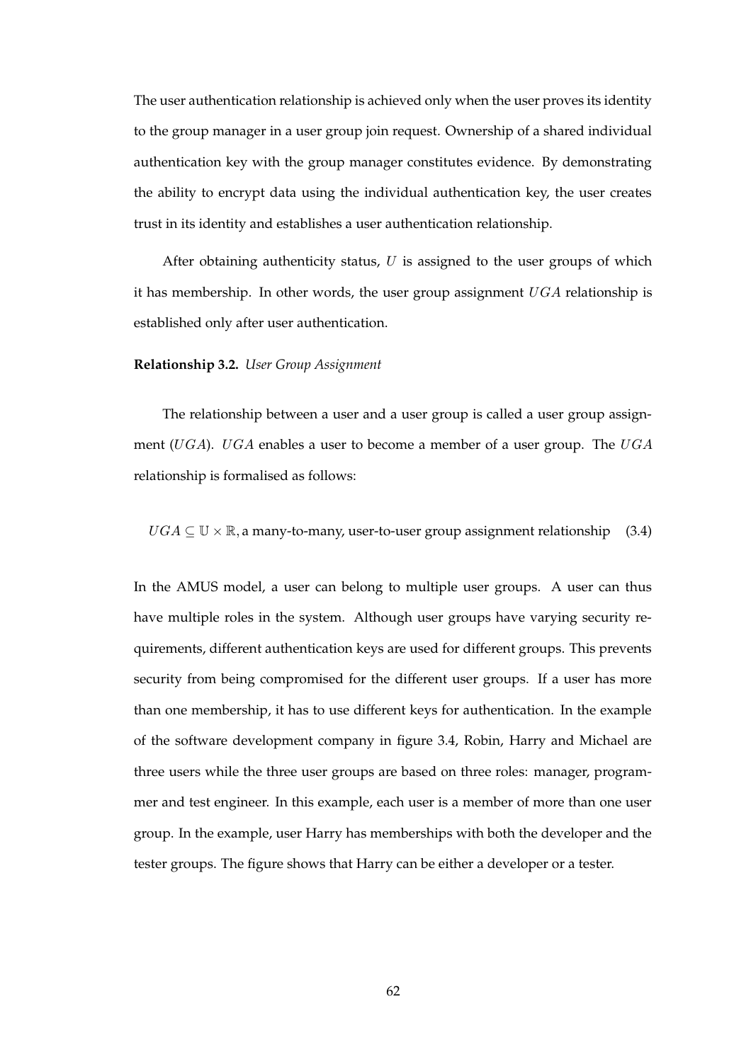The user authentication relationship is achieved only when the user proves its identity to the group manager in a user group join request. Ownership of a shared individual authentication key with the group manager constitutes evidence. By demonstrating the ability to encrypt data using the individual authentication key, the user creates trust in its identity and establishes a user authentication relationship.

After obtaining authenticity status,  $U$  is assigned to the user groups of which it has membership. In other words, the user group assignment  $UGA$  relationship is established only after user authentication.

#### **Relationship 3.2.** *User Group Assignment*

The relationship between a user and a user group is called a user group assignment (UGA). UGA enables a user to become a member of a user group. The  $UGA$ relationship is formalised as follows:

 $UGA \subseteq \mathbb{U} \times \mathbb{R}$ , a many-to-many, user-to-user group assignment relationship (3.4)

In the AMUS model, a user can belong to multiple user groups. A user can thus have multiple roles in the system. Although user groups have varying security requirements, different authentication keys are used for different groups. This prevents security from being compromised for the different user groups. If a user has more than one membership, it has to use different keys for authentication. In the example of the software development company in figure 3.4, Robin, Harry and Michael are three users while the three user groups are based on three roles: manager, programmer and test engineer. In this example, each user is a member of more than one user group. In the example, user Harry has memberships with both the developer and the tester groups. The figure shows that Harry can be either a developer or a tester.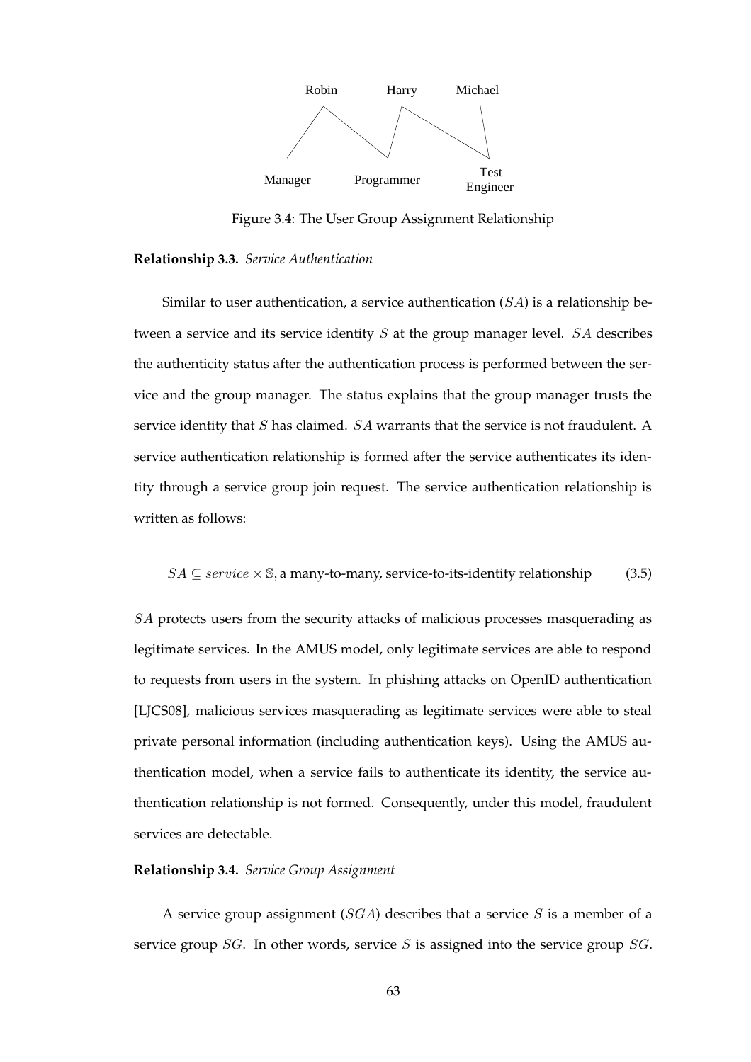

Figure 3.4: The User Group Assignment Relationship

#### **Relationship 3.3.** *Service Authentication*

Similar to user authentication, a service authentication  $(S_A)$  is a relationship between a service and its service identity  $S$  at the group manager level.  $SA$  describes the authenticity status after the authentication process is performed between the service and the group manager. The status explains that the group manager trusts the service identity that S has claimed. SA warrants that the service is not fraudulent. A service authentication relationship is formed after the service authenticates its identity through a service group join request. The service authentication relationship is written as follows:

$$
SA \subseteq service \times \mathbb{S}
$$
, a many-to-many, service-to-its-identity relationship (3.5)

SA protects users from the security attacks of malicious processes masquerading as legitimate services. In the AMUS model, only legitimate services are able to respond to requests from users in the system. In phishing attacks on OpenID authentication [LJCS08], malicious services masquerading as legitimate services were able to steal private personal information (including authentication keys). Using the AMUS authentication model, when a service fails to authenticate its identity, the service authentication relationship is not formed. Consequently, under this model, fraudulent services are detectable.

#### **Relationship 3.4.** *Service Group Assignment*

A service group assignment ( $SGA$ ) describes that a service S is a member of a service group  $SG$ . In other words, service S is assigned into the service group  $SG$ .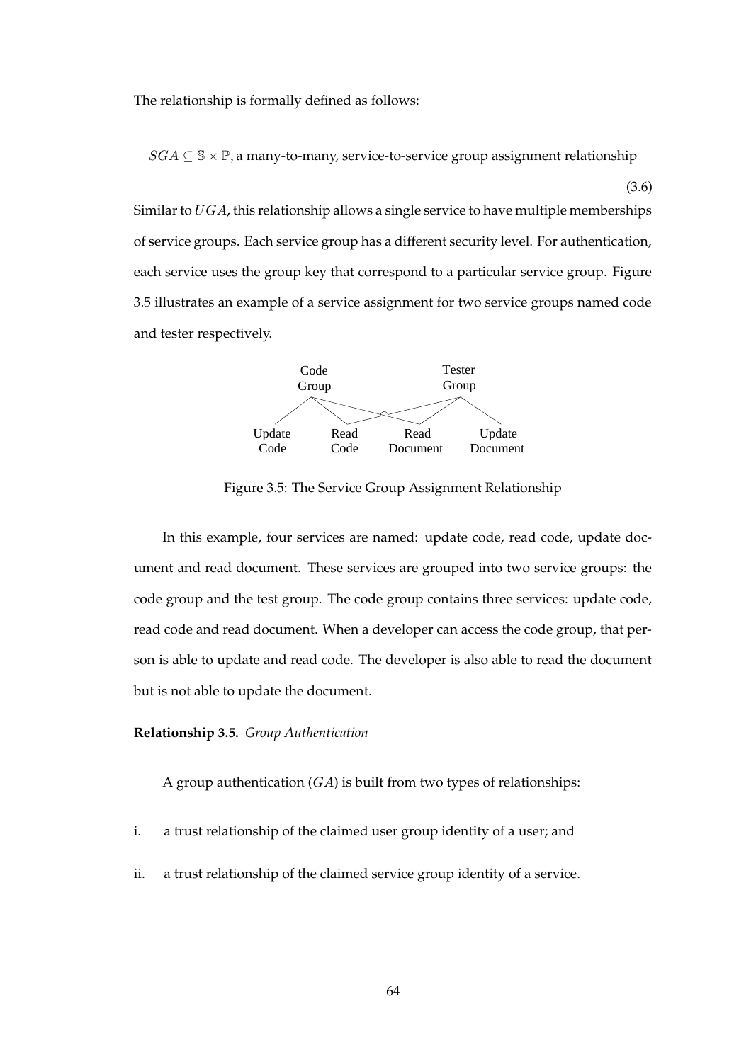The relationship is formally defined as follows:

 $SGA \subseteq \mathbb{S} \times \mathbb{P}$ , a many-to-many, service-to-service group assignment relationship

(3.6) Similar to UGA, this relationship allows a single service to have multiple memberships of service groups. Each service group has a different security level. For authentication, each service uses the group key that correspond to a particular service group. Figure 3.5 illustrates an example of a service assignment for two service groups named code and tester respectively.



Figure 3.5: The Service Group Assignment Relationship

In this example, four services are named: update code, read code, update document and read document. These services are grouped into two service groups: the code group and the test group. The code group contains three services: update code, read code and read document. When a developer can access the code group, that person is able to update and read code. The developer is also able to read the document but is not able to update the document.

#### **Relationship 3.5.** *Group Authentication*

A group authentication  $(GA)$  is built from two types of relationships:

- i. a trust relationship of the claimed user group identity of a user; and
- ii. a trust relationship of the claimed service group identity of a service.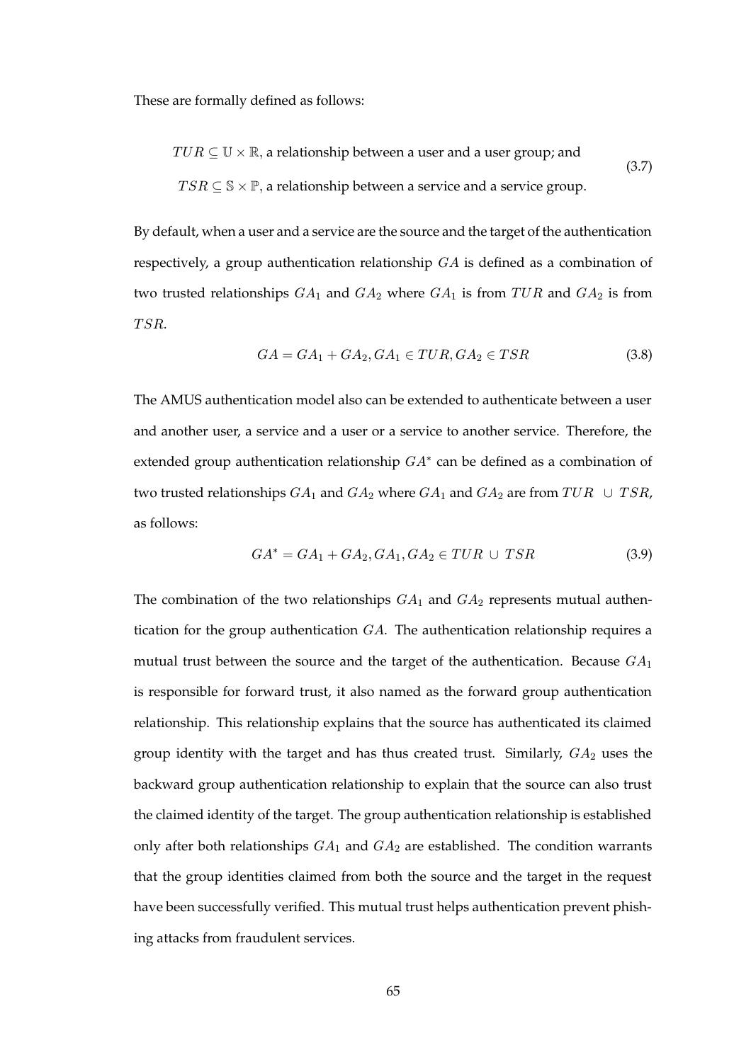These are formally defined as follows:

$$
TUR \subseteq U \times \mathbb{R}
$$
, a relationship between a user and a user group; and  
 
$$
TSR \subseteq \mathbb{S} \times \mathbb{P}
$$
, a relationship between a service and a service group. 
$$
(3.7)
$$

By default, when a user and a service are the source and the target of the authentication respectively, a group authentication relationship GA is defined as a combination of two trusted relationships  $GA_1$  and  $GA_2$  where  $GA_1$  is from  $TUR$  and  $GA_2$  is from TSR.

$$
GA = GA_1 + GA_2, GA_1 \in TUR, GA_2 \in TSR \tag{3.8}
$$

The AMUS authentication model also can be extended to authenticate between a user and another user, a service and a user or a service to another service. Therefore, the extended group authentication relationship  $GA^*$  can be defined as a combination of two trusted relationships  $GA_1$  and  $GA_2$  where  $GA_1$  and  $GA_2$  are from  $TUR \cup TSR$ , as follows:

$$
GA^* = GA_1 + GA_2, GA_1, GA_2 \in TUR \cup TSR \tag{3.9}
$$

The combination of the two relationships  $GA_1$  and  $GA_2$  represents mutual authentication for the group authentication GA. The authentication relationship requires a mutual trust between the source and the target of the authentication. Because  $GA_1$ is responsible for forward trust, it also named as the forward group authentication relationship. This relationship explains that the source has authenticated its claimed group identity with the target and has thus created trust. Similarly,  $GA_2$  uses the backward group authentication relationship to explain that the source can also trust the claimed identity of the target. The group authentication relationship is established only after both relationships  $GA_1$  and  $GA_2$  are established. The condition warrants that the group identities claimed from both the source and the target in the request have been successfully verified. This mutual trust helps authentication prevent phishing attacks from fraudulent services.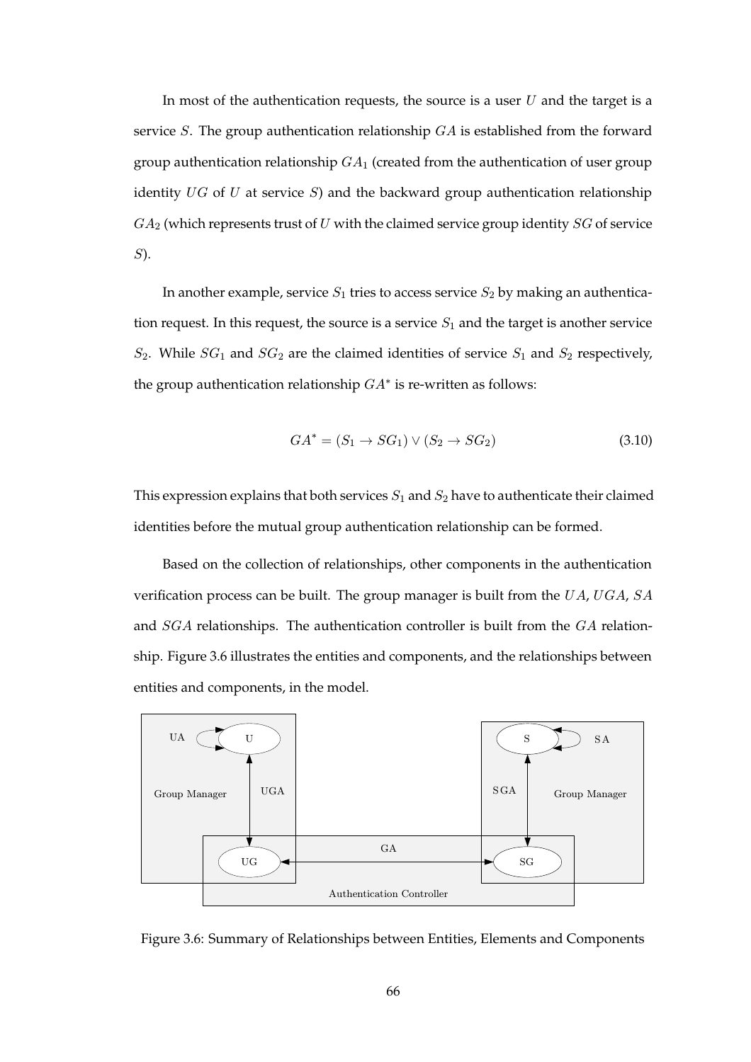In most of the authentication requests, the source is a user  $U$  and the target is a service S. The group authentication relationship GA is established from the forward group authentication relationship  $GA_1$  (created from the authentication of user group identity  $UG$  of  $U$  at service  $S$ ) and the backward group authentication relationship  $GA_2$  (which represents trust of U with the claimed service group identity  $SG$  of service S).

In another example, service  $S_1$  tries to access service  $S_2$  by making an authentication request. In this request, the source is a service  $S_1$  and the target is another service  $S_2$ . While  $SG_1$  and  $SG_2$  are the claimed identities of service  $S_1$  and  $S_2$  respectively, the group authentication relationship  $GA^*$  is re-written as follows:

$$
GA^* = (S_1 \to SG_1) \lor (S_2 \to SG_2) \tag{3.10}
$$

This expression explains that both services  $S_1$  and  $S_2$  have to authenticate their claimed identities before the mutual group authentication relationship can be formed.

Based on the collection of relationships, other components in the authentication verification process can be built. The group manager is built from the UA, UGA, SA and SGA relationships. The authentication controller is built from the GA relationship. Figure 3.6 illustrates the entities and components, and the relationships between entities and components, in the model.



Figure 3.6: Summary of Relationships between Entities, Elements and Components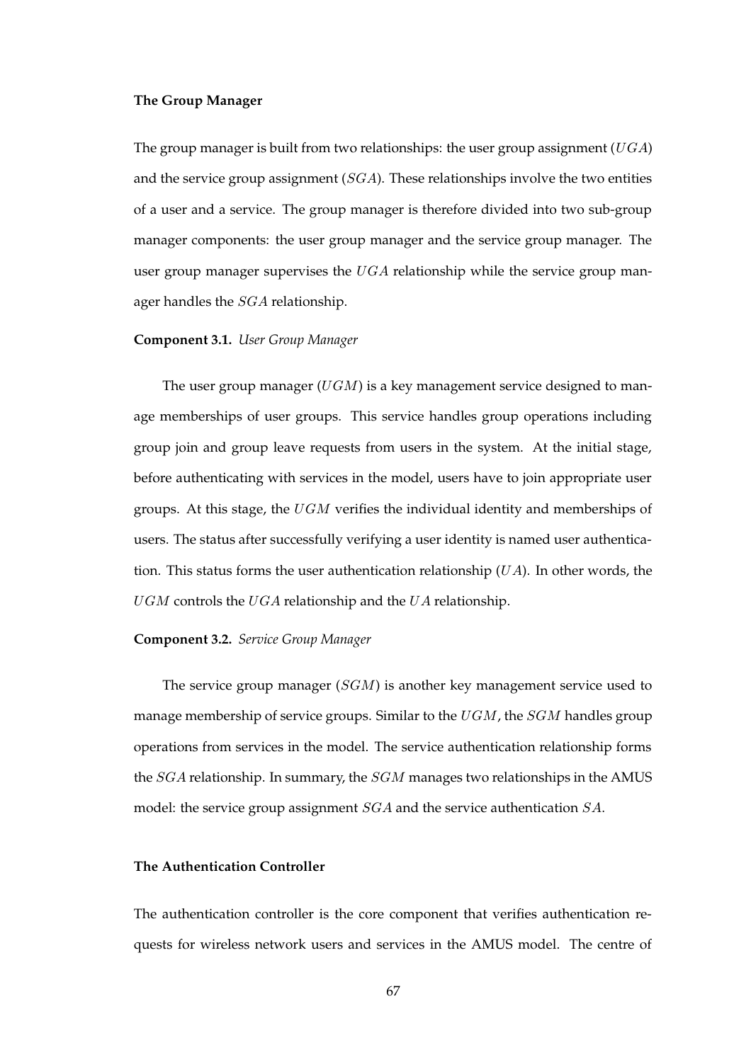#### **The Group Manager**

The group manager is built from two relationships: the user group assignment  $(UGA)$ and the service group assignment  $(SGA)$ . These relationships involve the two entities of a user and a service. The group manager is therefore divided into two sub-group manager components: the user group manager and the service group manager. The user group manager supervises the  $UGA$  relationship while the service group manager handles the SGA relationship.

#### **Component 3.1.** *User Group Manager*

The user group manager  $(UGM)$  is a key management service designed to manage memberships of user groups. This service handles group operations including group join and group leave requests from users in the system. At the initial stage, before authenticating with services in the model, users have to join appropriate user groups. At this stage, the UGM verifies the individual identity and memberships of users. The status after successfully verifying a user identity is named user authentication. This status forms the user authentication relationship  $(UA)$ . In other words, the UGM controls the UGA relationship and the UA relationship.

#### **Component 3.2.** *Service Group Manager*

The service group manager  $(SGM)$  is another key management service used to manage membership of service groups. Similar to the  $UGM$ , the  $SGM$  handles group operations from services in the model. The service authentication relationship forms the SGA relationship. In summary, the SGM manages two relationships in the AMUS model: the service group assignment SGA and the service authentication SA.

#### **The Authentication Controller**

The authentication controller is the core component that verifies authentication requests for wireless network users and services in the AMUS model. The centre of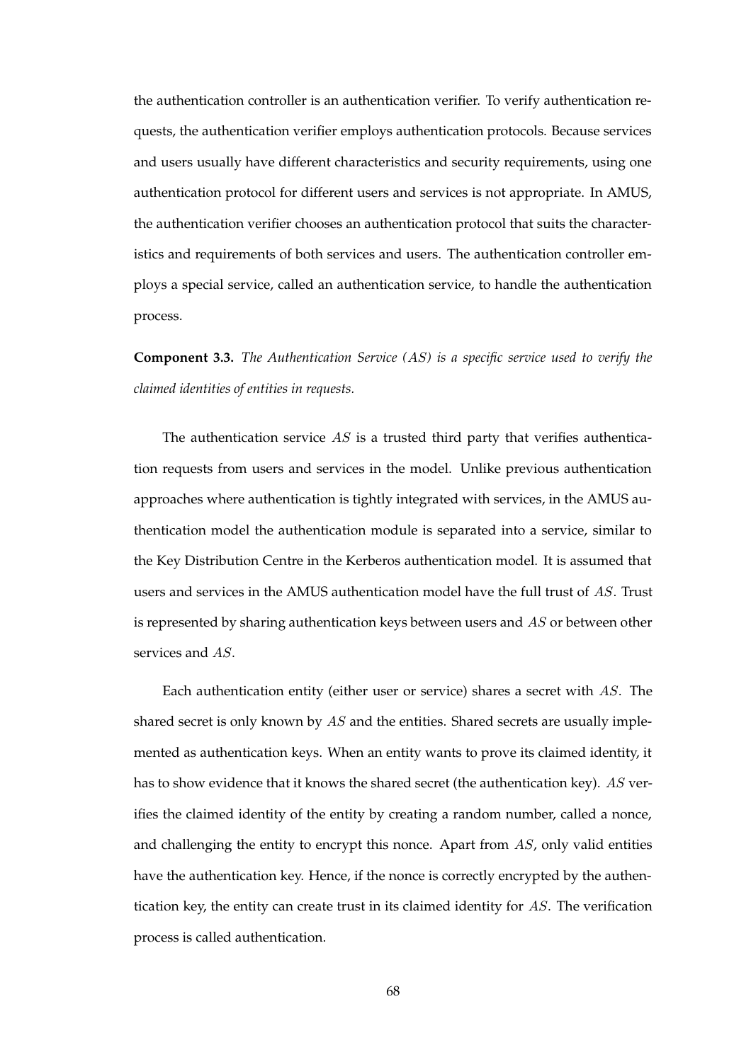the authentication controller is an authentication verifier. To verify authentication requests, the authentication verifier employs authentication protocols. Because services and users usually have different characteristics and security requirements, using one authentication protocol for different users and services is not appropriate. In AMUS, the authentication verifier chooses an authentication protocol that suits the characteristics and requirements of both services and users. The authentication controller employs a special service, called an authentication service, to handle the authentication process.

### **Component 3.3.** *The Authentication Service (*AS*) is a specific service used to verify the claimed identities of entities in requests.*

The authentication service  $AS$  is a trusted third party that verifies authentication requests from users and services in the model. Unlike previous authentication approaches where authentication is tightly integrated with services, in the AMUS authentication model the authentication module is separated into a service, similar to the Key Distribution Centre in the Kerberos authentication model. It is assumed that users and services in the AMUS authentication model have the full trust of AS. Trust is represented by sharing authentication keys between users and  $AS$  or between other services and AS.

Each authentication entity (either user or service) shares a secret with AS. The shared secret is only known by AS and the entities. Shared secrets are usually implemented as authentication keys. When an entity wants to prove its claimed identity, it has to show evidence that it knows the shared secret (the authentication key). AS verifies the claimed identity of the entity by creating a random number, called a nonce, and challenging the entity to encrypt this nonce. Apart from  $AS$ , only valid entities have the authentication key. Hence, if the nonce is correctly encrypted by the authentication key, the entity can create trust in its claimed identity for AS. The verification process is called authentication.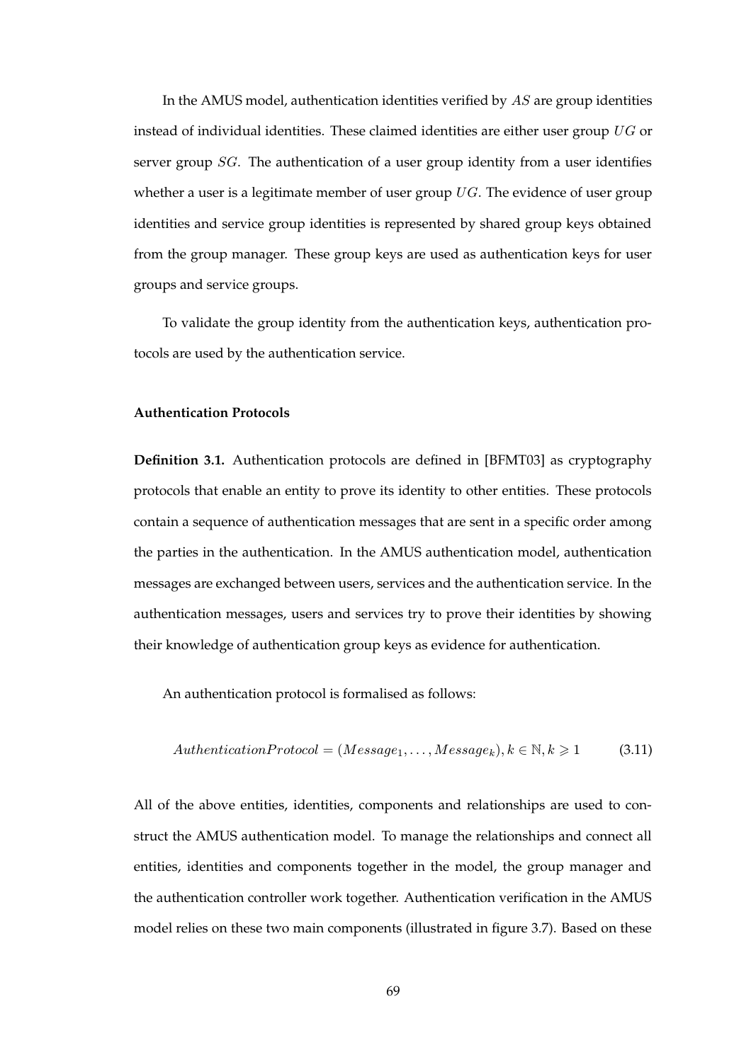In the AMUS model, authentication identities verified by AS are group identities instead of individual identities. These claimed identities are either user group  $UG$  or server group SG. The authentication of a user group identity from a user identifies whether a user is a legitimate member of user group  $UG$ . The evidence of user group identities and service group identities is represented by shared group keys obtained from the group manager. These group keys are used as authentication keys for user groups and service groups.

To validate the group identity from the authentication keys, authentication protocols are used by the authentication service.

#### **Authentication Protocols**

**Definition 3.1.** Authentication protocols are defined in [BFMT03] as cryptography protocols that enable an entity to prove its identity to other entities. These protocols contain a sequence of authentication messages that are sent in a specific order among the parties in the authentication. In the AMUS authentication model, authentication messages are exchanged between users, services and the authentication service. In the authentication messages, users and services try to prove their identities by showing their knowledge of authentication group keys as evidence for authentication.

An authentication protocol is formalised as follows:

$$
Authentication Protocol = (Message_1, \ldots, Message_k), k \in \mathbb{N}, k \ge 1
$$
 (3.11)

All of the above entities, identities, components and relationships are used to construct the AMUS authentication model. To manage the relationships and connect all entities, identities and components together in the model, the group manager and the authentication controller work together. Authentication verification in the AMUS model relies on these two main components (illustrated in figure 3.7). Based on these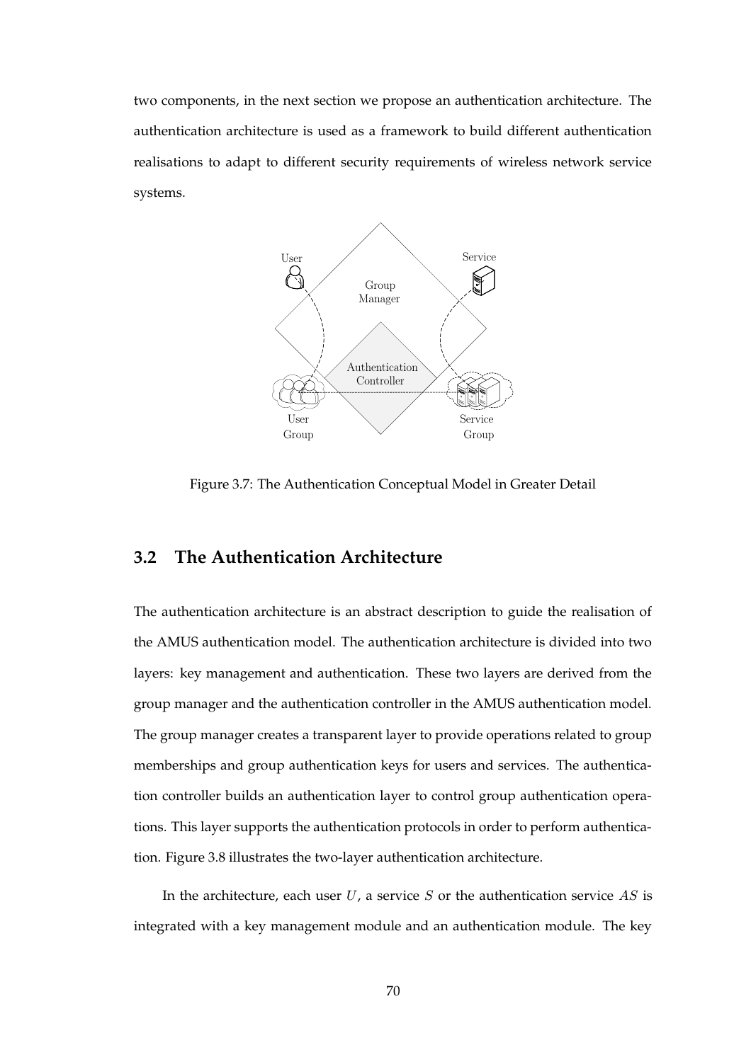two components, in the next section we propose an authentication architecture. The authentication architecture is used as a framework to build different authentication realisations to adapt to different security requirements of wireless network service systems.



Figure 3.7: The Authentication Conceptual Model in Greater Detail

#### **3.2 The Authentication Architecture**

The authentication architecture is an abstract description to guide the realisation of the AMUS authentication model. The authentication architecture is divided into two layers: key management and authentication. These two layers are derived from the group manager and the authentication controller in the AMUS authentication model. The group manager creates a transparent layer to provide operations related to group memberships and group authentication keys for users and services. The authentication controller builds an authentication layer to control group authentication operations. This layer supports the authentication protocols in order to perform authentication. Figure 3.8 illustrates the two-layer authentication architecture.

In the architecture, each user  $U$ , a service  $S$  or the authentication service  $AS$  is integrated with a key management module and an authentication module. The key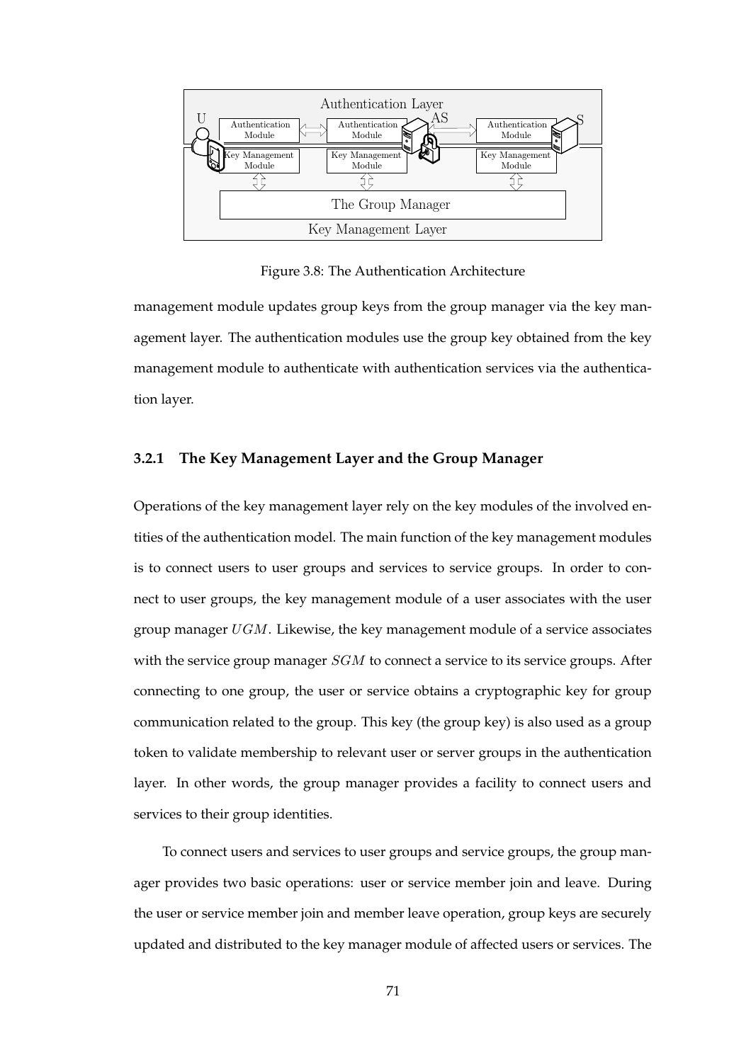

Figure 3.8: The Authentication Architecture

management module updates group keys from the group manager via the key management layer. The authentication modules use the group key obtained from the key management module to authenticate with authentication services via the authentication layer.

#### **3.2.1 The Key Management Layer and the Group Manager**

Operations of the key management layer rely on the key modules of the involved entities of the authentication model. The main function of the key management modules is to connect users to user groups and services to service groups. In order to connect to user groups, the key management module of a user associates with the user group manager  $UGM$ . Likewise, the key management module of a service associates with the service group manager SGM to connect a service to its service groups. After connecting to one group, the user or service obtains a cryptographic key for group communication related to the group. This key (the group key) is also used as a group token to validate membership to relevant user or server groups in the authentication layer. In other words, the group manager provides a facility to connect users and services to their group identities.

To connect users and services to user groups and service groups, the group manager provides two basic operations: user or service member join and leave. During the user or service member join and member leave operation, group keys are securely updated and distributed to the key manager module of affected users or services. The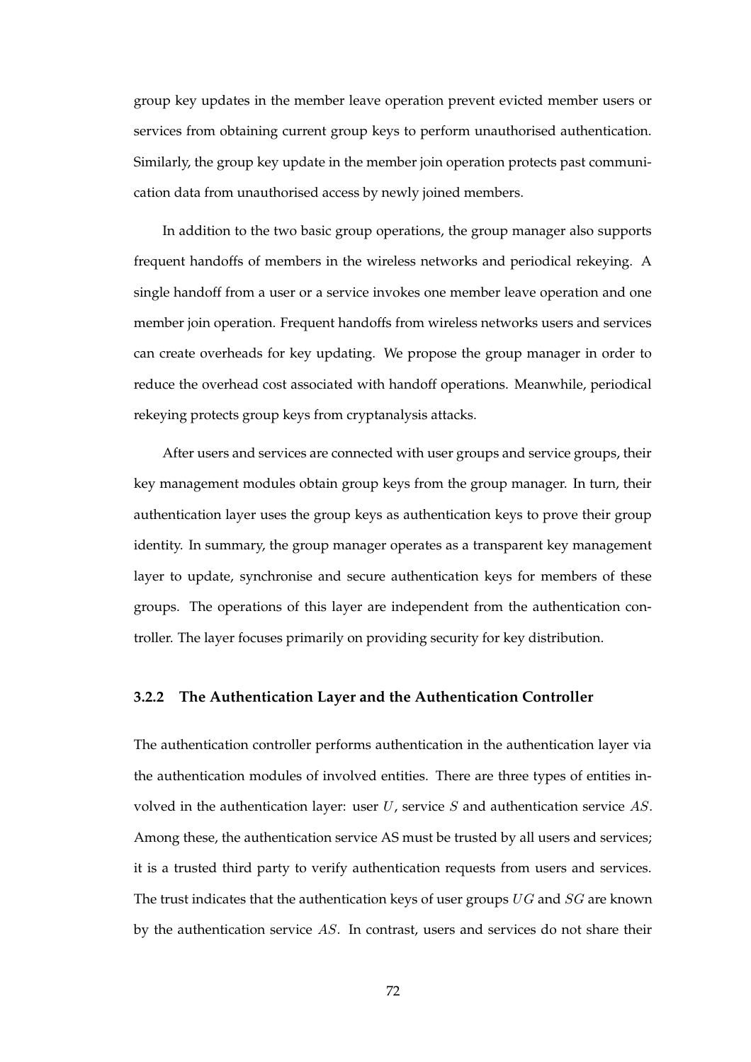group key updates in the member leave operation prevent evicted member users or services from obtaining current group keys to perform unauthorised authentication. Similarly, the group key update in the member join operation protects past communication data from unauthorised access by newly joined members.

In addition to the two basic group operations, the group manager also supports frequent handoffs of members in the wireless networks and periodical rekeying. A single handoff from a user or a service invokes one member leave operation and one member join operation. Frequent handoffs from wireless networks users and services can create overheads for key updating. We propose the group manager in order to reduce the overhead cost associated with handoff operations. Meanwhile, periodical rekeying protects group keys from cryptanalysis attacks.

After users and services are connected with user groups and service groups, their key management modules obtain group keys from the group manager. In turn, their authentication layer uses the group keys as authentication keys to prove their group identity. In summary, the group manager operates as a transparent key management layer to update, synchronise and secure authentication keys for members of these groups. The operations of this layer are independent from the authentication controller. The layer focuses primarily on providing security for key distribution.

#### **3.2.2 The Authentication Layer and the Authentication Controller**

The authentication controller performs authentication in the authentication layer via the authentication modules of involved entities. There are three types of entities involved in the authentication layer: user  $U$ , service  $S$  and authentication service  $AS$ . Among these, the authentication service AS must be trusted by all users and services; it is a trusted third party to verify authentication requests from users and services. The trust indicates that the authentication keys of user groups  $UG$  and  $SG$  are known by the authentication service AS. In contrast, users and services do not share their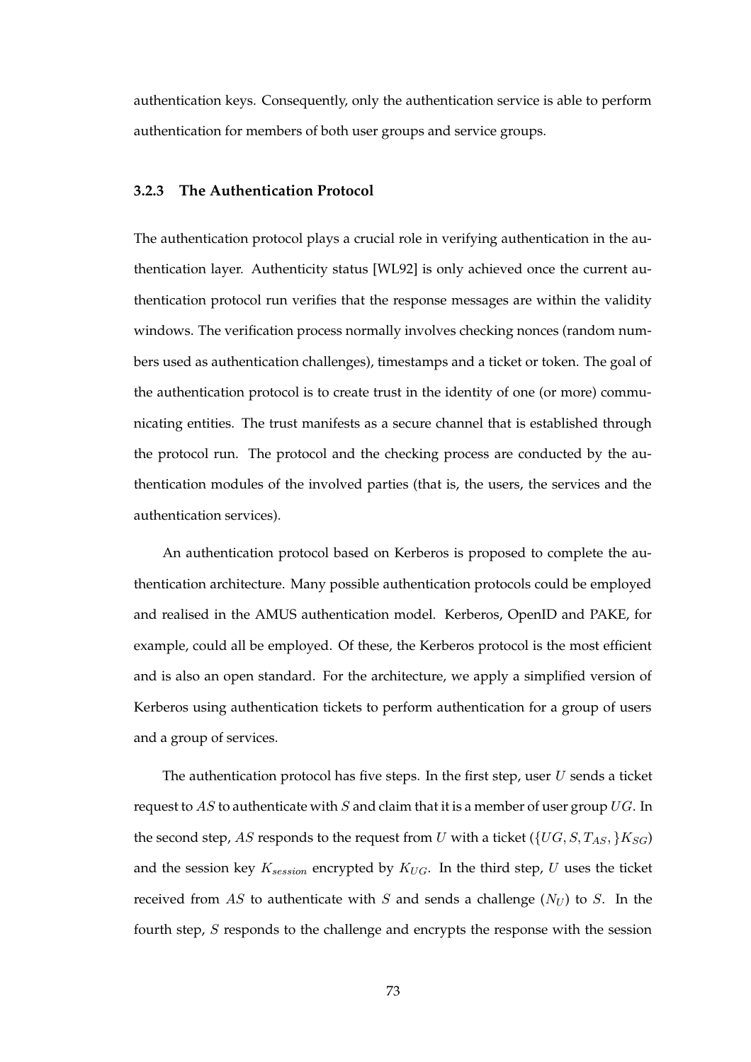authentication keys. Consequently, only the authentication service is able to perform authentication for members of both user groups and service groups.

#### **3.2.3 The Authentication Protocol**

The authentication protocol plays a crucial role in verifying authentication in the authentication layer. Authenticity status [WL92] is only achieved once the current authentication protocol run verifies that the response messages are within the validity windows. The verification process normally involves checking nonces (random numbers used as authentication challenges), timestamps and a ticket or token. The goal of the authentication protocol is to create trust in the identity of one (or more) communicating entities. The trust manifests as a secure channel that is established through the protocol run. The protocol and the checking process are conducted by the authentication modules of the involved parties (that is, the users, the services and the authentication services).

An authentication protocol based on Kerberos is proposed to complete the authentication architecture. Many possible authentication protocols could be employed and realised in the AMUS authentication model. Kerberos, OpenID and PAKE, for example, could all be employed. Of these, the Kerberos protocol is the most efficient and is also an open standard. For the architecture, we apply a simplified version of Kerberos using authentication tickets to perform authentication for a group of users and a group of services.

The authentication protocol has five steps. In the first step, user  $U$  sends a ticket request to AS to authenticate with S and claim that it is a member of user group  $UG$ . In the second step, AS responds to the request from U with a ticket ( $\{UG, S, T_{AS}, \}K_{SG}$ ) and the session key  $K_{session}$  encrypted by  $K_{UG}$ . In the third step, U uses the ticket received from AS to authenticate with S and sends a challenge  $(N_U)$  to S. In the fourth step, S responds to the challenge and encrypts the response with the session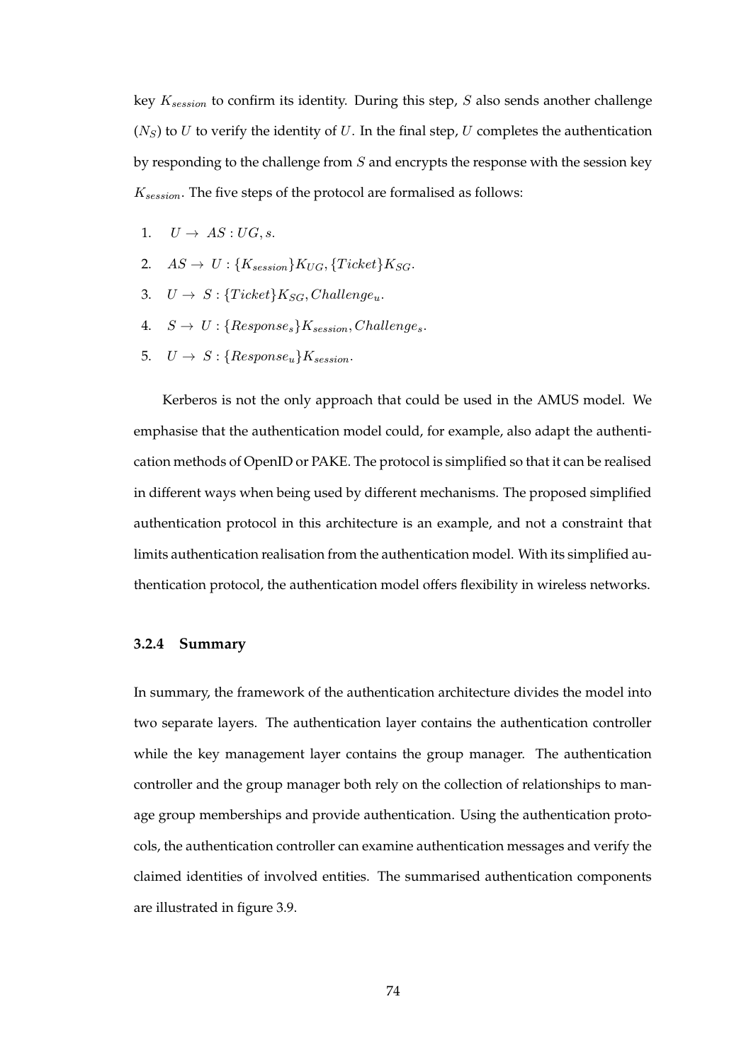key  $K_{session}$  to confirm its identity. During this step,  $S$  also sends another challenge  $(N<sub>S</sub>)$  to U to verify the identity of U. In the final step, U completes the authentication by responding to the challenge from  $S$  and encrypts the response with the session key  $K_{session}$ . The five steps of the protocol are formalised as follows:

- 1.  $U \rightarrow AS : UG, s$ .
- 2.  $AS \rightarrow U$ : { $K_{session}$ } $K_{UG}$ , {Ticket} $K_{SG}$ .
- 3.  $U \rightarrow S$ : {Ticket}K<sub>SG</sub>, Challenge<sub>u</sub>.
- 4.  $S \rightarrow U$ : {Response<sub>s</sub>}K<sub>session</sub>, Challenge<sub>s</sub>.
- 5.  $U \rightarrow S: \{Response_u\}K_{session}.$

Kerberos is not the only approach that could be used in the AMUS model. We emphasise that the authentication model could, for example, also adapt the authentication methods of OpenID or PAKE. The protocol is simplified so that it can be realised in different ways when being used by different mechanisms. The proposed simplified authentication protocol in this architecture is an example, and not a constraint that limits authentication realisation from the authentication model. With its simplified authentication protocol, the authentication model offers flexibility in wireless networks.

#### **3.2.4 Summary**

In summary, the framework of the authentication architecture divides the model into two separate layers. The authentication layer contains the authentication controller while the key management layer contains the group manager. The authentication controller and the group manager both rely on the collection of relationships to manage group memberships and provide authentication. Using the authentication protocols, the authentication controller can examine authentication messages and verify the claimed identities of involved entities. The summarised authentication components are illustrated in figure 3.9.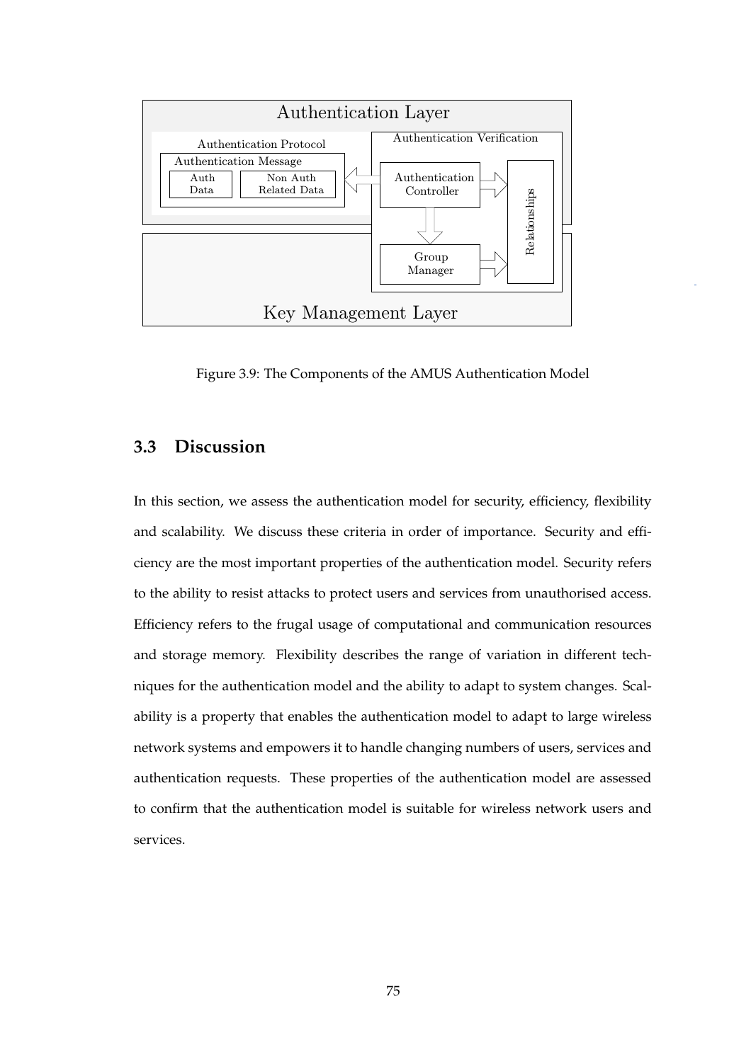

Figure 3.9: The Components of the AMUS Authentication Model

#### **3.3 Discussion**

In this section, we assess the authentication model for security, efficiency, flexibility and scalability. We discuss these criteria in order of importance. Security and efficiency are the most important properties of the authentication model. Security refers to the ability to resist attacks to protect users and services from unauthorised access. Efficiency refers to the frugal usage of computational and communication resources and storage memory. Flexibility describes the range of variation in different techniques for the authentication model and the ability to adapt to system changes. Scalability is a property that enables the authentication model to adapt to large wireless network systems and empowers it to handle changing numbers of users, services and authentication requests. These properties of the authentication model are assessed to confirm that the authentication model is suitable for wireless network users and services.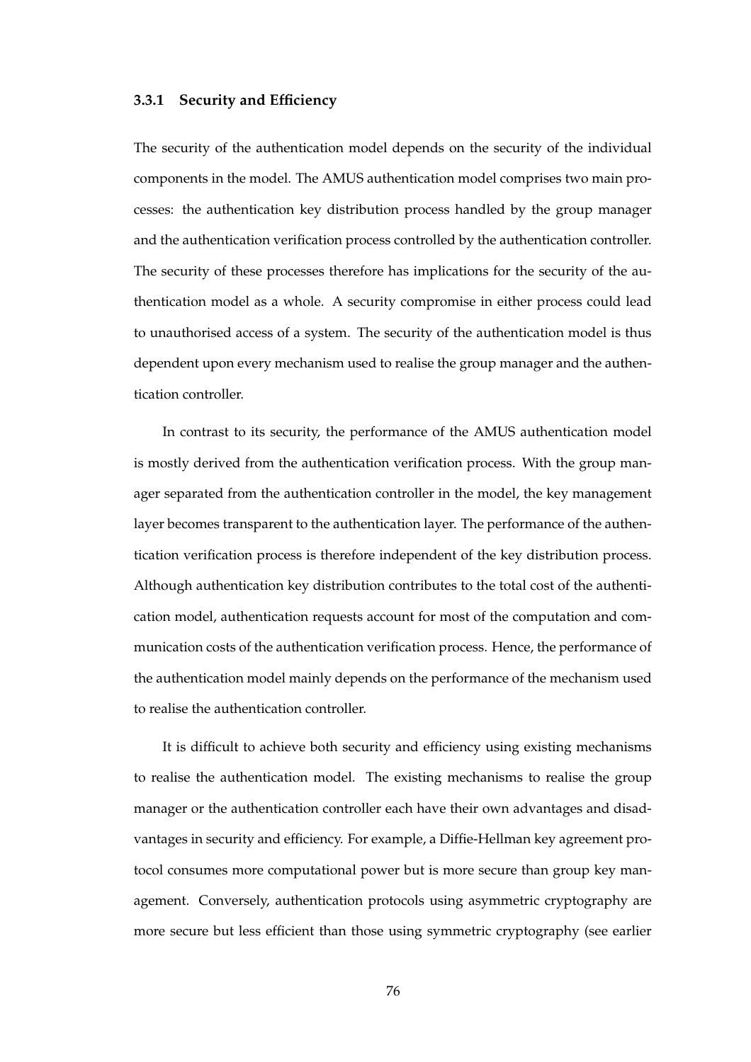#### **3.3.1 Security and Efficiency**

The security of the authentication model depends on the security of the individual components in the model. The AMUS authentication model comprises two main processes: the authentication key distribution process handled by the group manager and the authentication verification process controlled by the authentication controller. The security of these processes therefore has implications for the security of the authentication model as a whole. A security compromise in either process could lead to unauthorised access of a system. The security of the authentication model is thus dependent upon every mechanism used to realise the group manager and the authentication controller.

In contrast to its security, the performance of the AMUS authentication model is mostly derived from the authentication verification process. With the group manager separated from the authentication controller in the model, the key management layer becomes transparent to the authentication layer. The performance of the authentication verification process is therefore independent of the key distribution process. Although authentication key distribution contributes to the total cost of the authentication model, authentication requests account for most of the computation and communication costs of the authentication verification process. Hence, the performance of the authentication model mainly depends on the performance of the mechanism used to realise the authentication controller.

It is difficult to achieve both security and efficiency using existing mechanisms to realise the authentication model. The existing mechanisms to realise the group manager or the authentication controller each have their own advantages and disadvantages in security and efficiency. For example, a Diffie-Hellman key agreement protocol consumes more computational power but is more secure than group key management. Conversely, authentication protocols using asymmetric cryptography are more secure but less efficient than those using symmetric cryptography (see earlier

76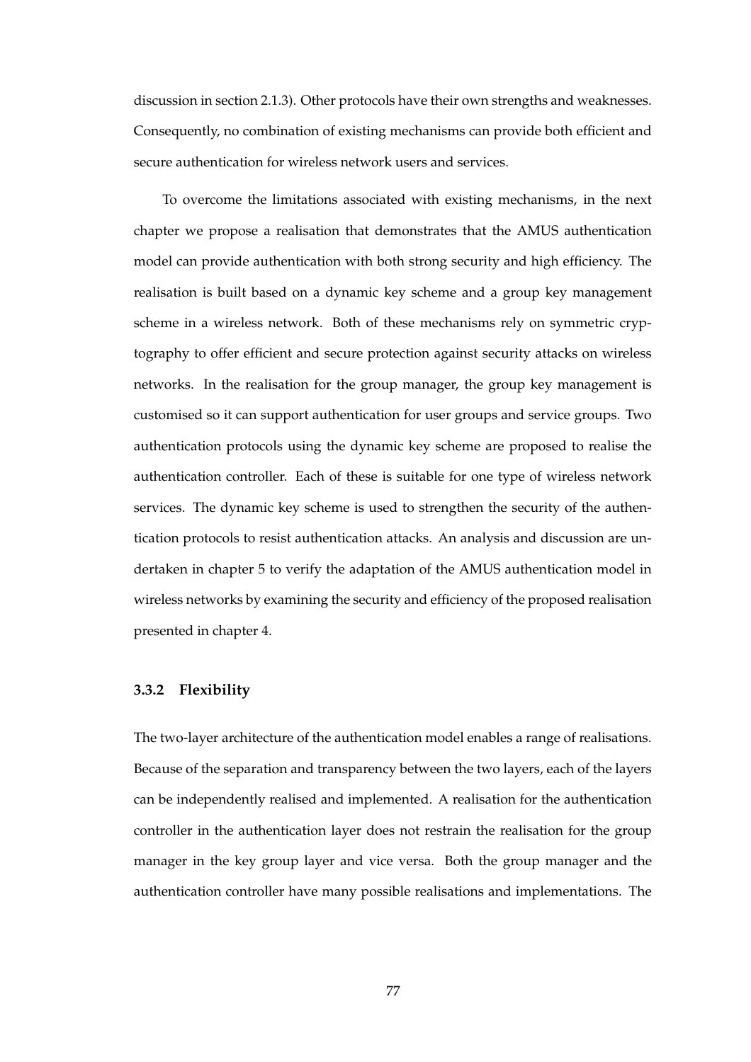discussion in section 2.1.3). Other protocols have their own strengths and weaknesses. Consequently, no combination of existing mechanisms can provide both efficient and secure authentication for wireless network users and services.

To overcome the limitations associated with existing mechanisms, in the next chapter we propose a realisation that demonstrates that the AMUS authentication model can provide authentication with both strong security and high efficiency. The realisation is built based on a dynamic key scheme and a group key management scheme in a wireless network. Both of these mechanisms rely on symmetric cryptography to offer efficient and secure protection against security attacks on wireless networks. In the realisation for the group manager, the group key management is customised so it can support authentication for user groups and service groups. Two authentication protocols using the dynamic key scheme are proposed to realise the authentication controller. Each of these is suitable for one type of wireless network services. The dynamic key scheme is used to strengthen the security of the authentication protocols to resist authentication attacks. An analysis and discussion are undertaken in chapter 5 to verify the adaptation of the AMUS authentication model in wireless networks by examining the security and efficiency of the proposed realisation presented in chapter 4.

#### **3.3.2 Flexibility**

The two-layer architecture of the authentication model enables a range of realisations. Because of the separation and transparency between the two layers, each of the layers can be independently realised and implemented. A realisation for the authentication controller in the authentication layer does not restrain the realisation for the group manager in the key group layer and vice versa. Both the group manager and the authentication controller have many possible realisations and implementations. The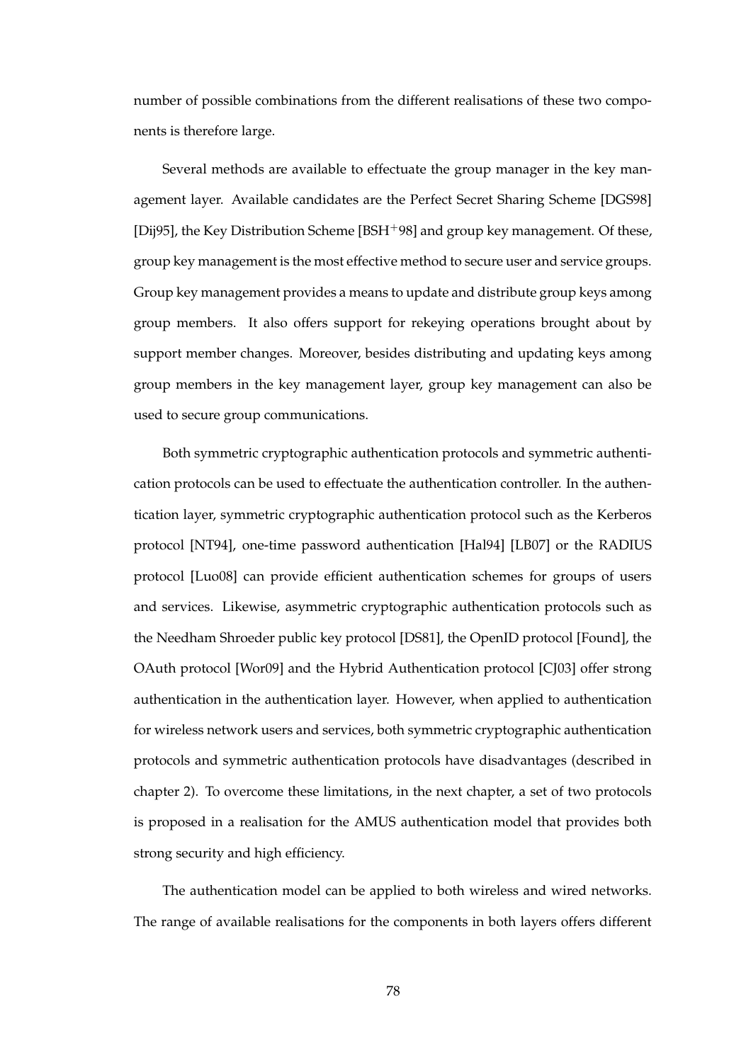number of possible combinations from the different realisations of these two components is therefore large.

Several methods are available to effectuate the group manager in the key management layer. Available candidates are the Perfect Secret Sharing Scheme [DGS98] [Dij95], the Key Distribution Scheme [BSH<sup>+98]</sup> and group key management. Of these, group key management is the most effective method to secure user and service groups. Group key management provides a means to update and distribute group keys among group members. It also offers support for rekeying operations brought about by support member changes. Moreover, besides distributing and updating keys among group members in the key management layer, group key management can also be used to secure group communications.

Both symmetric cryptographic authentication protocols and symmetric authentication protocols can be used to effectuate the authentication controller. In the authentication layer, symmetric cryptographic authentication protocol such as the Kerberos protocol [NT94], one-time password authentication [Hal94] [LB07] or the RADIUS protocol [Luo08] can provide efficient authentication schemes for groups of users and services. Likewise, asymmetric cryptographic authentication protocols such as the Needham Shroeder public key protocol [DS81], the OpenID protocol [Found], the OAuth protocol [Wor09] and the Hybrid Authentication protocol [CJ03] offer strong authentication in the authentication layer. However, when applied to authentication for wireless network users and services, both symmetric cryptographic authentication protocols and symmetric authentication protocols have disadvantages (described in chapter 2). To overcome these limitations, in the next chapter, a set of two protocols is proposed in a realisation for the AMUS authentication model that provides both strong security and high efficiency.

The authentication model can be applied to both wireless and wired networks. The range of available realisations for the components in both layers offers different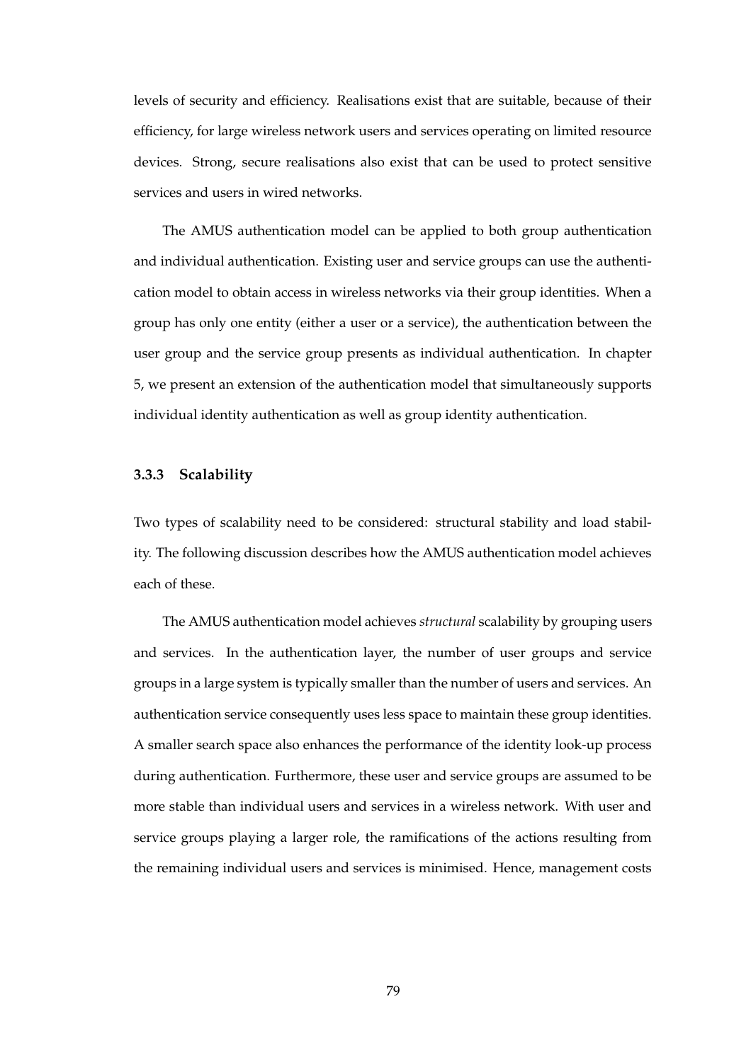levels of security and efficiency. Realisations exist that are suitable, because of their efficiency, for large wireless network users and services operating on limited resource devices. Strong, secure realisations also exist that can be used to protect sensitive services and users in wired networks.

The AMUS authentication model can be applied to both group authentication and individual authentication. Existing user and service groups can use the authentication model to obtain access in wireless networks via their group identities. When a group has only one entity (either a user or a service), the authentication between the user group and the service group presents as individual authentication. In chapter 5, we present an extension of the authentication model that simultaneously supports individual identity authentication as well as group identity authentication.

#### **3.3.3 Scalability**

Two types of scalability need to be considered: structural stability and load stability. The following discussion describes how the AMUS authentication model achieves each of these.

The AMUS authentication model achieves *structural* scalability by grouping users and services. In the authentication layer, the number of user groups and service groups in a large system is typically smaller than the number of users and services. An authentication service consequently uses less space to maintain these group identities. A smaller search space also enhances the performance of the identity look-up process during authentication. Furthermore, these user and service groups are assumed to be more stable than individual users and services in a wireless network. With user and service groups playing a larger role, the ramifications of the actions resulting from the remaining individual users and services is minimised. Hence, management costs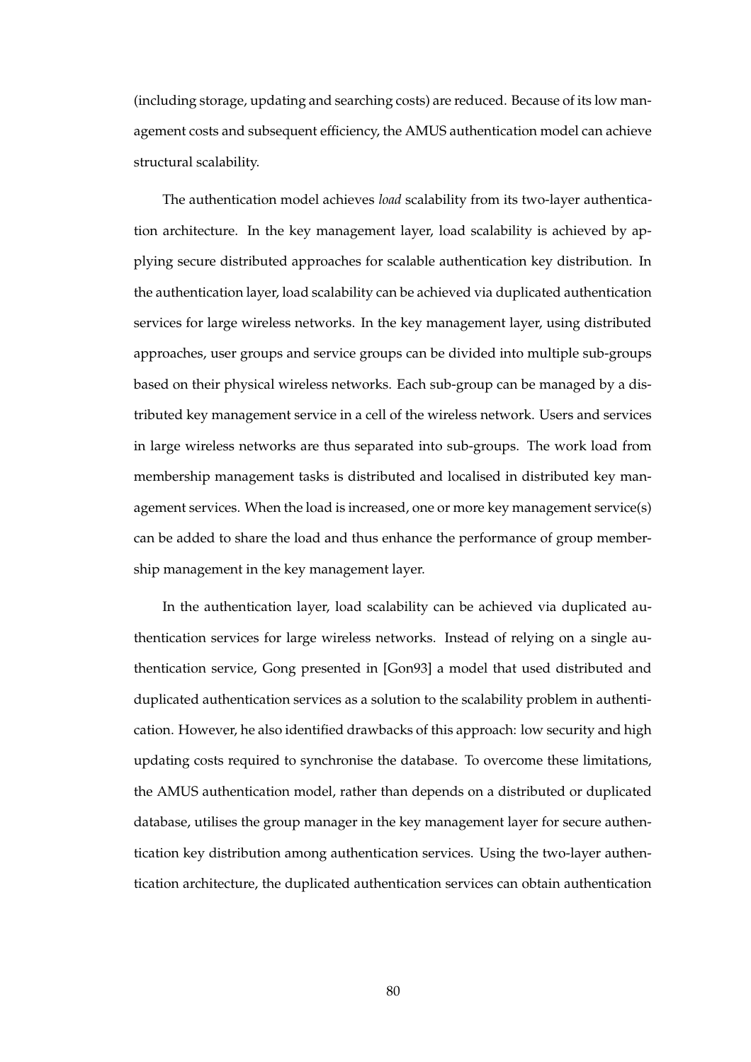(including storage, updating and searching costs) are reduced. Because of its low management costs and subsequent efficiency, the AMUS authentication model can achieve structural scalability.

The authentication model achieves *load* scalability from its two-layer authentication architecture. In the key management layer, load scalability is achieved by applying secure distributed approaches for scalable authentication key distribution. In the authentication layer, load scalability can be achieved via duplicated authentication services for large wireless networks. In the key management layer, using distributed approaches, user groups and service groups can be divided into multiple sub-groups based on their physical wireless networks. Each sub-group can be managed by a distributed key management service in a cell of the wireless network. Users and services in large wireless networks are thus separated into sub-groups. The work load from membership management tasks is distributed and localised in distributed key management services. When the load is increased, one or more key management service(s) can be added to share the load and thus enhance the performance of group membership management in the key management layer.

In the authentication layer, load scalability can be achieved via duplicated authentication services for large wireless networks. Instead of relying on a single authentication service, Gong presented in [Gon93] a model that used distributed and duplicated authentication services as a solution to the scalability problem in authentication. However, he also identified drawbacks of this approach: low security and high updating costs required to synchronise the database. To overcome these limitations, the AMUS authentication model, rather than depends on a distributed or duplicated database, utilises the group manager in the key management layer for secure authentication key distribution among authentication services. Using the two-layer authentication architecture, the duplicated authentication services can obtain authentication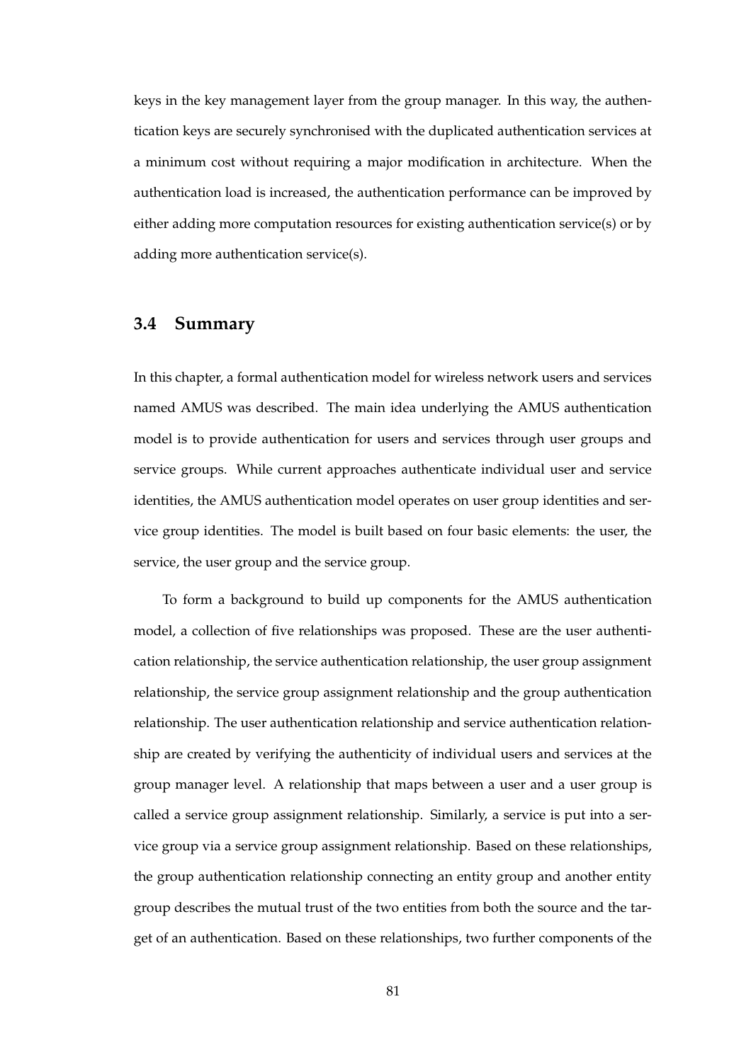keys in the key management layer from the group manager. In this way, the authentication keys are securely synchronised with the duplicated authentication services at a minimum cost without requiring a major modification in architecture. When the authentication load is increased, the authentication performance can be improved by either adding more computation resources for existing authentication service(s) or by adding more authentication service(s).

#### **3.4 Summary**

In this chapter, a formal authentication model for wireless network users and services named AMUS was described. The main idea underlying the AMUS authentication model is to provide authentication for users and services through user groups and service groups. While current approaches authenticate individual user and service identities, the AMUS authentication model operates on user group identities and service group identities. The model is built based on four basic elements: the user, the service, the user group and the service group.

To form a background to build up components for the AMUS authentication model, a collection of five relationships was proposed. These are the user authentication relationship, the service authentication relationship, the user group assignment relationship, the service group assignment relationship and the group authentication relationship. The user authentication relationship and service authentication relationship are created by verifying the authenticity of individual users and services at the group manager level. A relationship that maps between a user and a user group is called a service group assignment relationship. Similarly, a service is put into a service group via a service group assignment relationship. Based on these relationships, the group authentication relationship connecting an entity group and another entity group describes the mutual trust of the two entities from both the source and the target of an authentication. Based on these relationships, two further components of the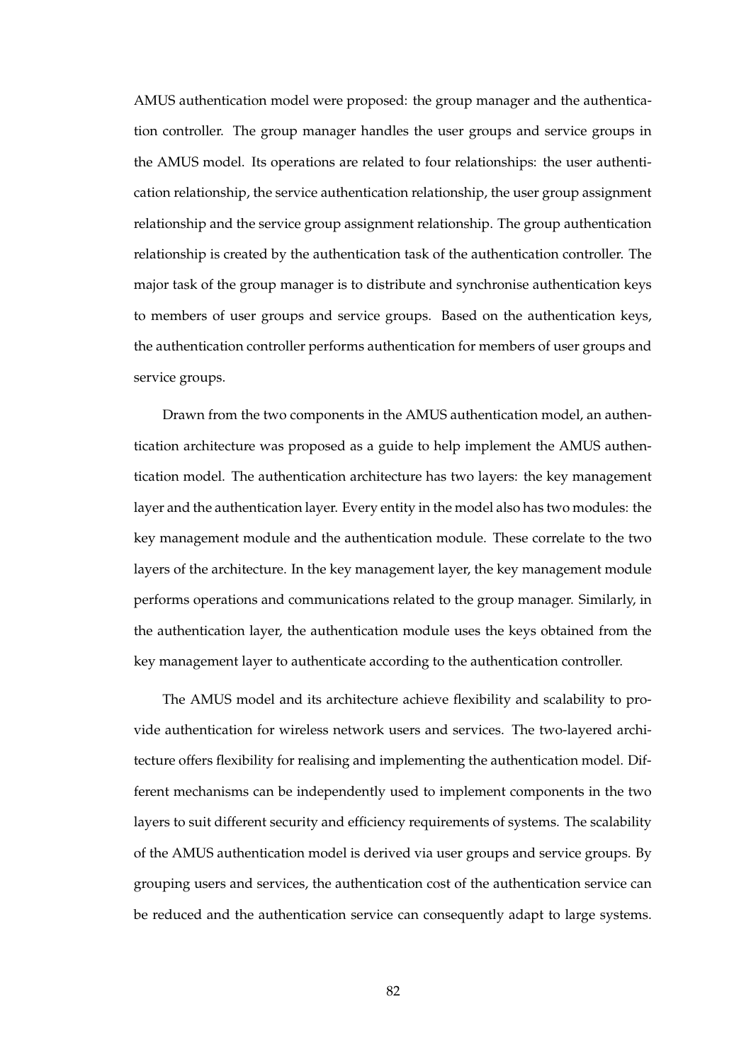AMUS authentication model were proposed: the group manager and the authentication controller. The group manager handles the user groups and service groups in the AMUS model. Its operations are related to four relationships: the user authentication relationship, the service authentication relationship, the user group assignment relationship and the service group assignment relationship. The group authentication relationship is created by the authentication task of the authentication controller. The major task of the group manager is to distribute and synchronise authentication keys to members of user groups and service groups. Based on the authentication keys, the authentication controller performs authentication for members of user groups and service groups.

Drawn from the two components in the AMUS authentication model, an authentication architecture was proposed as a guide to help implement the AMUS authentication model. The authentication architecture has two layers: the key management layer and the authentication layer. Every entity in the model also has two modules: the key management module and the authentication module. These correlate to the two layers of the architecture. In the key management layer, the key management module performs operations and communications related to the group manager. Similarly, in the authentication layer, the authentication module uses the keys obtained from the key management layer to authenticate according to the authentication controller.

The AMUS model and its architecture achieve flexibility and scalability to provide authentication for wireless network users and services. The two-layered architecture offers flexibility for realising and implementing the authentication model. Different mechanisms can be independently used to implement components in the two layers to suit different security and efficiency requirements of systems. The scalability of the AMUS authentication model is derived via user groups and service groups. By grouping users and services, the authentication cost of the authentication service can be reduced and the authentication service can consequently adapt to large systems.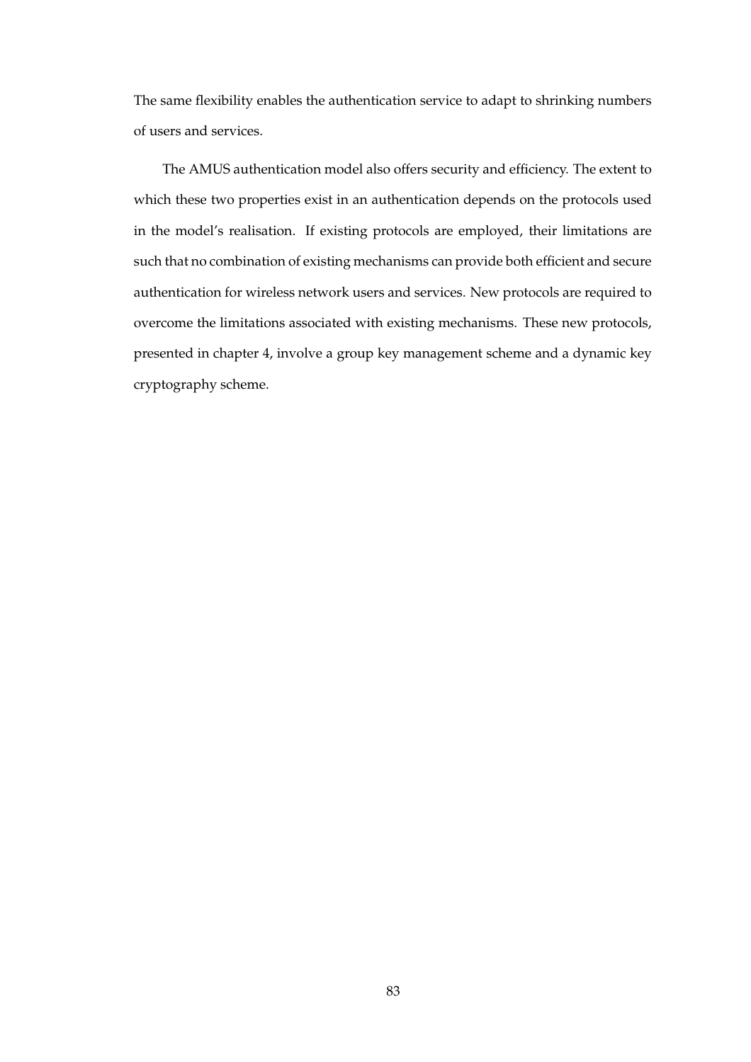The same flexibility enables the authentication service to adapt to shrinking numbers of users and services.

The AMUS authentication model also offers security and efficiency. The extent to which these two properties exist in an authentication depends on the protocols used in the model's realisation. If existing protocols are employed, their limitations are such that no combination of existing mechanisms can provide both efficient and secure authentication for wireless network users and services. New protocols are required to overcome the limitations associated with existing mechanisms. These new protocols, presented in chapter 4, involve a group key management scheme and a dynamic key cryptography scheme.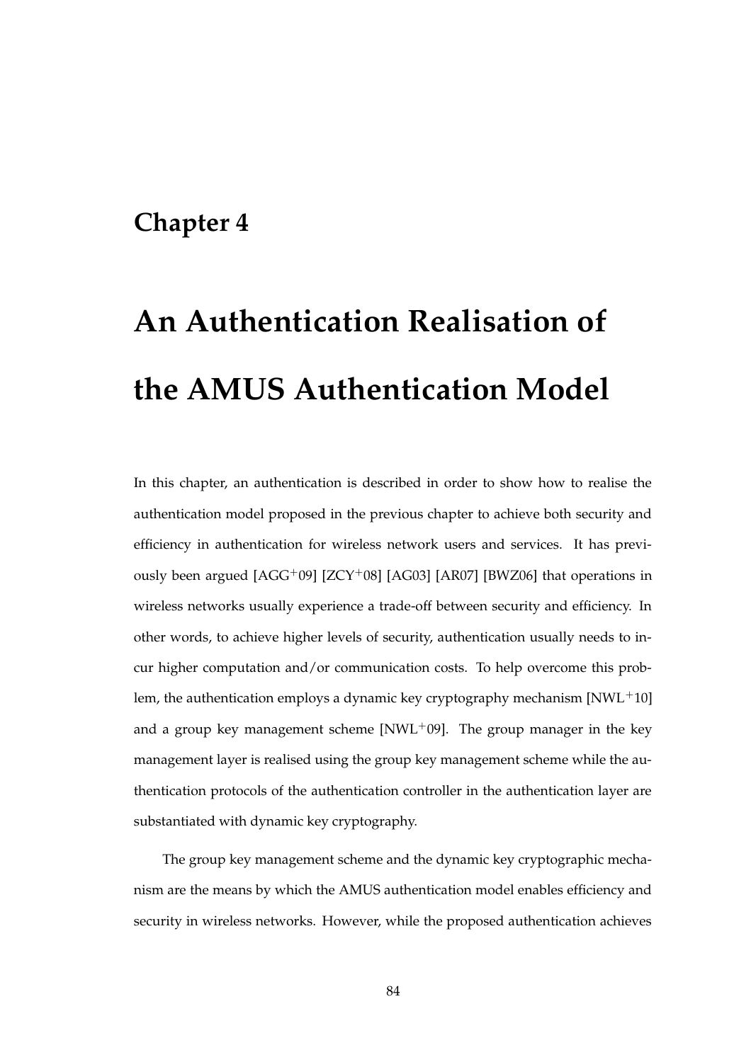## **Chapter 4**

## **An Authentication Realisation of the AMUS Authentication Model**

In this chapter, an authentication is described in order to show how to realise the authentication model proposed in the previous chapter to achieve both security and efficiency in authentication for wireless network users and services. It has previously been argued  $[AGG^{+09}]$   $[ZCY^{+08}]$   $[AG03]$   $[AR07]$   $[BWZ06]$  that operations in wireless networks usually experience a trade-off between security and efficiency. In other words, to achieve higher levels of security, authentication usually needs to incur higher computation and/or communication costs. To help overcome this problem, the authentication employs a dynamic key cryptography mechanism  $[NWL+10]$ and a group key management scheme  $[NWL+09]$ . The group manager in the key management layer is realised using the group key management scheme while the authentication protocols of the authentication controller in the authentication layer are substantiated with dynamic key cryptography.

The group key management scheme and the dynamic key cryptographic mechanism are the means by which the AMUS authentication model enables efficiency and security in wireless networks. However, while the proposed authentication achieves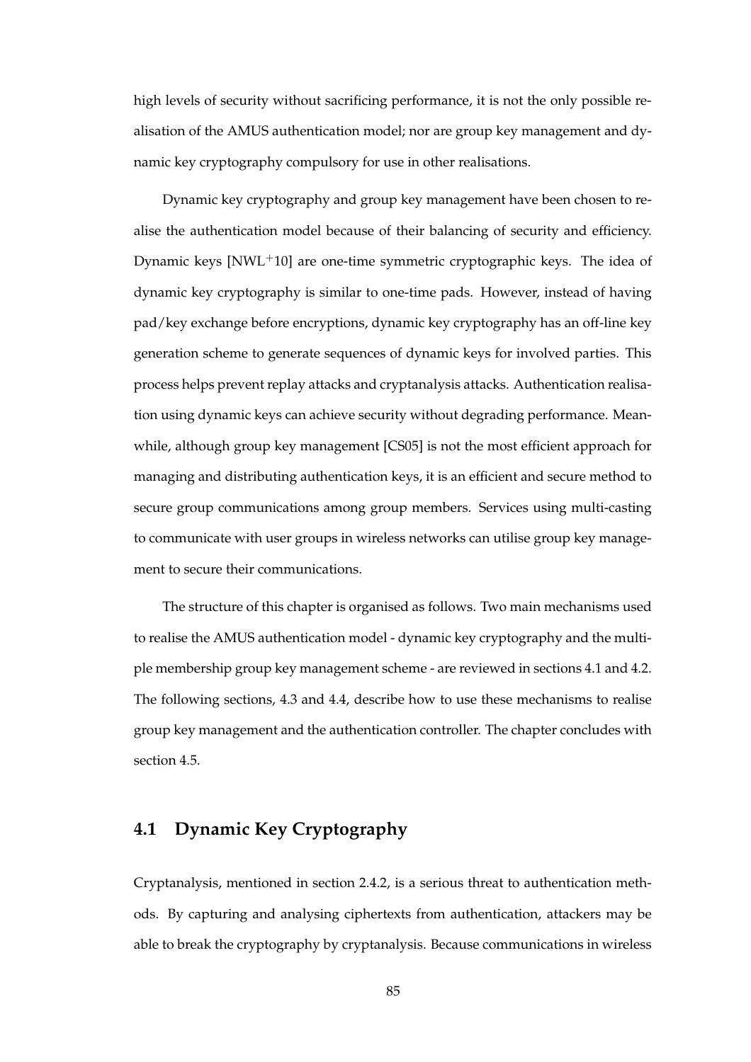high levels of security without sacrificing performance, it is not the only possible realisation of the AMUS authentication model; nor are group key management and dynamic key cryptography compulsory for use in other realisations.

Dynamic key cryptography and group key management have been chosen to realise the authentication model because of their balancing of security and efficiency. Dynamic keys  $[NWL+10]$  are one-time symmetric cryptographic keys. The idea of dynamic key cryptography is similar to one-time pads. However, instead of having pad/key exchange before encryptions, dynamic key cryptography has an off-line key generation scheme to generate sequences of dynamic keys for involved parties. This process helps prevent replay attacks and cryptanalysis attacks. Authentication realisation using dynamic keys can achieve security without degrading performance. Meanwhile, although group key management [CS05] is not the most efficient approach for managing and distributing authentication keys, it is an efficient and secure method to secure group communications among group members. Services using multi-casting to communicate with user groups in wireless networks can utilise group key management to secure their communications.

The structure of this chapter is organised as follows. Two main mechanisms used to realise the AMUS authentication model - dynamic key cryptography and the multiple membership group key management scheme - are reviewed in sections 4.1 and 4.2. The following sections, 4.3 and 4.4, describe how to use these mechanisms to realise group key management and the authentication controller. The chapter concludes with section 4.5.

### **4.1 Dynamic Key Cryptography**

Cryptanalysis, mentioned in section 2.4.2, is a serious threat to authentication methods. By capturing and analysing ciphertexts from authentication, attackers may be able to break the cryptography by cryptanalysis. Because communications in wireless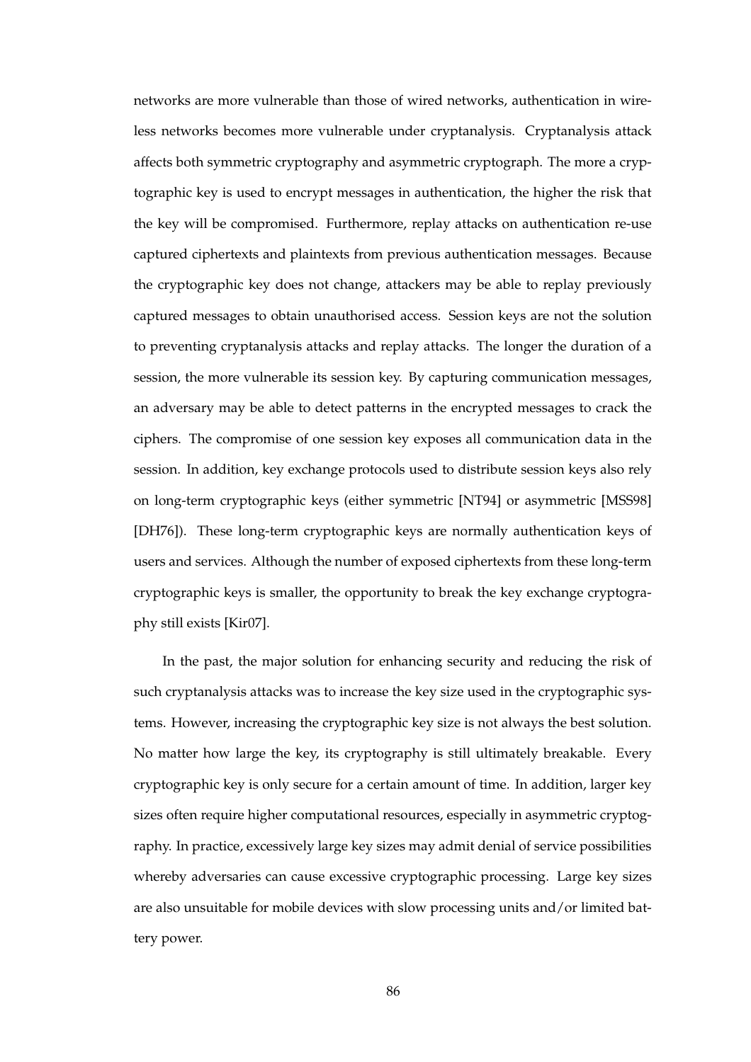networks are more vulnerable than those of wired networks, authentication in wireless networks becomes more vulnerable under cryptanalysis. Cryptanalysis attack affects both symmetric cryptography and asymmetric cryptograph. The more a cryptographic key is used to encrypt messages in authentication, the higher the risk that the key will be compromised. Furthermore, replay attacks on authentication re-use captured ciphertexts and plaintexts from previous authentication messages. Because the cryptographic key does not change, attackers may be able to replay previously captured messages to obtain unauthorised access. Session keys are not the solution to preventing cryptanalysis attacks and replay attacks. The longer the duration of a session, the more vulnerable its session key. By capturing communication messages, an adversary may be able to detect patterns in the encrypted messages to crack the ciphers. The compromise of one session key exposes all communication data in the session. In addition, key exchange protocols used to distribute session keys also rely on long-term cryptographic keys (either symmetric [NT94] or asymmetric [MSS98] [DH76]). These long-term cryptographic keys are normally authentication keys of users and services. Although the number of exposed ciphertexts from these long-term cryptographic keys is smaller, the opportunity to break the key exchange cryptography still exists [Kir07].

In the past, the major solution for enhancing security and reducing the risk of such cryptanalysis attacks was to increase the key size used in the cryptographic systems. However, increasing the cryptographic key size is not always the best solution. No matter how large the key, its cryptography is still ultimately breakable. Every cryptographic key is only secure for a certain amount of time. In addition, larger key sizes often require higher computational resources, especially in asymmetric cryptography. In practice, excessively large key sizes may admit denial of service possibilities whereby adversaries can cause excessive cryptographic processing. Large key sizes are also unsuitable for mobile devices with slow processing units and/or limited battery power.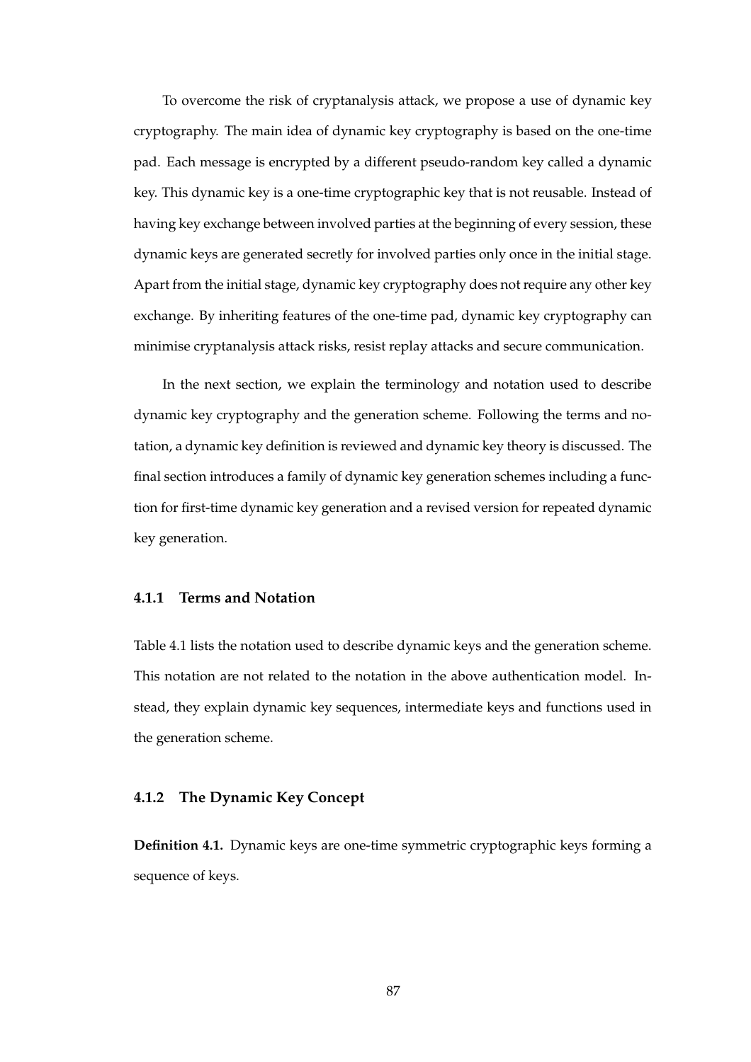To overcome the risk of cryptanalysis attack, we propose a use of dynamic key cryptography. The main idea of dynamic key cryptography is based on the one-time pad. Each message is encrypted by a different pseudo-random key called a dynamic key. This dynamic key is a one-time cryptographic key that is not reusable. Instead of having key exchange between involved parties at the beginning of every session, these dynamic keys are generated secretly for involved parties only once in the initial stage. Apart from the initial stage, dynamic key cryptography does not require any other key exchange. By inheriting features of the one-time pad, dynamic key cryptography can minimise cryptanalysis attack risks, resist replay attacks and secure communication.

In the next section, we explain the terminology and notation used to describe dynamic key cryptography and the generation scheme. Following the terms and notation, a dynamic key definition is reviewed and dynamic key theory is discussed. The final section introduces a family of dynamic key generation schemes including a function for first-time dynamic key generation and a revised version for repeated dynamic key generation.

#### **4.1.1 Terms and Notation**

Table 4.1 lists the notation used to describe dynamic keys and the generation scheme. This notation are not related to the notation in the above authentication model. Instead, they explain dynamic key sequences, intermediate keys and functions used in the generation scheme.

### **4.1.2 The Dynamic Key Concept**

**Definition 4.1.** Dynamic keys are one-time symmetric cryptographic keys forming a sequence of keys.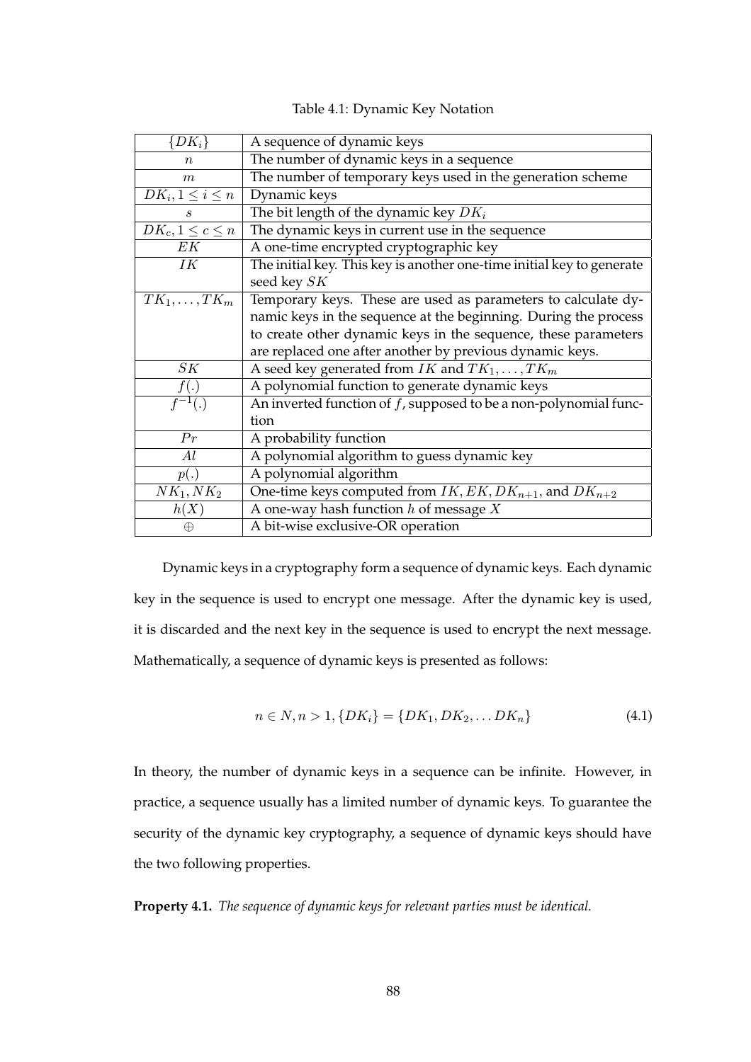| Table 4.1: Dynamic Key Notation |  |  |
|---------------------------------|--|--|
|                                 |  |  |

| $\{\overline{D}K_i\}$         | A sequence of dynamic keys                                            |
|-------------------------------|-----------------------------------------------------------------------|
| $\, n$                        | The number of dynamic keys in a sequence                              |
| $\boldsymbol{m}$              | The number of temporary keys used in the generation scheme            |
| $DK_i, 1 \leq i \leq n$       | Dynamic keys                                                          |
| $\mathcal{S}_{0}$             | The bit length of the dynamic key $DK_i$                              |
| $DK_c, 1 \leq c \leq n$       | The dynamic keys in current use in the sequence                       |
| EK                            | A one-time encrypted cryptographic key                                |
| ΙK                            | The initial key. This key is another one-time initial key to generate |
|                               | seed key SK                                                           |
| $\overline{TK_1,\ldots,TK_m}$ | Temporary keys. These are used as parameters to calculate dy-         |
|                               | namic keys in the sequence at the beginning. During the process       |
|                               | to create other dynamic keys in the sequence, these parameters        |
|                               | are replaced one after another by previous dynamic keys.              |
| SK                            | A seed key generated from <i>IK</i> and $TK_1, \ldots, TK_m$          |
| $\frac{f(.)}{f^{-1}(.)}$      | A polynomial function to generate dynamic keys                        |
|                               | An inverted function of $f$ , supposed to be a non-polynomial func-   |
|                               | tion                                                                  |
| Pr                            | A probability function                                                |
| Al                            | A polynomial algorithm to guess dynamic key                           |
| p(.)                          | A polynomial algorithm                                                |
| $NK_1, NK_2$                  | One-time keys computed from $IK, EK, DK_{n+1}$ , and $DK_{n+2}$       |
| h(X)                          | A one-way hash function $h$ of message $X$                            |
| $\oplus$                      | A bit-wise exclusive-OR operation                                     |

Dynamic keys in a cryptography form a sequence of dynamic keys. Each dynamic key in the sequence is used to encrypt one message. After the dynamic key is used, it is discarded and the next key in the sequence is used to encrypt the next message. Mathematically, a sequence of dynamic keys is presented as follows:

$$
n \in N, n > 1, \{DK_i\} = \{DK_1, DK_2, \dots DK_n\}
$$
\n(4.1)

In theory, the number of dynamic keys in a sequence can be infinite. However, in practice, a sequence usually has a limited number of dynamic keys. To guarantee the security of the dynamic key cryptography, a sequence of dynamic keys should have the two following properties.

**Property 4.1.** *The sequence of dynamic keys for relevant parties must be identical.*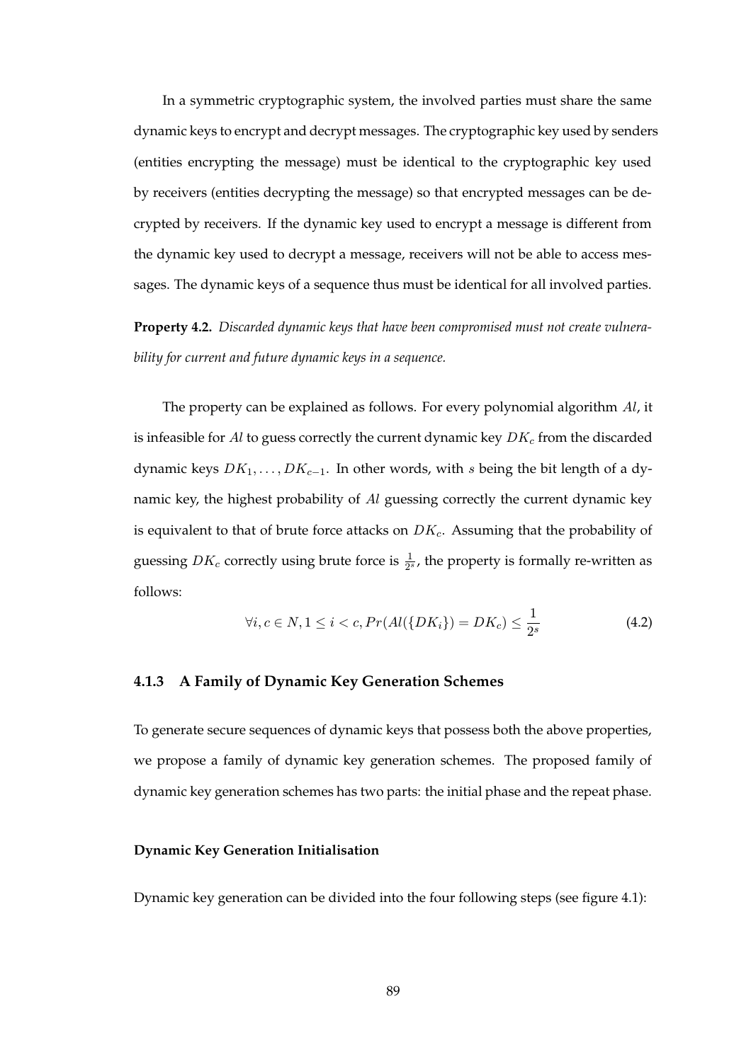In a symmetric cryptographic system, the involved parties must share the same dynamic keys to encrypt and decrypt messages. The cryptographic key used by senders (entities encrypting the message) must be identical to the cryptographic key used by receivers (entities decrypting the message) so that encrypted messages can be decrypted by receivers. If the dynamic key used to encrypt a message is different from the dynamic key used to decrypt a message, receivers will not be able to access messages. The dynamic keys of a sequence thus must be identical for all involved parties.

**Property 4.2.** *Discarded dynamic keys that have been compromised must not create vulnerability for current and future dynamic keys in a sequence.*

The property can be explained as follows. For every polynomial algorithm  $Al$ , it is infeasible for Al to guess correctly the current dynamic key  $DK_c$  from the discarded dynamic keys  $DK_1, \ldots, DK_{c-1}$ . In other words, with s being the bit length of a dynamic key, the highest probability of Al guessing correctly the current dynamic key is equivalent to that of brute force attacks on  $DK_c$ . Assuming that the probability of guessing  $DK_c$  correctly using brute force is  $\frac{1}{2^s}$ , the property is formally re-written as follows:

$$
\forall i, c \in N, 1 \le i < c, Pr(Al(\{DK_i\}) = DK_c) \le \frac{1}{2^s} \tag{4.2}
$$

#### **4.1.3 A Family of Dynamic Key Generation Schemes**

To generate secure sequences of dynamic keys that possess both the above properties, we propose a family of dynamic key generation schemes. The proposed family of dynamic key generation schemes has two parts: the initial phase and the repeat phase.

#### **Dynamic Key Generation Initialisation**

Dynamic key generation can be divided into the four following steps (see figure 4.1):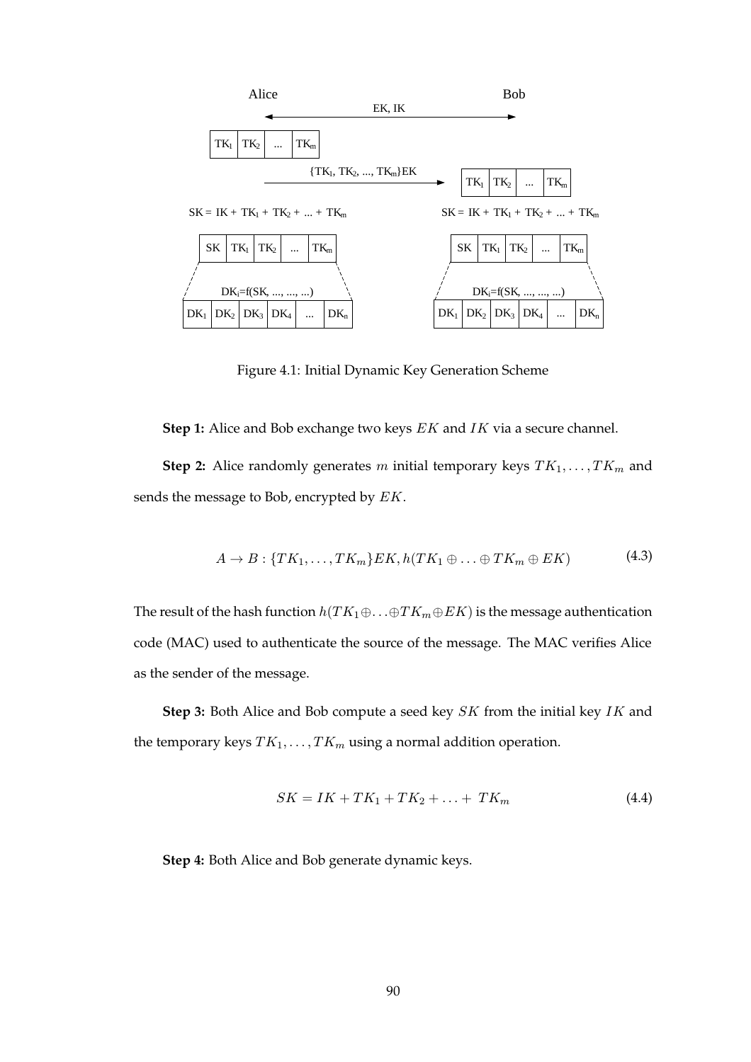

Figure 4.1: Initial Dynamic Key Generation Scheme

**Step 1:** Alice and Bob exchange two keys *EK* and *IK* via a secure channel.

**Step 2:** Alice randomly generates m initial temporary keys  $TK_1, \ldots, TK_m$  and sends the message to Bob, encrypted by EK.

$$
A \to B: \{TK_1, \ldots, TK_m\} EK, h(TK_1 \oplus \ldots \oplus TK_m \oplus EK) \tag{4.3}
$$

The result of the hash function  $h(TK_1 \oplus \ldots \oplus TK_m \oplus EK)$  is the message authentication code (MAC) used to authenticate the source of the message. The MAC verifies Alice as the sender of the message.

**Step 3:** Both Alice and Bob compute a seed key SK from the initial key IK and the temporary keys  $TK_1, \ldots, TK_m$  using a normal addition operation.

$$
SK = IK + TK_1 + TK_2 + \ldots + TK_m \tag{4.4}
$$

**Step 4:** Both Alice and Bob generate dynamic keys.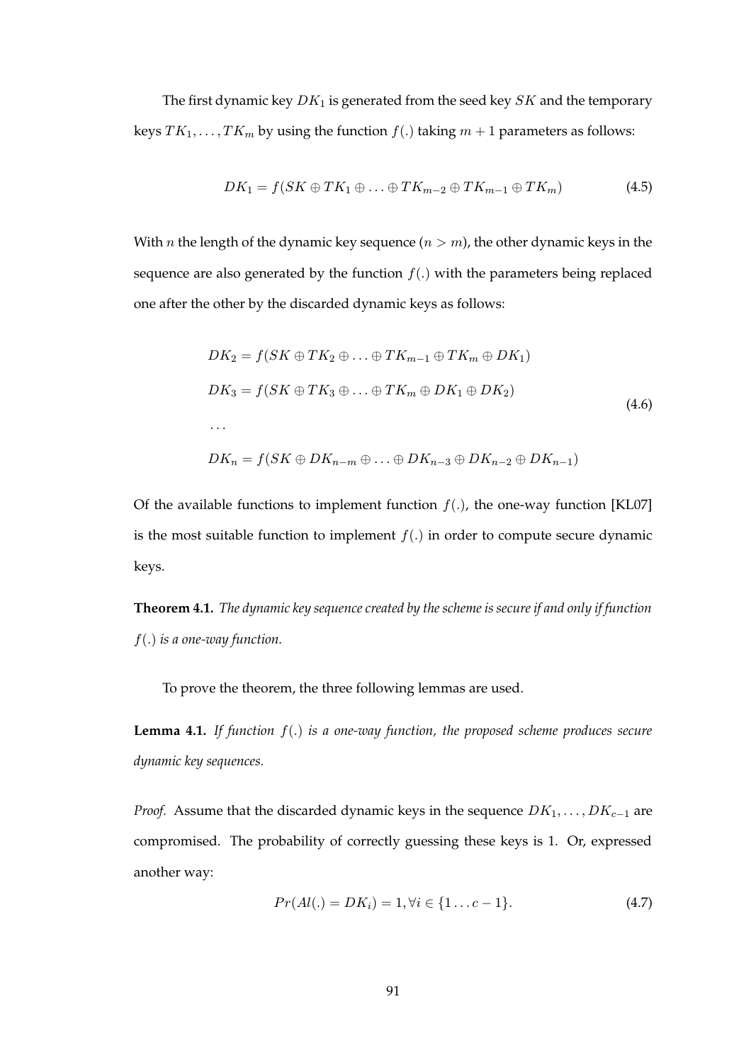The first dynamic key  $DK_1$  is generated from the seed key  $SK$  and the temporary keys  $TK_1, \ldots, TK_m$  by using the function  $f(.)$  taking  $m + 1$  parameters as follows:

$$
DK_1 = f(SK \oplus TK_1 \oplus \ldots \oplus TK_{m-2} \oplus TK_{m-1} \oplus TK_m)
$$
\n(4.5)

With *n* the length of the dynamic key sequence  $(n > m)$ , the other dynamic keys in the sequence are also generated by the function  $f(.)$  with the parameters being replaced one after the other by the discarded dynamic keys as follows:

$$
DK_2 = f(SK \oplus TK_2 \oplus \dots \oplus TK_{m-1} \oplus TK_m \oplus DK_1)
$$
  
\n
$$
DK_3 = f(SK \oplus TK_3 \oplus \dots \oplus TK_m \oplus DK_1 \oplus DK_2)
$$
  
\n...  
\n
$$
DK_n = f(SK \oplus DK_{n-m} \oplus \dots \oplus DK_{n-3} \oplus DK_{n-2} \oplus DK_{n-1})
$$
\n(4.6)

Of the available functions to implement function  $f(.)$ , the one-way function [KL07] is the most suitable function to implement  $f(.)$  in order to compute secure dynamic keys.

**Theorem 4.1.** *The dynamic key sequence created by the scheme is secure if and only if function* f(.) *is a one-way function.*

To prove the theorem, the three following lemmas are used.

**Lemma 4.1.** *If function* f(.) *is a one-way function, the proposed scheme produces secure dynamic key sequences.*

*Proof.* Assume that the discarded dynamic keys in the sequence  $DK_1, \ldots, DK_{c-1}$  are compromised. The probability of correctly guessing these keys is 1. Or, expressed another way:

$$
Pr(Al(.) = DKi) = 1, \forall i \in \{1...c-1\}.
$$
 (4.7)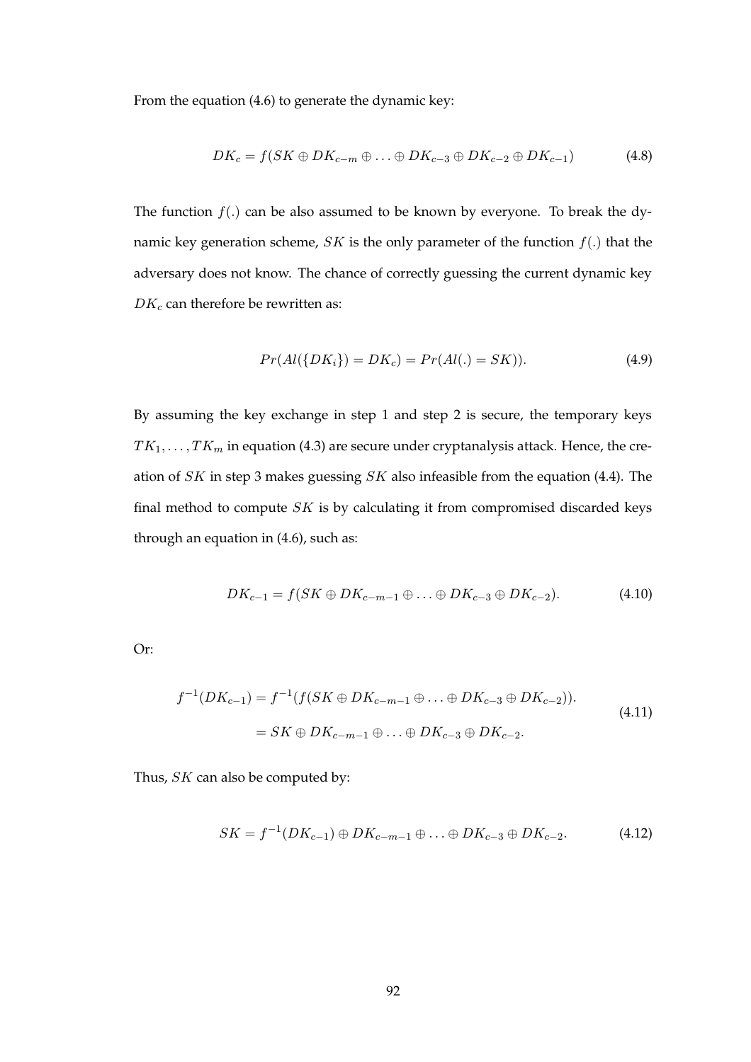From the equation (4.6) to generate the dynamic key:

$$
DK_c = f(SK \oplus DK_{c-m} \oplus \ldots \oplus DK_{c-3} \oplus DK_{c-2} \oplus DK_{c-1})
$$
(4.8)

The function  $f(.)$  can be also assumed to be known by everyone. To break the dynamic key generation scheme,  $SK$  is the only parameter of the function  $f(.)$  that the adversary does not know. The chance of correctly guessing the current dynamic key  $DK_c$  can therefore be rewritten as:

$$
Pr(Al(\{DK_i\}) = DK_c) = Pr(Al(.) = SK)).
$$
\n(4.9)

By assuming the key exchange in step 1 and step 2 is secure, the temporary keys  $TK_1, \ldots, TK_m$  in equation (4.3) are secure under cryptanalysis attack. Hence, the creation of SK in step 3 makes guessing SK also infeasible from the equation (4.4). The final method to compute  $SK$  is by calculating it from compromised discarded keys through an equation in (4.6), such as:

$$
DK_{c-1} = f(SK \oplus DK_{c-m-1} \oplus \ldots \oplus DK_{c-3} \oplus DK_{c-2}). \tag{4.10}
$$

Or:

$$
f^{-1}(DK_{c-1}) = f^{-1}(f(SK \oplus DK_{c-m-1} \oplus ... \oplus DK_{c-3} \oplus DK_{c-2})).
$$
  
= SK  $\oplus DK_{c-m-1} \oplus ... \oplus DK_{c-3} \oplus DK_{c-2}.$  (4.11)

Thus, SK can also be computed by:

$$
SK = f^{-1}(DK_{c-1}) \oplus DK_{c-m-1} \oplus \ldots \oplus DK_{c-3} \oplus DK_{c-2}.
$$
 (4.12)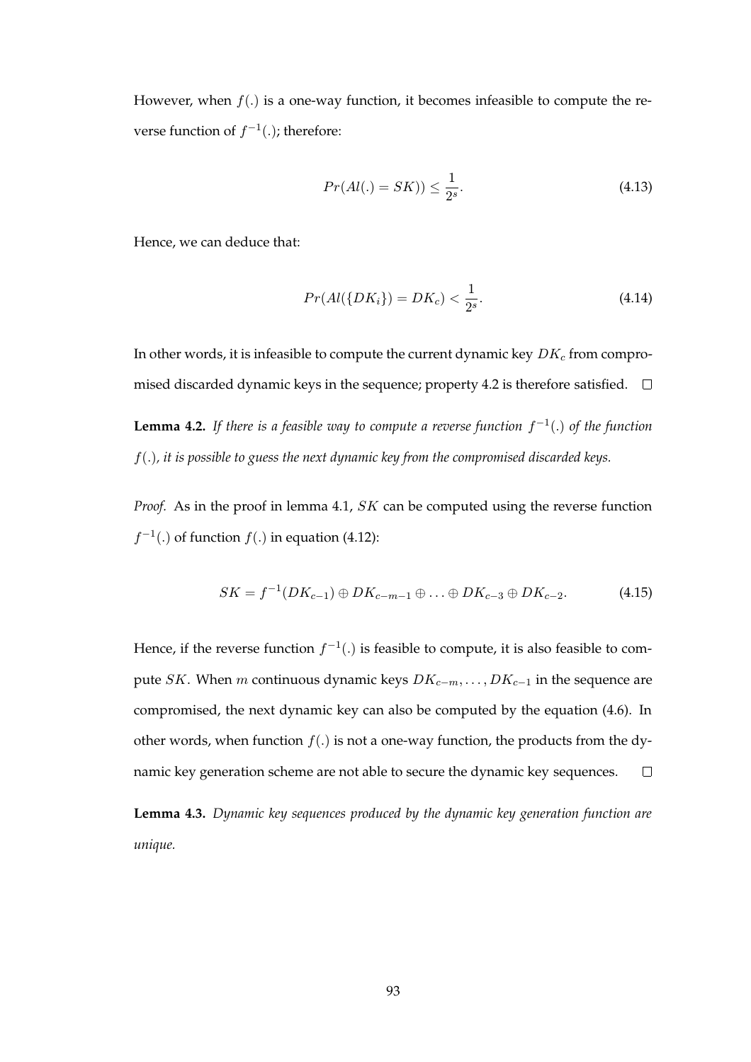However, when  $f(.)$  is a one-way function, it becomes infeasible to compute the reverse function of  $f^{-1}(.)$ ; therefore:

$$
Pr(Al(.) = SK)) \le \frac{1}{2^s}.\tag{4.13}
$$

Hence, we can deduce that:

$$
Pr(Al(\{DK_i\}) = DK_c) < \frac{1}{2^s}.\tag{4.14}
$$

In other words, it is infeasible to compute the current dynamic key  $DK_c$  from compromised discarded dynamic keys in the sequence; property 4.2 is therefore satisfied.  $\Box$ **Lemma 4.2.** If there is a feasible way to compute a reverse function  $f^{-1}(.)$  of the function f(.)*, it is possible to guess the next dynamic key from the compromised discarded keys.*

*Proof.* As in the proof in lemma 4.1, SK can be computed using the reverse function  $f^{-1}$ (.) of function  $f(.)$  in equation (4.12):

$$
SK = f^{-1}(DK_{c-1}) \oplus DK_{c-m-1} \oplus \ldots \oplus DK_{c-3} \oplus DK_{c-2}.
$$
 (4.15)

Hence, if the reverse function  $f^{-1}(.)$  is feasible to compute, it is also feasible to compute SK. When m continuous dynamic keys  $DK_{c-m}, \ldots, DK_{c-1}$  in the sequence are compromised, the next dynamic key can also be computed by the equation (4.6). In other words, when function  $f(.)$  is not a one-way function, the products from the dynamic key generation scheme are not able to secure the dynamic key sequences.  $\Box$ 

**Lemma 4.3.** *Dynamic key sequences produced by the dynamic key generation function are unique.*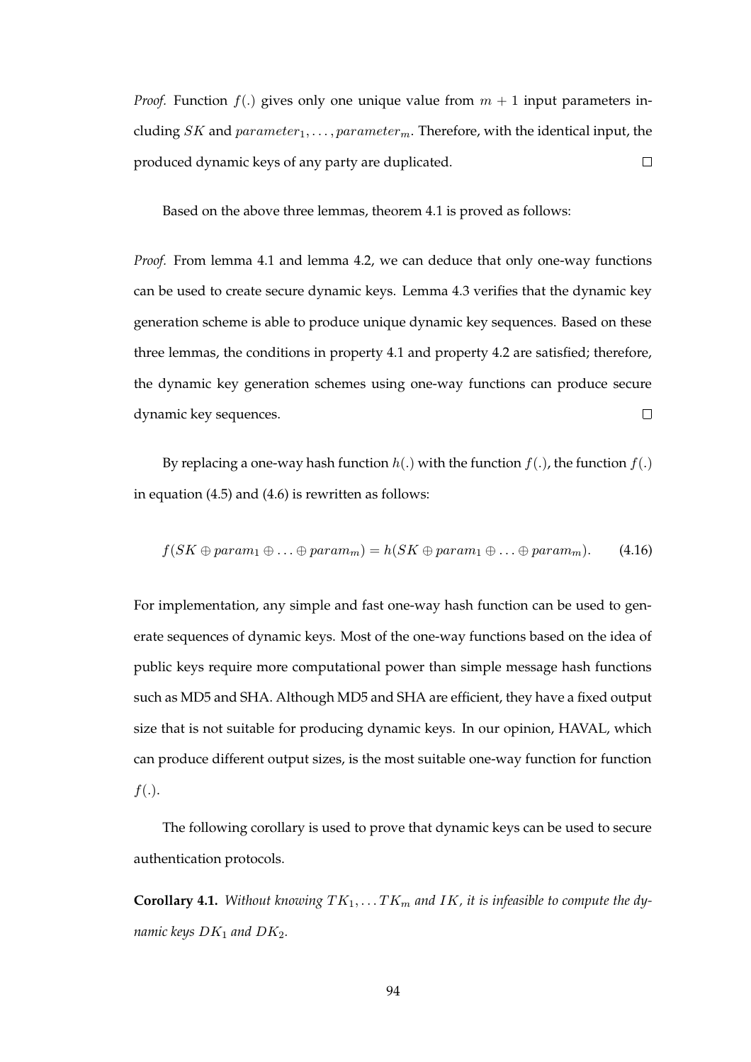*Proof.* Function  $f(.)$  gives only one unique value from  $m + 1$  input parameters including  $SK$  and  $parameter_1, \ldots, parameter_m$ . Therefore, with the identical input, the produced dynamic keys of any party are duplicated.  $\Box$ 

Based on the above three lemmas, theorem 4.1 is proved as follows:

*Proof.* From lemma 4.1 and lemma 4.2, we can deduce that only one-way functions can be used to create secure dynamic keys. Lemma 4.3 verifies that the dynamic key generation scheme is able to produce unique dynamic key sequences. Based on these three lemmas, the conditions in property 4.1 and property 4.2 are satisfied; therefore, the dynamic key generation schemes using one-way functions can produce secure dynamic key sequences.  $\Box$ 

By replacing a one-way hash function  $h(.)$  with the function  $f(.)$ , the function  $f(.)$ in equation (4.5) and (4.6) is rewritten as follows:

$$
f(SK \oplus param_1 \oplus \ldots \oplus param_m) = h(SK \oplus param_1 \oplus \ldots \oplus param_m).
$$
 (4.16)

For implementation, any simple and fast one-way hash function can be used to generate sequences of dynamic keys. Most of the one-way functions based on the idea of public keys require more computational power than simple message hash functions such as MD5 and SHA. Although MD5 and SHA are efficient, they have a fixed output size that is not suitable for producing dynamic keys. In our opinion, HAVAL, which can produce different output sizes, is the most suitable one-way function for function  $f(.)$ .

The following corollary is used to prove that dynamic keys can be used to secure authentication protocols.

**Corollary 4.1.** Without knowing  $TK_1, \ldots TK_m$  and IK, it is infeasible to compute the dy*namic keys*  $DK_1$  *and*  $DK_2$ *.*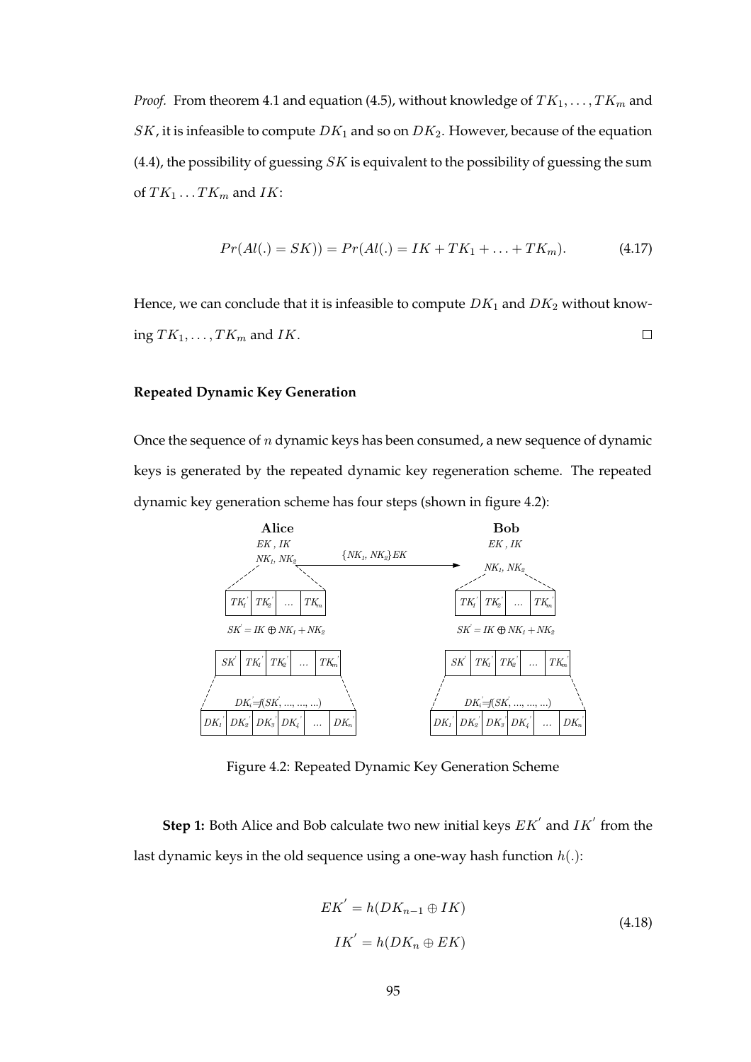*Proof.* From theorem 4.1 and equation (4.5), without knowledge of  $TK_1, \ldots, TK_m$  and  $SK$ , it is infeasible to compute  $DK_1$  and so on  $DK_2$ . However, because of the equation  $(4.4)$ , the possibility of guessing SK is equivalent to the possibility of guessing the sum of  $TK_1 \ldots TK_m$  and  $IK$ :

$$
Pr(Al(.) = SK)) = Pr(Al(.) = IK + TK_1 + ... + TK_m).
$$
 (4.17)

Hence, we can conclude that it is infeasible to compute  $DK_1$  and  $DK_2$  without knowing  $TK_1, \ldots, TK_m$  and IK.  $\Box$ 

#### **Repeated Dynamic Key Generation**

Once the sequence of  $n$  dynamic keys has been consumed, a new sequence of dynamic keys is generated by the repeated dynamic key regeneration scheme. The repeated dynamic key generation scheme has four steps (shown in figure 4.2):



Figure 4.2: Repeated Dynamic Key Generation Scheme

**Step 1:** Both Alice and Bob calculate two new initial keys  $EK'$  and  $IK'$  from the last dynamic keys in the old sequence using a one-way hash function  $h(.)$ :

$$
EK' = h(DK_{n-1} \oplus IK)
$$
  
\n
$$
IK' = h(DK_n \oplus EK)
$$
\n(4.18)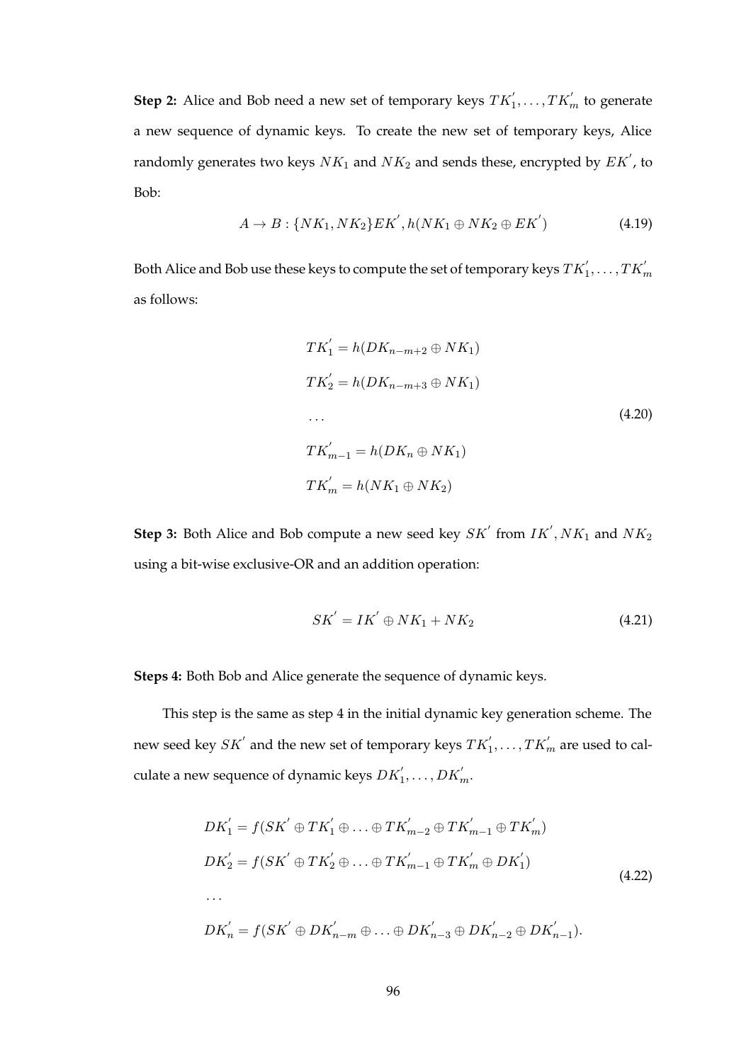**Step 2:** Alice and Bob need a new set of temporary keys  $TK'_1, \ldots, TK'_m$  to generate a new sequence of dynamic keys. To create the new set of temporary keys, Alice randomly generates two keys  $NK_{1}$  and  $NK_{2}$  and sends these, encrypted by  $EK^{\prime}$ , to Bob:

$$
A \to B: \{NK_1, NK_2\} EK', h(NK_1 \oplus NK_2 \oplus EK') \tag{4.19}
$$

Both Alice and Bob use these keys to compute the set of temporary keys  $TK_1',\ldots, TK_m'$ as follows:

$$
TK_1' = h(DK_{n-m+2} \oplus NK_1)
$$
  
\n
$$
TK_2' = h(DK_{n-m+3} \oplus NK_1)
$$
  
\n...  
\n
$$
TK_{m-1}' = h(DK_n \oplus NK_1)
$$
  
\n
$$
TK_m' = h(NK_1 \oplus NK_2)
$$
 (4.20)

**Step 3:** Both Alice and Bob compute a new seed key  $SK'$  from  $IK', NK_1$  and  $NK_2$ using a bit-wise exclusive-OR and an addition operation:

$$
SK' = IK' \oplus NK_1 + NK_2 \tag{4.21}
$$

**Steps 4:** Both Bob and Alice generate the sequence of dynamic keys.

This step is the same as step 4 in the initial dynamic key generation scheme. The new seed key  $SK'$  and the new set of temporary keys  $TK'_1, \ldots, TK'_m$  are used to calculate a new sequence of dynamic keys  $DK_1', \ldots, DK_m'.$ 

$$
DK'_{1} = f(SK' \oplus TK'_{1} \oplus ... \oplus TK'_{m-2} \oplus TK'_{m-1} \oplus TK'_{m})
$$
  
\n
$$
DK'_{2} = f(SK' \oplus TK'_{2} \oplus ... \oplus TK'_{m-1} \oplus TK'_{m} \oplus DK'_{1})
$$
  
\n...  
\n
$$
DK'_{n} = f(SK' \oplus DK'_{n-m} \oplus ... \oplus DK'_{n-3} \oplus DK'_{n-2} \oplus DK'_{n-1}).
$$
\n(4.22)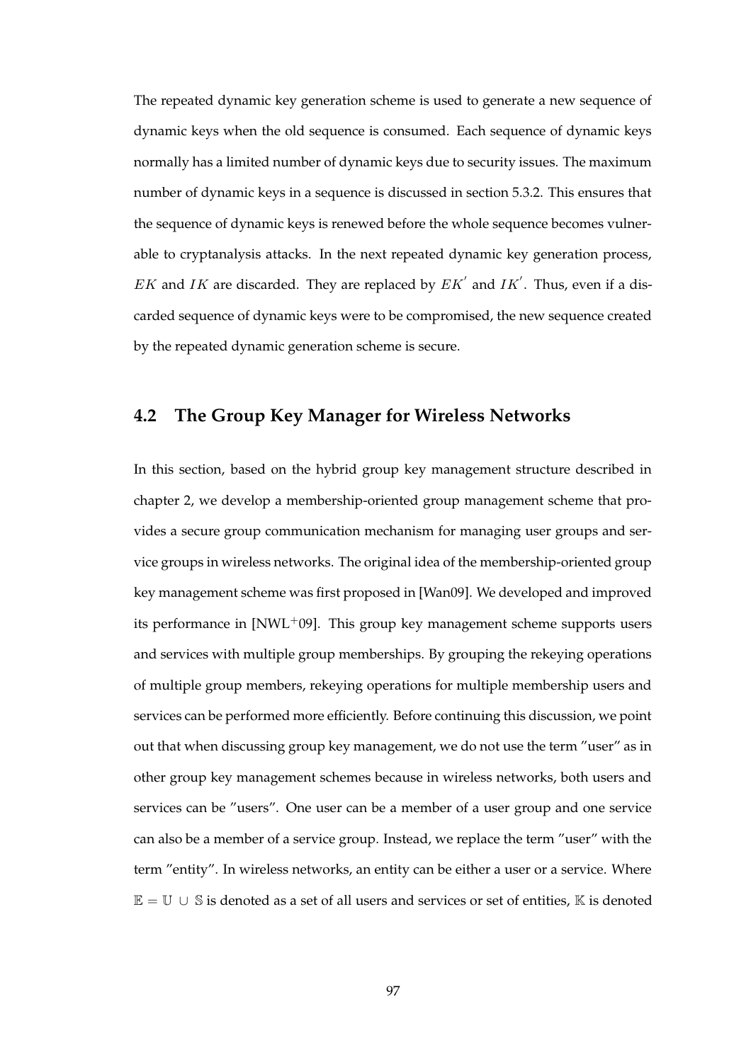The repeated dynamic key generation scheme is used to generate a new sequence of dynamic keys when the old sequence is consumed. Each sequence of dynamic keys normally has a limited number of dynamic keys due to security issues. The maximum number of dynamic keys in a sequence is discussed in section 5.3.2. This ensures that the sequence of dynamic keys is renewed before the whole sequence becomes vulnerable to cryptanalysis attacks. In the next repeated dynamic key generation process, EK and IK are discarded. They are replaced by  $EK'$  and IK'. Thus, even if a discarded sequence of dynamic keys were to be compromised, the new sequence created by the repeated dynamic generation scheme is secure.

# **4.2 The Group Key Manager for Wireless Networks**

In this section, based on the hybrid group key management structure described in chapter 2, we develop a membership-oriented group management scheme that provides a secure group communication mechanism for managing user groups and service groups in wireless networks. The original idea of the membership-oriented group key management scheme was first proposed in [Wan09]. We developed and improved its performance in [NWL+09]. This group key management scheme supports users and services with multiple group memberships. By grouping the rekeying operations of multiple group members, rekeying operations for multiple membership users and services can be performed more efficiently. Before continuing this discussion, we point out that when discussing group key management, we do not use the term "user" as in other group key management schemes because in wireless networks, both users and services can be "users". One user can be a member of a user group and one service can also be a member of a service group. Instead, we replace the term "user" with the term "entity". In wireless networks, an entity can be either a user or a service. Where  $E = U \cup S$  is denoted as a set of all users and services or set of entities, K is denoted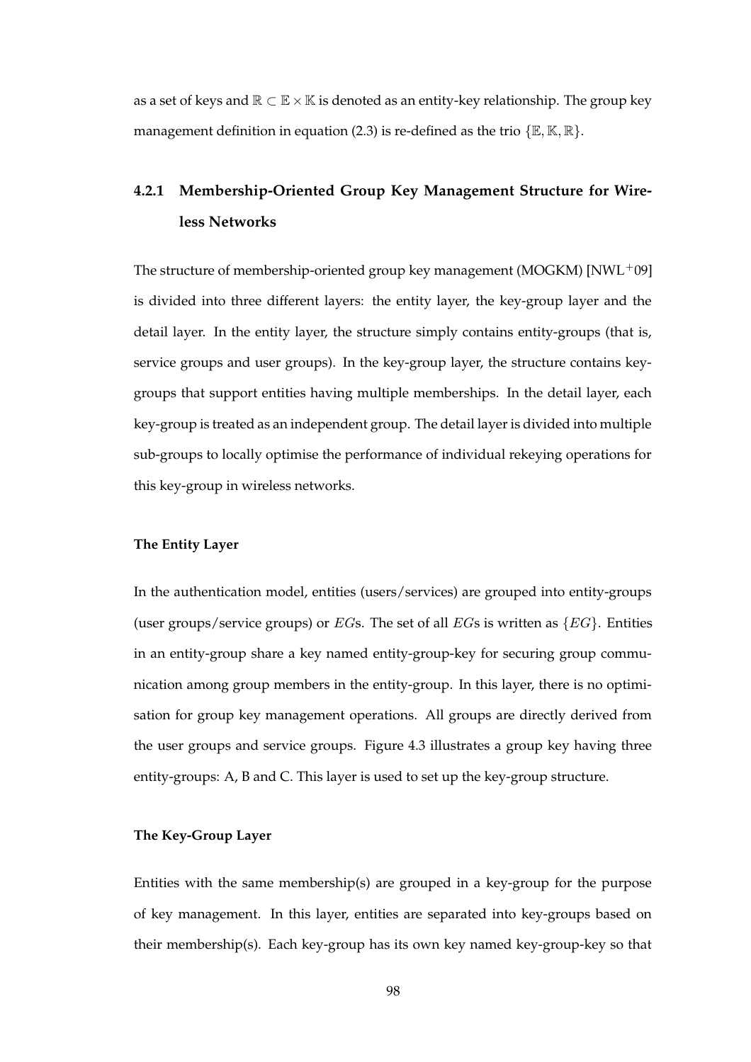as a set of keys and  $\mathbb{R} \subset \mathbb{E} \times \mathbb{K}$  is denoted as an entity-key relationship. The group key management definition in equation (2.3) is re-defined as the trio  $\{E, K, \mathbb{R}\}.$ 

# **4.2.1 Membership-Oriented Group Key Management Structure for Wireless Networks**

The structure of membership-oriented group key management (MOGKM) [NWL+09] is divided into three different layers: the entity layer, the key-group layer and the detail layer. In the entity layer, the structure simply contains entity-groups (that is, service groups and user groups). In the key-group layer, the structure contains keygroups that support entities having multiple memberships. In the detail layer, each key-group is treated as an independent group. The detail layer is divided into multiple sub-groups to locally optimise the performance of individual rekeying operations for this key-group in wireless networks.

#### **The Entity Layer**

In the authentication model, entities (users/services) are grouped into entity-groups (user groups/service groups) or  $EGs$ . The set of all  $EGs$  is written as  ${EG}$ . Entities in an entity-group share a key named entity-group-key for securing group communication among group members in the entity-group. In this layer, there is no optimisation for group key management operations. All groups are directly derived from the user groups and service groups. Figure 4.3 illustrates a group key having three entity-groups: A, B and C. This layer is used to set up the key-group structure.

#### **The Key-Group Layer**

Entities with the same membership(s) are grouped in a key-group for the purpose of key management. In this layer, entities are separated into key-groups based on their membership(s). Each key-group has its own key named key-group-key so that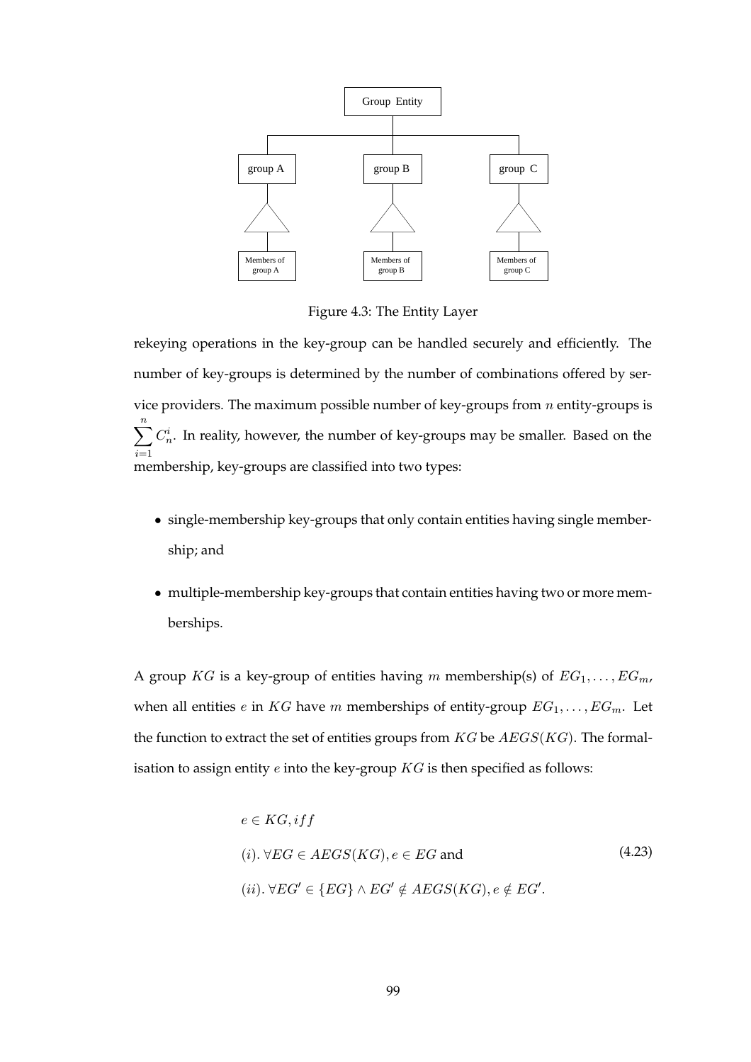

Figure 4.3: The Entity Layer

rekeying operations in the key-group can be handled securely and efficiently. The number of key-groups is determined by the number of combinations offered by service providers. The maximum possible number of key-groups from  $n$  entity-groups is  $\sum_{n=1}^{\infty}$  $i=1$  $C_n^i$ . In reality, however, the number of key-groups may be smaller. Based on the membership, key-groups are classified into two types:

- single-membership key-groups that only contain entities having single membership; and
- multiple-membership key-groups that contain entities having two or more memberships.

A group KG is a key-group of entities having m membership(s) of  $EG_1, \ldots, EG_m$ , when all entities *e* in KG have *m* memberships of entity-group  $EG_1, \ldots, EG_m$ . Let the function to extract the set of entities groups from  $KG$  be  $AEGS(KG)$ . The formalisation to assign entity  $e$  into the key-group  $KG$  is then specified as follows:

$$
e \in KG, if f
$$
  
(i).  $\forall EG \in AEGS(KG), e \in EG \text{ and}$   
(ii).  $\forall EG' \in \{EG\} \land EG' \notin AEGS(KG), e \notin EG'.$  (4.23)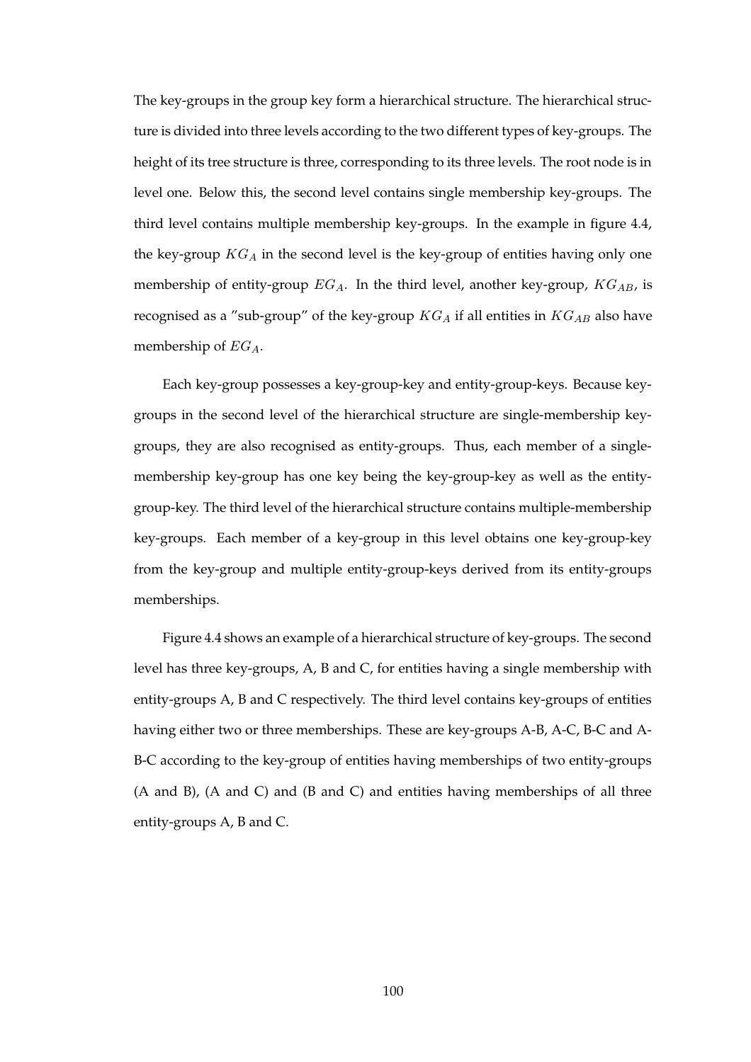The key-groups in the group key form a hierarchical structure. The hierarchical structure is divided into three levels according to the two different types of key-groups. The height of its tree structure is three, corresponding to its three levels. The root node is in level one. Below this, the second level contains single membership key-groups. The third level contains multiple membership key-groups. In the example in figure 4.4, the key-group  $KG_A$  in the second level is the key-group of entities having only one membership of entity-group  $EG_A$ . In the third level, another key-group,  $KG_{AB}$ , is recognised as a "sub-group" of the key-group  $KG_A$  if all entities in  $KG_{AB}$  also have membership of  $EG_A$ .

Each key-group possesses a key-group-key and entity-group-keys. Because keygroups in the second level of the hierarchical structure are single-membership keygroups, they are also recognised as entity-groups. Thus, each member of a singlemembership key-group has one key being the key-group-key as well as the entitygroup-key. The third level of the hierarchical structure contains multiple-membership key-groups. Each member of a key-group in this level obtains one key-group-key from the key-group and multiple entity-group-keys derived from its entity-groups memberships.

Figure 4.4 shows an example of a hierarchical structure of key-groups. The second level has three key-groups, A, B and C, for entities having a single membership with entity-groups A, B and C respectively. The third level contains key-groups of entities having either two or three memberships. These are key-groups A-B, A-C, B-C and A-B-C according to the key-group of entities having memberships of two entity-groups (A and B), (A and C) and (B and C) and entities having memberships of all three entity-groups A, B and C.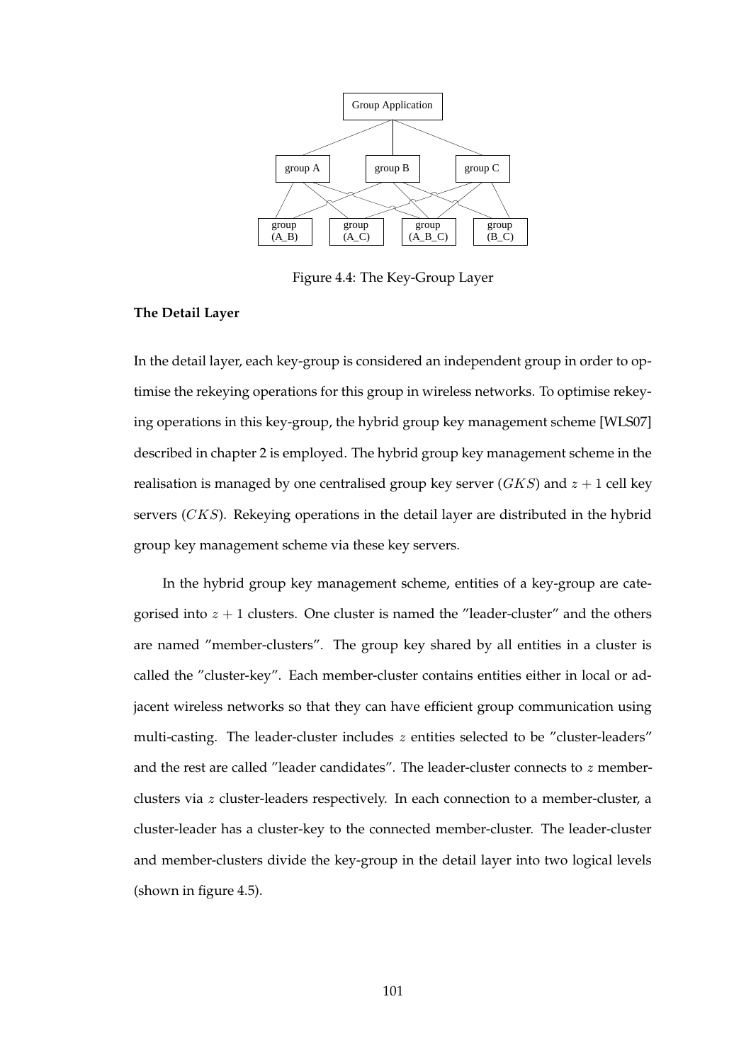

Figure 4.4: The Key-Group Layer

#### **The Detail Layer**

In the detail layer, each key-group is considered an independent group in order to optimise the rekeying operations for this group in wireless networks. To optimise rekeying operations in this key-group, the hybrid group key management scheme [WLS07] described in chapter 2 is employed. The hybrid group key management scheme in the realisation is managed by one centralised group key server  $(GKS)$  and  $z + 1$  cell key servers (CKS). Rekeying operations in the detail layer are distributed in the hybrid group key management scheme via these key servers.

In the hybrid group key management scheme, entities of a key-group are categorised into  $z + 1$  clusters. One cluster is named the "leader-cluster" and the others are named "member-clusters". The group key shared by all entities in a cluster is called the "cluster-key". Each member-cluster contains entities either in local or adjacent wireless networks so that they can have efficient group communication using multi-casting. The leader-cluster includes  $z$  entities selected to be "cluster-leaders" and the rest are called "leader candidates". The leader-cluster connects to  $z$  memberclusters via z cluster-leaders respectively. In each connection to a member-cluster, a cluster-leader has a cluster-key to the connected member-cluster. The leader-cluster and member-clusters divide the key-group in the detail layer into two logical levels (shown in figure 4.5).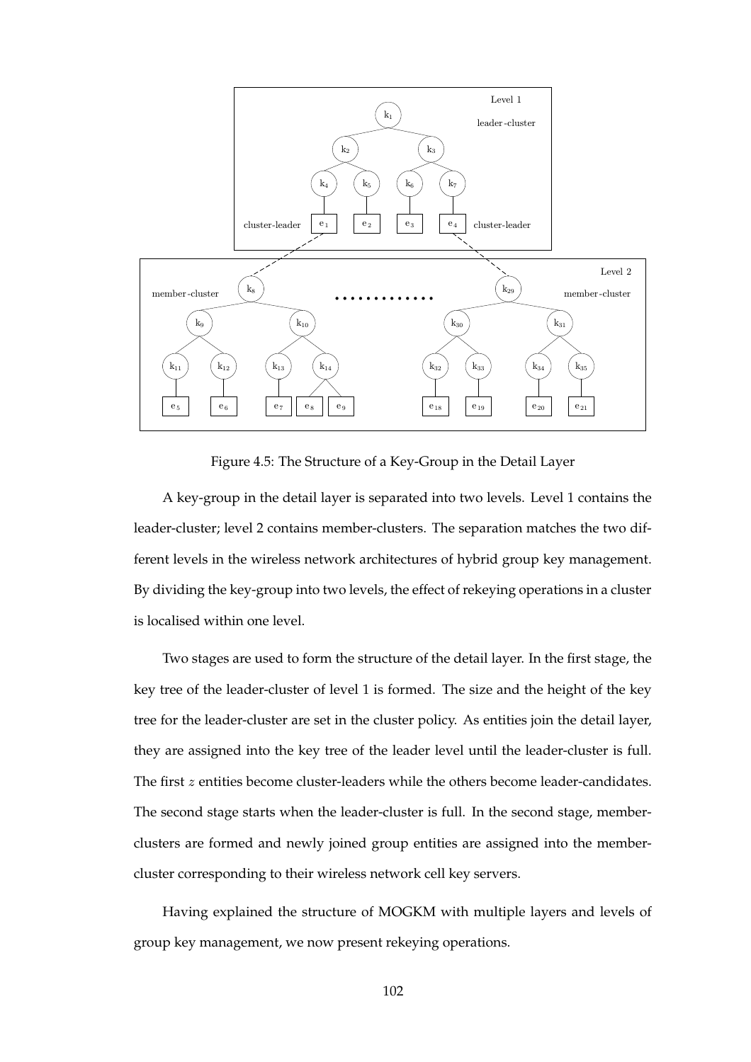

Figure 4.5: The Structure of a Key-Group in the Detail Layer

A key-group in the detail layer is separated into two levels. Level 1 contains the leader-cluster; level 2 contains member-clusters. The separation matches the two different levels in the wireless network architectures of hybrid group key management. By dividing the key-group into two levels, the effect of rekeying operations in a cluster is localised within one level.

Two stages are used to form the structure of the detail layer. In the first stage, the key tree of the leader-cluster of level 1 is formed. The size and the height of the key tree for the leader-cluster are set in the cluster policy. As entities join the detail layer, they are assigned into the key tree of the leader level until the leader-cluster is full. The first z entities become cluster-leaders while the others become leader-candidates. The second stage starts when the leader-cluster is full. In the second stage, memberclusters are formed and newly joined group entities are assigned into the membercluster corresponding to their wireless network cell key servers.

Having explained the structure of MOGKM with multiple layers and levels of group key management, we now present rekeying operations.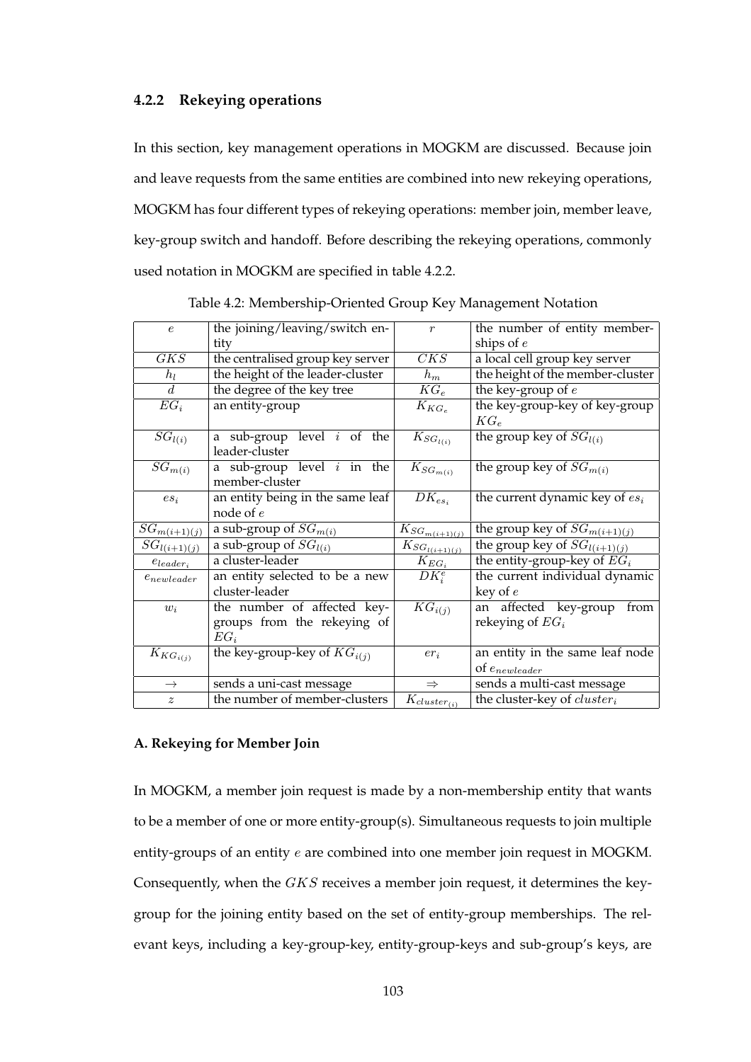#### **4.2.2 Rekeying operations**

In this section, key management operations in MOGKM are discussed. Because join and leave requests from the same entities are combined into new rekeying operations, MOGKM has four different types of rekeying operations: member join, member leave, key-group switch and handoff. Before describing the rekeying operations, commonly used notation in MOGKM are specified in table 4.2.2.

| $\epsilon$        | the joining/leaving/switch en-      | $\boldsymbol{r}$                 | the number of entity member-      |
|-------------------|-------------------------------------|----------------------------------|-----------------------------------|
|                   | tity                                |                                  | ships of $e$                      |
| GKS               | the centralised group key server    | CKS                              | a local cell group key server     |
| $h_l$             | the height of the leader-cluster    | $h_m$                            | the height of the member-cluster  |
| $\overline{d}$    | the degree of the key tree          | $\overline{KG_e}$                | the key-group of $e$              |
| $\overline{EG}_i$ | an entity-group                     | $K_{KG_e}$                       | the key-group-key of key-group    |
|                   |                                     |                                  | $KG_{e}$                          |
| $SG_{l(i)}$       | a sub-group level $i$ of the        | $K_{SG_{l(i)}}$                  | the group key of $SG_{l(i)}$      |
|                   | leader-cluster                      |                                  |                                   |
| $SG_{m(i)}$       | a sub-group $level$ <i>i</i> in the | $K_{SG_{m(i)}}$                  | the group key of $SG_{m(i)}$      |
|                   | member-cluster                      |                                  |                                   |
| $es_i$            | an entity being in the same leaf    | $DK_{es_i}$                      | the current dynamic key of $es_i$ |
|                   | node of $e$                         |                                  |                                   |
| $SG_{m(i+1)(j)}$  | a sub-group of $SG_{m(i)}$          | $K_{SG_{m(i+1)(j)}}$             | the group key of $SG_{m(i+1)(j)}$ |
| $SG_{l(i+1)(j)}$  | a sub-group of $SG_{l(i)}$          | $K_{SG_{\underline{l(i+1)(j)}}}$ | the group key of $SG_{l(i+1)(j)}$ |
| $e_{leader_i}$    | a cluster-leader                    | $K_{EG_i}$                       | the entity-group-key of $EG_i$    |
| $e_{newleader}$   | an entity selected to be a new      | $DK_i^e$                         | the current individual dynamic    |
|                   | cluster-leader                      |                                  | key of $e$                        |
| $w_i$             | the number of affected key-         | $KG_{i(j)}$                      | an affected key-group<br>from     |
|                   | groups from the rekeying of         |                                  | rekeying of $EG_i$                |
|                   | $EG_i$                              |                                  |                                   |
| $K_{KG_{i(j)}}$   | the key-group-key of $KG_{i(j)}$    | $er_i$                           | an entity in the same leaf node   |
|                   |                                     |                                  | $of$ $e_{newleader}$              |
| $\rightarrow$     | sends a uni-cast message            | $\Rightarrow$                    | sends a multi-cast message        |
| $\boldsymbol{z}$  | the number of member-clusters       | $K_{cluster_{(i)}}$              | the cluster-key of $cluster_i$    |

Table 4.2: Membership-Oriented Group Key Management Notation

#### **A. Rekeying for Member Join**

In MOGKM, a member join request is made by a non-membership entity that wants to be a member of one or more entity-group(s). Simultaneous requests to join multiple entity-groups of an entity e are combined into one member join request in MOGKM. Consequently, when the GKS receives a member join request, it determines the keygroup for the joining entity based on the set of entity-group memberships. The relevant keys, including a key-group-key, entity-group-keys and sub-group's keys, are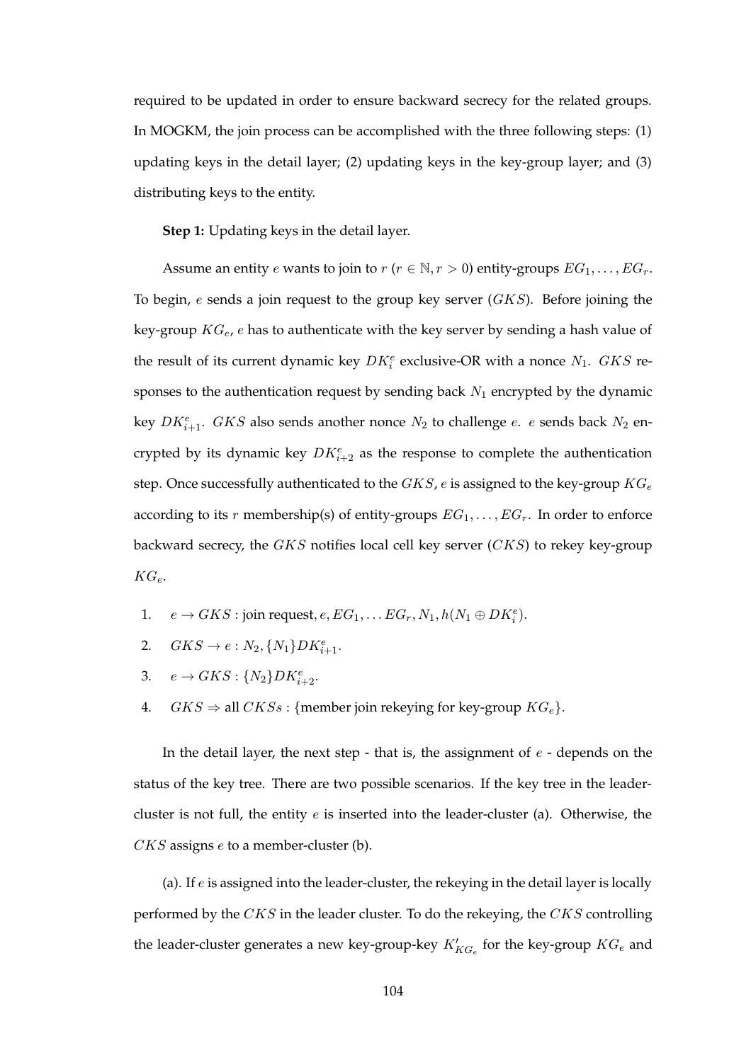required to be updated in order to ensure backward secrecy for the related groups. In MOGKM, the join process can be accomplished with the three following steps: (1) updating keys in the detail layer; (2) updating keys in the key-group layer; and (3) distributing keys to the entity.

**Step 1:** Updating keys in the detail layer.

Assume an entity *e* wants to join to  $r$  ( $r \in \mathbb{N}, r > 0$ ) entity-groups  $EG_1, \ldots, EG_r$ . To begin,  $e$  sends a join request to the group key server  $(GKS)$ . Before joining the key-group  $KG_e$ , e has to authenticate with the key server by sending a hash value of the result of its current dynamic key  $DK_i^e$  exclusive-OR with a nonce  $N_1$ .  $GKS$  responses to the authentication request by sending back  $N_1$  encrypted by the dynamic key  $DK_{i+1}^e$ . GKS also sends another nonce  $N_2$  to challenge e. e sends back  $N_2$  encrypted by its dynamic key  $DK_{i+2}^e$  as the response to complete the authentication step. Once successfully authenticated to the  $GKS$ , e is assigned to the key-group  $KG_e$ according to its r membership(s) of entity-groups  $EG_1, \ldots, EG_r$ . In order to enforce backward secrecy, the  $GKS$  notifies local cell key server  $(CKS)$  to rekey key-group  $KG_{e}$ .

- 1.  $e \rightarrow GKS$ : join request,  $e, EG_1, \ldots EG_r, N_1, h(N_1 \oplus DK_i^e)$ .
- 2.  $GKS \to e : N_2, \{N_1\} DK_{i+1}^e$ .
- 3.  $e \to GKS : \{N_2\} DK_{i+2}^e$ .
- 4.  $GKS \Rightarrow$  all  $CKSs$  : {member join rekeying for key-group  $KG_e$ }.

In the detail layer, the next step - that is, the assignment of  $e$  - depends on the status of the key tree. There are two possible scenarios. If the key tree in the leadercluster is not full, the entity  $e$  is inserted into the leader-cluster (a). Otherwise, the  $CKS$  assigns  $e$  to a member-cluster (b).

(a). If e is assigned into the leader-cluster, the rekeying in the detail layer is locally performed by the CKS in the leader cluster. To do the rekeying, the CKS controlling the leader-cluster generates a new key-group-key  $K'_{KG_e}$  for the key-group  $KG_e$  and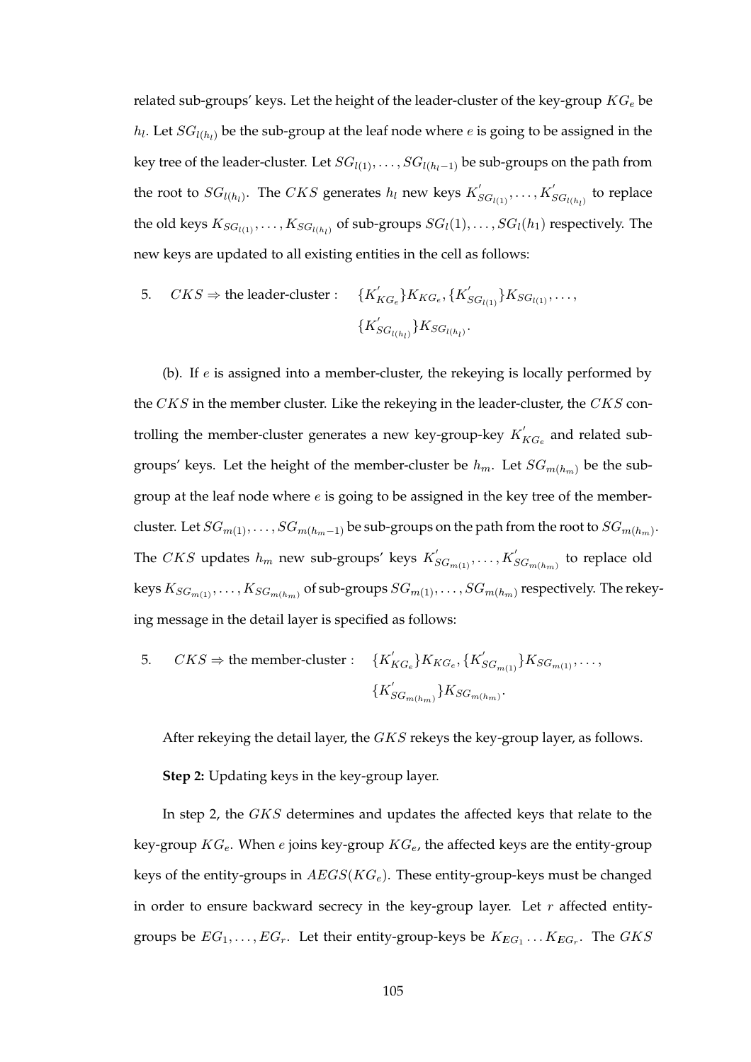related sub-groups' keys. Let the height of the leader-cluster of the key-group  $KG_e$  be  $h_l$ . Let  $SG_{l(h_l)}$  be the sub-group at the leaf node where e is going to be assigned in the key tree of the leader-cluster. Let  $SG_{l(1)}, \ldots, SG_{l(h_l-1)}$  be sub-groups on the path from the root to  $SG_{l(h_l)}$ . The  $CKS$  generates  $h_l$  new keys  $K_{SG_{l(1)}}^{'}, \ldots, K_{SG_{l(h_l)}}^{'}$  to replace the old keys  $K_{SG_{l(1)}}, \ldots, K_{SG_{l(h_l)}}$  of sub-groups  $SG_l(1), \ldots, SG_l(h_1)$  respectively. The new keys are updated to all existing entities in the cell as follows:

5. 
$$
CKS \Rightarrow \text{the leader-cluster}: \quad \{K'_{KG_e}\}K_{KG_e}, \{K'_{SG_{l(1)}}\}K_{SG_{l(1)}}, \ldots,
$$

$$
\{K'_{SG_{l(h_l)}}\}K_{SG_{l(h_l)}}.
$$

(b). If  $e$  is assigned into a member-cluster, the rekeying is locally performed by the CKS in the member cluster. Like the rekeying in the leader-cluster, the CKS controlling the member-cluster generates a new key-group-key  $K_{KG_e}'$  and related subgroups' keys. Let the height of the member-cluster be  $h_m$ . Let  $SG_{m(h_m)}$  be the subgroup at the leaf node where  $e$  is going to be assigned in the key tree of the membercluster. Let  $SG_{m(1)}, \ldots, SG_{m(h_m-1)}$  be sub-groups on the path from the root to  $SG_{m(h_m)}$ . The  $CKS$  updates  $h_m$  new sub-groups' keys  $K_{SG_{m(1)}}^{'}, \ldots, K_{SG_{m(h_m)}}^{'}$  to replace old keys  $K_{SG_{m(1)}}, \ldots, K_{SG_{m(h_m)}}$  of sub-groups  $SG_{m(1)}, \ldots, SG_{m(h_m)}$  respectively. The rekeying message in the detail layer is specified as follows:

5. 
$$
CKS \Rightarrow \text{the member-cluster}: \quad \{K'_{KG_e}\}K_{KG_e}, \{K'_{SG_{m(1)}}\}K_{SG_{m(1)}}, \ldots,
$$

$$
\{K'_{SG_{m(h_m)}}\}K_{SG_{m(h_m)}}.
$$

After rekeying the detail layer, the *GKS* rekeys the key-group layer, as follows.

**Step 2:** Updating keys in the key-group layer.

In step 2, the GKS determines and updates the affected keys that relate to the key-group  $KG_e$ . When e joins key-group  $KG_e$ , the affected keys are the entity-group keys of the entity-groups in  $AEGS(KG_e)$ . These entity-group-keys must be changed in order to ensure backward secrecy in the key-group layer. Let  $r$  affected entitygroups be  $EG_1, \ldots, EG_r$ . Let their entity-group-keys be  $K_{EG_1} \ldots K_{EG_r}$ . The  $GKS$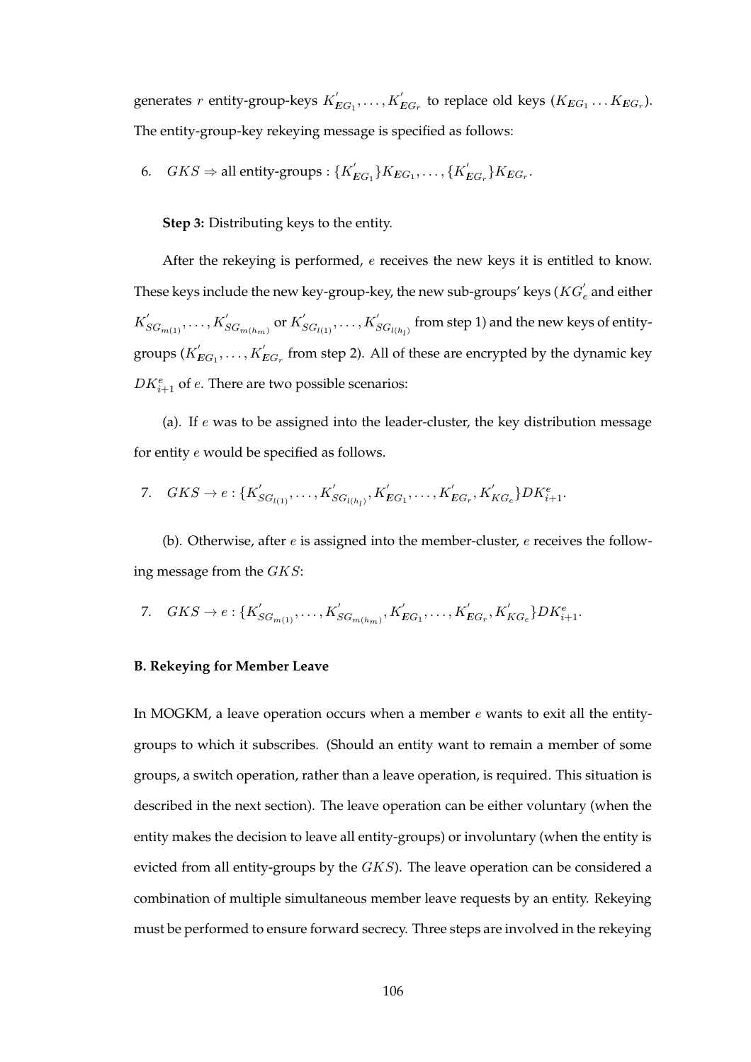generates r entity-group-keys  $K_{EG_1}', \ldots, K_{EG_r}'$  to replace old keys  $(K_{EG_1} \ldots K_{EG_r})$ . The entity-group-key rekeying message is specified as follows:

6.  $GKS \Rightarrow$  all entity-groups :  $\{K_{EG_1}'\}K_{EG_1}, \ldots, \{K_{EG_r}'\}K_{EG_r}.$ 

**Step 3:** Distributing keys to the entity.

After the rekeying is performed, e receives the new keys it is entitled to know. These keys include the new key-group-key, the new sub-groups' keys (  ${KG}_e^{\prime}$  and either  $K_{SG_{m(1)}}',\ldots,K_{SG_{m(h_m)}}'$  or  $K_{SG_{l(1)}}',\ldots,K_{SG_{l(h_l)}}'$  from step 1) and the new keys of entitygroups  $(K_{EG_1}^{'}, \ldots, K_{EG_r}^{'}$  from step 2). All of these are encrypted by the dynamic key  $DK_{i+1}^e$  of *e*. There are two possible scenarios:

(a). If  $e$  was to be assigned into the leader-cluster, the key distribution message for entity e would be specified as follows.

7. 
$$
GKS \to e: \{K'_{SG_{l(1)}}, \ldots, K'_{SG_{l(h_l)}}, K'_{EG_1}, \ldots, K'_{EG_r}, K'_{KG_e}\} DK_{i+1}^e.
$$

(b). Otherwise, after  $e$  is assigned into the member-cluster,  $e$  receives the following message from the GKS:

7. 
$$
GKS \to e: \{K'_{SG_{m(1)}}, \ldots, K'_{SG_{m(h_m)}}, K'_{EG_1}, \ldots, K'_{EG_r}, K'_{KG_e}\} DK_{i+1}^e.
$$

#### **B. Rekeying for Member Leave**

In MOGKM, a leave operation occurs when a member  $e$  wants to exit all the entitygroups to which it subscribes. (Should an entity want to remain a member of some groups, a switch operation, rather than a leave operation, is required. This situation is described in the next section). The leave operation can be either voluntary (when the entity makes the decision to leave all entity-groups) or involuntary (when the entity is evicted from all entity-groups by the  $GKS$ ). The leave operation can be considered a combination of multiple simultaneous member leave requests by an entity. Rekeying must be performed to ensure forward secrecy. Three steps are involved in the rekeying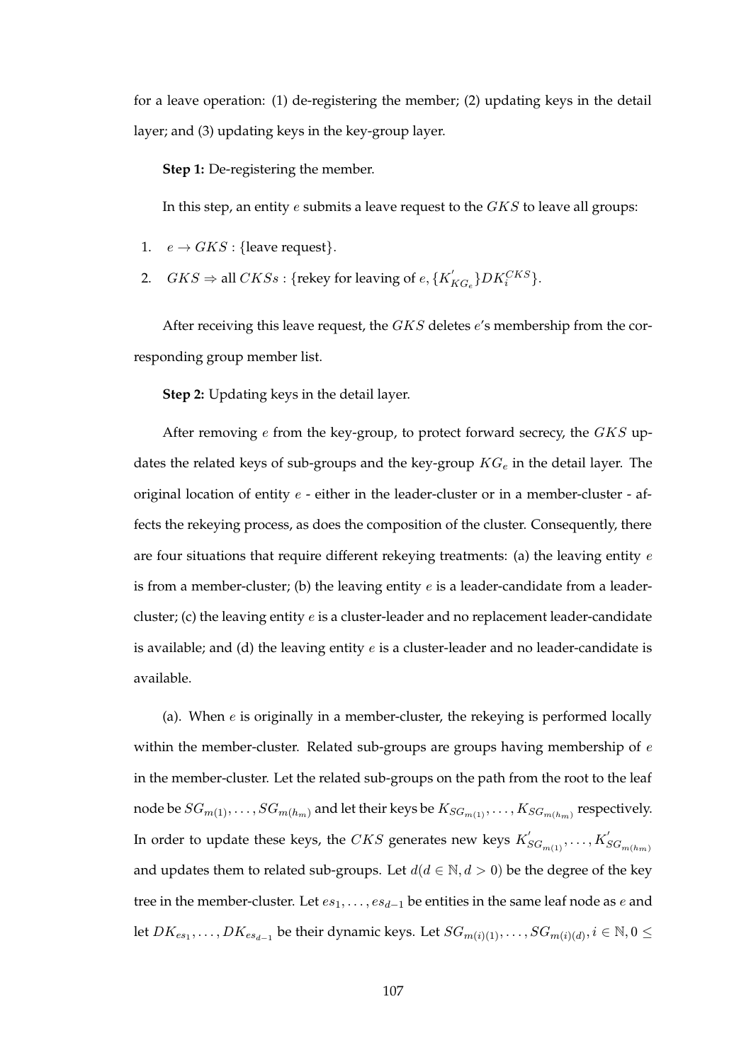for a leave operation: (1) de-registering the member; (2) updating keys in the detail layer; and (3) updating keys in the key-group layer.

#### **Step 1:** De-registering the member.

In this step, an entity  $e$  submits a leave request to the  $GKS$  to leave all groups:

- 1.  $e \rightarrow GKS$  : {leave request}.
- 2.  $GKS \Rightarrow \text{all } CKSs : \{\text{rekey for leaving of } e, \{K'_{KG_e}\}DK_i^{CKS}\}.$

After receiving this leave request, the  $GKS$  deletes  $e's$  membership from the corresponding group member list.

**Step 2:** Updating keys in the detail layer.

After removing  $e$  from the key-group, to protect forward secrecy, the  $GKS$  updates the related keys of sub-groups and the key-group  $KG_e$  in the detail layer. The original location of entity  $e$  - either in the leader-cluster or in a member-cluster - affects the rekeying process, as does the composition of the cluster. Consequently, there are four situations that require different rekeying treatments: (a) the leaving entity  $e$ is from a member-cluster; (b) the leaving entity  $e$  is a leader-candidate from a leadercluster; (c) the leaving entity  $e$  is a cluster-leader and no replacement leader-candidate is available; and (d) the leaving entity  $e$  is a cluster-leader and no leader-candidate is available.

(a). When  $e$  is originally in a member-cluster, the rekeying is performed locally within the member-cluster. Related sub-groups are groups having membership of  $e$ in the member-cluster. Let the related sub-groups on the path from the root to the leaf node be  $SG_{m(1)}, \ldots, SG_{m(h_m)}$  and let their keys be  $K_{SG_{m(1)}}, \ldots, K_{SG_{m(h_m)}}$  respectively. In order to update these keys, the  $CKS$  generates new keys  $K_{SG_{m(1)}}^{\prime},\ldots,K_{SG_{m(h_m)}}^{\prime}$ and updates them to related sub-groups. Let  $d(d \in \mathbb{N}, d > 0)$  be the degree of the key tree in the member-cluster. Let  $es_1, \ldots, es_{d-1}$  be entities in the same leaf node as  $e$  and let  $DK_{es_1}, \ldots, DK_{es_{d-1}}$  be their dynamic keys. Let  $SG_{m(i)(1)}, \ldots, SG_{m(i)(d)}, i \in \mathbb{N}, 0 \leq$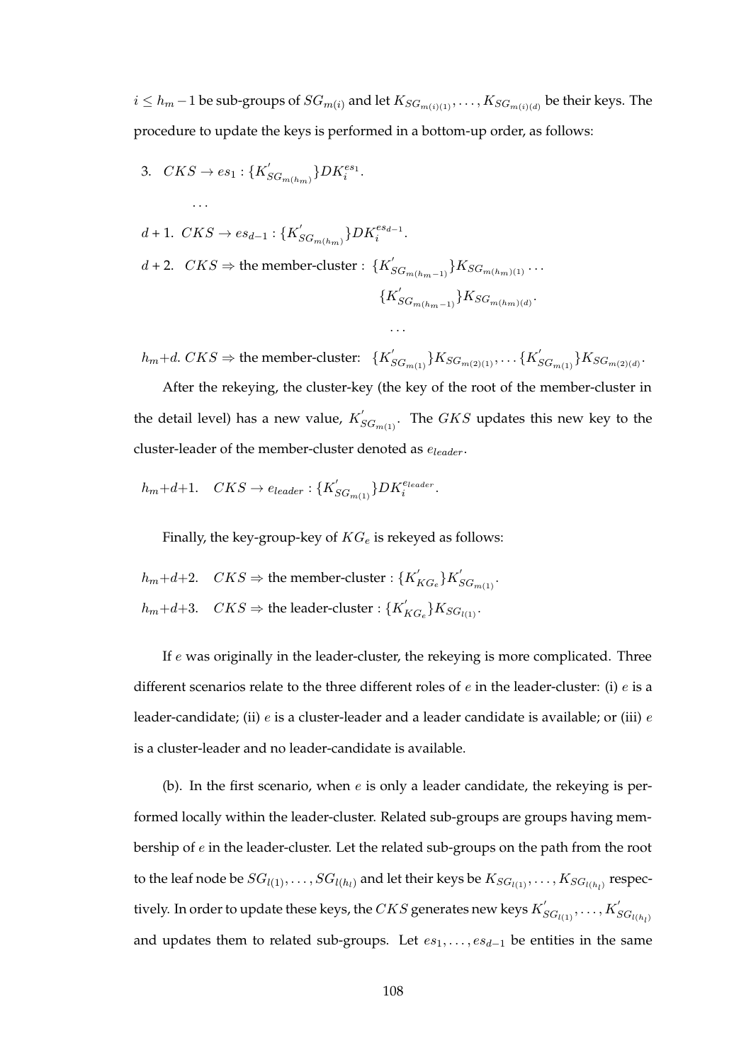$i \leq h_m - 1$  be sub-groups of  $SG_{m(i)}$  and let  $K_{SG_{m(i)(1)}}, \ldots, K_{SG_{m(i)(d)}}$  be their keys. The procedure to update the keys is performed in a bottom-up order, as follows:

3.  $CKS \rightarrow es_1: \{K_{SG_{m(h_m)}}' \} DK_i^{es_1}.$ . . . d + 1.  $CKS \rightarrow es_{d-1} : \{K'_{SG_{m(h_m)}}\} DK_i^{es_{d-1}}.$ *d* + 2. *CKS*  $\Rightarrow$  the member-cluster : { $K_{SG_{m(h_m-1)}}'$ } $K_{SG_{m(h_m)(1)}} \dots$  $\{K_{SG_{m(h_m-1)}}' \} K_{SG_{m(h_m)(d)}}$ .

 $h_m+d$ .  $CKS \Rightarrow$  the member-cluster:  $\{K_{SG_{m(1)}}^{'}\}K_{SG_{m(2)(1)}}, \ldots \{K_{SG_{m(1)}}^{'}\}K_{SG_{m(2)(d)}}.$ 

. . .

After the rekeying, the cluster-key (the key of the root of the member-cluster in the detail level) has a new value,  $K_{SG_{m(1)}}^{'}$ . The  $GKS$  updates this new key to the cluster-leader of the member-cluster denoted as  $e_{leader}$ .

$$
h_m+d+1. \quad CKS \to e_{leader}: \{K_{SG_{m(1)}}^{'}\} DK_{i}^{e_{leader}}.
$$

Finally, the key-group-key of  $KG_e$  is rekeyed as follows:

- $h_m+d+2.$   $CKS \Rightarrow$  the member-cluster :  $\{K_{KG_e}'\}_{K_{SG_m(1)}}'$ .
- $h_m+d+3.$   $CKS \Rightarrow$  the leader-cluster :  $\{K_{KG_e}'\}_{K_{SG_{l(1)}}}.$

If  $e$  was originally in the leader-cluster, the rekeying is more complicated. Three different scenarios relate to the three different roles of  $e$  in the leader-cluster: (i)  $e$  is a leader-candidate; (ii)  $e$  is a cluster-leader and a leader candidate is available; or (iii)  $e$ is a cluster-leader and no leader-candidate is available.

(b). In the first scenario, when  $e$  is only a leader candidate, the rekeying is performed locally within the leader-cluster. Related sub-groups are groups having membership of e in the leader-cluster. Let the related sub-groups on the path from the root to the leaf node be  $SG_{l(1)}, \ldots, SG_{l(h_l)}$  and let their keys be  $K_{SG_{l(1)}}, \ldots, K_{SG_{l(h_l)}}$  respectively. In order to update these keys, the  $CKS$  generates new keys  $K_{SG_{l(1)}}^{'},\ldots,K_{SG_{l(h_l)}}^{'}$ and updates them to related sub-groups. Let  $es_1, \ldots, es_{d-1}$  be entities in the same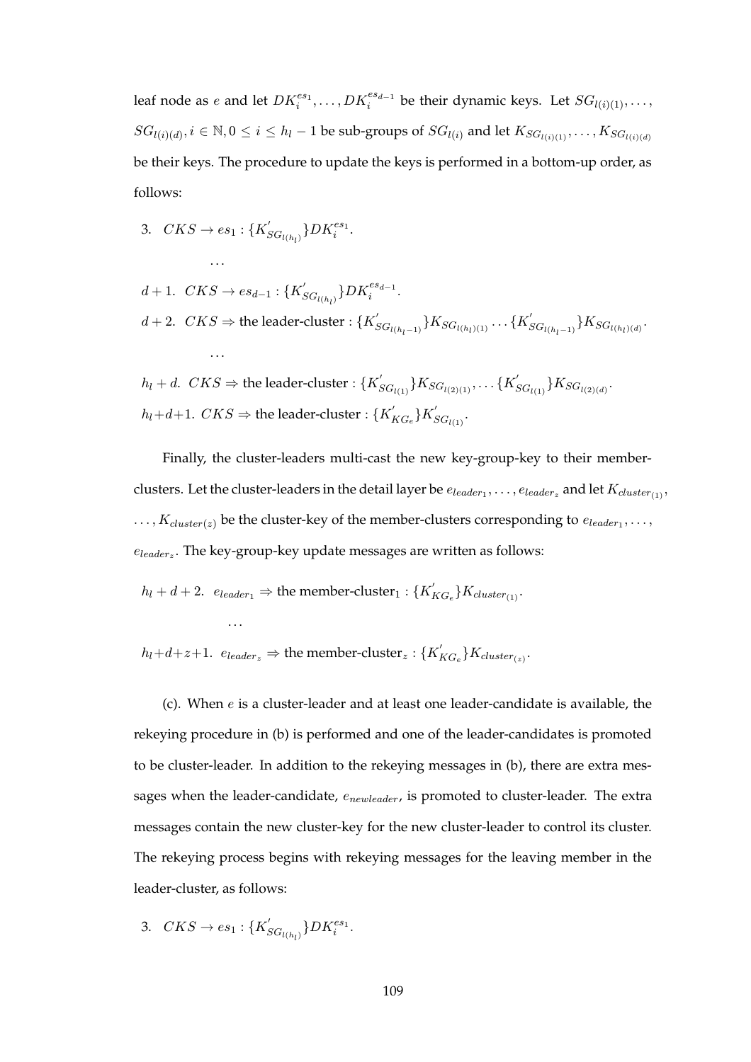leaf node as  $e$  and let  $DK_i^{es_1}, \ldots, DK_i^{es_{d-1}}$  be their dynamic keys. Let  $SG_{l(i)(1)}, \ldots,$  $SG_{l(i)(d)}, i \in \mathbb{N}, 0 \leq i \leq h_l - 1$  be sub-groups of  $SG_{l(i)}$  and let  $K_{SG_{l(i)(1)}}, \ldots, K_{SG_{l(i)(d)}}$ be their keys. The procedure to update the keys is performed in a bottom-up order, as follows:

3.  $CKS \rightarrow es_1: \{K_{SG_{l(h_l)}}' \} DK_i^{es_1}.$ 

. . .

 $d+1. \ \ \textit{CKS} \rightarrow es_{d-1} : \{K_{SG_{l(h_l)}}' \} \textit{DK}_{i}^{es_{d-1}}.$  $d+2.$   $CKS \Rightarrow$  the leader-cluster :  $\{K_{SG_{l(h_l-1)}}^{'}\}K_{SG_{l(h_l)(1)}} \dots \{K_{SG_{l(h_l-1)}}^{'}\}K_{SG_{l(h_l)(d)}}$ . . . .  $h_l+d. \ \ CKS \Rightarrow$  the leader-cluster  $: \{K^{'}_{SG_{l(1)}}\} K_{SG_{l(2)(1)}}, \dots \{K^{'}_{SG_{l(1)}}\} K_{SG_{l(2)(d)}}.$  $h_l+d+1. \ \ CKS \Rightarrow$  the leader-cluster :  $\{K_{KG_e}^{'}\}K_{SG_{l(1)}}^{'}$ .

Finally, the cluster-leaders multi-cast the new key-group-key to their memberclusters. Let the cluster-leaders in the detail layer be  $e_{leader_1}, \ldots, e_{leader_z}$  and let  $K_{cluster_{(1)}},$  $\dots, K_{cluster(z)}$  be the cluster-key of the member-clusters corresponding to  $e_{leader_1}, \dots,$  $e_{leader_z}$ . The key-group-key update messages are written as follows:

 $h_l + d + 2.$   $e_{leader_1} \Rightarrow$  the member-cluster<sub>1</sub> :  $\{K_{KG_e}'\}_{KCluster_{(1)}}$ .

 $h_l+d+z+1.$   $e_{leader_z} \Rightarrow$  the member-cluster<sub>z</sub> :  $\{K_{KG_e}'\}_{KCluster_{(z)}}$ .

(c). When  $e$  is a cluster-leader and at least one leader-candidate is available, the rekeying procedure in (b) is performed and one of the leader-candidates is promoted to be cluster-leader. In addition to the rekeying messages in (b), there are extra messages when the leader-candidate,  $e_{newleader}$ , is promoted to cluster-leader. The extra messages contain the new cluster-key for the new cluster-leader to control its cluster. The rekeying process begins with rekeying messages for the leaving member in the leader-cluster, as follows:

3.  $CKS \rightarrow es_1: \{K_{SG_{l(h_l)}}' \} DK_i^{es_1}.$ 

. . .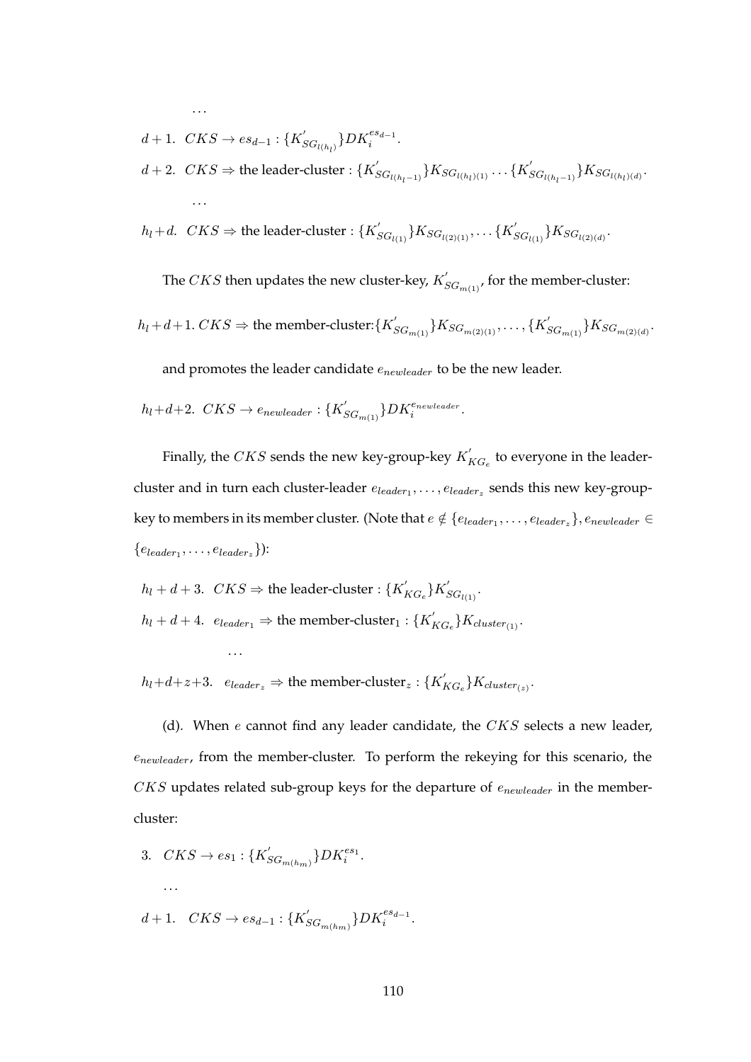$d+1. \ \ \textit{CKS} \rightarrow es_{d-1} : \{K_{SG_{l(h_l)}}' \} \textit{DK}_{i}^{es_{d-1}}.$  $d+2.$   $CKS$   $\Rightarrow$  the leader-cluster :  $\{K_{SG_{l(h_l)-1)}}^{'}\}K_{SG_{l(h_l)(1)}} \dots \{K_{SG_{l(h_l-1)}}^{'}\}K_{SG_{l(h_l)(d)}}$ . . . .

 $h_l+d. \;\; CKS \Rightarrow$  the leader-cluster  $: \{K^{'}_{SG_{l(1)}}\} K_{SG_{l(2)(1)}}, \dots \{K^{'}_{SG_{l(1)}}\} K_{SG_{l(2)(d)}}.$ 

The  $CKS$  then updates the new cluster-key,  $K^{'}_{SG_{m(1)}'}$  for the member-cluster:

 $h_l+d+1.\ CKS \Rightarrow$  the member-cluster:  $\{K_{SG_{m(1)}}^{'}\}K_{SG_{m(2)(1)}},\ldots,\{K_{SG_{m(1)}}^{'}\}K_{SG_{m(2)(d)}}.$ 

and promotes the leader candidate  $e_{newleader}$  to be the new leader.

$$
h_l + d + 2. \quad CKS \rightarrow e_{newleader} : \{ K'_{SG_{m(1)}} \} DK_{i}^{e_{newleader}}.
$$

. . .

Finally, the  $CKS$  sends the new key-group-key  $K_{KG_e}'$  to everyone in the leadercluster and in turn each cluster-leader  $e_{leader_1}, \ldots, e_{leader_z}$  sends this new key-groupkey to members in its member cluster. (Note that  $e \notin \{e_{leader_1}, \ldots, e_{leader_z}\}, e_{newleader} \in$  $\{e_{leader_1}, \ldots, e_{leader_z}\}\$ :

 $h_l + d + 3$ .  $CKS \Rightarrow$  the leader-cluster :  $\{K_{KG_e}'\}_{K_{SG_{l(1)}}}'$ .  $h_l + d + 4$ .  $e_{leader_1} \Rightarrow$  the member-cluster<sub>1</sub> :  $\{K_{KG_e}'\}_{KCluster_{(1)}}$ .

 $h_l+d+z+3.$   $e_{leader_z} \Rightarrow$  the member-cluster<sub>z</sub> :  $\{K_{KG_e}'\}_{K_{cluster(z)}}$ .

(d). When  $e$  cannot find any leader candidate, the  $CKS$  selects a new leader,  $e_{newleader}$ , from the member-cluster. To perform the rekeying for this scenario, the  $CKS$  updates related sub-group keys for the departure of  $e_{newleader}$  in the membercluster:

3. 
$$
CKS \to es_1 : \{K'_{SG_{m(h_m)}}\} DK_i^{es_1}.
$$
  
\n...  
\n $d+1. \quad CKS \to es_{d-1} : \{K'_{SG_{m(h_m)}}\} DK_i^{es_{d-1}}.$ 

. . .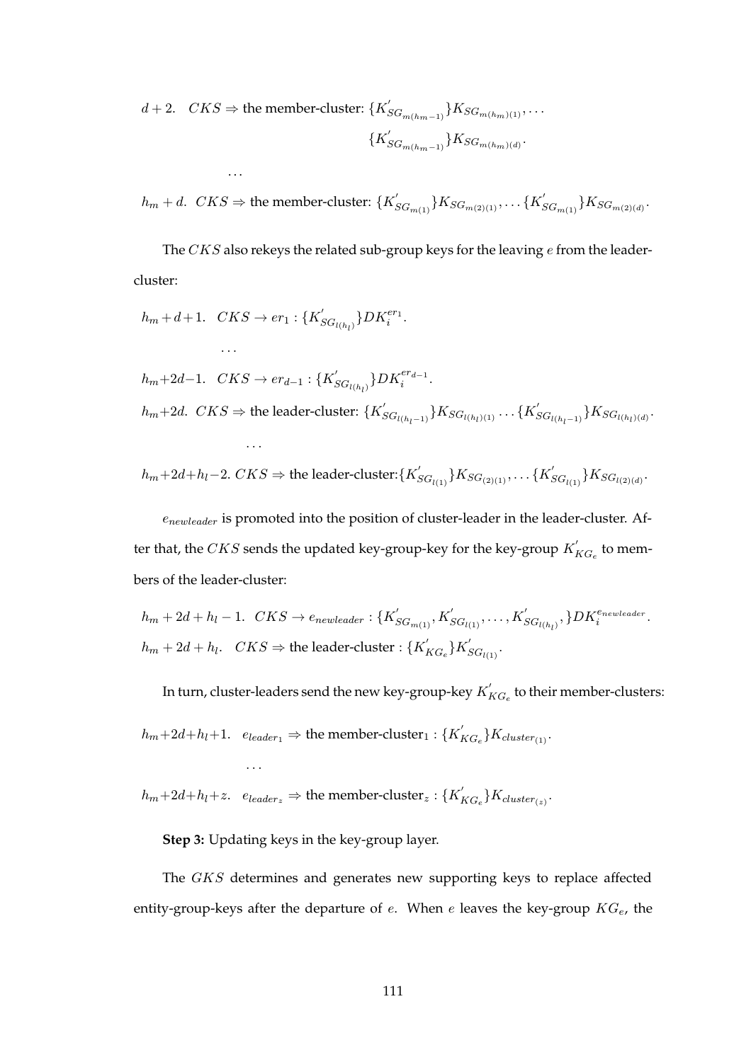$d+2.$   $CKS \Rightarrow$  the member-cluster:  $\{K_{SG_{m(h_m-1)}}^{'}\}K_{SG_{m(h_m)(1)}}, \ldots$  $\{K_{SG_{m(h_m-1)}}' \} K_{SG_{m(h_m)(d)}}$ .

. . .

 $h_m+d.$   $CKS \Rightarrow$  the member-cluster:  $\{K_{SG_{m(1)}}^{'}\}K_{SG_{m(2)(1)}}, \ldots \{K_{SG_{m(1)}}^{'}\}K_{SG_{m(2)(d)}}.$ 

The  $CKS$  also rekeys the related sub-group keys for the leaving  $e$  from the leadercluster:

$$
h_m + d + 1. \quad CKS \to er_1: \{K'_{SG_{l(h_l)}}\} DK_i^{er_1}.
$$
  
\n...\n
$$
h_m + 2d - 1. \quad CKS \to er_{d-1}: \{K'_{SG_{l(h_l)}}\} DK_i^{er_{d-1}}.
$$
  
\n
$$
h_m + 2d. \quad CKS \Rightarrow \text{the leader-cluster: } \{K'_{SG_{l(h_l-1)}}\} K_{SG_{l(h_l)(1)}} \dots \{K'_{SG_{l(h_l-1)}}\} K_{SG_{l(h_l)(d)}}.
$$
  
\n...\n
$$
\dots
$$

 $h_m+2d+h_l-2. \ CKS \Rightarrow$  the leader-cluster: $\{K^{'}_{SG_{l(1)}}\}K_{SG_{(2)(1)}}, \dots \{K^{'}_{SG_{l(1)}}\}K_{SG_{l(2)(d)}}.$ 

 $e_{newleader}$  is promoted into the position of cluster-leader in the leader-cluster. After that, the  $CKS$  sends the updated key-group-key for the key-group  $K_{KG_e}'$  to members of the leader-cluster:

$$
h_m + 2d + h_l - 1. \quad CKS \to e_{newleader}: \{K'_{SG_{m(1)}}, K'_{SG_{l(1)}}, \dots, K'_{SG_{l(h_l)}}, \} DK_i^{e_{newleader}}.
$$
  

$$
h_m + 2d + h_l. \quad CKS \Rightarrow \text{the leader-cluster}: \{K'_{KG_e}\}K'_{SG_{l(1)}}.
$$

In turn, cluster-leaders send the new key-group-key  $K^{'}_{KG_{e}}$  to their member-clusters:

$$
h_m+2d+h_l+1
$$
.  $e_{leader_1} \Rightarrow$  the member-cluster<sub>1</sub>:  $\{K'_{KG_e}\}K_{cluster_{(1)}}.$ 

 $h_m+2d+h_l+z.$   $e_{leader_z} \Rightarrow$  the member-cluster<sub>z</sub> :  $\{K_{KG_e}'\}_{Kcluster_{(z)}}$ .

**Step 3:** Updating keys in the key-group layer.

. . .

The GKS determines and generates new supporting keys to replace affected entity-group-keys after the departure of  $e$ . When  $e$  leaves the key-group  $KG_{e}$ , the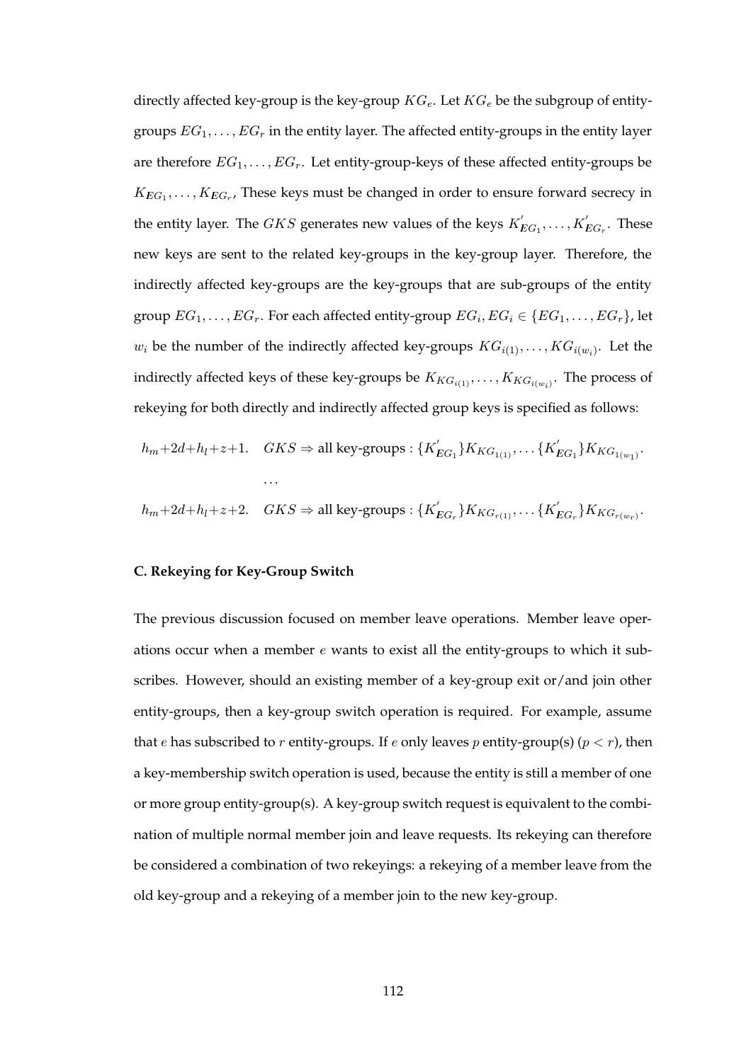directly affected key-group is the key-group  $KG_e$ . Let  $KG_e$  be the subgroup of entitygroups  $EG_1, \ldots, EG_r$  in the entity layer. The affected entity-groups in the entity layer are therefore  $EG_1, \ldots, EG_r$ . Let entity-group-keys of these affected entity-groups be  $K_{EG_1}, \ldots, K_{EG_r}$ , These keys must be changed in order to ensure forward secrecy in the entity layer. The  $GKS$  generates new values of the keys  $K_{EG_1}^{'}, \ldots, K_{EG_r}^{'}$ . These new keys are sent to the related key-groups in the key-group layer. Therefore, the indirectly affected key-groups are the key-groups that are sub-groups of the entity group  $EG_1, \ldots, EG_r$ . For each affected entity-group  $EG_i, EG_i \in \{EG_1, \ldots, EG_r\}$ , let  $w_i$  be the number of the indirectly affected key-groups  $KG_{i(1)}, \ldots, KG_{i(w_i)}$ . Let the indirectly affected keys of these key-groups be  $K_{KG_{i(1)}}, \ldots, K_{KG_{i(w_i)}}$ . The process of rekeying for both directly and indirectly affected group keys is specified as follows:

$$
h_m + 2d + h_l + z + 1.
$$
  $GKS \Rightarrow$  all key-groups :  $\{K'_{EG_1}\}K_{KG_{1(1)}}, \dots, \{K'_{EG_1}\}K_{KG_{1(w_1)}},$   
  $\dots$   

$$
h_m + 2d + h_l + z + 2.
$$
  $GKS \Rightarrow$  all key-groups :  $\{K'_{EG_r}\}K_{KG_{r(1)}}, \dots, \{K'_{EG_r}\}K_{KG_{r(w_r)}}.$ 

#### **C. Rekeying for Key-Group Switch**

The previous discussion focused on member leave operations. Member leave operations occur when a member e wants to exist all the entity-groups to which it subscribes. However, should an existing member of a key-group exit or/and join other entity-groups, then a key-group switch operation is required. For example, assume that e has subscribed to r entity-groups. If e only leaves p entity-group(s) ( $p < r$ ), then a key-membership switch operation is used, because the entity is still a member of one or more group entity-group(s). A key-group switch request is equivalent to the combination of multiple normal member join and leave requests. Its rekeying can therefore be considered a combination of two rekeyings: a rekeying of a member leave from the old key-group and a rekeying of a member join to the new key-group.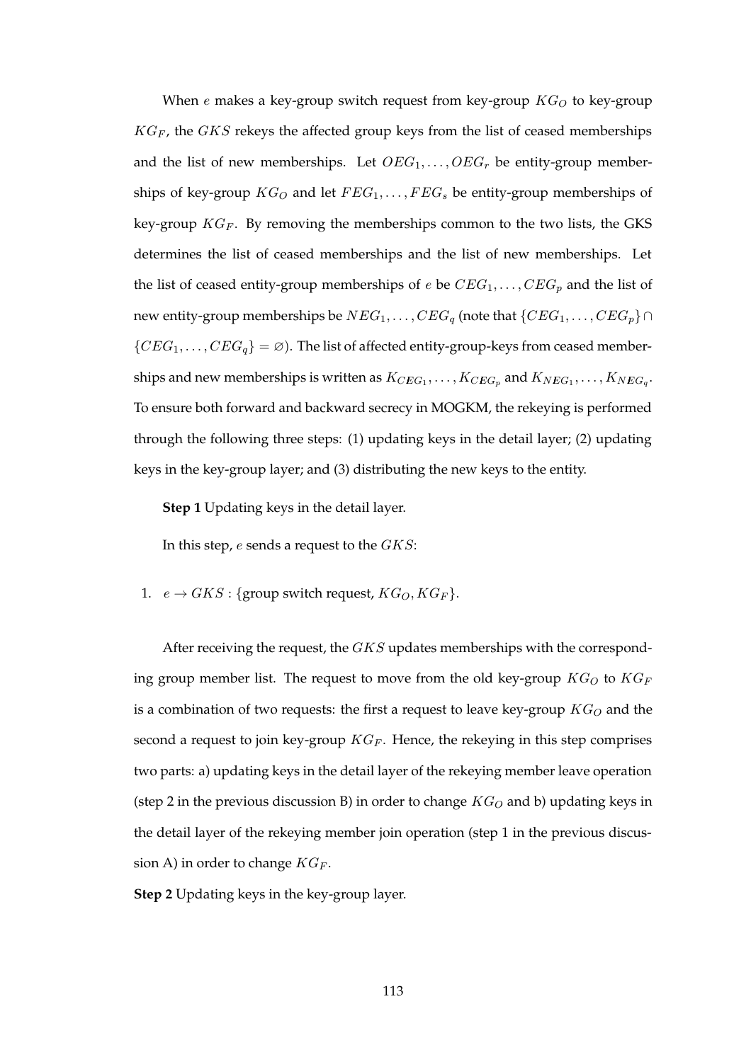When  $e$  makes a key-group switch request from key-group  $KG<sub>O</sub>$  to key-group  $KG_F$ , the GKS rekeys the affected group keys from the list of ceased memberships and the list of new memberships. Let  $OEG_1, \ldots, OEG_r$  be entity-group memberships of key-group  $KG_O$  and let  $FEG_1, \ldots, FEG_s$  be entity-group memberships of key-group  $KG_F$ . By removing the memberships common to the two lists, the GKS determines the list of ceased memberships and the list of new memberships. Let the list of ceased entity-group memberships of e be  $CEG_1, \ldots, CEG_p$  and the list of new entity-group memberships be  $NEG_{1}, \ldots, CEG_{q}$  (note that  $\{CEG_{1}, \ldots, CEG_{p}\} \cap$  ${CEG_1, \ldots, CEG_q} = \emptyset$ . The list of affected entity-group-keys from ceased memberships and new memberships is written as  $K_{CEG_1}, \ldots, K_{CEG_p}$  and  $K_{NEG_1}, \ldots, K_{NEG_q}$ . To ensure both forward and backward secrecy in MOGKM, the rekeying is performed through the following three steps: (1) updating keys in the detail layer; (2) updating keys in the key-group layer; and (3) distributing the new keys to the entity.

**Step 1** Updating keys in the detail layer.

In this step,  $e$  sends a request to the  $GKS$ :

1.  $e \rightarrow GKS$ : {group switch request,  $KG_O, KG_F$  }.

After receiving the request, the  $GKS$  updates memberships with the corresponding group member list. The request to move from the old key-group  $KG_O$  to  $KG_F$ is a combination of two requests: the first a request to leave key-group  $KG_O$  and the second a request to join key-group  $KG_F$ . Hence, the rekeying in this step comprises two parts: a) updating keys in the detail layer of the rekeying member leave operation (step 2 in the previous discussion B) in order to change  $KG_O$  and b) updating keys in the detail layer of the rekeying member join operation (step 1 in the previous discussion A) in order to change  $KG_F$ .

**Step 2** Updating keys in the key-group layer.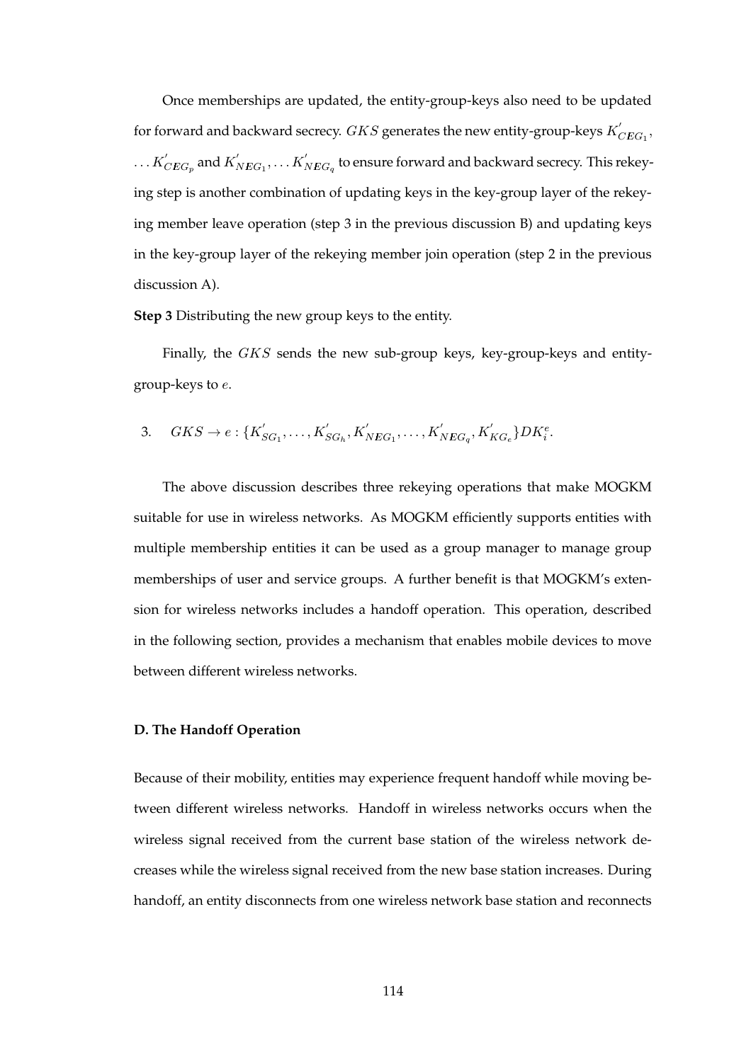Once memberships are updated, the entity-group-keys also need to be updated for forward and backward secrecy.  $GKS$  generates the new entity-group-keys  $K_{CEG_1}^{'}$ ,  $\dots$   $K_{CEG_{p}}^{'}$  and  $K_{NEG_{1}}^{'} ,\dots K_{NEG_{q}}^{'}$  to ensure forward and backward secrecy. This rekeying step is another combination of updating keys in the key-group layer of the rekeying member leave operation (step 3 in the previous discussion B) and updating keys in the key-group layer of the rekeying member join operation (step 2 in the previous discussion A).

**Step 3** Distributing the new group keys to the entity.

Finally, the GKS sends the new sub-group keys, key-group-keys and entitygroup-keys to e.

3. 
$$
GKS \to e: \{K'_{SG_1}, \ldots, K'_{SG_h}, K'_{NEG_1}, \ldots, K'_{NEG_q}, K'_{KG_e}\} DK^e_i.
$$

The above discussion describes three rekeying operations that make MOGKM suitable for use in wireless networks. As MOGKM efficiently supports entities with multiple membership entities it can be used as a group manager to manage group memberships of user and service groups. A further benefit is that MOGKM's extension for wireless networks includes a handoff operation. This operation, described in the following section, provides a mechanism that enables mobile devices to move between different wireless networks.

#### **D. The Handoff Operation**

Because of their mobility, entities may experience frequent handoff while moving between different wireless networks. Handoff in wireless networks occurs when the wireless signal received from the current base station of the wireless network decreases while the wireless signal received from the new base station increases. During handoff, an entity disconnects from one wireless network base station and reconnects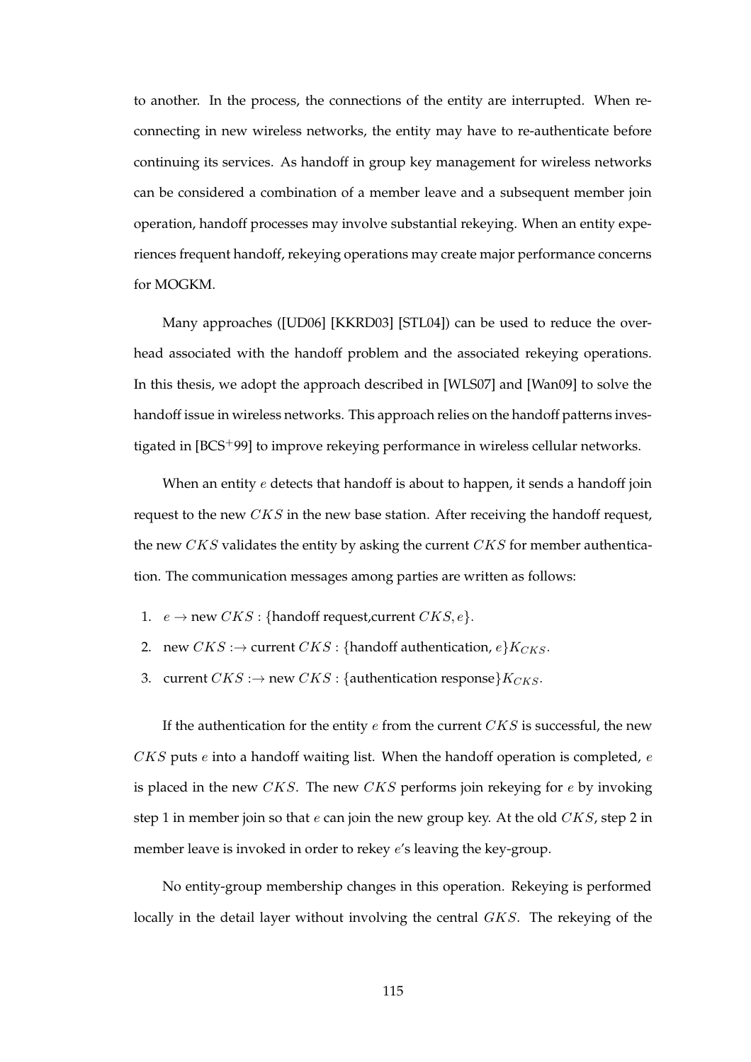to another. In the process, the connections of the entity are interrupted. When reconnecting in new wireless networks, the entity may have to re-authenticate before continuing its services. As handoff in group key management for wireless networks can be considered a combination of a member leave and a subsequent member join operation, handoff processes may involve substantial rekeying. When an entity experiences frequent handoff, rekeying operations may create major performance concerns for MOGKM.

Many approaches ([UD06] [KKRD03] [STL04]) can be used to reduce the overhead associated with the handoff problem and the associated rekeying operations. In this thesis, we adopt the approach described in [WLS07] and [Wan09] to solve the handoff issue in wireless networks. This approach relies on the handoff patterns investigated in [BCS+99] to improve rekeying performance in wireless cellular networks.

When an entity  $e$  detects that handoff is about to happen, it sends a handoff join request to the new CKS in the new base station. After receiving the handoff request, the new  $CKS$  validates the entity by asking the current  $CKS$  for member authentication. The communication messages among parties are written as follows:

- 1.  $e \rightarrow new \, CKS$  : {handoff request, current  $CKS, e$  }.
- 2. new  $CKS : \rightarrow$  current  $CKS : \{$  handoff authentication,  $e\}K_{CKS}$ .
- 3. current  $CKS : \rightarrow$  new  $CKS :$  {authentication response} $K_{CKS}$ .

If the authentication for the entity  $e$  from the current  $CKS$  is successful, the new  $CKS$  puts  $e$  into a handoff waiting list. When the handoff operation is completed,  $e$ is placed in the new CKS. The new CKS performs join rekeying for  $e$  by invoking step 1 in member join so that  $e$  can join the new group key. At the old  $CKS$ , step 2 in member leave is invoked in order to rekey e's leaving the key-group.

No entity-group membership changes in this operation. Rekeying is performed locally in the detail layer without involving the central GKS. The rekeying of the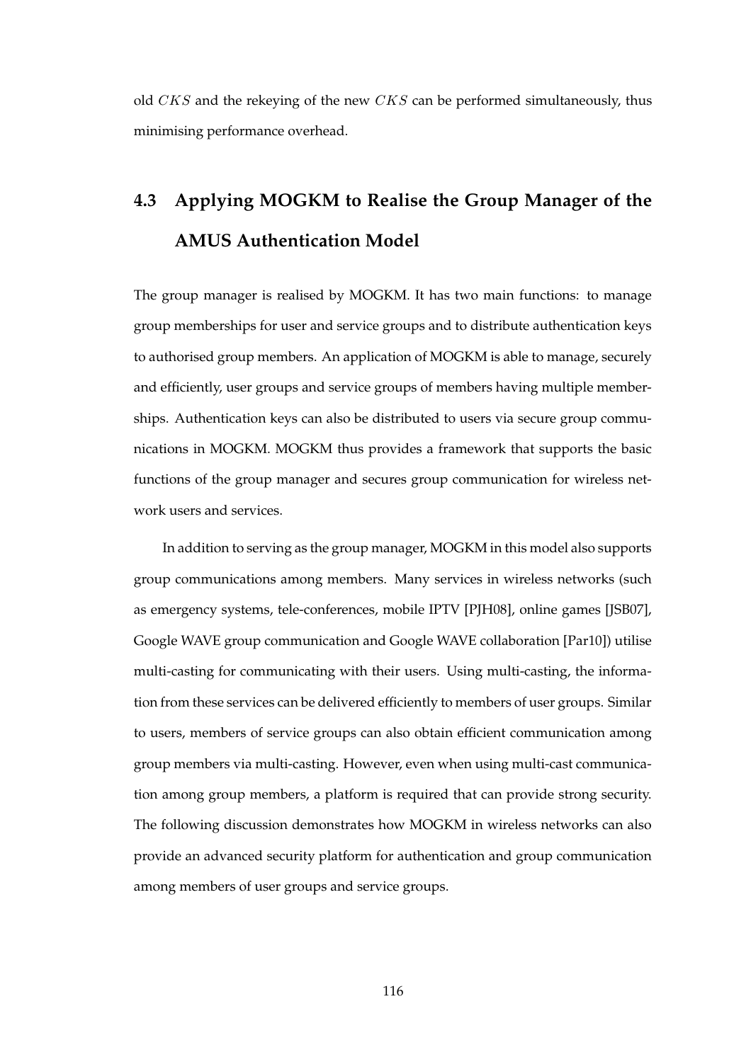old  $CKS$  and the rekeying of the new  $CKS$  can be performed simultaneously, thus minimising performance overhead.

# **4.3 Applying MOGKM to Realise the Group Manager of the AMUS Authentication Model**

The group manager is realised by MOGKM. It has two main functions: to manage group memberships for user and service groups and to distribute authentication keys to authorised group members. An application of MOGKM is able to manage, securely and efficiently, user groups and service groups of members having multiple memberships. Authentication keys can also be distributed to users via secure group communications in MOGKM. MOGKM thus provides a framework that supports the basic functions of the group manager and secures group communication for wireless network users and services.

In addition to serving as the group manager, MOGKM in this model also supports group communications among members. Many services in wireless networks (such as emergency systems, tele-conferences, mobile IPTV [PJH08], online games [JSB07], Google WAVE group communication and Google WAVE collaboration [Par10]) utilise multi-casting for communicating with their users. Using multi-casting, the information from these services can be delivered efficiently to members of user groups. Similar to users, members of service groups can also obtain efficient communication among group members via multi-casting. However, even when using multi-cast communication among group members, a platform is required that can provide strong security. The following discussion demonstrates how MOGKM in wireless networks can also provide an advanced security platform for authentication and group communication among members of user groups and service groups.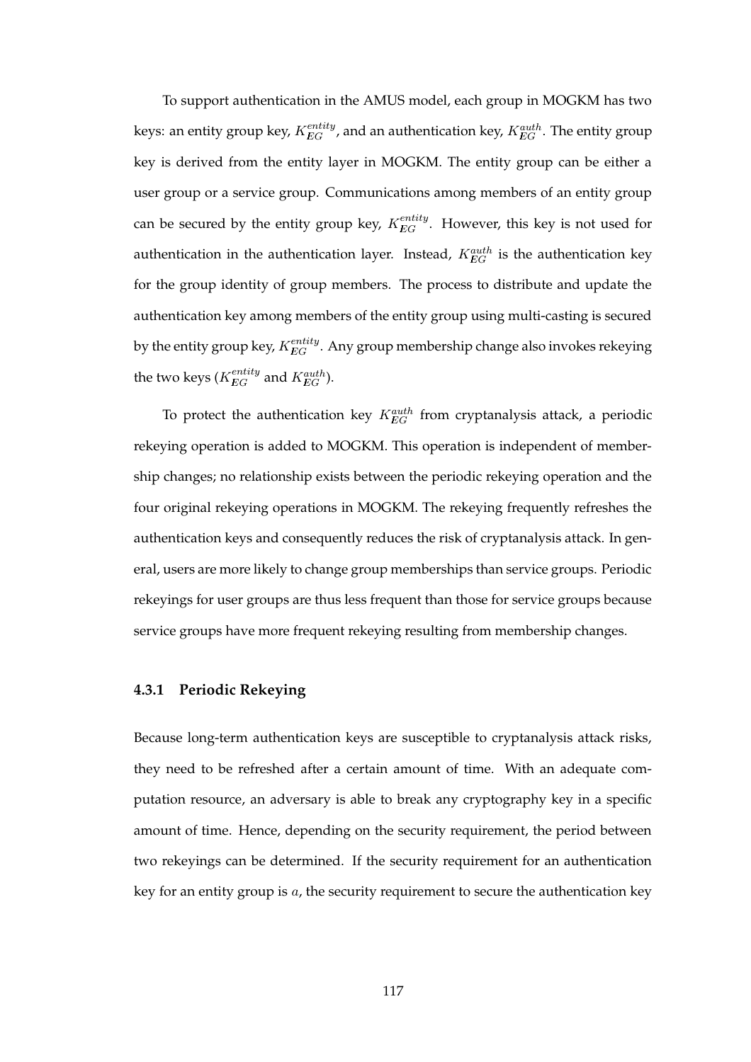To support authentication in the AMUS model, each group in MOGKM has two keys: an entity group key,  $K_{EG}^{entity}$ , and an authentication key,  $K_{EG}^{auth}$ . The entity group key is derived from the entity layer in MOGKM. The entity group can be either a user group or a service group. Communications among members of an entity group can be secured by the entity group key,  $K_{EG}^{entity}$ . However, this key is not used for authentication in the authentication layer. Instead,  $K_{EG}^{auth}$  is the authentication key for the group identity of group members. The process to distribute and update the authentication key among members of the entity group using multi-casting is secured by the entity group key,  $K_{EG}^{entity}$  . Any group membership change also invokes rekeying the two keys ( $K_{EG}^{entity}$  and  $K_{EG}^{auth}$ ).

To protect the authentication key  $K_{EG}^{auth}$  from cryptanalysis attack, a periodic rekeying operation is added to MOGKM. This operation is independent of membership changes; no relationship exists between the periodic rekeying operation and the four original rekeying operations in MOGKM. The rekeying frequently refreshes the authentication keys and consequently reduces the risk of cryptanalysis attack. In general, users are more likely to change group memberships than service groups. Periodic rekeyings for user groups are thus less frequent than those for service groups because service groups have more frequent rekeying resulting from membership changes.

### **4.3.1 Periodic Rekeying**

Because long-term authentication keys are susceptible to cryptanalysis attack risks, they need to be refreshed after a certain amount of time. With an adequate computation resource, an adversary is able to break any cryptography key in a specific amount of time. Hence, depending on the security requirement, the period between two rekeyings can be determined. If the security requirement for an authentication key for an entity group is  $a$ , the security requirement to secure the authentication key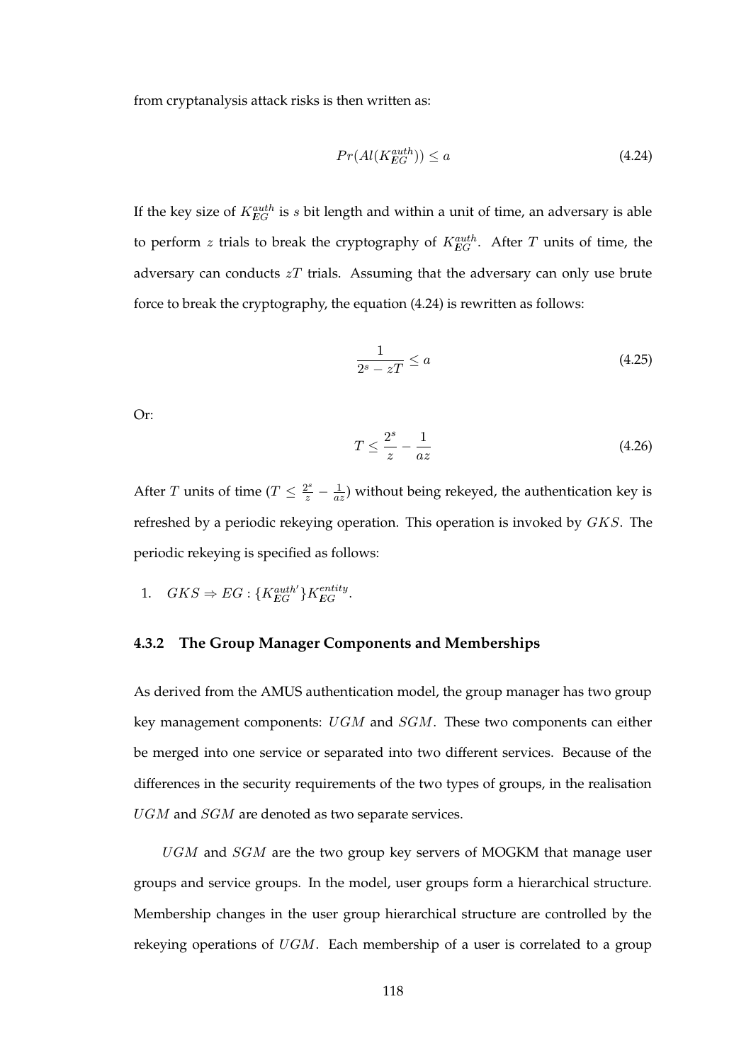from cryptanalysis attack risks is then written as:

$$
Pr(Al(K_{EG}^{auth})) \le a \tag{4.24}
$$

If the key size of  $K_{EG}^{auth}$  is s bit length and within a unit of time, an adversary is able to perform z trials to break the cryptography of  $K_{EG}^{auth}$ . After T units of time, the adversary can conducts  $zT$  trials. Assuming that the adversary can only use brute force to break the cryptography, the equation (4.24) is rewritten as follows:

$$
\frac{1}{2^s - zT} \le a \tag{4.25}
$$

Or:

$$
T \le \frac{2^s}{z} - \frac{1}{az} \tag{4.26}
$$

After T units of time ( $T \leq \frac{2^s}{z} - \frac{1}{az}$ ) without being rekeyed, the authentication key is refreshed by a periodic rekeying operation. This operation is invoked by GKS. The periodic rekeying is specified as follows:

1. 
$$
GKS \Rightarrow EG : \{K_{EG}^{auth'}\}K_{EG}^{entity}.
$$

#### **4.3.2 The Group Manager Components and Memberships**

As derived from the AMUS authentication model, the group manager has two group key management components: UGM and SGM. These two components can either be merged into one service or separated into two different services. Because of the differences in the security requirements of the two types of groups, in the realisation UGM and SGM are denoted as two separate services.

 $UGM$  and  $SGM$  are the two group key servers of MOGKM that manage user groups and service groups. In the model, user groups form a hierarchical structure. Membership changes in the user group hierarchical structure are controlled by the rekeying operations of UGM. Each membership of a user is correlated to a group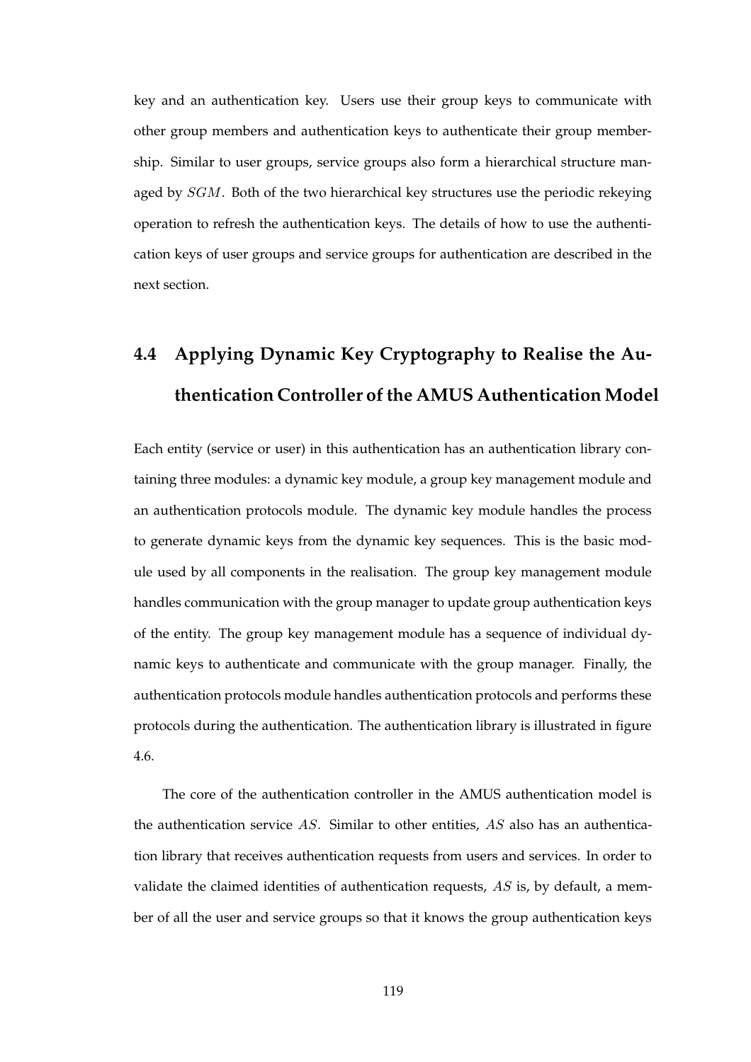key and an authentication key. Users use their group keys to communicate with other group members and authentication keys to authenticate their group membership. Similar to user groups, service groups also form a hierarchical structure managed by *SGM*. Both of the two hierarchical key structures use the periodic rekeying operation to refresh the authentication keys. The details of how to use the authentication keys of user groups and service groups for authentication are described in the next section.

# **4.4 Applying Dynamic Key Cryptography to Realise the Authentication Controller of the AMUS Authentication Model**

Each entity (service or user) in this authentication has an authentication library containing three modules: a dynamic key module, a group key management module and an authentication protocols module. The dynamic key module handles the process to generate dynamic keys from the dynamic key sequences. This is the basic module used by all components in the realisation. The group key management module handles communication with the group manager to update group authentication keys of the entity. The group key management module has a sequence of individual dynamic keys to authenticate and communicate with the group manager. Finally, the authentication protocols module handles authentication protocols and performs these protocols during the authentication. The authentication library is illustrated in figure 4.6.

The core of the authentication controller in the AMUS authentication model is the authentication service AS. Similar to other entities, AS also has an authentication library that receives authentication requests from users and services. In order to validate the claimed identities of authentication requests, AS is, by default, a member of all the user and service groups so that it knows the group authentication keys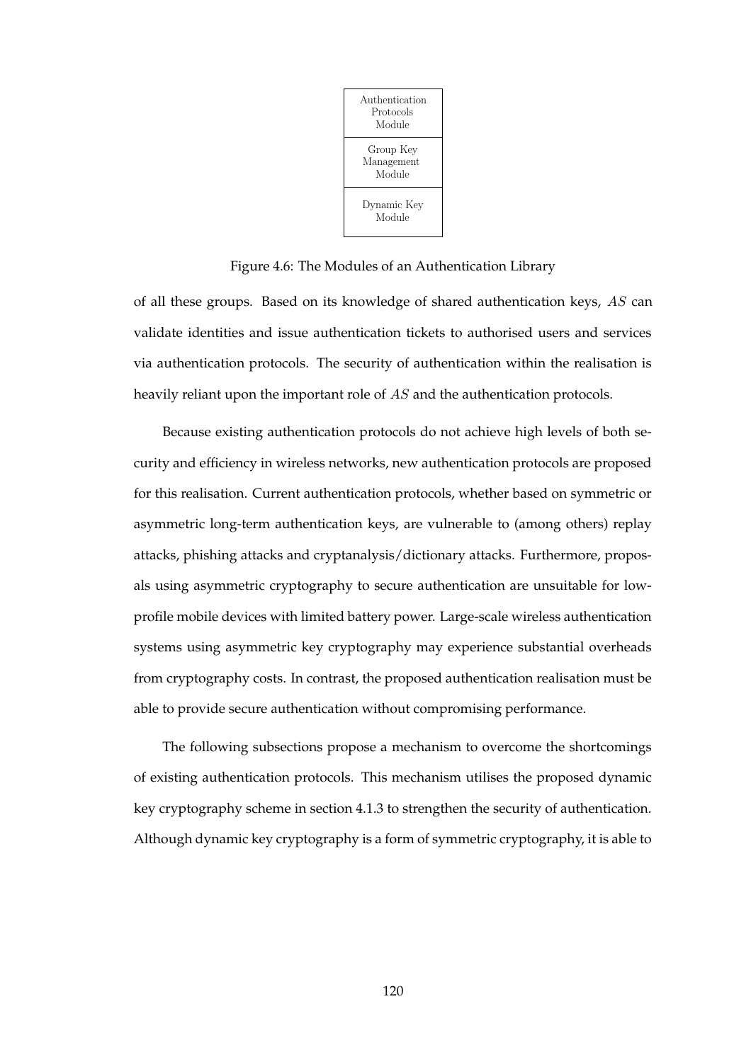

Figure 4.6: The Modules of an Authentication Library

of all these groups. Based on its knowledge of shared authentication keys, AS can validate identities and issue authentication tickets to authorised users and services via authentication protocols. The security of authentication within the realisation is heavily reliant upon the important role of AS and the authentication protocols.

Because existing authentication protocols do not achieve high levels of both security and efficiency in wireless networks, new authentication protocols are proposed for this realisation. Current authentication protocols, whether based on symmetric or asymmetric long-term authentication keys, are vulnerable to (among others) replay attacks, phishing attacks and cryptanalysis/dictionary attacks. Furthermore, proposals using asymmetric cryptography to secure authentication are unsuitable for lowprofile mobile devices with limited battery power. Large-scale wireless authentication systems using asymmetric key cryptography may experience substantial overheads from cryptography costs. In contrast, the proposed authentication realisation must be able to provide secure authentication without compromising performance.

The following subsections propose a mechanism to overcome the shortcomings of existing authentication protocols. This mechanism utilises the proposed dynamic key cryptography scheme in section 4.1.3 to strengthen the security of authentication. Although dynamic key cryptography is a form of symmetric cryptography, it is able to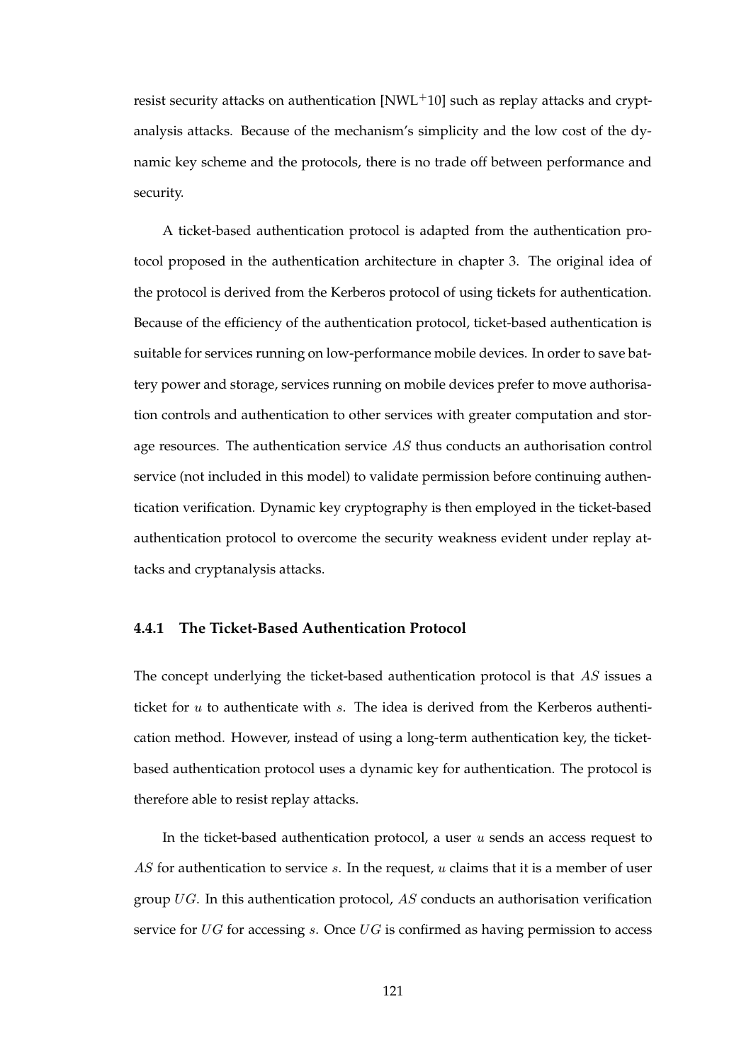resist security attacks on authentication [NWL+10] such as replay attacks and cryptanalysis attacks. Because of the mechanism's simplicity and the low cost of the dynamic key scheme and the protocols, there is no trade off between performance and security.

A ticket-based authentication protocol is adapted from the authentication protocol proposed in the authentication architecture in chapter 3. The original idea of the protocol is derived from the Kerberos protocol of using tickets for authentication. Because of the efficiency of the authentication protocol, ticket-based authentication is suitable for services running on low-performance mobile devices. In order to save battery power and storage, services running on mobile devices prefer to move authorisation controls and authentication to other services with greater computation and storage resources. The authentication service AS thus conducts an authorisation control service (not included in this model) to validate permission before continuing authentication verification. Dynamic key cryptography is then employed in the ticket-based authentication protocol to overcome the security weakness evident under replay attacks and cryptanalysis attacks.

## **4.4.1 The Ticket-Based Authentication Protocol**

The concept underlying the ticket-based authentication protocol is that AS issues a ticket for  $u$  to authenticate with  $s$ . The idea is derived from the Kerberos authentication method. However, instead of using a long-term authentication key, the ticketbased authentication protocol uses a dynamic key for authentication. The protocol is therefore able to resist replay attacks.

In the ticket-based authentication protocol, a user  $u$  sends an access request to  $AS$  for authentication to service s. In the request, u claims that it is a member of user group  $UG$ . In this authentication protocol, AS conducts an authorisation verification service for  $UG$  for accessing  $s$ . Once  $UG$  is confirmed as having permission to access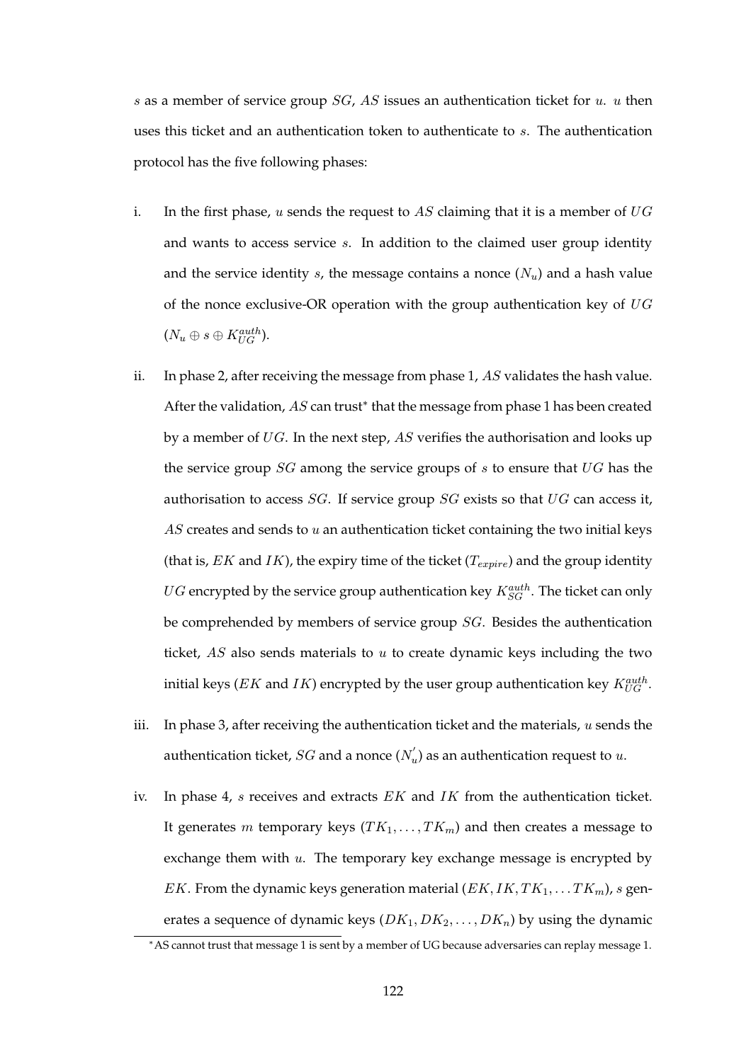s as a member of service group  $SG$ , AS issues an authentication ticket for  $u$ .  $u$  then uses this ticket and an authentication token to authenticate to s. The authentication protocol has the five following phases:

- i. In the first phase, u sends the request to AS claiming that it is a member of  $UG$ and wants to access service s. In addition to the claimed user group identity and the service identity s, the message contains a nonce  $(N_u)$  and a hash value of the nonce exclusive-OR operation with the group authentication key of  $UG$  $(N_u \oplus s \oplus K_{UG}^{auth}).$
- ii. In phase 2, after receiving the message from phase 1,  $AS$  validates the hash value. After the validation, AS can trust<sup>\*</sup> that the message from phase 1 has been created by a member of  $UG$ . In the next step, AS verifies the authorisation and looks up the service group  $SG$  among the service groups of s to ensure that  $UG$  has the authorisation to access  $SG$ . If service group  $SG$  exists so that  $UG$  can access it,  $AS$  creates and sends to  $u$  an authentication ticket containing the two initial keys (that is, EK and IK), the expiry time of the ticket ( $T_{expire}$ ) and the group identity  $\mathit{UG}$  encrypted by the service group authentication key  $K^{auth}_{SG}$  . The ticket can only be comprehended by members of service group SG. Besides the authentication ticket,  $AS$  also sends materials to  $u$  to create dynamic keys including the two initial keys (*EK* and *IK*) encrypted by the user group authentication key  $K_{UG}^{auth}$ .
- iii. In phase 3, after receiving the authentication ticket and the materials,  $u$  sends the authentication ticket,  $SG$  and a nonce  $(N^{\prime}_u)$  as an authentication request to  $u.$
- iv. In phase 4,  $s$  receives and extracts  $EK$  and  $IK$  from the authentication ticket. It generates m temporary keys  $(TK_1, \ldots, TK_m)$  and then creates a message to exchange them with  $u$ . The temporary key exchange message is encrypted by EK. From the dynamic keys generation material  $(EK, IK, TK_1, \ldots TK_m)$ , s generates a sequence of dynamic keys  $(DK_1, DK_2, \ldots, DK_n)$  by using the dynamic

<sup>∗</sup>AS cannot trust that message 1 is sent by a member of UG because adversaries can replay message 1.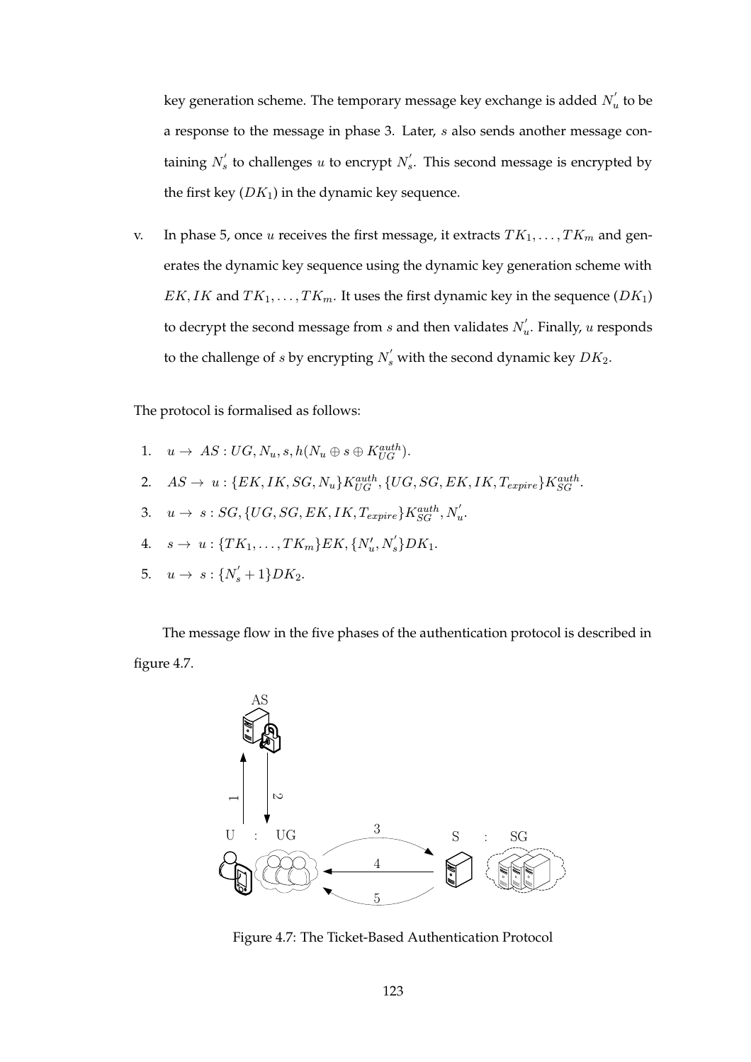key generation scheme. The temporary message key exchange is added  $N_{u}^{'}$  to be a response to the message in phase 3. Later, s also sends another message containing  $N_s'$  to challenges  $u$  to encrypt  $N_s'$ . This second message is encrypted by the first key  $(DK_1)$  in the dynamic key sequence.

v. In phase 5, once u receives the first message, it extracts  $TK_1, \ldots, TK_m$  and generates the dynamic key sequence using the dynamic key generation scheme with  $EK, IK$  and  $TK_1, \ldots, TK_m$ . It uses the first dynamic key in the sequence  $(DK_1)$ to decrypt the second message from  $s$  and then validates  $N^{'}_{u}$ . Finally,  $u$  responds to the challenge of s by encrypting  $N_s'$  with the second dynamic key  $DK_2$ .

The protocol is formalised as follows:

- 1.  $u \to AS : UG, N_u, s, h(N_u \oplus s \oplus K_{UG}^{auth}).$
- 2.  $AS \rightarrow u: \{EK, IK, SG, N_u\} K_{UG}^{auth}, \{UG, SG, EK, IK, T_{expire}\} K_{SG}^{auth}.$
- 3.  $u \rightarrow s : SG, \{UG, SG, EK, IK, T_{expire}\}K_{SG}^{auth}, N'_u.$
- 4.  $s \to u: \{TK_1, \ldots, TK_m\} EK, \{N'_u, N'_s\} DK_1.$
- 5.  $u \to s : \{N'_s + 1\} DK_2.$

The message flow in the five phases of the authentication protocol is described in figure 4.7.



Figure 4.7: The Ticket-Based Authentication Protocol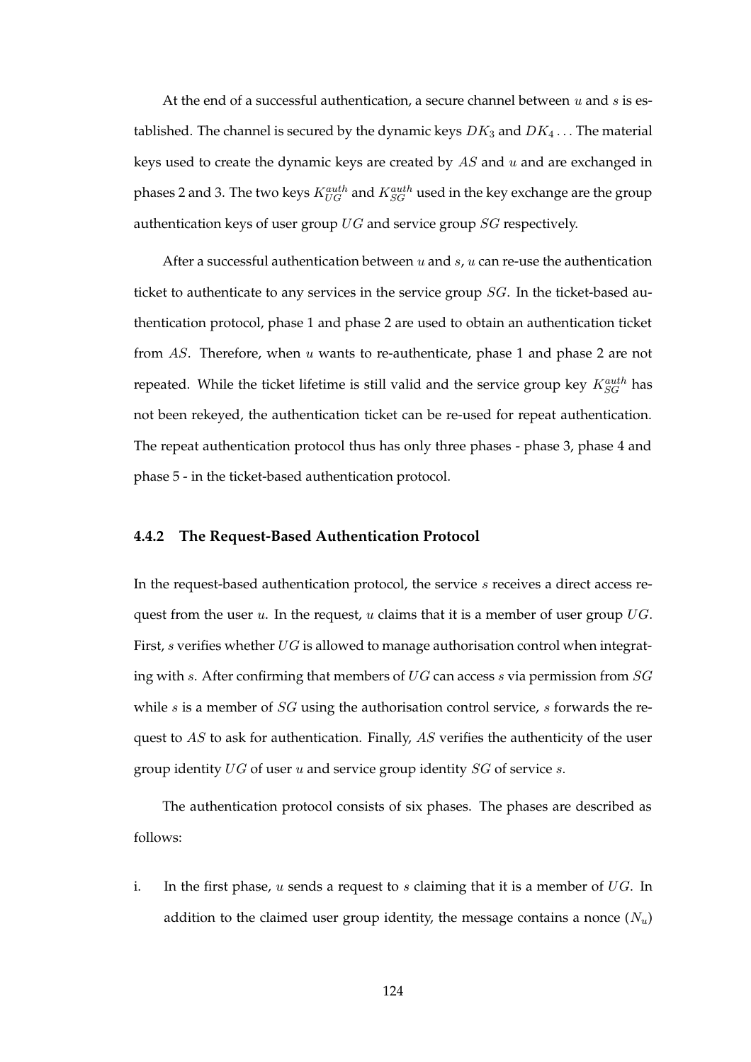At the end of a successful authentication, a secure channel between  $u$  and  $s$  is established. The channel is secured by the dynamic keys  $DK_3$  and  $DK_4 \dots$  The material keys used to create the dynamic keys are created by AS and u and are exchanged in phases 2 and 3. The two keys  $K_{UG}^{auth}$  and  $K_{SG}^{auth}$  used in the key exchange are the group authentication keys of user group  $UG$  and service group  $SG$  respectively.

After a successful authentication between  $u$  and  $s$ ,  $u$  can re-use the authentication ticket to authenticate to any services in the service group  $SG$ . In the ticket-based authentication protocol, phase 1 and phase 2 are used to obtain an authentication ticket from AS. Therefore, when u wants to re-authenticate, phase 1 and phase 2 are not repeated. While the ticket lifetime is still valid and the service group key  $K^{auth}_{SG}$  has not been rekeyed, the authentication ticket can be re-used for repeat authentication. The repeat authentication protocol thus has only three phases - phase 3, phase 4 and phase 5 - in the ticket-based authentication protocol.

# **4.4.2 The Request-Based Authentication Protocol**

In the request-based authentication protocol, the service s receives a direct access request from the user  $u$ . In the request,  $u$  claims that it is a member of user group  $UG$ . First,  $s$  verifies whether  $UG$  is allowed to manage authorisation control when integrating with s. After confirming that members of  $UG$  can access s via permission from  $SG$ while s is a member of  $SG$  using the authorisation control service, s forwards the request to  $AS$  to ask for authentication. Finally,  $AS$  verifies the authenticity of the user group identity  $UG$  of user  $u$  and service group identity  $SG$  of service  $s$ .

The authentication protocol consists of six phases. The phases are described as follows:

i. In the first phase,  $u$  sends a request to  $s$  claiming that it is a member of  $UG$ . In addition to the claimed user group identity, the message contains a nonce  $(N_u)$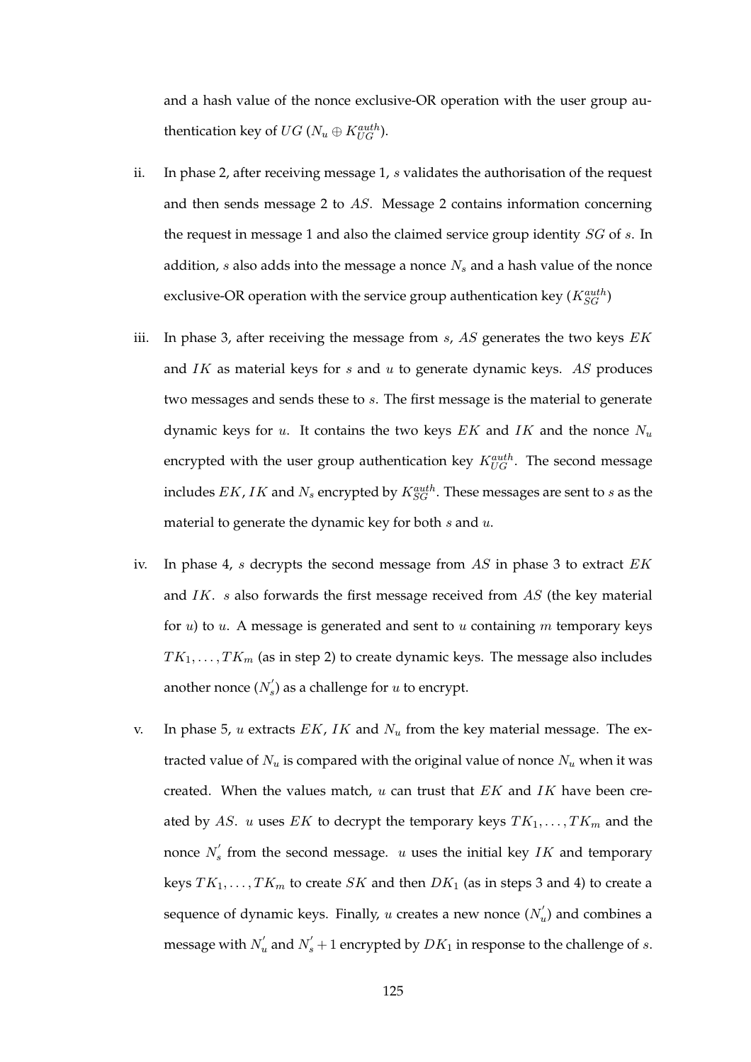and a hash value of the nonce exclusive-OR operation with the user group authentication key of  $UG$  ( $N_u \oplus K_{UG}^{auth}$ ).

- ii. In phase 2, after receiving message 1,  $s$  validates the authorisation of the request and then sends message 2 to AS. Message 2 contains information concerning the request in message 1 and also the claimed service group identity SG of s. In addition,  $s$  also adds into the message a nonce  $N_s$  and a hash value of the nonce exclusive-OR operation with the service group authentication key  $(K_{SG}^{auth})$
- iii. In phase 3, after receiving the message from  $s$ , AS generates the two keys  $EK$ and  $IK$  as material keys for  $s$  and  $u$  to generate dynamic keys. AS produces two messages and sends these to s. The first message is the material to generate dynamic keys for  $u$ . It contains the two keys  $EK$  and  $IK$  and the nonce  $N_u$ encrypted with the user group authentication key  $K_{UG}^{auth}$ . The second message includes  $EK$  ,  $IK$  and  $N_s$  encrypted by  $K^{auth}_{SG}$  . These messages are sent to  $s$  as the material to generate the dynamic key for both  $s$  and  $u$ .
- iv. In phase 4, s decrypts the second message from  $AS$  in phase 3 to extract  $EK$ and  $IK. s$  also forwards the first message received from  $AS$  (the key material for  $u$ ) to  $u$ . A message is generated and sent to  $u$  containing  $m$  temporary keys  $TK_1, \ldots, TK_m$  (as in step 2) to create dynamic keys. The message also includes another nonce  $(N'_s)$  as a challenge for  $u$  to encrypt.
- v. In phase 5, u extracts  $EK$ , IK and  $N_u$  from the key material message. The extracted value of  $N_u$  is compared with the original value of nonce  $N_u$  when it was created. When the values match,  $u$  can trust that  $EK$  and  $IK$  have been created by AS. u uses EK to decrypt the temporary keys  $TK_1, \ldots, TK_m$  and the nonce  $N_s'$  from the second message. u uses the initial key IK and temporary keys  $TK_1, \ldots, TK_m$  to create SK and then  $DK_1$  (as in steps 3 and 4) to create a sequence of dynamic keys. Finally,  $u$  creates a new nonce  $(N'_u)$  and combines a message with  $N'_u$  and  $N'_s + 1$  encrypted by  $DK_1$  in response to the challenge of  $s$ .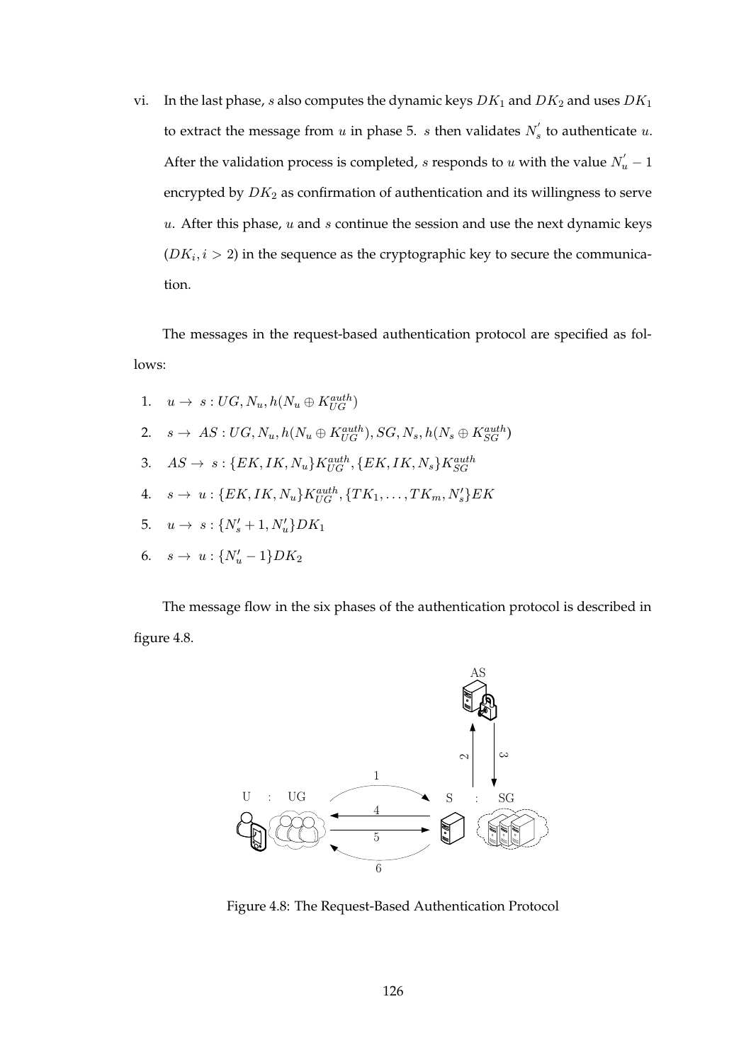vi. In the last phase, s also computes the dynamic keys  $DK_1$  and  $DK_2$  and uses  $DK_1$ to extract the message from  $u$  in phase 5.  $s$  then validates  $N'_{s}$  to authenticate  $u$ . After the validation process is completed, s responds to u with the value  $N'_u - 1$ encrypted by  $DK_2$  as confirmation of authentication and its willingness to serve  $u$ . After this phase,  $u$  and  $s$  continue the session and use the next dynamic keys  $(DK_i, i > 2)$  in the sequence as the cryptographic key to secure the communication.

The messages in the request-based authentication protocol are specified as follows:

1.  $u \to s : UG, N_u, h(N_u \oplus K_{UG}^{auth})$ 2.  $s \to AS : UG, N_u, h(N_u \oplus K_{UG}^{auth}), SG, N_s, h(N_s \oplus K_{SG}^{auth})$ 3.  $AS \rightarrow s: \{EK, IK, N_u\}K_{UG}^{auth}, \{EK, IK, N_s\}K_{SG}^{auth}$ 4.  $s \to u: \{EK, IK, N_u\} K_{UG}^{auth}, \{TK_1, \ldots, TK_m, N_s'\} EK$ 5.  $u \to s: \{N_s' + 1, N_u'\} DK_1$ 

$$
6. \quad s \rightarrow u: \{N'_u - 1\}DK_2
$$

The message flow in the six phases of the authentication protocol is described in figure 4.8.



Figure 4.8: The Request-Based Authentication Protocol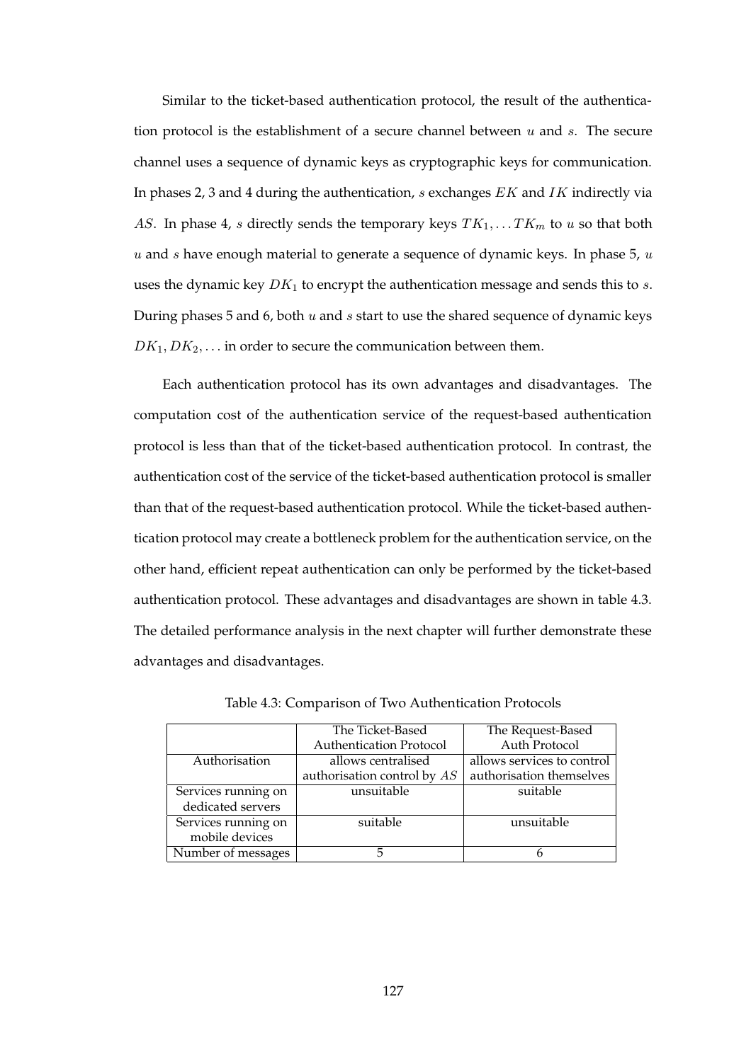Similar to the ticket-based authentication protocol, the result of the authentication protocol is the establishment of a secure channel between  $u$  and  $s$ . The secure channel uses a sequence of dynamic keys as cryptographic keys for communication. In phases 2, 3 and 4 during the authentication,  $s$  exchanges  $EK$  and  $IK$  indirectly via AS. In phase 4, s directly sends the temporary keys  $TK_1, \ldots TK_m$  to u so that both  $u$  and  $s$  have enough material to generate a sequence of dynamic keys. In phase  $5$ ,  $u$ uses the dynamic key  $DK_1$  to encrypt the authentication message and sends this to  $s$ . During phases 5 and 6, both  $u$  and  $s$  start to use the shared sequence of dynamic keys  $DK_1, DK_2, \ldots$  in order to secure the communication between them.

Each authentication protocol has its own advantages and disadvantages. The computation cost of the authentication service of the request-based authentication protocol is less than that of the ticket-based authentication protocol. In contrast, the authentication cost of the service of the ticket-based authentication protocol is smaller than that of the request-based authentication protocol. While the ticket-based authentication protocol may create a bottleneck problem for the authentication service, on the other hand, efficient repeat authentication can only be performed by the ticket-based authentication protocol. These advantages and disadvantages are shown in table 4.3. The detailed performance analysis in the next chapter will further demonstrate these advantages and disadvantages.

|                     | The Ticket-Based               | The Request-Based          |
|---------------------|--------------------------------|----------------------------|
|                     | <b>Authentication Protocol</b> | Auth Protocol              |
| Authorisation       | allows centralised             | allows services to control |
|                     | authorisation control by AS    | authorisation themselves   |
| Services running on | unsuitable                     | suitable                   |
| dedicated servers   |                                |                            |
| Services running on | suitable                       | unsuitable                 |
| mobile devices      |                                |                            |
| Number of messages  |                                | n                          |

Table 4.3: Comparison of Two Authentication Protocols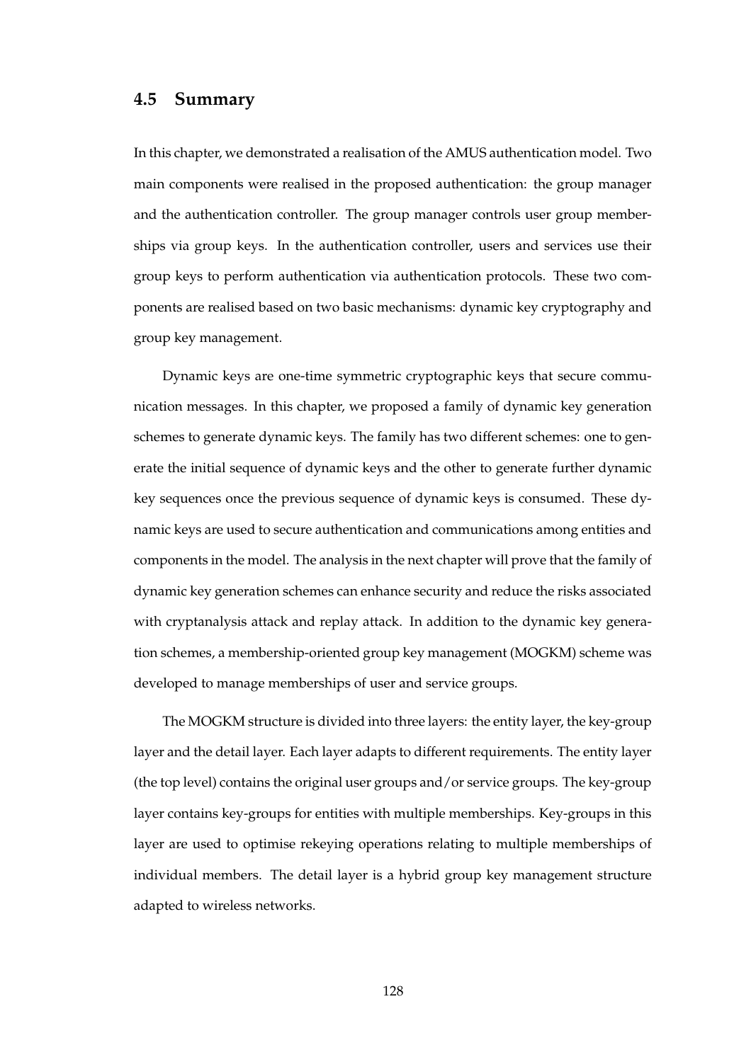# **4.5 Summary**

In this chapter, we demonstrated a realisation of the AMUS authentication model. Two main components were realised in the proposed authentication: the group manager and the authentication controller. The group manager controls user group memberships via group keys. In the authentication controller, users and services use their group keys to perform authentication via authentication protocols. These two components are realised based on two basic mechanisms: dynamic key cryptography and group key management.

Dynamic keys are one-time symmetric cryptographic keys that secure communication messages. In this chapter, we proposed a family of dynamic key generation schemes to generate dynamic keys. The family has two different schemes: one to generate the initial sequence of dynamic keys and the other to generate further dynamic key sequences once the previous sequence of dynamic keys is consumed. These dynamic keys are used to secure authentication and communications among entities and components in the model. The analysis in the next chapter will prove that the family of dynamic key generation schemes can enhance security and reduce the risks associated with cryptanalysis attack and replay attack. In addition to the dynamic key generation schemes, a membership-oriented group key management (MOGKM) scheme was developed to manage memberships of user and service groups.

The MOGKM structure is divided into three layers: the entity layer, the key-group layer and the detail layer. Each layer adapts to different requirements. The entity layer (the top level) contains the original user groups and/or service groups. The key-group layer contains key-groups for entities with multiple memberships. Key-groups in this layer are used to optimise rekeying operations relating to multiple memberships of individual members. The detail layer is a hybrid group key management structure adapted to wireless networks.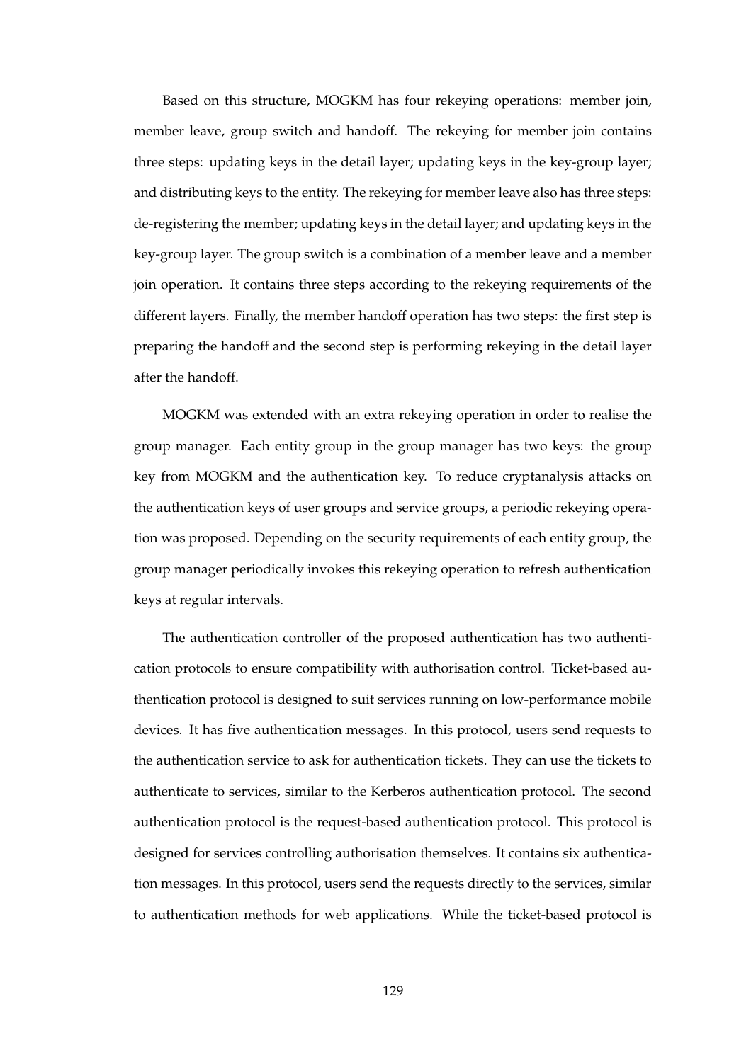Based on this structure, MOGKM has four rekeying operations: member join, member leave, group switch and handoff. The rekeying for member join contains three steps: updating keys in the detail layer; updating keys in the key-group layer; and distributing keys to the entity. The rekeying for member leave also has three steps: de-registering the member; updating keys in the detail layer; and updating keys in the key-group layer. The group switch is a combination of a member leave and a member join operation. It contains three steps according to the rekeying requirements of the different layers. Finally, the member handoff operation has two steps: the first step is preparing the handoff and the second step is performing rekeying in the detail layer after the handoff.

MOGKM was extended with an extra rekeying operation in order to realise the group manager. Each entity group in the group manager has two keys: the group key from MOGKM and the authentication key. To reduce cryptanalysis attacks on the authentication keys of user groups and service groups, a periodic rekeying operation was proposed. Depending on the security requirements of each entity group, the group manager periodically invokes this rekeying operation to refresh authentication keys at regular intervals.

The authentication controller of the proposed authentication has two authentication protocols to ensure compatibility with authorisation control. Ticket-based authentication protocol is designed to suit services running on low-performance mobile devices. It has five authentication messages. In this protocol, users send requests to the authentication service to ask for authentication tickets. They can use the tickets to authenticate to services, similar to the Kerberos authentication protocol. The second authentication protocol is the request-based authentication protocol. This protocol is designed for services controlling authorisation themselves. It contains six authentication messages. In this protocol, users send the requests directly to the services, similar to authentication methods for web applications. While the ticket-based protocol is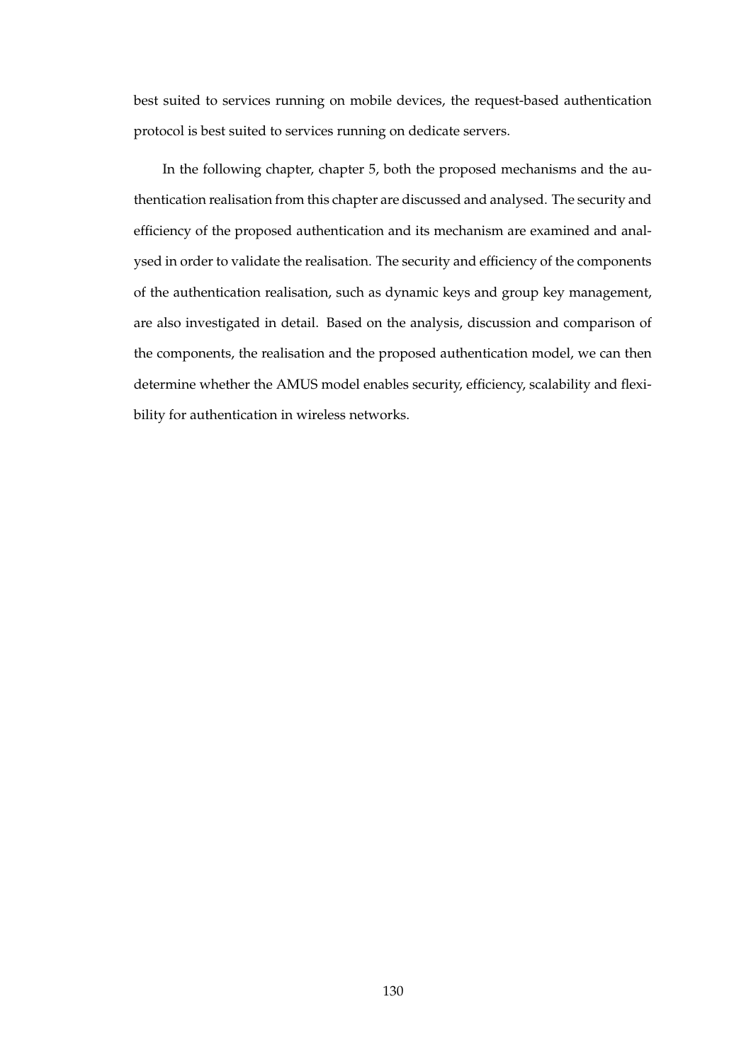best suited to services running on mobile devices, the request-based authentication protocol is best suited to services running on dedicate servers.

In the following chapter, chapter 5, both the proposed mechanisms and the authentication realisation from this chapter are discussed and analysed. The security and efficiency of the proposed authentication and its mechanism are examined and analysed in order to validate the realisation. The security and efficiency of the components of the authentication realisation, such as dynamic keys and group key management, are also investigated in detail. Based on the analysis, discussion and comparison of the components, the realisation and the proposed authentication model, we can then determine whether the AMUS model enables security, efficiency, scalability and flexibility for authentication in wireless networks.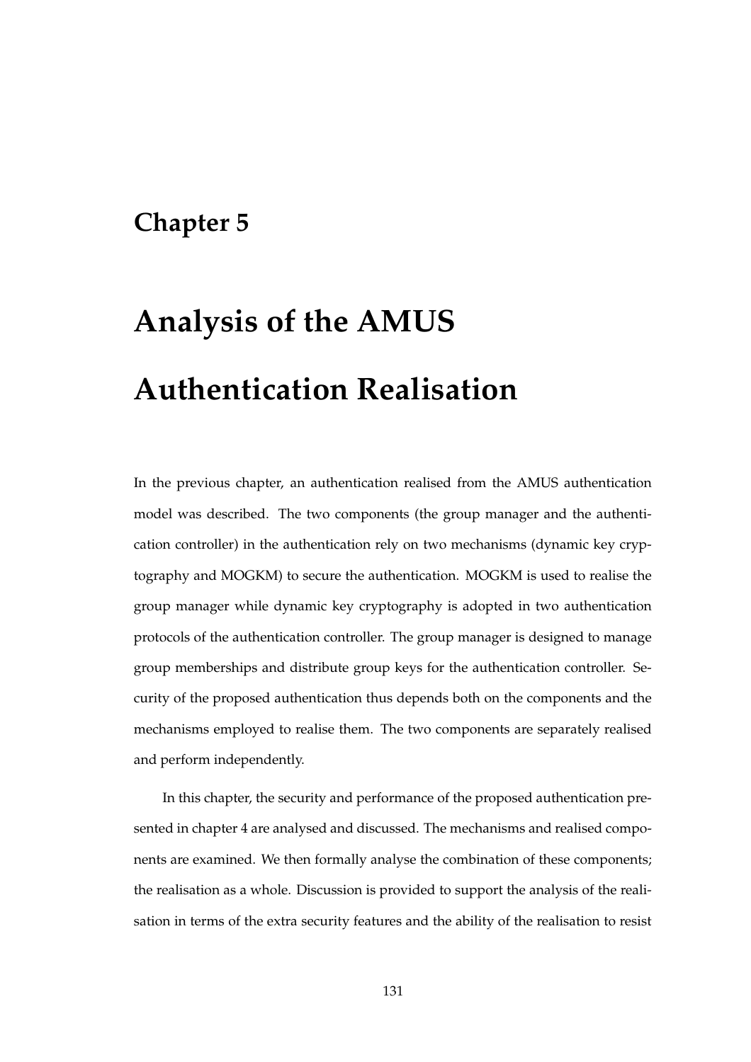# **Chapter 5**

# **Analysis of the AMUS Authentication Realisation**

In the previous chapter, an authentication realised from the AMUS authentication model was described. The two components (the group manager and the authentication controller) in the authentication rely on two mechanisms (dynamic key cryptography and MOGKM) to secure the authentication. MOGKM is used to realise the group manager while dynamic key cryptography is adopted in two authentication protocols of the authentication controller. The group manager is designed to manage group memberships and distribute group keys for the authentication controller. Security of the proposed authentication thus depends both on the components and the mechanisms employed to realise them. The two components are separately realised and perform independently.

In this chapter, the security and performance of the proposed authentication presented in chapter 4 are analysed and discussed. The mechanisms and realised components are examined. We then formally analyse the combination of these components; the realisation as a whole. Discussion is provided to support the analysis of the realisation in terms of the extra security features and the ability of the realisation to resist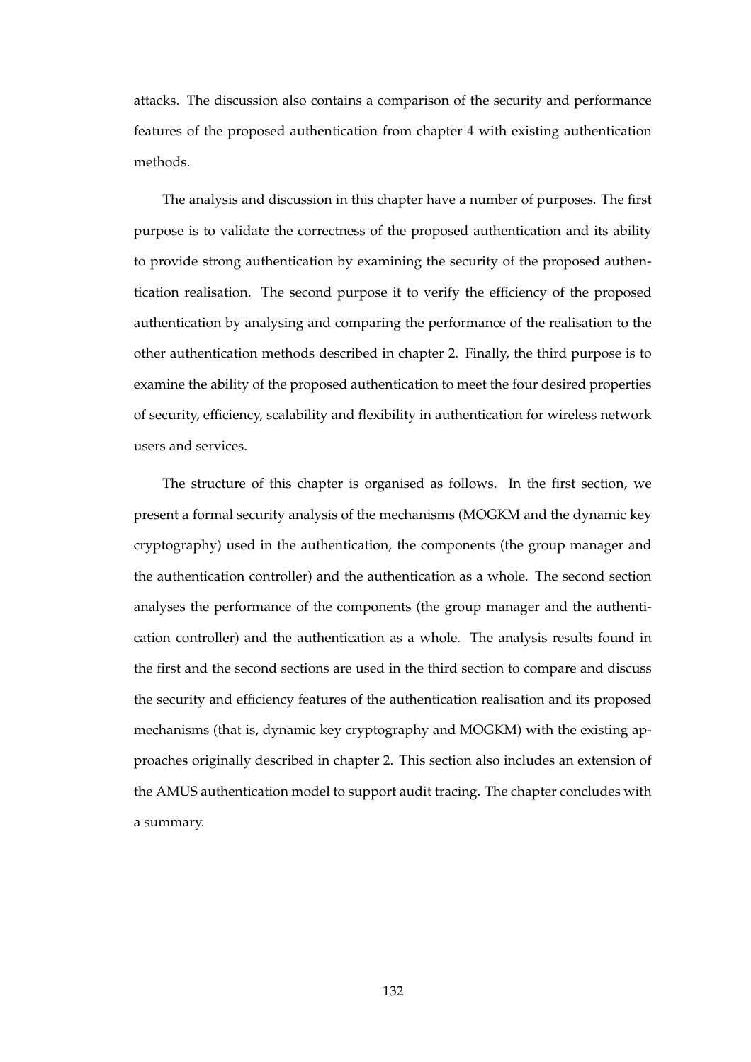attacks. The discussion also contains a comparison of the security and performance features of the proposed authentication from chapter 4 with existing authentication methods.

The analysis and discussion in this chapter have a number of purposes. The first purpose is to validate the correctness of the proposed authentication and its ability to provide strong authentication by examining the security of the proposed authentication realisation. The second purpose it to verify the efficiency of the proposed authentication by analysing and comparing the performance of the realisation to the other authentication methods described in chapter 2. Finally, the third purpose is to examine the ability of the proposed authentication to meet the four desired properties of security, efficiency, scalability and flexibility in authentication for wireless network users and services.

The structure of this chapter is organised as follows. In the first section, we present a formal security analysis of the mechanisms (MOGKM and the dynamic key cryptography) used in the authentication, the components (the group manager and the authentication controller) and the authentication as a whole. The second section analyses the performance of the components (the group manager and the authentication controller) and the authentication as a whole. The analysis results found in the first and the second sections are used in the third section to compare and discuss the security and efficiency features of the authentication realisation and its proposed mechanisms (that is, dynamic key cryptography and MOGKM) with the existing approaches originally described in chapter 2. This section also includes an extension of the AMUS authentication model to support audit tracing. The chapter concludes with a summary.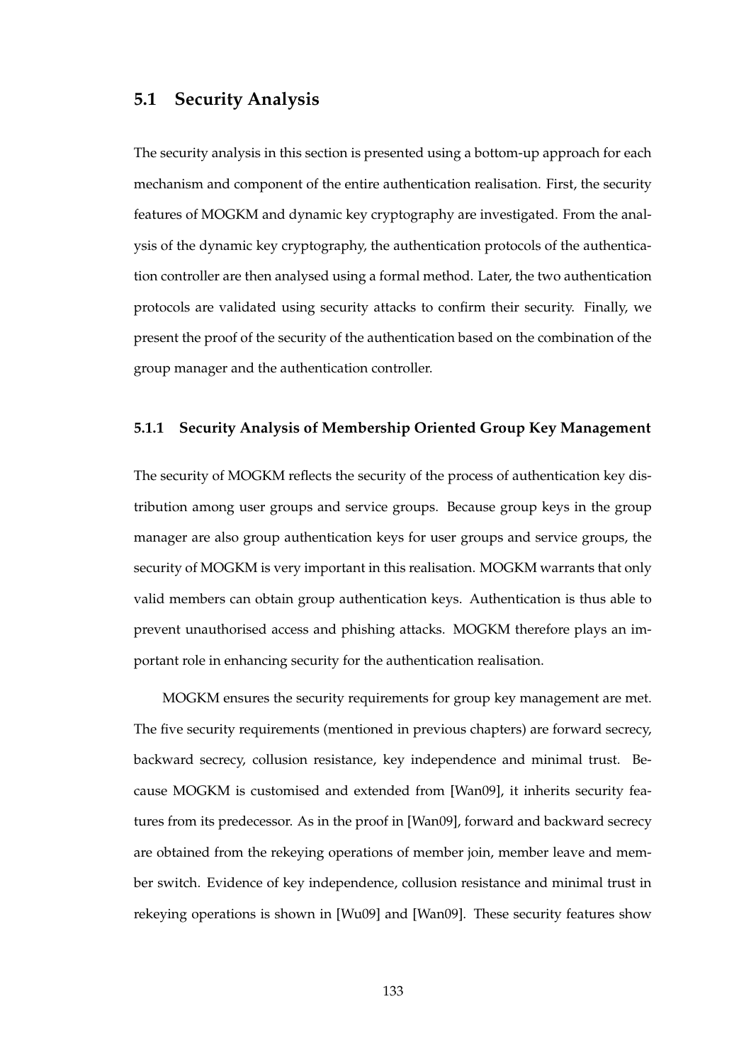# **5.1 Security Analysis**

The security analysis in this section is presented using a bottom-up approach for each mechanism and component of the entire authentication realisation. First, the security features of MOGKM and dynamic key cryptography are investigated. From the analysis of the dynamic key cryptography, the authentication protocols of the authentication controller are then analysed using a formal method. Later, the two authentication protocols are validated using security attacks to confirm their security. Finally, we present the proof of the security of the authentication based on the combination of the group manager and the authentication controller.

# **5.1.1 Security Analysis of Membership Oriented Group Key Management**

The security of MOGKM reflects the security of the process of authentication key distribution among user groups and service groups. Because group keys in the group manager are also group authentication keys for user groups and service groups, the security of MOGKM is very important in this realisation. MOGKM warrants that only valid members can obtain group authentication keys. Authentication is thus able to prevent unauthorised access and phishing attacks. MOGKM therefore plays an important role in enhancing security for the authentication realisation.

MOGKM ensures the security requirements for group key management are met. The five security requirements (mentioned in previous chapters) are forward secrecy, backward secrecy, collusion resistance, key independence and minimal trust. Because MOGKM is customised and extended from [Wan09], it inherits security features from its predecessor. As in the proof in [Wan09], forward and backward secrecy are obtained from the rekeying operations of member join, member leave and member switch. Evidence of key independence, collusion resistance and minimal trust in rekeying operations is shown in [Wu09] and [Wan09]. These security features show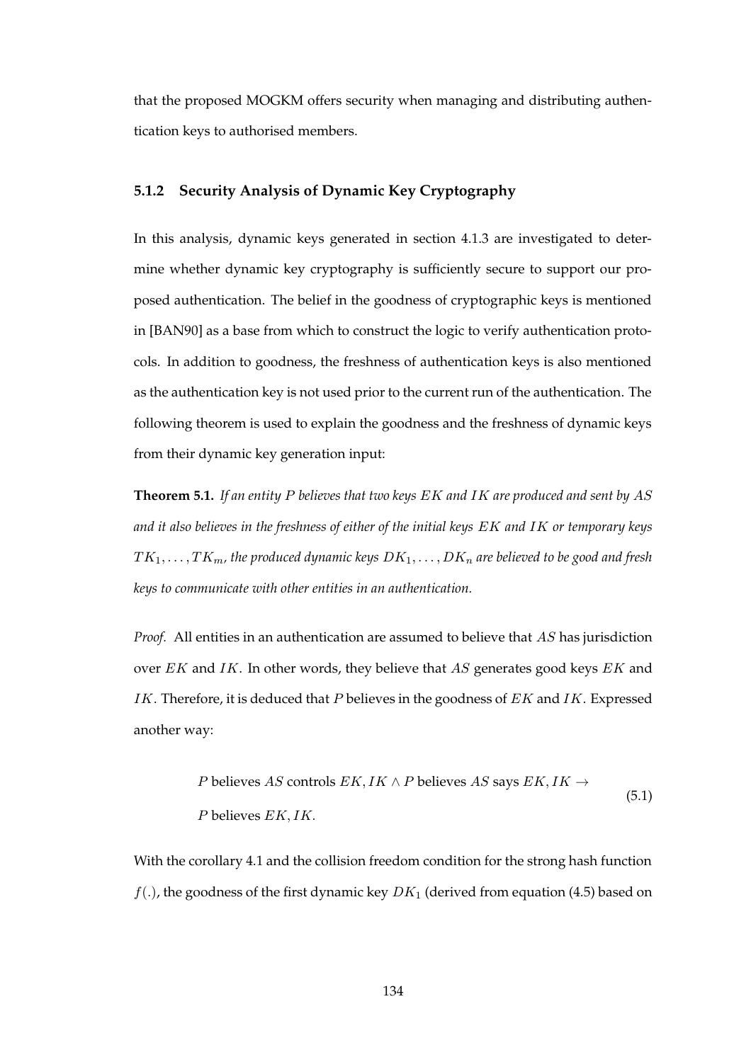that the proposed MOGKM offers security when managing and distributing authentication keys to authorised members.

# **5.1.2 Security Analysis of Dynamic Key Cryptography**

In this analysis, dynamic keys generated in section 4.1.3 are investigated to determine whether dynamic key cryptography is sufficiently secure to support our proposed authentication. The belief in the goodness of cryptographic keys is mentioned in [BAN90] as a base from which to construct the logic to verify authentication protocols. In addition to goodness, the freshness of authentication keys is also mentioned as the authentication key is not used prior to the current run of the authentication. The following theorem is used to explain the goodness and the freshness of dynamic keys from their dynamic key generation input:

**Theorem 5.1.** *If an entity* P *believes that two keys* EK *and* IK *are produced and sent by* AS *and it also believes in the freshness of either of the initial keys* EK *and* IK *or temporary keys*  $TK_1, \ldots, TK_m$ , the produced dynamic keys  $DK_1, \ldots, DK_n$  are believed to be good and fresh *keys to communicate with other entities in an authentication.*

*Proof.* All entities in an authentication are assumed to believe that AS has jurisdiction over EK and IK. In other words, they believe that AS generates good keys EK and IK. Therefore, it is deduced that P believes in the goodness of  $EK$  and IK. Expressed another way:

*P* believes *AS* controls *EK*, *IK* 
$$
\wedge
$$
 *P* believes *AS* says *EK*, *IK*  $\rightarrow$  *P* believes *EK*, *IK*. 
$$
(5.1)
$$

With the corollary 4.1 and the collision freedom condition for the strong hash function  $f(.)$ , the goodness of the first dynamic key  $DK_1$  (derived from equation (4.5) based on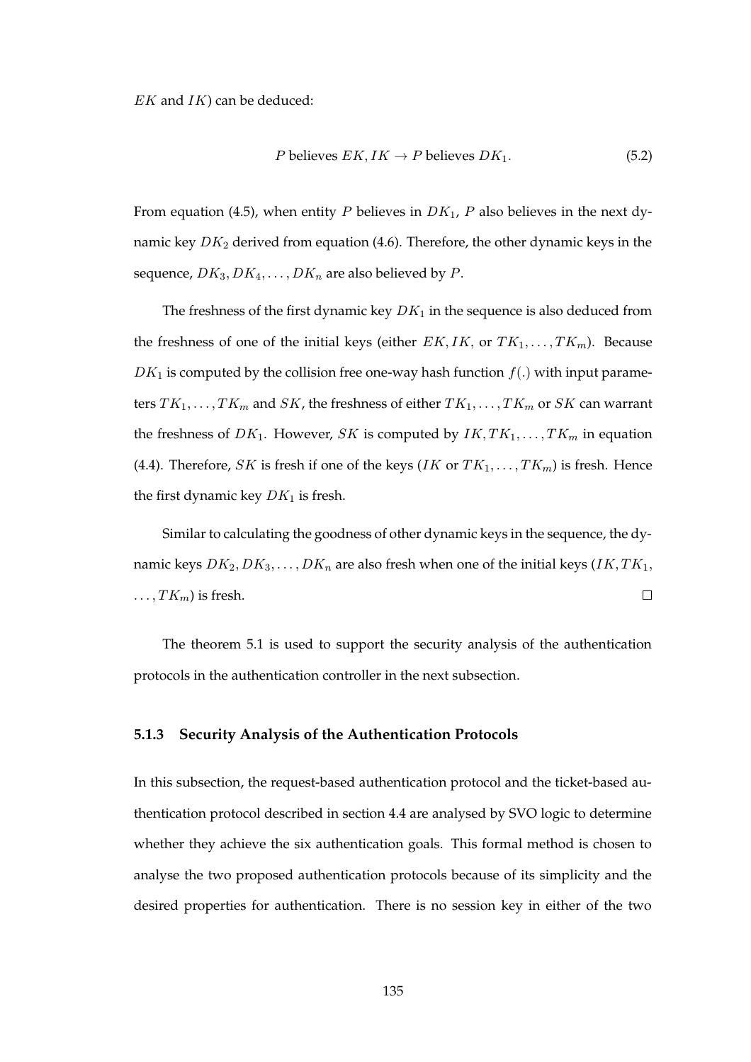$EK$  and  $IK$ ) can be deduced:

$$
P \text{ believes } EK, IK \to P \text{ believes } DK_1. \tag{5.2}
$$

From equation (4.5), when entity P believes in  $DK_1$ , P also believes in the next dynamic key  $DK_2$  derived from equation (4.6). Therefore, the other dynamic keys in the sequence,  $DK_3, DK_4, \ldots, DK_n$  are also believed by P.

The freshness of the first dynamic key  $DK_1$  in the sequence is also deduced from the freshness of one of the initial keys (either  $EK, IK$ , or  $TK_1, \ldots, TK_m$ ). Because  $DK_1$  is computed by the collision free one-way hash function  $f(.)$  with input parameters  $TK_1, \ldots, TK_m$  and  $SK$ , the freshness of either  $TK_1, \ldots, TK_m$  or  $SK$  can warrant the freshness of  $DK_1$ . However, SK is computed by  $IK, TK_1, \ldots, TK_m$  in equation (4.4). Therefore, SK is fresh if one of the keys (IK or  $TK_1, \ldots, TK_m$ ) is fresh. Hence the first dynamic key  $DK_1$  is fresh.

Similar to calculating the goodness of other dynamic keys in the sequence, the dynamic keys  $DK_2, DK_3, \ldots, DK_n$  are also fresh when one of the initial keys (IK,  $TK_1$ ,  $\Box$  $\ldots$ ,  $TK_m$ ) is fresh.

The theorem 5.1 is used to support the security analysis of the authentication protocols in the authentication controller in the next subsection.

# **5.1.3 Security Analysis of the Authentication Protocols**

In this subsection, the request-based authentication protocol and the ticket-based authentication protocol described in section 4.4 are analysed by SVO logic to determine whether they achieve the six authentication goals. This formal method is chosen to analyse the two proposed authentication protocols because of its simplicity and the desired properties for authentication. There is no session key in either of the two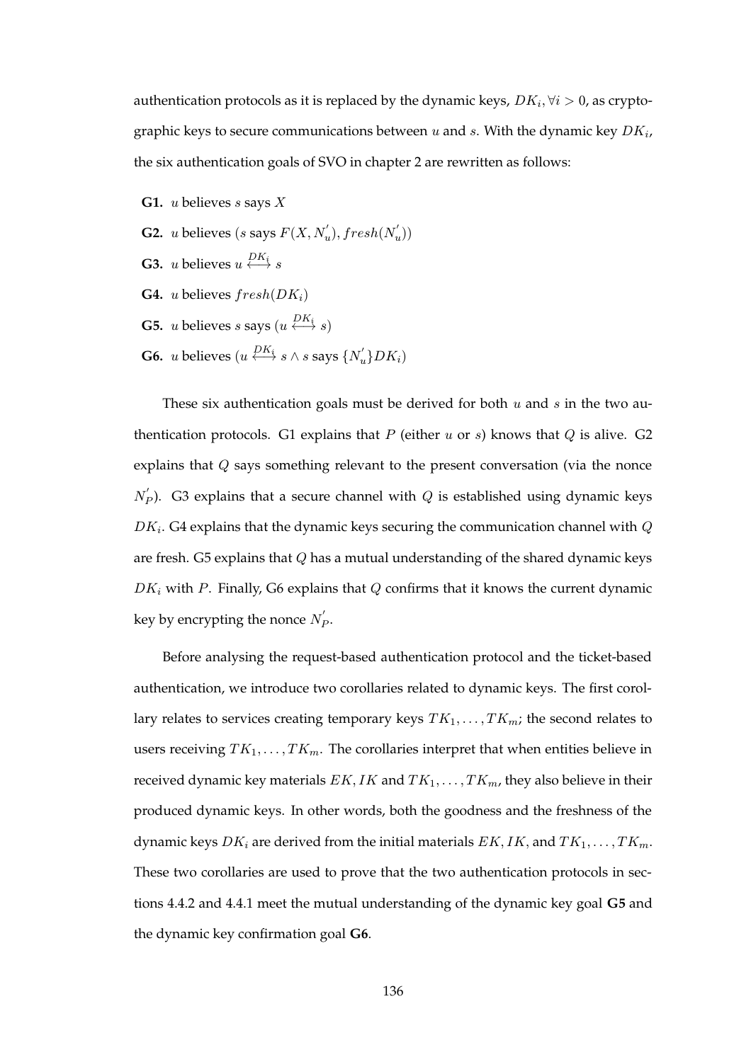authentication protocols as it is replaced by the dynamic keys,  $DK_i$ ,  $\forall i > 0$ , as cryptographic keys to secure communications between u and s. With the dynamic key  $DK_{i}$ , the six authentication goals of SVO in chapter 2 are rewritten as follows:

**G1.** *u* believes  $s$  says  $X$ 

- **G2.** *u* believes (*s* says  $F(X, N'_u)$ ,  $fresh(N'_u)$ )
- **G3.** *u* believes  $u \leftrightarrow s$
- **G4.** *u* believes  $fresh(DK_i)$
- **G5.** *u* believes *s* says  $(u \leftrightarrow BK_i \leftrightarrow S)$
- **G6.** *u* believes ( $u \stackrel{DK_i}{\longleftrightarrow} s \land s$  says  $\{N'_u\}DK_i$ )

These six authentication goals must be derived for both  $u$  and  $s$  in the two authentication protocols. G1 explains that  $P$  (either  $u$  or  $s$ ) knows that  $Q$  is alive. G2 explains that Q says something relevant to the present conversation (via the nonce  $N_P'$ ). G3 explains that a secure channel with Q is established using dynamic keys  $DK_i$ . G4 explains that the dynamic keys securing the communication channel with  $Q$ are fresh. G5 explains that  $Q$  has a mutual understanding of the shared dynamic keys  $DK_i$  with P. Finally, G6 explains that  $Q$  confirms that it knows the current dynamic key by encrypting the nonce  $N_P'$ .

Before analysing the request-based authentication protocol and the ticket-based authentication, we introduce two corollaries related to dynamic keys. The first corollary relates to services creating temporary keys  $TK_1, \ldots, TK_m$ ; the second relates to users receiving  $TK_1, \ldots, TK_m$ . The corollaries interpret that when entities believe in received dynamic key materials  $EK, IK$  and  $TK_1, \ldots, TK_m$ , they also believe in their produced dynamic keys. In other words, both the goodness and the freshness of the dynamic keys  $DK_i$  are derived from the initial materials  $EK, IK$ , and  $TK_1, \ldots, TK_m$ . These two corollaries are used to prove that the two authentication protocols in sections 4.4.2 and 4.4.1 meet the mutual understanding of the dynamic key goal **G5** and the dynamic key confirmation goal **G6**.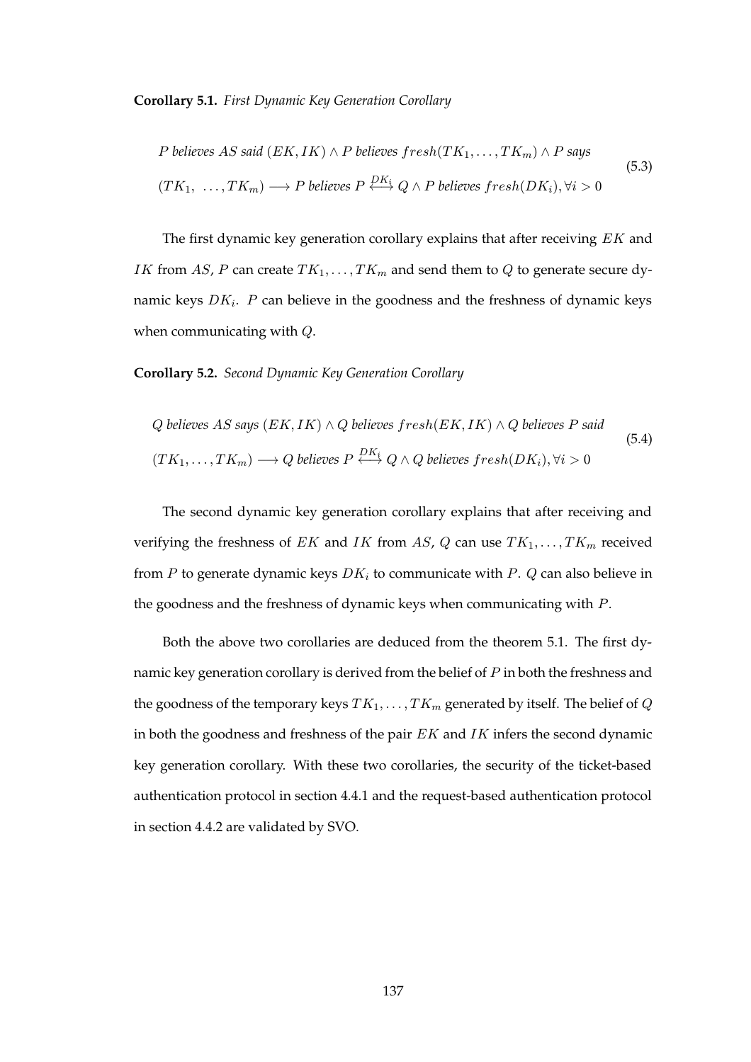# **Corollary 5.1.** *First Dynamic Key Generation Corollary*

*P* believes *AS said* 
$$
(EK, IK) \wedge P
$$
 believes  $fresh(TK_1, ..., TK_m) \wedge P$  says  
 $(TK_1, ..., TK_m) \longrightarrow P$  believes  $P \stackrel{DK_i}{\longleftrightarrow} Q \wedge P$  believes  $fresh(DK_i), \forall i > 0$  (5.3)

The first dynamic key generation corollary explains that after receiving  $EK$  and IK from AS, P can create  $TK_1, \ldots, TK_m$  and send them to Q to generate secure dynamic keys  $DK_i$ . P can believe in the goodness and the freshness of dynamic keys when communicating with Q.

**Corollary 5.2.** *Second Dynamic Key Generation Corollary*

*Q* believes *AS* says 
$$
(EK, IK) \wedge Q
$$
 believes  $fresh(EK, IK) \wedge Q$  believes *P* said  
 $(TK_1, ..., TK_m) \longrightarrow Q$  believes  $P \stackrel{DK_i}{\longleftrightarrow} Q \wedge Q$  believes  $fresh(DK_i), \forall i > 0$  (5.4)

The second dynamic key generation corollary explains that after receiving and verifying the freshness of EK and IK from AS, Q can use  $TK_1, \ldots, TK_m$  received from P to generate dynamic keys  $DK_i$  to communicate with P. Q can also believe in the goodness and the freshness of dynamic keys when communicating with P.

Both the above two corollaries are deduced from the theorem 5.1. The first dynamic key generation corollary is derived from the belief of P in both the freshness and the goodness of the temporary keys  $TK_1, \ldots, TK_m$  generated by itself. The belief of Q in both the goodness and freshness of the pair  $EK$  and  $IK$  infers the second dynamic key generation corollary. With these two corollaries, the security of the ticket-based authentication protocol in section 4.4.1 and the request-based authentication protocol in section 4.4.2 are validated by SVO.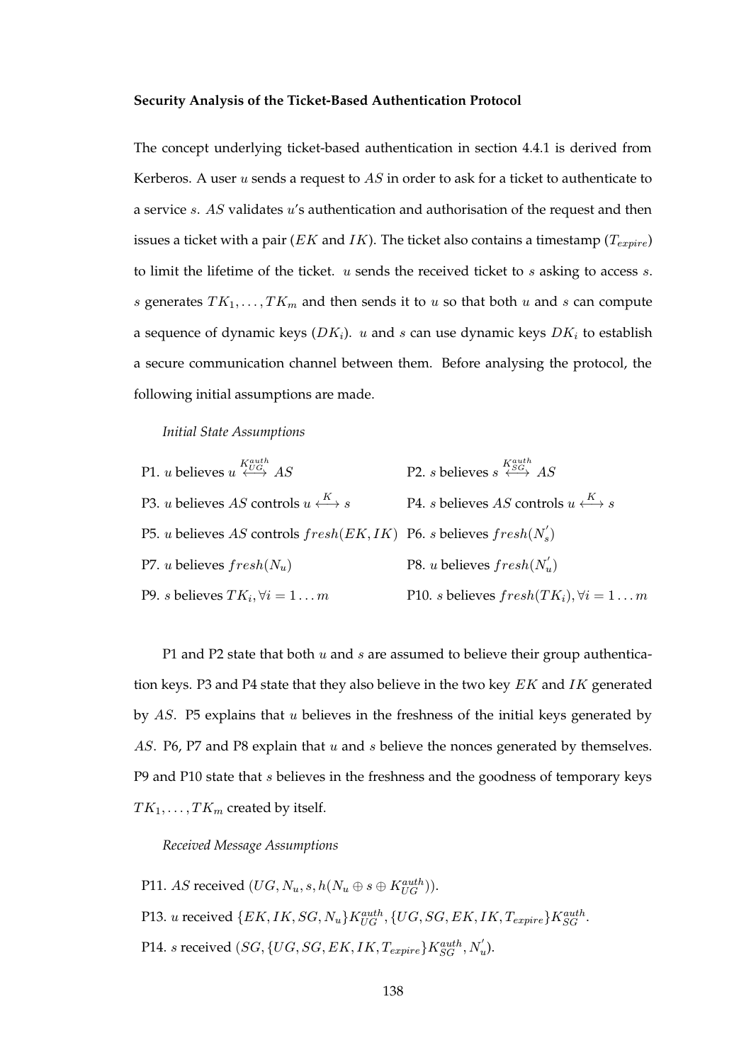# **Security Analysis of the Ticket-Based Authentication Protocol**

The concept underlying ticket-based authentication in section 4.4.1 is derived from Kerberos. A user  $u$  sends a request to  $AS$  in order to ask for a ticket to authenticate to a service s. AS validates u's authentication and authorisation of the request and then issues a ticket with a pair ( $EK$  and  $IK$ ). The ticket also contains a timestamp ( $T_{expire}$ ) to limit the lifetime of the ticket.  $u$  sends the received ticket to  $s$  asking to access  $s$ . s generates  $TK_1, \ldots, TK_m$  and then sends it to u so that both u and s can compute a sequence of dynamic keys  $(DK_i)$ . u and s can use dynamic keys  $DK_i$  to establish a secure communication channel between them. Before analysing the protocol, the following initial assumptions are made.

#### *Initial State Assumptions*

| P1. <i>u</i> believes $u \stackrel{K^{auth}}{\longleftrightarrow} AS$                | P2. <i>s</i> believes $s \stackrel{K_{SG}}{\longleftrightarrow} AS$                                                                                                                                                                                                                                                                         |
|--------------------------------------------------------------------------------------|---------------------------------------------------------------------------------------------------------------------------------------------------------------------------------------------------------------------------------------------------------------------------------------------------------------------------------------------|
| P3. <i>u</i> believes <i>AS</i> controls $u \xleftrightarrow^{K} s$                  | P4. <i>s</i> believes AS controls $u \xleftrightarrow^{K} s$                                                                                                                                                                                                                                                                                |
| P5. <i>u</i> believes AS controls $fresh(EK, IK)$ P6. <i>s</i> believes $fresh(N_s)$ |                                                                                                                                                                                                                                                                                                                                             |
| P7. <i>u</i> believes $fresh(N_u)$                                                   | P8. <i>u</i> believes ${\text{}}$ ${\text{}}$ ${\text{}}$ ${\text{}}$ ${\text{}}$ ${\text{}}$ ${\text{}}$ ${\text{}}$ ${\text{}}$ ${\text{}}$ ${\text{}}$ ${\text{}}$ ${\text{}}$ ${\text{}}$ ${\text{}}$ ${\text{}}$ ${\text{}}$ ${\text{}}$ ${\text{}}$ ${\text{}}$ ${\text{}}$ ${\text{}}$ ${\text{}}$ ${\text{}}$ ${\text{}}$ ${\text{$ |
| P9. s believes $TK_i, \forall i = 1 \dots m$                                         | P10. s believes ${\it fresh}(TK_i), \forall i = 1 \ldots m$                                                                                                                                                                                                                                                                                 |

P1 and P2 state that both  $u$  and  $s$  are assumed to believe their group authentication keys. P3 and P4 state that they also believe in the two key  $EK$  and  $IK$  generated by AS. P5 explains that u believes in the freshness of the initial keys generated by AS. P6, P7 and P8 explain that  $u$  and  $s$  believe the nonces generated by themselves. P9 and P10 state that s believes in the freshness and the goodness of temporary keys  $TK_1, \ldots, TK_m$  created by itself.

*Received Message Assumptions*

P11. AS received  $(UG, N_u, s, h(N_u \oplus s \oplus K_{UG}^{auth})).$ 

- P13. u received  $\{EK,IK, SG, N_u\}K_{UG}^{auth}, \{UG, SG, EK, IK, T_{expire}\}K_{SG}^{auth}.$
- P14. s received  $(SG, \{UG, SG, EK, IK, T_{expire}\}K_{SG}^{auth}, N_u^{'})$ .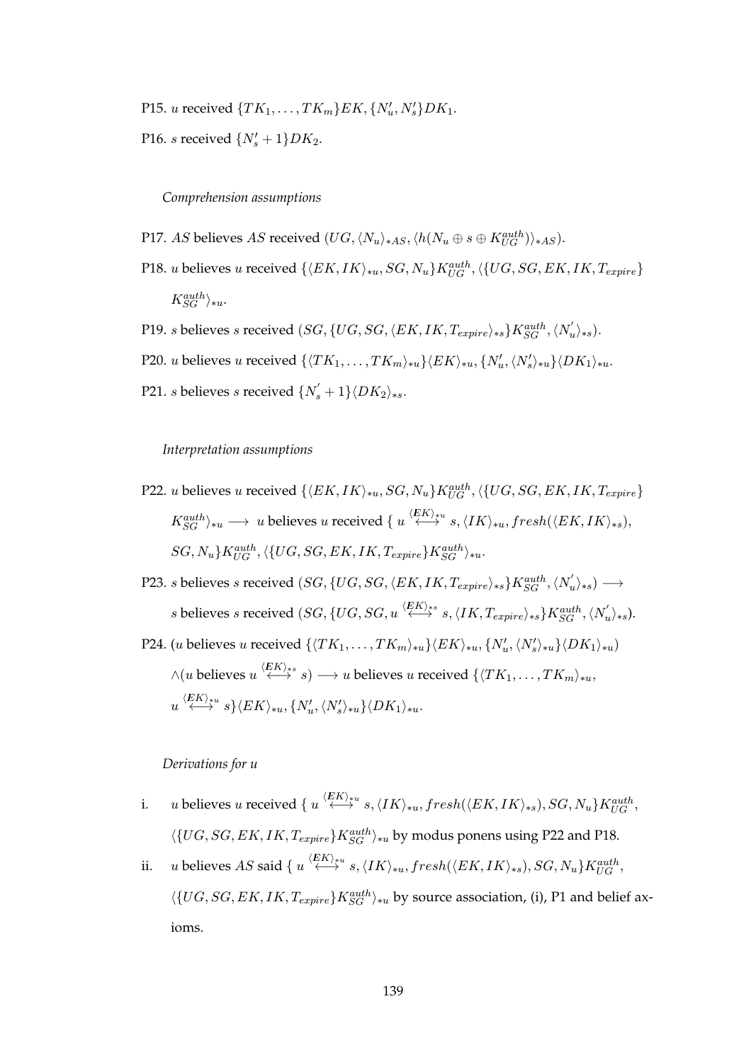- P15. *u* received  $\{TK_1, \ldots, TK_m\}EK, \{N'_u, N'_s\}DK_1$ .
- P16. *s* received  $\{N'_s + 1\}DK_2$ .

*Comprehension assumptions*

- P17. AS believes AS received  $(UG, \langle N_u \rangle_{*AS}, \langle h(N_u \oplus s \oplus K_{UG}^{auth}) \rangle_{*AS}).$
- P18. *u* believes *u* received  $\{ \langle EK, IK \rangle_{*u}, SG, N_u \} K_{UG}^{auth}, \langle \{ UG, SG, EK, IK, T_{expire} \}$  $K_{SG}^{auth} \rangle_{*u}.$
- P19. s believes s received  $(SG, \{UG, SG, \langle EK, IK, T_{expire} \rangle_{*s}\}K^{auth}_{SG}, \langle N'_u \rangle_{*s}).$
- P20. *u* believes *u* received  $\{\langle TK_1,\ldots, TK_m\rangle_{*u}\}\langle EK\rangle_{*u}, \{N'_u,\langle N'_s\rangle_{*u}\}\langle DK_1\rangle_{*u}.$
- P21. *s* believes *s* received  $\{N_s' + 1\} \langle DK_2 \rangle_{*s}$ .

*Interpretation assumptions*

- P22. *u* believes *u* received  $\{ \langle EK, IK \rangle_{*u}, SG, N_u \} K_{UG}^{auth}, \langle \{ UG, SG, EK, IK, T_{expire} \}$  $K^{auth}_{SG}\rangle_{*u}\longrightarrow\ u\ \hbox{believes}\ u\ \hbox{received}\ \{\ u\ \stackrel{\langle EK\rangle_{*u}}{\longleftrightarrow}s,\langle IK\rangle_{*u}, fresh(\langle EK, IK\rangle_{*s}),$  $SG, N_u\}K_{UG}^{auth}, \langle \{UG, SG, EK, IK, T_{expire}\}K_{SG}^{auth} \rangle_{*u}.$
- P23.  $s$  believes  $s$  received  $(SG, \{UG, SG, \langle EK, IK, T_{expire} \rangle_{*s}\}K_{SG}^{auth}, \langle N_u^{'} \rangle_{*s}) \longrightarrow$ s believes  $s$  received  $(SG,\lbrace UG, SG, u\stackrel{\langle EK \rangle_{*}s}\iff s,\langle IK, T_{expire} \rangle_{*s}\rbrace K^{auth}_{SG},\langle N'_u \rangle_{*s}).$
- P24. (u believes u received  $\{langleTK_1, \ldots, TK_m\rangle_{*u}\}\langle EK\rangle_{*u}, \{N'_u, \langle N'_s\rangle_{*u}\}\langle DK_1\rangle_{*u})$  $\wedge (u \text{ believes } u \stackrel{\langle EK \rangle_{\ast s}}{\longleftrightarrow} s) \longrightarrow u \text{ believes } u \text{ received } \{\langle TK_1, \ldots, TK_m \rangle_{\ast u},$  $u\stackrel{\langle EK\rangle_{\ast u}}{\longleftrightarrow} s\big\langle EK\rangle_{\ast u}, \{N'_u,\langle N'_s\rangle_{\ast u}\} \langle DK_1\rangle_{\ast u}.$

# *Derivations for u*

- i. U believes  $u$  received  $\{u\stackrel{\langle EK \rangle_{*u}}{\longleftrightarrow} s,\langle IK \rangle_{*u}, fresh(\langle EK, IK \rangle_{*s}), SG, N_u\}K_{UG}^{auth},$  $\langle \{UG, SG, EK, IK, T_{expire}\}K_{SG}^{auth} \rangle_{*u}$  by modus ponens using P22 and P18.
- ii. u believes AS said {  $u\stackrel{\langle EK \rangle_{*u}}{\longleftrightarrow}s,\langle IK \rangle_{*u}, fresh(\langle EK, IK \rangle_{*s}), SG, N_u\}K_{UG}^{auth},$  $\langle \{UG, SG, EK, IK, T_{expire} \} K_{SG}^{auth} \rangle_{*u}$  by source association, (i), P1 and belief axioms.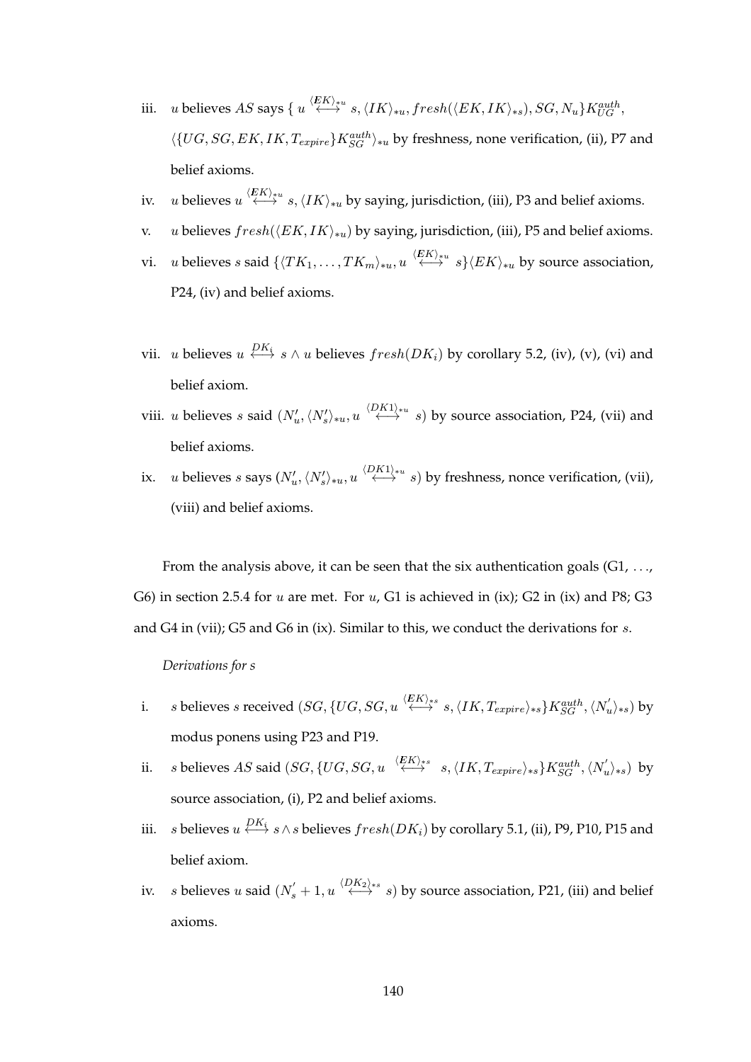- iii.  $u$  believes  $AS$  says  $\{u \stackrel{\langle EK \rangle_{*u}}{\longleftrightarrow} s, \langle IK \rangle_{*u}, fresh(\langle EK, IK \rangle_{*s}), SG, N_u\}K_{UG}^{auth},$  $\langle \{UG, SG, EK, IK, T_{expire} \} K_{SG}^{auth} \rangle_{*u}$  by freshness, none verification, (ii), P7 and belief axioms.
- iv. u believes  $u \stackrel{\langle EK \rangle_{*u}}{\longleftrightarrow} s, \langle IK \rangle_{*u}$  by saying, jurisdiction, (iii), P3 and belief axioms.
- v. *u* believes  ${\text{free}}(EK, IK)_{*u}$  by saying, jurisdiction, (iii), P5 and belief axioms.
- vi.  $u$  believes  $s$  said  $\{\langle TK_1,\ldots, TK_m\rangle_{*u}, u\overset{\langle EK\rangle_{*u}}{\longleftrightarrow} s\}\langle EK\rangle_{*u}$  by source association, P24, (iv) and belief axioms.
- vii. *u* believes  $u \stackrel{DK_i}{\longleftrightarrow} s \wedge u$  believes  $fresh(DK_i)$  by corollary 5.2, (iv), (v), (vi) and belief axiom.
- viii. *u* believes s said  $(N'_u, \langle N'_s \rangle_{*u}, u \stackrel{\langle D K1 \rangle_{*u}}{\longleftrightarrow} s)$  by source association, P24, (vii) and belief axioms.
- ix. u believes s says  $(N'_u, \langle N'_s \rangle_{*u}, u \stackrel{\langle DK1 \rangle_{*u}}{\longleftrightarrow} s)$  by freshness, nonce verification, (vii), (viii) and belief axioms.

From the analysis above, it can be seen that the six authentication goals  $(G1, \ldots,$ G6) in section 2.5.4 for u are met. For u, G1 is achieved in (ix); G2 in (ix) and P8; G3 and G4 in (vii); G5 and G6 in (ix). Similar to this, we conduct the derivations for s.

# *Derivations for s*

- i. s believes  $s$  received  $(SG,\{UG,SG, u \stackrel{\langle EK \rangle_{*} s}{\longleftrightarrow} s,\langle IK, T_{expire} \rangle_{*s}\}K_{SG}^{auth},\langle N^{'}_{u} \rangle_{*s})$  by modus ponens using P23 and P19.
- ii. *s* believes AS said  $(SG, \{UG, SG, u \stackrel{\langle EK \rangle_{*s}}{\longleftrightarrow} s, \langle IK, T_{expire} \rangle_{*s}\}K_{SG}^{auth}, \langle N_u^{'} \rangle_{*s})$  by source association, (i), P2 and belief axioms.
- iii. *s* believes  $u \stackrel{DK_i}{\longleftrightarrow} s \land s$  believes  ${\it fresh}(DK_i)$  by corollary 5.1, (ii), P9, P10, P15 and belief axiom.
- iv. s believes u said  $(N'_s + 1, u \stackrel{\langle D K_2 \rangle * s}{\longleftrightarrow} s)$  by source association, P21, (iii) and belief axioms.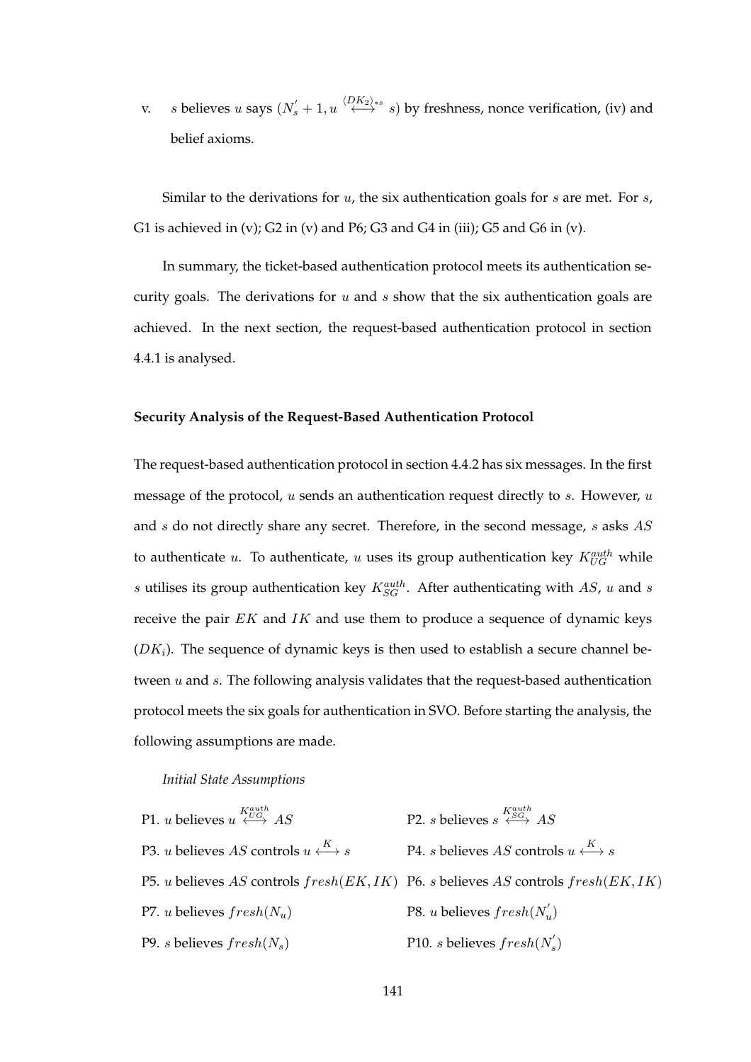v. s believes u says  $(N'_s + 1, u \stackrel{\langle D K_2 \rangle_{*s}}{\longleftrightarrow} s)$  by freshness, nonce verification, (iv) and belief axioms.

Similar to the derivations for  $u$ , the six authentication goals for  $s$  are met. For  $s$ , G1 is achieved in (v); G2 in (v) and P6; G3 and G4 in (iii); G5 and G6 in (v).

In summary, the ticket-based authentication protocol meets its authentication security goals. The derivations for  $u$  and  $s$  show that the six authentication goals are achieved. In the next section, the request-based authentication protocol in section 4.4.1 is analysed.

#### **Security Analysis of the Request-Based Authentication Protocol**

The request-based authentication protocol in section 4.4.2 has six messages. In the first message of the protocol,  $u$  sends an authentication request directly to  $s$ . However,  $u$ and  $s$  do not directly share any secret. Therefore, in the second message,  $s$  asks  $AS$ to authenticate u. To authenticate, u uses its group authentication key  $K_{UG}^{auth}$  while s utilises its group authentication key  $K_{SG}^{auth}$ . After authenticating with AS, u and s receive the pair  $EK$  and  $IK$  and use them to produce a sequence of dynamic keys  $(DK_i)$ . The sequence of dynamic keys is then used to establish a secure channel between  $u$  and  $s$ . The following analysis validates that the request-based authentication protocol meets the six goals for authentication in SVO. Before starting the analysis, the following assumptions are made.

# *Initial State Assumptions*

| P1. <i>u</i> believes $u \stackrel{K_{UG}}{\longleftrightarrow} AS$                             | P2. <i>s</i> believes $s \stackrel{K_{SG}}{\longleftrightarrow} AS$       |
|-------------------------------------------------------------------------------------------------|---------------------------------------------------------------------------|
| P3. <i>u</i> believes <i>AS</i> controls $u \xleftrightarrow{K} s$                              | P4. <i>s</i> believes AS controls $u \stackrel{K}{\longleftrightarrow} s$ |
| P5. u believes AS controls ${\it fresh}(EK,IK)$ P6. s believes AS controls ${\it fresh}(EK,IK)$ |                                                                           |
| P7. <i>u</i> believes $fresh(N_u)$                                                              | P8. <i>u</i> believes $fresh(N'_{u})$                                     |
| P9. s believes ${\it fresh}(N_s)$                                                               | P10. <i>s</i> believes $fresh(N_s)$                                       |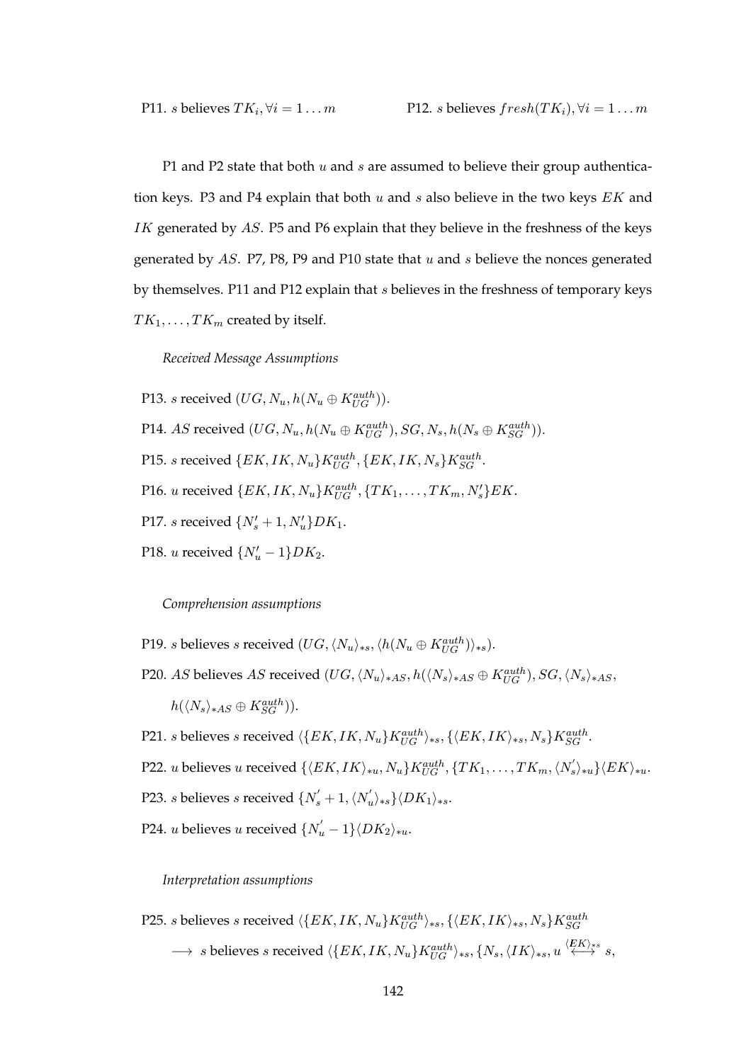P11. s believes  $TK_i$ ,  $\forall i = 1...m$  P12. s believes  $fresh(TK_i)$ ,  $\forall i = 1...m$ 

P1 and P2 state that both  $u$  and  $s$  are assumed to believe their group authentication keys. P3 and P4 explain that both  $u$  and  $s$  also believe in the two keys  $EK$  and IK generated by AS. P5 and P6 explain that they believe in the freshness of the keys generated by AS. P7, P8, P9 and P10 state that  $u$  and  $s$  believe the nonces generated by themselves. P11 and P12 explain that s believes in the freshness of temporary keys  $TK_1, \ldots, TK_m$  created by itself.

*Received Message Assumptions*

- P13. s received  $(UG, N_u, h(N_u \oplus K_{UG}^{auth})).$
- P14. AS received  $(UG, N_u, h(N_u \oplus K_{UG}^{auth}), SG, N_s, h(N_s \oplus K_{SG}^{auth})).$
- P15. s received  $\{EK, IK, N_u\}K_{UG}^{auth}, \{EK, IK, N_s\}K_{SG}^{auth}.$
- P16. *u* received  $\{EK, IK, N_u\}K_{UG}^{auth}, \{TK_1, \ldots, TK_m, N_s'\}EK$ .
- P17. *s* received  $\{N_s' + 1, N_u'\} DK_1$ .
- P18. *u* received  $\{N'_u 1\}DX_2$ .

# *Comprehension assumptions*

- P19. *s* believes *s* received  $(UG, \langle N_u \rangle_{*s}, \langle h(N_u \oplus K_{UG}^{auth}) \rangle_{*s}).$
- P20. AS believes AS received  $(UG, \langle N_u \rangle_{*AS}, h(\langle N_s \rangle_{*AS} \oplus K_{UG}^{auth}), SG, \langle N_s \rangle_{*AS},$  $h(\langle N_s\rangle_{*AS}\oplus K^{auth}_{SG})).$
- P21. *s* believes *s* received  $\langle\{EK, IK, N_u\}K_{UG}^{auth} \rangle_{*s}, \{\langle EK, IK\rangle_{*s}, N_s\}K_{SG}^{auth}.$
- P22. *u* believes *u* received  $\{ \langle EK, IK \rangle_{*u}, N_u \} K_{UG}^{auth}, \{TK_1, \ldots, TK_m, \langle N_s' \rangle_{*u} \} \langle EK \rangle_{*u}.$
- P23. *s* believes *s* received  $\{N_s' + 1, \langle N_u' \rangle_{*s}\}\langle DK_1 \rangle_{*s}.$
- P24. *u* believes *u* received  $\{N'_u 1\} \langle DK_2 \rangle_{*u}$ .

*Interpretation assumptions*

P25.  $s$  believes  $s$  received  $\langle\{EK, IK, N_u\}K_{UG}^{auth}\rangle_{*s}, \{\langle EK, IK\rangle_{*s}, N_s\}K_{SG}^{auth}$ 

 $\longrightarrow \ s$  believes  $s$  received  $\langle \{EK, IK, N_u\} K^{auth}_{UG} \rangle_{*s}, \{N_s, \langle IK \rangle_{*s}, u \stackrel{\langle EK \rangle_{*s}}{\longleftrightarrow} s,$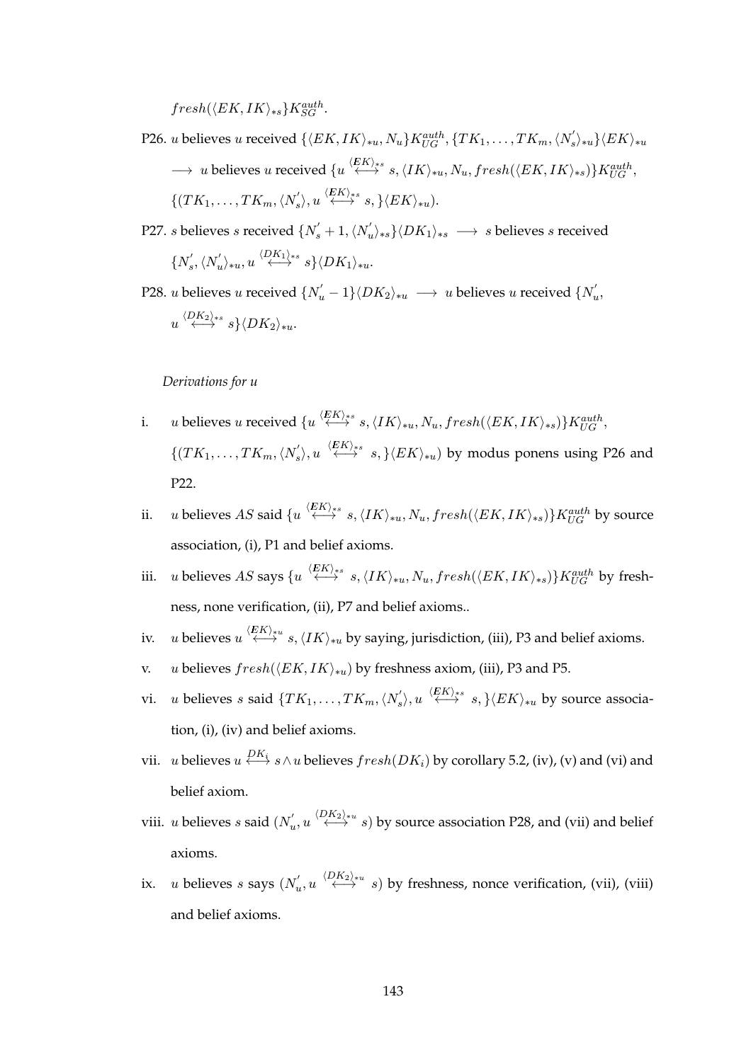${\it fresh}(\langle EK, IK \rangle_{*s}\}K^{auth}_{SG}.$ 

- P26. u believes u received  $\{ {\langle EK, IK \rangle_*}_u, N_u \} K_{UG}^{auth}, \{ TK_1, \ldots, TK_m, \langle N_s' \rangle_*}_u \} {\langle EK \rangle_*}_u$ → u believes u received  $\{u \stackrel{\langle EK \rangle_{*s}}{\longleftrightarrow} s, \langle IK \rangle_{*u}, N_u, fresh(\langle EK, IK \rangle_{*s})\}K_{UG}^{auth},$  $\{(TK_1, \ldots, TK_m, \langle N'_s \rangle, u \stackrel{\langle EK \rangle_{*s}}{\longleftrightarrow} s, \} \langle EK \rangle_{*u}).$
- P27. *s* believes *s* received  $\{N'_s + 1, \langle N'_u \rangle_{*s}\} \langle DK_1 \rangle_{*s} \longrightarrow s$  believes *s* received  $\{N^{'}_{s},\langle N^{'}_{u}\rangle_{*u}, u\stackrel{\langle DK_{1}\rangle_{*s}}{\longleftrightarrow}s\}\langle DK_{1}\rangle_{*u}.$

P28. *u* believes *u* received  $\{N'_u - 1\} \langle DK_2 \rangle_{*u} \longrightarrow u$  believes *u* received  $\{N'_u, \}$  $u\stackrel{\langle D K_2\rangle_{*s}}{\longleftrightarrow} s\} \langle DK_2\rangle_{*u}.$ 

*Derivations for u*

- i. u believes u received  $\{u\stackrel{\langle EK \rangle_{*s}}{\longleftrightarrow} s, \langle IK \rangle_{*u}, N_u, fresh(\langle EK, IK \rangle_{*s})\}K_{UG}^{auth},$  $\{(TK_1,\ldots,TK_m,\langle N'_s\rangle,u\stackrel{\langle EK\rangle_{*s}}{\longleftrightarrow}s,\}\langle EK\rangle_{*u})$  by modus ponens using P26 and P22.
- ii. u believes AS said  $\{u\stackrel{\langle EK \rangle_{*s}}{\longleftrightarrow} s, \langle IK \rangle_{*u}, N_u, fresh(\langle EK, IK \rangle_{*s})\}K^{auth}_{UG}$  by source association, (i), P1 and belief axioms.
- iii.  $u$  believes AS says  $\{u\stackrel{\langle EK \rangle_{\ast s}}{\longleftrightarrow} s,\langle IK \rangle_{\ast u}, N_u, fresh(\langle EK, IK \rangle_{\ast s})\}K^{auth}_{UG}$  by freshness, none verification, (ii), P7 and belief axioms..
- iv. u believes  $u \stackrel{\langle EK \rangle_{*u}}{\longleftrightarrow} s, \langle IK \rangle_{*u}$  by saying, jurisdiction, (iii), P3 and belief axioms.
- v. *u* believes  $fresh(\langle EK, IK\rangle_{*u})$  by freshness axiom, (iii), P3 and P5.
- vi. u believes s said  $\{TK_1,\ldots,TK_m,\langle N'_s\rangle,u\stackrel{\langle EK\rangle_{*s}}{\longleftrightarrow}s,\}\langle EK\rangle_{*u}$  by source association, (i), (iv) and belief axioms.
- vii. u believes  $u \stackrel{DK_i}{\longleftrightarrow} s \wedge u$  believes  ${\it fresh}(DK_i)$  by corollary 5.2, (iv), (v) and (vi) and belief axiom.
- viii. *u* believes *s* said  $(N'_u, u \stackrel{\langle D K_2 \rangle_{*u}}{\longleftrightarrow} s)$  by source association P28, and (vii) and belief axioms.
- ix. u believes s says  $(N'_u, u \stackrel{\langle DK_2 \rangle_{*u}}{\longleftrightarrow} s)$  by freshness, nonce verification, (vii), (viii) and belief axioms.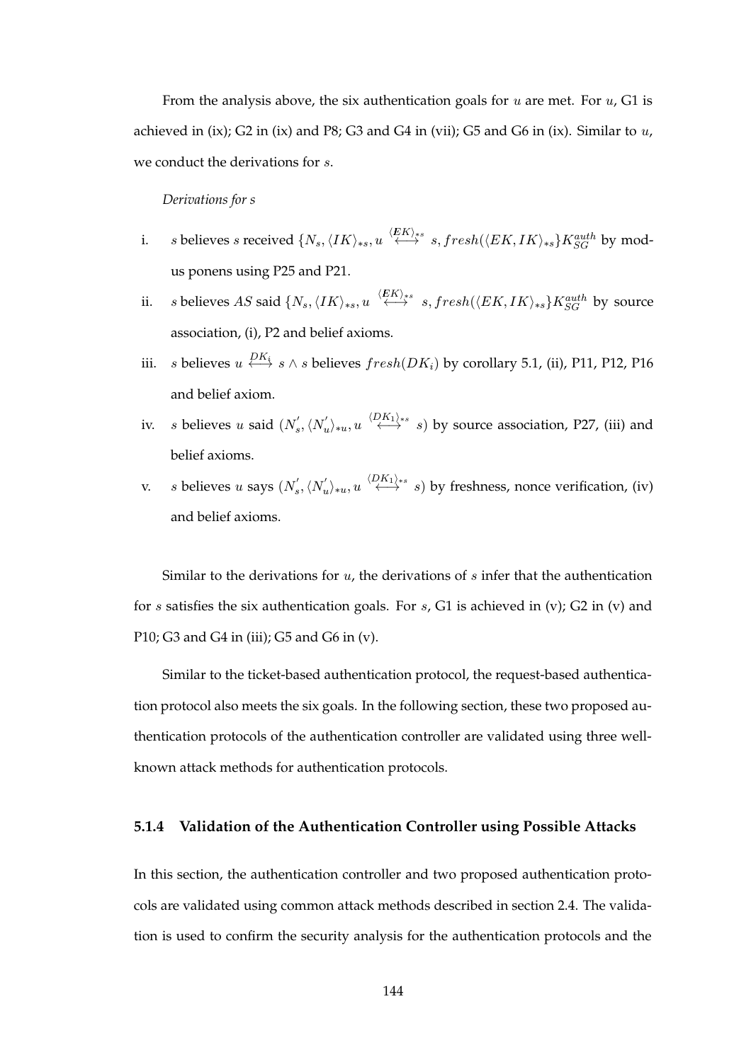From the analysis above, the six authentication goals for  $u$  are met. For  $u$ , G1 is achieved in (ix); G2 in (ix) and P8; G3 and G4 in (vii); G5 and G6 in (ix). Similar to  $u$ , we conduct the derivations for s.

# *Derivations for s*

- i. *s* believes  $s$  received  $\{N_s,\langle IK\rangle_{*s}, u \stackrel{\langle EK\rangle_{*s}}{\longleftrightarrow} s, fresh(\langle EK, IK\rangle_{*s}\}K^{auth}_{SG}$  by modus ponens using P25 and P21.
- ii. *s* believes AS said  $\{N_s,\langle IK\rangle_{*s}, u \stackrel{\langle EK\rangle_{*s}}{\longleftrightarrow} s, fresh(\langle EK, IK\rangle_{*s}\}K_{SG}^{auth}$  by source association, (i), P2 and belief axioms.
- iii. *s* believes  $u \stackrel{DK_i}{\longleftrightarrow} s \land s$  believes  $fresh(DK_i)$  by corollary 5.1, (ii), P11, P12, P16 and belief axiom.
- iv. s believes u said  $(N'_s, \langle N'_u \rangle_{*u}, u \stackrel{\langle DK_1 \rangle_{*s}}{\longleftrightarrow} s)$  by source association, P27, (iii) and belief axioms.
- v. s believes u says  $(N'_s, \langle N'_u \rangle_{*u}, u \stackrel{\langle DK_1 \rangle_{*s}}{\longleftrightarrow} s)$  by freshness, nonce verification, (iv) and belief axioms.

Similar to the derivations for  $u$ , the derivations of  $s$  infer that the authentication for s satisfies the six authentication goals. For s, G1 is achieved in (v); G2 in (v) and P10; G3 and G4 in (iii); G5 and G6 in (v).

Similar to the ticket-based authentication protocol, the request-based authentication protocol also meets the six goals. In the following section, these two proposed authentication protocols of the authentication controller are validated using three wellknown attack methods for authentication protocols.

# **5.1.4 Validation of the Authentication Controller using Possible Attacks**

In this section, the authentication controller and two proposed authentication protocols are validated using common attack methods described in section 2.4. The validation is used to confirm the security analysis for the authentication protocols and the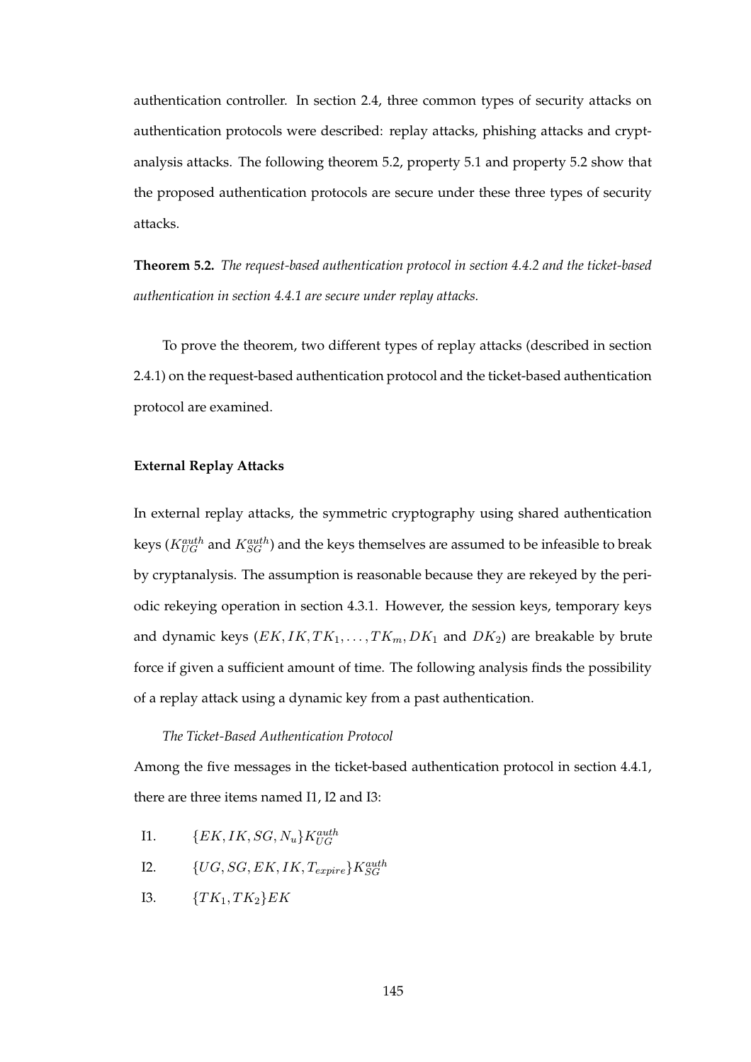authentication controller. In section 2.4, three common types of security attacks on authentication protocols were described: replay attacks, phishing attacks and cryptanalysis attacks. The following theorem 5.2, property 5.1 and property 5.2 show that the proposed authentication protocols are secure under these three types of security attacks.

**Theorem 5.2.** *The request-based authentication protocol in section 4.4.2 and the ticket-based authentication in section 4.4.1 are secure under replay attacks.*

To prove the theorem, two different types of replay attacks (described in section 2.4.1) on the request-based authentication protocol and the ticket-based authentication protocol are examined.

# **External Replay Attacks**

In external replay attacks, the symmetric cryptography using shared authentication keys ( $K_{UG}^{auth}$  and  $K_{SG}^{auth}$ ) and the keys themselves are assumed to be infeasible to break by cryptanalysis. The assumption is reasonable because they are rekeyed by the periodic rekeying operation in section 4.3.1. However, the session keys, temporary keys and dynamic keys  $(EK, IK, TK_1, \ldots, TK_m, DK_1$  and  $DK_2$ ) are breakable by brute force if given a sufficient amount of time. The following analysis finds the possibility of a replay attack using a dynamic key from a past authentication.

# *The Ticket-Based Authentication Protocol*

Among the five messages in the ticket-based authentication protocol in section 4.4.1, there are three items named I1, I2 and I3:

- I1.  $\{EK, IK, SG, N_u\}K_{UG}^{auth}$
- I2.  $\{UG, SG, EK, IK, T_{expire}\}K_{SG}^{auth}$
- I3.  $\{TK_1, TK_2\}EK$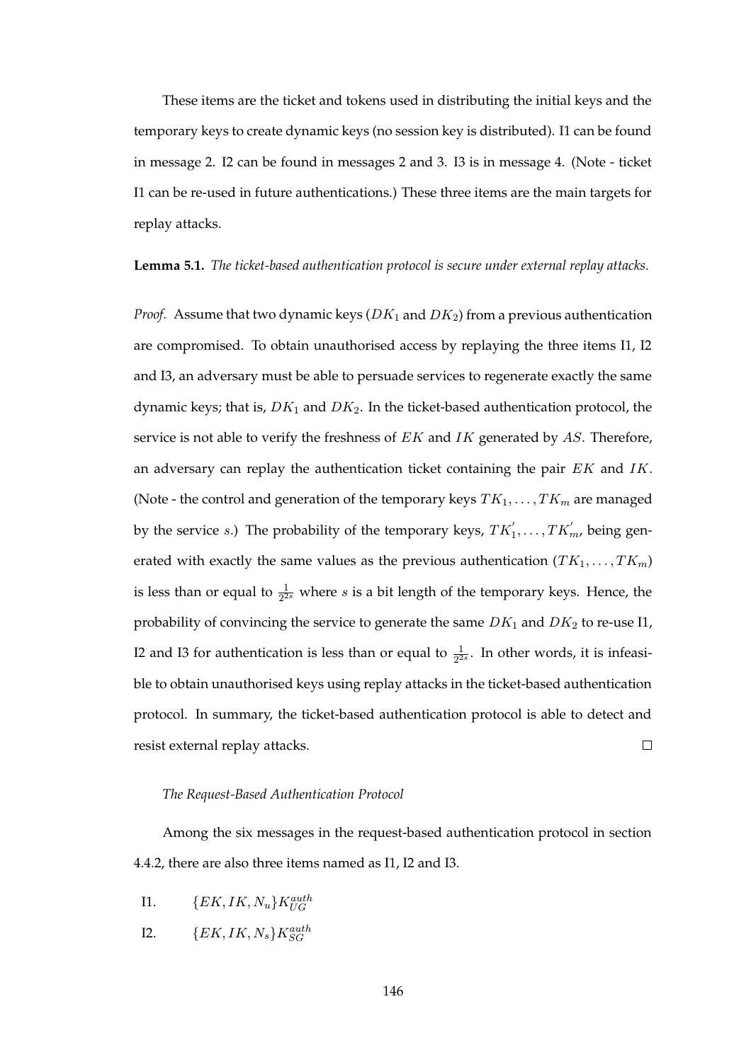These items are the ticket and tokens used in distributing the initial keys and the temporary keys to create dynamic keys (no session key is distributed). I1 can be found in message 2. I2 can be found in messages 2 and 3. I3 is in message 4. (Note - ticket I1 can be re-used in future authentications.) These three items are the main targets for replay attacks.

#### **Lemma 5.1.** *The ticket-based authentication protocol is secure under external replay attacks.*

*Proof.* Assume that two dynamic keys ( $DK_1$  and  $DK_2$ ) from a previous authentication are compromised. To obtain unauthorised access by replaying the three items I1, I2 and I3, an adversary must be able to persuade services to regenerate exactly the same dynamic keys; that is,  $DK_1$  and  $DK_2$ . In the ticket-based authentication protocol, the service is not able to verify the freshness of  $EK$  and  $IK$  generated by  $AS$ . Therefore, an adversary can replay the authentication ticket containing the pair EK and IK. (Note - the control and generation of the temporary keys  $TK_1, \ldots, TK_m$  are managed by the service  $s$ .) The probability of the temporary keys,  $TK'_1, \ldots, TK'_m$ , being generated with exactly the same values as the previous authentication  $(TK_1, \ldots, TK_m)$ is less than or equal to  $\frac{1}{2^{2s}}$  where s is a bit length of the temporary keys. Hence, the probability of convincing the service to generate the same  $DK_1$  and  $DK_2$  to re-use I1, I2 and I3 for authentication is less than or equal to  $\frac{1}{2^{2s}}$ . In other words, it is infeasible to obtain unauthorised keys using replay attacks in the ticket-based authentication protocol. In summary, the ticket-based authentication protocol is able to detect and resist external replay attacks.  $\Box$ 

#### *The Request-Based Authentication Protocol*

Among the six messages in the request-based authentication protocol in section 4.4.2, there are also three items named as I1, I2 and I3.

- I1.  $\{EK, IK, N_u\}K_{UG}^{auth}$
- I2.  $\{EK, IK, N_s\}K_{SG}^{auth}$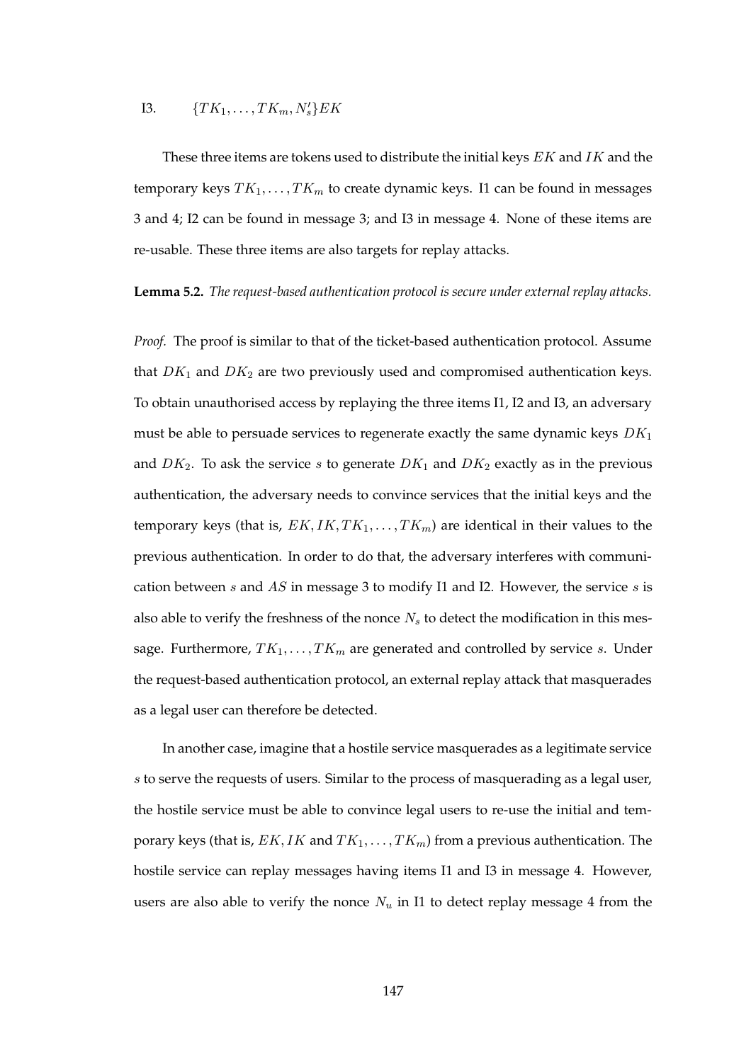# I3.  $\{TK_1, \ldots, TK_m, N'_s\} EK$

These three items are tokens used to distribute the initial keys  $EK$  and  $IK$  and the temporary keys  $TK_1, \ldots, TK_m$  to create dynamic keys. I1 can be found in messages 3 and 4; I2 can be found in message 3; and I3 in message 4. None of these items are re-usable. These three items are also targets for replay attacks.

#### **Lemma 5.2.** *The request-based authentication protocol is secure under external replay attacks.*

*Proof.* The proof is similar to that of the ticket-based authentication protocol. Assume that  $DK_1$  and  $DK_2$  are two previously used and compromised authentication keys. To obtain unauthorised access by replaying the three items I1, I2 and I3, an adversary must be able to persuade services to regenerate exactly the same dynamic keys  $DK<sub>1</sub>$ and  $DK_2$ . To ask the service s to generate  $DK_1$  and  $DK_2$  exactly as in the previous authentication, the adversary needs to convince services that the initial keys and the temporary keys (that is,  $EK, IK, TK_1, \ldots, TK_m$ ) are identical in their values to the previous authentication. In order to do that, the adversary interferes with communication between  $s$  and  $AS$  in message 3 to modify I1 and I2. However, the service  $s$  is also able to verify the freshness of the nonce  $N_s$  to detect the modification in this message. Furthermore,  $TK_1, \ldots, TK_m$  are generated and controlled by service s. Under the request-based authentication protocol, an external replay attack that masquerades as a legal user can therefore be detected.

In another case, imagine that a hostile service masquerades as a legitimate service s to serve the requests of users. Similar to the process of masquerading as a legal user, the hostile service must be able to convince legal users to re-use the initial and temporary keys (that is,  $EK, IK$  and  $TK_1, \ldots, TK_m$ ) from a previous authentication. The hostile service can replay messages having items I1 and I3 in message 4. However, users are also able to verify the nonce  $N_u$  in I1 to detect replay message 4 from the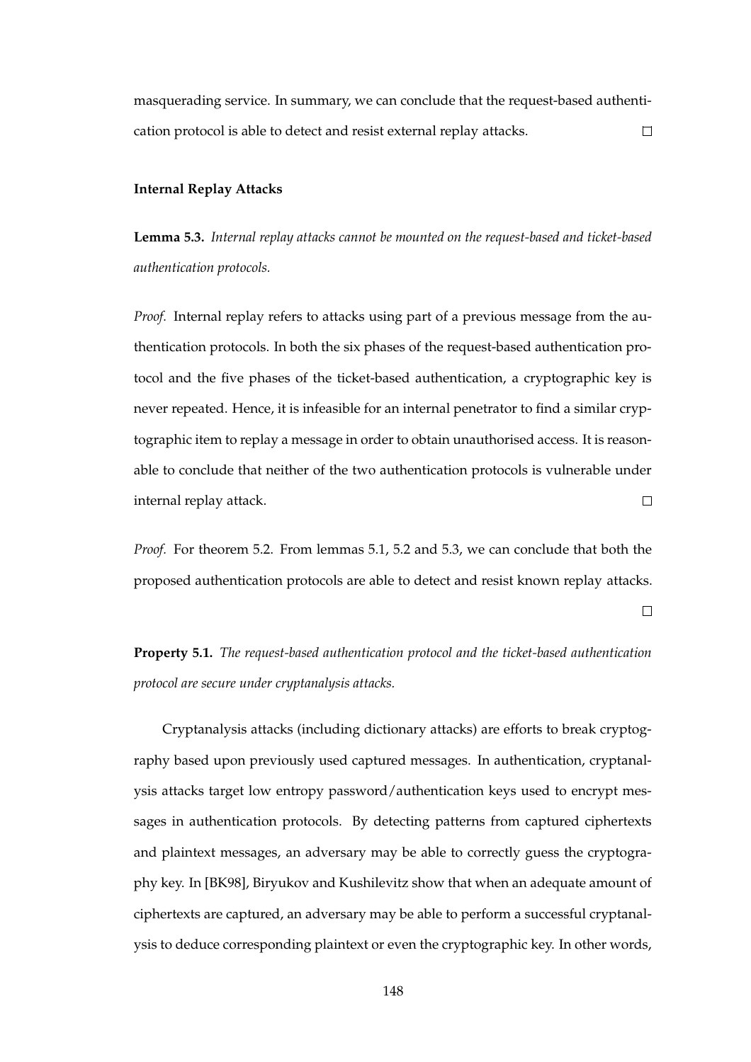masquerading service. In summary, we can conclude that the request-based authentication protocol is able to detect and resist external replay attacks.  $\Box$ 

# **Internal Replay Attacks**

**Lemma 5.3.** *Internal replay attacks cannot be mounted on the request-based and ticket-based authentication protocols.*

*Proof.* Internal replay refers to attacks using part of a previous message from the authentication protocols. In both the six phases of the request-based authentication protocol and the five phases of the ticket-based authentication, a cryptographic key is never repeated. Hence, it is infeasible for an internal penetrator to find a similar cryptographic item to replay a message in order to obtain unauthorised access. It is reasonable to conclude that neither of the two authentication protocols is vulnerable under  $\Box$ internal replay attack.

*Proof.* For theorem 5.2. From lemmas 5.1, 5.2 and 5.3, we can conclude that both the proposed authentication protocols are able to detect and resist known replay attacks.

 $\Box$ 

**Property 5.1.** *The request-based authentication protocol and the ticket-based authentication protocol are secure under cryptanalysis attacks.*

Cryptanalysis attacks (including dictionary attacks) are efforts to break cryptography based upon previously used captured messages. In authentication, cryptanalysis attacks target low entropy password/authentication keys used to encrypt messages in authentication protocols. By detecting patterns from captured ciphertexts and plaintext messages, an adversary may be able to correctly guess the cryptography key. In [BK98], Biryukov and Kushilevitz show that when an adequate amount of ciphertexts are captured, an adversary may be able to perform a successful cryptanalysis to deduce corresponding plaintext or even the cryptographic key. In other words,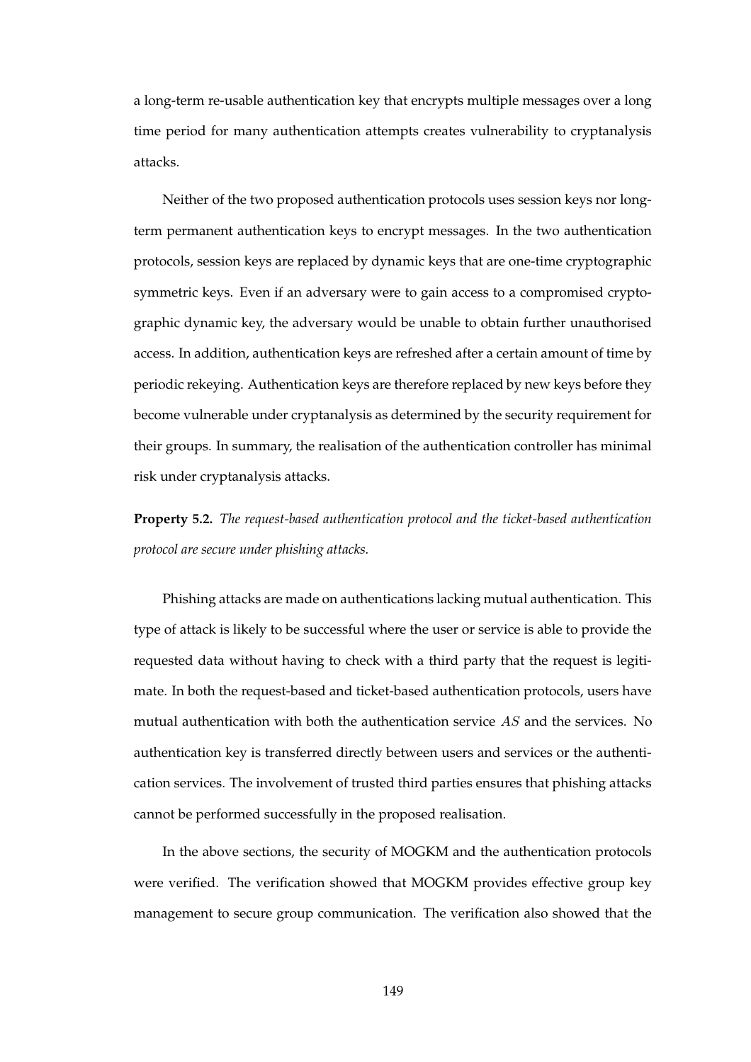a long-term re-usable authentication key that encrypts multiple messages over a long time period for many authentication attempts creates vulnerability to cryptanalysis attacks.

Neither of the two proposed authentication protocols uses session keys nor longterm permanent authentication keys to encrypt messages. In the two authentication protocols, session keys are replaced by dynamic keys that are one-time cryptographic symmetric keys. Even if an adversary were to gain access to a compromised cryptographic dynamic key, the adversary would be unable to obtain further unauthorised access. In addition, authentication keys are refreshed after a certain amount of time by periodic rekeying. Authentication keys are therefore replaced by new keys before they become vulnerable under cryptanalysis as determined by the security requirement for their groups. In summary, the realisation of the authentication controller has minimal risk under cryptanalysis attacks.

**Property 5.2.** *The request-based authentication protocol and the ticket-based authentication protocol are secure under phishing attacks.*

Phishing attacks are made on authentications lacking mutual authentication. This type of attack is likely to be successful where the user or service is able to provide the requested data without having to check with a third party that the request is legitimate. In both the request-based and ticket-based authentication protocols, users have mutual authentication with both the authentication service AS and the services. No authentication key is transferred directly between users and services or the authentication services. The involvement of trusted third parties ensures that phishing attacks cannot be performed successfully in the proposed realisation.

In the above sections, the security of MOGKM and the authentication protocols were verified. The verification showed that MOGKM provides effective group key management to secure group communication. The verification also showed that the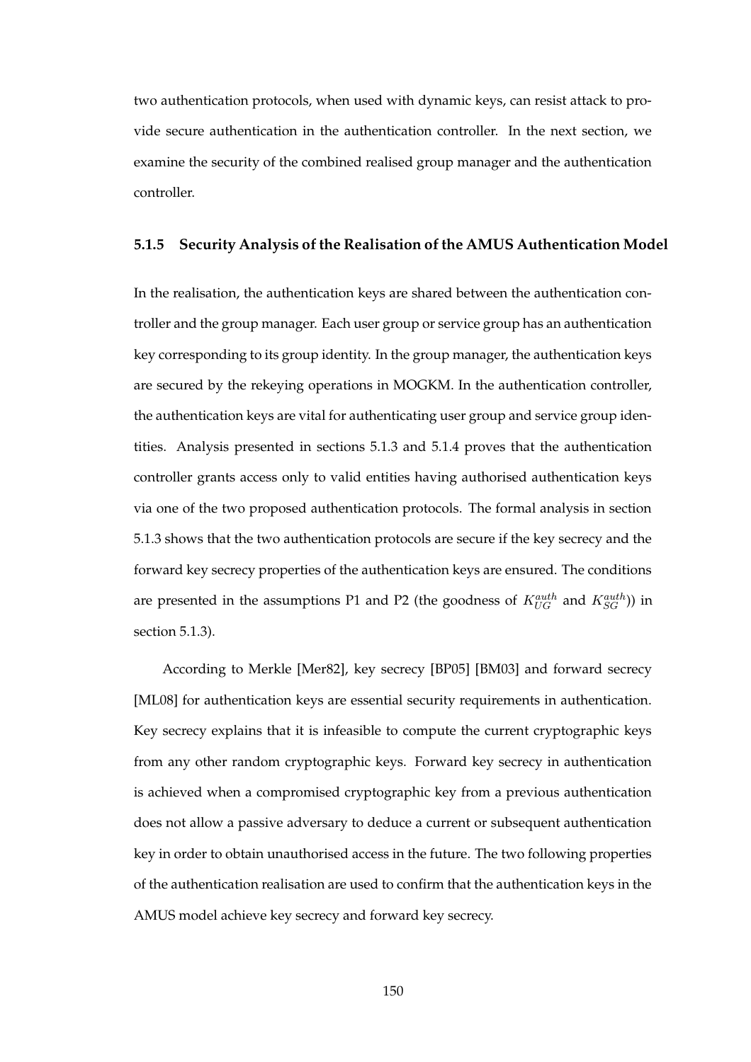two authentication protocols, when used with dynamic keys, can resist attack to provide secure authentication in the authentication controller. In the next section, we examine the security of the combined realised group manager and the authentication controller.

# **5.1.5 Security Analysis of the Realisation of the AMUS Authentication Model**

In the realisation, the authentication keys are shared between the authentication controller and the group manager. Each user group or service group has an authentication key corresponding to its group identity. In the group manager, the authentication keys are secured by the rekeying operations in MOGKM. In the authentication controller, the authentication keys are vital for authenticating user group and service group identities. Analysis presented in sections 5.1.3 and 5.1.4 proves that the authentication controller grants access only to valid entities having authorised authentication keys via one of the two proposed authentication protocols. The formal analysis in section 5.1.3 shows that the two authentication protocols are secure if the key secrecy and the forward key secrecy properties of the authentication keys are ensured. The conditions are presented in the assumptions P1 and P2 (the goodness of  $K_{UG}^{auth}$  and  $K_{SG}^{auth}$ )) in section 5.1.3).

According to Merkle [Mer82], key secrecy [BP05] [BM03] and forward secrecy [ML08] for authentication keys are essential security requirements in authentication. Key secrecy explains that it is infeasible to compute the current cryptographic keys from any other random cryptographic keys. Forward key secrecy in authentication is achieved when a compromised cryptographic key from a previous authentication does not allow a passive adversary to deduce a current or subsequent authentication key in order to obtain unauthorised access in the future. The two following properties of the authentication realisation are used to confirm that the authentication keys in the AMUS model achieve key secrecy and forward key secrecy.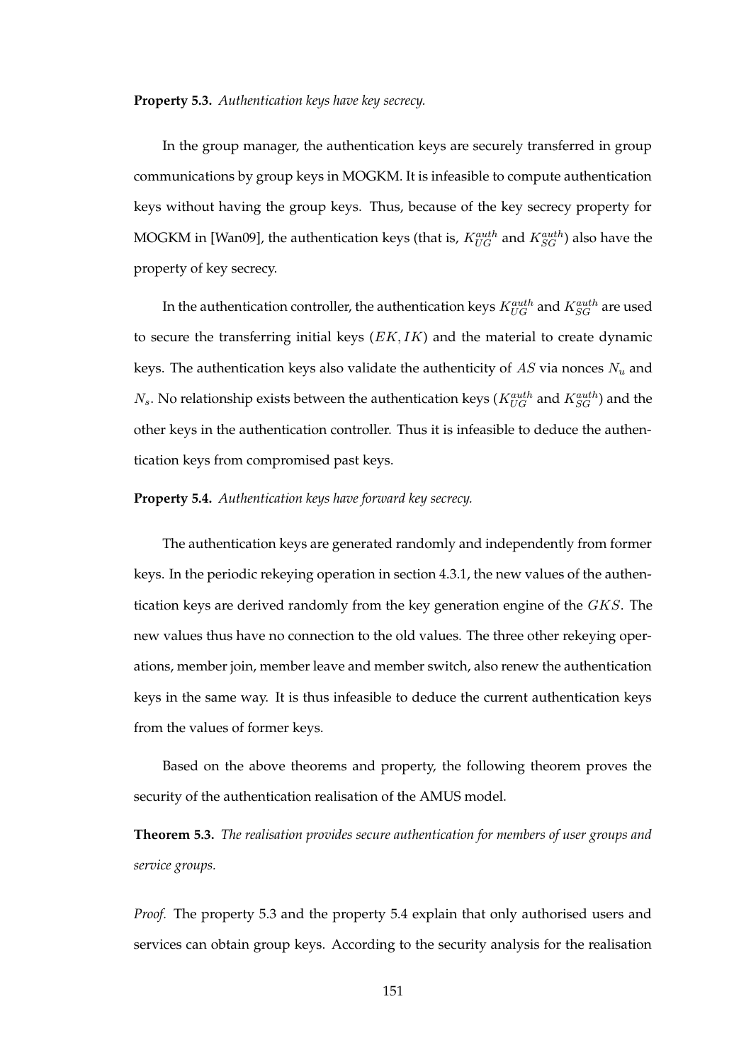# **Property 5.3.** *Authentication keys have key secrecy.*

In the group manager, the authentication keys are securely transferred in group communications by group keys in MOGKM. It is infeasible to compute authentication keys without having the group keys. Thus, because of the key secrecy property for MOGKM in [Wan09], the authentication keys (that is,  $K_{UG}^{auth}$  and  $K_{SG}^{auth}$ ) also have the property of key secrecy.

In the authentication controller, the authentication keys  $K_{UG}^{auth}$  and  $K_{SG}^{auth}$  are used to secure the transferring initial keys  $(EK, IK)$  and the material to create dynamic keys. The authentication keys also validate the authenticity of  $AS$  via nonces  $N_u$  and  $N_s$ . No relationship exists between the authentication keys ( $K_{UG}^{auth}$  and  $K_{SG}^{auth}$ ) and the other keys in the authentication controller. Thus it is infeasible to deduce the authentication keys from compromised past keys.

# **Property 5.4.** *Authentication keys have forward key secrecy.*

The authentication keys are generated randomly and independently from former keys. In the periodic rekeying operation in section 4.3.1, the new values of the authentication keys are derived randomly from the key generation engine of the GKS. The new values thus have no connection to the old values. The three other rekeying operations, member join, member leave and member switch, also renew the authentication keys in the same way. It is thus infeasible to deduce the current authentication keys from the values of former keys.

Based on the above theorems and property, the following theorem proves the security of the authentication realisation of the AMUS model.

**Theorem 5.3.** *The realisation provides secure authentication for members of user groups and service groups.*

*Proof.* The property 5.3 and the property 5.4 explain that only authorised users and services can obtain group keys. According to the security analysis for the realisation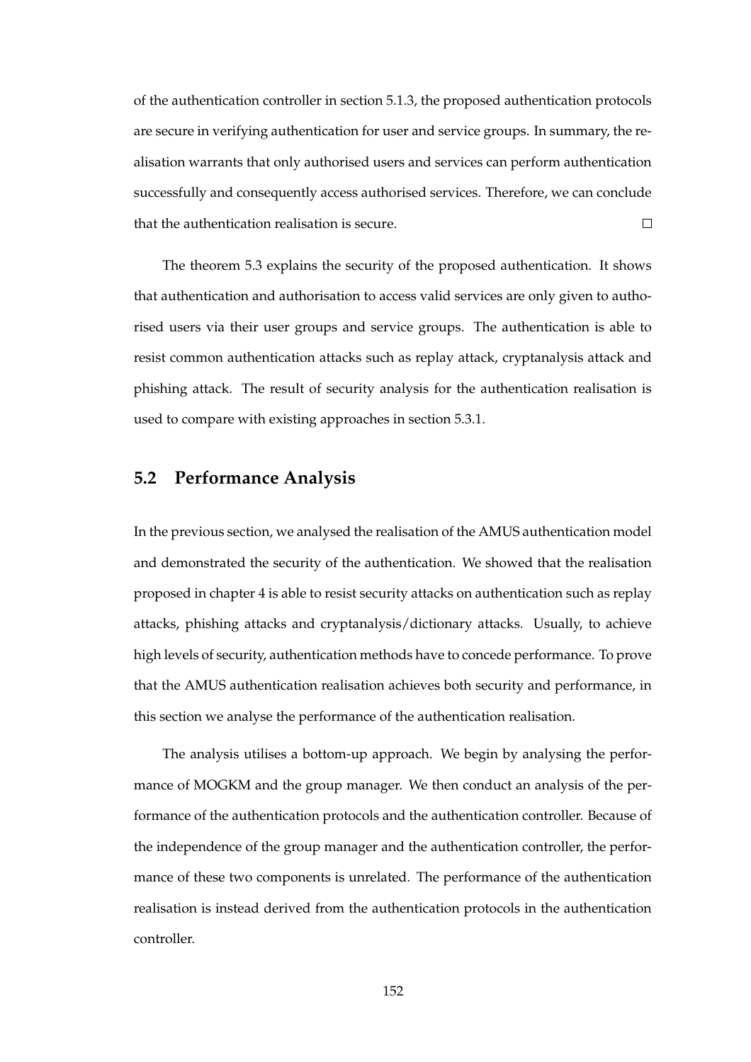of the authentication controller in section 5.1.3, the proposed authentication protocols are secure in verifying authentication for user and service groups. In summary, the realisation warrants that only authorised users and services can perform authentication successfully and consequently access authorised services. Therefore, we can conclude that the authentication realisation is secure.  $\Box$ 

The theorem 5.3 explains the security of the proposed authentication. It shows that authentication and authorisation to access valid services are only given to authorised users via their user groups and service groups. The authentication is able to resist common authentication attacks such as replay attack, cryptanalysis attack and phishing attack. The result of security analysis for the authentication realisation is used to compare with existing approaches in section 5.3.1.

# **5.2 Performance Analysis**

In the previous section, we analysed the realisation of the AMUS authentication model and demonstrated the security of the authentication. We showed that the realisation proposed in chapter 4 is able to resist security attacks on authentication such as replay attacks, phishing attacks and cryptanalysis/dictionary attacks. Usually, to achieve high levels of security, authentication methods have to concede performance. To prove that the AMUS authentication realisation achieves both security and performance, in this section we analyse the performance of the authentication realisation.

The analysis utilises a bottom-up approach. We begin by analysing the performance of MOGKM and the group manager. We then conduct an analysis of the performance of the authentication protocols and the authentication controller. Because of the independence of the group manager and the authentication controller, the performance of these two components is unrelated. The performance of the authentication realisation is instead derived from the authentication protocols in the authentication controller.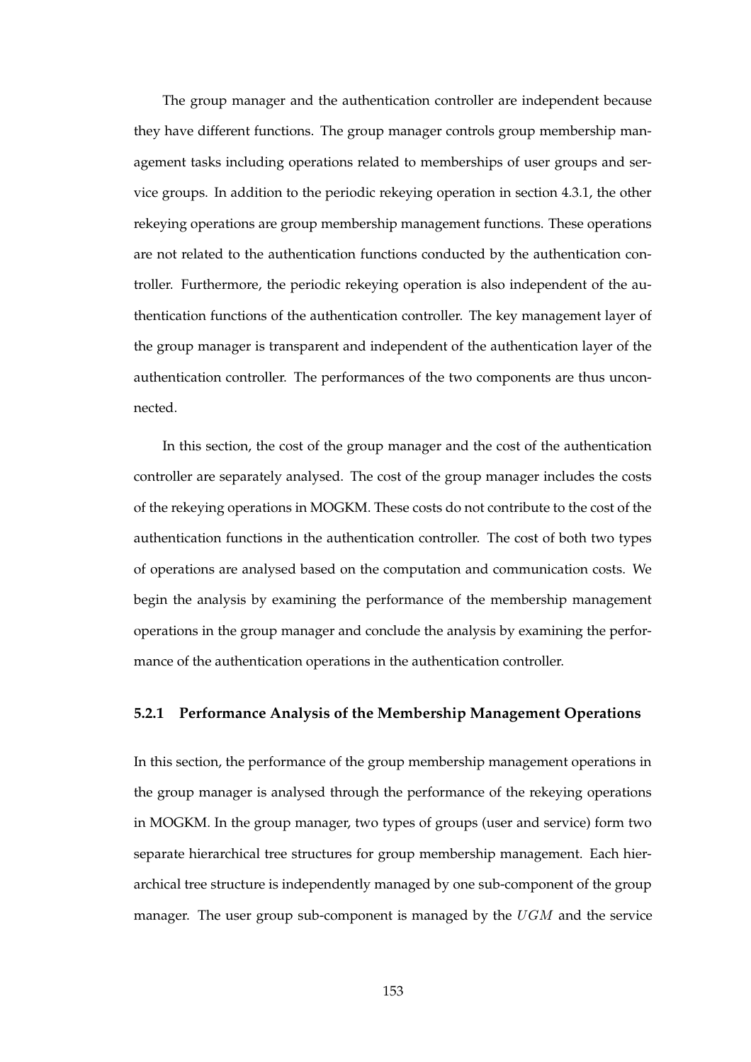The group manager and the authentication controller are independent because they have different functions. The group manager controls group membership management tasks including operations related to memberships of user groups and service groups. In addition to the periodic rekeying operation in section 4.3.1, the other rekeying operations are group membership management functions. These operations are not related to the authentication functions conducted by the authentication controller. Furthermore, the periodic rekeying operation is also independent of the authentication functions of the authentication controller. The key management layer of the group manager is transparent and independent of the authentication layer of the authentication controller. The performances of the two components are thus unconnected.

In this section, the cost of the group manager and the cost of the authentication controller are separately analysed. The cost of the group manager includes the costs of the rekeying operations in MOGKM. These costs do not contribute to the cost of the authentication functions in the authentication controller. The cost of both two types of operations are analysed based on the computation and communication costs. We begin the analysis by examining the performance of the membership management operations in the group manager and conclude the analysis by examining the performance of the authentication operations in the authentication controller.

# **5.2.1 Performance Analysis of the Membership Management Operations**

In this section, the performance of the group membership management operations in the group manager is analysed through the performance of the rekeying operations in MOGKM. In the group manager, two types of groups (user and service) form two separate hierarchical tree structures for group membership management. Each hierarchical tree structure is independently managed by one sub-component of the group manager. The user group sub-component is managed by the  $UGM$  and the service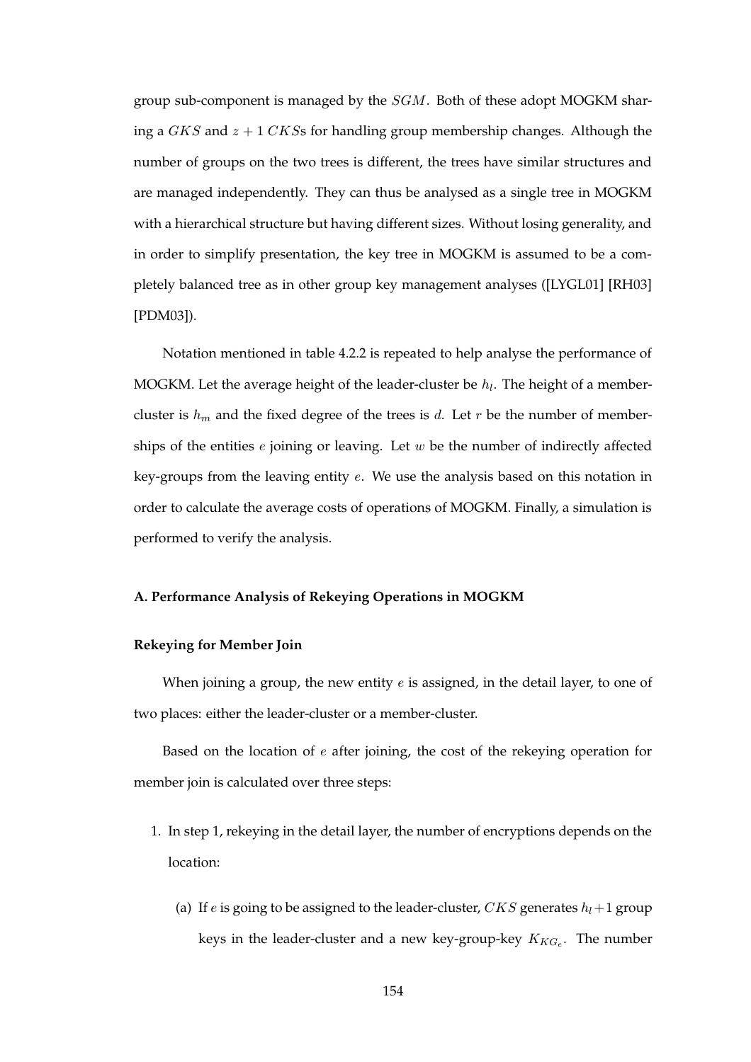group sub-component is managed by the SGM. Both of these adopt MOGKM sharing a  $GKS$  and  $z + 1 \, CKSs$  for handling group membership changes. Although the number of groups on the two trees is different, the trees have similar structures and are managed independently. They can thus be analysed as a single tree in MOGKM with a hierarchical structure but having different sizes. Without losing generality, and in order to simplify presentation, the key tree in MOGKM is assumed to be a completely balanced tree as in other group key management analyses ([LYGL01] [RH03] [PDM03]).

Notation mentioned in table 4.2.2 is repeated to help analyse the performance of MOGKM. Let the average height of the leader-cluster be  $h_l$ . The height of a membercluster is  $h_m$  and the fixed degree of the trees is d. Let r be the number of memberships of the entities  $e$  joining or leaving. Let  $w$  be the number of indirectly affected key-groups from the leaving entity e. We use the analysis based on this notation in order to calculate the average costs of operations of MOGKM. Finally, a simulation is performed to verify the analysis.

# **A. Performance Analysis of Rekeying Operations in MOGKM**

# **Rekeying for Member Join**

When joining a group, the new entity  $e$  is assigned, in the detail layer, to one of two places: either the leader-cluster or a member-cluster.

Based on the location of  $e$  after joining, the cost of the rekeying operation for member join is calculated over three steps:

- 1. In step 1, rekeying in the detail layer, the number of encryptions depends on the location:
	- (a) If e is going to be assigned to the leader-cluster, CKS generates  $h_l+1$  group keys in the leader-cluster and a new key-group-key  $K_{KG_e}$ . The number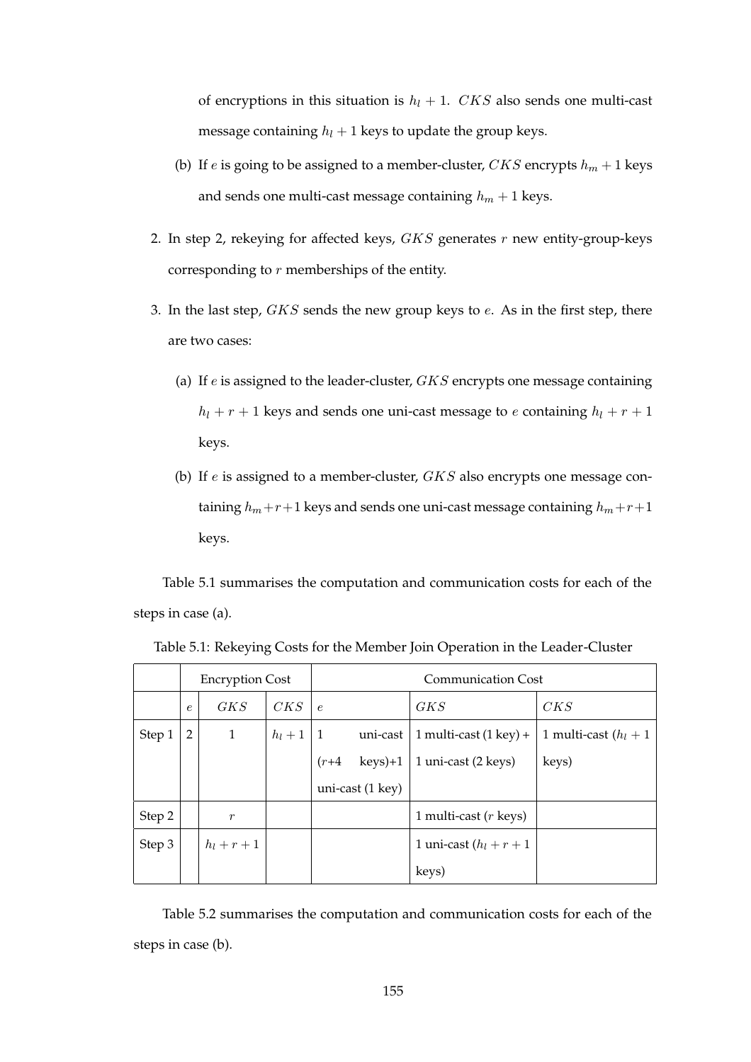of encryptions in this situation is  $h_l + 1$ . CKS also sends one multi-cast message containing  $h_l + 1$  keys to update the group keys.

- (b) If e is going to be assigned to a member-cluster, CKS encrypts  $h_m + 1$  keys and sends one multi-cast message containing  $h_m + 1$  keys.
- 2. In step 2, rekeying for affected keys,  $GKS$  generates  $r$  new entity-group-keys corresponding to r memberships of the entity.
- 3. In the last step,  $GKS$  sends the new group keys to  $e$ . As in the first step, there are two cases:
	- (a) If  $e$  is assigned to the leader-cluster,  $GKS$  encrypts one message containing  $h_l + r + 1$  keys and sends one uni-cast message to e containing  $h_l + r + 1$ keys.
	- (b) If  $e$  is assigned to a member-cluster,  $GKS$  also encrypts one message containing  $h_m+r+1$  keys and sends one uni-cast message containing  $h_m+r+1$ keys.

Table 5.1 summarises the computation and communication costs for each of the steps in case (a).

|        | <b>Encryption Cost</b> |                  | <b>Communication Cost</b> |            |                            |                                  |                          |
|--------|------------------------|------------------|---------------------------|------------|----------------------------|----------------------------------|--------------------------|
|        | $\epsilon$             | GKS              | CKS                       | $\epsilon$ |                            | GKS                              | CKS                      |
| Step 1 | 2                      | $\mathbf{1}$     |                           |            | $h_l + 1 \mid 1$ uni-cast  | 1 multi-cast $(1 \text{ key}) +$ | 1 multi-cast $(h_l + 1)$ |
|        |                        |                  |                           |            | $(r+4$ keys $)+1$          | 1 uni-cast (2 keys)              | keys)                    |
|        |                        |                  |                           |            | uni-cast $(1 \text{ key})$ |                                  |                          |
| Step 2 |                        | $\boldsymbol{r}$ |                           |            |                            | 1 multi-cast $(r \text{ keys})$  |                          |
| Step 3 |                        | $h_l+r+1$        |                           |            |                            | 1 uni-cast $(h_l + r + 1)$       |                          |
|        |                        |                  |                           |            |                            | keys)                            |                          |

Table 5.1: Rekeying Costs for the Member Join Operation in the Leader-Cluster

Table 5.2 summarises the computation and communication costs for each of the steps in case (b).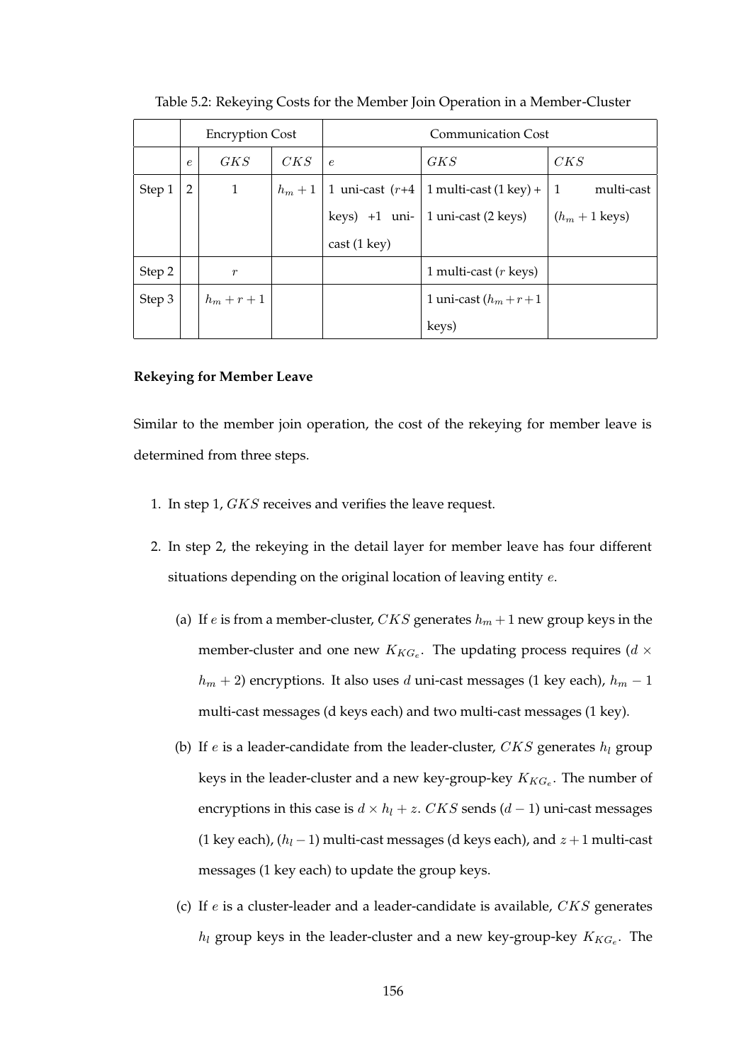|        | <b>Encryption Cost</b> |                  | Communication Cost |                    |                                  |                          |
|--------|------------------------|------------------|--------------------|--------------------|----------------------------------|--------------------------|
|        | $\epsilon$             | GKS              | CKS                | $\epsilon$         | GK S                             | CKS                      |
| Step 1 | 2                      | 1                | $h_m+1$            | 1 uni-cast $(r+4)$ | 1 multi-cast $(1 \text{ key}) +$ | multi-cast<br>-1         |
|        |                        |                  |                    | keys) $+1$ uni-    | 1 uni-cast (2 keys)              | $(h_m + 1 \text{ keys})$ |
|        |                        |                  |                    | cast (1 key)       |                                  |                          |
| Step 2 |                        | $\boldsymbol{r}$ |                    |                    | 1 multi-cast $(r \text{ keys})$  |                          |
| Step 3 |                        | $h_m + r + 1$    |                    |                    | 1 uni-cast $(h_m+r+1)$           |                          |
|        |                        |                  |                    |                    | keys)                            |                          |

Table 5.2: Rekeying Costs for the Member Join Operation in a Member-Cluster

# **Rekeying for Member Leave**

Similar to the member join operation, the cost of the rekeying for member leave is determined from three steps.

- 1. In step 1, GKS receives and verifies the leave request.
- 2. In step 2, the rekeying in the detail layer for member leave has four different situations depending on the original location of leaving entity e.
	- (a) If *e* is from a member-cluster, *CKS* generates  $h_m + 1$  new group keys in the member-cluster and one new  $K_{KG_e}$ . The updating process requires ( $d \times$  $h_m + 2$ ) encryptions. It also uses d uni-cast messages (1 key each),  $h_m - 1$ multi-cast messages (d keys each) and two multi-cast messages (1 key).
	- (b) If  $e$  is a leader-candidate from the leader-cluster,  $CKS$  generates  $h_l$  group keys in the leader-cluster and a new key-group-key  $K_{KG_e}$ . The number of encryptions in this case is  $d \times h_l + z$ . CKS sends (d – 1) uni-cast messages (1 key each),  $(h_l - 1)$  multi-cast messages (d keys each), and  $z + 1$  multi-cast messages (1 key each) to update the group keys.
	- (c) If  $e$  is a cluster-leader and a leader-candidate is available,  $CKS$  generates  $h_l$  group keys in the leader-cluster and a new key-group-key  $K_{KG_e}$ . The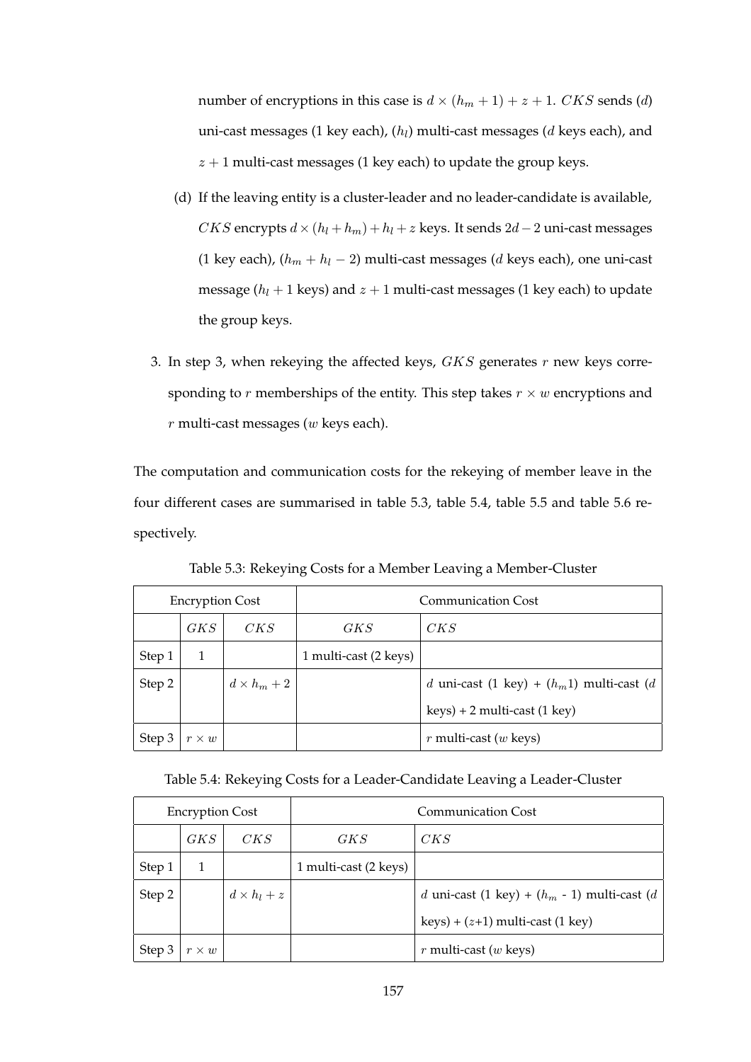number of encryptions in this case is  $d \times (h_m + 1) + z + 1$ . CKS sends (d) uni-cast messages (1 key each),  $(h_l)$  multi-cast messages (d keys each), and  $z + 1$  multi-cast messages (1 key each) to update the group keys.

- (d) If the leaving entity is a cluster-leader and no leader-candidate is available, *CKS* encrypts  $d \times (h_l + h_m) + h_l + z$  keys. It sends 2d – 2 uni-cast messages (1 key each),  $(h_m + h_l - 2)$  multi-cast messages (d keys each), one uni-cast message ( $h_l + 1$  keys) and  $z + 1$  multi-cast messages (1 key each) to update the group keys.
- 3. In step 3, when rekeying the affected keys,  $GKS$  generates  $r$  new keys corresponding to r memberships of the entity. This step takes  $r \times w$  encryptions and  $r$  multi-cast messages ( $w$  keys each).

The computation and communication costs for the rekeying of member leave in the four different cases are summarised in table 5.3, table 5.4, table 5.5 and table 5.6 respectively.

|        | <b>Encryption Cost</b> |                    | <b>Communication Cost</b> |                                              |  |
|--------|------------------------|--------------------|---------------------------|----------------------------------------------|--|
|        | GKS                    | CKS                | GKS                       | CKS                                          |  |
| Step 1 |                        |                    | 1 multi-cast (2 keys)     |                                              |  |
| Step 2 |                        | $d \times h_m + 2$ |                           | d uni-cast (1 key) + $(h_m 1)$ multi-cast (d |  |
|        |                        |                    |                           | $keys$ ) + 2 multi-cast (1 key)              |  |
| Step 3 | $r \times w$           |                    |                           | $r$ multi-cast ( $w$ keys)                   |  |

Table 5.3: Rekeying Costs for a Member Leaving a Member-Cluster

Table 5.4: Rekeying Costs for a Leader-Candidate Leaving a Leader-Cluster

|        | <b>Encryption Cost</b> |                    | Communication Cost    |                                                |  |
|--------|------------------------|--------------------|-----------------------|------------------------------------------------|--|
|        | GKS                    | CKS                | GKS                   | CKS                                            |  |
| Step 1 |                        |                    | 1 multi-cast (2 keys) |                                                |  |
| Step 2 |                        | $d \times h_l + z$ |                       | d uni-cast (1 key) + $(h_m - 1)$ multi-cast (d |  |
|        |                        |                    |                       | $keys) + (z+1)$ multi-cast (1 key)             |  |
| Step 3 | $\times w$             |                    |                       | $r$ multi-cast ( $w$ keys)                     |  |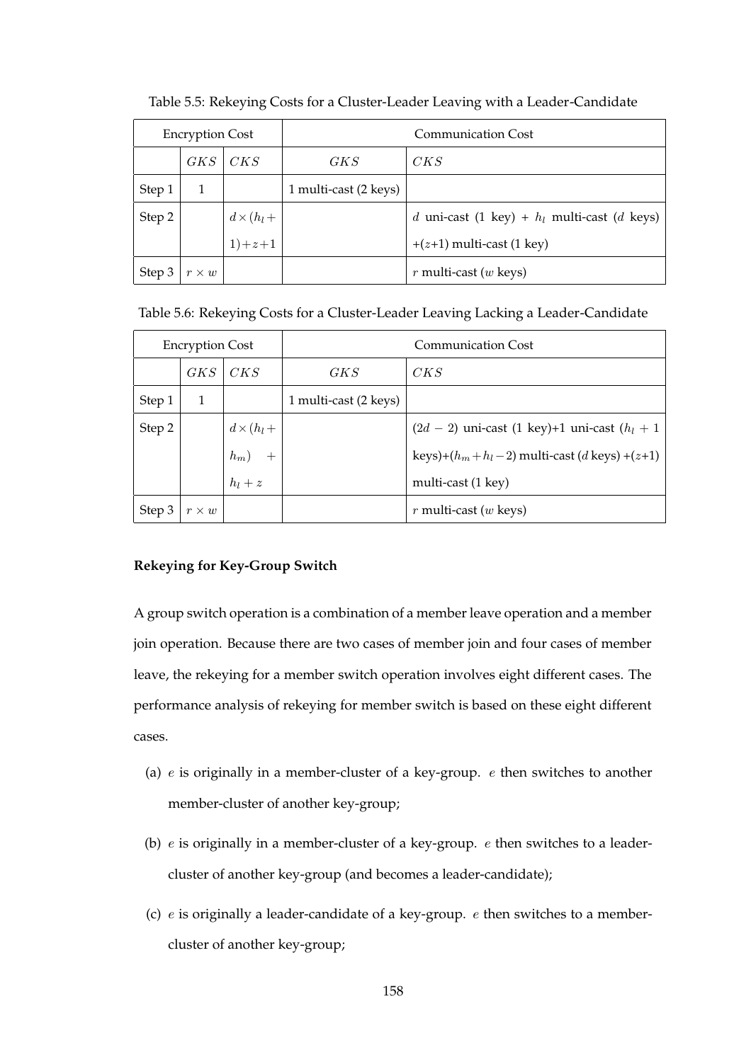| <b>Encryption Cost</b> |            |                             | <b>Communication Cost</b> |                                                |  |
|------------------------|------------|-----------------------------|---------------------------|------------------------------------------------|--|
|                        | GKS        | CKS                         | GKS                       | CKS                                            |  |
| Step 1                 |            |                             | 1 multi-cast (2 keys)     |                                                |  |
| Step 2                 |            |                             |                           | d uni-cast (1 key) + $h_l$ multi-cast (d keys) |  |
|                        |            | $d \times (h_l +$<br>1)+z+1 |                           | $+(z+1)$ multi-cast (1 key)                    |  |
| Step 3                 | $\times w$ |                             |                           | $r$ multi-cast ( $w$ keys)                     |  |

Table 5.5: Rekeying Costs for a Cluster-Leader Leaving with a Leader-Candidate

Table 5.6: Rekeying Costs for a Cluster-Leader Leaving Lacking a Leader-Candidate

|        | <b>Encryption Cost</b> |                   | <b>Communication Cost</b> |                                                                       |  |
|--------|------------------------|-------------------|---------------------------|-----------------------------------------------------------------------|--|
|        | GKS                    | CKS               | <i>GKS</i>                | CKS                                                                   |  |
| Step 1 | 1                      |                   | 1 multi-cast (2 keys)     |                                                                       |  |
| Step 2 |                        | $d \times (h_l +$ |                           | $(2d - 2)$ uni-cast $(1 \text{ key})+1$ uni-cast $(h_l + 1)$          |  |
|        |                        | $h_m$ )<br>$+$    |                           | keys)+( $h_m + h_l - 2$ ) multi-cast ( <i>d</i> keys) +( <i>z</i> +1) |  |
|        |                        | $h_l + z$         |                           | multi-cast (1 key)                                                    |  |
| Step 3 | $r \times w$           |                   |                           | $r$ multi-cast ( $w$ keys)                                            |  |

### **Rekeying for Key-Group Switch**

A group switch operation is a combination of a member leave operation and a member join operation. Because there are two cases of member join and four cases of member leave, the rekeying for a member switch operation involves eight different cases. The performance analysis of rekeying for member switch is based on these eight different cases.

- (a)  $e$  is originally in a member-cluster of a key-group.  $e$  then switches to another member-cluster of another key-group;
- (b)  $e$  is originally in a member-cluster of a key-group.  $e$  then switches to a leadercluster of another key-group (and becomes a leader-candidate);
- (c)  $e$  is originally a leader-candidate of a key-group.  $e$  then switches to a membercluster of another key-group;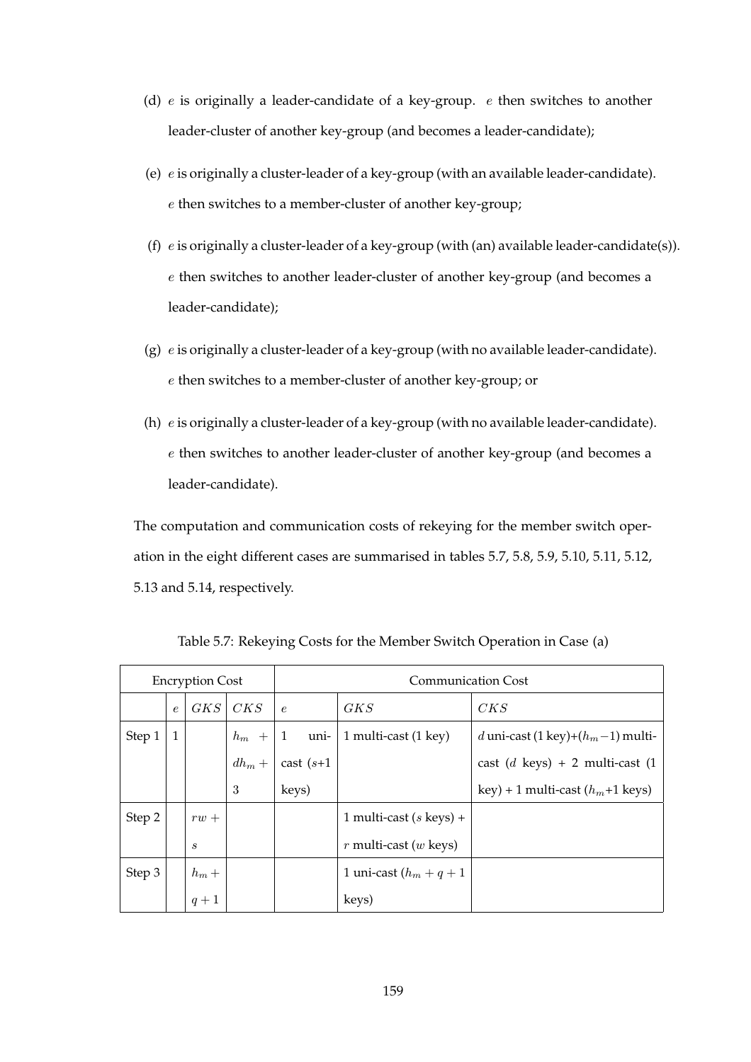- (d)  $e$  is originally a leader-candidate of a key-group.  $e$  then switches to another leader-cluster of another key-group (and becomes a leader-candidate);
- (e) e is originally a cluster-leader of a key-group (with an available leader-candidate). e then switches to a member-cluster of another key-group;
- (f)  $e$  is originally a cluster-leader of a key-group (with (an) available leader-candidate(s)). e then switches to another leader-cluster of another key-group (and becomes a leader-candidate);
- (g)  $e$  is originally a cluster-leader of a key-group (with no available leader-candidate). e then switches to a member-cluster of another key-group; or
- (h)  $e$  is originally a cluster-leader of a key-group (with no available leader-candidate). e then switches to another leader-cluster of another key-group (and becomes a leader-candidate).

The computation and communication costs of rekeying for the member switch operation in the eight different cases are summarised in tables 5.7, 5.8, 5.9, 5.10, 5.11, 5.12, 5.13 and 5.14, respectively.

| <b>Encryption Cost</b> |              |                  |     | <b>Communication Cost</b>               |                                   |                                       |  |
|------------------------|--------------|------------------|-----|-----------------------------------------|-----------------------------------|---------------------------------------|--|
|                        | $\epsilon$   | GKS              | CKS | $\epsilon$                              | GKS                               | CKS                                   |  |
| Step 1                 | $\mathbf{1}$ |                  |     | $h_m + 1$ uni-                          | 1 multi-cast (1 key)              | d uni-cast (1 key)+( $h_m$ -1) multi- |  |
|                        |              |                  |     | $dh_m + \vert \text{ cast (s+1)} \vert$ |                                   | cast ( $d$ keys) + 2 multi-cast (1    |  |
|                        |              |                  | 3   | keys)                                   |                                   | key) + 1 multi-cast $(h_m+1$ keys)    |  |
| Step 2                 |              | $rw+$            |     |                                         | 1 multi-cast $(s \text{ keys}) +$ |                                       |  |
|                        |              | $\boldsymbol{s}$ |     |                                         | $r$ multi-cast ( $w$ keys)        |                                       |  |
| Step 3                 |              | $h_m +$          |     |                                         | 1 uni-cast $(h_m + q + 1)$        |                                       |  |
|                        |              | $q+1$            |     |                                         | keys)                             |                                       |  |

Table 5.7: Rekeying Costs for the Member Switch Operation in Case (a)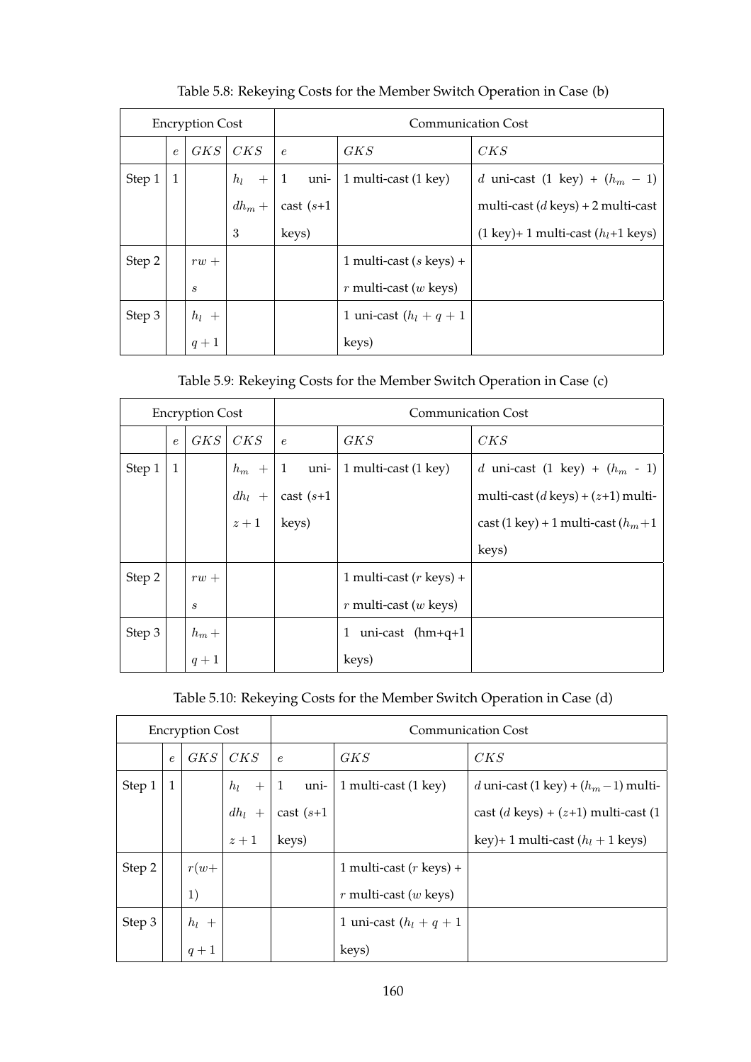| <b>Encryption Cost</b> |              |                             |     | <b>Communication Cost</b>         |                                   |                                                             |
|------------------------|--------------|-----------------------------|-----|-----------------------------------|-----------------------------------|-------------------------------------------------------------|
|                        | $\epsilon$   | GKS                         | CKS | $\epsilon$                        | GK S                              | CKS                                                         |
| Step 1                 | $\mathbf{1}$ |                             |     | $h_l + 1$ uni-                    | 1 multi-cast (1 key)              | <i>d</i> uni-cast $(1 \text{ key}) + (h_m - 1)$             |
|                        |              |                             |     | $dh_m + \vert \text{cast } (s+1)$ |                                   | multi-cast ( $d$ keys) + 2 multi-cast                       |
|                        |              |                             | 3   | keys)                             |                                   | $(1 \text{ key})+1 \text{ multi-cast} (h_l+1 \text{ keys})$ |
| Step 2                 |              | $rw+$                       |     |                                   | 1 multi-cast $(s \text{ keys})$ + |                                                             |
|                        |              | $\mathcal{S}_{\mathcal{S}}$ |     |                                   | $r$ multi-cast ( $w$ keys)        |                                                             |
| Step 3                 |              | $h_l +$                     |     |                                   | 1 uni-cast $(h_l + q + 1)$        |                                                             |
|                        |              | $q+1$                       |     |                                   | keys)                             |                                                             |

Table 5.8: Rekeying Costs for the Member Switch Operation in Case (b)

Table 5.9: Rekeying Costs for the Member Switch Operation in Case (c)

|        | <b>Encryption Cost</b> |                  |          | <b>Communication Cost</b> |                            |                                              |  |
|--------|------------------------|------------------|----------|---------------------------|----------------------------|----------------------------------------------|--|
|        | $\epsilon$             | GKS              | CKS      | $\epsilon$                | GKS                        | CKS                                          |  |
| Step 1 | $\mathbf{1}$           |                  |          | $h_m + 1$ uni-            | 1 multi-cast (1 key)       | d uni-cast $(1 \text{ key}) + (h_m - 1)$     |  |
|        |                        |                  | $dh_l +$ | cast $(s+1)$              |                            | multi-cast ( <i>d</i> keys) + $(z+1)$ multi- |  |
|        |                        |                  | $z+1$    | $ ~$ keys)                |                            | cast (1 key) + 1 multi-cast $(h_m+1)$        |  |
|        |                        |                  |          |                           |                            | keys)                                        |  |
| Step 2 |                        | $rw+$            |          |                           | 1 multi-cast ( $r$ keys) + |                                              |  |
|        |                        | $\boldsymbol{s}$ |          |                           | $r$ multi-cast ( $w$ keys) |                                              |  |
| Step 3 |                        | $h_m +$          |          |                           | uni-cast $(hm+q+1)$<br>1   |                                              |  |
|        |                        | $q+1$            |          |                           | keys)                      |                                              |  |

| Table 5.10: Rekeying Costs for the Member Switch Operation in Case (d) |  |
|------------------------------------------------------------------------|--|
|                                                                        |  |
|                                                                        |  |

| <b>Encryption Cost</b> |              |         |       | <b>Communication Cost</b>           |                            |                                                |
|------------------------|--------------|---------|-------|-------------------------------------|----------------------------|------------------------------------------------|
|                        | $\epsilon$   | GKS     | CKS   | $\epsilon$                          | GKS                        | CKS                                            |
| Step 1                 | $\mathbf{1}$ |         |       | $h_l + 1$ uni-                      | 1 multi-cast (1 key)       | d uni-cast (1 key) + $(h_m-1)$ multi-          |
|                        |              |         |       | $dh_l$ + $\Big  \text{ cast (s+1)}$ |                            | cast ( <i>d</i> keys) + $(z+1)$ multi-cast (1) |
|                        |              |         | $z+1$ | keys)                               |                            | key)+1 multi-cast $(h_l + 1$ keys)             |
| Step 2                 |              | $r(w+)$ |       |                                     | 1 multi-cast ( $r$ keys) + |                                                |
|                        |              | 1)      |       |                                     | $r$ multi-cast ( $w$ keys) |                                                |
| Step 3                 |              | $h_l +$ |       |                                     | 1 uni-cast $(h_l + q + 1)$ |                                                |
|                        |              | $q+1$   |       |                                     | keys)                      |                                                |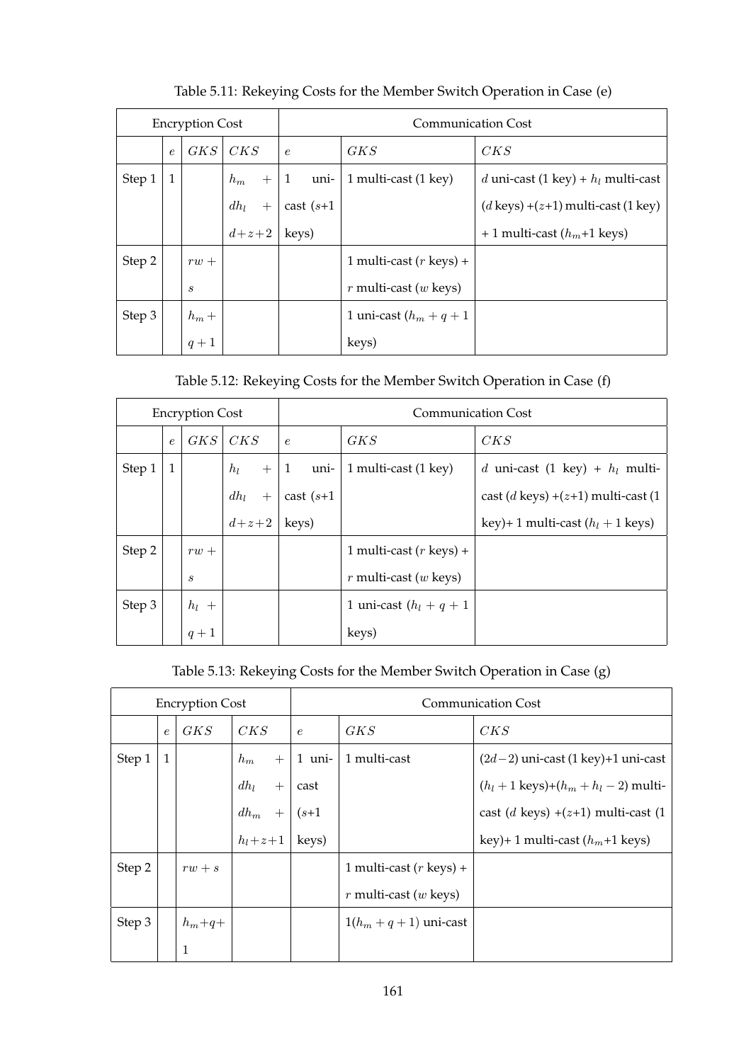| <b>Encryption Cost</b> |            |         |                  | <b>Communication Cost</b> |                            |                                               |
|------------------------|------------|---------|------------------|---------------------------|----------------------------|-----------------------------------------------|
|                        | $\epsilon$ | GKS     | CKS              | $\epsilon$                | GKS                        | CKS                                           |
| Step 1                 |            |         | $+$   1<br>$h_m$ | uni-                      | 1 multi-cast (1 key)       | d uni-cast (1 key) + $h_l$ multi-cast         |
|                        |            |         | $dh_l$<br>$+$    | cast $(s+1)$              |                            | $(d \text{ keys}) + (z+1)$ multi-cast (1 key) |
|                        |            |         | $d+z+2$          | keys)                     |                            | + 1 multi-cast $(h_m+1 \text{ keys})$         |
| Step 2                 |            | $rw+$   |                  |                           | 1 multi-cast ( $r$ keys) + |                                               |
|                        |            | S       |                  |                           | $r$ multi-cast ( $w$ keys) |                                               |
| Step 3                 |            | $h_m +$ |                  |                           | 1 uni-cast $(h_m + q + 1)$ |                                               |
|                        |            | $q+1$   |                  |                           | keys)                      |                                               |

Table 5.11: Rekeying Costs for the Member Switch Operation in Case (e)

Table 5.12: Rekeying Costs for the Member Switch Operation in Case (f)

|        | <b>Encryption Cost</b> |         |               | <b>Communication Cost</b> |                                   |                                                             |
|--------|------------------------|---------|---------------|---------------------------|-----------------------------------|-------------------------------------------------------------|
|        | $\epsilon$             | GKS     | CKS           | $\epsilon$                | GKS                               | CKS                                                         |
| Step 1 |                        |         | $h_l$         | $+   1$ uni-              | 1 multi-cast (1 key)              | d uni-cast (1 key) + $h_l$ multi-                           |
|        |                        |         | $dh_l$<br>$+$ | cast $(s+1)$              |                                   | $\text{cast}(d \text{ keys}) + (z+1) \text{ multi-cast}(1)$ |
|        |                        |         | $d+z+2$ keys) |                           |                                   | key)+1 multi-cast $(h_l + 1$ keys)                          |
| Step 2 |                        | $rw+$   |               |                           | 1 multi-cast $(r \text{ keys}) +$ |                                                             |
|        |                        | S       |               |                           | $r$ multi-cast ( $w$ keys)        |                                                             |
| Step 3 |                        | $h_l +$ |               |                           | 1 uni-cast $(h_l + q + 1)$        |                                                             |
|        |                        | $q+1$   |               |                           | keys)                             |                                                             |

Table 5.13: Rekeying Costs for the Member Switch Operation in Case (g)

| <b>Encryption Cost</b> |              |          |                       | <b>Communication Cost</b> |                            |                                                   |  |
|------------------------|--------------|----------|-----------------------|---------------------------|----------------------------|---------------------------------------------------|--|
|                        | $\epsilon$   | GKS      | CKS                   | $\epsilon$                | GKS                        | CKS                                               |  |
| Step 1                 | $\mathbf{1}$ |          | $h_m$<br>$+$          | $1$ uni-                  | 1 multi-cast               | $(2d-2)$ uni-cast $(1 \text{ key})+1$ uni-cast    |  |
|                        |              |          | $dh_l$<br>$+$         | cast                      |                            | $(h_l + 1 \text{ keys}) + (h_m + h_l - 2)$ multi- |  |
|                        |              |          | $dh_m$ +              | $  (s+1)$                 |                            | cast ( <i>d</i> keys) $+(z+1)$ multi-cast (1      |  |
|                        |              |          | $h_l + z + 1$   keys) |                           |                            | key)+1 multi-cast $(h_m+1$ keys)                  |  |
| Step 2                 |              | $rw + s$ |                       |                           | 1 multi-cast ( $r$ keys) + |                                                   |  |
|                        |              |          |                       |                           | $r$ multi-cast ( $w$ keys) |                                                   |  |
| Step 3                 |              | $h_m+q+$ |                       |                           | $1(h_m+q+1)$ uni-cast      |                                                   |  |
|                        |              | 1        |                       |                           |                            |                                                   |  |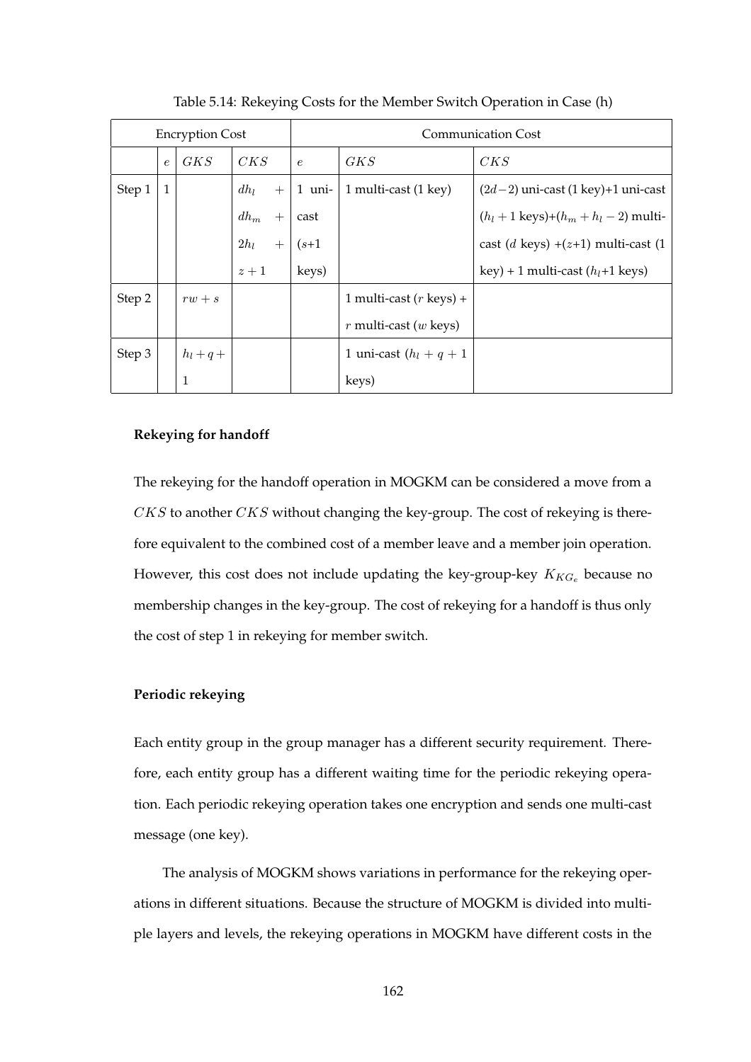| <b>Encryption Cost</b> |              |              |               | <b>Communication Cost</b> |                            |                                                   |
|------------------------|--------------|--------------|---------------|---------------------------|----------------------------|---------------------------------------------------|
|                        | $\epsilon$   | GKS          | CKS           | $\epsilon$                | GKS                        | CKS                                               |
| Step 1                 | $\mathbf{1}$ |              | $dh_l$<br>$+$ | 1 uni-                    | 1 multi-cast (1 key)       | $(2d-2)$ uni-cast $(1 \text{ key})+1$ uni-cast    |
|                        |              |              | $dh_m$<br>$+$ | cast                      |                            | $(h_l + 1 \text{ keys}) + (h_m + h_l - 2)$ multi- |
|                        |              |              | $2h_l + 1$    | $(s+1)$                   |                            | cast ( <i>d</i> keys) $+(z+1)$ multi-cast (1      |
|                        |              |              | $z+1$         | keys)                     |                            | key) + 1 multi-cast $(hl+1$ keys)                 |
| Step 2                 |              | $rw + s$     |               |                           | 1 multi-cast ( $r$ keys) + |                                                   |
|                        |              |              |               |                           | $r$ multi-cast ( $w$ keys) |                                                   |
| Step 3                 |              | $h_l+q+$     |               |                           | 1 uni-cast $(h_l + q + 1)$ |                                                   |
|                        |              | $\mathbf{1}$ |               |                           | keys)                      |                                                   |

Table 5.14: Rekeying Costs for the Member Switch Operation in Case (h)

### **Rekeying for handoff**

The rekeying for the handoff operation in MOGKM can be considered a move from a  $CKS$  to another  $CKS$  without changing the key-group. The cost of rekeying is therefore equivalent to the combined cost of a member leave and a member join operation. However, this cost does not include updating the key-group-key  $K_{KG_e}$  because no membership changes in the key-group. The cost of rekeying for a handoff is thus only the cost of step 1 in rekeying for member switch.

### **Periodic rekeying**

Each entity group in the group manager has a different security requirement. Therefore, each entity group has a different waiting time for the periodic rekeying operation. Each periodic rekeying operation takes one encryption and sends one multi-cast message (one key).

The analysis of MOGKM shows variations in performance for the rekeying operations in different situations. Because the structure of MOGKM is divided into multiple layers and levels, the rekeying operations in MOGKM have different costs in the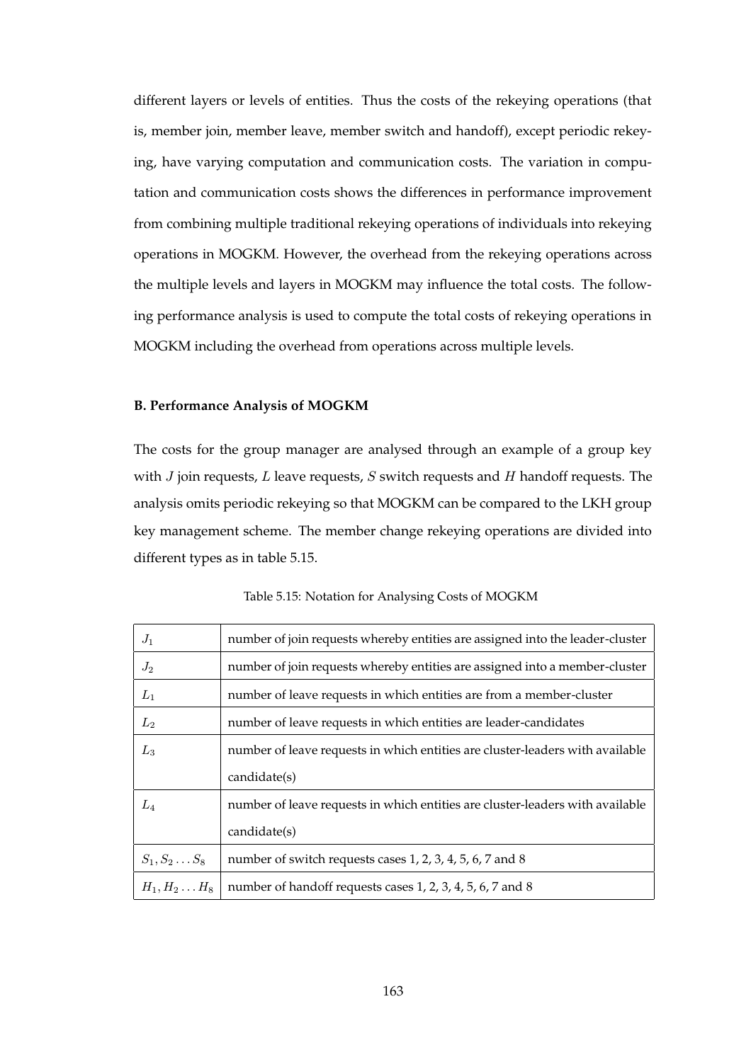different layers or levels of entities. Thus the costs of the rekeying operations (that is, member join, member leave, member switch and handoff), except periodic rekeying, have varying computation and communication costs. The variation in computation and communication costs shows the differences in performance improvement from combining multiple traditional rekeying operations of individuals into rekeying operations in MOGKM. However, the overhead from the rekeying operations across the multiple levels and layers in MOGKM may influence the total costs. The following performance analysis is used to compute the total costs of rekeying operations in MOGKM including the overhead from operations across multiple levels.

### **B. Performance Analysis of MOGKM**

The costs for the group manager are analysed through an example of a group key with  $J$  join requests,  $L$  leave requests,  $S$  switch requests and  $H$  handoff requests. The analysis omits periodic rekeying so that MOGKM can be compared to the LKH group key management scheme. The member change rekeying operations are divided into different types as in table 5.15.

| $J_1$                 | number of join requests whereby entities are assigned into the leader-cluster |
|-----------------------|-------------------------------------------------------------------------------|
|                       |                                                                               |
| $J_2$                 | number of join requests whereby entities are assigned into a member-cluster   |
| $L_1$                 | number of leave requests in which entities are from a member-cluster          |
| $L_2$                 | number of leave requests in which entities are leader-candidates              |
| $L_3$                 | number of leave requests in which entities are cluster-leaders with available |
|                       | candidate(s)                                                                  |
| $L_4$                 | number of leave requests in which entities are cluster-leaders with available |
|                       | candidate(s)                                                                  |
| $S_1, S_2 \ldots S_8$ | number of switch requests cases 1, 2, 3, 4, 5, 6, 7 and 8                     |
| $H_1, H_2 \ldots H_8$ | number of handoff requests cases 1, 2, 3, 4, 5, 6, 7 and 8                    |

Table 5.15: Notation for Analysing Costs of MOGKM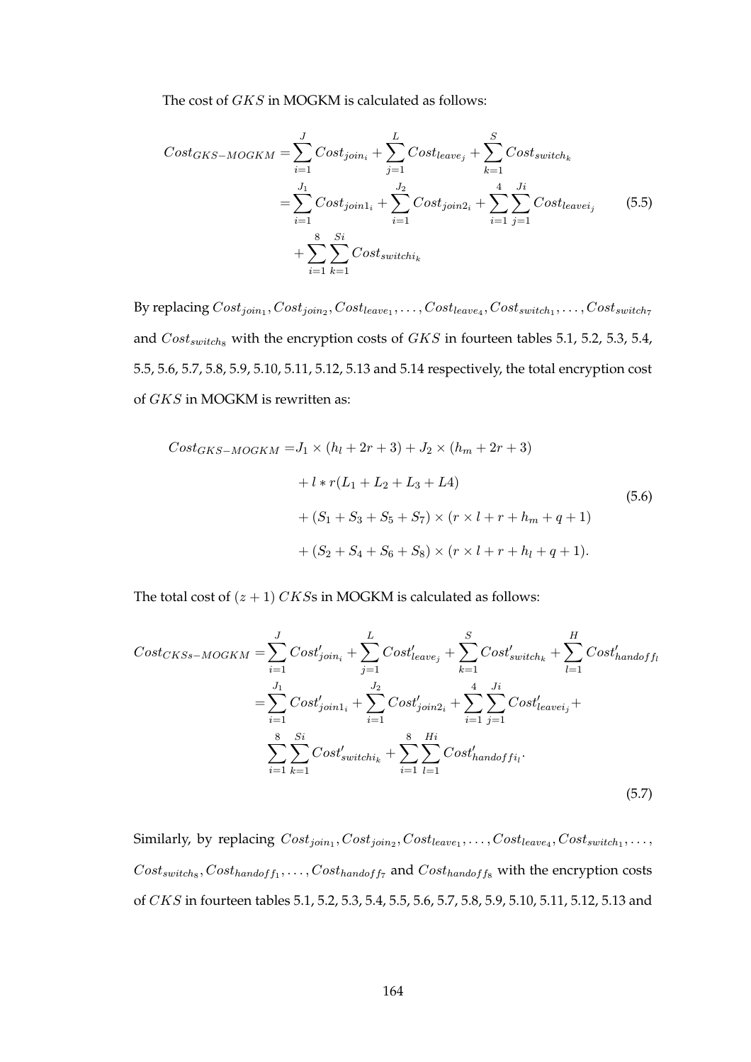The cost of GKS in MOGKM is calculated as follows:

$$
Cost_{GKS-MOGKM} = \sum_{i=1}^{J} Cost_{join_i} + \sum_{j=1}^{L} Cost_{leave_j} + \sum_{k=1}^{S} Cost_{switch_k}
$$
  
= 
$$
\sum_{i=1}^{J_1} Cost_{join1_i} + \sum_{i=1}^{J_2} Cost_{join2_i} + \sum_{i=1}^{4} \sum_{j=1}^{J_i} Cost_{leaveij}
$$
 (5.5)  
+ 
$$
\sum_{i=1}^{8} \sum_{k=1}^{Si} Cost_{switchi_k}
$$

By replacing  $Cost_{join_1}, Cost_{join_2}, Cost_{leave_1}, \ldots, Cost_{leave_4}, Cost_{switch_1}, \ldots, Cost_{switch_7}$ and  $Cost_{switch8}$  with the encryption costs of  $GKS$  in fourteen tables 5.1, 5.2, 5.3, 5.4, 5.5, 5.6, 5.7, 5.8, 5.9, 5.10, 5.11, 5.12, 5.13 and 5.14 respectively, the total encryption cost of GKS in MOGKM is rewritten as:

$$
Cost_{GKS-MOGKM} = J_1 \times (h_l + 2r + 3) + J_2 \times (h_m + 2r + 3)
$$
  
+  $l * r(L_1 + L_2 + L_3 + L_4)$   
+  $(S_1 + S_3 + S_5 + S_7) \times (r \times l + r + h_m + q + 1)$   
+  $(S_2 + S_4 + S_6 + S_8) \times (r \times l + r + h_l + q + 1).$  (5.6)

The total cost of  $(z + 1)$  CKSs in MOGKM is calculated as follows:

$$
Cost_{CKSs-MOGKM} = \sum_{i=1}^{J} Cost'_{join_i} + \sum_{j=1}^{L} Cost'_{leave_j} + \sum_{k=1}^{S} Cost'_{switch_k} + \sum_{l=1}^{H} Cost'_{handoff_l}
$$
  
= 
$$
\sum_{i=1}^{J_1} Cost'_{join1_i} + \sum_{i=1}^{J_2} Cost'_{join2_i} + \sum_{i=1}^{4} \sum_{j=1}^{J_i} Cost'_{leavei_j} + \sum_{i=1}^{8} \sum_{k=1}^{Si} Cost'_{switchi_k} + \sum_{i=1}^{8} \sum_{l=1}^{Hi} Cost'_{handoffi_l}.
$$
  

$$
\sum_{i=1}^{8} \sum_{k=1}^{Si} Cost'_{switchi_k} + \sum_{i=1}^{8} \sum_{l=1}^{Hi} Cost'_{handoffi_l}.
$$
 (5.7)

Similarly, by replacing  $Cost_{join_1}, Cost_{join_2}, Cost_{leave_1}, \ldots, Cost_{leave_4}, Cost_{switch_1}, \ldots,$  $Cost_{switch8}$ ,  $Cost_{handoff_1}$ , ...,  $Cost_{handoff_7}$  and  $Cost_{handoff_8}$  with the encryption costs of CKS in fourteen tables 5.1, 5.2, 5.3, 5.4, 5.5, 5.6, 5.7, 5.8, 5.9, 5.10, 5.11, 5.12, 5.13 and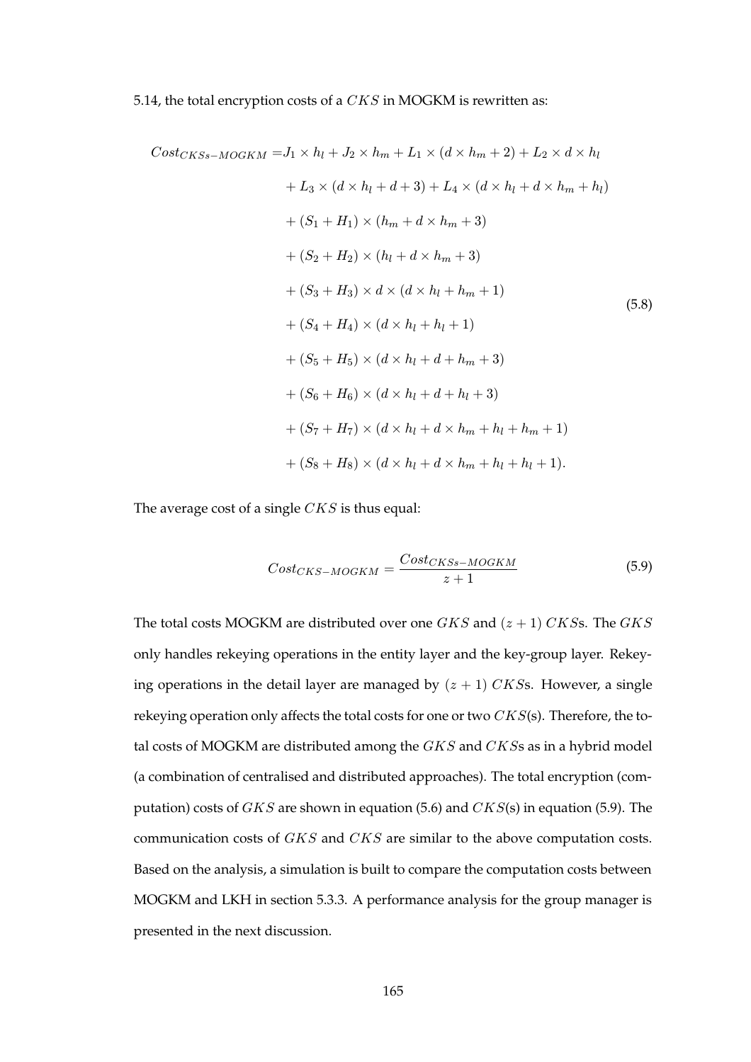### 5.14, the total encryption costs of a  $CKS$  in MOGKM is rewritten as:

$$
Cost_{CKS5-MOGKM} = J_1 \times h_l + J_2 \times h_m + L_1 \times (d \times h_m + 2) + L_2 \times d \times h_l
$$
  
+  $L_3 \times (d \times h_l + d + 3) + L_4 \times (d \times h_l + d \times h_m + h_l)$   
+  $(S_1 + H_1) \times (h_m + d \times h_m + 3)$   
+  $(S_2 + H_2) \times (h_l + d \times h_m + 3)$   
+  $(S_3 + H_3) \times d \times (d \times h_l + h_m + 1)$   
+  $(S_4 + H_4) \times (d \times h_l + h_l + 1)$   
+  $(S_5 + H_5) \times (d \times h_l + d + h_m + 3)$   
+  $(S_6 + H_6) \times (d \times h_l + d + h_l + 3)$   
+  $(S_7 + H_7) \times (d \times h_l + d \times h_m + h_l + h_m + 1)$   
+  $(S_8 + H_8) \times (d \times h_l + d \times h_m + h_l + h_l + 1).$ 

The average cost of a single  $CKS$  is thus equal:

$$
Cost_{CKS-MOGKM} = \frac{Cost_{CKS-s-MOGKM}}{z+1}
$$
\n(5.9)

The total costs MOGKM are distributed over one  $GKS$  and  $\left(z+1\right)CKS$  . The  $GKS$ only handles rekeying operations in the entity layer and the key-group layer. Rekeying operations in the detail layer are managed by  $(z + 1)$  CKSs. However, a single rekeying operation only affects the total costs for one or two  $CKS(s)$ . Therefore, the total costs of MOGKM are distributed among the  $GKS$  and  $CKS$ s as in a hybrid model (a combination of centralised and distributed approaches). The total encryption (computation) costs of  $GKS$  are shown in equation (5.6) and  $CKS(s)$  in equation (5.9). The communication costs of GKS and CKS are similar to the above computation costs. Based on the analysis, a simulation is built to compare the computation costs between MOGKM and LKH in section 5.3.3. A performance analysis for the group manager is presented in the next discussion.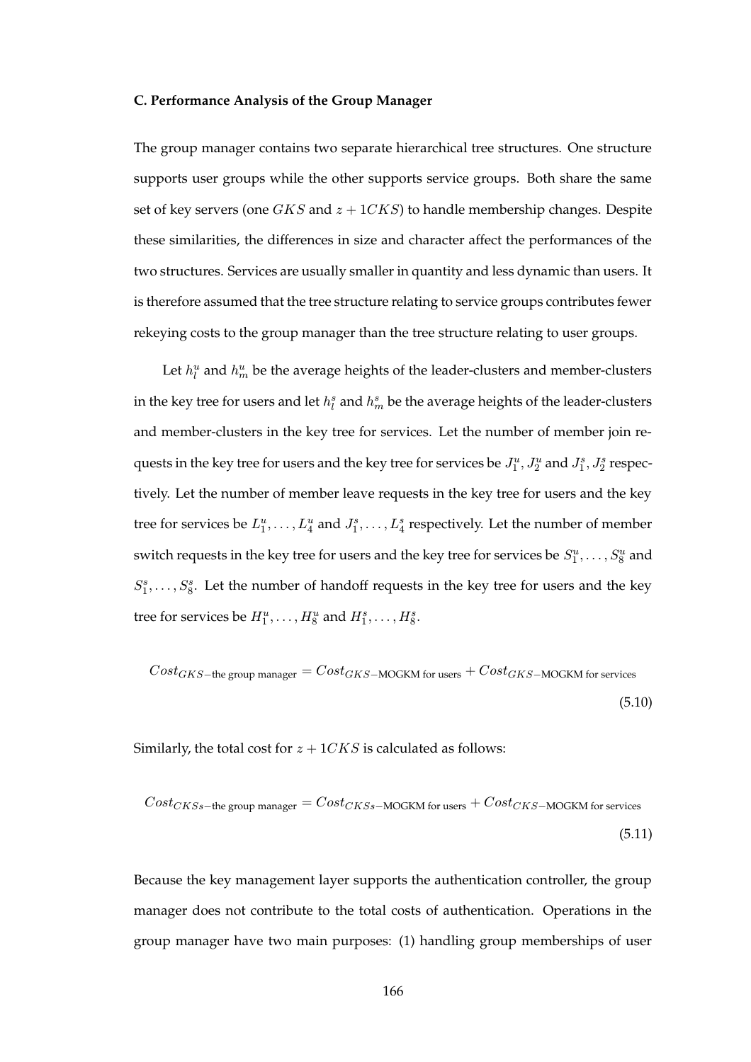### **C. Performance Analysis of the Group Manager**

The group manager contains two separate hierarchical tree structures. One structure supports user groups while the other supports service groups. Both share the same set of key servers (one *GKS* and  $z + 1CKS$ ) to handle membership changes. Despite these similarities, the differences in size and character affect the performances of the two structures. Services are usually smaller in quantity and less dynamic than users. It is therefore assumed that the tree structure relating to service groups contributes fewer rekeying costs to the group manager than the tree structure relating to user groups.

Let  $h_l^u$  and  $h_m^u$  be the average heights of the leader-clusters and member-clusters in the key tree for users and let  $h_l^s$  and  $h_m^s$  be the average heights of the leader-clusters and member-clusters in the key tree for services. Let the number of member join requests in the key tree for users and the key tree for services be  $J_1^u$ ,  $J_2^u$  and  $J_1^s$ ,  $J_2^s$  respectively. Let the number of member leave requests in the key tree for users and the key tree for services be  $L_1^u, \ldots, L_4^u$  and  $J_1^s, \ldots, L_4^s$  respectively. Let the number of member switch requests in the key tree for users and the key tree for services be  $S_1^u, \ldots, S_8^u$  and  $S_1^s, \ldots, S_8^s$ . Let the number of handoff requests in the key tree for users and the key tree for services be  $H_1^u, \ldots, H_8^u$  and  $H_1^s, \ldots, H_8^s$ .

$$
Cost_{GKS-\text{the group manager}} = Cost_{GKS-\text{MOGKM for users}} + Cost_{GKS-\text{MOGKM for services}}
$$
\n(5.10)

Similarly, the total cost for  $z + 1CKS$  is calculated as follows:

$$
Cost_{CKS} - \text{the group manager} = Cost_{CKS} - \text{MOGKM for users} + Cost_{CKS} - \text{MOGKM for services}
$$
\n
$$
(5.11)
$$

Because the key management layer supports the authentication controller, the group manager does not contribute to the total costs of authentication. Operations in the group manager have two main purposes: (1) handling group memberships of user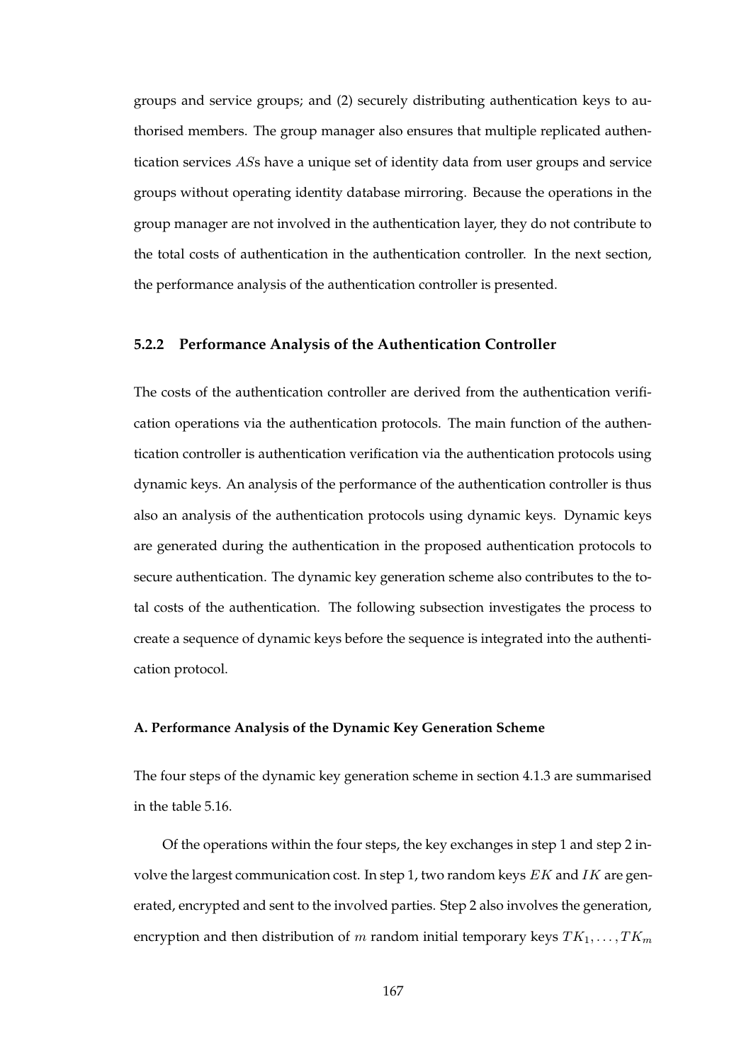groups and service groups; and (2) securely distributing authentication keys to authorised members. The group manager also ensures that multiple replicated authentication services ASs have a unique set of identity data from user groups and service groups without operating identity database mirroring. Because the operations in the group manager are not involved in the authentication layer, they do not contribute to the total costs of authentication in the authentication controller. In the next section, the performance analysis of the authentication controller is presented.

### **5.2.2 Performance Analysis of the Authentication Controller**

The costs of the authentication controller are derived from the authentication verification operations via the authentication protocols. The main function of the authentication controller is authentication verification via the authentication protocols using dynamic keys. An analysis of the performance of the authentication controller is thus also an analysis of the authentication protocols using dynamic keys. Dynamic keys are generated during the authentication in the proposed authentication protocols to secure authentication. The dynamic key generation scheme also contributes to the total costs of the authentication. The following subsection investigates the process to create a sequence of dynamic keys before the sequence is integrated into the authentication protocol.

### **A. Performance Analysis of the Dynamic Key Generation Scheme**

The four steps of the dynamic key generation scheme in section 4.1.3 are summarised in the table 5.16.

Of the operations within the four steps, the key exchanges in step 1 and step 2 involve the largest communication cost. In step 1, two random keys  $EK$  and  $IK$  are generated, encrypted and sent to the involved parties. Step 2 also involves the generation, encryption and then distribution of m random initial temporary keys  $TK_1, \ldots, TK_m$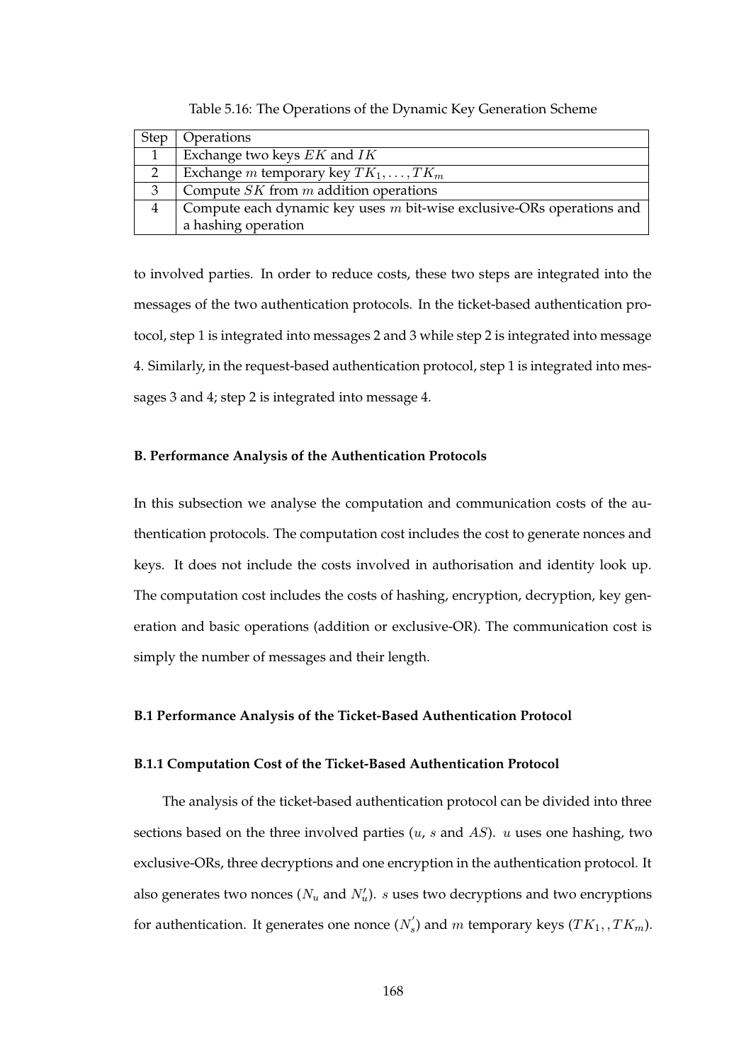| <b>Step</b>  | Operations                                                              |
|--------------|-------------------------------------------------------------------------|
|              | Exchange two keys EK and IK                                             |
| $\mathbf{2}$ | Exchange <i>m</i> temporary key $TK_1, \ldots, TK_m$                    |
| 3            | Compute $SK$ from $m$ addition operations                               |
|              | Compute each dynamic key uses $m$ bit-wise exclusive-ORs operations and |
|              | a hashing operation                                                     |

Table 5.16: The Operations of the Dynamic Key Generation Scheme

to involved parties. In order to reduce costs, these two steps are integrated into the messages of the two authentication protocols. In the ticket-based authentication protocol, step 1 is integrated into messages 2 and 3 while step 2 is integrated into message 4. Similarly, in the request-based authentication protocol, step 1 is integrated into messages 3 and 4; step 2 is integrated into message 4.

#### **B. Performance Analysis of the Authentication Protocols**

In this subsection we analyse the computation and communication costs of the authentication protocols. The computation cost includes the cost to generate nonces and keys. It does not include the costs involved in authorisation and identity look up. The computation cost includes the costs of hashing, encryption, decryption, key generation and basic operations (addition or exclusive-OR). The communication cost is simply the number of messages and their length.

### **B.1 Performance Analysis of the Ticket-Based Authentication Protocol**

#### **B.1.1 Computation Cost of the Ticket-Based Authentication Protocol**

The analysis of the ticket-based authentication protocol can be divided into three sections based on the three involved parties  $(u, s \text{ and } AS)$ . u uses one hashing, two exclusive-ORs, three decryptions and one encryption in the authentication protocol. It also generates two nonces ( $N_u$  and  $N'_u$ ).  $s$  uses two decryptions and two encryptions for authentication. It generates one nonce  $(N'_s)$  and m temporary keys  $(TK_1, TK_m)$ .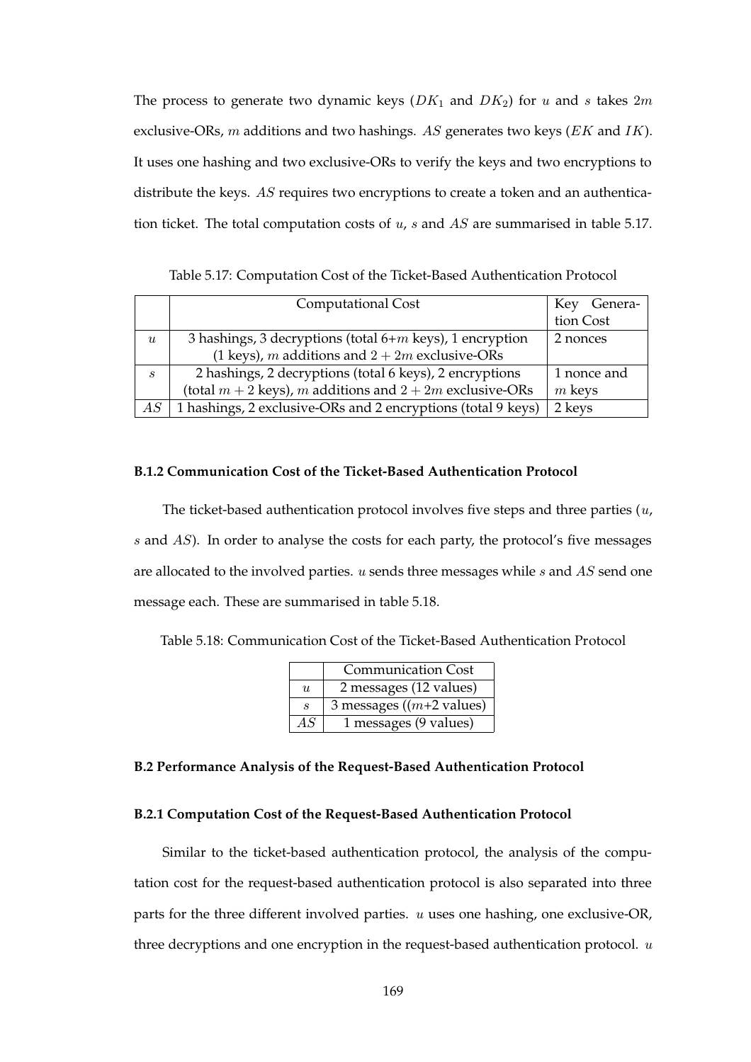The process to generate two dynamic keys  $(DK_1$  and  $DK_2)$  for u and s takes  $2m$ exclusive-ORs,  $m$  additions and two hashings. AS generates two keys ( $EK$  and  $IK$ ). It uses one hashing and two exclusive-ORs to verify the keys and two encryptions to distribute the keys. AS requires two encryptions to create a token and an authentication ticket. The total computation costs of  $u$ ,  $s$  and  $AS$  are summarised in table 5.17.

Table 5.17: Computation Cost of the Ticket-Based Authentication Protocol

|                             | Computational Cost                                           | Genera-<br>Key |
|-----------------------------|--------------------------------------------------------------|----------------|
|                             |                                                              | tion Cost      |
| u                           | 3 hashings, 3 decryptions (total $6+m$ keys), 1 encryption   | 2 nonces       |
|                             | (1 keys), m additions and $2 + 2m$ exclusive-ORs             |                |
| $\mathcal{S}_{\mathcal{S}}$ | 2 hashings, 2 decryptions (total 6 keys), 2 encryptions      | 1 nonce and    |
|                             | (total $m + 2$ keys), m additions and $2 + 2m$ exclusive-ORs | $m$ keys       |
| AS                          | 1 hashings, 2 exclusive-ORs and 2 encryptions (total 9 keys) | 2 keys         |

### **B.1.2 Communication Cost of the Ticket-Based Authentication Protocol**

The ticket-based authentication protocol involves five steps and three parties  $(u,$ s and AS). In order to analyse the costs for each party, the protocol's five messages are allocated to the involved parties.  $u$  sends three messages while  $s$  and  $AS$  send one message each. These are summarised in table 5.18.

Table 5.18: Communication Cost of the Ticket-Based Authentication Protocol

|                   | <b>Communication Cost</b>           |  |  |
|-------------------|-------------------------------------|--|--|
| $\boldsymbol{u}$  | 2 messages (12 values)              |  |  |
| $\mathcal{S}_{0}$ | 3 messages ( $(m+2 \text{ values})$ |  |  |
| AS                | 1 messages (9 values)               |  |  |

### **B.2 Performance Analysis of the Request-Based Authentication Protocol**

### **B.2.1 Computation Cost of the Request-Based Authentication Protocol**

Similar to the ticket-based authentication protocol, the analysis of the computation cost for the request-based authentication protocol is also separated into three parts for the three different involved parties.  $u$  uses one hashing, one exclusive-OR, three decryptions and one encryption in the request-based authentication protocol.  $u$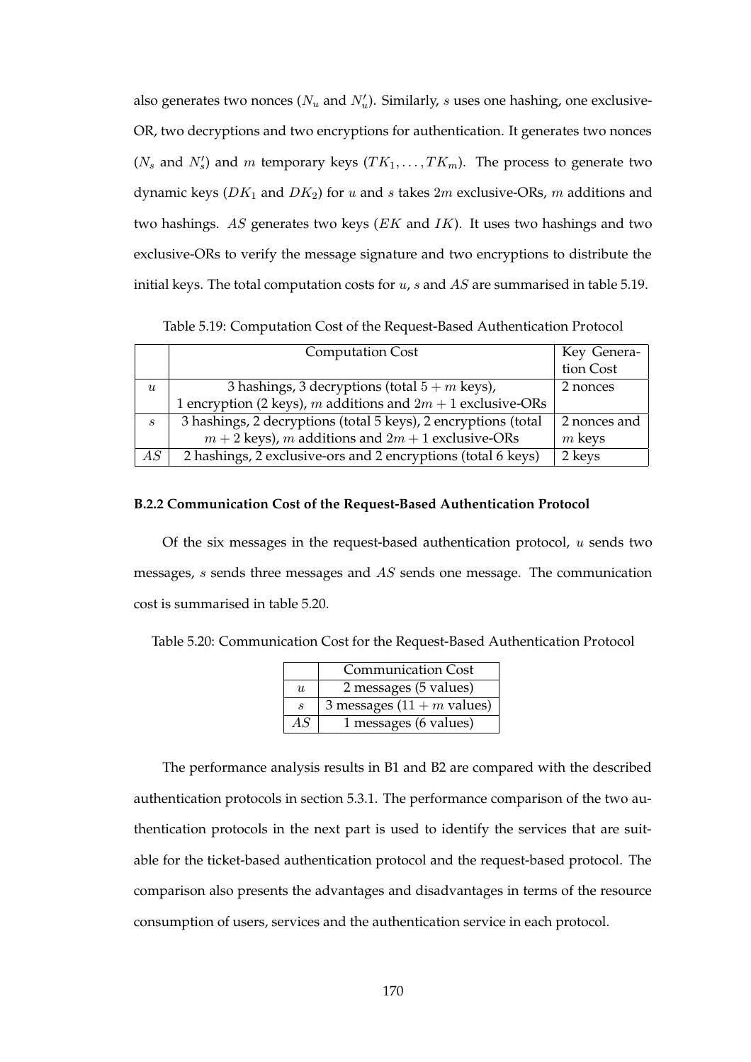also generates two nonces ( $N_u$  and  $N'_u$ ). Similarly, s uses one hashing, one exclusive-OR, two decryptions and two encryptions for authentication. It generates two nonces  $(N_s$  and  $N'_s$ ) and m temporary keys  $(TK_1, \ldots, TK_m)$ . The process to generate two dynamic keys ( $DK_1$  and  $DK_2$ ) for u and s takes  $2m$  exclusive-ORs, m additions and two hashings.  $AS$  generates two keys ( $EK$  and  $IK$ ). It uses two hashings and two exclusive-ORs to verify the message signature and two encryptions to distribute the initial keys. The total computation costs for  $u$ ,  $s$  and  $AS$  are summarised in table 5.19.

Table 5.19: Computation Cost of the Request-Based Authentication Protocol

|                             | <b>Computation Cost</b>                                        | Key Genera-  |
|-----------------------------|----------------------------------------------------------------|--------------|
|                             |                                                                | tion Cost    |
| u                           | 3 hashings, 3 decryptions (total $5 + m$ keys),                | 2 nonces     |
|                             | 1 encryption (2 keys), m additions and $2m + 1$ exclusive-ORs  |              |
| $\mathcal{S}_{\mathcal{S}}$ | 3 hashings, 2 decryptions (total 5 keys), 2 encryptions (total | 2 nonces and |
|                             | $m + 2$ keys), m additions and $2m + 1$ exclusive-ORs          | $m$ keys     |
| AS                          | 2 hashings, 2 exclusive-ors and 2 encryptions (total 6 keys)   | 2 keys       |

### **B.2.2 Communication Cost of the Request-Based Authentication Protocol**

Of the six messages in the request-based authentication protocol,  $u$  sends two messages, s sends three messages and AS sends one message. The communication cost is summarised in table 5.20.

Table 5.20: Communication Cost for the Request-Based Authentication Protocol

|                             | <b>Communication Cost</b>    |  |  |
|-----------------------------|------------------------------|--|--|
| $\boldsymbol{u}$            | 2 messages (5 values)        |  |  |
| $\mathcal{S}_{\mathcal{S}}$ | 3 messages (11 + $m$ values) |  |  |
| AS                          | 1 messages (6 values)        |  |  |

The performance analysis results in B1 and B2 are compared with the described authentication protocols in section 5.3.1. The performance comparison of the two authentication protocols in the next part is used to identify the services that are suitable for the ticket-based authentication protocol and the request-based protocol. The comparison also presents the advantages and disadvantages in terms of the resource consumption of users, services and the authentication service in each protocol.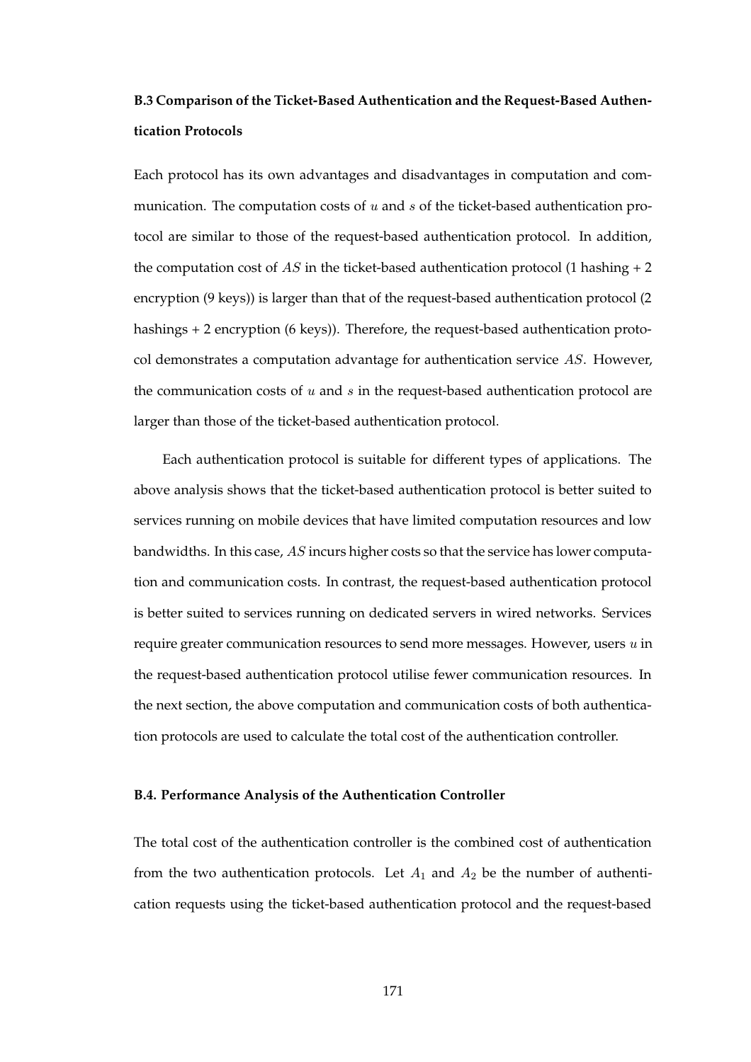## **B.3 Comparison of the Ticket-Based Authentication and the Request-Based Authentication Protocols**

Each protocol has its own advantages and disadvantages in computation and communication. The computation costs of  $u$  and  $s$  of the ticket-based authentication protocol are similar to those of the request-based authentication protocol. In addition, the computation cost of  $AS$  in the ticket-based authentication protocol (1 hashing + 2 encryption (9 keys)) is larger than that of the request-based authentication protocol (2 hashings + 2 encryption (6 keys)). Therefore, the request-based authentication protocol demonstrates a computation advantage for authentication service AS. However, the communication costs of  $u$  and  $s$  in the request-based authentication protocol are larger than those of the ticket-based authentication protocol.

Each authentication protocol is suitable for different types of applications. The above analysis shows that the ticket-based authentication protocol is better suited to services running on mobile devices that have limited computation resources and low bandwidths. In this case, AS incurs higher costs so that the service has lower computation and communication costs. In contrast, the request-based authentication protocol is better suited to services running on dedicated servers in wired networks. Services require greater communication resources to send more messages. However, users  $u$  in the request-based authentication protocol utilise fewer communication resources. In the next section, the above computation and communication costs of both authentication protocols are used to calculate the total cost of the authentication controller.

### **B.4. Performance Analysis of the Authentication Controller**

The total cost of the authentication controller is the combined cost of authentication from the two authentication protocols. Let  $A_1$  and  $A_2$  be the number of authentication requests using the ticket-based authentication protocol and the request-based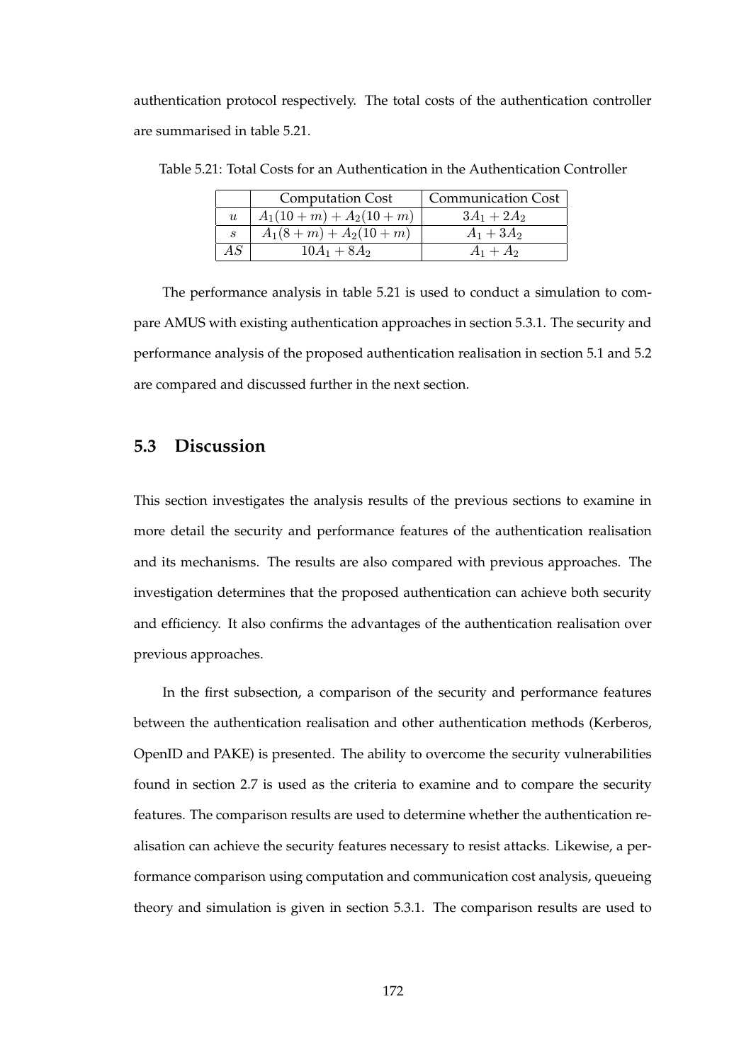authentication protocol respectively. The total costs of the authentication controller are summarised in table 5.21.

|                             | <b>Computation Cost</b> | <b>Communication Cost</b> |
|-----------------------------|-------------------------|---------------------------|
| $\boldsymbol{u}$            | $A_1(10+m) + A_2(10+m)$ | $3A_1 + 2A_2$             |
| $\mathcal{S}_{\mathcal{S}}$ | $A_1(8+m) + A_2(10+m)$  | $A_1 + 3A_2$              |
| AS                          | $10A_1 + 8A_2$          | $A_1 + A_2$               |

Table 5.21: Total Costs for an Authentication in the Authentication Controller

The performance analysis in table 5.21 is used to conduct a simulation to compare AMUS with existing authentication approaches in section 5.3.1. The security and performance analysis of the proposed authentication realisation in section 5.1 and 5.2 are compared and discussed further in the next section.

### **5.3 Discussion**

This section investigates the analysis results of the previous sections to examine in more detail the security and performance features of the authentication realisation and its mechanisms. The results are also compared with previous approaches. The investigation determines that the proposed authentication can achieve both security and efficiency. It also confirms the advantages of the authentication realisation over previous approaches.

In the first subsection, a comparison of the security and performance features between the authentication realisation and other authentication methods (Kerberos, OpenID and PAKE) is presented. The ability to overcome the security vulnerabilities found in section 2.7 is used as the criteria to examine and to compare the security features. The comparison results are used to determine whether the authentication realisation can achieve the security features necessary to resist attacks. Likewise, a performance comparison using computation and communication cost analysis, queueing theory and simulation is given in section 5.3.1. The comparison results are used to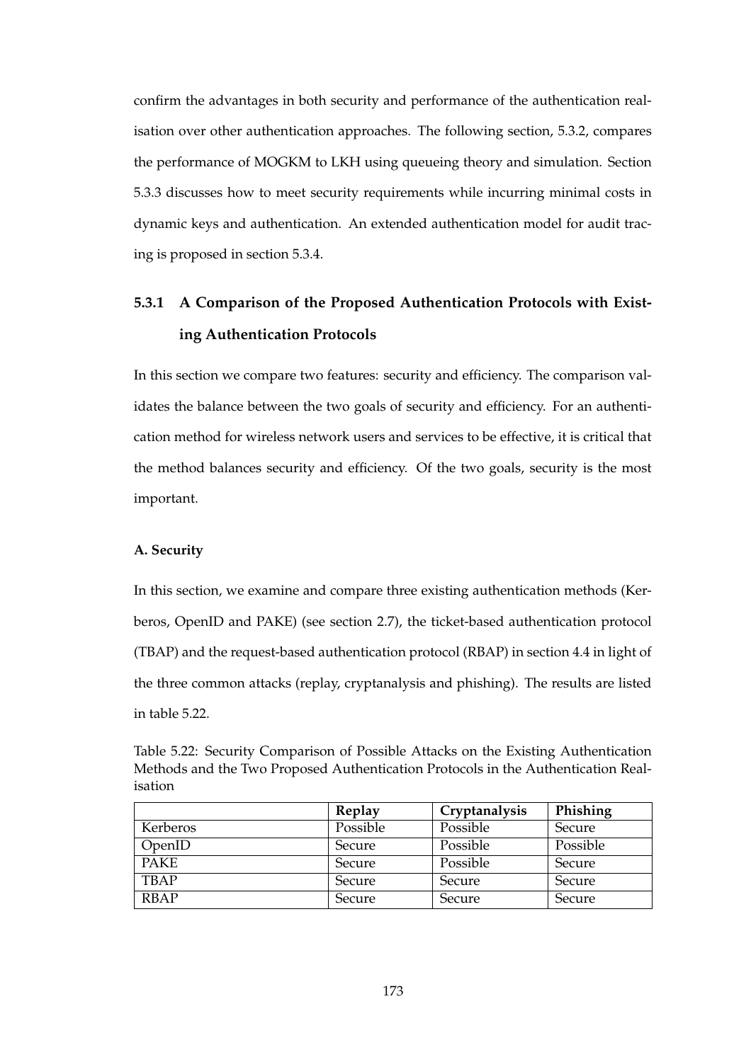confirm the advantages in both security and performance of the authentication realisation over other authentication approaches. The following section, 5.3.2, compares the performance of MOGKM to LKH using queueing theory and simulation. Section 5.3.3 discusses how to meet security requirements while incurring minimal costs in dynamic keys and authentication. An extended authentication model for audit tracing is proposed in section 5.3.4.

# **5.3.1 A Comparison of the Proposed Authentication Protocols with Existing Authentication Protocols**

In this section we compare two features: security and efficiency. The comparison validates the balance between the two goals of security and efficiency. For an authentication method for wireless network users and services to be effective, it is critical that the method balances security and efficiency. Of the two goals, security is the most important.

### **A. Security**

In this section, we examine and compare three existing authentication methods (Kerberos, OpenID and PAKE) (see section 2.7), the ticket-based authentication protocol (TBAP) and the request-based authentication protocol (RBAP) in section 4.4 in light of the three common attacks (replay, cryptanalysis and phishing). The results are listed in table 5.22.

| --------    |          |               |          |
|-------------|----------|---------------|----------|
|             | Replay   | Cryptanalysis | Phishing |
| Kerberos    | Possible | Possible      | Secure   |
| OpenID      | Secure   | Possible      | Possible |
| <b>PAKE</b> | Secure   | Possible      | Secure   |
| <b>TBAP</b> | Secure   | Secure        | Secure   |
| <b>RBAP</b> | Secure   | Secure        | Secure   |

Table 5.22: Security Comparison of Possible Attacks on the Existing Authentication Methods and the Two Proposed Authentication Protocols in the Authentication Realisation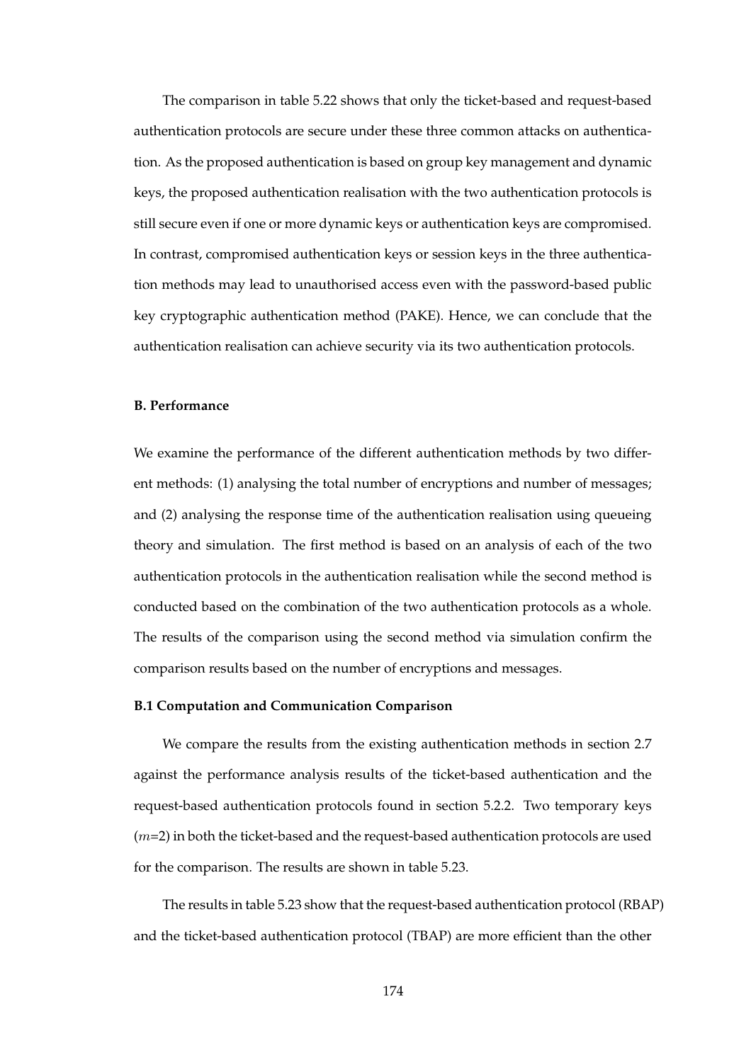The comparison in table 5.22 shows that only the ticket-based and request-based authentication protocols are secure under these three common attacks on authentication. As the proposed authentication is based on group key management and dynamic keys, the proposed authentication realisation with the two authentication protocols is still secure even if one or more dynamic keys or authentication keys are compromised. In contrast, compromised authentication keys or session keys in the three authentication methods may lead to unauthorised access even with the password-based public key cryptographic authentication method (PAKE). Hence, we can conclude that the authentication realisation can achieve security via its two authentication protocols.

### **B. Performance**

We examine the performance of the different authentication methods by two different methods: (1) analysing the total number of encryptions and number of messages; and (2) analysing the response time of the authentication realisation using queueing theory and simulation. The first method is based on an analysis of each of the two authentication protocols in the authentication realisation while the second method is conducted based on the combination of the two authentication protocols as a whole. The results of the comparison using the second method via simulation confirm the comparison results based on the number of encryptions and messages.

#### **B.1 Computation and Communication Comparison**

We compare the results from the existing authentication methods in section 2.7 against the performance analysis results of the ticket-based authentication and the request-based authentication protocols found in section 5.2.2. Two temporary keys  $(m=2)$  in both the ticket-based and the request-based authentication protocols are used for the comparison. The results are shown in table 5.23.

The results in table 5.23 show that the request-based authentication protocol (RBAP) and the ticket-based authentication protocol (TBAP) are more efficient than the other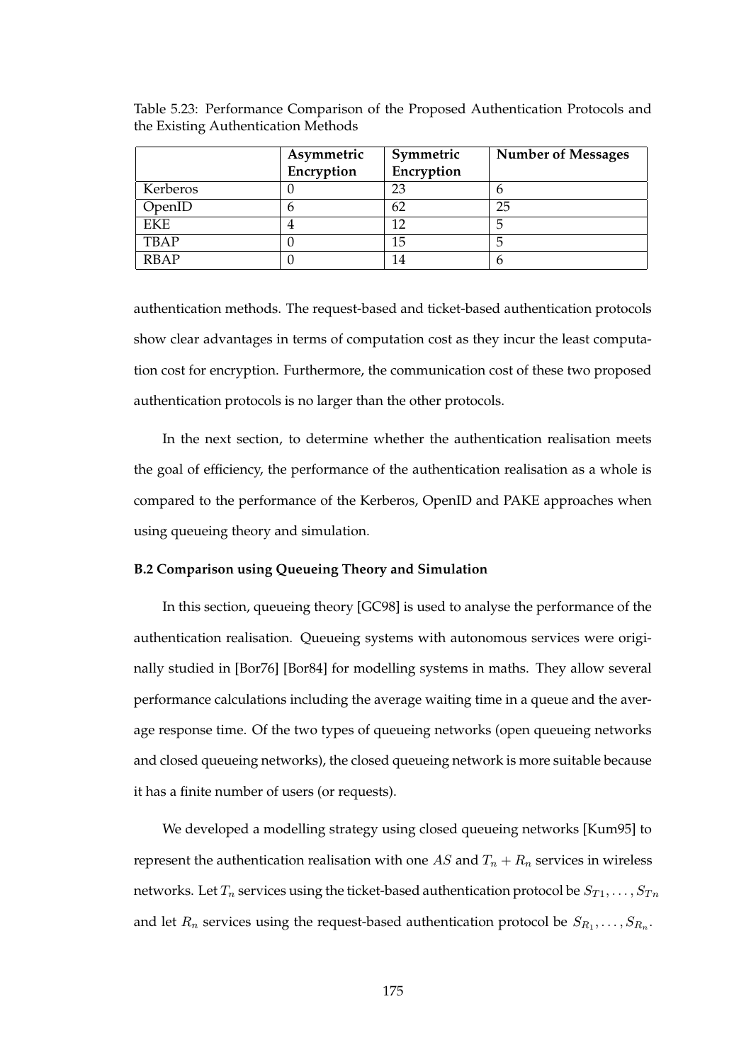|             | Asymmetric | Symmetric  | <b>Number of Messages</b> |
|-------------|------------|------------|---------------------------|
|             | Encryption | Encryption |                           |
| Kerberos    | U          | 23         |                           |
| OpenID      | b          | 62         | 25                        |
| EKE         |            | 12         |                           |
| <b>TBAP</b> | O          | 15         |                           |
| <b>RBAP</b> |            | 14         |                           |

Table 5.23: Performance Comparison of the Proposed Authentication Protocols and the Existing Authentication Methods

authentication methods. The request-based and ticket-based authentication protocols show clear advantages in terms of computation cost as they incur the least computation cost for encryption. Furthermore, the communication cost of these two proposed authentication protocols is no larger than the other protocols.

In the next section, to determine whether the authentication realisation meets the goal of efficiency, the performance of the authentication realisation as a whole is compared to the performance of the Kerberos, OpenID and PAKE approaches when using queueing theory and simulation.

### **B.2 Comparison using Queueing Theory and Simulation**

In this section, queueing theory [GC98] is used to analyse the performance of the authentication realisation. Queueing systems with autonomous services were originally studied in [Bor76] [Bor84] for modelling systems in maths. They allow several performance calculations including the average waiting time in a queue and the average response time. Of the two types of queueing networks (open queueing networks and closed queueing networks), the closed queueing network is more suitable because it has a finite number of users (or requests).

We developed a modelling strategy using closed queueing networks [Kum95] to represent the authentication realisation with one AS and  $T_n + R_n$  services in wireless networks. Let  $T_n$  services using the ticket-based authentication protocol be  $S_{T1}, \ldots, S_{Tn}$ and let  $R_n$  services using the request-based authentication protocol be  $S_{R_1}, \ldots, S_{R_n}$ .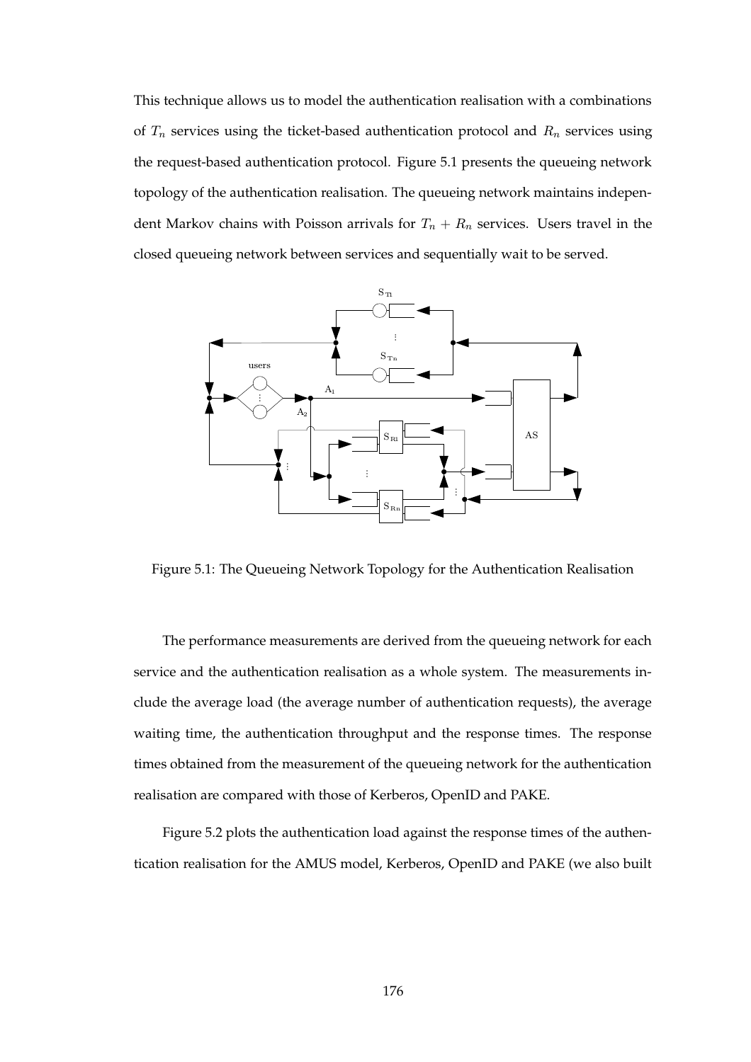This technique allows us to model the authentication realisation with a combinations of  $T_n$  services using the ticket-based authentication protocol and  $R_n$  services using the request-based authentication protocol. Figure 5.1 presents the queueing network topology of the authentication realisation. The queueing network maintains independent Markov chains with Poisson arrivals for  $T_n + R_n$  services. Users travel in the closed queueing network between services and sequentially wait to be served.



Figure 5.1: The Queueing Network Topology for the Authentication Realisation

The performance measurements are derived from the queueing network for each service and the authentication realisation as a whole system. The measurements include the average load (the average number of authentication requests), the average waiting time, the authentication throughput and the response times. The response times obtained from the measurement of the queueing network for the authentication realisation are compared with those of Kerberos, OpenID and PAKE.

Figure 5.2 plots the authentication load against the response times of the authentication realisation for the AMUS model, Kerberos, OpenID and PAKE (we also built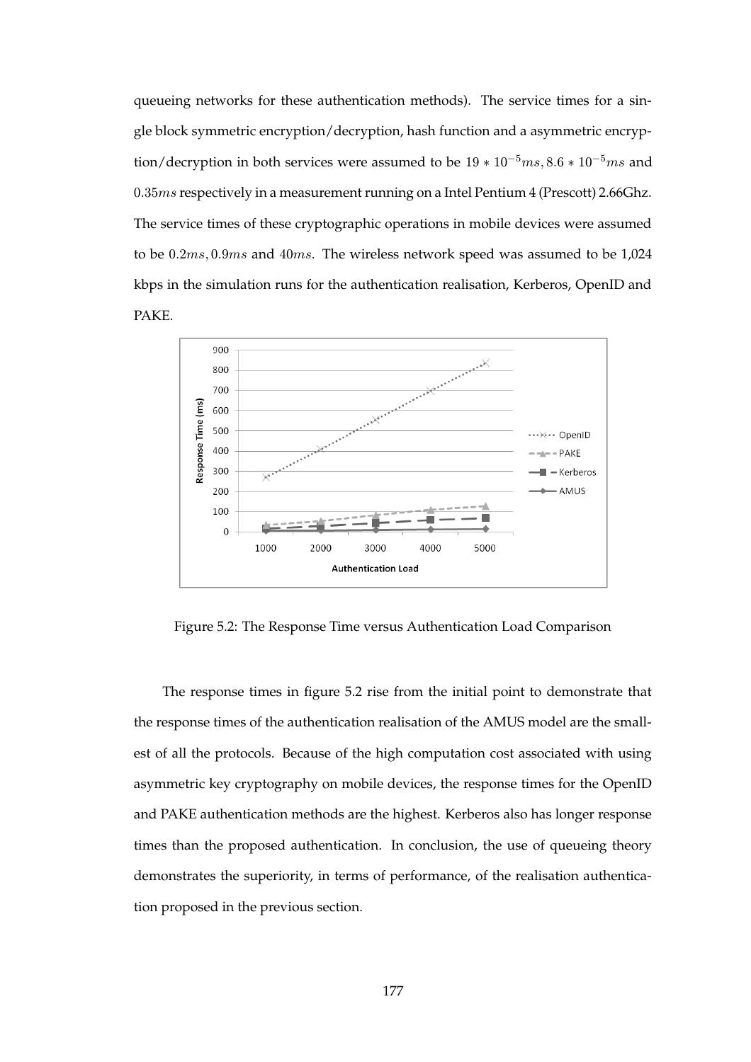queueing networks for these authentication methods). The service times for a single block symmetric encryption/decryption, hash function and a asymmetric encryption/decryption in both services were assumed to be  $19 * 10^{-5}ms$ ,  $8.6 * 10^{-5}ms$  and 0.35ms respectively in a measurement running on a Intel Pentium 4 (Prescott) 2.66Ghz. The service times of these cryptographic operations in mobile devices were assumed to be 0.2ms, 0.9ms and 40ms. The wireless network speed was assumed to be 1,024 kbps in the simulation runs for the authentication realisation, Kerberos, OpenID and PAKE.



Figure 5.2: The Response Time versus Authentication Load Comparison

The response times in figure 5.2 rise from the initial point to demonstrate that the response times of the authentication realisation of the AMUS model are the smallest of all the protocols. Because of the high computation cost associated with using asymmetric key cryptography on mobile devices, the response times for the OpenID and PAKE authentication methods are the highest. Kerberos also has longer response times than the proposed authentication. In conclusion, the use of queueing theory demonstrates the superiority, in terms of performance, of the realisation authentication proposed in the previous section.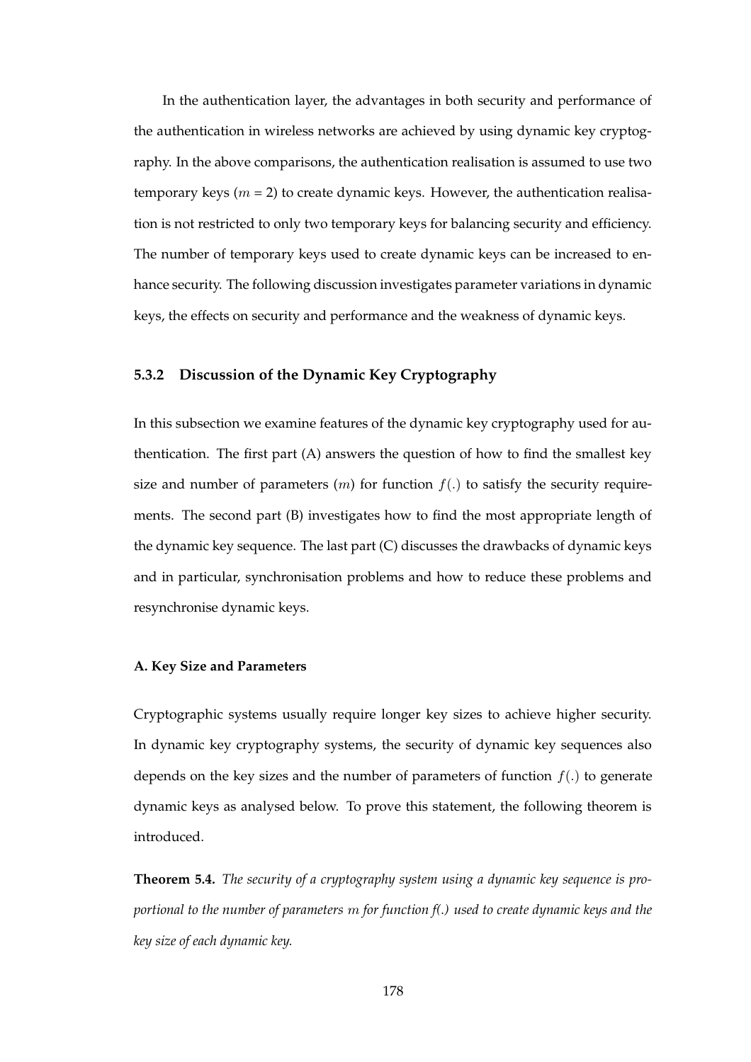In the authentication layer, the advantages in both security and performance of the authentication in wireless networks are achieved by using dynamic key cryptography. In the above comparisons, the authentication realisation is assumed to use two temporary keys ( $m = 2$ ) to create dynamic keys. However, the authentication realisation is not restricted to only two temporary keys for balancing security and efficiency. The number of temporary keys used to create dynamic keys can be increased to enhance security. The following discussion investigates parameter variations in dynamic keys, the effects on security and performance and the weakness of dynamic keys.

### **5.3.2 Discussion of the Dynamic Key Cryptography**

In this subsection we examine features of the dynamic key cryptography used for authentication. The first part (A) answers the question of how to find the smallest key size and number of parameters  $(m)$  for function  $f(.)$  to satisfy the security requirements. The second part (B) investigates how to find the most appropriate length of the dynamic key sequence. The last part (C) discusses the drawbacks of dynamic keys and in particular, synchronisation problems and how to reduce these problems and resynchronise dynamic keys.

### **A. Key Size and Parameters**

Cryptographic systems usually require longer key sizes to achieve higher security. In dynamic key cryptography systems, the security of dynamic key sequences also depends on the key sizes and the number of parameters of function  $f(.)$  to generate dynamic keys as analysed below. To prove this statement, the following theorem is introduced.

**Theorem 5.4.** *The security of a cryptography system using a dynamic key sequence is proportional to the number of parameters* m *for function f(.) used to create dynamic keys and the key size of each dynamic key.*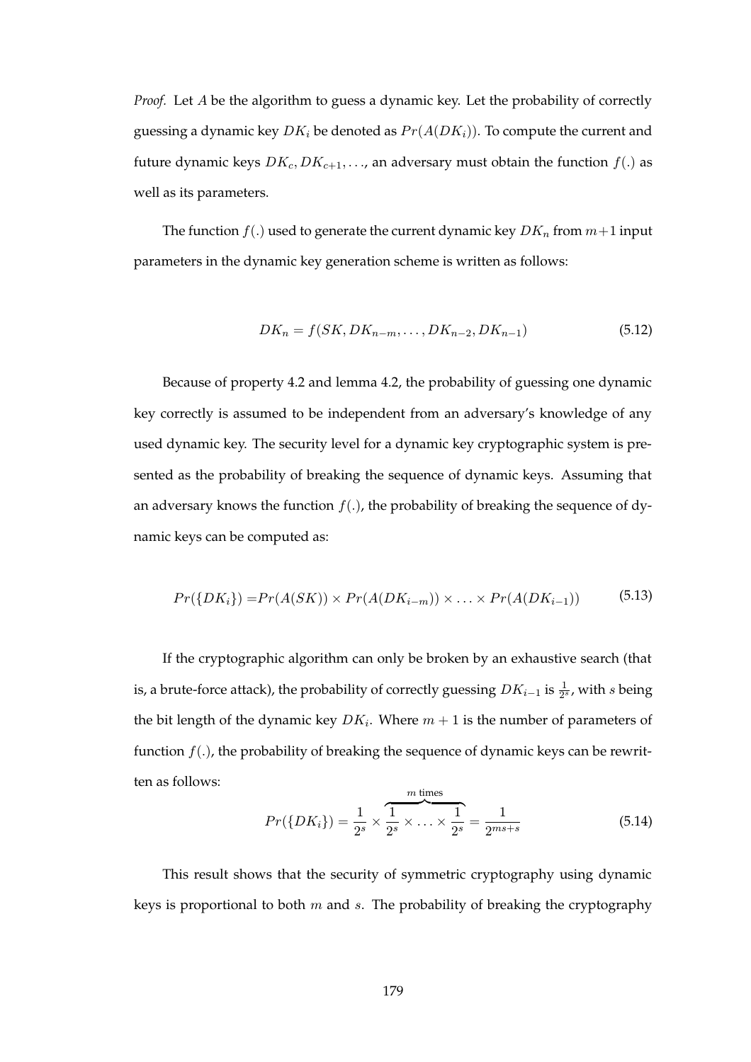*Proof.* Let A be the algorithm to guess a dynamic key. Let the probability of correctly guessing a dynamic key  $DK_i$  be denoted as  $Pr(A(DK_i))$ . To compute the current and future dynamic keys  $DK_c, DK_{c+1}, \ldots$ , an adversary must obtain the function  $f(.)$  as well as its parameters.

The function  $f(.)$  used to generate the current dynamic key  $DK_n$  from  $m+1$  input parameters in the dynamic key generation scheme is written as follows:

$$
DK_n = f(SK, DK_{n-m}, \dots, DK_{n-2}, DK_{n-1})
$$
\n(5.12)

Because of property 4.2 and lemma 4.2, the probability of guessing one dynamic key correctly is assumed to be independent from an adversary's knowledge of any used dynamic key. The security level for a dynamic key cryptographic system is presented as the probability of breaking the sequence of dynamic keys. Assuming that an adversary knows the function  $f(.)$ , the probability of breaking the sequence of dynamic keys can be computed as:

$$
Pr(\{DK_i\}) = Pr(A(SK)) \times Pr(A(DK_{i-m})) \times \ldots \times Pr(A(DK_{i-1})) \tag{5.13}
$$

If the cryptographic algorithm can only be broken by an exhaustive search (that is, a brute-force attack), the probability of correctly guessing  $DK_{i-1}$  is  $\frac{1}{2^s}$ , with  $s$  being the bit length of the dynamic key  $DK_i$ . Where  $m + 1$  is the number of parameters of function  $f(.)$ , the probability of breaking the sequence of dynamic keys can be rewritten as follows: m times

$$
Pr({\{DK_i\}}) = \frac{1}{2^s} \times \overbrace{\frac{1}{2^s} \times \ldots \times \frac{1}{2^s}}^{\text{min times}} = \frac{1}{2^{ms+s}}
$$
(5.14)

This result shows that the security of symmetric cryptography using dynamic keys is proportional to both  $m$  and  $s$ . The probability of breaking the cryptography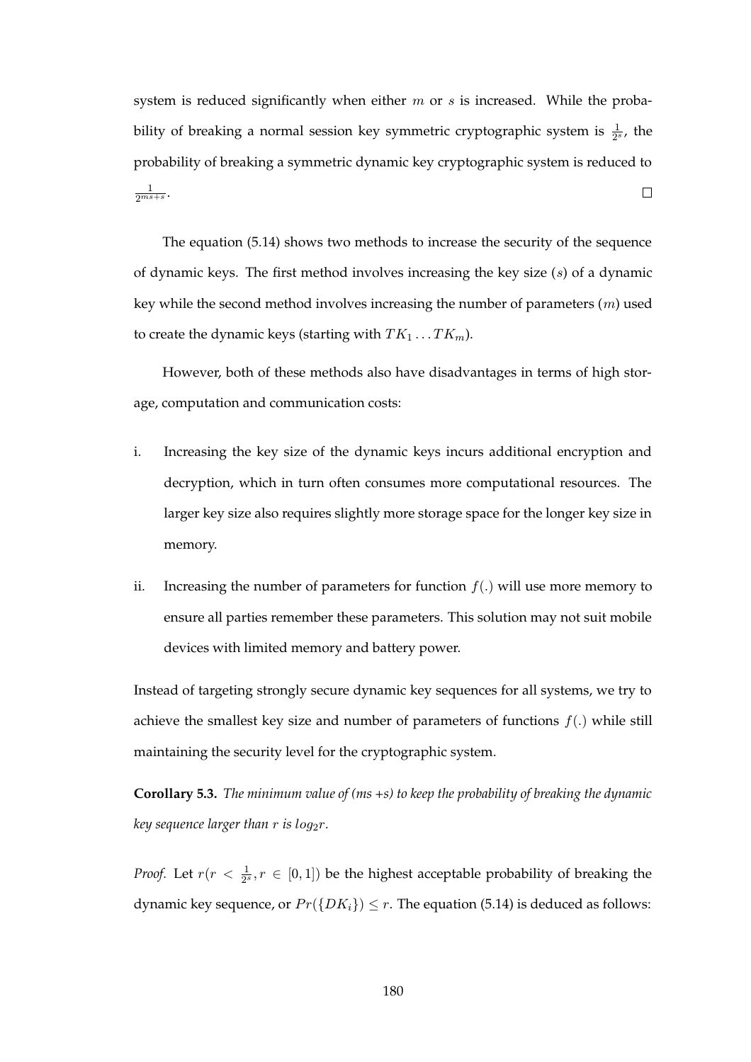system is reduced significantly when either  $m$  or  $s$  is increased. While the probability of breaking a normal session key symmetric cryptographic system is  $\frac{1}{2^s}$ , the probability of breaking a symmetric dynamic key cryptographic system is reduced to  $\frac{1}{2^{ms+s}}$ .  $\Box$ 

The equation (5.14) shows two methods to increase the security of the sequence of dynamic keys. The first method involves increasing the key size  $(s)$  of a dynamic key while the second method involves increasing the number of parameters  $(m)$  used to create the dynamic keys (starting with  $TK_1 \dots TK_m$ ).

However, both of these methods also have disadvantages in terms of high storage, computation and communication costs:

- i. Increasing the key size of the dynamic keys incurs additional encryption and decryption, which in turn often consumes more computational resources. The larger key size also requires slightly more storage space for the longer key size in memory.
- ii. Increasing the number of parameters for function  $f(.)$  will use more memory to ensure all parties remember these parameters. This solution may not suit mobile devices with limited memory and battery power.

Instead of targeting strongly secure dynamic key sequences for all systems, we try to achieve the smallest key size and number of parameters of functions  $f(.)$  while still maintaining the security level for the cryptographic system.

**Corollary 5.3.** *The minimum value of (ms +s) to keep the probability of breaking the dynamic key sequence larger than*  $r$  *is log<sub>2</sub>r*.

*Proof.* Let  $r(r < \frac{1}{2^s}, r \in [0, 1])$  be the highest acceptable probability of breaking the dynamic key sequence, or  $Pr({D K_i}) \leq r$ . The equation (5.14) is deduced as follows: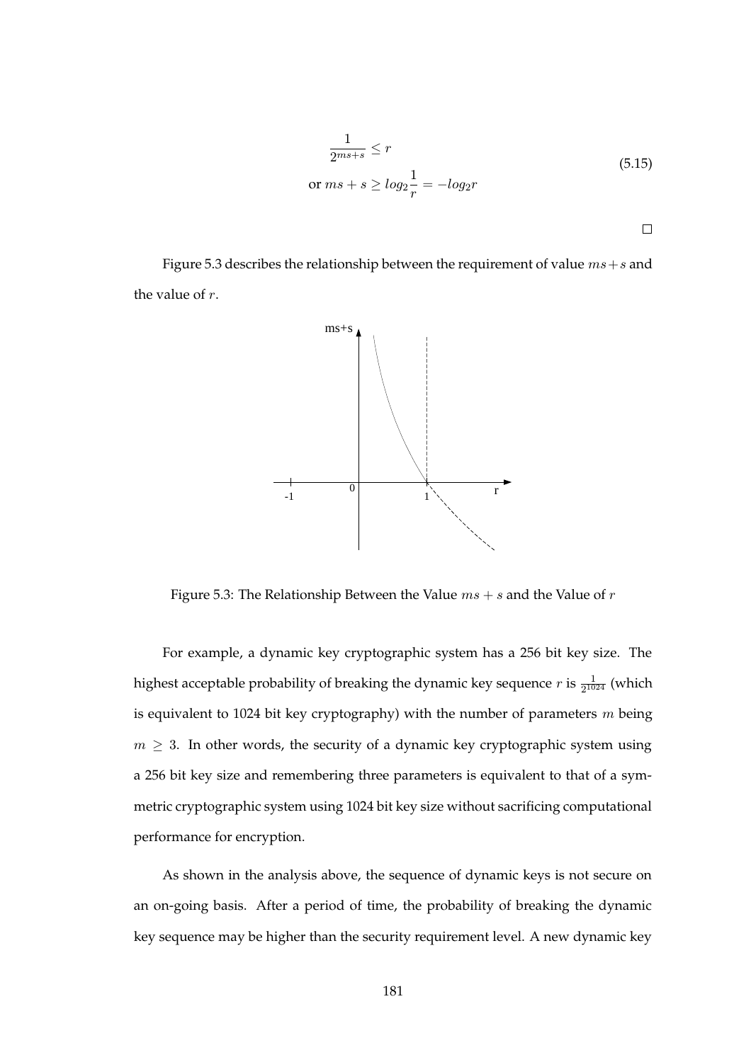$$
\frac{1}{2^{ms+s}} \le r
$$
  
or  $ms + s \ge \log_2 \frac{1}{r} = -\log_2 r$  (5.15)

 $\Box$ 

Figure 5.3 describes the relationship between the requirement of value  $ms + s$  and the value of r.



Figure 5.3: The Relationship Between the Value  $ms + s$  and the Value of  $r$ 

For example, a dynamic key cryptographic system has a 256 bit key size. The highest acceptable probability of breaking the dynamic key sequence  $r$  is  $\frac{1}{2^{1024}}$  (which is equivalent to 1024 bit key cryptography) with the number of parameters  $m$  being  $m \geq 3$ . In other words, the security of a dynamic key cryptographic system using a 256 bit key size and remembering three parameters is equivalent to that of a symmetric cryptographic system using 1024 bit key size without sacrificing computational performance for encryption.

As shown in the analysis above, the sequence of dynamic keys is not secure on an on-going basis. After a period of time, the probability of breaking the dynamic key sequence may be higher than the security requirement level. A new dynamic key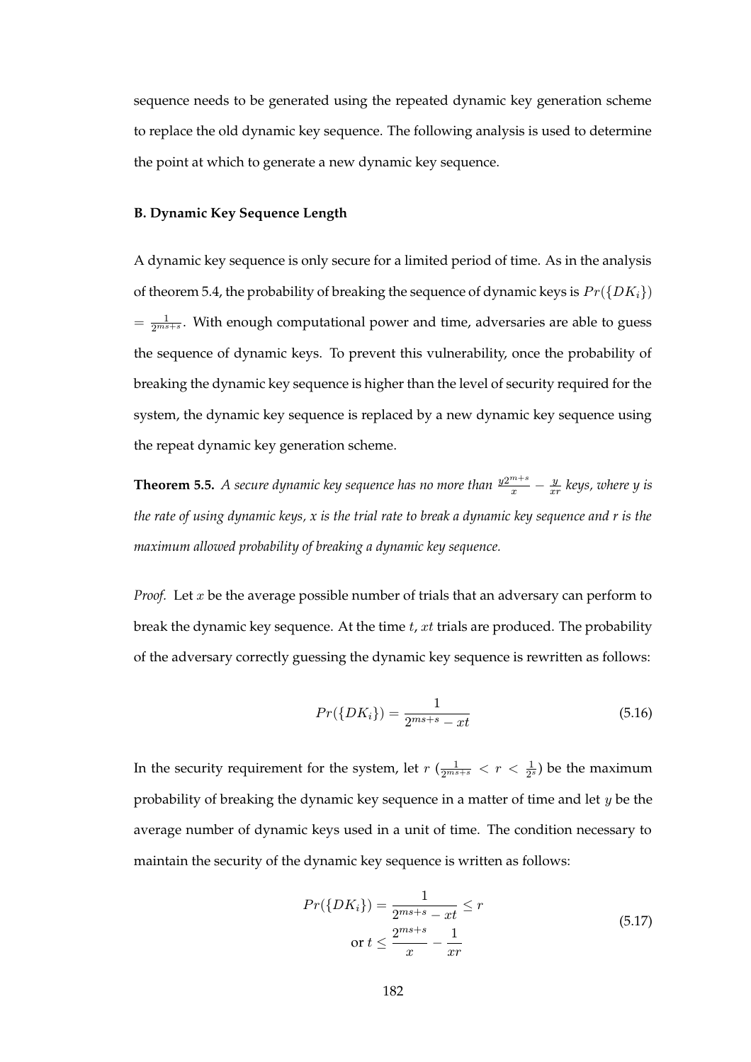sequence needs to be generated using the repeated dynamic key generation scheme to replace the old dynamic key sequence. The following analysis is used to determine the point at which to generate a new dynamic key sequence.

### **B. Dynamic Key Sequence Length**

A dynamic key sequence is only secure for a limited period of time. As in the analysis of theorem 5.4, the probability of breaking the sequence of dynamic keys is  $Pr({DK_i})$  $= \frac{1}{2^{ms+s}}$ . With enough computational power and time, adversaries are able to guess the sequence of dynamic keys. To prevent this vulnerability, once the probability of breaking the dynamic key sequence is higher than the level of security required for the system, the dynamic key sequence is replaced by a new dynamic key sequence using the repeat dynamic key generation scheme.

**Theorem 5.5.** A secure dynamic key sequence has no more than  $\frac{y2^{m+s}}{x} - \frac{y}{xr}$  keys, where y is *the rate of using dynamic keys, x is the trial rate to break a dynamic key sequence and r is the maximum allowed probability of breaking a dynamic key sequence.*

*Proof.* Let x be the average possible number of trials that an adversary can perform to break the dynamic key sequence. At the time  $t$ ,  $xt$  trials are produced. The probability of the adversary correctly guessing the dynamic key sequence is rewritten as follows:

$$
Pr({\{DK_i\}}) = \frac{1}{2^{ms+s} - xt}
$$
\n(5.16)

In the security requirement for the system, let  $r$   $(\frac{1}{2^{ms+s}} < r < \frac{1}{2^s})$  be the maximum probability of breaking the dynamic key sequence in a matter of time and let  $y$  be the average number of dynamic keys used in a unit of time. The condition necessary to maintain the security of the dynamic key sequence is written as follows:

$$
Pr(\{DK_i\}) = \frac{1}{2^{ms+s} - xt} \le r
$$
  
or 
$$
t \le \frac{2^{ms+s}}{x} - \frac{1}{xr}
$$
 (5.17)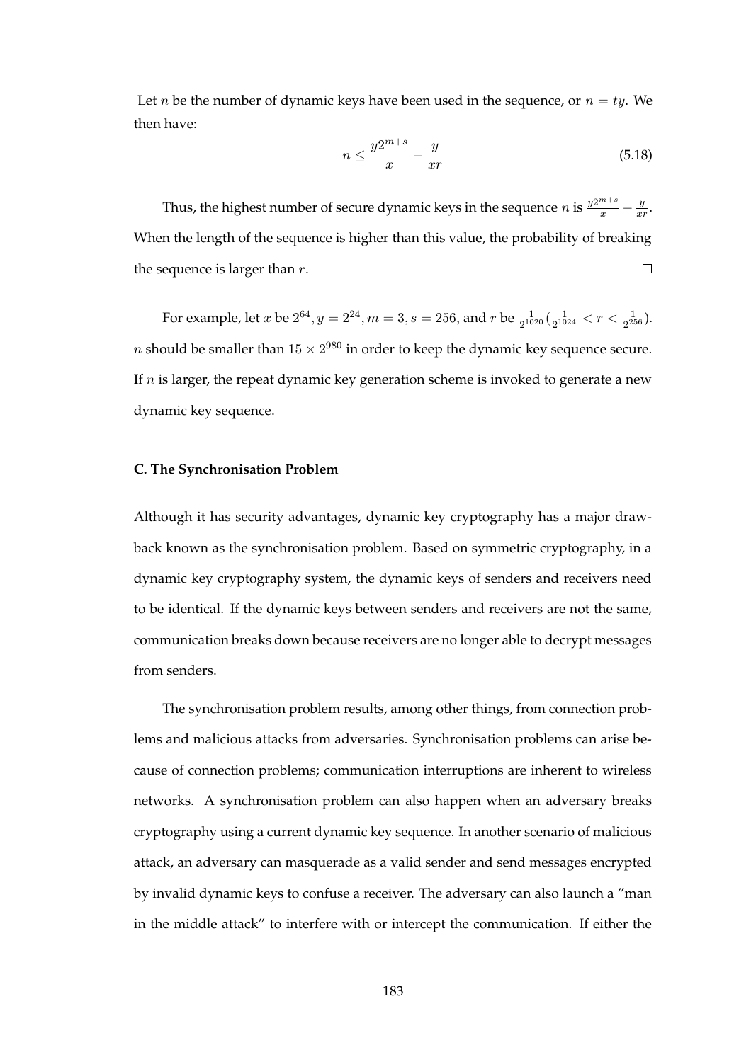Let *n* be the number of dynamic keys have been used in the sequence, or  $n = ty$ . We then have:

$$
n \le \frac{y2^{m+s}}{x} - \frac{y}{xr} \tag{5.18}
$$

Thus, the highest number of secure dynamic keys in the sequence  $n$  is  $\frac{y2^{m+s}}{x} - \frac{y}{xr}$ . When the length of the sequence is higher than this value, the probability of breaking the sequence is larger than  $r$ .  $\Box$ 

For example, let  $x$  be  $2^{64}$ ,  $y = 2^{24}$ ,  $m = 3$ ,  $s = 256$ , and  $r$  be  $\frac{1}{2^{1020}}(\frac{1}{2^{1024}} < r < \frac{1}{2^{256}})$ . *n* should be smaller than  $15 \times 2^{980}$  in order to keep the dynamic key sequence secure. If  $n$  is larger, the repeat dynamic key generation scheme is invoked to generate a new dynamic key sequence.

### **C. The Synchronisation Problem**

Although it has security advantages, dynamic key cryptography has a major drawback known as the synchronisation problem. Based on symmetric cryptography, in a dynamic key cryptography system, the dynamic keys of senders and receivers need to be identical. If the dynamic keys between senders and receivers are not the same, communication breaks down because receivers are no longer able to decrypt messages from senders.

The synchronisation problem results, among other things, from connection problems and malicious attacks from adversaries. Synchronisation problems can arise because of connection problems; communication interruptions are inherent to wireless networks. A synchronisation problem can also happen when an adversary breaks cryptography using a current dynamic key sequence. In another scenario of malicious attack, an adversary can masquerade as a valid sender and send messages encrypted by invalid dynamic keys to confuse a receiver. The adversary can also launch a "man in the middle attack" to interfere with or intercept the communication. If either the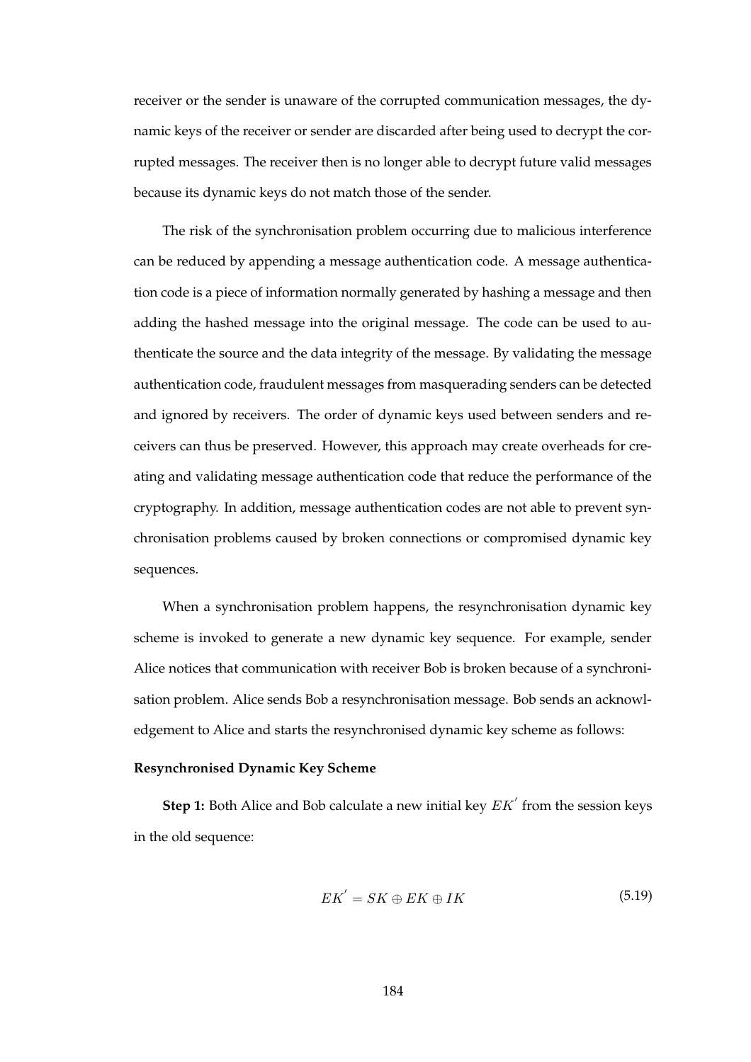receiver or the sender is unaware of the corrupted communication messages, the dynamic keys of the receiver or sender are discarded after being used to decrypt the corrupted messages. The receiver then is no longer able to decrypt future valid messages because its dynamic keys do not match those of the sender.

The risk of the synchronisation problem occurring due to malicious interference can be reduced by appending a message authentication code. A message authentication code is a piece of information normally generated by hashing a message and then adding the hashed message into the original message. The code can be used to authenticate the source and the data integrity of the message. By validating the message authentication code, fraudulent messages from masquerading senders can be detected and ignored by receivers. The order of dynamic keys used between senders and receivers can thus be preserved. However, this approach may create overheads for creating and validating message authentication code that reduce the performance of the cryptography. In addition, message authentication codes are not able to prevent synchronisation problems caused by broken connections or compromised dynamic key sequences.

When a synchronisation problem happens, the resynchronisation dynamic key scheme is invoked to generate a new dynamic key sequence. For example, sender Alice notices that communication with receiver Bob is broken because of a synchronisation problem. Alice sends Bob a resynchronisation message. Bob sends an acknowledgement to Alice and starts the resynchronised dynamic key scheme as follows:

### **Resynchronised Dynamic Key Scheme**

**Step 1:** Both Alice and Bob calculate a new initial key  $EK'$  from the session keys in the old sequence:

$$
EK' = SK \oplus EK \oplus IK \tag{5.19}
$$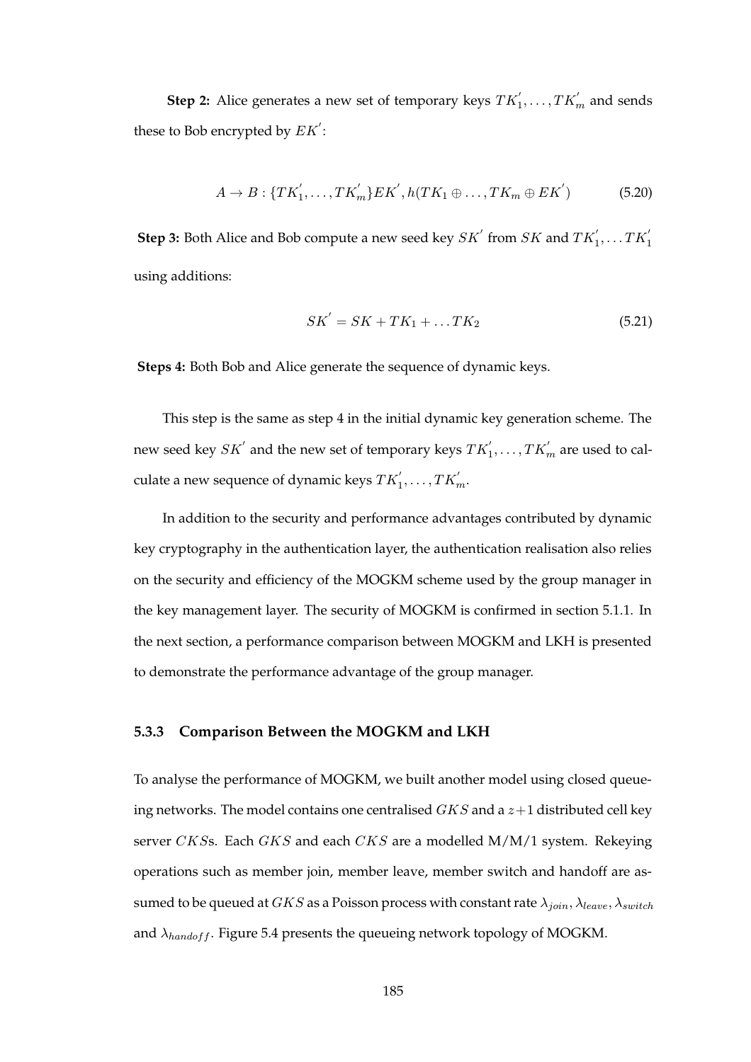**Step 2:** Alice generates a new set of temporary keys  $TK'_1, \ldots, TK'_m$  and sends these to Bob encrypted by  $EK'$ :

$$
A \rightarrow B: \{TK'_1, \ldots, TK'_m\} EK', h(TK_1 \oplus \ldots, TK_m \oplus EK') \tag{5.20}
$$

**Step 3:** Both Alice and Bob compute a new seed key  $SK'$  from  $SK$  and  $TK'_1, \ldots TK'_1$ using additions:

$$
SK' = SK + TK_1 + \dots TK_2 \tag{5.21}
$$

**Steps 4:** Both Bob and Alice generate the sequence of dynamic keys.

This step is the same as step 4 in the initial dynamic key generation scheme. The new seed key  $SK'$  and the new set of temporary keys  $TK'_1, \ldots, TK'_m$  are used to calculate a new sequence of dynamic keys  $TK_1', \ldots, TK_m'.$ 

In addition to the security and performance advantages contributed by dynamic key cryptography in the authentication layer, the authentication realisation also relies on the security and efficiency of the MOGKM scheme used by the group manager in the key management layer. The security of MOGKM is confirmed in section 5.1.1. In the next section, a performance comparison between MOGKM and LKH is presented to demonstrate the performance advantage of the group manager.

### **5.3.3 Comparison Between the MOGKM and LKH**

To analyse the performance of MOGKM, we built another model using closed queueing networks. The model contains one centralised  $GKS$  and a  $z+1$  distributed cell key server CKSs. Each GKS and each CKS are a modelled M/M/1 system. Rekeying operations such as member join, member leave, member switch and handoff are assumed to be queued at  $GKS$  as a Poisson process with constant rate  $\lambda_{join}, \lambda_{leave}, \lambda_{switch}$ and  $\lambda_{handoff}$ . Figure 5.4 presents the queueing network topology of MOGKM.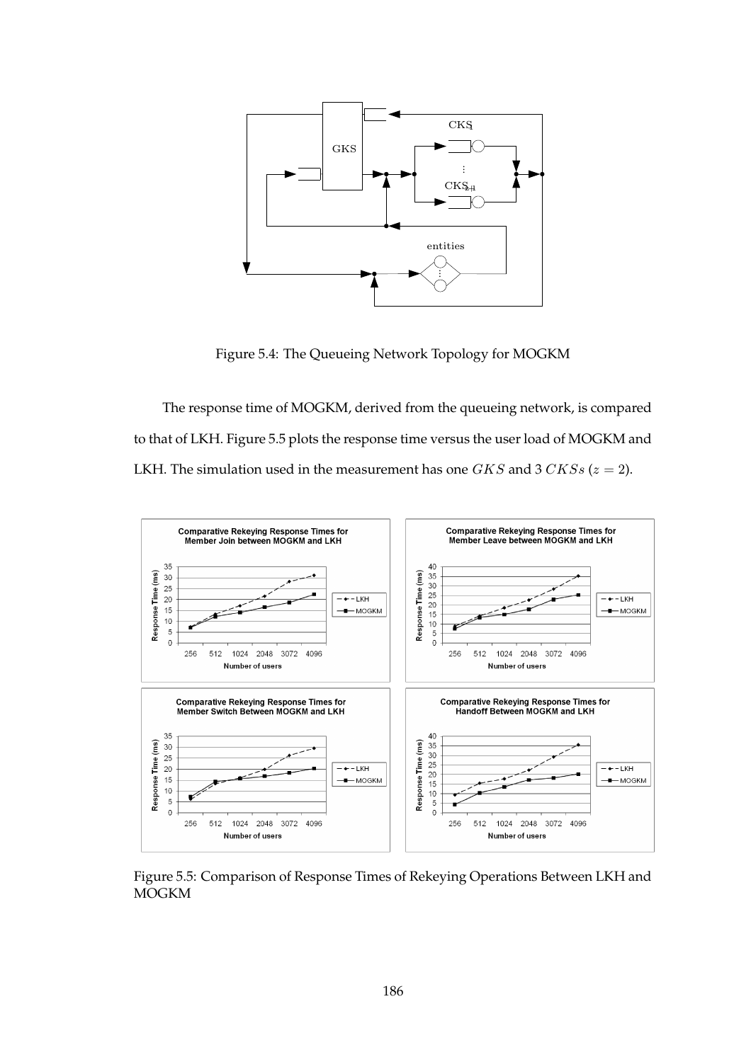

Figure 5.4: The Queueing Network Topology for MOGKM

The response time of MOGKM, derived from the queueing network, is compared to that of LKH. Figure 5.5 plots the response time versus the user load of MOGKM and LKH. The simulation used in the measurement has one GKS and 3 CKSs ( $z = 2$ ).



Figure 5.5: Comparison of Response Times of Rekeying Operations Between LKH and MOGKM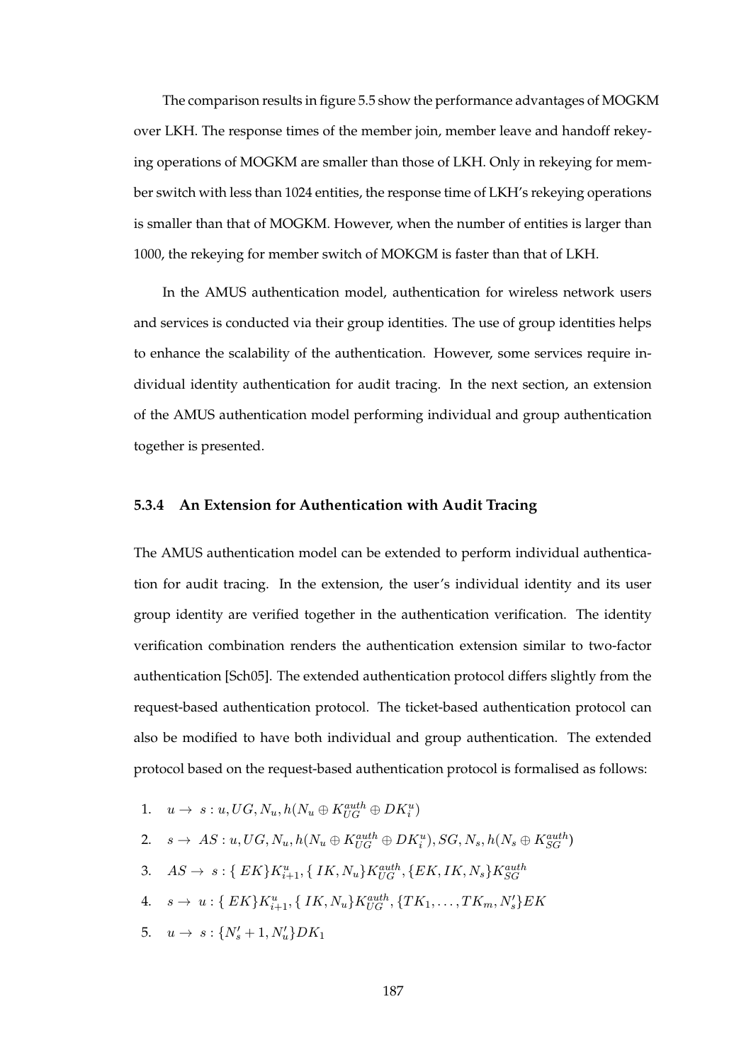The comparison results in figure 5.5 show the performance advantages of MOGKM over LKH. The response times of the member join, member leave and handoff rekeying operations of MOGKM are smaller than those of LKH. Only in rekeying for member switch with less than 1024 entities, the response time of LKH's rekeying operations is smaller than that of MOGKM. However, when the number of entities is larger than 1000, the rekeying for member switch of MOKGM is faster than that of LKH.

In the AMUS authentication model, authentication for wireless network users and services is conducted via their group identities. The use of group identities helps to enhance the scalability of the authentication. However, some services require individual identity authentication for audit tracing. In the next section, an extension of the AMUS authentication model performing individual and group authentication together is presented.

### **5.3.4 An Extension for Authentication with Audit Tracing**

The AMUS authentication model can be extended to perform individual authentication for audit tracing. In the extension, the user's individual identity and its user group identity are verified together in the authentication verification. The identity verification combination renders the authentication extension similar to two-factor authentication [Sch05]. The extended authentication protocol differs slightly from the request-based authentication protocol. The ticket-based authentication protocol can also be modified to have both individual and group authentication. The extended protocol based on the request-based authentication protocol is formalised as follows:

1. 
$$
u \to s : u, UG, N_u, h(N_u \oplus K_{UG}^{auth} \oplus DK_i^u)
$$

2. 
$$
s \to AS: u, UG, N_u, h(N_u \oplus K_{UG}^{auth} \oplus DK_i^u), SG, N_s, h(N_s \oplus K_{SG}^{auth})
$$

- 3.  $AS \to s: \{ EK \} K_{i+1}^u, \{ IK, N_u \} K_{UG}^{auth}, \{ EK, IK, N_s \} K_{SG}^{auth}$
- 4.  $s \to u: \{ EK \} K_{i+1}^u, \{ IK, N_u \} K_{UG}^{auth}, \{ TK_1, \ldots, TK_m, N_s' \} EK$
- 5.  $u \to s: \{N_s' + 1, N_u'\} DK_1$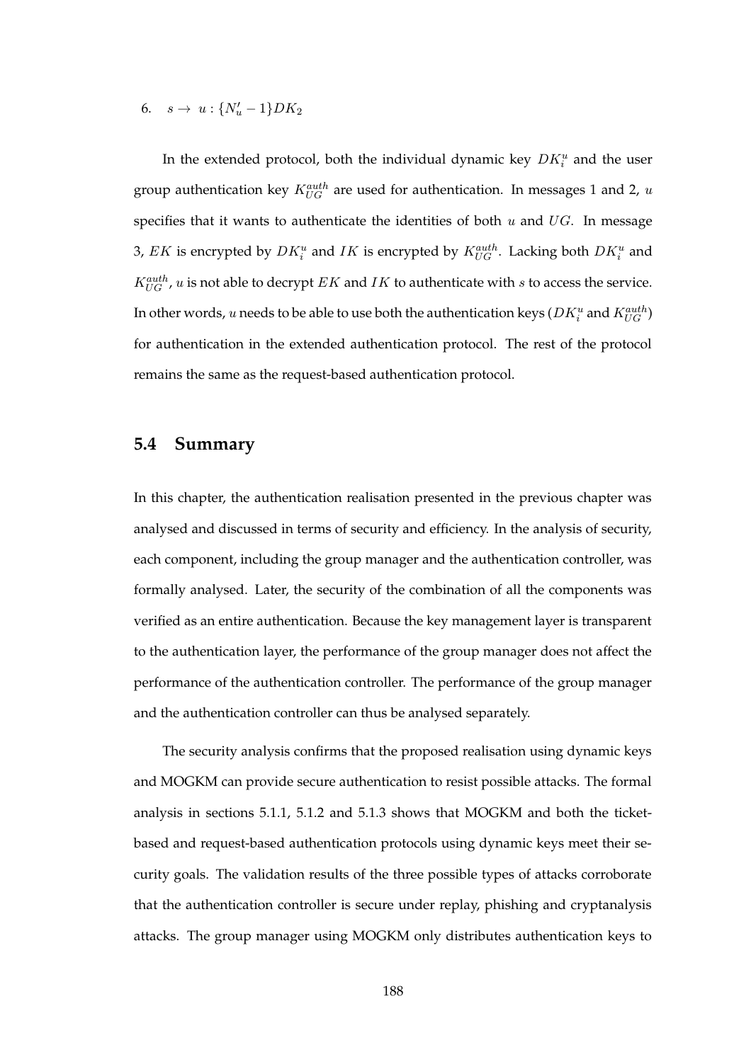6.  $s \to u : \{N'_u - 1\} D K_2$ 

In the extended protocol, both the individual dynamic key  $DK_i^u$  and the user group authentication key  $K_{UG}^{auth}$  are used for authentication. In messages 1 and 2,  $u$ specifies that it wants to authenticate the identities of both  $u$  and  $UG$ . In message 3,  $EK$  is encrypted by  $DK_i^u$  and  $IK$  is encrypted by  $K_{UG}^{auth}$ . Lacking both  $DK_i^u$  and  $K_{UG}^{auth}$ , u is not able to decrypt  $EK$  and  $IK$  to authenticate with s to access the service. In other words,  $u$  needs to be able to use both the authentication keys (  $DK_i^u$  and  $K_{UG}^{auth}$ ) for authentication in the extended authentication protocol. The rest of the protocol remains the same as the request-based authentication protocol.

### **5.4 Summary**

In this chapter, the authentication realisation presented in the previous chapter was analysed and discussed in terms of security and efficiency. In the analysis of security, each component, including the group manager and the authentication controller, was formally analysed. Later, the security of the combination of all the components was verified as an entire authentication. Because the key management layer is transparent to the authentication layer, the performance of the group manager does not affect the performance of the authentication controller. The performance of the group manager and the authentication controller can thus be analysed separately.

The security analysis confirms that the proposed realisation using dynamic keys and MOGKM can provide secure authentication to resist possible attacks. The formal analysis in sections 5.1.1, 5.1.2 and 5.1.3 shows that MOGKM and both the ticketbased and request-based authentication protocols using dynamic keys meet their security goals. The validation results of the three possible types of attacks corroborate that the authentication controller is secure under replay, phishing and cryptanalysis attacks. The group manager using MOGKM only distributes authentication keys to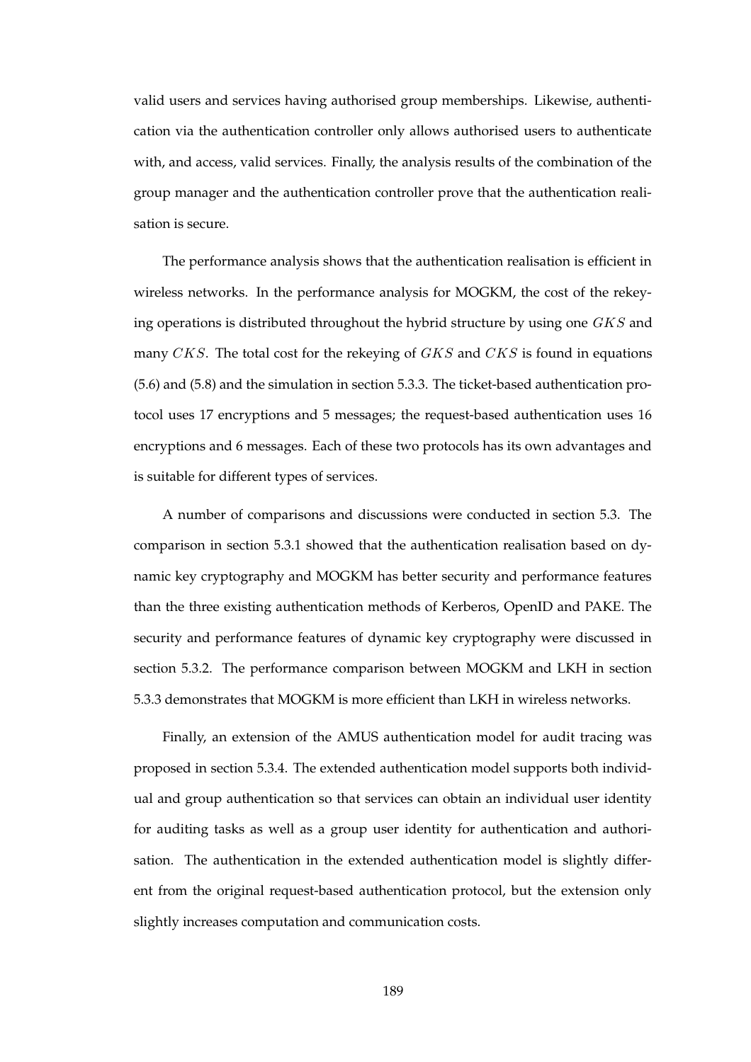valid users and services having authorised group memberships. Likewise, authentication via the authentication controller only allows authorised users to authenticate with, and access, valid services. Finally, the analysis results of the combination of the group manager and the authentication controller prove that the authentication realisation is secure.

The performance analysis shows that the authentication realisation is efficient in wireless networks. In the performance analysis for MOGKM, the cost of the rekeying operations is distributed throughout the hybrid structure by using one GKS and many CKS. The total cost for the rekeying of  $GKS$  and  $CKS$  is found in equations (5.6) and (5.8) and the simulation in section 5.3.3. The ticket-based authentication protocol uses 17 encryptions and 5 messages; the request-based authentication uses 16 encryptions and 6 messages. Each of these two protocols has its own advantages and is suitable for different types of services.

A number of comparisons and discussions were conducted in section 5.3. The comparison in section 5.3.1 showed that the authentication realisation based on dynamic key cryptography and MOGKM has better security and performance features than the three existing authentication methods of Kerberos, OpenID and PAKE. The security and performance features of dynamic key cryptography were discussed in section 5.3.2. The performance comparison between MOGKM and LKH in section 5.3.3 demonstrates that MOGKM is more efficient than LKH in wireless networks.

Finally, an extension of the AMUS authentication model for audit tracing was proposed in section 5.3.4. The extended authentication model supports both individual and group authentication so that services can obtain an individual user identity for auditing tasks as well as a group user identity for authentication and authorisation. The authentication in the extended authentication model is slightly different from the original request-based authentication protocol, but the extension only slightly increases computation and communication costs.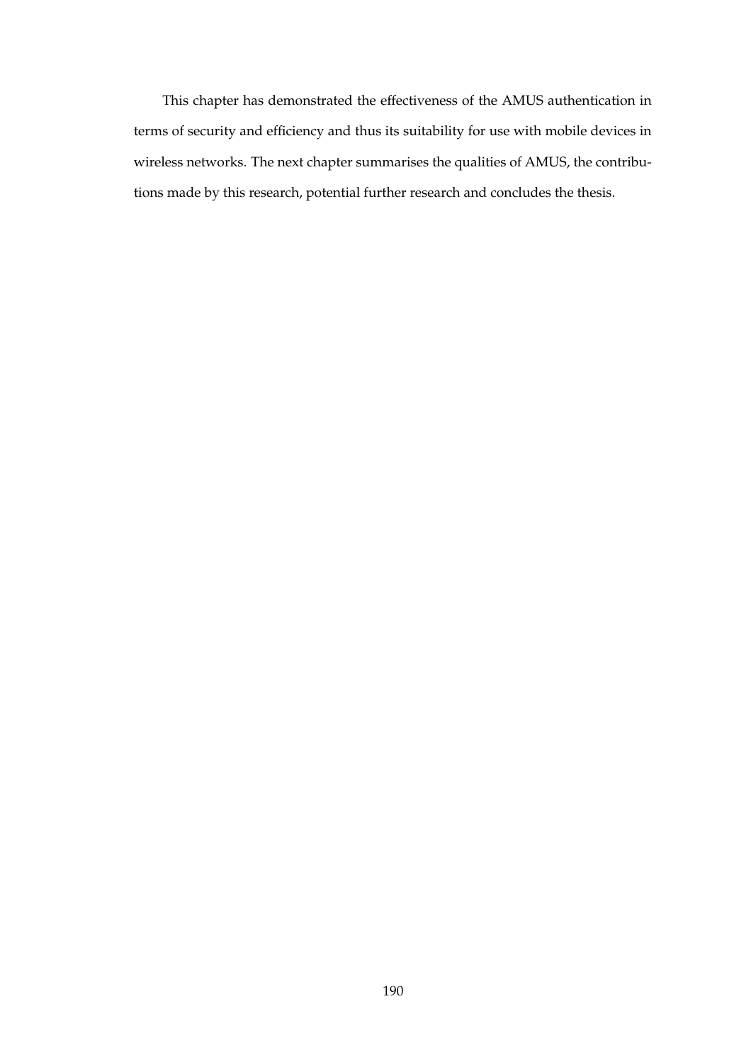This chapter has demonstrated the effectiveness of the AMUS authentication in terms of security and efficiency and thus its suitability for use with mobile devices in wireless networks. The next chapter summarises the qualities of AMUS, the contributions made by this research, potential further research and concludes the thesis.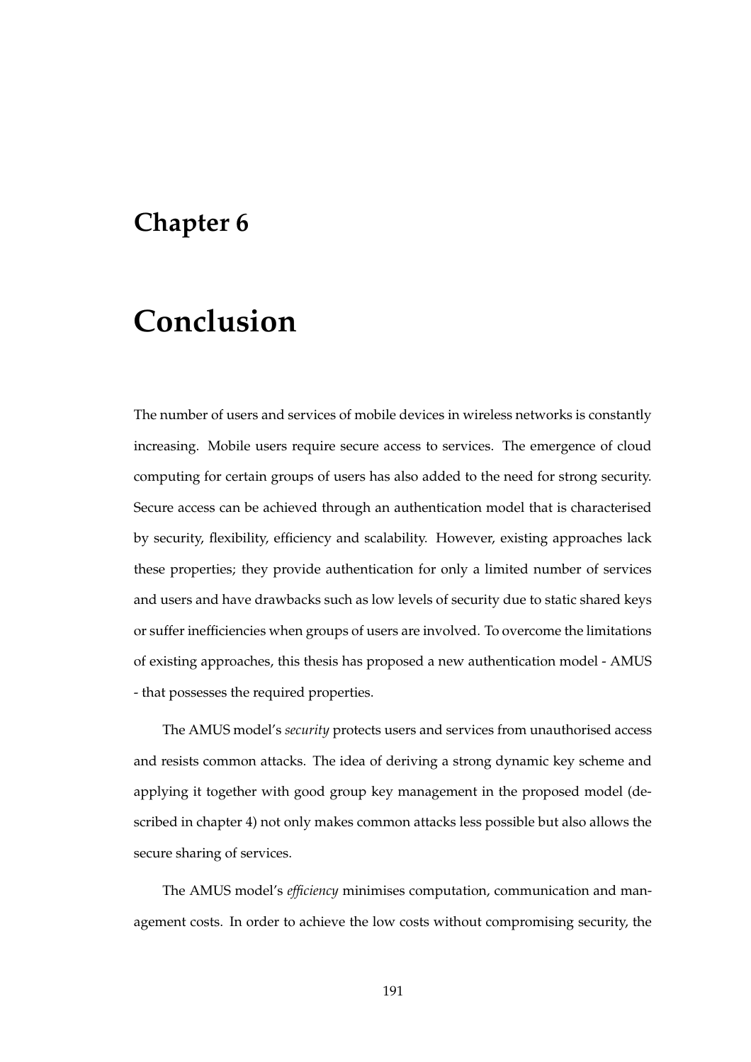# **Chapter 6**

# **Conclusion**

The number of users and services of mobile devices in wireless networks is constantly increasing. Mobile users require secure access to services. The emergence of cloud computing for certain groups of users has also added to the need for strong security. Secure access can be achieved through an authentication model that is characterised by security, flexibility, efficiency and scalability. However, existing approaches lack these properties; they provide authentication for only a limited number of services and users and have drawbacks such as low levels of security due to static shared keys or suffer inefficiencies when groups of users are involved. To overcome the limitations of existing approaches, this thesis has proposed a new authentication model - AMUS - that possesses the required properties.

The AMUS model's *security* protects users and services from unauthorised access and resists common attacks. The idea of deriving a strong dynamic key scheme and applying it together with good group key management in the proposed model (described in chapter 4) not only makes common attacks less possible but also allows the secure sharing of services.

The AMUS model's *efficiency* minimises computation, communication and management costs. In order to achieve the low costs without compromising security, the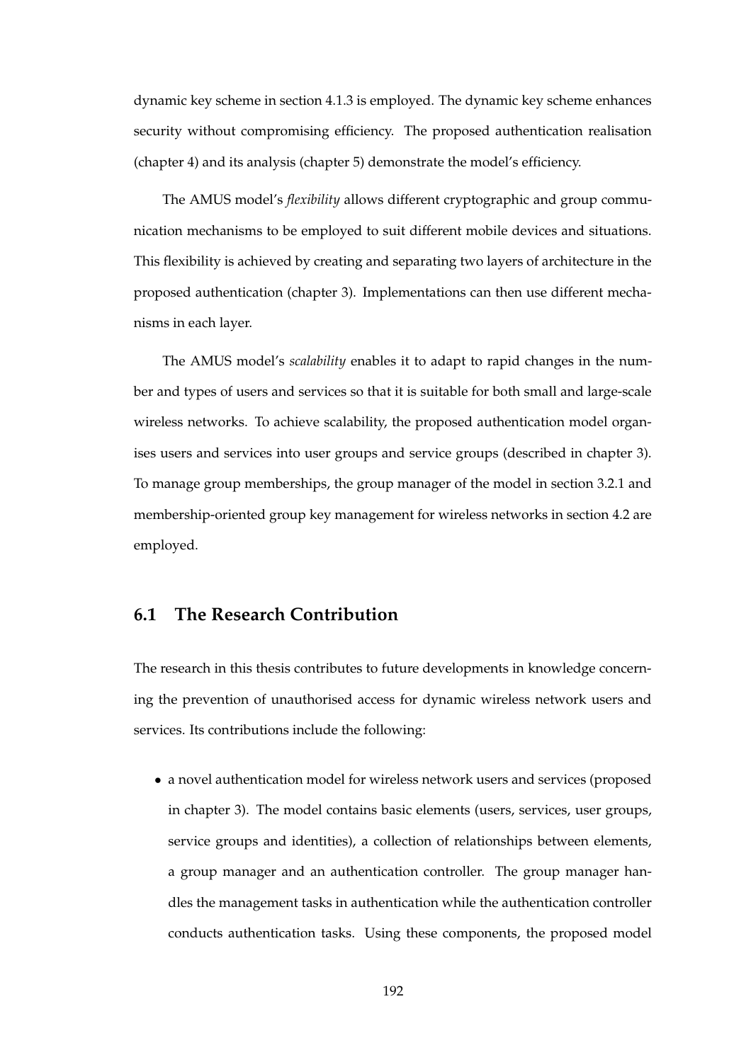dynamic key scheme in section 4.1.3 is employed. The dynamic key scheme enhances security without compromising efficiency. The proposed authentication realisation (chapter 4) and its analysis (chapter 5) demonstrate the model's efficiency.

The AMUS model's *flexibility* allows different cryptographic and group communication mechanisms to be employed to suit different mobile devices and situations. This flexibility is achieved by creating and separating two layers of architecture in the proposed authentication (chapter 3). Implementations can then use different mechanisms in each layer.

The AMUS model's *scalability* enables it to adapt to rapid changes in the number and types of users and services so that it is suitable for both small and large-scale wireless networks. To achieve scalability, the proposed authentication model organises users and services into user groups and service groups (described in chapter 3). To manage group memberships, the group manager of the model in section 3.2.1 and membership-oriented group key management for wireless networks in section 4.2 are employed.

### **6.1 The Research Contribution**

The research in this thesis contributes to future developments in knowledge concerning the prevention of unauthorised access for dynamic wireless network users and services. Its contributions include the following:

• a novel authentication model for wireless network users and services (proposed in chapter 3). The model contains basic elements (users, services, user groups, service groups and identities), a collection of relationships between elements, a group manager and an authentication controller. The group manager handles the management tasks in authentication while the authentication controller conducts authentication tasks. Using these components, the proposed model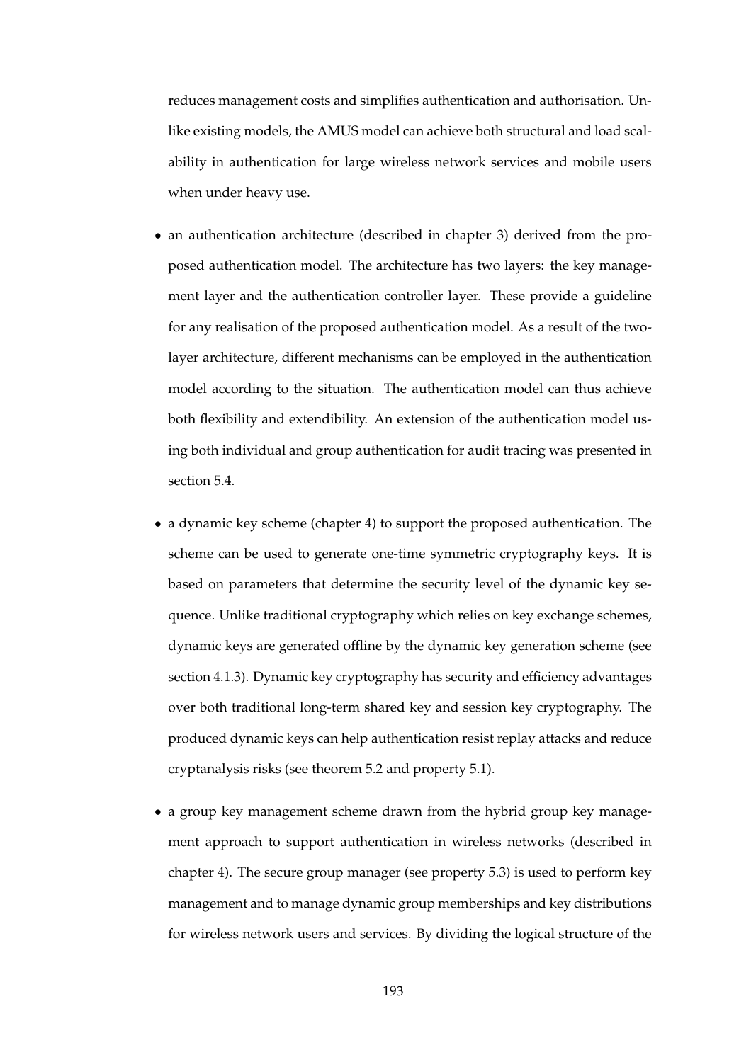reduces management costs and simplifies authentication and authorisation. Unlike existing models, the AMUS model can achieve both structural and load scalability in authentication for large wireless network services and mobile users when under heavy use.

- an authentication architecture (described in chapter 3) derived from the proposed authentication model. The architecture has two layers: the key management layer and the authentication controller layer. These provide a guideline for any realisation of the proposed authentication model. As a result of the twolayer architecture, different mechanisms can be employed in the authentication model according to the situation. The authentication model can thus achieve both flexibility and extendibility. An extension of the authentication model using both individual and group authentication for audit tracing was presented in section 5.4.
- a dynamic key scheme (chapter 4) to support the proposed authentication. The scheme can be used to generate one-time symmetric cryptography keys. It is based on parameters that determine the security level of the dynamic key sequence. Unlike traditional cryptography which relies on key exchange schemes, dynamic keys are generated offline by the dynamic key generation scheme (see section 4.1.3). Dynamic key cryptography has security and efficiency advantages over both traditional long-term shared key and session key cryptography. The produced dynamic keys can help authentication resist replay attacks and reduce cryptanalysis risks (see theorem 5.2 and property 5.1).
- a group key management scheme drawn from the hybrid group key management approach to support authentication in wireless networks (described in chapter 4). The secure group manager (see property 5.3) is used to perform key management and to manage dynamic group memberships and key distributions for wireless network users and services. By dividing the logical structure of the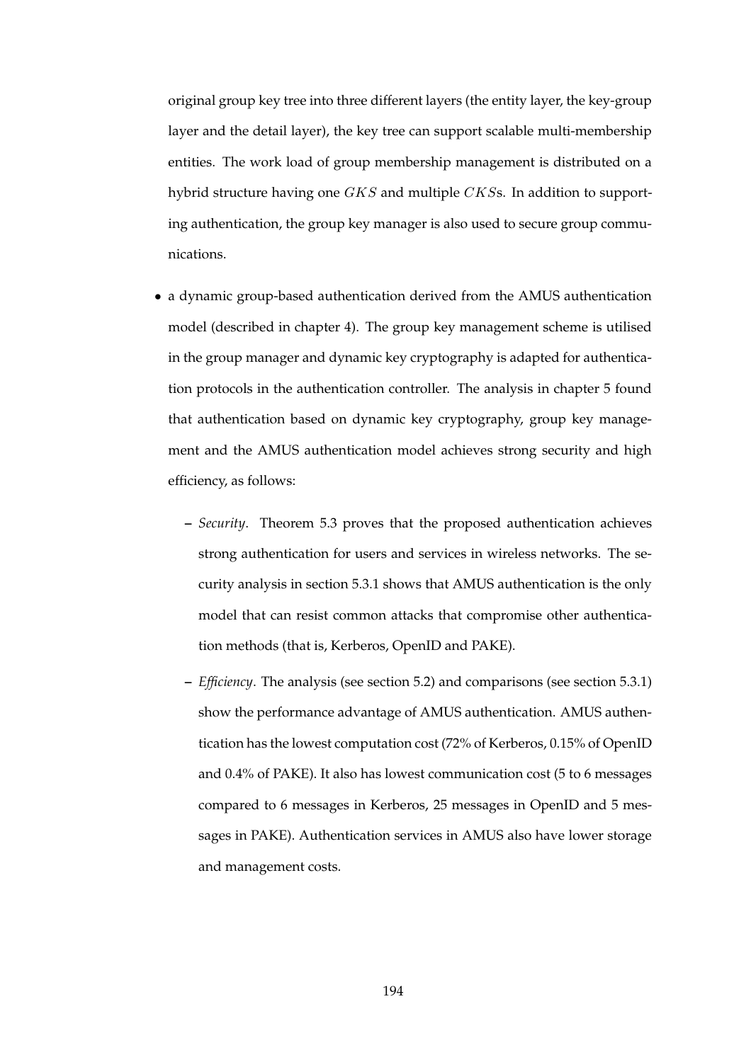original group key tree into three different layers (the entity layer, the key-group layer and the detail layer), the key tree can support scalable multi-membership entities. The work load of group membership management is distributed on a hybrid structure having one *GKS* and multiple *CKSs*. In addition to supporting authentication, the group key manager is also used to secure group communications.

- a dynamic group-based authentication derived from the AMUS authentication model (described in chapter 4). The group key management scheme is utilised in the group manager and dynamic key cryptography is adapted for authentication protocols in the authentication controller. The analysis in chapter 5 found that authentication based on dynamic key cryptography, group key management and the AMUS authentication model achieves strong security and high efficiency, as follows:
	- **–** *Security*. Theorem 5.3 proves that the proposed authentication achieves strong authentication for users and services in wireless networks. The security analysis in section 5.3.1 shows that AMUS authentication is the only model that can resist common attacks that compromise other authentication methods (that is, Kerberos, OpenID and PAKE).
	- **–** *Efficiency*. The analysis (see section 5.2) and comparisons (see section 5.3.1) show the performance advantage of AMUS authentication. AMUS authentication has the lowest computation cost (72% of Kerberos, 0.15% of OpenID and 0.4% of PAKE). It also has lowest communication cost (5 to 6 messages compared to 6 messages in Kerberos, 25 messages in OpenID and 5 messages in PAKE). Authentication services in AMUS also have lower storage and management costs.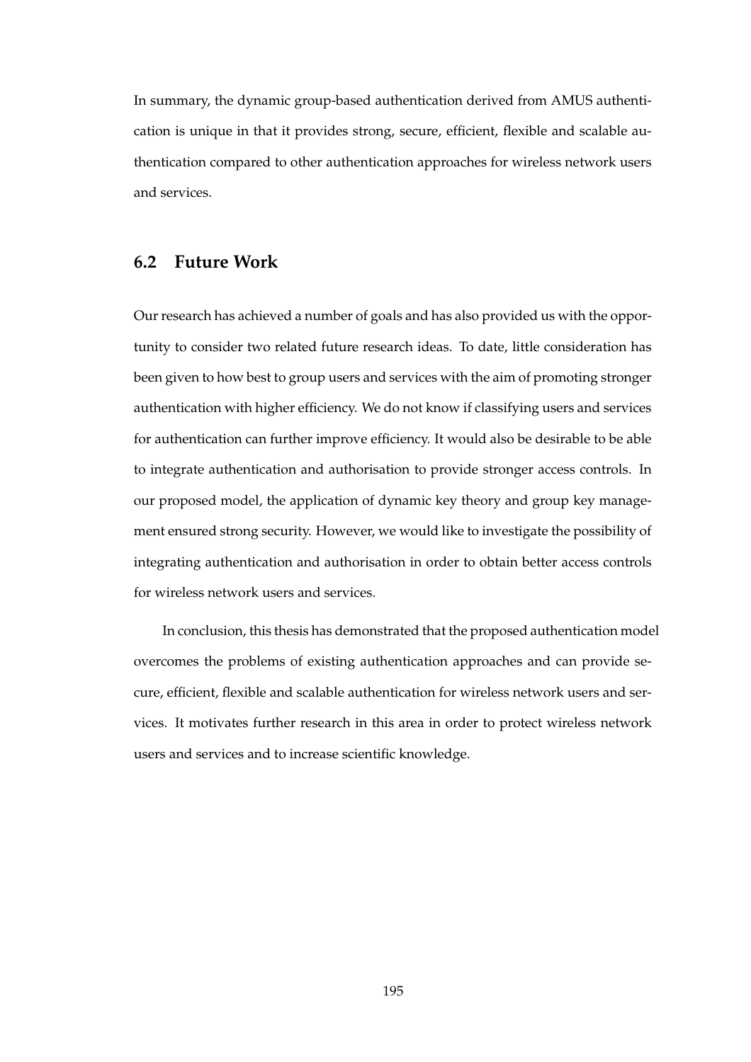In summary, the dynamic group-based authentication derived from AMUS authentication is unique in that it provides strong, secure, efficient, flexible and scalable authentication compared to other authentication approaches for wireless network users and services.

## **6.2 Future Work**

Our research has achieved a number of goals and has also provided us with the opportunity to consider two related future research ideas. To date, little consideration has been given to how best to group users and services with the aim of promoting stronger authentication with higher efficiency. We do not know if classifying users and services for authentication can further improve efficiency. It would also be desirable to be able to integrate authentication and authorisation to provide stronger access controls. In our proposed model, the application of dynamic key theory and group key management ensured strong security. However, we would like to investigate the possibility of integrating authentication and authorisation in order to obtain better access controls for wireless network users and services.

In conclusion, this thesis has demonstrated that the proposed authentication model overcomes the problems of existing authentication approaches and can provide secure, efficient, flexible and scalable authentication for wireless network users and services. It motivates further research in this area in order to protect wireless network users and services and to increase scientific knowledge.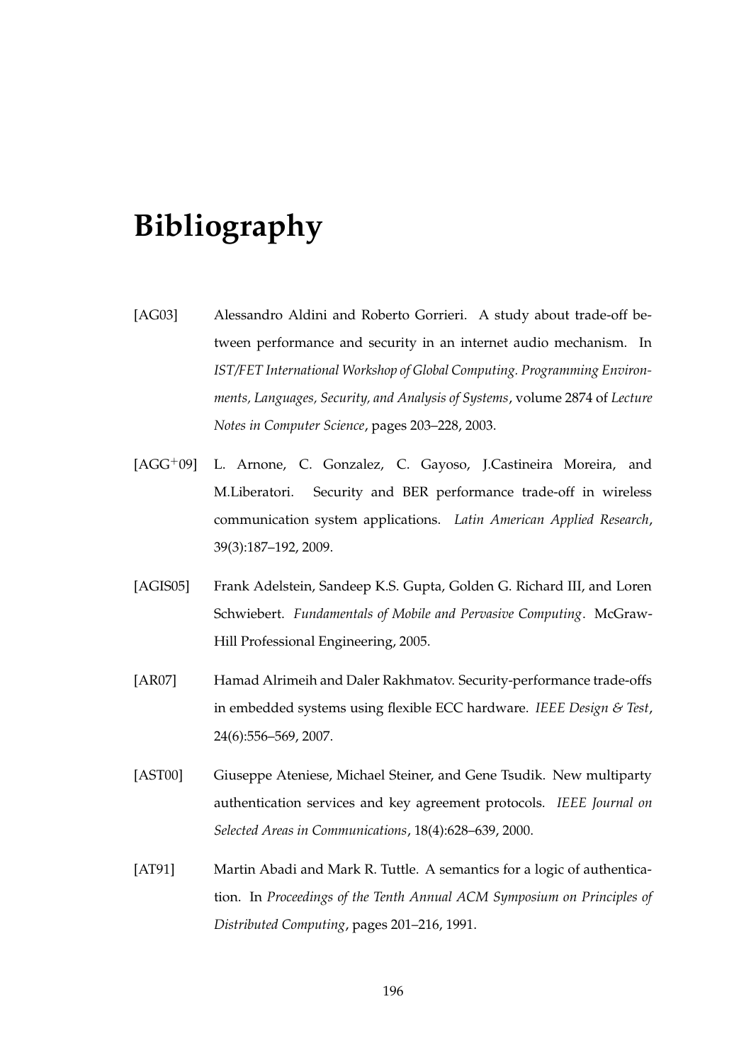## **Bibliography**

- [AG03] Alessandro Aldini and Roberto Gorrieri. A study about trade-off between performance and security in an internet audio mechanism. In *IST/FET International Workshop of Global Computing. Programming Environments, Languages, Security, and Analysis of Systems*, volume 2874 of *Lecture Notes in Computer Science*, pages 203–228, 2003.
- [AGG<sup>+</sup>09] L. Arnone, C. Gonzalez, C. Gayoso, J.Castineira Moreira, and M.Liberatori. Security and BER performance trade-off in wireless communication system applications. *Latin American Applied Research*, 39(3):187–192, 2009.
- [AGIS05] Frank Adelstein, Sandeep K.S. Gupta, Golden G. Richard III, and Loren Schwiebert. *Fundamentals of Mobile and Pervasive Computing*. McGraw-Hill Professional Engineering, 2005.
- [AR07] Hamad Alrimeih and Daler Rakhmatov. Security-performance trade-offs in embedded systems using flexible ECC hardware. *IEEE Design & Test*, 24(6):556–569, 2007.
- [AST00] Giuseppe Ateniese, Michael Steiner, and Gene Tsudik. New multiparty authentication services and key agreement protocols. *IEEE Journal on Selected Areas in Communications*, 18(4):628–639, 2000.
- [AT91] Martin Abadi and Mark R. Tuttle. A semantics for a logic of authentication. In *Proceedings of the Tenth Annual ACM Symposium on Principles of Distributed Computing*, pages 201–216, 1991.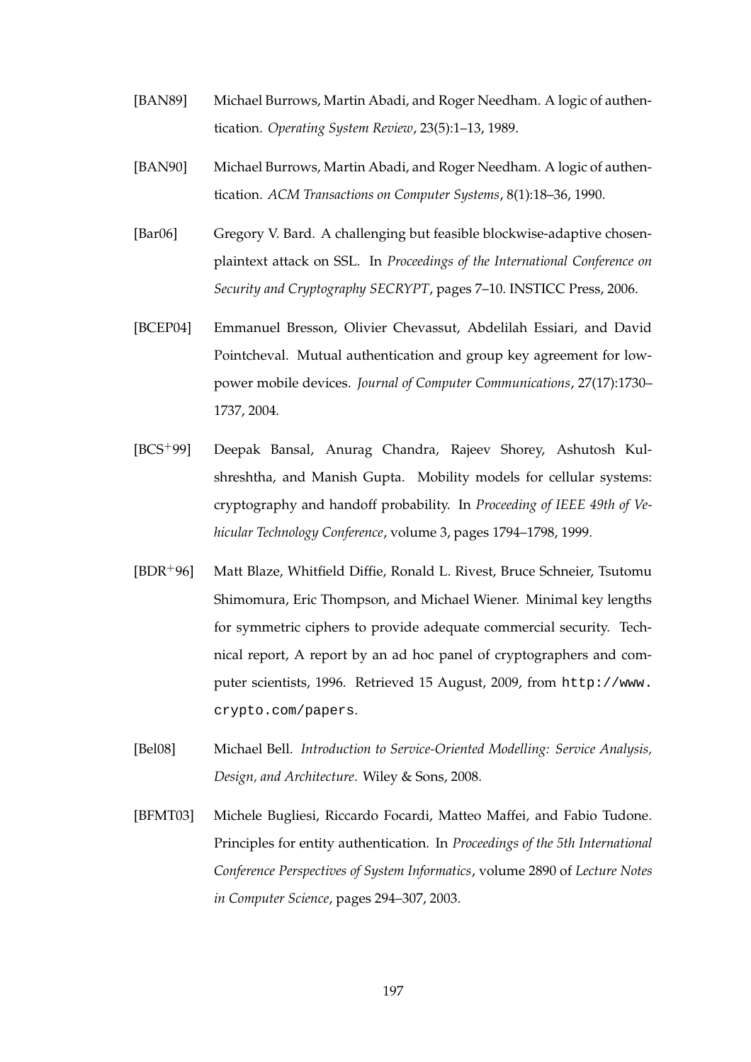- [BAN89] Michael Burrows, Martin Abadi, and Roger Needham. A logic of authentication. *Operating System Review*, 23(5):1–13, 1989.
- [BAN90] Michael Burrows, Martin Abadi, and Roger Needham. A logic of authentication. *ACM Transactions on Computer Systems*, 8(1):18–36, 1990.
- [Bar06] Gregory V. Bard. A challenging but feasible blockwise-adaptive chosenplaintext attack on SSL. In *Proceedings of the International Conference on Security and Cryptography SECRYPT*, pages 7–10. INSTICC Press, 2006.
- [BCEP04] Emmanuel Bresson, Olivier Chevassut, Abdelilah Essiari, and David Pointcheval. Mutual authentication and group key agreement for lowpower mobile devices. *Journal of Computer Communications*, 27(17):1730– 1737, 2004.
- [BCS+99] Deepak Bansal, Anurag Chandra, Rajeev Shorey, Ashutosh Kulshreshtha, and Manish Gupta. Mobility models for cellular systems: cryptography and handoff probability. In *Proceeding of IEEE 49th of Vehicular Technology Conference*, volume 3, pages 1794–1798, 1999.
- [BDR+96] Matt Blaze, Whitfield Diffie, Ronald L. Rivest, Bruce Schneier, Tsutomu Shimomura, Eric Thompson, and Michael Wiener. Minimal key lengths for symmetric ciphers to provide adequate commercial security. Technical report, A report by an ad hoc panel of cryptographers and computer scientists, 1996. Retrieved 15 August, 2009, from http://www. crypto.com/papers.
- [Bel08] Michael Bell. *Introduction to Service-Oriented Modelling: Service Analysis, Design, and Architecture*. Wiley & Sons, 2008.
- [BFMT03] Michele Bugliesi, Riccardo Focardi, Matteo Maffei, and Fabio Tudone. Principles for entity authentication. In *Proceedings of the 5th International Conference Perspectives of System Informatics*, volume 2890 of *Lecture Notes in Computer Science*, pages 294–307, 2003.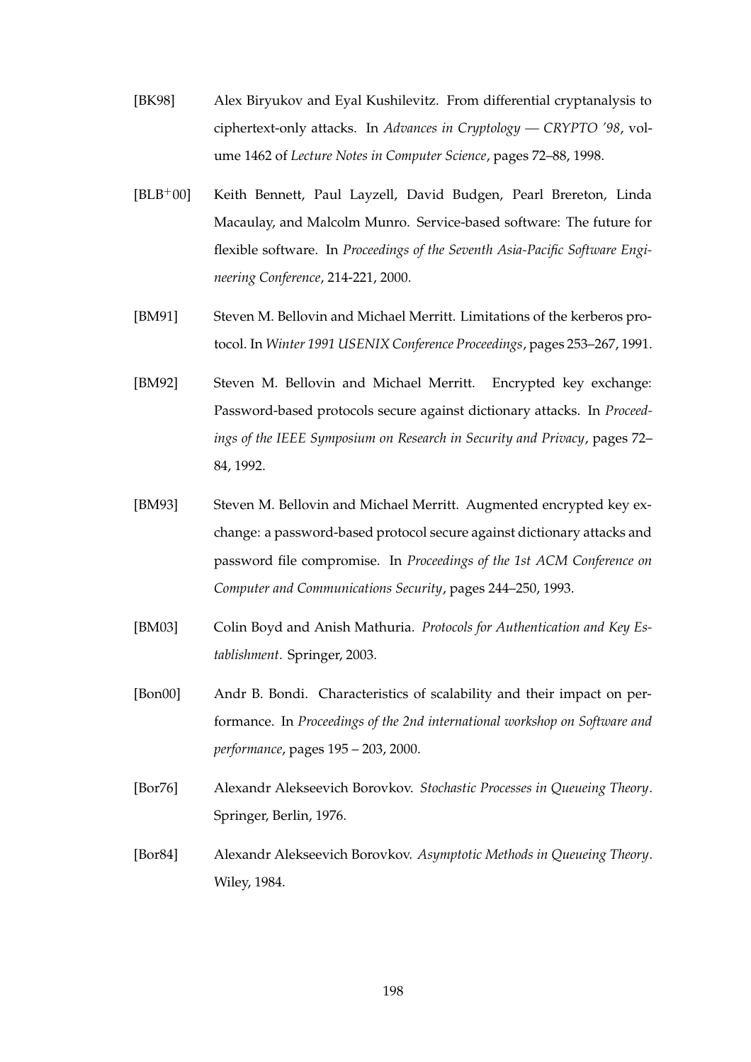- [BK98] Alex Biryukov and Eyal Kushilevitz. From differential cryptanalysis to ciphertext-only attacks. In *Advances in Cryptology — CRYPTO '98*, volume 1462 of *Lecture Notes in Computer Science*, pages 72–88, 1998.
- [BLB+00] Keith Bennett, Paul Layzell, David Budgen, Pearl Brereton, Linda Macaulay, and Malcolm Munro. Service-based software: The future for flexible software. In *Proceedings of the Seventh Asia-Pacific Software Engineering Conference*, 214-221, 2000.
- [BM91] Steven M. Bellovin and Michael Merritt. Limitations of the kerberos protocol. In *Winter 1991 USENIX Conference Proceedings*, pages 253–267, 1991.
- [BM92] Steven M. Bellovin and Michael Merritt. Encrypted key exchange: Password-based protocols secure against dictionary attacks. In *Proceedings of the IEEE Symposium on Research in Security and Privacy*, pages 72– 84, 1992.
- [BM93] Steven M. Bellovin and Michael Merritt. Augmented encrypted key exchange: a password-based protocol secure against dictionary attacks and password file compromise. In *Proceedings of the 1st ACM Conference on Computer and Communications Security*, pages 244–250, 1993.
- [BM03] Colin Boyd and Anish Mathuria. *Protocols for Authentication and Key Establishment*. Springer, 2003.
- [Bon00] Andr B. Bondi. Characteristics of scalability and their impact on performance. In *Proceedings of the 2nd international workshop on Software and performance*, pages 195 – 203, 2000.
- [Bor76] Alexandr Alekseevich Borovkov. *Stochastic Processes in Queueing Theory*. Springer, Berlin, 1976.
- [Bor84] Alexandr Alekseevich Borovkov. *Asymptotic Methods in Queueing Theory*. Wiley, 1984.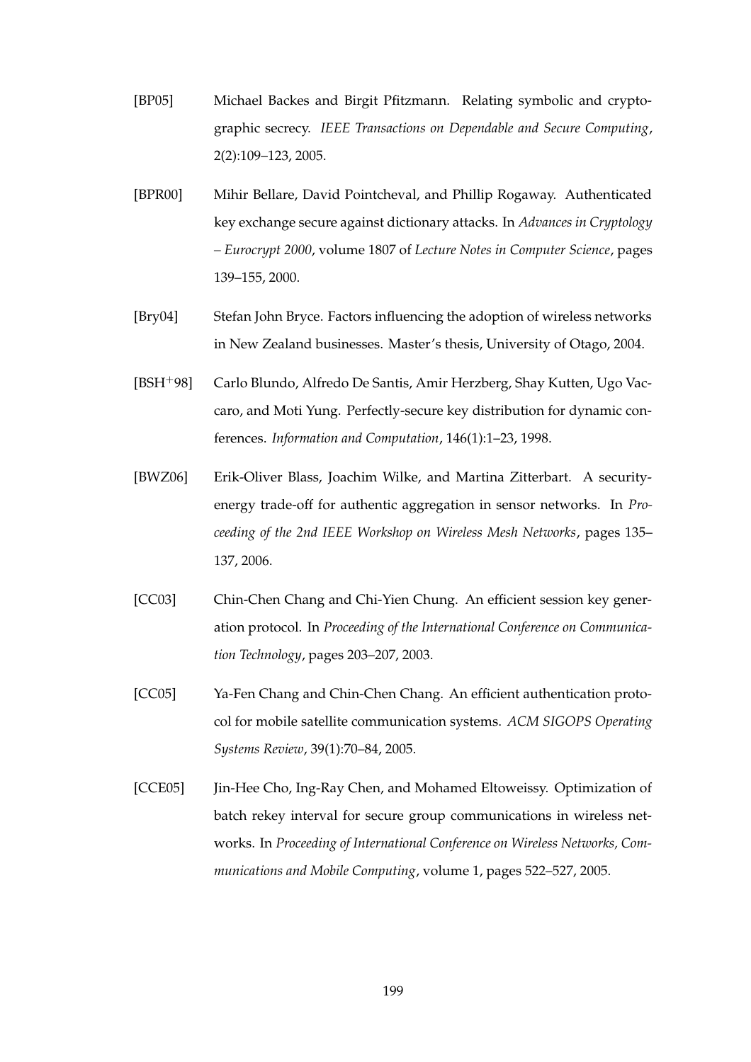- [BP05] Michael Backes and Birgit Pfitzmann. Relating symbolic and cryptographic secrecy. *IEEE Transactions on Dependable and Secure Computing*, 2(2):109–123, 2005.
- [BPR00] Mihir Bellare, David Pointcheval, and Phillip Rogaway. Authenticated key exchange secure against dictionary attacks. In *Advances in Cryptology – Eurocrypt 2000*, volume 1807 of *Lecture Notes in Computer Science*, pages 139–155, 2000.
- [Bry04] Stefan John Bryce. Factors influencing the adoption of wireless networks in New Zealand businesses. Master's thesis, University of Otago, 2004.
- [BSH+98] Carlo Blundo, Alfredo De Santis, Amir Herzberg, Shay Kutten, Ugo Vaccaro, and Moti Yung. Perfectly-secure key distribution for dynamic conferences. *Information and Computation*, 146(1):1–23, 1998.
- [BWZ06] Erik-Oliver Blass, Joachim Wilke, and Martina Zitterbart. A securityenergy trade-off for authentic aggregation in sensor networks. In *Proceeding of the 2nd IEEE Workshop on Wireless Mesh Networks*, pages 135– 137, 2006.
- [CC03] Chin-Chen Chang and Chi-Yien Chung. An efficient session key generation protocol. In *Proceeding of the International Conference on Communication Technology*, pages 203–207, 2003.
- [CC05] Ya-Fen Chang and Chin-Chen Chang. An efficient authentication protocol for mobile satellite communication systems. *ACM SIGOPS Operating Systems Review*, 39(1):70–84, 2005.
- [CCE05] Jin-Hee Cho, Ing-Ray Chen, and Mohamed Eltoweissy. Optimization of batch rekey interval for secure group communications in wireless networks. In *Proceeding of International Conference on Wireless Networks, Communications and Mobile Computing*, volume 1, pages 522–527, 2005.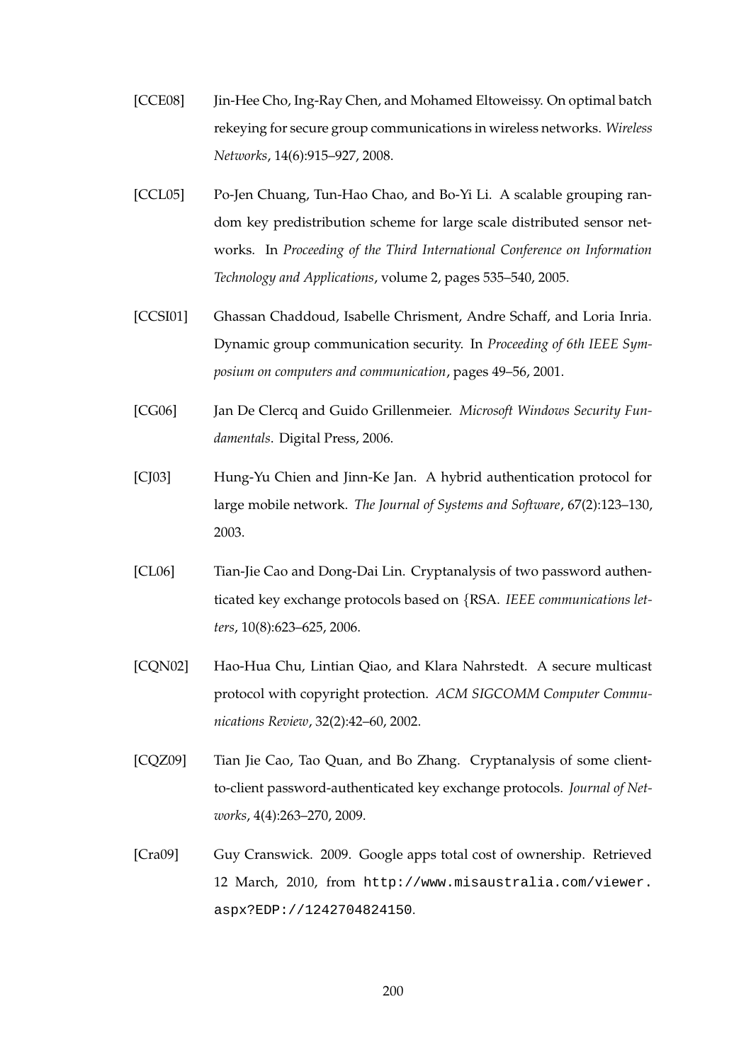- [CCE08] Jin-Hee Cho, Ing-Ray Chen, and Mohamed Eltoweissy. On optimal batch rekeying for secure group communications in wireless networks. *Wireless Networks*, 14(6):915–927, 2008.
- [CCL05] Po-Jen Chuang, Tun-Hao Chao, and Bo-Yi Li. A scalable grouping random key predistribution scheme for large scale distributed sensor networks. In *Proceeding of the Third International Conference on Information Technology and Applications*, volume 2, pages 535–540, 2005.
- [CCSI01] Ghassan Chaddoud, Isabelle Chrisment, Andre Schaff, and Loria Inria. Dynamic group communication security. In *Proceeding of 6th IEEE Symposium on computers and communication*, pages 49–56, 2001.
- [CG06] Jan De Clercq and Guido Grillenmeier. *Microsoft Windows Security Fundamentals*. Digital Press, 2006.
- [CJ03] Hung-Yu Chien and Jinn-Ke Jan. A hybrid authentication protocol for large mobile network. *The Journal of Systems and Software*, 67(2):123–130, 2003.
- [CL06] Tian-Jie Cao and Dong-Dai Lin. Cryptanalysis of two password authenticated key exchange protocols based on {RSA. *IEEE communications letters*, 10(8):623–625, 2006.
- [CQN02] Hao-Hua Chu, Lintian Qiao, and Klara Nahrstedt. A secure multicast protocol with copyright protection. *ACM SIGCOMM Computer Communications Review*, 32(2):42–60, 2002.
- [CQZ09] Tian Jie Cao, Tao Quan, and Bo Zhang. Cryptanalysis of some clientto-client password-authenticated key exchange protocols. *Journal of Networks*, 4(4):263–270, 2009.
- [Cra09] Guy Cranswick. 2009. Google apps total cost of ownership. Retrieved 12 March, 2010, from http://www.misaustralia.com/viewer. aspx?EDP://1242704824150.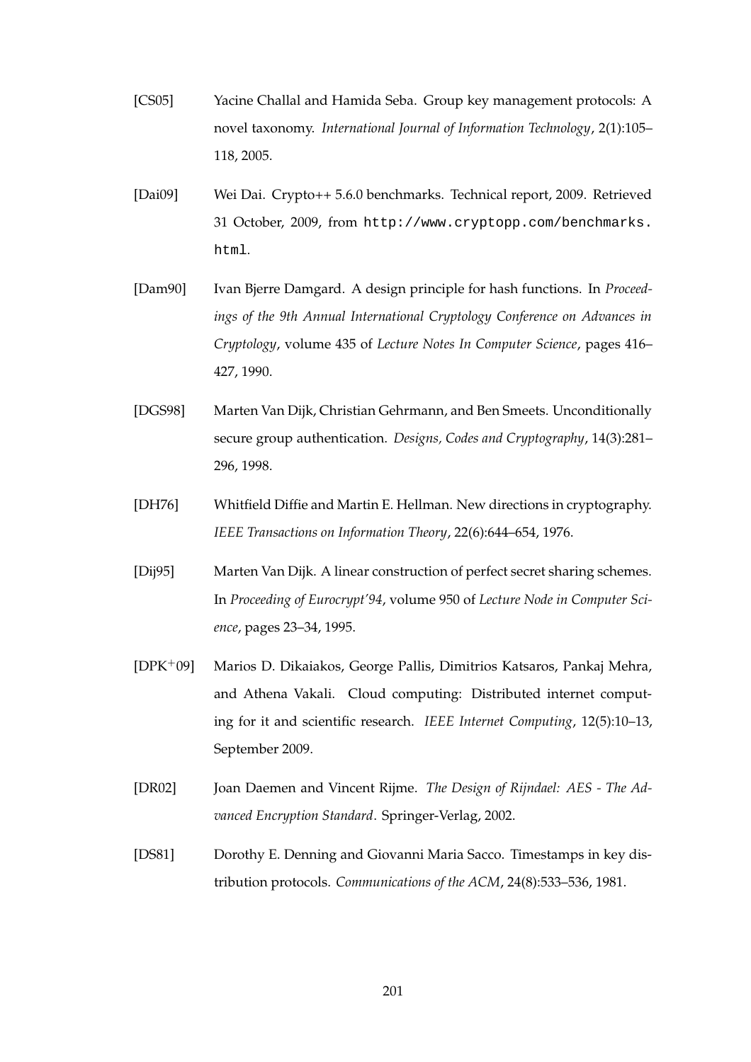- [CS05] Yacine Challal and Hamida Seba. Group key management protocols: A novel taxonomy. *International Journal of Information Technology*, 2(1):105– 118, 2005.
- [Dai09] Wei Dai. Crypto++ 5.6.0 benchmarks. Technical report, 2009. Retrieved 31 October, 2009, from http://www.cryptopp.com/benchmarks. html.
- [Dam90] Ivan Bjerre Damgard. A design principle for hash functions. In *Proceedings of the 9th Annual International Cryptology Conference on Advances in Cryptology*, volume 435 of *Lecture Notes In Computer Science*, pages 416– 427, 1990.
- [DGS98] Marten Van Dijk, Christian Gehrmann, and Ben Smeets. Unconditionally secure group authentication. *Designs, Codes and Cryptography*, 14(3):281– 296, 1998.
- [DH76] Whitfield Diffie and Martin E. Hellman. New directions in cryptography. *IEEE Transactions on Information Theory*, 22(6):644–654, 1976.
- [Dij95] Marten Van Dijk. A linear construction of perfect secret sharing schemes. In *Proceeding of Eurocrypt'94*, volume 950 of *Lecture Node in Computer Science*, pages 23–34, 1995.
- [DPK+09] Marios D. Dikaiakos, George Pallis, Dimitrios Katsaros, Pankaj Mehra, and Athena Vakali. Cloud computing: Distributed internet computing for it and scientific research. *IEEE Internet Computing*, 12(5):10–13, September 2009.
- [DR02] Joan Daemen and Vincent Rijme. *The Design of Rijndael: AES The Advanced Encryption Standard*. Springer-Verlag, 2002.
- [DS81] Dorothy E. Denning and Giovanni Maria Sacco. Timestamps in key distribution protocols. *Communications of the ACM*, 24(8):533–536, 1981.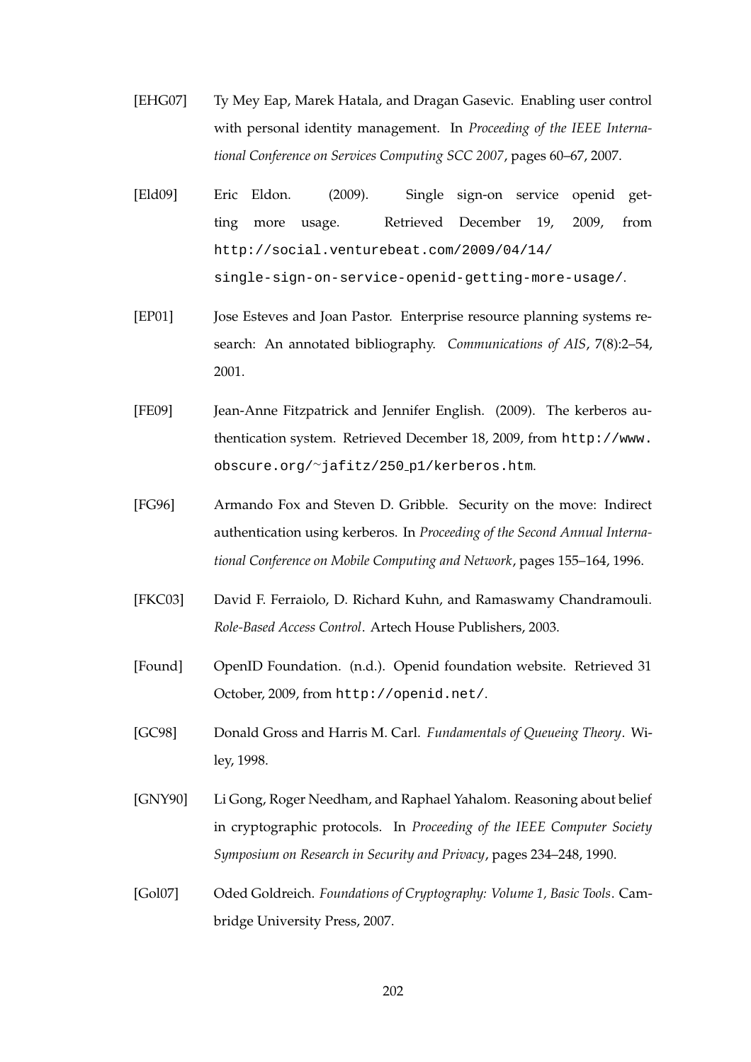- [EHG07] Ty Mey Eap, Marek Hatala, and Dragan Gasevic. Enabling user control with personal identity management. In *Proceeding of the IEEE International Conference on Services Computing SCC 2007*, pages 60–67, 2007.
- [Eld09] Eric Eldon. (2009). Single sign-on service openid getting more usage. Retrieved December 19, 2009, from http://social.venturebeat.com/2009/04/14/ single-sign-on-service-openid-getting-more-usage/.
- [EP01] Jose Esteves and Joan Pastor. Enterprise resource planning systems research: An annotated bibliography. *Communications of AIS*, 7(8):2–54, 2001.
- [FE09] Jean-Anne Fitzpatrick and Jennifer English. (2009). The kerberos authentication system. Retrieved December 18, 2009, from http://www. obscure.org/∼jafitz/250 p1/kerberos.htm.
- [FG96] Armando Fox and Steven D. Gribble. Security on the move: Indirect authentication using kerberos. In *Proceeding of the Second Annual International Conference on Mobile Computing and Network*, pages 155–164, 1996.
- [FKC03] David F. Ferraiolo, D. Richard Kuhn, and Ramaswamy Chandramouli. *Role-Based Access Control*. Artech House Publishers, 2003.
- [Found] OpenID Foundation. (n.d.). Openid foundation website. Retrieved 31 October, 2009, from http://openid.net/.
- [GC98] Donald Gross and Harris M. Carl. *Fundamentals of Queueing Theory*. Wiley, 1998.
- [GNY90] Li Gong, Roger Needham, and Raphael Yahalom. Reasoning about belief in cryptographic protocols. In *Proceeding of the IEEE Computer Society Symposium on Research in Security and Privacy*, pages 234–248, 1990.
- [Gol07] Oded Goldreich. *Foundations of Cryptography: Volume 1, Basic Tools*. Cambridge University Press, 2007.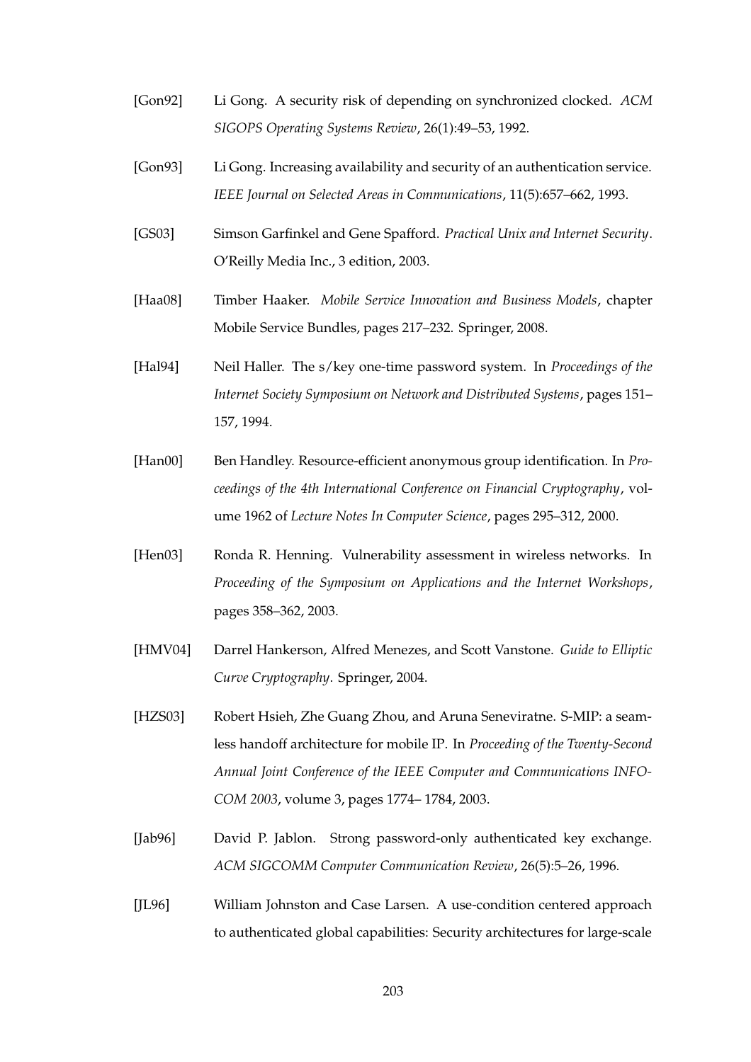- [Gon92] Li Gong. A security risk of depending on synchronized clocked. *ACM SIGOPS Operating Systems Review*, 26(1):49–53, 1992.
- [Gon93] Li Gong. Increasing availability and security of an authentication service. *IEEE Journal on Selected Areas in Communications*, 11(5):657–662, 1993.
- [GS03] Simson Garfinkel and Gene Spafford. *Practical Unix and Internet Security*. O'Reilly Media Inc., 3 edition, 2003.
- [Haa08] Timber Haaker. *Mobile Service Innovation and Business Models*, chapter Mobile Service Bundles, pages 217–232. Springer, 2008.
- [Hal94] Neil Haller. The s/key one-time password system. In *Proceedings of the Internet Society Symposium on Network and Distributed Systems*, pages 151– 157, 1994.
- [Han00] Ben Handley. Resource-efficient anonymous group identification. In *Proceedings of the 4th International Conference on Financial Cryptography*, volume 1962 of *Lecture Notes In Computer Science*, pages 295–312, 2000.
- [Hen03] Ronda R. Henning. Vulnerability assessment in wireless networks. In *Proceeding of the Symposium on Applications and the Internet Workshops*, pages 358–362, 2003.
- [HMV04] Darrel Hankerson, Alfred Menezes, and Scott Vanstone. *Guide to Elliptic Curve Cryptography*. Springer, 2004.
- [HZS03] Robert Hsieh, Zhe Guang Zhou, and Aruna Seneviratne. S-MIP: a seamless handoff architecture for mobile IP. In *Proceeding of the Twenty-Second Annual Joint Conference of the IEEE Computer and Communications INFO-COM 2003*, volume 3, pages 1774– 1784, 2003.
- [Jab96] David P. Jablon. Strong password-only authenticated key exchange. *ACM SIGCOMM Computer Communication Review*, 26(5):5–26, 1996.
- [JL96] William Johnston and Case Larsen. A use-condition centered approach to authenticated global capabilities: Security architectures for large-scale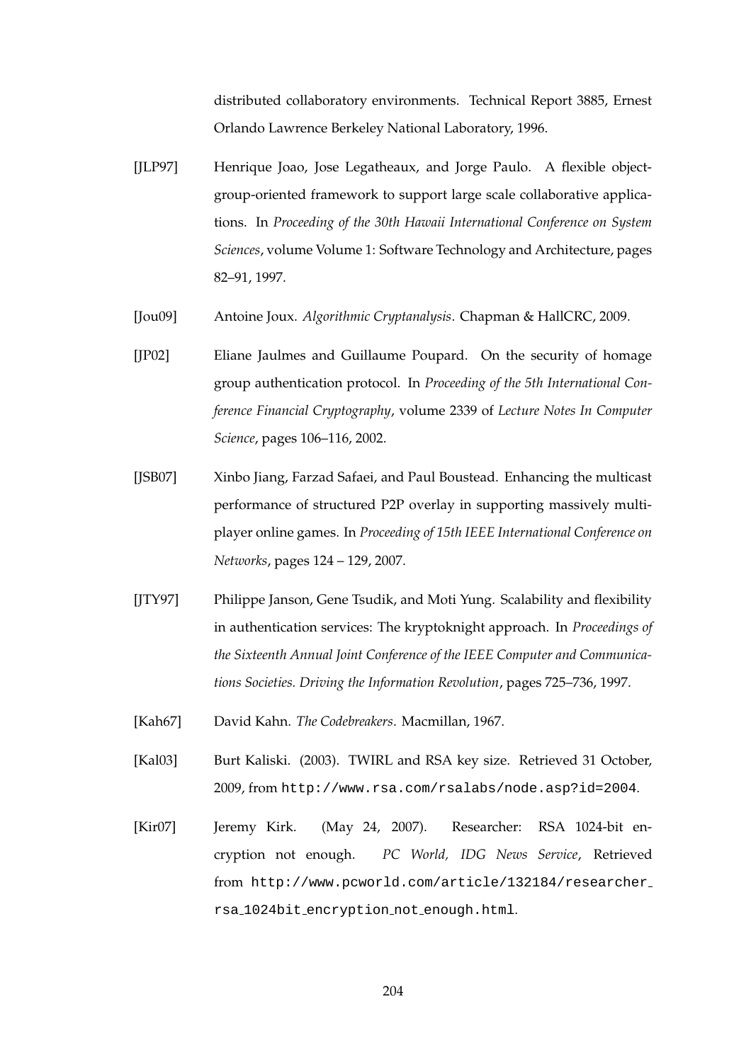distributed collaboratory environments. Technical Report 3885, Ernest Orlando Lawrence Berkeley National Laboratory, 1996.

- [JLP97] Henrique Joao, Jose Legatheaux, and Jorge Paulo. A flexible objectgroup-oriented framework to support large scale collaborative applications. In *Proceeding of the 30th Hawaii International Conference on System Sciences*, volume Volume 1: Software Technology and Architecture, pages 82–91, 1997.
- [Jou09] Antoine Joux. *Algorithmic Cryptanalysis*. Chapman & HallCRC, 2009.
- [JP02] Eliane Jaulmes and Guillaume Poupard. On the security of homage group authentication protocol. In *Proceeding of the 5th International Conference Financial Cryptography*, volume 2339 of *Lecture Notes In Computer Science*, pages 106–116, 2002.
- [JSB07] Xinbo Jiang, Farzad Safaei, and Paul Boustead. Enhancing the multicast performance of structured P2P overlay in supporting massively multiplayer online games. In *Proceeding of 15th IEEE International Conference on Networks*, pages 124 – 129, 2007.
- [JTY97] Philippe Janson, Gene Tsudik, and Moti Yung. Scalability and flexibility in authentication services: The kryptoknight approach. In *Proceedings of the Sixteenth Annual Joint Conference of the IEEE Computer and Communications Societies. Driving the Information Revolution*, pages 725–736, 1997.
- [Kah67] David Kahn. *The Codebreakers*. Macmillan, 1967.
- [Kal03] Burt Kaliski. (2003). TWIRL and RSA key size. Retrieved 31 October, 2009, from http://www.rsa.com/rsalabs/node.asp?id=2004.
- [Kir07] Jeremy Kirk. (May 24, 2007). Researcher: RSA 1024-bit encryption not enough. *PC World, IDG News Service*, Retrieved from http://www.pcworld.com/article/132184/researcher rsa 1024bit encryption not enough.html.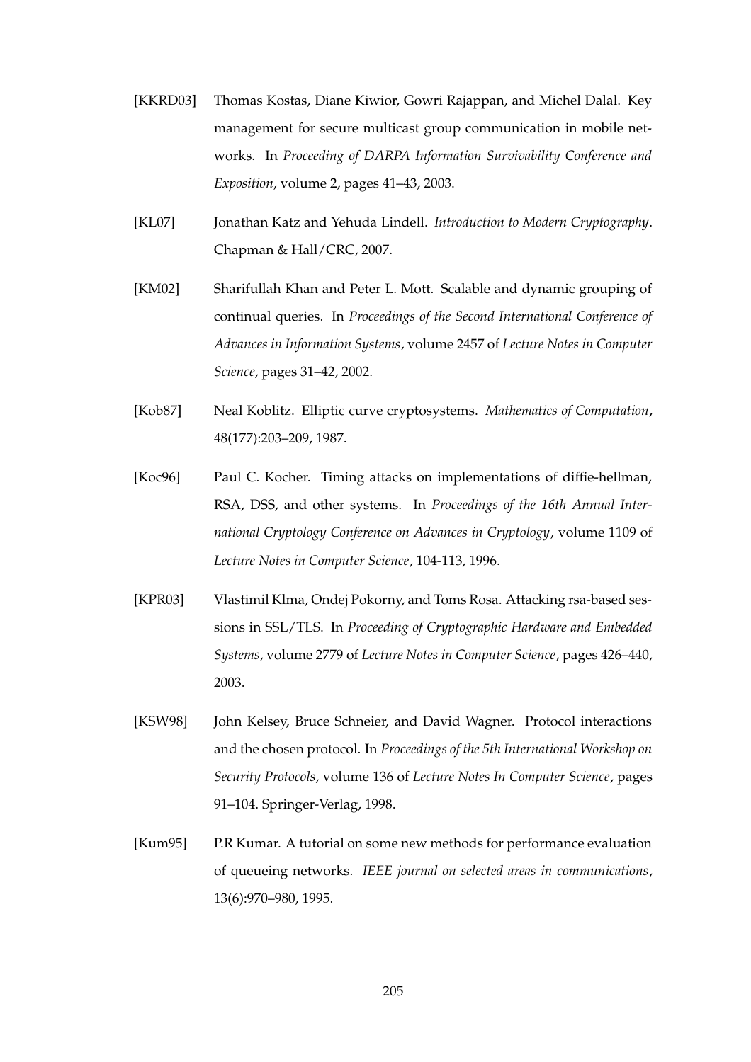- [KKRD03] Thomas Kostas, Diane Kiwior, Gowri Rajappan, and Michel Dalal. Key management for secure multicast group communication in mobile networks. In *Proceeding of DARPA Information Survivability Conference and Exposition*, volume 2, pages 41–43, 2003.
- [KL07] Jonathan Katz and Yehuda Lindell. *Introduction to Modern Cryptography*. Chapman & Hall/CRC, 2007.
- [KM02] Sharifullah Khan and Peter L. Mott. Scalable and dynamic grouping of continual queries. In *Proceedings of the Second International Conference of Advances in Information Systems*, volume 2457 of *Lecture Notes in Computer Science*, pages 31–42, 2002.
- [Kob87] Neal Koblitz. Elliptic curve cryptosystems. *Mathematics of Computation*, 48(177):203–209, 1987.
- [Koc96] Paul C. Kocher. Timing attacks on implementations of diffie-hellman, RSA, DSS, and other systems. In *Proceedings of the 16th Annual International Cryptology Conference on Advances in Cryptology*, volume 1109 of *Lecture Notes in Computer Science*, 104-113, 1996.
- [KPR03] Vlastimil Klma, Ondej Pokorny, and Toms Rosa. Attacking rsa-based sessions in SSL/TLS. In *Proceeding of Cryptographic Hardware and Embedded Systems*, volume 2779 of *Lecture Notes in Computer Science*, pages 426–440, 2003.
- [KSW98] John Kelsey, Bruce Schneier, and David Wagner. Protocol interactions and the chosen protocol. In *Proceedings of the 5th International Workshop on Security Protocols*, volume 136 of *Lecture Notes In Computer Science*, pages 91–104. Springer-Verlag, 1998.
- [Kum95] P.R Kumar. A tutorial on some new methods for performance evaluation of queueing networks. *IEEE journal on selected areas in communications*, 13(6):970–980, 1995.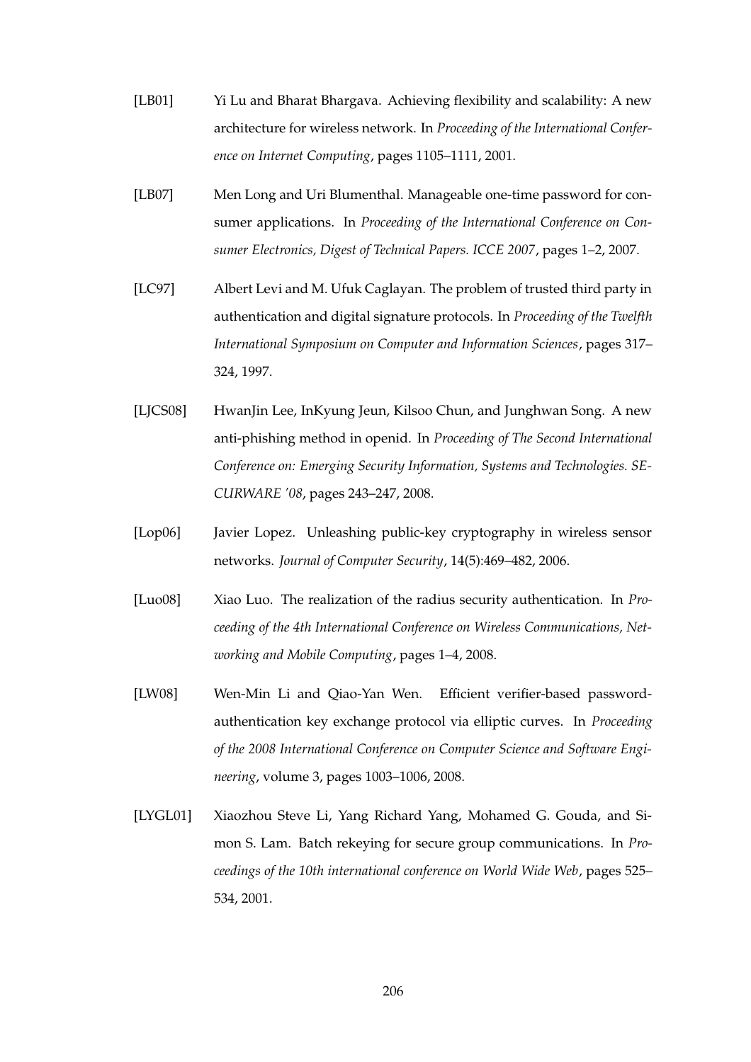- [LB01] Yi Lu and Bharat Bhargava. Achieving flexibility and scalability: A new architecture for wireless network. In *Proceeding of the International Conference on Internet Computing*, pages 1105–1111, 2001.
- [LB07] Men Long and Uri Blumenthal. Manageable one-time password for consumer applications. In *Proceeding of the International Conference on Consumer Electronics, Digest of Technical Papers. ICCE 2007*, pages 1–2, 2007.
- [LC97] Albert Levi and M. Ufuk Caglayan. The problem of trusted third party in authentication and digital signature protocols. In *Proceeding of the Twelfth International Symposium on Computer and Information Sciences*, pages 317– 324, 1997.
- [LJCS08] HwanJin Lee, InKyung Jeun, Kilsoo Chun, and Junghwan Song. A new anti-phishing method in openid. In *Proceeding of The Second International Conference on: Emerging Security Information, Systems and Technologies. SE-CURWARE '08*, pages 243–247, 2008.
- [Lop06] Javier Lopez. Unleashing public-key cryptography in wireless sensor networks. *Journal of Computer Security*, 14(5):469–482, 2006.
- [Luo08] Xiao Luo. The realization of the radius security authentication. In *Proceeding of the 4th International Conference on Wireless Communications, Networking and Mobile Computing*, pages 1–4, 2008.
- [LW08] Wen-Min Li and Qiao-Yan Wen. Efficient verifier-based passwordauthentication key exchange protocol via elliptic curves. In *Proceeding of the 2008 International Conference on Computer Science and Software Engineering*, volume 3, pages 1003–1006, 2008.
- [LYGL01] Xiaozhou Steve Li, Yang Richard Yang, Mohamed G. Gouda, and Simon S. Lam. Batch rekeying for secure group communications. In *Proceedings of the 10th international conference on World Wide Web*, pages 525– 534, 2001.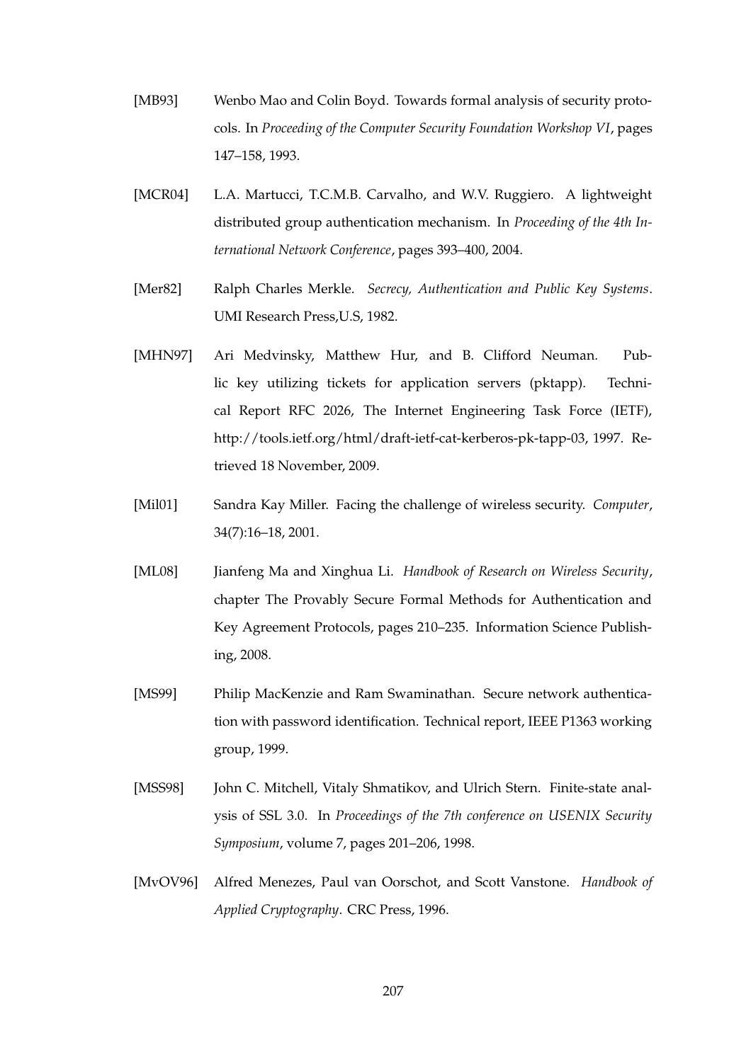- [MB93] Wenbo Mao and Colin Boyd. Towards formal analysis of security protocols. In *Proceeding of the Computer Security Foundation Workshop VI*, pages 147–158, 1993.
- [MCR04] L.A. Martucci, T.C.M.B. Carvalho, and W.V. Ruggiero. A lightweight distributed group authentication mechanism. In *Proceeding of the 4th International Network Conference*, pages 393–400, 2004.
- [Mer82] Ralph Charles Merkle. *Secrecy, Authentication and Public Key Systems*. UMI Research Press,U.S, 1982.
- [MHN97] Ari Medvinsky, Matthew Hur, and B. Clifford Neuman. Public key utilizing tickets for application servers (pktapp). Technical Report RFC 2026, The Internet Engineering Task Force (IETF), http://tools.ietf.org/html/draft-ietf-cat-kerberos-pk-tapp-03, 1997. Retrieved 18 November, 2009.
- [Mil01] Sandra Kay Miller. Facing the challenge of wireless security. *Computer*, 34(7):16–18, 2001.
- [ML08] Jianfeng Ma and Xinghua Li. *Handbook of Research on Wireless Security*, chapter The Provably Secure Formal Methods for Authentication and Key Agreement Protocols, pages 210–235. Information Science Publishing, 2008.
- [MS99] Philip MacKenzie and Ram Swaminathan. Secure network authentication with password identification. Technical report, IEEE P1363 working group, 1999.
- [MSS98] John C. Mitchell, Vitaly Shmatikov, and Ulrich Stern. Finite-state analysis of SSL 3.0. In *Proceedings of the 7th conference on USENIX Security Symposium*, volume 7, pages 201–206, 1998.
- [MvOV96] Alfred Menezes, Paul van Oorschot, and Scott Vanstone. *Handbook of Applied Cryptography*. CRC Press, 1996.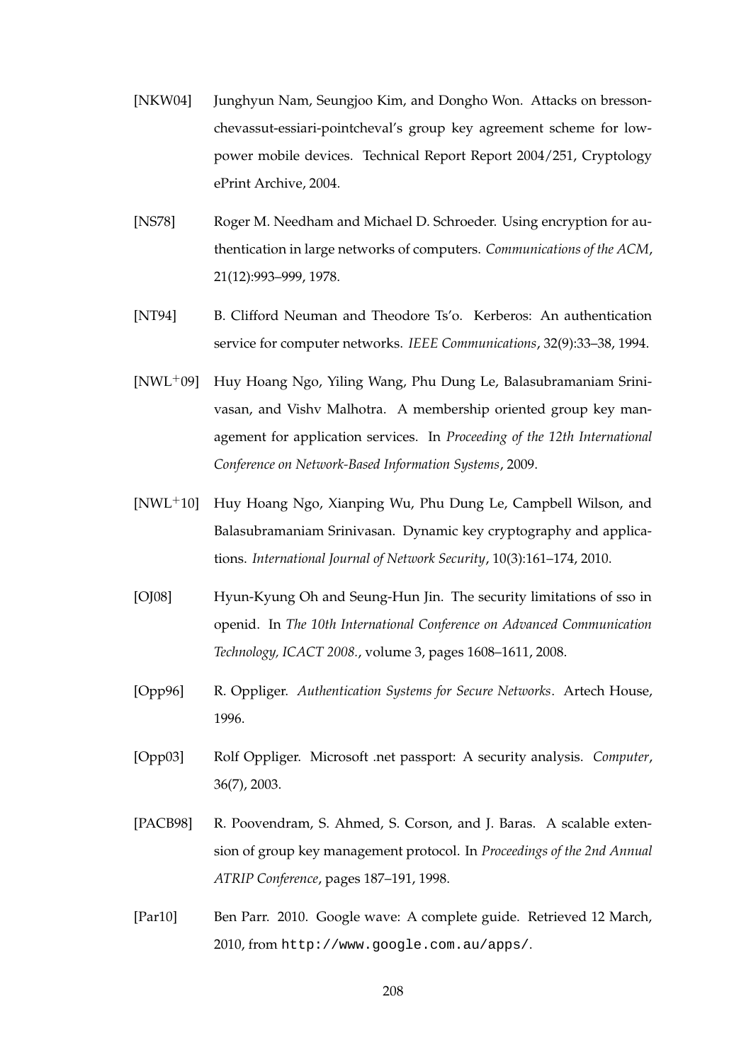- [NKW04] Junghyun Nam, Seungjoo Kim, and Dongho Won. Attacks on bressonchevassut-essiari-pointcheval's group key agreement scheme for lowpower mobile devices. Technical Report Report 2004/251, Cryptology ePrint Archive, 2004.
- [NS78] Roger M. Needham and Michael D. Schroeder. Using encryption for authentication in large networks of computers. *Communications of the ACM*, 21(12):993–999, 1978.
- [NT94] B. Clifford Neuman and Theodore Ts'o. Kerberos: An authentication service for computer networks. *IEEE Communications*, 32(9):33–38, 1994.
- [NWL+09] Huy Hoang Ngo, Yiling Wang, Phu Dung Le, Balasubramaniam Srinivasan, and Vishv Malhotra. A membership oriented group key management for application services. In *Proceeding of the 12th International Conference on Network-Based Information Systems*, 2009.
- [NWL+10] Huy Hoang Ngo, Xianping Wu, Phu Dung Le, Campbell Wilson, and Balasubramaniam Srinivasan. Dynamic key cryptography and applications. *International Journal of Network Security*, 10(3):161–174, 2010.
- [OJ08] Hyun-Kyung Oh and Seung-Hun Jin. The security limitations of sso in openid. In *The 10th International Conference on Advanced Communication Technology, ICACT 2008.*, volume 3, pages 1608–1611, 2008.
- [Opp96] R. Oppliger. *Authentication Systems for Secure Networks*. Artech House, 1996.
- [Opp03] Rolf Oppliger. Microsoft .net passport: A security analysis. *Computer*, 36(7), 2003.
- [PACB98] R. Poovendram, S. Ahmed, S. Corson, and J. Baras. A scalable extension of group key management protocol. In *Proceedings of the 2nd Annual ATRIP Conference*, pages 187–191, 1998.
- [Par10] Ben Parr. 2010. Google wave: A complete guide. Retrieved 12 March, 2010, from http://www.google.com.au/apps/.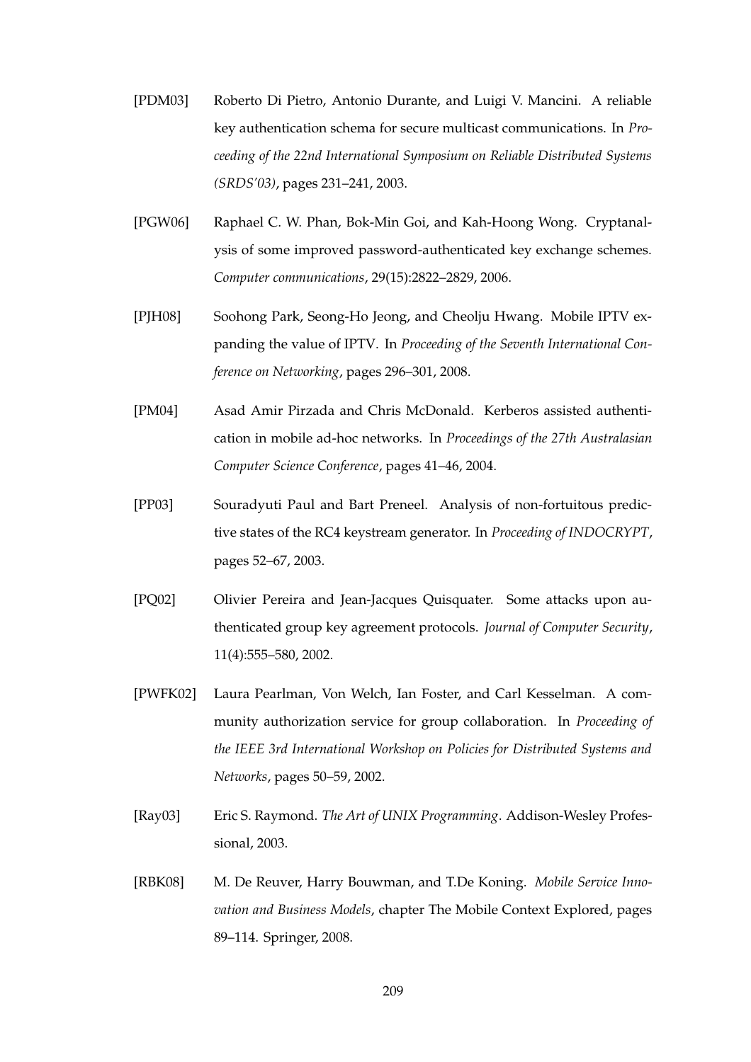- [PDM03] Roberto Di Pietro, Antonio Durante, and Luigi V. Mancini. A reliable key authentication schema for secure multicast communications. In *Proceeding of the 22nd International Symposium on Reliable Distributed Systems (SRDS'03)*, pages 231–241, 2003.
- [PGW06] Raphael C. W. Phan, Bok-Min Goi, and Kah-Hoong Wong. Cryptanalysis of some improved password-authenticated key exchange schemes. *Computer communications*, 29(15):2822–2829, 2006.
- [PJH08] Soohong Park, Seong-Ho Jeong, and Cheolju Hwang. Mobile IPTV expanding the value of IPTV. In *Proceeding of the Seventh International Conference on Networking*, pages 296–301, 2008.
- [PM04] Asad Amir Pirzada and Chris McDonald. Kerberos assisted authentication in mobile ad-hoc networks. In *Proceedings of the 27th Australasian Computer Science Conference*, pages 41–46, 2004.
- [PP03] Souradyuti Paul and Bart Preneel. Analysis of non-fortuitous predictive states of the RC4 keystream generator. In *Proceeding of INDOCRYPT*, pages 52–67, 2003.
- [PQ02] Olivier Pereira and Jean-Jacques Quisquater. Some attacks upon authenticated group key agreement protocols. *Journal of Computer Security*, 11(4):555–580, 2002.
- [PWFK02] Laura Pearlman, Von Welch, Ian Foster, and Carl Kesselman. A community authorization service for group collaboration. In *Proceeding of the IEEE 3rd International Workshop on Policies for Distributed Systems and Networks*, pages 50–59, 2002.
- [Ray03] Eric S. Raymond. *The Art of UNIX Programming*. Addison-Wesley Professional, 2003.
- [RBK08] M. De Reuver, Harry Bouwman, and T.De Koning. *Mobile Service Innovation and Business Models*, chapter The Mobile Context Explored, pages 89–114. Springer, 2008.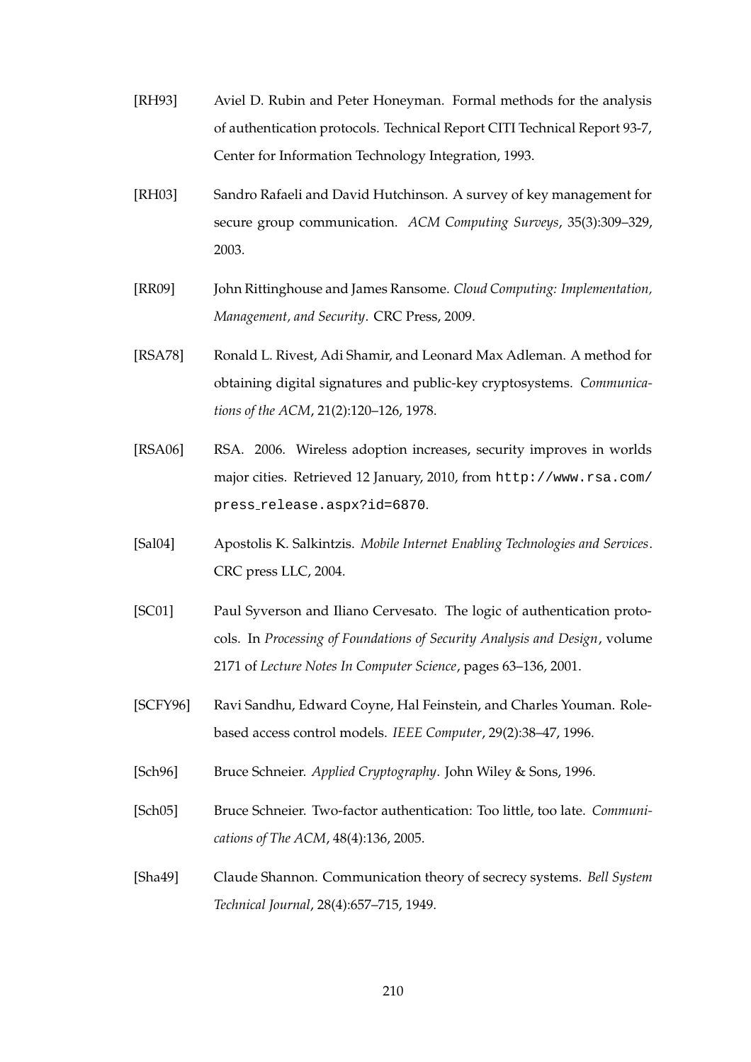- [RH93] Aviel D. Rubin and Peter Honeyman. Formal methods for the analysis of authentication protocols. Technical Report CITI Technical Report 93-7, Center for Information Technology Integration, 1993.
- [RH03] Sandro Rafaeli and David Hutchinson. A survey of key management for secure group communication. *ACM Computing Surveys*, 35(3):309–329, 2003.
- [RR09] John Rittinghouse and James Ransome. *Cloud Computing: Implementation, Management, and Security*. CRC Press, 2009.
- [RSA78] Ronald L. Rivest, Adi Shamir, and Leonard Max Adleman. A method for obtaining digital signatures and public-key cryptosystems. *Communications of the ACM*, 21(2):120–126, 1978.
- [RSA06] RSA. 2006. Wireless adoption increases, security improves in worlds major cities. Retrieved 12 January, 2010, from http://www.rsa.com/ press release.aspx?id=6870.
- [Sal04] Apostolis K. Salkintzis. *Mobile Internet Enabling Technologies and Services*. CRC press LLC, 2004.
- [SC01] Paul Syverson and Iliano Cervesato. The logic of authentication protocols. In *Processing of Foundations of Security Analysis and Design*, volume 2171 of *Lecture Notes In Computer Science*, pages 63–136, 2001.
- [SCFY96] Ravi Sandhu, Edward Coyne, Hal Feinstein, and Charles Youman. Rolebased access control models. *IEEE Computer*, 29(2):38–47, 1996.
- [Sch96] Bruce Schneier. *Applied Cryptography*. John Wiley & Sons, 1996.
- [Sch05] Bruce Schneier. Two-factor authentication: Too little, too late. *Communications of The ACM*, 48(4):136, 2005.
- [Sha49] Claude Shannon. Communication theory of secrecy systems. *Bell System Technical Journal*, 28(4):657–715, 1949.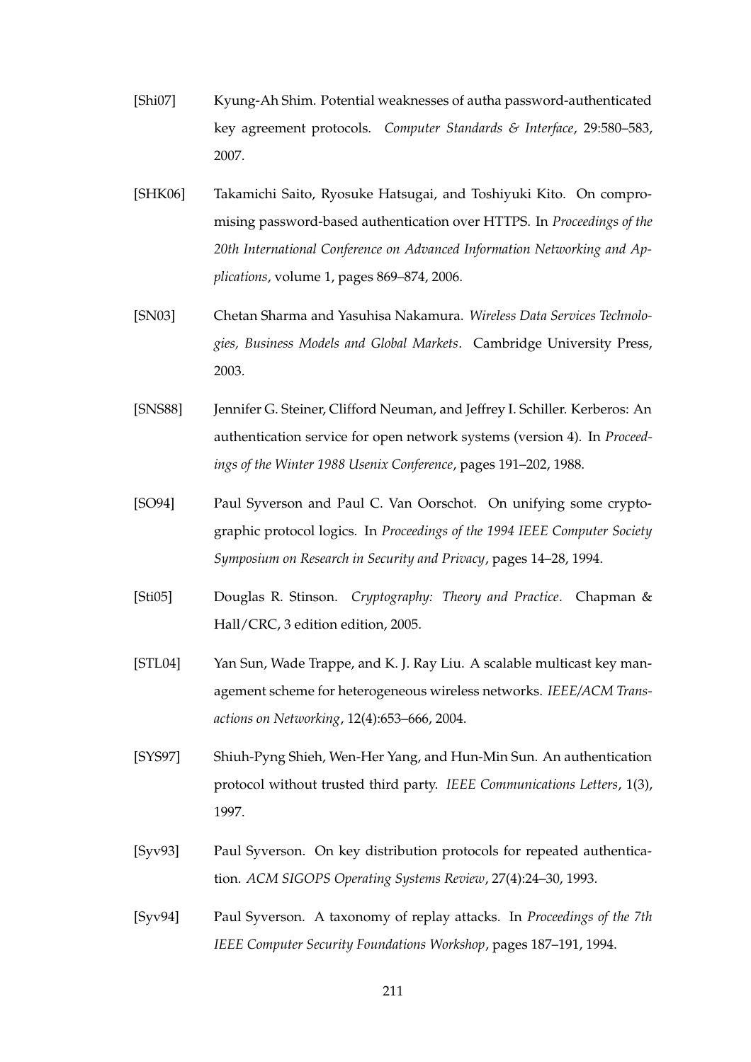- [Shi07] Kyung-Ah Shim. Potential weaknesses of autha password-authenticated key agreement protocols. *Computer Standards & Interface*, 29:580–583, 2007.
- [SHK06] Takamichi Saito, Ryosuke Hatsugai, and Toshiyuki Kito. On compromising password-based authentication over HTTPS. In *Proceedings of the 20th International Conference on Advanced Information Networking and Applications*, volume 1, pages 869–874, 2006.
- [SN03] Chetan Sharma and Yasuhisa Nakamura. *Wireless Data Services Technologies, Business Models and Global Markets*. Cambridge University Press, 2003.
- [SNS88] Jennifer G. Steiner, Clifford Neuman, and Jeffrey I. Schiller. Kerberos: An authentication service for open network systems (version 4). In *Proceedings of the Winter 1988 Usenix Conference*, pages 191–202, 1988.
- [SO94] Paul Syverson and Paul C. Van Oorschot. On unifying some cryptographic protocol logics. In *Proceedings of the 1994 IEEE Computer Society Symposium on Research in Security and Privacy*, pages 14–28, 1994.
- [Sti05] Douglas R. Stinson. *Cryptography: Theory and Practice*. Chapman & Hall/CRC, 3 edition edition, 2005.
- [STL04] Yan Sun, Wade Trappe, and K. J. Ray Liu. A scalable multicast key management scheme for heterogeneous wireless networks. *IEEE/ACM Transactions on Networking*, 12(4):653–666, 2004.
- [SYS97] Shiuh-Pyng Shieh, Wen-Her Yang, and Hun-Min Sun. An authentication protocol without trusted third party. *IEEE Communications Letters*, 1(3), 1997.
- [Syv93] Paul Syverson. On key distribution protocols for repeated authentication. *ACM SIGOPS Operating Systems Review*, 27(4):24–30, 1993.
- [Syv94] Paul Syverson. A taxonomy of replay attacks. In *Proceedings of the 7th IEEE Computer Security Foundations Workshop*, pages 187–191, 1994.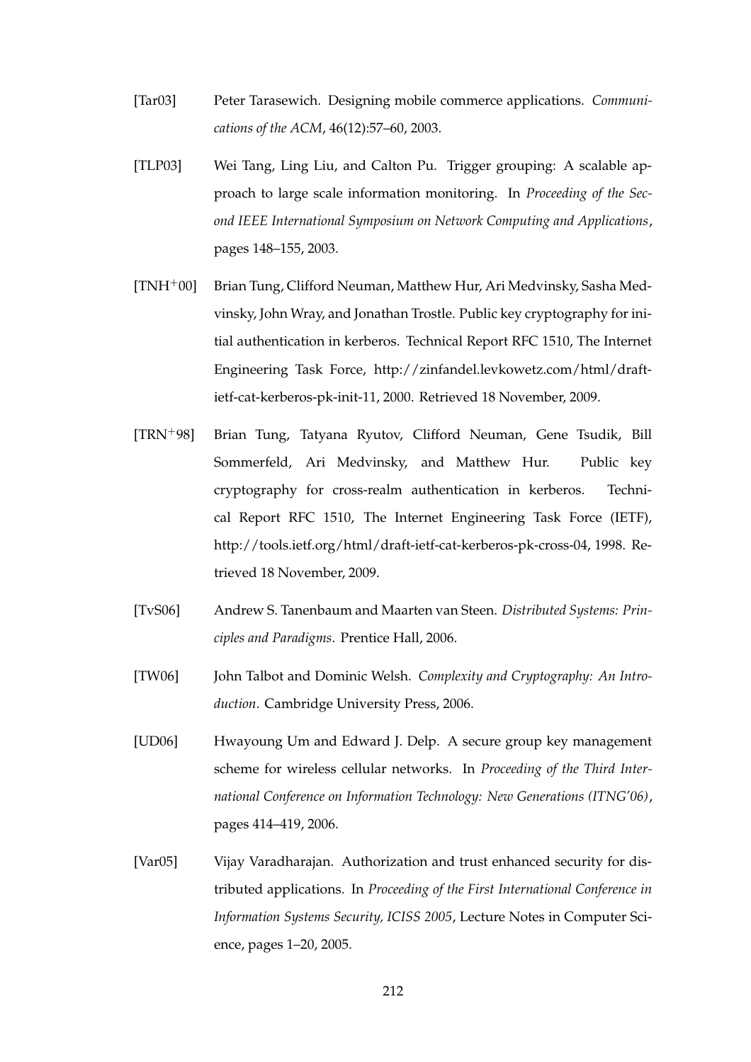- [Tar03] Peter Tarasewich. Designing mobile commerce applications. *Communications of the ACM*, 46(12):57–60, 2003.
- [TLP03] Wei Tang, Ling Liu, and Calton Pu. Trigger grouping: A scalable approach to large scale information monitoring. In *Proceeding of the Second IEEE International Symposium on Network Computing and Applications*, pages 148–155, 2003.
- [TNH+00] Brian Tung, Clifford Neuman, Matthew Hur, Ari Medvinsky, Sasha Medvinsky, John Wray, and Jonathan Trostle. Public key cryptography for initial authentication in kerberos. Technical Report RFC 1510, The Internet Engineering Task Force, http://zinfandel.levkowetz.com/html/draftietf-cat-kerberos-pk-init-11, 2000. Retrieved 18 November, 2009.
- [TRN+98] Brian Tung, Tatyana Ryutov, Clifford Neuman, Gene Tsudik, Bill Sommerfeld, Ari Medvinsky, and Matthew Hur. Public key cryptography for cross-realm authentication in kerberos. Technical Report RFC 1510, The Internet Engineering Task Force (IETF), http://tools.ietf.org/html/draft-ietf-cat-kerberos-pk-cross-04, 1998. Retrieved 18 November, 2009.
- [TvS06] Andrew S. Tanenbaum and Maarten van Steen. *Distributed Systems: Principles and Paradigms*. Prentice Hall, 2006.
- [TW06] John Talbot and Dominic Welsh. *Complexity and Cryptography: An Introduction*. Cambridge University Press, 2006.
- [UD06] Hwayoung Um and Edward J. Delp. A secure group key management scheme for wireless cellular networks. In *Proceeding of the Third International Conference on Information Technology: New Generations (ITNG'06)*, pages 414–419, 2006.
- [Var05] Vijay Varadharajan. Authorization and trust enhanced security for distributed applications. In *Proceeding of the First International Conference in Information Systems Security, ICISS 2005*, Lecture Notes in Computer Science, pages 1–20, 2005.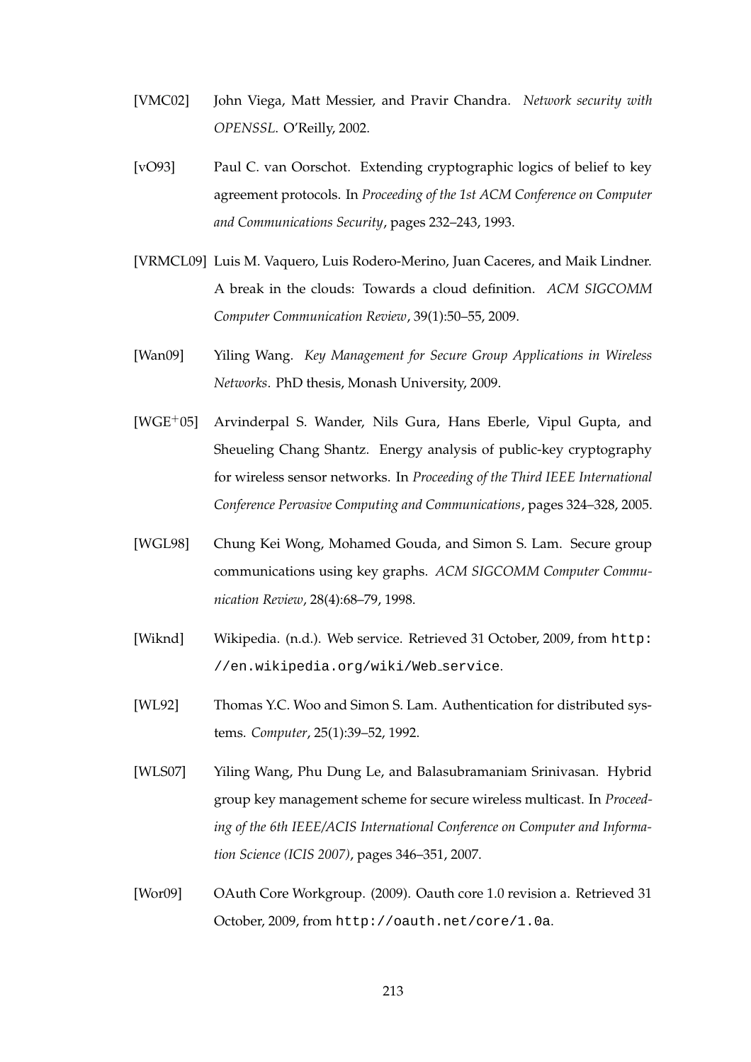- [VMC02] John Viega, Matt Messier, and Pravir Chandra. *Network security with OPENSSL*. O'Reilly, 2002.
- [vO93] Paul C. van Oorschot. Extending cryptographic logics of belief to key agreement protocols. In *Proceeding of the 1st ACM Conference on Computer and Communications Security*, pages 232–243, 1993.
- [VRMCL09] Luis M. Vaquero, Luis Rodero-Merino, Juan Caceres, and Maik Lindner. A break in the clouds: Towards a cloud definition. *ACM SIGCOMM Computer Communication Review*, 39(1):50–55, 2009.
- [Wan09] Yiling Wang. *Key Management for Secure Group Applications in Wireless Networks*. PhD thesis, Monash University, 2009.
- [WGE<sup>+</sup>05] Arvinderpal S. Wander, Nils Gura, Hans Eberle, Vipul Gupta, and Sheueling Chang Shantz. Energy analysis of public-key cryptography for wireless sensor networks. In *Proceeding of the Third IEEE International Conference Pervasive Computing and Communications*, pages 324–328, 2005.
- [WGL98] Chung Kei Wong, Mohamed Gouda, and Simon S. Lam. Secure group communications using key graphs. *ACM SIGCOMM Computer Communication Review*, 28(4):68–79, 1998.
- [Wiknd] Wikipedia. (n.d.). Web service. Retrieved 31 October, 2009, from http: //en.wikipedia.org/wiki/Web service.
- [WL92] Thomas Y.C. Woo and Simon S. Lam. Authentication for distributed systems. *Computer*, 25(1):39–52, 1992.
- [WLS07] Yiling Wang, Phu Dung Le, and Balasubramaniam Srinivasan. Hybrid group key management scheme for secure wireless multicast. In *Proceeding of the 6th IEEE/ACIS International Conference on Computer and Information Science (ICIS 2007)*, pages 346–351, 2007.
- [Wor09] OAuth Core Workgroup. (2009). Oauth core 1.0 revision a. Retrieved 31 October, 2009, from http://oauth.net/core/1.0a.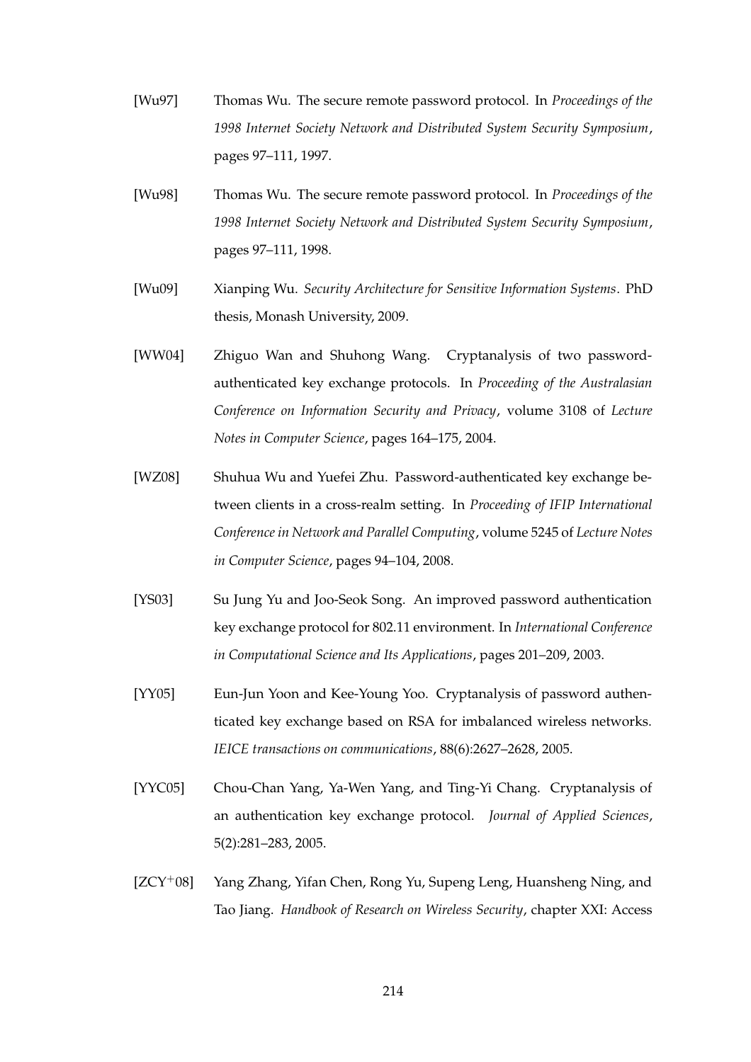- [Wu97] Thomas Wu. The secure remote password protocol. In *Proceedings of the 1998 Internet Society Network and Distributed System Security Symposium*, pages 97–111, 1997.
- [Wu98] Thomas Wu. The secure remote password protocol. In *Proceedings of the 1998 Internet Society Network and Distributed System Security Symposium*, pages 97–111, 1998.
- [Wu09] Xianping Wu. *Security Architecture for Sensitive Information Systems*. PhD thesis, Monash University, 2009.
- [WW04] Zhiguo Wan and Shuhong Wang. Cryptanalysis of two passwordauthenticated key exchange protocols. In *Proceeding of the Australasian Conference on Information Security and Privacy*, volume 3108 of *Lecture Notes in Computer Science*, pages 164–175, 2004.
- [WZ08] Shuhua Wu and Yuefei Zhu. Password-authenticated key exchange between clients in a cross-realm setting. In *Proceeding of IFIP International Conference in Network and Parallel Computing*, volume 5245 of *Lecture Notes in Computer Science*, pages 94–104, 2008.
- [YS03] Su Jung Yu and Joo-Seok Song. An improved password authentication key exchange protocol for 802.11 environment. In *International Conference in Computational Science and Its Applications*, pages 201–209, 2003.
- [YY05] Eun-Jun Yoon and Kee-Young Yoo. Cryptanalysis of password authenticated key exchange based on RSA for imbalanced wireless networks. *IEICE transactions on communications*, 88(6):2627–2628, 2005.
- [YYC05] Chou-Chan Yang, Ya-Wen Yang, and Ting-Yi Chang. Cryptanalysis of an authentication key exchange protocol. *Journal of Applied Sciences*, 5(2):281–283, 2005.
- [ZCY+08] Yang Zhang, Yifan Chen, Rong Yu, Supeng Leng, Huansheng Ning, and Tao Jiang. *Handbook of Research on Wireless Security*, chapter XXI: Access